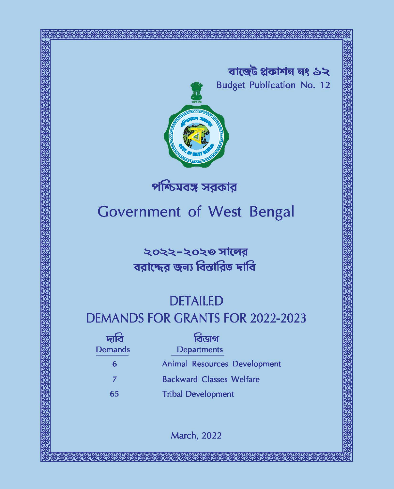



পশ্চিমবঙ্গ সরকার

# **Government of West Bengal**

২০২২-২০২৩ সালের বরাদ্দের জন্য বিস্তারিত দাবি

# **DETAILED**

# **DEMANDS FOR GRANTS FOR 2022-2023**

| দাবি           | বিডাগ                           |
|----------------|---------------------------------|
| <b>Demands</b> | <b>Departments</b>              |
| 6              | Animal Resources Development    |
| 7              | <b>Backward Classes Welfare</b> |
| 65             | <b>Tribal Development</b>       |

March, 2022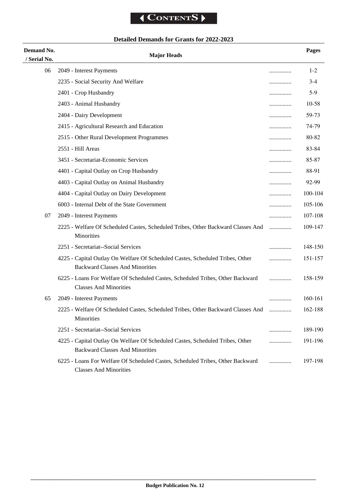# **Detailed Demands for Grants for 2022-2023**

| Demand No.<br>/ Serial No. | <b>Major Heads</b>                                                                                                      |   | <b>Pages</b> |
|----------------------------|-------------------------------------------------------------------------------------------------------------------------|---|--------------|
| 06                         | 2049 - Interest Payments                                                                                                |   | $1 - 2$      |
|                            | 2235 - Social Security And Welfare                                                                                      | . | $3-4$        |
|                            | 2401 - Crop Husbandry                                                                                                   |   | $5-9$        |
|                            | 2403 - Animal Husbandry                                                                                                 |   | 10-58        |
|                            | 2404 - Dairy Development                                                                                                |   | 59-73        |
|                            | 2415 - Agricultural Research and Education                                                                              |   | 74-79        |
|                            | 2515 - Other Rural Development Programmes                                                                               |   | 80-82        |
|                            | 2551 - Hill Areas                                                                                                       | . | 83-84        |
|                            | 3451 - Secretariat-Economic Services                                                                                    |   | 85-87        |
|                            | 4401 - Capital Outlay on Crop Husbandry                                                                                 | . | 88-91        |
|                            | 4403 - Capital Outlay on Animal Husbandry                                                                               |   | 92-99        |
|                            | 4404 - Capital Outlay on Dairy Development                                                                              |   | 100-104      |
|                            | 6003 - Internal Debt of the State Government                                                                            | . | 105-106      |
| 07                         | 2049 - Interest Payments                                                                                                |   | 107-108      |
|                            | 2225 - Welfare Of Scheduled Castes, Scheduled Tribes, Other Backward Classes And<br>Minorities                          | . | 109-147      |
|                            | 2251 - Secretariat--Social Services                                                                                     | . | 148-150      |
|                            | 4225 - Capital Outlay On Welfare Of Scheduled Castes, Scheduled Tribes, Other<br><b>Backward Classes And Minorities</b> |   | 151-157      |
|                            | 6225 - Loans For Welfare Of Scheduled Castes, Scheduled Tribes, Other Backward<br><b>Classes And Minorities</b>         | . | 158-159      |
| 65                         | 2049 - Interest Payments                                                                                                |   | 160-161      |
|                            | 2225 - Welfare Of Scheduled Castes, Scheduled Tribes, Other Backward Classes And<br>Minorities                          |   | 162-188      |
|                            | 2251 - Secretariat--Social Services                                                                                     |   | 189-190      |
|                            | 4225 - Capital Outlay On Welfare Of Scheduled Castes, Scheduled Tribes, Other<br><b>Backward Classes And Minorities</b> | . | 191-196      |
|                            | 6225 - Loans For Welfare Of Scheduled Castes, Scheduled Tribes, Other Backward<br><b>Classes And Minorities</b>         | . | 197-198      |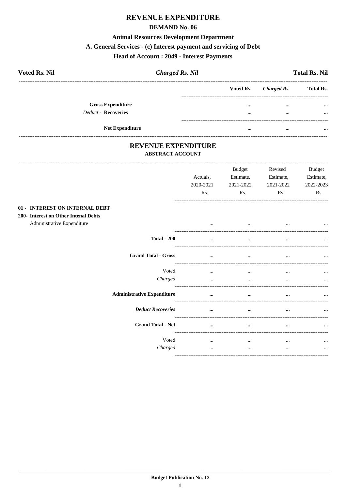# **REVENUE EXPENDITURE**

#### **DEMAND No. 06**

#### **Animal Resources Development Department**

#### A. General Services - (c) Interest payment and servicing of Debt

#### **Head of Account: 2049 - Interest Payments**

| <b>Voted Rs. Nil</b>       | <b>Charged Rs. Nil</b> |           |             | <b>Total Rs. Nil</b> |
|----------------------------|------------------------|-----------|-------------|----------------------|
|                            |                        | Voted Rs. | Charged Rs. | <b>Total Rs.</b>     |
| <b>Gross Expenditure</b>   |                        | $\cdots$  | $\cdots$    | $\cdots$             |
| <b>Deduct - Recoveries</b> |                        |           | $\cdots$    | $\cdots$             |
| <b>Net Expenditure</b>     |                        | $\cdots$  | $\cdots$    | $\cdots$             |

#### REVENUE EXPENDITURE **ABSTRACT ACCOUNT**

------------------------------

|                                                                        |                                   | Actuals,<br>2020-2021<br>Rs. | <b>Budget</b><br>Estimate,<br>2021-2022<br>Rs. | Revised<br>Estimate,<br>2021-2022<br>Rs. | <b>Budget</b><br>Estimate,<br>2022-2023<br>Rs. |
|------------------------------------------------------------------------|-----------------------------------|------------------------------|------------------------------------------------|------------------------------------------|------------------------------------------------|
| 01 - INTEREST ON INTERNAL DEBT<br>200- Interest on Other Intenal Debts |                                   |                              |                                                |                                          |                                                |
| Administrative Expenditure                                             |                                   | $\cdots$                     | $\cdots$                                       | $\cdots$                                 |                                                |
|                                                                        | <b>Total - 200</b>                |                              | $\cdots$                                       |                                          |                                                |
|                                                                        | <b>Grand Total - Gross</b>        | $\cdots$                     | $\cdots$                                       | $\cdots$                                 | $\cdots$                                       |
|                                                                        | Voted                             | $\cdots$                     | $\cdots$                                       | $\cdots$                                 | $\cdots$                                       |
|                                                                        | Charged                           | $\cdots$                     | $\cdots$                                       | $\cdots$                                 | $\cdots$                                       |
|                                                                        | <b>Administrative Expenditure</b> | $\cdots$                     | $\cdots$                                       |                                          |                                                |
|                                                                        | <b>Deduct Recoveries</b>          | $\cdots$                     | $\cdots$                                       |                                          |                                                |
|                                                                        | <b>Grand Total - Net</b>          | $\cdots$                     | $\cdots$                                       | $\cdots$                                 |                                                |
|                                                                        | Voted<br>Charged                  | $\cdots$<br>$\cdots$         | $\cdots$<br>$\cdots$                           | $\cdots$<br>$\cdots$                     | $\cdots$<br>$\cdots$                           |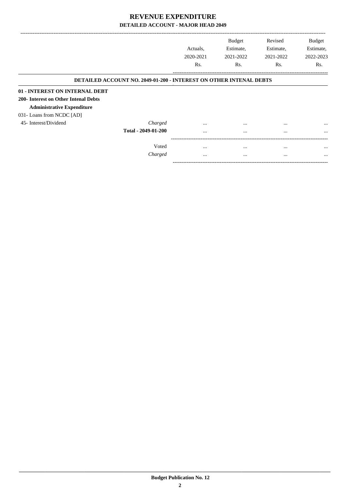|                                      |                                                                           |                  | <b>Budget</b> | Revised   | <b>Budget</b> |
|--------------------------------------|---------------------------------------------------------------------------|------------------|---------------|-----------|---------------|
|                                      |                                                                           | Actuals.         | Estimate,     | Estimate, | Estimate,     |
|                                      |                                                                           | 2020-2021        | 2021-2022     | 2021-2022 | 2022-2023     |
|                                      |                                                                           | R <sub>s</sub> . | Rs.           | Rs.       | Rs.           |
|                                      | <b>DETAILED ACCOUNT NO. 2049-01-200 - INTEREST ON OTHER INTENAL DEBTS</b> |                  |               |           |               |
| 01 - INTEREST ON INTERNAL DEBT       |                                                                           |                  |               |           |               |
| 200- Interest on Other Intenal Debts |                                                                           |                  |               |           |               |
| <b>Administrative Expenditure</b>    |                                                                           |                  |               |           |               |
| 031- Loans from NCDC [AD]            |                                                                           |                  |               |           |               |
| 45- Interest/Dividend                | Charged                                                                   | $\cdots$         | $\cdots$      | $\cdots$  | $\cdots$      |
|                                      | Total - 2049-01-200                                                       | $\cdots$         | $\cdots$      | $\cdots$  | $\cdots$      |
|                                      |                                                                           |                  |               |           |               |
|                                      | Voted                                                                     | $\cdots$         | $\cdots$      | $\cdots$  | $\cdots$      |
|                                      | Charged                                                                   | $\cdots$         | $\cdots$      | $\cdots$  | $\cdots$      |

-----------------------------------------------------------------------------------------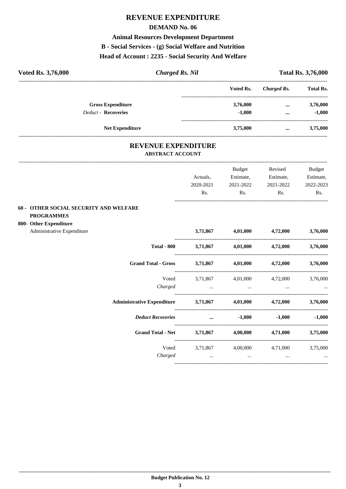# **REVENUE EXPENDITURE**

#### **DEMAND No. 06**

### **Animal Resources Development Department**

### **B - Social Services - (g) Social Welfare and Nutrition**

#### **Head of Account : 2235 - Social Security And Welfare**

| <b>Voted Rs. 3,76,000</b>  | <b>Charged Rs. Nil</b> |           |             | <b>Total Rs. 3,76,000</b> |
|----------------------------|------------------------|-----------|-------------|---------------------------|
|                            |                        | Voted Rs. | Charged Rs. | <b>Total Rs.</b>          |
| <b>Gross Expenditure</b>   |                        | 3,76,000  | $\cdots$    | 3,76,000                  |
| <b>Deduct - Recoveries</b> |                        | $-1.000$  | $\cdots$    | $-1,000$                  |
| <b>Net Expenditure</b>     |                        | 3,75,000  | $\cdots$    | 3,75,000                  |

#### **REVENUE EXPENDITURE ABSTRACT ACCOUNT**

|                                                                |                                                 | <b>Budget</b>  | Revised                                                                                                         | Budget    |
|----------------------------------------------------------------|-------------------------------------------------|----------------|-----------------------------------------------------------------------------------------------------------------|-----------|
|                                                                | Actuals,                                        | Estimate,      | Estimate,                                                                                                       | Estimate, |
|                                                                |                                                 |                | 2020-2021 2021-2022 2021-2022                                                                                   | 2022-2023 |
|                                                                | Rs.                                             | $\mathbf{Rs.}$ | $\mathbf{Rs.}$                                                                                                  | Rs.       |
| 60 - OTHER SOCIAL SECURITY AND WELFARE                         |                                                 |                |                                                                                                                 |           |
| <b>PROGRAMMES</b>                                              |                                                 |                |                                                                                                                 |           |
| 800- Other Expenditure                                         |                                                 |                |                                                                                                                 |           |
| Administrative Expenditure                                     |                                                 |                | $3,71,867$ $4,01,000$ $4,72,000$ $3,76,000$                                                                     |           |
|                                                                |                                                 |                | Total - 800 3,71,867 4,01,000 4,72,000 3,76,000                                                                 |           |
| Grand Total - Gross 3,71,867 4,01,000 4,72,000 3,76,000        |                                                 |                |                                                                                                                 |           |
|                                                                |                                                 |                | Voted 3,71,867 4,01,000 4,72,000 3,76,000                                                                       |           |
| Charged                                                        | the contract of the contract of the contract of |                |                                                                                                                 |           |
| Administrative Expenditure 3,71,867 4,01,000 4,72,000 3,76,000 |                                                 |                |                                                                                                                 |           |
| <b>Deduct Recoveries</b>                                       |                                                 |                | $-1,000$ $-1,000$ $-1,000$                                                                                      |           |
| Grand Total - Net 3,71,867 4,00,000 4,71,000 3,75,000          |                                                 |                |                                                                                                                 |           |
|                                                                |                                                 |                | Voted 3,71,867 4,00,000 4,71,000 3,75,000                                                                       |           |
| Charged                                                        |                                                 |                | المساحة المساحة المساحة المساحة المساحة المساحة المساحة المساحة المساحة المساحة المساحة المساحة المساحة المساحة |           |
|                                                                |                                                 |                |                                                                                                                 |           |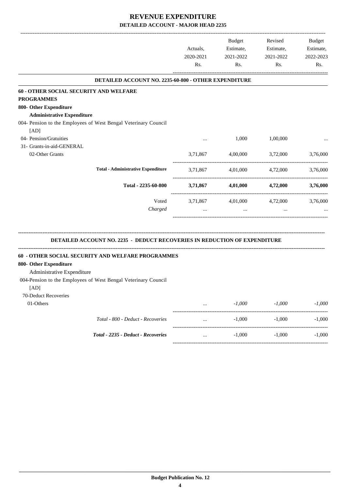-------------------------------------------------------------------------------------------------------------------------------------------------------------------------------

|                                                                                              | Actuals,<br>2020-2021<br>Rs. | <b>Budget</b><br>Estimate,<br>2021-2022<br>Rs. | Revised<br>Estimate,<br>2021-2022<br>Rs. | <b>Budget</b><br>Estimate,<br>2022-2023<br>Rs. |
|----------------------------------------------------------------------------------------------|------------------------------|------------------------------------------------|------------------------------------------|------------------------------------------------|
| DETAILED ACCOUNT NO. 2235-60-800 - OTHER EXPENDITURE                                         |                              |                                                |                                          |                                                |
| 60 - OTHER SOCIAL SECURITY AND WELFARE                                                       |                              |                                                |                                          |                                                |
| <b>PROGRAMMES</b>                                                                            |                              |                                                |                                          |                                                |
| 800- Other Expenditure                                                                       |                              |                                                |                                          |                                                |
| <b>Administrative Expenditure</b>                                                            |                              |                                                |                                          |                                                |
| 004- Pension to the Employees of West Bengal Veterinary Council                              |                              |                                                |                                          |                                                |
| [AD]                                                                                         |                              |                                                |                                          |                                                |
| 04- Pension/Gratuities                                                                       |                              | 1,000                                          | 1,00,000                                 |                                                |
| 31- Grants-in-aid-GENERAL                                                                    |                              |                                                |                                          |                                                |
| 02-Other Grants                                                                              | 3,71,867                     | 4,00,000                                       | 3,72,000                                 | 3,76,000                                       |
| <b>Total - Administrative Expenditure</b>                                                    | 3,71,867                     | 4,01,000                                       | 4,72,000                                 | 3,76,000                                       |
| Total - 2235-60-800                                                                          |                              | 3,71,867 4,01,000                              | 4,72,000                                 | 3,76,000                                       |
| Voted                                                                                        |                              | 3,71,867 4,01,000 4,72,000                     |                                          | 3,76,000                                       |
| Charged                                                                                      | $\cdots$                     | $\cdots$                                       | $\cdots$                                 |                                                |
| DETAILED ACCOUNT NO. 2235 - DEDUCT RECOVERIES IN REDUCTION OF EXPENDITURE                    |                              |                                                |                                          |                                                |
| 60 - OTHER SOCIAL SECURITY AND WELFARE PROGRAMMES<br>800- Other Expenditure                  |                              |                                                |                                          |                                                |
| Administrative Expenditure<br>004-Pension to the Employees of West Bengal Veterinary Council |                              |                                                |                                          |                                                |
| [AD]                                                                                         |                              |                                                |                                          |                                                |
| 70-Deduct Recoveries                                                                         |                              |                                                |                                          |                                                |
| 01-Others                                                                                    |                              | $-1,000$                                       | $-1,000$                                 | $-1,000$                                       |
| Total - 800 - Deduct - Recoveries                                                            |                              | $-1,000$                                       | $-1,000$                                 | $-1,000$                                       |
| Total - 2235 - Deduct - Recoveries                                                           |                              | $-1,000$                                       | $-1,000$                                 |                                                |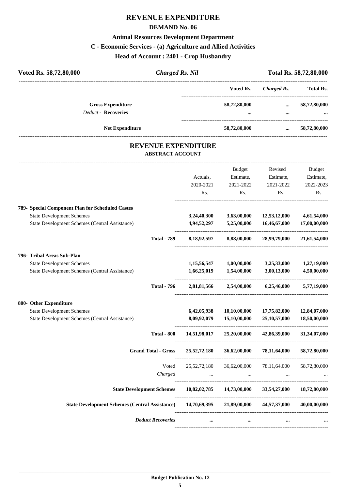# **REVENUE EXPENDITURE**

#### **DEMAND No. 06**

#### **Animal Resources Development Department**

# **C - Economic Services - (a) Agriculture and Allied Activities**

**Head of Account : 2401 - Crop Husbandry**

| Voted Rs.                |                      |                  |
|--------------------------|----------------------|------------------|
|                          | Charged Rs.          | <b>Total Rs.</b> |
| 58,72,80,000<br>$\cdots$ | $\cdots$<br>$\cdots$ | 58,72,80,000<br> |
| 58,72,80,000             | $\cdots$             | 58,72,80,000     |
|                          |                      |                  |

#### **REVENUE EXPENDITURE ABSTRACT ACCOUNT**

---------------------------------------------------------------------------------------------------------------------------------------------------------------------------------

|                                                                                                                                               |                            | Actuals,<br>2020-2021<br>Rs. | <b>Budget</b><br>Estimate,<br>2021-2022<br>Rs. | Revised<br>Estimate,<br>2021-2022<br>Rs.     | <b>Budget</b><br>Estimate,<br>2022-2023<br>Rs. |
|-----------------------------------------------------------------------------------------------------------------------------------------------|----------------------------|------------------------------|------------------------------------------------|----------------------------------------------|------------------------------------------------|
| 789- Special Component Plan for Scheduled Castes<br><b>State Development Schemes</b><br><b>State Development Schemes (Central Assistance)</b> |                            | 3,24,40,300<br>4,94,52,297   | 3,63,00,000<br>5,25,00,000                     | 12,53,12,000<br>16,46,67,000                 | 4,61,54,000<br>17,00,00,000                    |
|                                                                                                                                               | <b>Total - 789</b>         | 8,18,92,597                  | 8,88,00,000                                    | 28,99,79,000                                 | 21,61,54,000                                   |
| 796- Tribal Areas Sub-Plan<br><b>State Development Schemes</b>                                                                                |                            | 1,15,56,547                  | 1,00,00,000                                    | 3,25,33,000                                  | 1,27,19,000                                    |
| State Development Schemes (Central Assistance)                                                                                                | <b>Total - 796</b>         | 1,66,25,019                  | 1,54,00,000<br>2,81,81,566 2,54,00,000         | 3,00,13,000<br>6,25,46,000                   | 4,50,00,000<br>5,77,19,000                     |
| 800- Other Expenditure<br><b>State Development Schemes</b><br><b>State Development Schemes (Central Assistance)</b>                           |                            | 6,42,05,938<br>8,09,92,079   | 10,10,00,000<br>15,10,00,000                   | 17,75,82,000<br>25,10,57,000                 | 12,84,07,000<br>18,50,00,000                   |
|                                                                                                                                               | <b>Total - 800</b>         |                              |                                                | 14,51,98,017 25,20,00,000 42,86,39,000       | 31,34,07,000                                   |
|                                                                                                                                               | <b>Grand Total - Gross</b> | 25,52,72,180                 | 36,62,00,000                                   | 78,11,64,000                                 | 58,72,80,000                                   |
|                                                                                                                                               | Voted<br>Charged           | 25, 52, 72, 180              | 36,62,00,000                                   | 78,11,64,000                                 | 58,72,80,000                                   |
| <b>State Development Schemes</b>                                                                                                              |                            |                              |                                                | $10,82,02,785$ $14,73,00,000$ $33,54,27,000$ | 18,72,80,000                                   |
| State Development Schemes (Central Assistance) 14,70,69,395 21,89,00,000 44,57,37,000                                                         |                            |                              |                                                |                                              | 40,00,00,000                                   |
|                                                                                                                                               | <b>Deduct Recoveries</b>   | $\cdots$                     | $\cdots$                                       | $\cdots$                                     |                                                |
|                                                                                                                                               |                            |                              |                                                |                                              |                                                |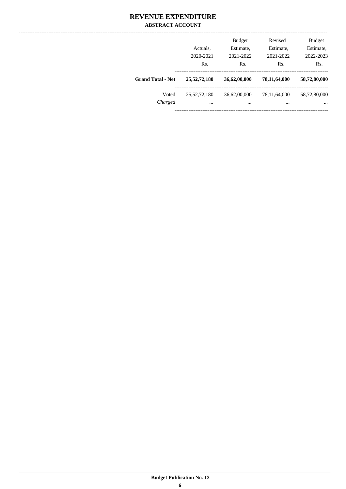#### **REVENUE EXPENDITURE ABSTRACT ACCOUNT**

|                          | Actuals,<br>2020-2021<br>Rs. | <b>Budget</b><br>Estimate,<br>2021-2022<br>Rs. | Revised<br>Estimate,<br>2021-2022<br>Rs. | <b>Budget</b><br>Estimate,<br>2022-2023<br>Rs. |
|--------------------------|------------------------------|------------------------------------------------|------------------------------------------|------------------------------------------------|
| <b>Grand Total - Net</b> | 25,52,72,180                 | 36,62,00,000                                   | 78,11,64,000                             | 58,72,80,000                                   |
| Voted<br>Charged         | 25, 52, 72, 180<br>$\cdots$  | 36,62,00,000<br>                               | 78,11,64,000<br>$\cdots$                 | 58,72,80,000<br>$\cdots$                       |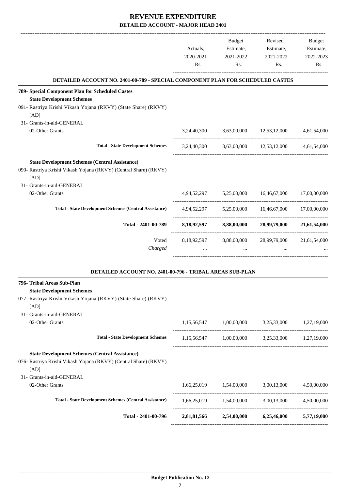|                                                                                       | Actuals,<br>2020-2021<br>Rs. | <b>Budget</b><br>Estimate,<br>2021-2022<br>Rs. | Revised<br>Estimate,<br>2021-2022<br>Rs.                                                 | <b>Budget</b><br>Estimate,<br>2022-2023<br>Rs. |
|---------------------------------------------------------------------------------------|------------------------------|------------------------------------------------|------------------------------------------------------------------------------------------|------------------------------------------------|
| <b>DETAILED ACCOUNT NO. 2401-00-789 - SPECIAL COMPONENT PLAN FOR SCHEDULED CASTES</b> |                              |                                                |                                                                                          |                                                |
| 789- Special Component Plan for Scheduled Castes                                      |                              |                                                |                                                                                          |                                                |
| <b>State Development Schemes</b>                                                      |                              |                                                |                                                                                          |                                                |
| 091- Rastriya Krishi Vikash Yojana (RKVY) (State Share) (RKVY)<br>[AD]                |                              |                                                |                                                                                          |                                                |
| 31- Grants-in-aid-GENERAL                                                             |                              |                                                |                                                                                          |                                                |
| 02-Other Grants                                                                       |                              |                                                | 3,24,40,300 3,63,00,000 12,53,12,000 4,61,54,000                                         |                                                |
| <b>Total - State Development Schemes</b>                                              |                              |                                                | 3,24,40,300 3,63,00,000 12,53,12,000 4,61,54,000                                         |                                                |
| <b>State Development Schemes (Central Assistance)</b>                                 |                              |                                                |                                                                                          |                                                |
| 090- Rastriya Krishi Vikash Yojana (RKVY) (Central Share) (RKVY)<br>[AD]              |                              |                                                |                                                                                          |                                                |
| 31- Grants-in-aid-GENERAL                                                             |                              |                                                |                                                                                          |                                                |
| 02-Other Grants                                                                       |                              | 4,94,52,297 5,25,00,000 16,46,67,000           |                                                                                          | 17,00,00,000                                   |
|                                                                                       |                              |                                                |                                                                                          |                                                |
| <b>Total - State Development Schemes (Central Assistance)</b>                         |                              |                                                | $4,94,52,297$ $5,25,00,000$ $16,46,67,000$ $17,00,00,000$                                |                                                |
| Total - 2401-00-789                                                                   |                              |                                                | 8,18,92,597 8,88,00,000 28,99,79,000 21,61,54,000                                        |                                                |
| Voted                                                                                 | 8,18,92,597                  |                                                | 8,88,00,000 28,99,79,000                                                                 | 21,61,54,000                                   |
| Charged                                                                               | $\cdots$                     | $\cdots$                                       |                                                                                          |                                                |
| DETAILED ACCOUNT NO. 2401-00-796 - TRIBAL AREAS SUB-PLAN                              |                              |                                                |                                                                                          |                                                |
| 796- Tribal Areas Sub-Plan<br><b>State Development Schemes</b>                        |                              |                                                |                                                                                          |                                                |
| 077- Rastriya Krishi Vikash Yojana (RKVY) (State Share) (RKVY)<br>[AD]                |                              |                                                |                                                                                          |                                                |
| 31- Grants-in-aid-GENERAL                                                             |                              |                                                |                                                                                          |                                                |
| 02-Other Grants                                                                       |                              |                                                | $1,15,56,547$ $1,00,00,000$ $3,25,33,000$ $1,27,19,000$                                  |                                                |
| <b>Total - State Development Schemes</b>                                              |                              |                                                | $1,15,56,547 \qquad \quad 1,00,00,000 \qquad \quad 3,25,33,000 \qquad \quad 1,27,19,000$ |                                                |
| <b>State Development Schemes (Central Assistance)</b>                                 |                              |                                                |                                                                                          |                                                |
| 076- Rastriya Krishi Vikash Yojana (RKVY) (Central Share) (RKVY)                      |                              |                                                |                                                                                          |                                                |
| [AD]                                                                                  |                              |                                                |                                                                                          |                                                |
| 31- Grants-in-aid-GENERAL                                                             |                              |                                                |                                                                                          |                                                |
| 02-Other Grants                                                                       |                              | 1,66,25,019 1,54,00,000                        | 3,00,13,000                                                                              | 4,50,00,000                                    |
| <b>Total - State Development Schemes (Central Assistance)</b>                         |                              |                                                | $1,66,25,019$ $1,54,00,000$ $3,00,13,000$ $4,50,00,000$                                  |                                                |
| Total - 2401-00-796                                                                   |                              |                                                | 2,81,81,566 2,54,00,000 6,25,46,000 5,77,19,000                                          |                                                |
|                                                                                       |                              |                                                |                                                                                          |                                                |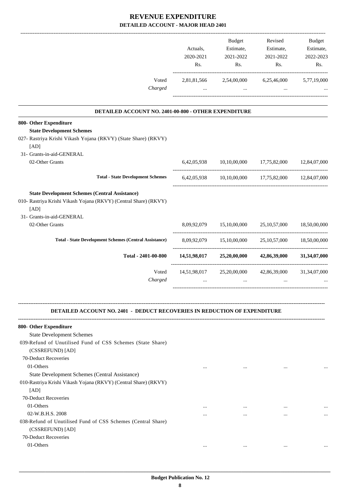|                                                                                                                                                                | Actuals,<br>2020-2021<br>Rs. | Budget<br>Estimate,<br>2021-2022<br>Rs. | Revised<br>Estimate,<br>2021-2022<br>Rs.                    | Budget<br>Estimate,<br>2022-2023<br>Rs. |
|----------------------------------------------------------------------------------------------------------------------------------------------------------------|------------------------------|-----------------------------------------|-------------------------------------------------------------|-----------------------------------------|
| Voted<br>Charged                                                                                                                                               | $\cdots$                     | $\mathbf{1}$ and $\mathbf{1}$           | 2,81,81,566 2,54,00,000 6,25,46,000 5,77,19,000<br>$\cdots$ |                                         |
|                                                                                                                                                                |                              |                                         |                                                             |                                         |
| DETAILED ACCOUNT NO. 2401-00-800 - OTHER EXPENDITURE                                                                                                           |                              |                                         |                                                             |                                         |
| 800- Other Expenditure<br><b>State Development Schemes</b>                                                                                                     |                              |                                         |                                                             |                                         |
| 027- Rastriya Krishi Vikash Yojana (RKVY) (State Share) (RKVY)<br>[AD]                                                                                         |                              |                                         |                                                             |                                         |
| 31- Grants-in-aid-GENERAL                                                                                                                                      |                              |                                         |                                                             |                                         |
| 02-Other Grants                                                                                                                                                |                              |                                         | 6,42,05,938 10,10,00,000 17,75,82,000 12,84,07,000          |                                         |
| <b>Total - State Development Schemes</b>                                                                                                                       |                              |                                         | 6,42,05,938 10,10,00,000 17,75,82,000 12,84,07,000          |                                         |
| <b>State Development Schemes (Central Assistance)</b><br>010- Rastriya Krishi Vikash Yojana (RKVY) (Central Share) (RKVY)<br>[AD]<br>31- Grants-in-aid-GENERAL |                              |                                         |                                                             |                                         |
| 02-Other Grants                                                                                                                                                |                              | 8,09,92,079 15,10,00,000 25,10,57,000   |                                                             | 18,50,00,000                            |
|                                                                                                                                                                |                              |                                         |                                                             |                                         |
| <b>Total - State Development Schemes (Central Assistance)</b>                                                                                                  |                              |                                         | 8,09,92,079 15,10,00,000 25,10,57,000 18,50,00,000          |                                         |
| Total - 2401-00-800                                                                                                                                            |                              | 14,51,98,017 25,20,00,000               | 42,86,39,000                                                | 31,34,07,000                            |
| Voted<br>Charged                                                                                                                                               | $\cdots$                     | 14,51,98,017 25,20,00,000<br>$\cdots$   | 42,86,39,000                                                | 31, 34, 07, 000                         |
| <b>DETAILED ACCOUNT NO. 2401 - DEDUCT RECOVERIES IN REDUCTION OF EXPENDITURE</b>                                                                               |                              |                                         |                                                             |                                         |
| 800- Other Expenditure                                                                                                                                         |                              |                                         |                                                             |                                         |
| <b>State Development Schemes</b>                                                                                                                               |                              |                                         |                                                             |                                         |
| 039-Refund of Unutilised Fund of CSS Schemes (State Share)<br>(CSSREFUND) [AD]                                                                                 |                              |                                         |                                                             |                                         |
| 70-Deduct Recoveries                                                                                                                                           |                              |                                         |                                                             |                                         |
| 01-Others                                                                                                                                                      | $\cdots$                     | $\cdots$                                |                                                             |                                         |
| State Development Schemes (Central Assistance)                                                                                                                 |                              |                                         |                                                             |                                         |
| 010-Rastriya Krishi Vikash Yojana (RKVY) (Central Share) (RKVY)<br>[AD]                                                                                        |                              |                                         |                                                             |                                         |
| 70-Deduct Recoveries                                                                                                                                           |                              |                                         |                                                             |                                         |
| 01-Others                                                                                                                                                      | $\cdots$                     | $\cdots$                                | $\cdots$                                                    |                                         |
| 02-W.B.H.S. 2008                                                                                                                                               | $\cdots$                     | $\cdots$                                | $\cdots$                                                    |                                         |
| 038-Refund of Unutilised Fund of CSS Schemes (Central Share)<br>(CSSREFUND) [AD]                                                                               |                              |                                         |                                                             |                                         |
| 70-Deduct Recoveries                                                                                                                                           |                              |                                         |                                                             |                                         |
| 01-Others                                                                                                                                                      | $\cdots$                     | $\cdots$                                | $\cdots$                                                    |                                         |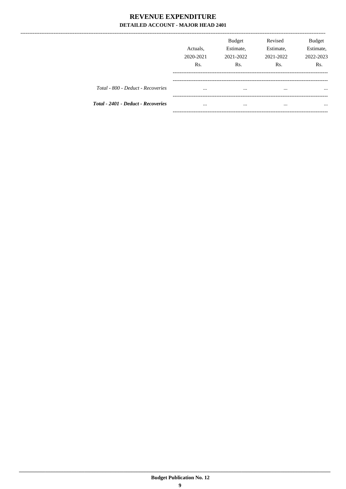|                                           | Actuals.<br>2020-2021<br>Rs. | <b>Budget</b><br>Estimate,<br>2021-2022<br>Rs. | Revised<br>Estimate,<br>2021-2022<br>Rs. | <b>Budget</b><br>Estimate,<br>2022-2023<br>R <sub>s</sub> . |
|-------------------------------------------|------------------------------|------------------------------------------------|------------------------------------------|-------------------------------------------------------------|
| Total - 800 - Deduct - Recoveries         | $\cdots$                     | $\cdots$                                       | $\cdots$                                 | $\cdots$                                                    |
| <b>Total - 2401 - Deduct - Recoveries</b> | $\cdots$                     | $\cdots$                                       | $\cdots$                                 | $\cdots$                                                    |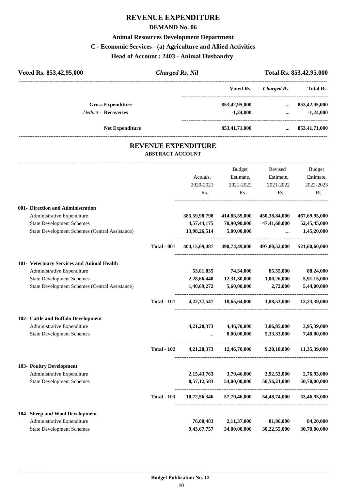# **REVENUE EXPENDITURE**

#### **DEMAND No. 06**

#### **Animal Resources Development Department**

# **C - Economic Services - (a) Agriculture and Allied Activities**

**Head of Account : 2403 - Animal Husbandry** 

| Voted Rs. 853,42,95,000    | Charged Rs. Nil |               |             | Total Rs. 853,42,95,000 |
|----------------------------|-----------------|---------------|-------------|-------------------------|
|                            |                 | Voted Rs.     | Charged Rs. | <b>Total Rs.</b>        |
| <b>Gross Expenditure</b>   |                 | 853,42,95,000 | $\cdots$    | 853,42,95,000           |
| <b>Deduct - Recoveries</b> |                 | $-1.24,000$   | $\cdots$    | $-1,24,000$             |
| <b>Net Expenditure</b>     |                 | 853,41,71,000 | $\cdots$    | 853,41,71,000           |
|                            |                 |               |             |                         |

#### **REVENUE EXPENDITURE ABSTRACT ACCOUNT**

---------------------------------------------------------------------------------------------------------------------------------------------------------------------------------

|                                                |                    |                | <b>Budget</b>           | Revised                                   | <b>Budget</b> |
|------------------------------------------------|--------------------|----------------|-------------------------|-------------------------------------------|---------------|
|                                                |                    | Actuals,       | Estimate,               | Estimate,                                 | Estimate,     |
|                                                |                    | 2020-2021      | 2021-2022               | 2021-2022                                 | 2022-2023     |
|                                                |                    | Rs.            | Rs.                     | Rs.                                       | Rs.           |
| 001- Direction and Administration              |                    |                |                         |                                           |               |
| Administrative Expenditure                     |                    | 385,59,98,798  | 414,83,59,000           | 450,38,84,000                             | 467,69,95,000 |
| <b>State Development Schemes</b>               |                    | 4,57,44,175    | 70,90,90,000            | 47,41,68,000                              | 52,45,45,000  |
| State Development Schemes (Central Assistance) |                    | 13,98,26,514   | 5,00,00,000             | $\ddotsc$                                 | 1,45,20,000   |
|                                                | <b>Total - 001</b> | 404,15,69,487  |                         | 490,74,49,000 497,80,52,000 521,60,60,000 |               |
| 101- Veterinary Services and Animal Health     |                    |                |                         |                                           |               |
| Administrative Expenditure                     |                    | 53,01,835      | 74,34,000               | 85,55,000                                 | 88,24,000     |
| <b>State Development Schemes</b>               |                    | 2,28,66,440    | 12,31,30,000            | 1,00,26,000                               | 5,91,15,000   |
| State Development Schemes (Central Assistance) |                    | 1,40,69,272    | 5,60,00,000             | 2,72,000                                  | 5,44,00,000   |
|                                                | <b>Total - 101</b> | 4,22,37,547    |                         | $18,65,64,000$ $1,88,53,000$              | 12,23,39,000  |
| 102- Cattle and Buffalo Development            |                    |                |                         |                                           |               |
| Administrative Expenditure                     |                    |                | 4,21,28,373 4,46,70,000 | 3,86,85,000                               | 3,95,39,000   |
| <b>State Development Schemes</b>               |                    |                | 8,00,00,000             | 5,33,33,000                               | 7,40,00,000   |
|                                                | <b>Total - 102</b> |                |                         | 4,21,28,373 12,46,70,000 9,20,18,000      | 11,35,39,000  |
| 103- Poultry Development                       |                    |                |                         |                                           |               |
| Administrative Expenditure                     |                    | 2, 15, 43, 763 | 3,79,46,000             | 3,92,53,000                               | 2,76,93,000   |
| <b>State Development Schemes</b>               |                    | 8,57,12,583    | 54,00,00,000            | 50,56,21,000                              | 50,70,00,000  |
|                                                | <b>Total - 103</b> | 10,72,56,346   | 57,79,46,000            | 54,48,74,000                              | 53,46,93,000  |
| 104- Sheep and Wool Development                |                    |                |                         |                                           |               |
| Administrative Expenditure                     |                    | 76,00,483      | 2,11,37,000             | 81,86,000                                 | 84,20,000     |
| <b>State Development Schemes</b>               |                    | 9,43,67,757    | 34,00,00,000            | 30,22,55,000                              | 30,70,00,000  |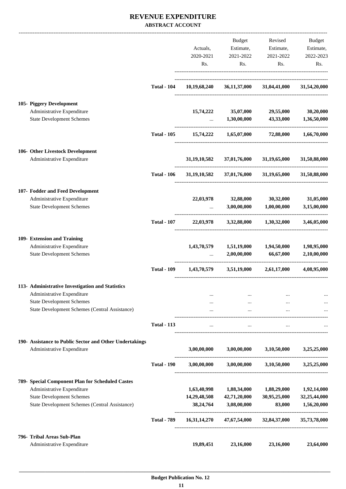#### **REVENUE EXPENDITURE ABSTRACT ACCOUNT**

|                                                                                           |                    |                                              | <b>Budget</b>                       | Revised                                      | Budget                   |
|-------------------------------------------------------------------------------------------|--------------------|----------------------------------------------|-------------------------------------|----------------------------------------------|--------------------------|
|                                                                                           |                    | Actuals,                                     | Estimate,                           | Estimate,                                    | Estimate,                |
|                                                                                           |                    | 2020-2021                                    | 2021-2022                           | 2021-2022                                    | 2022-2023                |
|                                                                                           |                    | Rs.                                          | Rs.                                 | Rs.                                          | Rs.                      |
|                                                                                           | <b>Total - 104</b> | 10,19,68,240                                 |                                     | 36,11,37,000 31,04,41,000                    | 31,54,20,000             |
| 105- Piggery Development                                                                  |                    |                                              |                                     |                                              |                          |
| Administrative Expenditure                                                                |                    | 15,74,222                                    | 35,07,000                           | 29,55,000                                    | 30,20,000                |
| <b>State Development Schemes</b>                                                          |                    | $\cdots$                                     | 1,30,00,000                         | 43,33,000                                    | 1,36,50,000              |
|                                                                                           | <b>Total - 105</b> | 15,74,222                                    | 1,65,07,000                         | 72,88,000                                    | 1,66,70,000              |
| 106- Other Livestock Development                                                          |                    |                                              |                                     |                                              |                          |
| Administrative Expenditure                                                                |                    | 31, 19, 10, 582                              | 37,01,76,000                        | 31,19,65,000                                 | 31,50,88,000             |
|                                                                                           | <b>Total - 106</b> |                                              |                                     | $31,19,10,582$ $37,01,76,000$ $31,19,65,000$ | 31,50,88,000             |
| 107- Fodder and Feed Development                                                          |                    |                                              |                                     |                                              |                          |
| Administrative Expenditure<br><b>State Development Schemes</b>                            |                    | 22,03,978<br>$\mathbf{1}$ , and $\mathbf{1}$ | 32,88,000<br>3,00,00,000            | 30,32,000<br>1,00,00,000                     | 31,05,000<br>3,15,00,000 |
|                                                                                           | <b>Total - 107</b> | 22,03,978                                    | 3,32,88,000                         | 1,30,32,000                                  | 3,46,05,000              |
|                                                                                           |                    |                                              |                                     |                                              |                          |
| 109- Extension and Training                                                               |                    |                                              |                                     |                                              |                          |
| Administrative Expenditure                                                                |                    | 1,43,70,579                                  | 1,51,19,000                         | 1,94,50,000                                  | 1,98,95,000              |
| <b>State Development Schemes</b>                                                          |                    |                                              | 2,00,00,000                         | 66,67,000                                    | 2,10,00,000              |
|                                                                                           | <b>Total - 109</b> | 1,43,70,579                                  | 3,51,19,000 2,61,17,000             |                                              | 4,08,95,000              |
| 113- Administrative Investigation and Statistics                                          |                    |                                              |                                     |                                              |                          |
| Administrative Expenditure                                                                |                    | $\cdots$                                     | $\cdots$                            |                                              |                          |
| <b>State Development Schemes</b><br><b>State Development Schemes (Central Assistance)</b> |                    |                                              | $\cdots$<br>$\cdots$                |                                              |                          |
|                                                                                           | <b>Total - 113</b> |                                              |                                     |                                              |                          |
|                                                                                           |                    |                                              |                                     |                                              |                          |
| 190- Assistance to Public Sector and Other Undertakings<br>Administrative Expenditure     |                    |                                              | 3,00,00,000 3,00,00,000 3,10,50,000 |                                              | 3,25,25,000              |
|                                                                                           | <b>Total - 190</b> | 3,00,00,000                                  |                                     | $3,00,00,000$ $3,10,50,000$                  | 3,25,25,000              |
| 789- Special Component Plan for Scheduled Castes                                          |                    |                                              |                                     |                                              |                          |
| Administrative Expenditure                                                                |                    | 1,63,40,998                                  | 1,88,34,000                         | 1,88,29,000                                  | 1,92,14,000              |
| <b>State Development Schemes</b>                                                          |                    | 14,29,48,508                                 | 42,71,20,000                        | 30,95,25,000                                 | 32,25,44,000             |
| State Development Schemes (Central Assistance)                                            |                    | 38,24,764                                    | 3,08,00,000                         | 83,000                                       | 1,56,20,000              |
|                                                                                           | <b>Total - 789</b> | 16,31,14,270                                 | 47,67,54,000                        | 32,84,37,000                                 | 35,73,78,000             |
| 796- Tribal Areas Sub-Plan                                                                |                    |                                              |                                     |                                              |                          |
| Administrative Expenditure                                                                |                    | 19,89,451                                    | 23,16,000                           | 23,16,000                                    | 23,64,000                |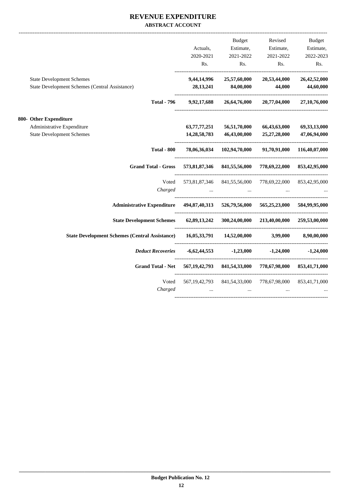### **REVENUE EXPENDITURE ABSTRACT ACCOUNT**

|                                                       |                  | Budget                                   | Revised                     | <b>Budget</b>   |
|-------------------------------------------------------|------------------|------------------------------------------|-----------------------------|-----------------|
|                                                       | Actuals,         | Estimate,                                | Estimate,                   | Estimate,       |
|                                                       | 2020-2021        | 2021-2022                                | 2021-2022                   | 2022-2023       |
|                                                       | Rs.              | Rs.                                      | Rs.                         | Rs.             |
| <b>State Development Schemes</b>                      | 9,44,14,996      | 25,57,60,000                             | 20,53,44,000                | 26,42,52,000    |
| State Development Schemes (Central Assistance)        | 28, 13, 241      | 84,00,000                                | 44,000                      | 44,60,000       |
| <b>Total - 796</b>                                    | 9,92,17,688      | 26,64,76,000                             | 20,77,04,000                | 27,10,76,000    |
| 800- Other Expenditure                                |                  |                                          |                             |                 |
| Administrative Expenditure                            | 63,77,77,251     | 56,51,70,000                             | 66,43,63,000                | 69, 33, 13, 000 |
| <b>State Development Schemes</b>                      | 14, 28, 58, 783  | 46,43,00,000                             | 25,27,28,000                | 47,06,94,000    |
| <b>Total - 800</b>                                    |                  | 78,06,36,034 102,94,70,000               | 91,70,91,000                | 116,40,07,000   |
| <b>Grand Total - Gross</b>                            | 573,81,87,346    | 841,55,56,000                            | 778,69,22,000               | 853,42,95,000   |
| Voted                                                 | 573,81,87,346    | 841,55,56,000                            | 778,69,22,000               | 853,42,95,000   |
| Charged                                               |                  |                                          |                             |                 |
| <b>Administrative Expenditure</b>                     | 494,87,40,313    |                                          | 526,79,56,000 565,25,23,000 | 584,99,95,000   |
| <b>State Development Schemes</b>                      |                  | 62,89,13,242 300,24,00,000 213,40,00,000 |                             | 259,53,00,000   |
| <b>State Development Schemes (Central Assistance)</b> |                  | 16,05,33,791 14,52,00,000                | 3,99,000                    | 8,90,00,000     |
| <b>Deduct Recoveries</b>                              | $-6,62,44,553$   | $-1,23,000$                              | $-1,24,000$                 | $-1,24,000$     |
| <b>Grand Total - Net</b>                              |                  | 567, 19, 42, 793 841, 54, 33, 000        | 778,67,98,000               | 853,41,71,000   |
| Voted                                                 | 567, 19, 42, 793 | 841,54,33,000                            | 778,67,98,000               | 853,41,71,000   |
| Charged                                               |                  |                                          |                             |                 |
|                                                       |                  |                                          |                             |                 |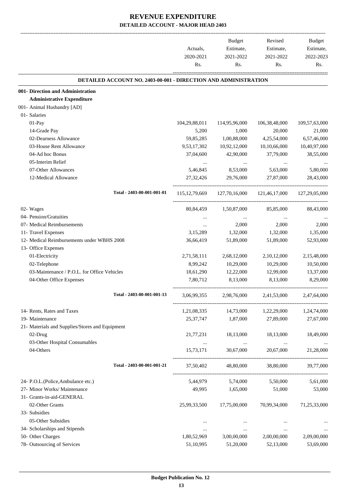|                                                                        | Actuals,<br>2020-2021<br>Rs. | Budget<br>Estimate,<br>2021-2022<br>Rs. | Revised<br>Estimate,<br>2021-2022<br>Rs.                            | Budget<br>Estimate,<br>2022-2023<br>Rs. |
|------------------------------------------------------------------------|------------------------------|-----------------------------------------|---------------------------------------------------------------------|-----------------------------------------|
| <b>DETAILED ACCOUNT NO. 2403-00-001 - DIRECTION AND ADMINISTRATION</b> |                              |                                         |                                                                     |                                         |
| 001- Direction and Administration                                      |                              |                                         |                                                                     |                                         |
| <b>Administrative Expenditure</b>                                      |                              |                                         |                                                                     |                                         |
| 001- Animal Husbandry [AD]                                             |                              |                                         |                                                                     |                                         |
| 01- Salaries                                                           |                              |                                         |                                                                     |                                         |
| 01-Pay                                                                 | 104,29,88,011                | 114,95,96,000                           | 106,38,48,000                                                       | 109,57,63,000                           |
| 14-Grade Pay                                                           | 5,200                        | 1,000                                   | 20,000                                                              | 21,000                                  |
| 02-Dearness Allowance                                                  | 59,85,285                    | 1,00,88,000                             | 4,25,54,000                                                         | 6,57,46,000                             |
| 03-House Rent Allowance                                                | 9,53,17,302                  | 10,92,12,000                            | 10,10,66,000                                                        | 10,40,97,000                            |
| 04-Ad hoc Bonus                                                        | 37,04,600                    | 42,90,000                               | 37,79,000                                                           | 38,55,000                               |
| 05-Interim Relief                                                      | $\cdots$                     | $\cdots$                                | $\cdots$                                                            |                                         |
| 07-Other Allowances                                                    | 5,46,845                     | 8,53,000                                | 5,63,000                                                            | 5,80,000                                |
| 12-Medical Allowance                                                   | 27, 32, 426                  | 29,76,000                               | 27,87,000                                                           | 28,43,000                               |
| Total - 2403-00-001-001-01                                             |                              |                                         | 115, 12, 79, 669 127, 70, 16, 000 121, 46, 17, 000 127, 29, 05, 000 |                                         |
| 02- Wages                                                              | 80, 84, 459                  | 1,50,87,000                             | 85,85,000                                                           | 88,43,000                               |
| 04- Pension/Gratuities                                                 |                              |                                         |                                                                     |                                         |
| 07- Medical Reimbursements                                             | $\cdots$                     | 2,000                                   | 2,000                                                               | 2,000                                   |
| 11- Travel Expenses                                                    | 3,15,289                     | 1,32,000                                | 1,32,000                                                            | 1,35,000                                |
| 12- Medical Reimbursements under WBHS 2008                             | 36,66,419                    | 51,89,000                               | 51,89,000                                                           | 52,93,000                               |
| 13- Office Expenses                                                    |                              |                                         |                                                                     |                                         |
| 01-Electricity                                                         | 2,71,58,111                  | 2,68,12,000                             | 2, 10, 12, 000                                                      | 2,15,48,000                             |
| 02-Telephone                                                           | 8,99,242                     | 10,29,000                               | 10,29,000                                                           | 10,50,000                               |
| 03-Maintenance / P.O.L. for Office Vehicles                            | 18,61,290                    | 12,22,000                               | 12,99,000                                                           | 13,37,000                               |
| 04-Other Office Expenses                                               | 7,80,712                     | 8,13,000                                | 8,13,000                                                            | 8,29,000                                |
| Total - 2403-00-001-001-13                                             | 3,06,99,355                  | 2,98,76,000                             | 2,41,53,000                                                         | 2,47,64,000                             |
| 14- Rents, Rates and Taxes                                             | 1,21,08,335                  | 14,73,000                               | 1,22,29,000                                                         | 1,24,74,000                             |
| 19- Maintenance                                                        | 25, 37, 747                  | 1,87,000                                | 27,89,000                                                           | 27,67,000                               |
| 21- Materials and Supplies/Stores and Equipment                        |                              |                                         |                                                                     |                                         |
| 02-Drug                                                                | 21,77,231                    | 18,13,000                               | 18,13,000                                                           | 18,49,000                               |
| 03-Other Hospital Consumables                                          |                              |                                         |                                                                     |                                         |
| 04-Others                                                              | 15,73,171                    | 30,67,000                               | 20,67,000                                                           | 21,28,000                               |
| Total - 2403-00-001-001-21                                             | 37,50,402                    | 48,80,000                               | 38,80,000                                                           | 39,77,000                               |
| 24- P.O.L.(Police, Ambulance etc.)                                     | 5,44,979                     | 5,74,000                                | 5,50,000                                                            | 5,61,000                                |
| 27- Minor Works/ Maintenance                                           | 49,995                       | 1,65,000                                | 51,000                                                              | 53,000                                  |
| 31- Grants-in-aid-GENERAL                                              |                              |                                         |                                                                     |                                         |
| 02-Other Grants                                                        | 25,99,33,500                 | 17,75,00,000                            | 70,99,34,000                                                        | 71,25,33,000                            |
| 33- Subsidies                                                          |                              |                                         |                                                                     |                                         |
| 05-Other Subsidies                                                     | $\cdots$                     | $\cdots$                                |                                                                     |                                         |
| 34- Scholarships and Stipends                                          | $\cdots$                     | $\cdots$                                | $\cdots$                                                            |                                         |
| 50- Other Charges                                                      | 1,80,52,969                  | 3,00,00,000                             | 2,00,00,000                                                         | 2,09,00,000                             |
| 78- Outsourcing of Services                                            | 51,10,995                    | 51,20,000                               | 52,13,000                                                           | 53,69,000                               |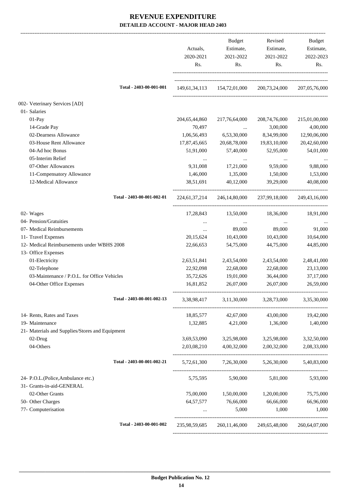|                                                 | Actuals,<br>2020-2021<br>Rs. | Budget<br>Estimate,<br>2021-2022<br>Rs. | Revised<br>Estimate,<br>2021-2022<br>Rs.  | Budget<br>Estimate,<br>2022-2023<br>Rs. |
|-------------------------------------------------|------------------------------|-----------------------------------------|-------------------------------------------|-----------------------------------------|
| Total - 2403-00-001-001                         |                              |                                         | 149,61,34,113 154,72,01,000 200,73,24,000 | 207,05,76,000                           |
| 002- Veterinary Services [AD]                   |                              |                                         |                                           |                                         |
| 01- Salaries                                    |                              |                                         |                                           |                                         |
| $01-Pay$                                        | 204, 65, 44, 860             | 217,76,64,000                           | 208,74,76,000                             | 215,01,00,000                           |
| 14-Grade Pay                                    | 70,497                       | $\cdots$                                | 3,00,000                                  | 4,00,000                                |
| 02-Dearness Allowance                           | 1,06,56,493                  | 6,53,30,000                             | 8,34,99,000                               | 12,90,06,000                            |
| 03-House Rent Allowance                         | 17,87,45,665                 | 20,68,78,000                            | 19,83,10,000                              | 20,42,60,000                            |
| 04-Ad hoc Bonus                                 | 51,91,000                    | 57,40,000                               | 52,95,000                                 | 54,01,000                               |
| 05-Interim Relief                               |                              | $\cdots$                                | $\cdots$                                  |                                         |
| 07-Other Allowances                             | 9,31,008                     | 17,21,000                               | 9,59,000                                  | 9,88,000                                |
| 11-Compensatory Allowance                       | 1,46,000                     | 1,35,000                                | 1,50,000                                  | 1,53,000                                |
| 12-Medical Allowance                            | 38,51,691                    | 40,12,000                               | 39,29,000                                 | 40,08,000                               |
| Total - 2403-00-001-002-01                      |                              |                                         | 224,61,37,214 246,14,80,000 237,99,18,000 | 249, 43, 16, 000                        |
| 02- Wages                                       |                              | 17,28,843 13,50,000                     | 18,36,000                                 | 18,91,000                               |
| 04- Pension/Gratuities                          | $\cdots$                     | $\sim 100$ and                          | $\ldots$                                  |                                         |
| 07- Medical Reimbursements                      | $\cdots$                     | 89,000                                  | 89,000                                    | 91,000                                  |
| 11- Travel Expenses                             | 20,15,624                    | 10,43,000                               | 10,43,000                                 | 10,64,000                               |
| 12- Medical Reimbursements under WBHS 2008      | 22,66,653                    | 54,75,000                               | 44,75,000                                 | 44,85,000                               |
| 13- Office Expenses                             |                              |                                         |                                           |                                         |
| 01-Electricity                                  | 2,63,51,841                  | 2,43,54,000                             | 2,43,54,000                               | 2,48,41,000                             |
| 02-Telephone                                    | 22,92,098                    | 22,68,000                               | 22,68,000                                 | 23,13,000                               |
| 03-Maintenance / P.O.L. for Office Vehicles     | 35,72,626                    | 19,01,000                               | 36,44,000                                 | 37,17,000                               |
| 04-Other Office Expenses                        | 16,81,852                    | 26,07,000                               | 26,07,000                                 | 26,59,000                               |
| Total - 2403-00-001-002-13                      | 3,38,98,417                  | 3,11,30,000                             | 3,28,73,000                               | 3,35,30,000                             |
| 14- Rents, Rates and Taxes                      | 18,85,577                    | 42,67,000                               | 43,00,000                                 | 19,42,000                               |
| 19- Maintenance                                 | 1,32,885                     | 4,21,000                                | 1,36,000                                  | 1,40,000                                |
| 21- Materials and Supplies/Stores and Equipment |                              |                                         |                                           |                                         |
| 02-Drug                                         | 3,69,53,090                  | 3,25,98,000                             | 3,25,98,000                               | 3,32,50,000                             |
| 04-Others                                       | 2,03,08,210                  | 4,00,32,000                             | 2,00,32,000                               | 2,08,33,000                             |
| Total - 2403-00-001-002-21                      | 5,72,61,300                  |                                         | 7,26,30,000 5,26,30,000                   | 5,40,83,000                             |
| 24- P.O.L.(Police, Ambulance etc.)              | 5,75,595                     | 5,90,000                                | 5,81,000                                  | 5,93,000                                |
| 31- Grants-in-aid-GENERAL                       |                              |                                         |                                           |                                         |
| 02-Other Grants                                 | 75,00,000                    | 1,50,00,000                             | 1,20,00,000                               | 75,75,000                               |
| 50- Other Charges                               | 64, 57, 577                  | 76,66,000                               | 66,66,000                                 | 66,96,000                               |
| 77- Computerisation                             | $\cdots$                     | 5,000                                   | 1,000                                     | 1,000                                   |
| Total - 2403-00-001-002                         | 235,98,59,685                | 260, 11, 46, 000                        | 249,65,48,000                             | 260,64,07,000                           |
|                                                 |                              |                                         |                                           |                                         |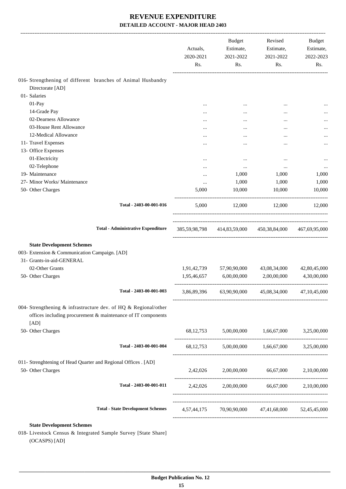|                                                                                                                                         | Actuals,<br>2020-2021<br>Rs. | Budget<br>Estimate,<br>2021-2022<br>Rs. | Revised<br>Estimate,<br>2021-2022<br>Rs.                | Budget<br>Estimate,<br>2022-2023<br>Rs. |
|-----------------------------------------------------------------------------------------------------------------------------------------|------------------------------|-----------------------------------------|---------------------------------------------------------|-----------------------------------------|
| 016- Strengthening of different branches of Animal Husbandry                                                                            |                              |                                         |                                                         |                                         |
| Directorate [AD]                                                                                                                        |                              |                                         |                                                         |                                         |
| 01- Salaries                                                                                                                            |                              |                                         |                                                         |                                         |
| 01-Pay                                                                                                                                  |                              | $\cdots$                                |                                                         |                                         |
| 14-Grade Pay                                                                                                                            |                              |                                         |                                                         |                                         |
| 02-Dearness Allowance                                                                                                                   |                              |                                         |                                                         |                                         |
| 03-House Rent Allowance                                                                                                                 |                              | $\cdots$                                |                                                         |                                         |
| 12-Medical Allowance                                                                                                                    |                              |                                         |                                                         |                                         |
| 11- Travel Expenses                                                                                                                     |                              |                                         |                                                         | $\cdots$                                |
| 13- Office Expenses                                                                                                                     |                              |                                         |                                                         |                                         |
| 01-Electricity                                                                                                                          | $\cdots$                     | $\cdots$                                |                                                         | $\cdots$                                |
| 02-Telephone                                                                                                                            |                              | $\cdots$                                | $\cdots$                                                |                                         |
| 19- Maintenance                                                                                                                         |                              | 1,000                                   | 1,000                                                   | 1,000                                   |
| 27- Minor Works/ Maintenance                                                                                                            | $\cdots$                     | 1,000                                   | 1,000                                                   | 1,000                                   |
| 50- Other Charges                                                                                                                       | 5,000                        | 10,000                                  | 10,000                                                  | 10,000                                  |
| Total - 2403-00-001-016                                                                                                                 | 5,000                        | 12,000                                  | 12,000                                                  | 12,000                                  |
| <b>Total - Administrative Expenditure</b>                                                                                               |                              |                                         | 385,59,98,798 414,83,59,000 450,38,84,000 467,69,95,000 |                                         |
| <b>State Development Schemes</b><br>003- Extension & Communication Campaign. [AD]<br>31- Grants-in-aid-GENERAL<br>02-Other Grants       |                              | 1,91,42,739 57,90,90,000                | 43,08,34,000                                            | 42,80,45,000                            |
| 50- Other Charges                                                                                                                       |                              | 1,95,46,657 6,00,00,000                 | 2,00,00,000                                             | 4,30,00,000                             |
| Total - 2403-00-001-003                                                                                                                 |                              |                                         | 3,86,89,396 63,90,90,000 45,08,34,000 47,10,45,000      |                                         |
| 004- Strengthening & infrastructure dev. of HQ & Regional/other<br>offices including procurement & maintenance of IT components<br>[AD] |                              |                                         |                                                         |                                         |
| 50- Other Charges                                                                                                                       |                              |                                         | 68,12,753 5,00,00,000 1,66,67,000                       | 3,25,00,000                             |
| Total - 2403-00-001-004                                                                                                                 |                              |                                         | 68,12,753 5,00,00,000 1,66,67,000 3,25,00,000           |                                         |
| 011- Strenghtening of Head Quarter and Regional Offices . [AD]                                                                          |                              |                                         |                                                         |                                         |
| 50- Other Charges                                                                                                                       |                              |                                         | 2,42,026 2,00,00,000 66,67,000 2,10,00,000              |                                         |
| Total - 2403-00-001-011                                                                                                                 |                              |                                         | 2,42,026 2,00,00,000 66,67,000 2,10,00,000              |                                         |
| <b>Total - State Development Schemes</b>                                                                                                |                              |                                         | 4,57,44,175 70,90,90,000 47,41,68,000 52,45,45,000      |                                         |
| <b>State Development Schemes</b>                                                                                                        |                              |                                         |                                                         |                                         |
| 018- Livestock Census & Integrated Sample Survey [State Share]<br>(OCASPS) [AD]                                                         |                              |                                         |                                                         |                                         |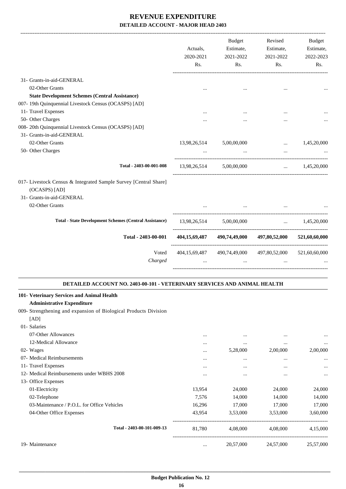|                                                                                 | Actuals,<br>2020-2021<br>Rs. | <b>Budget</b><br>Estimate,<br>2021-2022<br>Rs. | Revised<br>Estimate,<br>2021-2022<br>Rs. | <b>Budget</b><br>Estimate,<br>2022-2023<br>Rs. |
|---------------------------------------------------------------------------------|------------------------------|------------------------------------------------|------------------------------------------|------------------------------------------------|
| 31- Grants-in-aid-GENERAL                                                       |                              |                                                |                                          |                                                |
| 02-Other Grants                                                                 | $\cdots$                     |                                                |                                          |                                                |
| <b>State Development Schemes (Central Assistance)</b>                           |                              |                                                |                                          |                                                |
| 007- 19th Quinquennial Livestock Census (OCASPS) [AD]                           |                              |                                                |                                          |                                                |
| 11- Travel Expenses                                                             |                              |                                                |                                          |                                                |
| 50- Other Charges                                                               |                              |                                                |                                          |                                                |
| 008-20th Quinquennial Livestock Census (OCASPS) [AD]                            |                              |                                                |                                          |                                                |
| 31- Grants-in-aid-GENERAL                                                       |                              |                                                |                                          |                                                |
| 02-Other Grants                                                                 | 13,98,26,514                 | 5,00,00,000                                    | $\cdots$                                 | 1,45,20,000                                    |
| 50- Other Charges                                                               |                              |                                                |                                          |                                                |
|                                                                                 |                              |                                                |                                          |                                                |
| Total - 2403-00-001-008                                                         |                              | 13.98.26.514 5.00.00.000                       | $\cdots$                                 | 1,45,20,000                                    |
| 017- Livestock Census & Integrated Sample Survey [Central Share]                |                              |                                                |                                          |                                                |
| (OCASPS) [AD]                                                                   |                              |                                                |                                          |                                                |
| 31- Grants-in-aid-GENERAL                                                       |                              |                                                |                                          |                                                |
| 02-Other Grants                                                                 |                              |                                                |                                          |                                                |
| <b>Total - State Development Schemes (Central Assistance)</b>                   | 13,98,26,514                 | 5,00,00,000                                    | $\mathbf{r}$                             | 1,45,20,000                                    |
|                                                                                 |                              |                                                |                                          |                                                |
| Total - 2403-00-001                                                             | 404,15,69,487                | 490,74,49,000                                  | 497,80,52,000                            | 521,60,60,000                                  |
| Voted<br>Charged                                                                | 404,15,69,487                | 490,74,49,000                                  | 497,80,52,000                            | 521,60,60,000                                  |
| DETAILED ACCOUNT NO. 2403-00-101 - VETERINARY SERVICES AND ANIMAL HEALTH        |                              |                                                |                                          |                                                |
| 101- Veterinary Services and Animal Health<br><b>Administrative Expenditure</b> |                              |                                                |                                          |                                                |
| 009- Strengthening and expansion of Biological Products Division<br>[AD]        |                              |                                                |                                          |                                                |
| 01- Salaries                                                                    |                              |                                                |                                          |                                                |
| 07-Other Allowances                                                             | $\cdots$                     | $\cdots$                                       | $\cdots$                                 |                                                |
| 12-Medical Allowance                                                            | $\cdots$                     | $\cdots$                                       | $\cdots$                                 | $\cdots$                                       |
| 02- Wages                                                                       |                              | 5,28,000                                       | 2,00,000                                 | 2,00,000                                       |
| 07- Medical Reimbursements                                                      | $\cdots$                     |                                                | $\ddotsc$                                |                                                |
| 11- Travel Expenses                                                             | $\cdots$                     |                                                |                                          |                                                |
| 12- Medical Reimbursements under WBHS 2008                                      |                              |                                                | $\ddotsc$                                |                                                |
| 13- Office Expenses                                                             |                              |                                                |                                          |                                                |
|                                                                                 |                              |                                                |                                          | 24,000                                         |
| 01-Electricity                                                                  | 13,954                       | 24,000                                         | 24,000                                   |                                                |
| 02-Telephone                                                                    | 7,576                        | 14,000                                         | 14,000                                   | 14,000                                         |
| 03-Maintenance / P.O.L. for Office Vehicles                                     | 16,296                       | 17,000                                         | 17,000                                   | 17,000                                         |
| 04-Other Office Expenses                                                        | 43,954                       | 3,53,000                                       | 3,53,000                                 | 3,60,000                                       |

19- Maintenance ... 20,57,000 24,57,000 25,57,000 25,57,000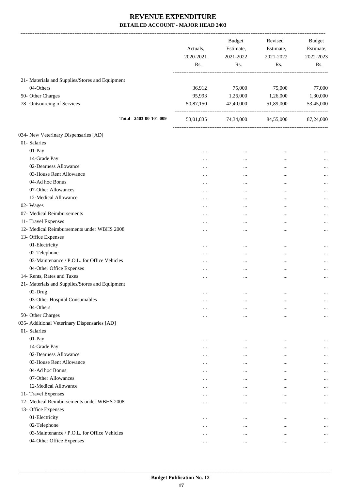|                                                 | Actuals,<br>2020-2021<br>Rs. | <b>Budget</b><br>Estimate,<br>2021-2022<br>Rs. | Revised<br>Estimate,<br>2021-2022<br>Rs. | Budget<br>Estimate,<br>2022-2023<br>Rs. |
|-------------------------------------------------|------------------------------|------------------------------------------------|------------------------------------------|-----------------------------------------|
| 21- Materials and Supplies/Stores and Equipment |                              |                                                |                                          |                                         |
| 04-Others                                       | 36,912                       | 75,000                                         | 75,000                                   | 77,000                                  |
| 50- Other Charges                               | 95,993                       | 1,26,000                                       | 1,26,000                                 | 1,30,000                                |
| 78- Outsourcing of Services                     | 50,87,150                    | 42,40,000                                      | 51,89,000                                | 53,45,000                               |
| Total - 2403-00-101-009                         | 53,01,835                    | 74,34,000 84,55,000                            |                                          | 87,24,000                               |
| 034- New Veterinary Dispensaries [AD]           |                              |                                                |                                          |                                         |
| 01- Salaries                                    |                              |                                                |                                          |                                         |
| 01-Pay                                          | $\cdots$                     | $\cdots$                                       | $\ddotsc$                                |                                         |
| 14-Grade Pay                                    |                              | $\cdots$                                       |                                          |                                         |
| 02-Dearness Allowance                           |                              | $\ddotsc$                                      |                                          |                                         |
| 03-House Rent Allowance                         | $\cdots$                     |                                                |                                          |                                         |
| 04-Ad hoc Bonus                                 | $\cdots$                     |                                                |                                          | $\cdots$                                |
| 07-Other Allowances                             |                              | $\ddotsc$                                      | $\ddotsc$                                | $\cdots$                                |
| 12-Medical Allowance                            |                              | $\ddotsc$                                      | $\ddotsc$                                | $\cdots$                                |
| 02- Wages                                       |                              | $\ddotsc$                                      | $\ddotsc$                                | $\cdots$                                |
| 07- Medical Reimbursements                      |                              | $\ddotsc$                                      | $\cdots$                                 | $\cdots$                                |
| 11- Travel Expenses                             | $\cdots$                     |                                                |                                          | $\cdots$                                |
| 12- Medical Reimbursements under WBHS 2008      |                              |                                                |                                          |                                         |
| 13- Office Expenses                             | $\cdots$                     |                                                |                                          | $\cdots$                                |
| 01-Electricity                                  |                              |                                                |                                          |                                         |
| 02-Telephone                                    |                              |                                                | $\ddotsc$                                |                                         |
| 03-Maintenance / P.O.L. for Office Vehicles     |                              | $\cdots$                                       | $\cdots$                                 | $\cdots$                                |
| 04-Other Office Expenses                        |                              | $\ddotsc$                                      | $\ddotsc$                                | $\cdots$                                |
|                                                 | $\cdots$                     | $\ddotsc$                                      | $\ddotsc$                                | $\cdots$                                |
| 14- Rents, Rates and Taxes                      | $\cdots$                     | $\ddotsc$                                      | $\ddotsc$                                | $\cdots$                                |
| 21- Materials and Supplies/Stores and Equipment |                              |                                                |                                          |                                         |
| 02-Drug                                         | $\ddotsc$                    | $\ddotsc$                                      | $\cdots$                                 | $\cdots$                                |
| 03-Other Hospital Consumables                   | $\cdots$                     | $\cdots$                                       |                                          | $\cdots$                                |
| 04-Others                                       | $\cdots$                     | $\cdots$                                       |                                          | $\cdots$                                |
| 50- Other Charges                               |                              | $\cdots$                                       | $\ddotsc$                                | $\cdots$                                |
| 035- Additional Veterinary Dispensaries [AD]    |                              |                                                |                                          |                                         |
| 01- Salaries                                    |                              |                                                |                                          |                                         |
| $01-Pay$                                        | $\cdots$                     | $\ddotsc$                                      |                                          |                                         |
| 14-Grade Pay                                    |                              | $\ddotsc$                                      |                                          | $\cdots$                                |
| 02-Dearness Allowance                           |                              |                                                |                                          | $\cdots$                                |
| 03-House Rent Allowance                         | $\cdots$                     | $\cdots$                                       | $\cdots$                                 | $\cdots$                                |
| 04-Ad hoc Bonus                                 | $\ddotsc$                    | $\ddotsc$                                      | $\cdots$                                 | $\ddotsc$                               |
| 07-Other Allowances                             | $\cdots$                     | $\ddotsc$                                      | $\cdots$                                 | $\cdots$                                |
| 12-Medical Allowance                            |                              | $\ddotsc$                                      | $\cdots$                                 | $\cdots$                                |
| 11- Travel Expenses                             | $\cdots$                     | $\ddotsc$                                      | $\cdots$                                 | $\cdots$                                |
| 12- Medical Reimbursements under WBHS 2008      | $\cdots$                     |                                                | $\ddotsc$                                | $\cdots$                                |
| 13- Office Expenses                             |                              |                                                |                                          |                                         |
| 01-Electricity                                  | $\cdots$                     | $\cdots$                                       |                                          | $\cdots$                                |
| 02-Telephone                                    | $\cdots$                     | $\ddotsc$                                      | $\cdots$                                 | $\cdots$                                |
| 03-Maintenance / P.O.L. for Office Vehicles     |                              | $\cdots$                                       | $\cdots$                                 | $\cdots$                                |
| 04-Other Office Expenses                        | $\cdots$                     | $\cdots$                                       | $\cdots$                                 | $\cdots$                                |
|                                                 |                              |                                                |                                          |                                         |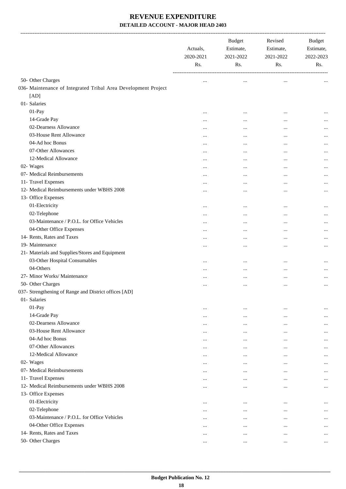|                                                                | Actuals,<br>2020-2021<br>Rs. | <b>Budget</b><br>Estimate,<br>2021-2022<br>Rs. | Revised<br>Estimate,<br>2021-2022<br>Rs. | Budget<br>Estimate,<br>2022-2023<br>Rs. |
|----------------------------------------------------------------|------------------------------|------------------------------------------------|------------------------------------------|-----------------------------------------|
| 50- Other Charges                                              |                              | $\cdots$                                       | $\cdots$                                 |                                         |
| 036- Maintenance of Integrated Tribal Area Development Project |                              |                                                |                                          |                                         |
| [AD]                                                           |                              |                                                |                                          |                                         |
| 01- Salaries                                                   |                              |                                                |                                          |                                         |
| 01-Pay                                                         |                              |                                                |                                          | $\cdots$                                |
| 14-Grade Pay                                                   | $\cdots$                     | $\cdots$                                       | $\cdots$                                 |                                         |
| 02-Dearness Allowance                                          |                              |                                                |                                          | $\cdots$                                |
| 03-House Rent Allowance                                        |                              |                                                |                                          | $\cdots$                                |
| 04-Ad hoc Bonus                                                |                              |                                                |                                          | $\cdots$                                |
| 07-Other Allowances                                            |                              |                                                |                                          |                                         |
| 12-Medical Allowance                                           | $\cdots$                     |                                                |                                          | $\cdots$                                |
| 02- Wages                                                      |                              |                                                | <br>                                     | $\cdots$<br>                            |
| 07- Medical Reimbursements                                     | $\cdots$                     | $\cdots$                                       |                                          |                                         |
| 11- Travel Expenses                                            |                              |                                                |                                          | $\cdots$                                |
| 12- Medical Reimbursements under WBHS 2008                     | $\cdots$<br>                 | <br>                                           |                                          | $\cdots$                                |
| 13- Office Expenses                                            |                              |                                                |                                          | $\cdots$                                |
| 01-Electricity                                                 |                              |                                                |                                          |                                         |
| 02-Telephone                                                   | $\cdots$                     | $\cdots$                                       |                                          | $\cdots$                                |
| 03-Maintenance / P.O.L. for Office Vehicles                    |                              | $\cdots$                                       | $\cdots$                                 | $\cdots$                                |
| 04-Other Office Expenses                                       |                              | $\cdots$                                       |                                          | $\cdots$                                |
| 14- Rents, Rates and Taxes                                     |                              |                                                |                                          |                                         |
| 19- Maintenance                                                |                              |                                                |                                          | $\cdots$                                |
| 21- Materials and Supplies/Stores and Equipment                | $\cdots$                     | $\cdots$                                       |                                          | $\cdots$                                |
| 03-Other Hospital Consumables                                  |                              |                                                |                                          |                                         |
| 04-Others                                                      |                              | $\cdots$                                       |                                          | $\ddotsc$                               |
| 27- Minor Works/ Maintenance                                   |                              | $\cdots$                                       |                                          | $\cdots$                                |
| 50- Other Charges                                              | $\cdots$                     |                                                | $\cdots$                                 | $\cdots$                                |
| 037- Strengthening of Range and District offices [AD]          | $\cdots$                     |                                                |                                          | $\cdots$                                |
| 01- Salaries                                                   |                              |                                                |                                          |                                         |
| 01-Pay                                                         |                              |                                                |                                          |                                         |
| 14-Grade Pay                                                   | $\cdots$                     | $\cdots$                                       | $\cdots$                                 | $\ddotsc$                               |
| 02-Dearness Allowance                                          | $\cdots$                     | $\cdots$                                       | $\cdots$                                 | $\cdots$                                |
| 03-House Rent Allowance                                        |                              |                                                |                                          |                                         |
| 04-Ad hoc Bonus                                                | $\cdots$                     |                                                |                                          | $\cdots$                                |
| 07-Other Allowances                                            | $\cdots$                     |                                                |                                          |                                         |
| 12-Medical Allowance                                           |                              |                                                |                                          | $\cdots$                                |
| 02- Wages                                                      |                              |                                                |                                          |                                         |
| 07- Medical Reimbursements                                     | $\cdots$                     | $\cdots$                                       | $\cdots$                                 | $\cdots$                                |
| 11- Travel Expenses                                            |                              | $\cdots$                                       | $\cdots$                                 |                                         |
| 12- Medical Reimbursements under WBHS 2008                     | $\cdots$                     | $\cdots$                                       | $\cdots$                                 | $\cdots$                                |
| 13- Office Expenses                                            | $\cdots$                     | $\cdots$                                       | $\cdots$                                 |                                         |
|                                                                |                              |                                                |                                          |                                         |
| 01-Electricity                                                 | $\cdots$                     | $\cdots$                                       | $\cdots$                                 |                                         |
| 02-Telephone                                                   | $\cdots$                     | $\cdots$                                       |                                          | $\cdots$                                |
| 03-Maintenance / P.O.L. for Office Vehicles                    | $\cdots$                     | $\cdots$                                       |                                          |                                         |
| 04-Other Office Expenses                                       | $\cdots$                     | $\cdots$                                       |                                          | $\cdots$                                |
| 14- Rents, Rates and Taxes                                     | $\cdots$                     | $\cdots$                                       | $\cdots$                                 |                                         |
| 50- Other Charges                                              | $\cdots$                     | $\cdots$                                       | $\cdots$                                 | $\cdots$                                |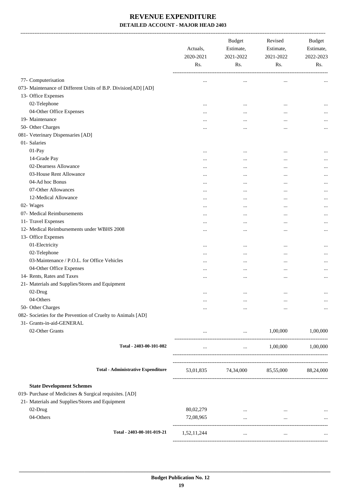|                                                               | Actuals,<br>2020-2021<br>Rs. | <b>Budget</b><br>Estimate,<br>2021-2022<br>Rs. | Revised<br>Estimate,<br>2021-2022<br>Rs. | <b>Budget</b><br>Estimate,<br>2022-2023<br>Rs. |
|---------------------------------------------------------------|------------------------------|------------------------------------------------|------------------------------------------|------------------------------------------------|
| 77- Computerisation                                           | $\cdots$                     | $\cdots$                                       | $\cdots$                                 |                                                |
| 073- Maintenance of Different Units of B.P. Division[AD] [AD] |                              |                                                |                                          |                                                |
| 13- Office Expenses                                           |                              |                                                |                                          |                                                |
| 02-Telephone                                                  |                              | $\cdots$                                       | $\ddotsc$                                |                                                |
| 04-Other Office Expenses                                      |                              | $\ddotsc$                                      | $\ddotsc$                                |                                                |
| 19- Maintenance                                               | $\cdots$                     |                                                | $\ddotsc$                                |                                                |
| 50- Other Charges                                             |                              |                                                | $\ddotsc$                                |                                                |
| 081- Veterinary Dispensaries [AD]                             |                              |                                                |                                          |                                                |
| 01- Salaries                                                  |                              |                                                |                                          |                                                |
| 01-Pay                                                        |                              | $\cdots$                                       | $\cdots$                                 |                                                |
| 14-Grade Pay                                                  |                              | $\cdots$                                       | $\ddotsc$                                |                                                |
| 02-Dearness Allowance                                         |                              |                                                |                                          |                                                |
| 03-House Rent Allowance                                       |                              |                                                |                                          |                                                |
| 04-Ad hoc Bonus                                               | $\cdots$                     |                                                |                                          |                                                |
| 07-Other Allowances                                           |                              | $\cdots$                                       | $\ddotsc$                                | $\cdots$                                       |
| 12-Medical Allowance                                          |                              | $\ddotsc$                                      | $\ddotsc$                                |                                                |
| 02- Wages                                                     |                              | $\ddotsc$                                      | $\ddotsc$                                |                                                |
| 07- Medical Reimbursements                                    |                              |                                                |                                          |                                                |
| 11- Travel Expenses                                           |                              | $\cdots$                                       | $\ddotsc$                                |                                                |
| 12- Medical Reimbursements under WBHS 2008                    |                              | $\ddotsc$                                      | $\ddotsc$                                |                                                |
| 13- Office Expenses                                           |                              |                                                |                                          |                                                |
| 01-Electricity                                                |                              | $\ddotsc$                                      | $\ddotsc$                                |                                                |
| 02-Telephone                                                  |                              | $\cdots$                                       | $\cdots$                                 | $\cdots$                                       |
| 03-Maintenance / P.O.L. for Office Vehicles                   |                              | $\ddotsc$                                      | $\ddotsc$                                |                                                |
| 04-Other Office Expenses                                      | $\cdots$                     | $\cdots$                                       | $\cdots$                                 |                                                |
| 14- Rents, Rates and Taxes                                    |                              | $\cdots$                                       | $\ddotsc$                                | $\cdots$                                       |
| 21- Materials and Supplies/Stores and Equipment               |                              |                                                |                                          |                                                |
| 02-Drug                                                       | $\cdots$                     | $\ldots$                                       | $\cdots$                                 |                                                |
| 04-Others                                                     |                              | $\cdots$                                       |                                          |                                                |
| 50- Other Charges                                             |                              | $\cdots$                                       |                                          | $\cdots$                                       |
| 082- Societies for the Prevention of Cruelty to Animals [AD]  |                              |                                                |                                          |                                                |
| 31- Grants-in-aid-GENERAL                                     |                              |                                                |                                          |                                                |
| 02-Other Grants                                               | $\cdots$                     | $\cdots$                                       | 1,00,000                                 | 1,00,000                                       |
| Total - 2403-00-101-082                                       | $\cdots$                     | and the state of                               | 1,00,000                                 | 1,00,000                                       |
| <b>Total - Administrative Expenditure</b>                     |                              | 53,01,835 74,34,000 85,55,000 88,24,000        |                                          |                                                |
| <b>State Development Schemes</b>                              |                              |                                                |                                          |                                                |
| 019- Purchase of Medicines & Surgical requisites. [AD]        |                              |                                                |                                          |                                                |
| 21- Materials and Supplies/Stores and Equipment               |                              |                                                |                                          |                                                |
| 02-Drug                                                       | 80,02,279                    | $\cdots$                                       | $\cdots$                                 |                                                |
| 04-Others                                                     | 72,08,965                    | $\cdots$                                       | $\cdots$                                 | $\cdots$<br>$\ldots$                           |
|                                                               |                              |                                                |                                          |                                                |
| Total - 2403-00-101-019-21                                    | 1,52,11,244                  | $\cdots$                                       | $\cdots$                                 |                                                |
|                                                               |                              |                                                |                                          |                                                |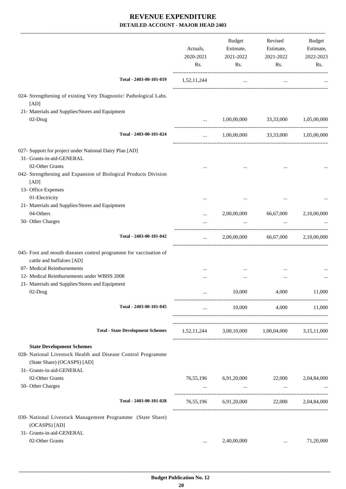|                                                                            | Actuals,<br>2020-2021<br>Rs.                     | <b>Budget</b><br>Estimate,<br>2021-2022<br>Rs.  | Revised<br>Estimate,<br>2021-2022<br>Rs.                  | Budget<br>Estimate,<br>2022-2023<br>Rs. |
|----------------------------------------------------------------------------|--------------------------------------------------|-------------------------------------------------|-----------------------------------------------------------|-----------------------------------------|
| Total - 2403-00-101-019                                                    | 1,52,11,244                                      | $\cdots$                                        | $\cdots$                                                  |                                         |
| 024- Strengthening of existing Vety Diagnostic/ Pathological Labs.<br>[AD] |                                                  |                                                 |                                                           |                                         |
| 21- Materials and Supplies/Stores and Equipment                            |                                                  |                                                 |                                                           |                                         |
| 02-Drug                                                                    | $\cdots$                                         | 1,00,00,000                                     | 33,33,000                                                 | 1,05,00,000                             |
| Total - 2403-00-101-024                                                    | $\cdots$                                         | 1,00,00,000                                     | 33,33,000                                                 | 1,05,00,000                             |
| 027- Support for project under National Dairy Plan [AD]                    |                                                  |                                                 |                                                           |                                         |
| 31- Grants-in-aid-GENERAL                                                  |                                                  |                                                 |                                                           |                                         |
| 02-Other Grants                                                            |                                                  |                                                 |                                                           |                                         |
| 042- Strengthening and Expansion of Biological Products Division           |                                                  |                                                 |                                                           |                                         |
| [AD]                                                                       |                                                  |                                                 |                                                           |                                         |
| 13- Office Expenses                                                        |                                                  |                                                 |                                                           |                                         |
| 01-Electricity                                                             |                                                  |                                                 |                                                           |                                         |
| 21- Materials and Supplies/Stores and Equipment                            |                                                  |                                                 |                                                           |                                         |
| 04-Others                                                                  | $\cdots$                                         | 2,00,00,000                                     | 66,67,000                                                 | 2,10,00,000                             |
| 50- Other Charges                                                          |                                                  | $\cdots$                                        | $\cdots$                                                  |                                         |
|                                                                            |                                                  |                                                 | ---------------------                                     |                                         |
| Total - 2403-00-101-042                                                    | $\cdots$                                         | 2,00,00,000                                     | 66,67,000                                                 | 2,10,00,000                             |
| 045- Foot and mouth diseases control programme for vaccination of          |                                                  |                                                 |                                                           |                                         |
| cattle and buffaloes [AD]                                                  |                                                  |                                                 |                                                           |                                         |
| 07- Medical Reimbursements                                                 |                                                  |                                                 |                                                           |                                         |
| 12- Medical Reimbursements under WBHS 2008                                 |                                                  |                                                 |                                                           |                                         |
| 21- Materials and Supplies/Stores and Equipment                            |                                                  |                                                 |                                                           |                                         |
| 02-Drug                                                                    |                                                  | 10,000                                          | 4,000                                                     | 11,000                                  |
|                                                                            |                                                  |                                                 |                                                           |                                         |
| Total - 2403-00-101-045                                                    | $\cdots$                                         | 10,000                                          |                                                           | 4,000 11,000                            |
| <b>Total - State Development Schemes</b>                                   |                                                  |                                                 |                                                           |                                         |
|                                                                            |                                                  | 1,52,11,244 3,00,10,000 1,00,04,000 3,15,11,000 |                                                           |                                         |
| <b>State Development Schemes</b>                                           |                                                  |                                                 |                                                           |                                         |
| 028- National Livestock Health and Disease Control Programme               |                                                  |                                                 |                                                           |                                         |
| (State Share) (OCASPS) [AD]                                                |                                                  |                                                 |                                                           |                                         |
| 31- Grants-in-aid-GENERAL                                                  |                                                  |                                                 |                                                           |                                         |
| 02-Other Grants                                                            |                                                  | 76,55,196 6,91,20,000                           | 22,000                                                    | 2,04,84,000                             |
| 50- Other Charges                                                          | $\mathbf{r}$ and $\mathbf{r}$ . The $\mathbf{r}$ | <b>Contract Contract</b>                        | $\mathcal{L}_{\text{max}}$ and $\mathcal{L}_{\text{max}}$ |                                         |
|                                                                            |                                                  |                                                 |                                                           |                                         |
| Total - 2403-00-101-028                                                    |                                                  | 76,55,196 6,91,20,000 22,000 2,04,84,000        |                                                           |                                         |
| 030- National Livestock Management Programme (State Share)                 |                                                  |                                                 |                                                           |                                         |
| (OCASPS) [AD]                                                              |                                                  |                                                 |                                                           |                                         |
| 31- Grants-in-aid-GENERAL                                                  |                                                  |                                                 |                                                           |                                         |
| 02-Other Grants                                                            | $\cdots$                                         | 2,40,00,000                                     | $\cdots$                                                  | 71,20,000                               |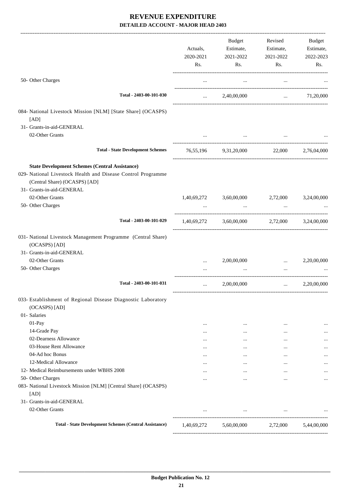|                                                                               | Actuals,<br>2020-2021<br>Rs. | Budget<br>Estimate,<br>2021-2022<br>Rs.              | Revised<br>Estimate,<br>2021-2022<br>Rs. | Budget<br>Estimate,<br>2022-2023<br>Rs. |
|-------------------------------------------------------------------------------|------------------------------|------------------------------------------------------|------------------------------------------|-----------------------------------------|
| 50- Other Charges                                                             | $\cdots$                     | $\cdots$                                             | $\cdots$                                 |                                         |
| Total - 2403-00-101-030                                                       | $\cdots$                     | 2,40,00,000                                          | $\cdots$                                 | 71,20,000                               |
| 084- National Livestock Mission [NLM] [State Share] (OCASPS)                  |                              |                                                      |                                          |                                         |
| [AD]                                                                          |                              |                                                      |                                          |                                         |
| 31- Grants-in-aid-GENERAL                                                     |                              |                                                      |                                          |                                         |
| 02-Other Grants                                                               |                              |                                                      |                                          |                                         |
| <b>Total - State Development Schemes</b>                                      |                              | 76,55,196 9,31,20,000 22,000 2,76,04,000             |                                          |                                         |
| <b>State Development Schemes (Central Assistance)</b>                         |                              |                                                      |                                          |                                         |
| 029- National Livestock Health and Disease Control Programme                  |                              |                                                      |                                          |                                         |
| (Central Share) (OCASPS) [AD]                                                 |                              |                                                      |                                          |                                         |
| 31- Grants-in-aid-GENERAL                                                     |                              |                                                      |                                          |                                         |
| 02-Other Grants                                                               |                              | 1,40,69,272 3,60,00,000 2,72,000                     |                                          | 3,24,00,000                             |
| 50- Other Charges                                                             |                              | $\cdots$                                             | $\cdots$                                 |                                         |
| Total - 2403-00-101-029                                                       |                              | $1,40,69,272$ $3,60,00,000$ $2,72,000$ $3,24,00,000$ |                                          |                                         |
| 031- National Livestock Management Programme (Central Share)<br>(OCASPS) [AD] |                              |                                                      |                                          |                                         |
| 31- Grants-in-aid-GENERAL                                                     |                              |                                                      |                                          |                                         |
| 02-Other Grants                                                               |                              | 2,00,00,000                                          | $\cdots$                                 | 2,20,00,000                             |
| 50- Other Charges                                                             |                              |                                                      | $\cdots$                                 |                                         |
| Total - 2403-00-101-031                                                       | $\cdots$                     | 2,00,00,000                                          | $\cdots$                                 | 2,20,00,000                             |
| 033- Establishment of Regional Disease Diagnostic Laboratory<br>(OCASPS) [AD] |                              |                                                      |                                          |                                         |
| 01- Salaries                                                                  |                              |                                                      |                                          |                                         |
| 01-Pay                                                                        |                              | $\cdots$                                             | $\cdots$                                 |                                         |
| 14-Grade Pay                                                                  |                              | $\cdots$                                             |                                          |                                         |
| 02-Dearness Allowance                                                         | $\cdots$                     | $\cdots$                                             |                                          |                                         |
| 03-House Rent Allowance                                                       | $\cdots$                     | $\cdots$                                             | $\ddotsc$                                | $\cdots$                                |
| 04-Ad hoc Bonus                                                               | $\cdots$                     | $\cdots$                                             | $\cdots$                                 |                                         |
| 12-Medical Allowance                                                          |                              | $\cdots$                                             |                                          | $\cdots$                                |
| 12- Medical Reimbursements under WBHS 2008                                    | $\cdots$                     | $\cdots$                                             | $\cdots$                                 |                                         |
| 50- Other Charges                                                             | $\cdots$                     | $\cdots$                                             | $\cdots$                                 | $\cdots$                                |
| 083- National Livestock Mission [NLM] [Central Share] (OCASPS)                |                              |                                                      |                                          |                                         |
| [AD]                                                                          |                              |                                                      |                                          |                                         |
| 31- Grants-in-aid-GENERAL                                                     |                              |                                                      |                                          |                                         |
| 02-Other Grants                                                               | $\cdots$                     | $\cdots$                                             | $\cdots$                                 |                                         |
| <b>Total - State Development Schemes (Central Assistance)</b>                 | 1,40,69,272                  |                                                      | 5,60,00,000 2,72,000                     | 5,44,00,000                             |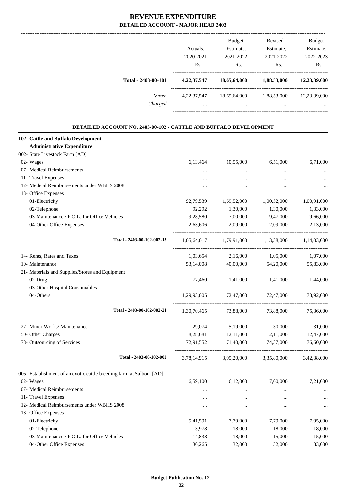|                                                                      | Actuals,<br>2020-2021 | <b>Budget</b><br>Estimate,<br>2021-2022           | Revised<br>Estimate,<br>2021-2022                                               | Budget<br>Estimate,<br>2022-2023 |
|----------------------------------------------------------------------|-----------------------|---------------------------------------------------|---------------------------------------------------------------------------------|----------------------------------|
|                                                                      | Rs.                   | Rs.                                               | Rs.                                                                             | Rs.                              |
| Total - 2403-00-101                                                  |                       | 4,22,37,547 18,65,64,000 1,88,53,000 12,23,39,000 |                                                                                 |                                  |
| Voted                                                                |                       | 4,22,37,547 18,65,64,000 1,88,53,000 12,23,39,000 |                                                                                 |                                  |
| Charged                                                              |                       | and the state of the state of the                 | and the state of the state of<br>$\mathbf{r}$ and $\mathbf{r}$ and $\mathbf{r}$ |                                  |
| DETAILED ACCOUNT NO. 2403-00-102 - CATTLE AND BUFFALO DEVELOPMENT    |                       |                                                   |                                                                                 |                                  |
| 102- Cattle and Buffalo Development                                  |                       |                                                   |                                                                                 |                                  |
| <b>Administrative Expenditure</b>                                    |                       |                                                   |                                                                                 |                                  |
| 002- State Livestock Farm [AD]                                       |                       |                                                   |                                                                                 |                                  |
| 02- Wages                                                            | 6,13,464              | 10,55,000                                         | 6,51,000                                                                        | 6,71,000                         |
| 07- Medical Reimbursements                                           | $\cdots$              |                                                   | $\cdots$                                                                        |                                  |
| 11- Travel Expenses                                                  |                       | $\cdots$                                          |                                                                                 |                                  |
| 12- Medical Reimbursements under WBHS 2008                           |                       | $\cdots$                                          | $\cdots$                                                                        |                                  |
| 13- Office Expenses                                                  |                       |                                                   |                                                                                 |                                  |
| 01-Electricity                                                       | 92,79,539             | 1,69,52,000                                       | 1,00,52,000                                                                     | 1,00,91,000                      |
| 02-Telephone                                                         | 92,292                | 1,30,000                                          | 1,30,000                                                                        | 1,33,000                         |
| 03-Maintenance / P.O.L. for Office Vehicles                          | 9,28,580              | 7,00,000                                          | 9,47,000                                                                        | 9,66,000                         |
| 04-Other Office Expenses                                             | 2,63,606              | 2,09,000                                          | 2,09,000                                                                        | 2,13,000                         |
| Total - 2403-00-102-002-13                                           |                       | 1,05,64,017 1,79,91,000 1,13,38,000 1,14,03,000   |                                                                                 |                                  |
| 14- Rents, Rates and Taxes                                           |                       | $1,03,654$ $2,16,000$ $1,05,000$                  |                                                                                 | 1,07,000                         |
| 19- Maintenance                                                      | 53,14,008             | 40,00,000                                         | 54,20,000                                                                       | 55,83,000                        |
| 21- Materials and Supplies/Stores and Equipment                      |                       |                                                   |                                                                                 |                                  |
| 02-Drug                                                              | 77,460                | 1,41,000                                          | 1,41,000                                                                        | 1,44,000                         |
| 03-Other Hospital Consumables                                        | $\cdots$              | $\ddotsc$                                         | $\ddotsc$                                                                       |                                  |
| 04-Others                                                            | 1,29,93,005           | 72,47,000                                         | 72,47,000                                                                       | 73,92,000                        |
| Total - 2403-00-102-002-21                                           |                       | 1,30,70,465 73,88,000                             | 73,88,000                                                                       | 75,36,000                        |
| 27- Minor Works/ Maintenance                                         | 29,074                | 5,19,000                                          | 30,000                                                                          | 31,000                           |
| 50- Other Charges                                                    | 8,28,681              | 12,11,000                                         | 12,11,000                                                                       | 12,47,000                        |
| 78- Outsourcing of Services                                          | 72,91,552             | 71,40,000                                         | 74,37,000                                                                       | 76,60,000                        |
| Total - 2403-00-102-002                                              |                       | 3,78,14,915 3,95,20,000 3,35,80,000 3,42,38,000   |                                                                                 |                                  |
| 005- Establishment of an exotic cattle breeding farm at Salboni [AD] |                       |                                                   |                                                                                 |                                  |
| 02- Wages                                                            | 6,59,100              | 6,12,000                                          | 7,00,000                                                                        | 7,21,000                         |
| 07- Medical Reimbursements                                           | $\cdots$              | $\cdots$                                          | $\cdots$                                                                        | $\cdots$                         |
| 11- Travel Expenses                                                  | $\cdots$              | $\cdots$                                          | $\cdots$                                                                        |                                  |
| 12- Medical Reimbursements under WBHS 2008                           | $\cdots$              | $\cdots$                                          | $\cdots$                                                                        | $\ddotsc$                        |
| 13- Office Expenses                                                  |                       |                                                   |                                                                                 |                                  |
| 01-Electricity                                                       | 5,41,591              | 7,79,000                                          | 7,79,000                                                                        | 7,95,000                         |
| 02-Telephone                                                         | 3,978                 | 18,000                                            | 18,000                                                                          | 18,000                           |
| 03-Maintenance / P.O.L. for Office Vehicles                          | 14,838                | 18,000                                            | 15,000                                                                          | 15,000                           |
| 04-Other Office Expenses                                             | 30,265                | 32,000                                            | 32,000                                                                          | 33,000                           |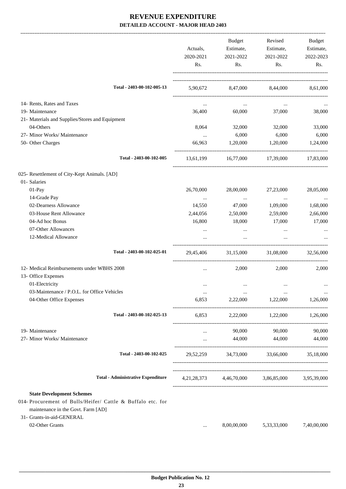|                                                                                                                                                                                       | Actuals,<br>2020-2021<br>Rs. | Budget<br>Estimate,<br>2021-2022<br>Rs. | Revised<br>Estimate,<br>2021-2022<br>Rs.        | Budget<br>Estimate,<br>2022-2023<br>Rs. |
|---------------------------------------------------------------------------------------------------------------------------------------------------------------------------------------|------------------------------|-----------------------------------------|-------------------------------------------------|-----------------------------------------|
| Total - 2403-00-102-005-13                                                                                                                                                            |                              |                                         | 5,90,672 8,47,000 8,44,000 8,61,000             |                                         |
| 14- Rents, Rates and Taxes                                                                                                                                                            | $\cdots$                     | $\ddotsc$                               | $\cdots$                                        |                                         |
| 19- Maintenance                                                                                                                                                                       | 36,400                       | 60,000                                  | 37,000                                          | 38,000                                  |
| 21- Materials and Supplies/Stores and Equipment                                                                                                                                       |                              |                                         |                                                 |                                         |
| 04-Others                                                                                                                                                                             | 8,064                        | 32,000                                  | 32,000                                          | 33,000                                  |
| 27- Minor Works/ Maintenance                                                                                                                                                          | $\cdots$                     | 6,000                                   | 6,000                                           | 6,000                                   |
| 50- Other Charges                                                                                                                                                                     | 66,963                       | 1,20,000                                | 1,20,000                                        | 1,24,000                                |
| Total - 2403-00-102-005                                                                                                                                                               | 13,61,199                    |                                         | 16,77,000 17,39,000 17,83,000                   |                                         |
| 025- Resettlement of City-Kept Animals. [AD]                                                                                                                                          |                              |                                         |                                                 |                                         |
| 01- Salaries                                                                                                                                                                          |                              |                                         |                                                 |                                         |
| $01-Pay$                                                                                                                                                                              | 26,70,000                    | 28,00,000                               | 27,23,000                                       | 28,05,000                               |
| 14-Grade Pay                                                                                                                                                                          | $\ldots$                     | $\cdots$                                | $\cdots$                                        | $\cdots$                                |
| 02-Dearness Allowance                                                                                                                                                                 | 14,550                       | 47,000                                  | 1,09,000                                        | 1,68,000                                |
| 03-House Rent Allowance                                                                                                                                                               | 2,44,056                     | 2,50,000                                | 2,59,000                                        | 2,66,000                                |
| 04-Ad hoc Bonus                                                                                                                                                                       | 16,800                       | 18,000                                  | 17,000                                          | 17,000                                  |
| 07-Other Allowances                                                                                                                                                                   | $\cdots$                     | $\cdots$                                |                                                 |                                         |
| 12-Medical Allowance                                                                                                                                                                  |                              | $\cdots$                                |                                                 |                                         |
| Total - 2403-00-102-025-01                                                                                                                                                            | 29,45,406                    | 31,15,000                               | 31,08,000                                       | 32,56,000                               |
| 12- Medical Reimbursements under WBHS 2008<br>13- Office Expenses                                                                                                                     | $\cdots$                     | 2,000                                   | 2,000                                           | 2,000                                   |
| 01-Electricity                                                                                                                                                                        |                              | $\cdots$                                |                                                 |                                         |
| 03-Maintenance / P.O.L. for Office Vehicles                                                                                                                                           |                              |                                         |                                                 |                                         |
| 04-Other Office Expenses                                                                                                                                                              | 6,853                        | 2,22,000                                | 1,22,000                                        | 1,26,000                                |
| Total - 2403-00-102-025-13                                                                                                                                                            | 6,853                        |                                         | 2,22,000 1,22,000                               | 1,26,000                                |
| 19- Maintenance                                                                                                                                                                       | $\cdots$                     | 90,000                                  | 90,000                                          | 90,000                                  |
| 27- Minor Works/ Maintenance                                                                                                                                                          | $\cdots$                     | 44,000                                  | 44,000                                          | 44,000                                  |
| Total - 2403-00-102-025                                                                                                                                                               | 29,52,259                    | 34,73,000                               | 33,66,000                                       | 35,18,000                               |
| <b>Total - Administrative Expenditure</b>                                                                                                                                             |                              |                                         | 4,21,28,373 4,46,70,000 3,86,85,000 3,95,39,000 |                                         |
| <b>State Development Schemes</b><br>014- Procurement of Bulls/Heifer/ Cattle & Buffalo etc. for<br>maintenance in the Govt. Farm [AD]<br>31- Grants-in-aid-GENERAL<br>02-Other Grants | $\cdots$                     | 8,00,00,000                             | 5,33,33,000                                     | 7,40,00,000                             |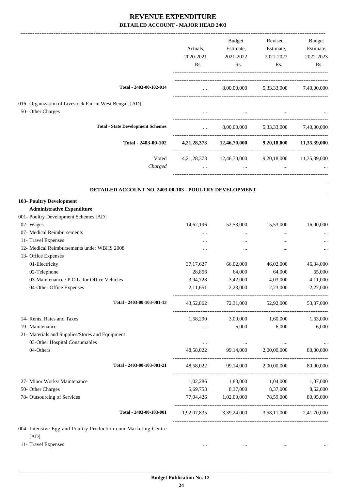|                                                                | Actuals,<br>2020-2021<br>Rs.                   | Budget<br>Estimate,<br>2021-2022<br>Rs.                       | Revised<br>Estimate,<br>2021-2022<br>Rs. | Budget<br>Estimate,<br>2022-2023<br>Rs. |
|----------------------------------------------------------------|------------------------------------------------|---------------------------------------------------------------|------------------------------------------|-----------------------------------------|
| Total - 2403-00-102-014                                        | $\mathbf{1}$                                   |                                                               | 8,00,00,000 5,33,33,000 7,40,00,000      |                                         |
| 016- Organization of Livestock Fair in West Bengal. [AD]       |                                                |                                                               |                                          |                                         |
| 50- Other Charges                                              | $\cdots$                                       | $\mathbf{1}$                                                  | $\cdots$                                 |                                         |
| <b>Total - State Development Schemes</b>                       | $\mathbf{1}$ and $\mathbf{1}$ and $\mathbf{1}$ |                                                               | 8,00,00,000 5,33,33,000 7,40,00,000      |                                         |
| Total - 2403-00-102                                            |                                                | 4,21,28,373 12,46,70,000 9,20,18,000 11,35,39,000             |                                          |                                         |
| Voted<br>Charged                                               | $\cdots$                                       | 4,21,28,373 12,46,70,000 9,20,18,000 11,35,39,000<br>$\cdots$ | $\cdots$                                 |                                         |
| DETAILED ACCOUNT NO. 2403-00-103 - POULTRY DEVELOPMENT         |                                                |                                                               |                                          |                                         |
| 103- Poultry Development                                       |                                                |                                                               |                                          |                                         |
| <b>Administrative Expenditure</b>                              |                                                |                                                               |                                          |                                         |
| 001- Poultry Development Schemes [AD]                          |                                                |                                                               |                                          |                                         |
| 02- Wages                                                      | 14,62,196                                      | 52,53,000                                                     | 15,53,000                                | 16,00,000                               |
| 07- Medical Reimbursements                                     | $\cdots$                                       | $\cdots$                                                      | $\ddotsc$                                |                                         |
| 11- Travel Expenses                                            |                                                | $\cdots$                                                      | $\ddotsc$                                |                                         |
| 12- Medical Reimbursements under WBHS 2008                     |                                                |                                                               | $\ddotsc$                                | $\cdots$                                |
| 13- Office Expenses                                            |                                                |                                                               |                                          |                                         |
| 01-Electricity                                                 | 37, 17, 627                                    | 66,02,000                                                     | 46,02,000                                | 46,34,000                               |
| 02-Telephone                                                   | 28,856                                         | 64,000                                                        | 64,000                                   | 65,000                                  |
| 03-Maintenance / P.O.L. for Office Vehicles                    | 3,94,728                                       | 3,42,000                                                      | 4,03,000                                 | 4,11,000                                |
| 04-Other Office Expenses                                       | 2,11,651                                       | 2,23,000                                                      | 2,23,000                                 | 2,27,000                                |
| Total - 2403-00-103-001-13                                     |                                                | 43,52,862 72,31,000 52,92,000 53,37,000                       |                                          |                                         |
| 14- Rents, Rates and Taxes                                     |                                                | 1,58,290 3,00,000 1,60,000                                    |                                          | 1,63,000                                |
| 19- Maintenance                                                | $\cdots$                                       | 6,000                                                         | 6,000                                    | 6,000                                   |
| 21- Materials and Supplies/Stores and Equipment                |                                                |                                                               |                                          |                                         |
| 03-Other Hospital Consumables                                  | $\cdots$                                       | <b>Service Contract Service</b>                               | $\cdots$                                 | $\ldots$                                |
| 04-Others                                                      | 48,58,022                                      | 99,14,000                                                     | 2,00,00,000                              | 80,00,000                               |
| Total - 2403-00-103-001-21                                     |                                                | 48,58,022 99,14,000 2,00,00,000                               |                                          | 80,00,000                               |
| 27- Minor Works/ Maintenance                                   |                                                | 1,02,286 1,83,000                                             | 1,04,000                                 | 1,07,000                                |
| 50- Other Charges                                              |                                                | 5,69,753 8,37,000 8,37,000                                    |                                          | 8,62,000                                |
| 78- Outsourcing of Services                                    |                                                | 77,04,426 1,02,00,000 78,59,000                               |                                          | 80,95,000                               |
| Total - 2403-00-103-001                                        |                                                | 1,92,07,835 3,39,24,000 3,58,11,000 2,41,70,000               |                                          |                                         |
| 004- Intensive Egg and Poultry Production-cum-Marketing Centre |                                                |                                                               |                                          |                                         |
| [AD]                                                           |                                                |                                                               |                                          |                                         |
| 11- Travel Expenses                                            | $\cdots$                                       | $\cdots$                                                      | $\ldots$                                 |                                         |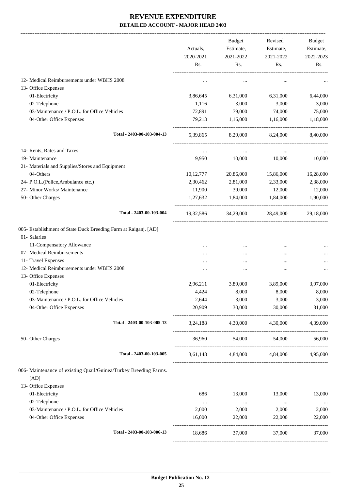|                                                                                 | Actuals,         | Budget<br>Estimate,        | Revised<br>Estimate, | Budget<br>Estimate, |
|---------------------------------------------------------------------------------|------------------|----------------------------|----------------------|---------------------|
|                                                                                 | 2020-2021<br>Rs. | 2021-2022<br>Rs.           | 2021-2022<br>Rs.     | 2022-2023<br>Rs.    |
| 12- Medical Reimbursements under WBHS 2008                                      | $\cdots$         | $\cdots$                   | $\cdots$             |                     |
| 13- Office Expenses                                                             |                  |                            |                      |                     |
| 01-Electricity                                                                  | 3,86,645         | 6,31,000                   | 6,31,000             | 6,44,000            |
| 02-Telephone                                                                    | 1,116            | 3,000                      | 3,000                | 3,000               |
| 03-Maintenance / P.O.L. for Office Vehicles                                     | 72,891           | 79,000                     | 74,000               | 75,000              |
| 04-Other Office Expenses                                                        | 79,213           | 1,16,000                   | 1,16,000             | 1,18,000            |
|                                                                                 |                  |                            |                      |                     |
| Total - 2403-00-103-004-13                                                      | 5,39,865         | 8,29,000                   | 8,24,000             | 8,40,000            |
| 14- Rents, Rates and Taxes                                                      | $\cdots$         | $\cdots$                   | $\cdots$             |                     |
| 19- Maintenance                                                                 | 9,950            | 10,000                     | 10,000               | 10,000              |
| 21- Materials and Supplies/Stores and Equipment                                 |                  |                            |                      |                     |
| 04-Others                                                                       | 10, 12, 777      | 20,86,000                  | 15,86,000            | 16,28,000           |
| 24- P.O.L.(Police, Ambulance etc.)                                              | 2,30,462         | 2,81,000                   | 2,33,000             | 2,38,000            |
| 27- Minor Works/ Maintenance                                                    | 11,900           | 39,000                     | 12,000               | 12,000              |
| 50- Other Charges                                                               | 1,27,632         | 1,84,000                   | 1,84,000             | 1,90,000            |
| Total - 2403-00-103-004                                                         | 19,32,586        | 34,29,000                  | 28,49,000            | 29,18,000           |
| 005- Establishment of State Duck Breeding Farm at Raiganj. [AD]<br>01- Salaries |                  |                            |                      |                     |
| 11-Compensatory Allowance                                                       |                  | $\cdots$                   |                      |                     |
| 07- Medical Reimbursements                                                      |                  | $\cdots$                   | $\cdots$             |                     |
| 11- Travel Expenses                                                             |                  |                            |                      |                     |
| 12- Medical Reimbursements under WBHS 2008                                      | $\ddotsc$        | $\ddotsc$                  | $\ddotsc$            |                     |
| 13- Office Expenses                                                             |                  |                            |                      |                     |
| 01-Electricity                                                                  | 2,96,211         | 3,89,000                   | 3,89,000             | 3,97,000            |
| 02-Telephone                                                                    | 4,424            | 8,000                      | 8,000                | 8,000               |
| 03-Maintenance / P.O.L. for Office Vehicles                                     | 2,644            | 3,000                      | 3,000                | 3,000               |
| 04-Other Office Expenses                                                        | 20,909           | 30,000                     | 30,000               | 31,000              |
| Total - 2403-00-103-005-13                                                      | 3,24,188         |                            | 4,30,000 4,30,000    | 4,39,000            |
| 50- Other Charges                                                               |                  | 36,960 54,000 54,000       |                      | 56,000              |
| Total - 2403-00-103-005                                                         |                  | 3,61,148 4,84,000 4,84,000 |                      | 4,95,000            |
| 006- Maintenance of existing Quail/Guinea/Turkey Breeding Farms.<br>[AD]        |                  |                            |                      |                     |
| 13- Office Expenses                                                             |                  |                            |                      |                     |
| 01-Electricity                                                                  | 686              | 13,000                     | 13,000               | 13,000              |
| 02-Telephone                                                                    | $\ldots$         | $\ldots$                   | $\ldots$             | $\cdots$            |
| 03-Maintenance / P.O.L. for Office Vehicles                                     | 2,000            | 2,000                      | 2,000                | 2,000               |
| 04-Other Office Expenses                                                        | 16,000           | 22,000                     | 22,000               | 22,000              |
| Total - 2403-00-103-006-13                                                      | 18,686           | 37,000                     | 37,000               | 37,000              |
|                                                                                 |                  |                            |                      |                     |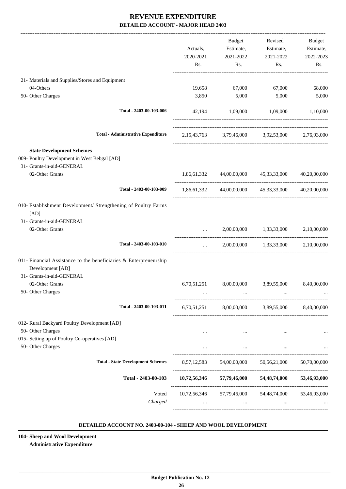| 19,658<br>3,850 | 67,000<br>5,000 | 67,000                     |                                                                                                                                                                                                                                                                                                                                                                                                                                                                                                       |
|-----------------|-----------------|----------------------------|-------------------------------------------------------------------------------------------------------------------------------------------------------------------------------------------------------------------------------------------------------------------------------------------------------------------------------------------------------------------------------------------------------------------------------------------------------------------------------------------------------|
|                 |                 |                            |                                                                                                                                                                                                                                                                                                                                                                                                                                                                                                       |
|                 |                 |                            | 68,000                                                                                                                                                                                                                                                                                                                                                                                                                                                                                                |
|                 |                 | 5,000                      | 5,000                                                                                                                                                                                                                                                                                                                                                                                                                                                                                                 |
|                 |                 |                            |                                                                                                                                                                                                                                                                                                                                                                                                                                                                                                       |
|                 |                 |                            |                                                                                                                                                                                                                                                                                                                                                                                                                                                                                                       |
|                 |                 |                            |                                                                                                                                                                                                                                                                                                                                                                                                                                                                                                       |
|                 |                 |                            |                                                                                                                                                                                                                                                                                                                                                                                                                                                                                                       |
|                 |                 |                            | 40,20,00,000                                                                                                                                                                                                                                                                                                                                                                                                                                                                                          |
|                 |                 |                            |                                                                                                                                                                                                                                                                                                                                                                                                                                                                                                       |
|                 |                 |                            |                                                                                                                                                                                                                                                                                                                                                                                                                                                                                                       |
|                 |                 |                            | 2,10,00,000                                                                                                                                                                                                                                                                                                                                                                                                                                                                                           |
| $\cdots$        |                 |                            |                                                                                                                                                                                                                                                                                                                                                                                                                                                                                                       |
|                 |                 |                            |                                                                                                                                                                                                                                                                                                                                                                                                                                                                                                       |
|                 |                 |                            | 8,40,00,000                                                                                                                                                                                                                                                                                                                                                                                                                                                                                           |
|                 |                 |                            |                                                                                                                                                                                                                                                                                                                                                                                                                                                                                                       |
|                 |                 |                            |                                                                                                                                                                                                                                                                                                                                                                                                                                                                                                       |
| $\cdots$        |                 |                            | $\ldots$                                                                                                                                                                                                                                                                                                                                                                                                                                                                                              |
| $\cdots$        | $\cdots$        | $\cdots$                   |                                                                                                                                                                                                                                                                                                                                                                                                                                                                                                       |
|                 |                 |                            | 50,70,00,000                                                                                                                                                                                                                                                                                                                                                                                                                                                                                          |
|                 |                 |                            |                                                                                                                                                                                                                                                                                                                                                                                                                                                                                                       |
|                 |                 |                            |                                                                                                                                                                                                                                                                                                                                                                                                                                                                                                       |
|                 | 6,70,51,251     | 1,86,61,332<br>8,00,00,000 | 42,194 1,09,000 1,09,000 1,10,000<br>2,15,43,763 3,79,46,000 3,92,53,000 2,76,93,000<br>44,00,00,000 45,33,33,000<br>1,86,61,332 44,00,00,000 45,33,33,000 40,20,00,000<br>2,00,00,000 1,33,33,000<br>2,00,00,000 1,33,33,000 2,10,00,000<br>3,89,55,000<br>6,70,51,251 8,00,00,000 3,89,55,000 8,40,00,000<br>8,57,12,583 54,00,00,000 50,56,21,000<br>10,72,56,346 57,79,46,000 54,48,74,000 53,46,93,000<br>10,72,56,346 57,79,46,000 54,48,74,000 53,46,93,000<br>$\cdots$ . The same of $\cdots$ |

#### **DETAILED ACCOUNT NO. 2403-00-104 - SHEEP AND WOOL DEVELOPMENT .**

**104- Sheep and Wool Development Administrative Expenditure**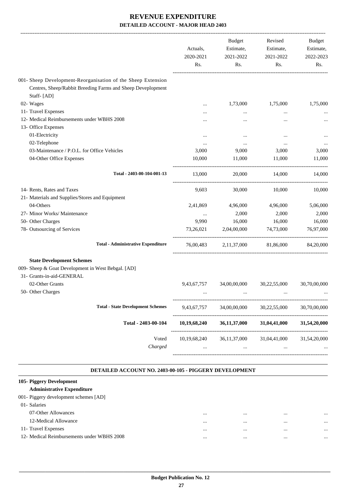|                                                                                                                                           | Actuals,<br>2020-2021<br>Rs. | <b>Budget</b><br>Estimate,<br>2021-2022<br>Rs. | Revised<br>Estimate,<br>2021-2022<br>Rs. | Budget<br>Estimate,<br>2022-2023<br>Rs. |
|-------------------------------------------------------------------------------------------------------------------------------------------|------------------------------|------------------------------------------------|------------------------------------------|-----------------------------------------|
| 001- Sheep Development-Reorganisation of the Sheep Extension<br>Centres, Sheep/Rabbit Breeding Farms and Sheep Deveplopment<br>Staff-[AD] |                              |                                                |                                          |                                         |
| 02- Wages                                                                                                                                 |                              | 1,73,000                                       | 1,75,000                                 | 1,75,000                                |
| 11- Travel Expenses                                                                                                                       |                              |                                                | $\cdots$                                 |                                         |
| 12- Medical Reimbursements under WBHS 2008<br>13- Office Expenses                                                                         |                              |                                                | $\cdots$                                 |                                         |
| 01-Electricity                                                                                                                            | $\ddotsc$                    | $\ddotsc$                                      | $\ddotsc$                                |                                         |
| 02-Telephone                                                                                                                              |                              | $\cdots$                                       | $\cdots$                                 |                                         |
| 03-Maintenance / P.O.L. for Office Vehicles                                                                                               | 3,000                        | 9,000                                          | 3,000                                    | 3,000                                   |
| 04-Other Office Expenses                                                                                                                  | 10,000                       | 11,000                                         | 11,000                                   | 11,000                                  |
| Total - 2403-00-104-001-13                                                                                                                | 13,000                       | 20,000                                         | 14,000                                   | 14,000                                  |
| 14- Rents, Rates and Taxes<br>21- Materials and Supplies/Stores and Equipment                                                             | 9.603                        | 30,000                                         | 10,000                                   | 10,000                                  |
| 04-Others                                                                                                                                 | 2,41,869                     | 4,96,000                                       | 4,96,000                                 | 5,06,000                                |
| 27- Minor Works/ Maintenance                                                                                                              |                              | 2,000                                          | 2,000                                    | 2,000                                   |
| 50- Other Charges                                                                                                                         | 9,990                        | 16,000                                         | 16,000                                   | 16,000                                  |
| 78- Outsourcing of Services                                                                                                               | 73,26,021                    | 2,04,00,000                                    | 74,73,000                                | 76,97,000                               |
| <b>Total - Administrative Expenditure</b>                                                                                                 | 76,00,483                    |                                                | 2,11,37,000 81,86,000                    | 84,20,000                               |
| <b>State Development Schemes</b><br>009- Sheep & Goat Development in West Bebgal. [AD]                                                    |                              |                                                |                                          |                                         |
| 31- Grants-in-aid-GENERAL                                                                                                                 |                              |                                                |                                          |                                         |
| 02-Other Grants<br>50- Other Charges                                                                                                      | 9,43,67,757                  | 34,00,00,000                                   | 30,22,55,000                             | 30,70,00,000                            |
| <b>Total - State Development Schemes</b>                                                                                                  | 9,43,67,757                  | 34,00,00,000                                   | 30,22,55,000                             | 30,70,00,000                            |
|                                                                                                                                           |                              |                                                |                                          |                                         |
| Total - 2403-00-104                                                                                                                       | 10,19,68,240                 | 36,11,37,000                                   | 31,04,41,000                             | 31,54,20,000                            |
| Voted<br>Charged                                                                                                                          | $\cdots$                     | $\cdots$                                       | 31,04,41,000<br>$\cdots$                 | 31,54,20,000                            |

#### **DETAILED ACCOUNT NO. 2403-00-105 - PIGGERY DEVELOPMENT**

#### **. 105- Piggery Development Administrative Expenditure** 001- Piggery development schemes [AD] 01- Salaries 07-Other Allowances ... ... ... ... 12-Medical Allowance ... ... ... ... 11- Travel Expenses ... ... ... ... 12- Medical Reimbursements under WBHS 2008 ... ... ... ...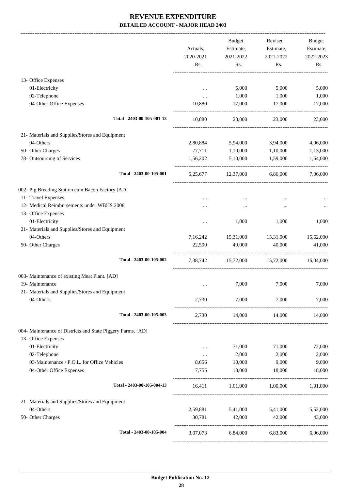|                                                             |           | <b>Budget</b>                       | Revised   | Budget    |
|-------------------------------------------------------------|-----------|-------------------------------------|-----------|-----------|
|                                                             | Actuals,  | Estimate,                           | Estimate, | Estimate, |
|                                                             | 2020-2021 | 2021-2022                           | 2021-2022 | 2022-2023 |
|                                                             | Rs.       | Rs.                                 | Rs.       | Rs.       |
| 13- Office Expenses                                         |           |                                     |           |           |
| 01-Electricity                                              |           | 5,000                               | 5,000     | 5,000     |
| 02-Telephone                                                |           | 1,000                               | 1,000     | 1,000     |
| 04-Other Office Expenses                                    | 10,880    | 17,000                              | 17,000    | 17,000    |
| Total - 2403-00-105-001-13                                  | 10,880    | 23,000                              | 23,000    | 23,000    |
| 21- Materials and Supplies/Stores and Equipment             |           |                                     |           |           |
| 04-Others                                                   | 2,80,884  | 5,94,000                            | 3,94,000  | 4,06,000  |
| 50- Other Charges                                           | 77,711    | 1,10,000                            | 1,10,000  | 1,13,000  |
| 78- Outsourcing of Services                                 | 1,56,202  | 5,10,000                            | 1,59,000  | 1,64,000  |
| Total - 2403-00-105-001                                     | 5,25,677  | 12,37,000                           | 6,86,000  | 7,06,000  |
| 002- Pig Breeding Station cum Bacon Factory [AD]            |           |                                     |           |           |
| 11- Travel Expenses                                         |           |                                     |           |           |
| 12- Medical Reimbursements under WBHS 2008                  |           |                                     |           |           |
| 13- Office Expenses                                         |           |                                     |           |           |
| 01-Electricity                                              | $\ddotsc$ | 1,000                               | 1,000     | 1,000     |
| 21- Materials and Supplies/Stores and Equipment             |           |                                     |           |           |
| 04-Others                                                   | 7,16,242  | 15,31,000                           | 15,31,000 | 15,62,000 |
| 50- Other Charges                                           | 22,500    | 40,000                              | 40,000    | 41,000    |
| Total - 2403-00-105-002                                     | 7,38,742  | 15,72,000                           | 15,72,000 | 16,04,000 |
| 003- Maintenance of existing Meat Plant. [AD]               |           |                                     |           |           |
| 19- Maintenance                                             |           | 7,000                               | 7,000     | 7,000     |
| 21- Materials and Supplies/Stores and Equipment             |           |                                     |           |           |
| 04-Others                                                   | 2,730     | 7,000                               | 7,000     | 7,000     |
| Total - 2403-00-105-003                                     | 2,730     | 14,000 14,000                       |           | 14,000    |
| 004- Maintenance of Districts and State Piggery Farms. [AD] |           |                                     |           |           |
| 13- Office Expenses                                         |           |                                     |           |           |
| 01-Electricity                                              | $\cdots$  | 71,000                              | 71,000    | 72,000    |
| 02-Telephone                                                | $\cdots$  | 2,000                               | 2,000     | 2,000     |
| 03-Maintenance / P.O.L. for Office Vehicles                 | 8,656     | 10,000                              | 9,000     | 9,000     |
| 04-Other Office Expenses                                    | 7,755     | 18,000                              | 18,000    | 18,000    |
| Total - 2403-00-105-004-13                                  |           | 1,01,000 1,00,000 1,01,000          |           |           |
| 21- Materials and Supplies/Stores and Equipment             |           |                                     |           |           |
| 04-Others                                                   | 2,59,881  | 5,41,000                            | 5,41,000  | 5,52,000  |
| 50- Other Charges                                           | 30,781    | 42,000                              | 42,000    | 43,000    |
| Total - 2403-00-105-004                                     |           | 3,07,073 6,84,000 6,83,000 6,96,000 |           |           |
|                                                             |           |                                     |           |           |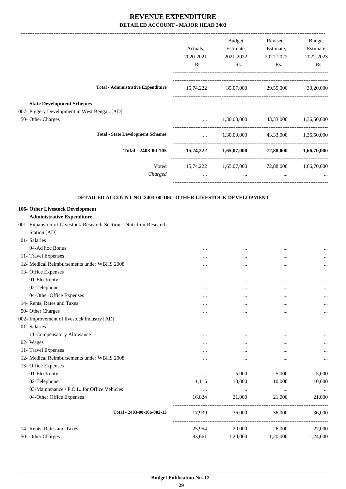|                                                                    |           | Budget                                      | Revised                           | <b>Budget</b> |
|--------------------------------------------------------------------|-----------|---------------------------------------------|-----------------------------------|---------------|
|                                                                    | Actuals,  | Estimate,                                   | Estimate,                         | Estimate,     |
|                                                                    | 2020-2021 | 2021-2022                                   | 2021-2022                         | 2022-2023     |
|                                                                    | Rs.       | Rs.                                         | Rs.                               | Rs.           |
| <b>Total - Administrative Expenditure</b>                          | 15,74,222 | 35,07,000                                   | 29,55,000                         | 30,20,000     |
| <b>State Development Schemes</b>                                   |           |                                             |                                   |               |
| 007- Piggery Development in West Bengal. [AD]<br>50- Other Charges |           |                                             | 1,30,00,000 43,33,000 1,36,50,000 |               |
| <b>Total - State Development Schemes</b>                           | $\cdots$  |                                             | 1,30,00,000 43,33,000 1,36,50,000 |               |
| Total - 2403-00-105                                                |           | 15,74,222 1,65,07,000 72,88,000 1,66,70,000 |                                   |               |
| Voted                                                              |           | 15,74,222 1,65,07,000 72,88,000             |                                   | 1,66,70,000   |
| Charged                                                            | $\cdots$  | and the contract of the contract of         | $\cdots$                          |               |
| DETAILED ACCOUNT NO. 2403-00-106 - OTHER LIVESTOCK DEVELOPMENT     |           |                                             |                                   |               |
| 106- Other Livestock Development                                   |           |                                             |                                   |               |
| <b>Administrative Expenditure</b>                                  |           |                                             |                                   |               |
| 001- Expansion of Livestock Research Section - Nutrition Research  |           |                                             |                                   |               |
| Station [AD]                                                       |           |                                             |                                   |               |
| 01- Salaries                                                       |           |                                             |                                   |               |
| 04-Ad hoc Bonus                                                    |           |                                             |                                   |               |
| 11- Travel Expenses                                                |           | $\ddotsc$                                   | $\cdots$                          |               |
| 12- Medical Reimbursements under WBHS 2008                         |           |                                             |                                   |               |
| 13. Office Expenses                                                |           |                                             |                                   |               |

| 13- Office Expenses                         |          |          |          |          |
|---------------------------------------------|----------|----------|----------|----------|
| 01-Electricity                              | $\cdots$ | $\cdots$ | $\cdots$ | $\cdots$ |
| 02-Telephone                                | $\cdots$ | $\cdots$ |          | $\cdots$ |
| 04-Other Office Expenses                    | $\cdots$ | $\cdots$ | $\cdots$ | $\cdots$ |
| 14- Rents, Rates and Taxes                  |          |          |          |          |
| 50- Other Charges                           | $\cdots$ |          |          | $\cdots$ |
| 002- Improvement of livestock industry [AD] |          |          |          |          |
| 01- Salaries                                |          |          |          |          |
| 11-Compensatory Allowance                   | $\cdots$ | $\cdots$ | $\cdots$ | $\cdots$ |
| 02- Wages                                   | $\cdots$ | $\cdots$ | $\cdots$ | $\cdots$ |
| 11- Travel Expenses                         | $\cdots$ | $\cdots$ | $\cdots$ | $\cdots$ |
| 12- Medical Reimbursements under WBHS 2008  | $\cdots$ | $\cdots$ |          | $\cdots$ |
| 13- Office Expenses                         |          |          |          |          |
| 01-Electricity                              | $\cdots$ | 5,000    | 5,000    | 5,000    |
| 02-Telephone                                | 1,115    | 10,000   | 10,000   | 10,000   |
| 03-Maintenance / P.O.L. for Office Vehicles | $\cdots$ | $\cdots$ | $\cdots$ | $\cdots$ |
| 04-Other Office Expenses                    | 16,824   | 21,000   | 21,000   | 21,000   |
| Total - 2403-00-106-002-13                  | 17,939   | 36,000   | 36,000   | 36,000   |
| 14- Rents, Rates and Taxes                  | 25,954   | 20,000   | 26,000   | 27,000   |
| 50- Other Charges                           | 83,661   | 1,20,000 | 1,20,000 | 1,24,000 |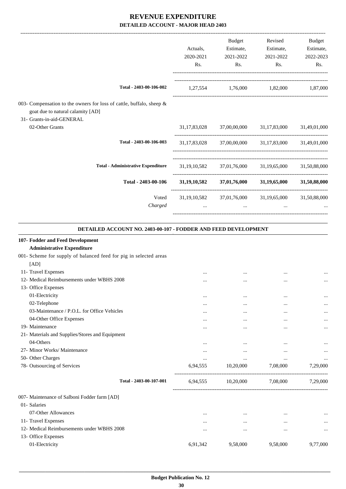|                                                                                                           |           | <b>Budget</b>             | Revised                                             | Budget       |
|-----------------------------------------------------------------------------------------------------------|-----------|---------------------------|-----------------------------------------------------|--------------|
|                                                                                                           | Actuals,  | Estimate,                 | Estimate,                                           | Estimate,    |
|                                                                                                           | 2020-2021 | 2021-2022                 | 2021-2022                                           | 2022-2023    |
|                                                                                                           | Rs.       | Rs.                       | Rs.                                                 | Rs.          |
| Total - 2403-00-106-002                                                                                   |           |                           | 1,27,554 1,76,000 1,82,000 1,87,000                 |              |
| 003- Compensation to the owners for loss of cattle, buffalo, sheep &<br>goat due to natural calamity [AD] |           |                           |                                                     |              |
| 31- Grants-in-aid-GENERAL                                                                                 |           |                           |                                                     |              |
| 02-Other Grants                                                                                           |           |                           | 31,17,83,028 37,00,00,000 31,17,83,000 31,49,01,000 |              |
| Total - 2403-00-106-003                                                                                   |           |                           | 31,17,83,028 37,00,00,000 31,17,83,000 31,49,01,000 |              |
| <b>Total - Administrative Expenditure</b>                                                                 |           |                           | 31,19,10,582 37,01,76,000 31,19,65,000 31,50,88,000 |              |
| Total - 2403-00-106                                                                                       |           |                           | $31,19,10,582$ $37,01,76,000$ $31,19,65,000$        | 31,50,88,000 |
| Voted                                                                                                     |           | 31,19,10,582 37,01,76,000 | 31,19,65,000 31,50,88,000                           |              |
| Charged                                                                                                   |           | $\cdots$                  | $\cdots$                                            |              |
|                                                                                                           |           |                           |                                                     |              |

#### **DETAILED ACCOUNT NO. 2403-00-107 - FODDER AND FEED DEVELOPMENT .**

.

| 107- Fodder and Feed Development                                  |          |                             |           |          |
|-------------------------------------------------------------------|----------|-----------------------------|-----------|----------|
| <b>Administrative Expenditure</b>                                 |          |                             |           |          |
| 001- Scheme for supply of balanced feed for pig in selected areas |          |                             |           |          |
| [AD]                                                              |          |                             |           |          |
| 11- Travel Expenses                                               | $\cdots$ | $\cdots$                    | $\cdots$  | $\cdots$ |
| 12- Medical Reimbursements under WBHS 2008                        | $\cdots$ | $\cdots$                    |           | $\cdots$ |
| 13- Office Expenses                                               |          |                             |           |          |
| 01-Electricity                                                    | $\cdots$ | $\cdots$                    | $\ddotsc$ | $\cdots$ |
| 02-Telephone                                                      |          | $\cdots$                    |           | $\cdots$ |
| 03-Maintenance / P.O.L. for Office Vehicles                       |          | $\cdots$                    |           | $\cdots$ |
| 04-Other Office Expenses                                          | $\cdots$ | $\cdots$                    |           | $\cdots$ |
| 19- Maintenance                                                   |          |                             |           | $\cdots$ |
| 21- Materials and Supplies/Stores and Equipment                   |          |                             |           |          |
| 04-Others                                                         | $\cdots$ | $\cdots$                    | $\cdots$  | $\cdots$ |
| 27- Minor Works/ Maintenance                                      | $\cdots$ | $\cdots$                    | $\cdots$  | $\cdots$ |
| 50- Other Charges                                                 | $\cdots$ | $\cdots$                    | $\cdots$  | $\cdots$ |
| 78- Outsourcing of Services                                       | 6,94,555 | 10,20,000                   | 7,08,000  | 7,29,000 |
| Total - 2403-00-107-001                                           |          | 6,94,555 10,20,000 7,08,000 |           | 7,29,000 |
| 007- Maintenance of Salboni Fodder farm [AD]                      |          |                             |           |          |
| 01- Salaries                                                      |          |                             |           |          |
| 07-Other Allowances                                               | $\cdots$ | $\cdots$                    | $\cdots$  |          |
| 11- Travel Expenses                                               | $\cdots$ | $\cdots$                    | $\cdots$  | $\cdots$ |
| 12- Medical Reimbursements under WBHS 2008                        | $\cdots$ | $\cdots$                    | $\cdots$  | $\cdots$ |
| 13- Office Expenses                                               |          |                             |           |          |
| 01-Electricity                                                    | 6,91,342 | 9,58,000                    | 9,58,000  | 9,77,000 |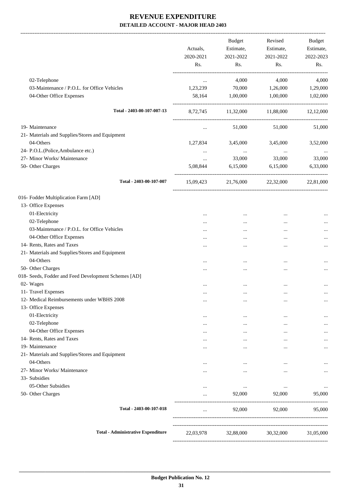-------------------------------------------------------------------------------------------------------------------------------------------------------------------------------

|                                                      | Actuals,<br>2020-2021<br>Rs. | <b>Budget</b><br>Estimate,<br>2021-2022<br>Rs. | Revised<br>Estimate,<br>2021-2022<br>Rs. | <b>Budget</b><br>Estimate,<br>2022-2023<br>Rs. |
|------------------------------------------------------|------------------------------|------------------------------------------------|------------------------------------------|------------------------------------------------|
| 02-Telephone                                         | $\ldots$                     | 4,000                                          | 4,000                                    | 4,000                                          |
| 03-Maintenance / P.O.L. for Office Vehicles          | 1,23,239                     | 70,000                                         | 1,26,000                                 | 1,29,000                                       |
| 04-Other Office Expenses                             | 58,164                       | 1,00,000                                       | 1,00,000                                 | 1,02,000                                       |
| Total - 2403-00-107-007-13                           | 8,72,745                     |                                                | 11,32,000 11,88,000 12,12,000            |                                                |
| 19- Maintenance                                      | $\ldots$                     | 51,000                                         | 51,000                                   | 51,000                                         |
| 21- Materials and Supplies/Stores and Equipment      |                              |                                                |                                          |                                                |
| 04-Others                                            | 1,27,834                     | 3,45,000                                       | 3,45,000                                 | 3,52,000                                       |
| 24- P.O.L.(Police, Ambulance etc.)                   | $\cdots$                     | $\cdots$                                       | $\cdots$                                 |                                                |
| 27- Minor Works/ Maintenance                         | $\cdots$                     | 33,000                                         | 33,000                                   | 33,000                                         |
| 50- Other Charges                                    | 5,08,844                     | 6,15,000                                       | 6,15,000                                 | 6,33,000                                       |
| Total - 2403-00-107-007                              | 15,09,423                    | 21,76,000                                      | 22,32,000                                | 22,81,000                                      |
| 016- Fodder Multiplication Farm [AD]                 |                              |                                                |                                          |                                                |
| 13- Office Expenses                                  |                              |                                                |                                          |                                                |
| 01-Electricity                                       |                              | $\cdots$                                       |                                          |                                                |
| 02-Telephone                                         |                              |                                                |                                          | $\cdots$                                       |
| 03-Maintenance / P.O.L. for Office Vehicles          |                              | $\cdots$                                       |                                          | $\cdots$                                       |
| 04-Other Office Expenses                             |                              |                                                |                                          |                                                |
| 14- Rents, Rates and Taxes                           |                              |                                                |                                          |                                                |
| 21- Materials and Supplies/Stores and Equipment      |                              |                                                |                                          |                                                |
| 04-Others                                            |                              | $\cdots$                                       |                                          |                                                |
| 50- Other Charges                                    |                              |                                                |                                          |                                                |
| 018- Seeds, Fodder and Feed Development Schemes [AD] |                              |                                                |                                          |                                                |
| 02- Wages                                            |                              |                                                |                                          |                                                |
| 11- Travel Expenses                                  |                              |                                                | $\ddotsc$                                |                                                |
| 12- Medical Reimbursements under WBHS 2008           |                              |                                                |                                          | $\cdots$                                       |
| 13- Office Expenses                                  |                              |                                                |                                          |                                                |
| 01-Electricity                                       |                              |                                                |                                          | $\cdots$                                       |
| 02-Telephone                                         |                              |                                                |                                          | $\cdots$                                       |
| 04-Other Office Expenses                             |                              |                                                |                                          |                                                |
| 14- Rents, Rates and Taxes                           |                              |                                                | $\ddotsc$                                |                                                |
| 19- Maintenance                                      |                              |                                                |                                          |                                                |
| 21- Materials and Supplies/Stores and Equipment      |                              |                                                |                                          |                                                |
| 04-Others                                            |                              |                                                |                                          |                                                |
| 27- Minor Works/ Maintenance                         |                              |                                                | $\cdots$                                 | $\cdots$                                       |
| 33- Subsidies                                        |                              |                                                |                                          |                                                |
| 05-Other Subsidies                                   |                              | $\cdots$                                       | $\cdots$                                 |                                                |
| 50- Other Charges                                    |                              | 92,000                                         | 92,000                                   | 95,000                                         |
| Total - 2403-00-107-018                              | $\cdots$                     | 92,000                                         | 92,000                                   | 95,000                                         |
| <b>Total - Administrative Expenditure</b>            | 22,03,978                    | 32,88,000                                      | 30,32,000                                | 31,05,000                                      |
|                                                      |                              |                                                |                                          |                                                |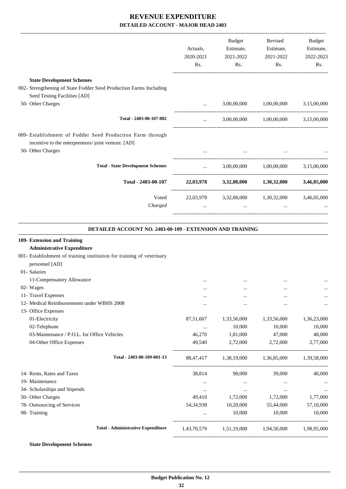|                                                                                                                 |              | Budget    | Revised                                                                                                                                                                                                                               | Budget    |
|-----------------------------------------------------------------------------------------------------------------|--------------|-----------|---------------------------------------------------------------------------------------------------------------------------------------------------------------------------------------------------------------------------------------|-----------|
|                                                                                                                 | Actuals,     | Estimate, | Estimate,                                                                                                                                                                                                                             | Estimate, |
|                                                                                                                 | 2020-2021    | 2021-2022 | 2021-2022                                                                                                                                                                                                                             | 2022-2023 |
|                                                                                                                 | Rs.          | Rs.       | Rs.                                                                                                                                                                                                                                   | Rs.       |
| <b>State Development Schemes</b>                                                                                |              |           |                                                                                                                                                                                                                                       |           |
| 002- Strengthening of State Fodder Seed Production Farms Including                                              |              |           |                                                                                                                                                                                                                                       |           |
| Seed Testing Facilities [AD]                                                                                    |              |           |                                                                                                                                                                                                                                       |           |
| 50- Other Charges                                                                                               | $\cdots$     |           | 3,00,00,000 1,00,00,000 3,15,00,000                                                                                                                                                                                                   |           |
| Total - 2403-00-107-002                                                                                         | $\cdots$     |           | 3,00,00,000 1,00,00,000 3,15,00,000                                                                                                                                                                                                   |           |
| 009- Establishment of Fodder Seed Production Farm through<br>incentive to the enterpreneurs/joint venture. [AD] |              |           |                                                                                                                                                                                                                                       |           |
| 50- Other Charges                                                                                               |              |           | $\mathbf{m}$ and $\mathbf{m}$ are the contract of the contract of the contract of the contract of the contract of the contract of the contract of the contract of the contract of the contract of the contract of the contract of the |           |
| <b>Total - State Development Schemes</b>                                                                        | $\mathbf{r}$ |           | $3,00,00,000$ $1,00,00,000$ $3,15,00,000$                                                                                                                                                                                             |           |
| Total - 2403-00-107                                                                                             |              |           | 22,03,978 3,32,88,000 1,30,32,000 3,46,05,000                                                                                                                                                                                         |           |
| Voted                                                                                                           |              |           | 22,03,978 3,32,88,000 1,30,32,000 3,46,05,000                                                                                                                                                                                         |           |
| Charged                                                                                                         |              |           |                                                                                                                                                                                                                                       |           |
|                                                                                                                 |              |           |                                                                                                                                                                                                                                       |           |

#### **DETAILED ACCOUNT NO. 2403-00-109 - EXTENSION AND TRAINING**

.

| 1,33,56,000<br>1,33,56,000<br>10,000<br>10,000<br>1,81,000<br>47,000<br>49,540 2,72,000 2,72,000 | $\cdots$<br><br>1,36,23,000<br>10,000<br>48,000<br>2,77,000            |
|--------------------------------------------------------------------------------------------------|------------------------------------------------------------------------|
|                                                                                                  |                                                                        |
|                                                                                                  |                                                                        |
|                                                                                                  |                                                                        |
|                                                                                                  |                                                                        |
|                                                                                                  |                                                                        |
|                                                                                                  |                                                                        |
|                                                                                                  |                                                                        |
|                                                                                                  |                                                                        |
|                                                                                                  |                                                                        |
|                                                                                                  |                                                                        |
|                                                                                                  |                                                                        |
|                                                                                                  |                                                                        |
|                                                                                                  |                                                                        |
|                                                                                                  |                                                                        |
| 88,47,417 1,38,19,000 1,36,85,000 1,39,58,000                                                    |                                                                        |
| 38,814 98,000 39,000                                                                             | 40,000                                                                 |
| $\cdots$                                                                                         | $\cdots$                                                               |
| $\cdots$                                                                                         | $\ddots$<br>$\cdots$                                                   |
| 49,410 1,72,000 1,72,000                                                                         | 1,77,000                                                               |
| 10,20,000                                                                                        | 57,10,000                                                              |
| 10,000                                                                                           | 10,000                                                                 |
|                                                                                                  |                                                                        |
|                                                                                                  | 55,44,000<br>10,000<br>1.43.70.579 1.51.19.000 1.94.50.000 1.98.95.000 |

#### **State Development Schemes**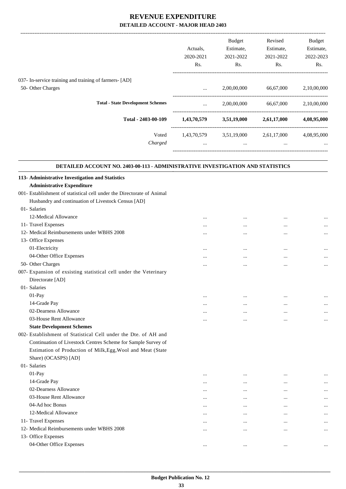-------------------------------------------------------------------------------------------------------------------------------------------------------------------------------

|                                                                                | Actuals.<br>2020-2021<br>Rs. | <b>Budget</b><br>Estimate,<br>2021-2022<br>Rs. | Revised<br>Estimate,<br>2021-2022<br>Rs. | <b>Budget</b><br>Estimate,<br>2022-2023<br>Rs. |
|--------------------------------------------------------------------------------|------------------------------|------------------------------------------------|------------------------------------------|------------------------------------------------|
| 037- In-service training and training of farmers- [AD]                         |                              |                                                |                                          |                                                |
| 50- Other Charges                                                              | $\cdots$                     | 2,00,00,000                                    | 66,67,000                                | 2,10,00,000                                    |
| <b>Total - State Development Schemes</b>                                       | $\cdots$                     | 2,00,00,000                                    | 66,67,000                                | 2,10,00,000                                    |
| Total - 2403-00-109                                                            | 1,43,70,579                  | 3,51,19,000                                    | 2,61,17,000                              | 4,08,95,000                                    |
| Voted<br>Charged                                                               | 1,43,70,579<br>$\cdots$      | 3,51,19,000<br>$\cdots$                        | 2,61,17,000<br>$\cdots$                  | 4,08,95,000<br>$\cdots$                        |
| DETAILED ACCOUNT NO. 2403-00-113 - ADMINISTRATIVE INVESTIGATION AND STATISTICS |                              |                                                |                                          |                                                |

**.**

| 113- Administrative Investigation and Statistics                       |          |           |           |           |
|------------------------------------------------------------------------|----------|-----------|-----------|-----------|
| <b>Administrative Expenditure</b>                                      |          |           |           |           |
| 001- Establishment of statistical cell under the Directorate of Animal |          |           |           |           |
| Husbandry and continuation of Livestock Census [AD]                    |          |           |           |           |
| 01- Salaries                                                           |          |           |           |           |
| 12-Medical Allowance                                                   |          |           |           |           |
| 11- Travel Expenses                                                    |          |           | $\ddotsc$ |           |
| 12- Medical Reimbursements under WBHS 2008                             |          |           | $\cdots$  |           |
| 13- Office Expenses                                                    |          |           |           |           |
| 01-Electricity                                                         | $\cdots$ | $\cdots$  | $\cdots$  | $\ddotsc$ |
| 04-Other Office Expenses                                               |          |           | $\cdots$  |           |
| 50- Other Charges                                                      |          |           |           |           |
| 007- Expansion of exsisting statistical cell under the Veterinary      |          |           |           |           |
| Directorate [AD]                                                       |          |           |           |           |
| 01- Salaries                                                           |          |           |           |           |
| 01-Pay                                                                 |          |           |           |           |
| 14-Grade Pay                                                           |          |           |           | $\ddotsc$ |
| 02-Dearness Allowance                                                  |          |           |           | $\cdots$  |
| 03-House Rent Allowance                                                |          |           |           |           |
| <b>State Development Schemes</b>                                       |          |           |           |           |
| 002- Establishment of Statistical Cell under the Dte. of AH and        |          |           |           |           |
| Continuation of Livestock Centres Scheme for Sample Survey of          |          |           |           |           |
| Estimation of Production of Milk, Egg, Wool and Meat (State            |          |           |           |           |
| Share) (OCASPS) [AD]                                                   |          |           |           |           |
| 01- Salaries                                                           |          |           |           |           |
| 01-Pay                                                                 |          |           |           |           |
| 14-Grade Pay                                                           |          |           | $\cdots$  | $\cdots$  |
| 02-Dearness Allowance                                                  |          |           |           | $\ddotsc$ |
| 03-House Rent Allowance                                                |          | $\ddotsc$ |           | $\ddotsc$ |
| 04-Ad hoc Bonus                                                        |          |           | $\cdots$  |           |
| 12-Medical Allowance                                                   | $\cdots$ | $\ddotsc$ | $\cdots$  | $\cdots$  |
| 11- Travel Expenses                                                    |          |           |           |           |
| 12- Medical Reimbursements under WBHS 2008                             |          | $\cdots$  | $\cdots$  |           |
| 13- Office Expenses                                                    |          |           |           |           |
| 04-Other Office Expenses                                               |          |           | $\cdots$  |           |
|                                                                        |          |           |           |           |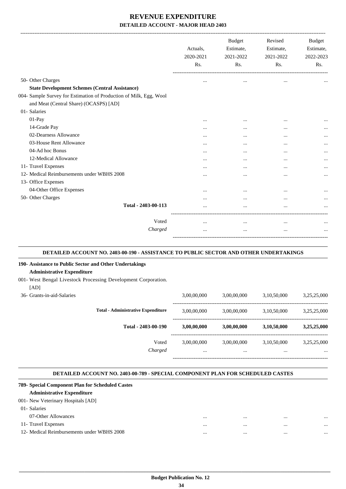|                                                                    | Actuals,<br>2020-2021<br>Rs. | <b>Budget</b><br>Estimate,<br>2021-2022<br>R <sub>s</sub> . | Revised<br>Estimate,<br>2021-2022<br>Rs. | <b>Budget</b><br>Estimate,<br>2022-2023<br>Rs. |
|--------------------------------------------------------------------|------------------------------|-------------------------------------------------------------|------------------------------------------|------------------------------------------------|
| 50- Other Charges                                                  | $\ddotsc$                    | $\cdots$                                                    |                                          |                                                |
| <b>State Development Schemes (Central Assistance)</b>              |                              |                                                             |                                          |                                                |
| 004- Sample Survey for Estimation of Production of Milk, Egg, Wool |                              |                                                             |                                          |                                                |
| and Meat (Central Share) (OCASPS) [AD]                             |                              |                                                             |                                          |                                                |
| 01- Salaries                                                       |                              |                                                             |                                          |                                                |
| $01-Pay$                                                           |                              | $\cdots$                                                    | $\cdots$                                 |                                                |
| 14-Grade Pay                                                       |                              |                                                             | $\cdots$                                 |                                                |
| 02-Dearness Allowance                                              |                              | $\cdots$                                                    | $\ddotsc$                                |                                                |
| 03-House Rent Allowance                                            | $\ddotsc$                    | $\ddotsc$                                                   | $\ddotsc$                                |                                                |
| 04-Ad hoc Bonus                                                    | $\cdots$                     | $\cdots$                                                    | $\cdots$                                 |                                                |
| 12-Medical Allowance                                               | $\cdots$                     | $\cdots$                                                    | $\cdots$                                 |                                                |
| 11- Travel Expenses                                                | $\cdots$                     | $\cdots$                                                    | $\cdots$                                 | $\cdots$                                       |
| 12- Medical Reimbursements under WBHS 2008                         |                              |                                                             |                                          |                                                |
| 13- Office Expenses                                                |                              |                                                             |                                          |                                                |
| 04-Other Office Expenses                                           | $\cdots$                     | $\cdots$                                                    | $\cdots$                                 |                                                |
| 50- Other Charges                                                  | .                            | $\cdots$                                                    | $\cdots$                                 |                                                |
| Total - 2403-00-113                                                |                              |                                                             | $\ddotsc$                                |                                                |
| Voted                                                              | $\cdots$                     | $\cdots$                                                    | $\cdots$                                 | $\cdots$                                       |
| Charged                                                            | $\cdots$                     | $\cdots$                                                    | $\cdots$                                 |                                                |

#### **DETAILED ACCOUNT NO. 2403-00-190 - ASSISTANCE TO PUBLIC SECTOR AND OTHER UNDERTAKINGS**

**.**

.

.

#### **190- Assistance to Public Sector and Other Undertakings**

#### **Administrative Expenditure**

- 001- West Bengal Livestock Processing Development Corporation.
	- $[AD]$

| $1 - 1$<br>36- Grants-in-aid-Salaries |                                           | 3,00,00,000             | 3,00,00,000     | 3,10,50,000     | 3,25,25,000             |
|---------------------------------------|-------------------------------------------|-------------------------|-----------------|-----------------|-------------------------|
|                                       | <b>Total - Administrative Expenditure</b> | 3,00,00,000             | 3,00,00,000     | 3,10,50,000     | 3,25,25,000             |
|                                       | Total - 2403-00-190                       | 3,00,00,000             | 3,00,00,000     | 3,10,50,000     | 3,25,25,000             |
|                                       | Voted<br>Charged                          | 3,00,00,000<br>$\cdots$ | 3,00,00,000<br> | 3,10,50,000<br> | 3,25,25,000<br>$\cdots$ |
|                                       |                                           |                         |                 |                 |                         |

#### **DETAILED ACCOUNT NO. 2403-00-789 - SPECIAL COMPONENT PLAN FOR SCHEDULED CASTES**

| 789- Special Component Plan for Scheduled Castes |          |              |          |
|--------------------------------------------------|----------|--------------|----------|
| <b>Administrative Expenditure</b>                |          |              |          |
| 001- New Veterinary Hospitals [AD]               |          |              |          |
| 01-Salaries                                      |          |              |          |
| 07-Other Allowances                              | $\cdots$ | <br>$\cdots$ | $\cdots$ |
| 11- Travel Expenses                              |          | <br>         |          |
| 12- Medical Reimbursements under WBHS 2008       | $\cdots$ | <br>         | $\cdots$ |
|                                                  |          |              |          |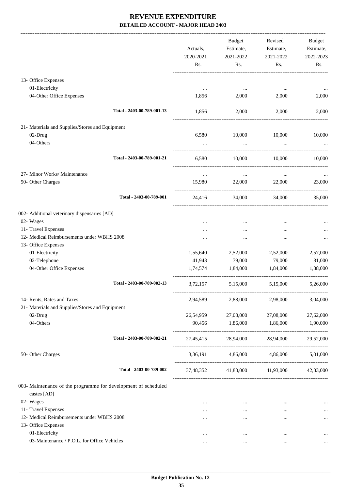|                                                                   | Actuals,<br>2020-2021<br>Rs. | Budget<br>Estimate,<br>2021-2022<br>Rs. | Revised<br>Estimate,<br>2021-2022<br>Rs. | <b>Budget</b><br>Estimate,<br>2022-2023<br>Rs. |
|-------------------------------------------------------------------|------------------------------|-----------------------------------------|------------------------------------------|------------------------------------------------|
| 13- Office Expenses                                               |                              |                                         |                                          |                                                |
| 01-Electricity                                                    |                              |                                         |                                          |                                                |
| 04-Other Office Expenses                                          | 1,856                        | 2,000                                   | 2,000                                    | 2,000                                          |
| Total - 2403-00-789-001-13                                        | 1,856                        | 2,000                                   | 2,000                                    | 2,000                                          |
| 21- Materials and Supplies/Stores and Equipment                   |                              |                                         |                                          |                                                |
| 02-Drug                                                           | 6,580                        | 10,000                                  | 10,000                                   | 10,000                                         |
| 04-Others                                                         |                              | $\cdots$                                |                                          |                                                |
| Total - 2403-00-789-001-21                                        | 6,580                        | 10,000                                  | 10,000                                   | 10,000                                         |
| 27- Minor Works/ Maintenance                                      | $\cdots$                     | $\cdots$                                | $\cdots$                                 |                                                |
| 50- Other Charges                                                 | 15,980                       | 22,000                                  | 22,000                                   | 23,000                                         |
| Total - 2403-00-789-001                                           | 24,416                       | 34,000                                  | 34,000                                   | 35,000                                         |
| 002- Additional veterinary dispensaries [AD]                      |                              |                                         |                                          |                                                |
| 02- Wages                                                         |                              |                                         |                                          |                                                |
| 11- Travel Expenses                                               |                              |                                         |                                          |                                                |
| 12- Medical Reimbursements under WBHS 2008                        |                              |                                         |                                          |                                                |
| 13- Office Expenses                                               |                              |                                         |                                          |                                                |
| 01-Electricity                                                    | 1,55,640                     | 2,52,000                                | 2,52,000                                 | 2,57,000                                       |
| 02-Telephone                                                      | 41,943                       | 79,000                                  | 79,000                                   | 81,000                                         |
| 04-Other Office Expenses                                          | 1,74,574                     | 1,84,000                                | 1,84,000                                 | 1,88,000                                       |
| Total - 2403-00-789-002-13                                        | 3,72,157                     | 5,15,000                                | 5,15,000                                 | 5,26,000                                       |
| 14- Rents, Rates and Taxes                                        | 2,94,589                     | 2,88,000                                | 2,98,000                                 | 3,04,000                                       |
| 21- Materials and Supplies/Stores and Equipment                   |                              |                                         |                                          |                                                |
| 02-Drug                                                           | 26,54,959                    | 27,08,000                               | 27,08,000                                | 27,62,000                                      |
| 04-Others                                                         | 90,456                       | 1,86,000                                | 1,86,000                                 | 1,90,000                                       |
| Total - 2403-00-789-002-21                                        |                              | 27,45,415 28,94,000 28,94,000           |                                          | 29,52,000                                      |
| 50- Other Charges                                                 |                              | 3,36,191 4,86,000 4,86,000 5,01,000     |                                          |                                                |
| Total - 2403-00-789-002                                           |                              | 37,48,352 41,83,000 41,93,000 42,83,000 |                                          |                                                |
| 003- Maintenance of the programme for development of scheduled    |                              |                                         |                                          |                                                |
| castes [AD]                                                       |                              |                                         |                                          |                                                |
| 02- Wages                                                         | $\cdots$                     | $\ldots$                                | $\cdots$                                 | $\cdots$                                       |
| 11- Travel Expenses<br>12- Medical Reimbursements under WBHS 2008 | $\cdots$                     | $\cdots$                                | $\cdots$                                 | $\cdots$                                       |
| 13- Office Expenses                                               | $\cdots$                     | $\cdots$                                | $\cdots$                                 | $\cdots$                                       |
| 01-Electricity                                                    | $\cdots$                     | $\cdots$                                |                                          |                                                |
| 03-Maintenance / P.O.L. for Office Vehicles                       | $\cdots$                     | $\cdots$                                | $\cdots$                                 | $\cdots$                                       |
|                                                                   |                              |                                         |                                          |                                                |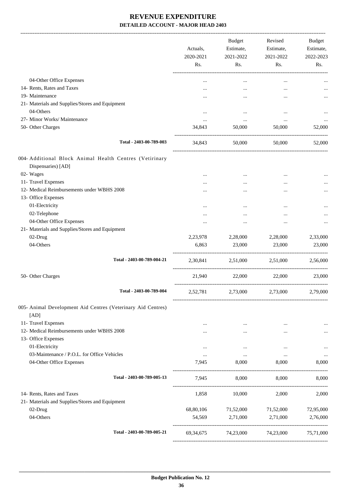-------------------------------------------------------------------------------------------------------------------------------------------------------------------------------

|                                                                               | Actuals,<br>2020-2021<br>Rs. | <b>Budget</b><br>Estimate,<br>2021-2022<br>Rs. | Revised<br>Estimate,<br>2021-2022<br>Rs. | <b>Budget</b><br>Estimate,<br>2022-2023<br>Rs. |
|-------------------------------------------------------------------------------|------------------------------|------------------------------------------------|------------------------------------------|------------------------------------------------|
| 04-Other Office Expenses                                                      |                              | $\cdots$                                       |                                          |                                                |
| 14- Rents, Rates and Taxes                                                    |                              |                                                | $\ddotsc$                                |                                                |
| 19- Maintenance                                                               |                              |                                                |                                          | $\cdots$                                       |
| 21- Materials and Supplies/Stores and Equipment                               |                              |                                                |                                          |                                                |
| 04-Others                                                                     | $\ddotsc$                    |                                                |                                          |                                                |
| 27- Minor Works/ Maintenance                                                  | $\cdots$                     | $\cdots$                                       | $\cdots$                                 |                                                |
| 50- Other Charges                                                             | 34,843                       | 50,000                                         | 50,000                                   | 52,000                                         |
| Total - 2403-00-789-003                                                       | 34,843                       | 50,000                                         | 50,000                                   | 52,000                                         |
| 004- Additional Block Animal Health Centres (Vetirinary<br>Dispensaries) [AD] |                              |                                                |                                          |                                                |
| 02- Wages                                                                     |                              |                                                |                                          |                                                |
| 11- Travel Expenses                                                           |                              |                                                |                                          |                                                |
| 12- Medical Reimbursements under WBHS 2008                                    |                              |                                                |                                          |                                                |
| 13- Office Expenses                                                           |                              |                                                |                                          |                                                |
| 01-Electricity<br>02-Telephone                                                |                              |                                                |                                          |                                                |
| 04-Other Office Expenses                                                      |                              |                                                |                                          |                                                |
| 21- Materials and Supplies/Stores and Equipment                               |                              |                                                |                                          | $\cdots$                                       |
| 02-Drug                                                                       | 2,23,978                     | 2,28,000                                       | 2,28,000                                 | 2,33,000                                       |
| 04-Others                                                                     | 6,863                        | 23,000                                         | 23,000                                   | 23,000                                         |
| Total - 2403-00-789-004-21                                                    | 2,30,841                     | 2.51.000                                       | 2.51.000                                 | 2,56,000                                       |
| 50- Other Charges                                                             | 21,940                       | 22,000                                         | 22,000                                   | 23,000                                         |
| Total - 2403-00-789-004                                                       | 2,52,781                     | 2,73,000                                       | 2,73,000                                 | 2,79,000                                       |
| 005- Animal Development Aid Centres (Veterinary Aid Centres)                  |                              |                                                |                                          |                                                |
| [AD]<br>11- Travel Expenses                                                   |                              |                                                |                                          |                                                |
| 12- Medical Reimbursements under WBHS 2008                                    | $\cdots$                     | $\cdots$                                       | $\ddotsc$<br>                            | $\cdots$                                       |
| 13- Office Expenses                                                           |                              |                                                |                                          |                                                |
| 01-Electricity                                                                |                              | $\cdots$                                       | $\ddotsc$                                |                                                |
| 03-Maintenance / P.O.L. for Office Vehicles                                   | $\cdots$                     | $\ldots$                                       | $\cdots$                                 |                                                |
| 04-Other Office Expenses                                                      | 7.945                        | 8,000                                          | 8,000                                    | 8,000                                          |
| Total - 2403-00-789-005-13                                                    | 7,945                        | 8,000                                          | 8,000                                    | 8,000                                          |
| 14- Rents, Rates and Taxes                                                    | 1,858                        | 10,000                                         | 2,000                                    | 2,000                                          |
| 21- Materials and Supplies/Stores and Equipment<br>02-Drug                    | 68,80,106                    | 71,52,000                                      | 71,52,000                                | 72,95,000                                      |
| 04-Others                                                                     | 54,569                       | 2,71,000                                       | 2,71,000                                 | 2,76,000                                       |
| Total - 2403-00-789-005-21                                                    | 69, 34, 675                  | 74,23,000                                      | 74,23,000                                | 75,71,000                                      |
|                                                                               |                              |                                                |                                          |                                                |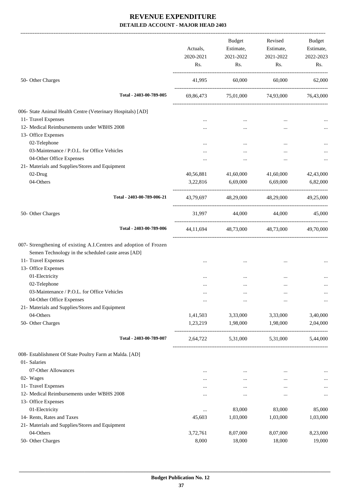|                                                                   |                   | <b>Budget</b>      | Revised             | Budget    |
|-------------------------------------------------------------------|-------------------|--------------------|---------------------|-----------|
|                                                                   | Actuals,          | Estimate,          | Estimate,           | Estimate, |
|                                                                   | 2020-2021         | 2021-2022          | 2021-2022           | 2022-2023 |
|                                                                   | Rs.               | Rs.                | Rs.                 | Rs.       |
| 50- Other Charges                                                 | 41,995            | 60,000             | 60,000              | 62,000    |
| Total - 2403-00-789-005                                           | 69,86,473         |                    | 75,01,000 74,93,000 | 76,43,000 |
| 006- State Animal Health Centre (Veterinary Hospitals) [AD]       |                   |                    |                     |           |
| 11- Travel Expenses                                               |                   |                    |                     |           |
| 12- Medical Reimbursements under WBHS 2008                        |                   |                    |                     |           |
| 13- Office Expenses                                               |                   |                    |                     |           |
|                                                                   |                   |                    |                     |           |
| 02-Telephone<br>03-Maintenance / P.O.L. for Office Vehicles       |                   |                    |                     |           |
|                                                                   |                   |                    |                     |           |
| 04-Other Office Expenses                                          |                   |                    |                     |           |
| 21- Materials and Supplies/Stores and Equipment                   |                   |                    |                     |           |
| 02-Drug                                                           | 40,56,881         | 41,60,000          | 41,60,000           | 42,43,000 |
| 04-Others                                                         | 3,22,816          | 6,69,000           | 6,69,000            | 6,82,000  |
| Total - 2403-00-789-006-21                                        | 43,79,697         | 48,29,000          | 48,29,000           | 49,25,000 |
| 50- Other Charges                                                 | 31,997            | 44,000             | 44,000              | 45,000    |
| Total - 2403-00-789-006                                           | 44,11,694         |                    | 48,73,000 48,73,000 | 49,70,000 |
| 007- Strengthening of existing A.I.Centres and adoption of Frozen |                   |                    |                     |           |
| Semen Technology in the scheduled caste areas [AD]                |                   |                    |                     |           |
| 11- Travel Expenses                                               |                   |                    |                     |           |
| 13- Office Expenses                                               |                   |                    |                     |           |
| 01-Electricity                                                    |                   |                    |                     |           |
| 02-Telephone                                                      |                   |                    |                     |           |
| 03-Maintenance / P.O.L. for Office Vehicles                       |                   |                    |                     |           |
| 04-Other Office Expenses                                          |                   | $\ddotsc$          |                     | $\cdots$  |
| 21- Materials and Supplies/Stores and Equipment                   |                   |                    |                     |           |
| 04-Others                                                         | 1,41,503          | 3,33,000           | 3,33,000            | 3,40,000  |
| 50- Other Charges                                                 | 1,23,219          | 1,98,000           | 1,98,000            | 2,04,000  |
| Total - 2403-00-789-007                                           | 2,64,722          | 5,31,000           | 5,31,000            | 5,44,000  |
| 008- Establishment Of State Poultry Farm at Malda. [AD]           |                   |                    |                     |           |
| 01- Salaries                                                      |                   |                    |                     |           |
| 07-Other Allowances                                               |                   |                    |                     |           |
| 02- Wages                                                         | $\ddotsc$         | $\ddotsc$          |                     |           |
| 11- Travel Expenses                                               |                   | $\cdots$           |                     | $\cdots$  |
| 12- Medical Reimbursements under WBHS 2008                        | $\cdots$          | $\ddotsc$          |                     |           |
| 13- Office Expenses                                               | $\cdots$          |                    |                     | $\cdots$  |
| 01-Electricity                                                    |                   |                    |                     |           |
|                                                                   |                   | 83,000             | 83,000              | 85,000    |
| 14- Rents, Rates and Taxes                                        | 45,603            | 1,03,000           | 1,03,000            | 1,03,000  |
| 21- Materials and Supplies/Stores and Equipment<br>04-Others      |                   |                    |                     |           |
|                                                                   | 3,72,761<br>8,000 | 8,07,000<br>18,000 | 8,07,000            | 8,23,000  |
| 50- Other Charges                                                 |                   |                    | 18,000              | 19,000    |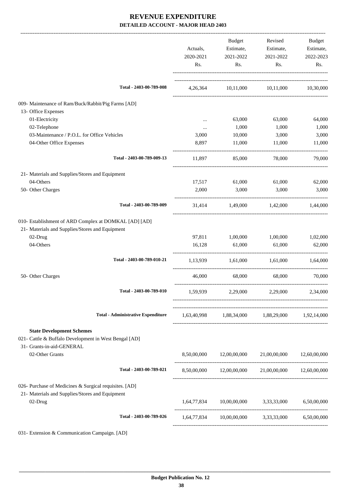|                                                                                                          | Actuals,<br>2020-2021<br>Rs. | Budget<br>Estimate,<br>2021-2022<br>Rs. | Revised<br>Estimate,<br>2021-2022<br>Rs.                                                       | Budget<br>Estimate,<br>2022-2023<br>Rs. |
|----------------------------------------------------------------------------------------------------------|------------------------------|-----------------------------------------|------------------------------------------------------------------------------------------------|-----------------------------------------|
| Total - 2403-00-789-008                                                                                  |                              |                                         | 4,26,364 10,11,000 10,11,000 10,30,000                                                         |                                         |
| 009- Maintenance of Ram/Buck/Rabbit/Pig Farms [AD]                                                       |                              |                                         |                                                                                                |                                         |
| 13- Office Expenses                                                                                      |                              |                                         |                                                                                                |                                         |
| 01-Electricity                                                                                           | $\cdots$                     | 63,000                                  | 63,000                                                                                         | 64,000                                  |
| 02-Telephone                                                                                             | $\cdots$                     | 1,000                                   | 1,000                                                                                          | 1,000                                   |
| 03-Maintenance / P.O.L. for Office Vehicles                                                              | 3,000                        | 10,000                                  | 3,000                                                                                          | 3,000                                   |
| 04-Other Office Expenses                                                                                 | 8,897                        | 11,000                                  | 11,000                                                                                         | 11,000                                  |
| Total - 2403-00-789-009-13                                                                               | 11,897                       | 85,000                                  | 78,000                                                                                         | 79,000                                  |
| 21- Materials and Supplies/Stores and Equipment                                                          |                              |                                         |                                                                                                |                                         |
| 04-Others                                                                                                | 17,517                       | 61,000                                  | 61,000                                                                                         | 62,000                                  |
| 50- Other Charges                                                                                        | 2,000                        | 3,000                                   | 3,000                                                                                          | 3,000                                   |
| Total - 2403-00-789-009                                                                                  | 31,414                       | 1,49,000                                | 1,42,000                                                                                       | 1,44,000                                |
| 010- Establishment of ARD Complex at DOMKAL [AD] [AD]<br>21- Materials and Supplies/Stores and Equipment |                              |                                         |                                                                                                |                                         |
| 02-Drug                                                                                                  | 97,811                       | 1,00,000                                | 1,00,000                                                                                       | 1,02,000                                |
| 04-Others                                                                                                | 16,128                       | 61,000                                  | 61,000                                                                                         | 62,000                                  |
| Total - 2403-00-789-010-21                                                                               |                              |                                         | 1,13,939 1,61,000 1,61,000 1,64,000                                                            |                                         |
| 50- Other Charges                                                                                        | 46,000                       | 68,000                                  | 68,000                                                                                         | 70,000                                  |
| Total - 2403-00-789-010                                                                                  |                              | 1,59,939 2,29,000                       | 2,29,000                                                                                       | 2,34,000                                |
| <b>Total - Administrative Expenditure</b>                                                                |                              |                                         | 1,63,40,998 1,88,34,000 1,88,29,000 1,92,14,000                                                |                                         |
| <b>State Development Schemes</b>                                                                         |                              |                                         |                                                                                                |                                         |
| 021- Cattle & Buffalo Development in West Bengal [AD]                                                    |                              |                                         |                                                                                                |                                         |
| 31- Grants-in-aid-GENERAL                                                                                |                              |                                         |                                                                                                |                                         |
| 02-Other Grants                                                                                          |                              |                                         | $8,50,00,000 \qquad \qquad 12,00,00,000 \qquad \qquad 21,00,00,000 \qquad \qquad 12,60,00,000$ |                                         |
| Total - 2403-00-789-021                                                                                  |                              |                                         | 8,50,00,000 12,00,00,000 21,00,00,000 12,60,00,000                                             |                                         |
| 026- Purchase of Medicines & Surgical requisites. [AD]                                                   |                              |                                         |                                                                                                |                                         |
| 21- Materials and Supplies/Stores and Equipment<br>02-Drug                                               |                              |                                         | 1,64,77,834 10,00,00,000 3,33,33,000 6,50,00,000                                               |                                         |
| Total - 2403-00-789-026                                                                                  |                              |                                         | 1,64,77,834 10,00,00,000 3,33,33,000 6,50,00,000                                               |                                         |
| 031- Extension & Communication Campaign. [AD]                                                            |                              |                                         |                                                                                                |                                         |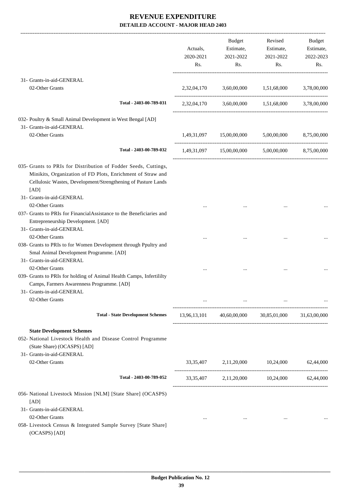|                                                                                                                                                                                                         | Actuals,<br>2020-2021<br>Rs. | Budget<br>Estimate,<br>2021-2022<br>Rs. | Revised<br>Estimate,<br>2021-2022<br>Rs.                                                                          | Budget<br>Estimate,<br>2022-2023<br>Rs. |
|---------------------------------------------------------------------------------------------------------------------------------------------------------------------------------------------------------|------------------------------|-----------------------------------------|-------------------------------------------------------------------------------------------------------------------|-----------------------------------------|
| 31- Grants-in-aid-GENERAL                                                                                                                                                                               |                              |                                         |                                                                                                                   |                                         |
| 02-Other Grants                                                                                                                                                                                         |                              |                                         | 2,32,04,170 3,60,00,000 1,51,68,000 3,78,00,000                                                                   |                                         |
| Total - 2403-00-789-031                                                                                                                                                                                 |                              |                                         | 2,32,04,170 3,60,00,000 1,51,68,000 3,78,00,000                                                                   |                                         |
| 032- Poultry & Small Animal Development in West Bengal [AD]<br>31- Grants-in-aid-GENERAL                                                                                                                |                              |                                         |                                                                                                                   |                                         |
| 02-Other Grants                                                                                                                                                                                         |                              |                                         | $1{,}49{,}31{,}097 \qquad \quad 15{,}00{,}00{,}000 \qquad \quad 5{,}00{,}00{,}000 \qquad \quad 8{,}75{,}00{,}000$ |                                         |
| Total - 2403-00-789-032                                                                                                                                                                                 |                              |                                         | 1,49,31,097 15,00,00,000 5,00,00,000 8,75,00,000                                                                  |                                         |
| 035- Grants to PRIs for Distribution of Fodder Seeds, Cuttings,<br>Minikits, Organization of FD Plots, Enrichment of Straw and<br>Cellulosic Wastes, Development/Strengthening of Pasture Lands<br>[AD] |                              |                                         |                                                                                                                   |                                         |
| 31- Grants-in-aid-GENERAL<br>02-Other Grants                                                                                                                                                            |                              |                                         |                                                                                                                   |                                         |
| 037- Grants to PRIs for FinancialAssistance to the Beneficiaries and<br>Entrepreneurship Development. [AD]<br>31- Grants-in-aid-GENERAL                                                                 |                              |                                         |                                                                                                                   |                                         |
| 02-Other Grants<br>038- Grants to PRIs to for Women Development through Ppultry and<br>Smal Animal Development Programme. [AD]<br>31- Grants-in-aid-GENERAL                                             |                              |                                         |                                                                                                                   |                                         |
| 02-Other Grants<br>039- Grants to PRIs for holding of Animal Health Camps, Infertililty<br>Camps, Farmers Awarenness Programme. [AD]<br>31- Grants-in-aid-GENERAL<br>02-Other Grants                    |                              |                                         |                                                                                                                   |                                         |
|                                                                                                                                                                                                         |                              |                                         |                                                                                                                   |                                         |
| <b>Total - State Development Schemes</b>                                                                                                                                                                |                              |                                         | 13,96,13,101 40,60,00,000 30,85,01,000 31,63,00,000                                                               |                                         |
| <b>State Development Schemes</b><br>052- National Livestock Health and Disease Control Programme<br>(State Share) (OCASPS) [AD]<br>31- Grants-in-aid-GENERAL                                            |                              |                                         |                                                                                                                   |                                         |
| 02-Other Grants                                                                                                                                                                                         |                              |                                         | 33,35,407 2,11,20,000 10,24,000 62,44,000                                                                         |                                         |
| Total - 2403-00-789-052                                                                                                                                                                                 |                              |                                         | 33, 35, 407 2, 11, 20, 000 10, 24, 000 62, 44, 000                                                                |                                         |
| 056- National Livestock Mission [NLM] [State Share] (OCASPS)<br>[AD]<br>31- Grants-in-aid-GENERAL<br>02-Other Grants<br>058- Livestock Census & Integrated Sample Survey [State Share]<br>(OCASPS) [AD] | $\cdots$                     | $\cdots$                                | $\cdots$                                                                                                          |                                         |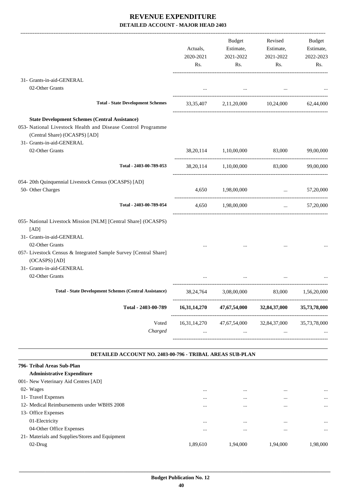|                                                                                                                                                                                     | Actuals,<br>2020-2021<br>Rs. | <b>Budget</b><br>Estimate,<br>2021-2022<br>Rs.     | Revised<br>Estimate,<br>2021-2022<br>Rs.           | Budget<br>Estimate,<br>2022-2023<br>Rs. |
|-------------------------------------------------------------------------------------------------------------------------------------------------------------------------------------|------------------------------|----------------------------------------------------|----------------------------------------------------|-----------------------------------------|
| 31- Grants-in-aid-GENERAL                                                                                                                                                           |                              |                                                    |                                                    |                                         |
| 02-Other Grants                                                                                                                                                                     |                              |                                                    |                                                    |                                         |
| <b>Total - State Development Schemes</b>                                                                                                                                            |                              | 33,35,407 2,11,20,000 10,24,000 62,44,000          |                                                    |                                         |
| <b>State Development Schemes (Central Assistance)</b><br>053- National Livestock Health and Disease Control Programme<br>(Central Share) (OCASPS) [AD]<br>31- Grants-in-aid-GENERAL |                              |                                                    |                                                    |                                         |
| 02-Other Grants                                                                                                                                                                     |                              | 38,20,114 1,10,00,000 83,000 99,00,000             |                                                    |                                         |
| Total - 2403-00-789-053                                                                                                                                                             |                              | 38,20,114 1,10,00,000 83,000 99,00,000             |                                                    |                                         |
| 054- 20th Quinquennial Livestock Census (OCASPS) [AD]<br>50- Other Charges                                                                                                          |                              | 4,650 1,98,00,000                                  | and the state                                      | 57,20,000                               |
| Total - 2403-00-789-054                                                                                                                                                             |                              | 4,650 1,98,00,000                                  | $\mathbf{1}$ , and $\mathbf{1}$ , and $\mathbf{1}$ | 57,20,000                               |
| 055- National Livestock Mission [NLM] [Central Share] (OCASPS)<br>[AD]<br>31- Grants-in-aid-GENERAL                                                                                 |                              |                                                    |                                                    |                                         |
| 02-Other Grants<br>057- Livestock Census & Integrated Sample Survey [Central Share]<br>(OCASPS) [AD]                                                                                |                              |                                                    |                                                    |                                         |
| 31- Grants-in-aid-GENERAL<br>02-Other Grants                                                                                                                                        |                              |                                                    |                                                    |                                         |
| <b>Total - State Development Schemes (Central Assistance)</b>                                                                                                                       | 38, 24, 764                  | 3,08,00,000                                        | 83,000                                             | 1,56,20,000                             |
| Total - 2403-00-789                                                                                                                                                                 | 16,31,14,270                 | 47,67,54,000                                       | 32,84,37,000                                       | 35,73,78,000                            |
| Voted<br>Charged                                                                                                                                                                    |                              | 16,31,14,270 47,67,54,000 32,84,37,000<br>$\cdots$ | $\cdots$                                           | 35,73,78,000                            |

#### **DETAILED ACCOUNT NO. 2403-00-796 - TRIBAL AREAS SUB-PLAN .**

| 796- Tribal Areas Sub-Plan                      |          |          |          |          |
|-------------------------------------------------|----------|----------|----------|----------|
| <b>Administrative Expenditure</b>               |          |          |          |          |
| 001 - New Veterinary Aid Centres [AD]           |          |          |          |          |
| 02- Wages                                       |          | $\cdots$ |          | $\cdots$ |
| 11- Travel Expenses                             |          | $\cdots$ | $\cdots$ | $\cdots$ |
| 12- Medical Reimbursements under WBHS 2008      |          |          |          |          |
| 13- Office Expenses                             |          |          |          |          |
| 01-Electricity                                  |          | $\cdots$ |          |          |
| 04-Other Office Expenses                        | $\cdots$ | $\cdots$ | $\cdots$ | $\cdots$ |
| 21- Materials and Supplies/Stores and Equipment |          |          |          |          |
| 02-Drug                                         | 1.89.610 | 1.94.000 | 1.94.000 | 1.98.000 |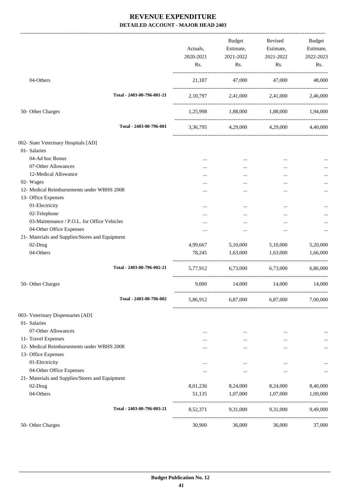|                                                 | Actuals,<br>2020-2021<br>Rs. | <b>Budget</b><br>Estimate,<br>2021-2022<br>Rs. | Revised<br>Estimate,<br>2021-2022<br>Rs. | Budget<br>Estimate,<br>2022-2023<br>Rs. |
|-------------------------------------------------|------------------------------|------------------------------------------------|------------------------------------------|-----------------------------------------|
| 04-Others                                       | 21,187                       | 47,000                                         | 47,000                                   | 48,000                                  |
| Total - 2403-00-796-001-21                      |                              | 2,10,797 2,41,000 2,41,000 2,46,000            |                                          |                                         |
| 50- Other Charges                               |                              | 1,25,998 1,88,000 1,88,000 1,94,000            |                                          |                                         |
| Total - 2403-00-796-001                         |                              | 3,36,795 4,29,000 4,29,000 4,40,000            |                                          |                                         |
| 002- State Veterinary Hospitals [AD]            |                              |                                                |                                          |                                         |
| 01- Salaries                                    |                              |                                                |                                          |                                         |
| 04-Ad hoc Bonus                                 | $\cdots$                     | $\cdots$                                       | $\cdots$                                 |                                         |
| 07-Other Allowances                             |                              | $\cdots$                                       |                                          |                                         |
| 12-Medical Allowance                            |                              |                                                |                                          |                                         |
| 02- Wages                                       |                              |                                                |                                          |                                         |
| 12- Medical Reimbursements under WBHS 2008      | .                            |                                                | $\cdots$                                 |                                         |
| 13- Office Expenses                             |                              |                                                |                                          |                                         |
| 01-Electricity                                  |                              | $\cdots$                                       | $\cdots$                                 |                                         |
| 02-Telephone                                    |                              |                                                |                                          |                                         |
| 03-Maintenance / P.O.L. for Office Vehicles     | $\cdots$                     | $\cdots$                                       |                                          |                                         |
| 04-Other Office Expenses                        |                              |                                                | $\cdots$                                 |                                         |
| 21- Materials and Supplies/Stores and Equipment |                              |                                                |                                          |                                         |
| 02-Drug                                         | 4,99,667                     | 5,10,000                                       | 5,10,000                                 | 5,20,000                                |
| 04-Others                                       | 78,245                       | 1,63,000                                       | 1,63,000                                 | 1,66,000                                |
| Total - 2403-00-796-002-21                      |                              | 5,77,912 6,73,000 6,73,000                     |                                          | 6,86,000                                |
| 50- Other Charges                               | 9,000                        | 14,000                                         | 14,000                                   | 14,000                                  |
| Total - 2403-00-796-002                         | 5,86,912                     | 6,87,000                                       | 6,87,000                                 | 7,00,000                                |
| 003- Veterinary Dispensaries [AD]               |                              |                                                |                                          |                                         |
| 01- Salaries                                    |                              |                                                |                                          |                                         |
| 07-Other Allowances                             |                              | $\cdots$                                       |                                          |                                         |
| 11- Travel Expenses                             |                              | $\cdots$                                       |                                          |                                         |
| 12- Medical Reimbursements under WBHS 2008      |                              | $\cdots$                                       |                                          |                                         |
| 13- Office Expenses                             |                              |                                                |                                          |                                         |
| 01-Electricity                                  | $\cdots$                     |                                                |                                          |                                         |
| 04-Other Office Expenses                        | $\cdots$                     | $\cdots$                                       |                                          |                                         |
| 21- Materials and Supplies/Stores and Equipment |                              |                                                |                                          |                                         |
| 02-Drug                                         | 8,01,236                     | 8,24,000                                       | 8,24,000                                 | 8,40,000                                |
| 04-Others                                       | 51,135                       | 1,07,000                                       | 1,07,000                                 | 1,09,000                                |
|                                                 |                              |                                                |                                          |                                         |
| Total - 2403-00-796-003-21                      | 8,52,371                     | 9,31,000                                       | 9,31,000                                 | 9,49,000                                |
| 50- Other Charges                               | 30,900                       | 36,000                                         | 36,000                                   | 37,000                                  |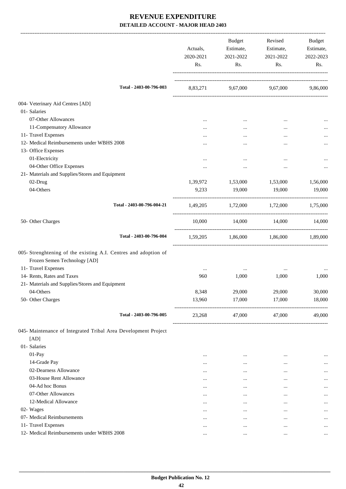|                                                                                                                        | Actuals,<br>2020-2021<br>Rs. | Budget<br>Estimate,<br>2021-2022<br>Rs. | Revised<br>Estimate,<br>2021-2022<br>Rs. | Budget<br>Estimate,<br>2022-2023<br>Rs. |
|------------------------------------------------------------------------------------------------------------------------|------------------------------|-----------------------------------------|------------------------------------------|-----------------------------------------|
| Total - 2403-00-796-003                                                                                                |                              | 8,83,271 9,67,000 9,67,000 9,86,000     |                                          |                                         |
| 004- Veterinary Aid Centres [AD]                                                                                       |                              |                                         |                                          |                                         |
| 01- Salaries                                                                                                           |                              |                                         |                                          |                                         |
| 07-Other Allowances                                                                                                    |                              | $\cdots$                                | $\cdots$                                 |                                         |
| 11-Compensatory Allowance                                                                                              |                              | $\cdots$                                | $\cdots$                                 | $\cdots$                                |
| 11- Travel Expenses                                                                                                    |                              |                                         |                                          |                                         |
| 12- Medical Reimbursements under WBHS 2008                                                                             |                              |                                         |                                          |                                         |
| 13- Office Expenses                                                                                                    |                              |                                         |                                          |                                         |
| 01-Electricity                                                                                                         |                              | $\cdots$                                |                                          |                                         |
| 04-Other Office Expenses                                                                                               |                              |                                         | $\ddotsc$                                |                                         |
| 21- Materials and Supplies/Stores and Equipment                                                                        |                              |                                         |                                          |                                         |
| 02-Drug                                                                                                                | 1,39,972                     | 1,53,000                                | 1,53,000                                 | 1,56,000                                |
| 04-Others                                                                                                              | 9,233                        | 19,000                                  | 19,000                                   | 19,000                                  |
| Total - 2403-00-796-004-21                                                                                             |                              | 1,49,205 1,72,000 1,72,000 1,75,000     |                                          |                                         |
| 50- Other Charges                                                                                                      | 10,000                       | 14,000 14,000 14,000                    |                                          |                                         |
| Total - 2403-00-796-004                                                                                                |                              | 1,59,205 1,86,000 1,86,000 1,89,000     |                                          |                                         |
| 005- Strenghtening of the existing A.I. Centres and adoption of<br>Frozen Semen Technology [AD]<br>11- Travel Expenses |                              |                                         |                                          |                                         |
| 14- Rents, Rates and Taxes                                                                                             | $\cdots$<br>960              | $\cdots$<br>1,000                       | $\cdots$<br>1,000                        | 1,000                                   |
| 21- Materials and Supplies/Stores and Equipment                                                                        |                              |                                         |                                          |                                         |
| 04-Others                                                                                                              | 8,348                        | 29,000                                  | 29,000                                   | 30,000                                  |
| 50- Other Charges                                                                                                      | 13,960                       | 17,000                                  | 17,000                                   | 18,000                                  |
| Total - 2403-00-796-005                                                                                                | 23,268                       | 47,000                                  | 47,000                                   | 49,000                                  |
| 045- Maintenance of Integrated Tribal Area Development Project<br>[AD]                                                 |                              |                                         |                                          |                                         |
| 01- Salaries                                                                                                           |                              |                                         |                                          |                                         |
| 01-Pay                                                                                                                 | $\cdots$                     | $\cdots$                                |                                          | $\cdots$                                |
| 14-Grade Pay                                                                                                           | $\cdots$                     | $\cdots$                                | $\cdots$                                 | $\cdots$                                |
| 02-Dearness Allowance                                                                                                  | $\cdots$                     | $\cdots$                                |                                          | $\cdots$                                |
| 03-House Rent Allowance                                                                                                | $\cdots$                     | $\cdots$                                |                                          | $\cdots$                                |
| 04-Ad hoc Bonus                                                                                                        | $\cdots$                     | $\cdots$                                | $\cdots$                                 | $\cdots$                                |
| 07-Other Allowances                                                                                                    | $\cdots$                     | $\cdots$                                |                                          | $\cdots$                                |
| 12-Medical Allowance                                                                                                   |                              | $\cdots$                                |                                          | $\cdots$                                |
| 02- Wages                                                                                                              | $\cdots$                     | $\cdots$                                | $\cdots$                                 | $\cdots$                                |
| 07- Medical Reimbursements                                                                                             | $\cdots$                     | $\cdots$                                |                                          | $\cdots$                                |
| 11- Travel Expenses                                                                                                    | $\cdots$                     | $\cdots$                                |                                          | $\cdots$                                |
| 12- Medical Reimbursements under WBHS 2008                                                                             | $\cdots$                     | $\cdots$                                |                                          | $\cdots$                                |
|                                                                                                                        |                              |                                         |                                          |                                         |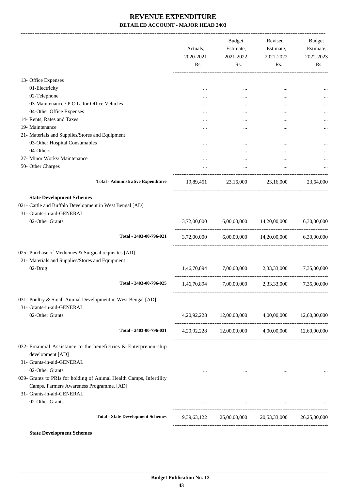|                                                                                                                                                                 | Actuals,<br>2020-2021<br>Rs. | Budget<br>Estimate,<br>2021-2022<br>Rs. | Revised<br>Estimate,<br>2021-2022<br>Rs.                                 | Budget<br>Estimate,<br>2022-2023<br>Rs. |
|-----------------------------------------------------------------------------------------------------------------------------------------------------------------|------------------------------|-----------------------------------------|--------------------------------------------------------------------------|-----------------------------------------|
| 13- Office Expenses                                                                                                                                             |                              |                                         |                                                                          |                                         |
| 01-Electricity                                                                                                                                                  | $\cdots$                     | $\cdots$                                | $\cdots$                                                                 |                                         |
| 02-Telephone                                                                                                                                                    | $\cdots$                     |                                         |                                                                          |                                         |
| 03-Maintenance / P.O.L. for Office Vehicles                                                                                                                     |                              | $\cdots$                                | $\ddotsc$                                                                |                                         |
| 04-Other Office Expenses                                                                                                                                        |                              |                                         | $\ddotsc$                                                                |                                         |
| 14- Rents, Rates and Taxes                                                                                                                                      |                              |                                         | $\ddotsc$                                                                |                                         |
| 19- Maintenance                                                                                                                                                 |                              |                                         |                                                                          |                                         |
| 21- Materials and Supplies/Stores and Equipment                                                                                                                 |                              |                                         |                                                                          |                                         |
| 03-Other Hospital Consumables                                                                                                                                   |                              |                                         |                                                                          |                                         |
| 04-Others                                                                                                                                                       | $\cdots$                     | $\cdots$                                | $\ddotsc$                                                                |                                         |
|                                                                                                                                                                 |                              |                                         | $\ddotsc$                                                                |                                         |
| 27- Minor Works/ Maintenance                                                                                                                                    |                              | $\cdots$                                |                                                                          |                                         |
| 50- Other Charges                                                                                                                                               |                              |                                         |                                                                          |                                         |
| <b>Total - Administrative Expenditure</b>                                                                                                                       |                              |                                         | 19,89,451 23,16,000 23,16,000                                            | 23,64,000                               |
| 021- Cattle and Buffalo Development in West Bengal [AD]<br>31- Grants-in-aid-GENERAL<br>02-Other Grants<br>Total - 2403-00-796-021                              | 3,72,00,000                  | 6,00,00,000                             | 14,20,00,000<br>$3,72,00,000$ $6,00,00,000$ $14,20,00,000$ $6,30,00,000$ | 6,30,00,000                             |
|                                                                                                                                                                 |                              |                                         |                                                                          |                                         |
| 025- Purchase of Medicines & Surgical requisites [AD]                                                                                                           |                              |                                         |                                                                          |                                         |
| 21- Materials and Supplies/Stores and Equipment                                                                                                                 |                              |                                         |                                                                          |                                         |
| 02-Drug                                                                                                                                                         | 1,46,70,894                  |                                         | 7,00,00,000 2,33,33,000                                                  | 7,35,00,000                             |
| Total - 2403-00-796-025                                                                                                                                         | 1,46,70,894                  | 7,00,00,000                             | 2,33,33,000                                                              | 7,35,00,000                             |
| 031- Poultry & Small Animal Development in West Bengal [AD]<br>31- Grants-in-aid-GENERAL<br>02-Other Grants                                                     |                              | 4,20,92,228 12,00,00,000                | 4,00,00,000                                                              | 12,60,00,000                            |
|                                                                                                                                                                 |                              |                                         |                                                                          |                                         |
| Total - 2403-00-796-031                                                                                                                                         |                              |                                         | $4,20,92,228$ $12,00,00,000$ $4,00,00,000$ $12,60,00,000$                |                                         |
| 032- Financial Assistance to the beneficiries & Enterpreneurship<br>development [AD]<br>31- Grants-in-aid-GENERAL                                               |                              |                                         |                                                                          |                                         |
| 02-Other Grants<br>039- Grants to PRIs for holding of Animal Health Camps, Infertility<br>Camps, Farmers Awareness Programme. [AD]<br>31- Grants-in-aid-GENERAL | $\cdots$                     | $\sim 100$ km s $^{-1}$                 | $\cdots$                                                                 |                                         |
| 02-Other Grants                                                                                                                                                 |                              |                                         |                                                                          |                                         |
| <b>Total - State Development Schemes</b>                                                                                                                        | 9,39,63,122                  |                                         | 25,00,00,000 20,53,33,000                                                | 26,25,00,000                            |
|                                                                                                                                                                 |                              |                                         |                                                                          |                                         |

**State Development Schemes**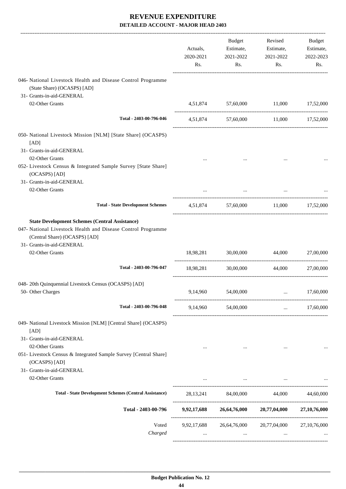|                                                                                                                                                                                                        | Actuals,<br>2020-2021<br>Rs. | Budget<br>Estimate,<br>2021-2022<br>Rs. | Revised<br>Estimate,<br>2021-2022<br>Rs.                                        | Budget<br>Estimate,<br>2022-2023<br>Rs.  |
|--------------------------------------------------------------------------------------------------------------------------------------------------------------------------------------------------------|------------------------------|-----------------------------------------|---------------------------------------------------------------------------------|------------------------------------------|
| 046- National Livestock Health and Disease Control Programme<br>(State Share) (OCASPS) [AD]                                                                                                            |                              |                                         |                                                                                 |                                          |
| 31- Grants-in-aid-GENERAL<br>02-Other Grants                                                                                                                                                           |                              |                                         | 4,51,874 57,60,000 11,000 17,52,000                                             |                                          |
| Total - 2403-00-796-046                                                                                                                                                                                |                              |                                         | 4,51,874 57,60,000 11,000 17,52,000                                             |                                          |
| 050- National Livestock Mission [NLM] [State Share] (OCASPS)<br>[AD]                                                                                                                                   |                              |                                         |                                                                                 |                                          |
| 31- Grants-in-aid-GENERAL<br>02-Other Grants                                                                                                                                                           |                              |                                         |                                                                                 |                                          |
| 052- Livestock Census & Integrated Sample Survey [State Share]<br>(OCASPS) [AD]<br>31- Grants-in-aid-GENERAL                                                                                           |                              |                                         |                                                                                 |                                          |
| 02-Other Grants                                                                                                                                                                                        |                              |                                         |                                                                                 |                                          |
| <b>Total - State Development Schemes</b>                                                                                                                                                               |                              |                                         | 4,51,874 57,60,000 11,000 17,52,000                                             |                                          |
| <b>State Development Schemes (Central Assistance)</b><br>047- National Livestock Health and Disease Control Programme<br>(Central Share) (OCASPS) [AD]<br>31- Grants-in-aid-GENERAL<br>02-Other Grants |                              | 18,98,281 30,00,000                     | 44,000                                                                          | 27,00,000                                |
| Total - 2403-00-796-047                                                                                                                                                                                |                              |                                         |                                                                                 |                                          |
|                                                                                                                                                                                                        | 18,98,281                    | 30,00,000                               | 44.000                                                                          | 27,00,000                                |
| 048-20th Quinquennial Livestock Census (OCASPS) [AD]<br>50- Other Charges                                                                                                                              | 9,14,960                     | 54,00,000                               |                                                                                 | 17,60,000                                |
| Total - 2403-00-796-048                                                                                                                                                                                |                              | 9,14,960 54,00,000                      |                                                                                 | 17,60,000<br><b>Section</b> of the state |
| 049- National Livestock Mission [NLM] [Central Share] (OCASPS)<br>[AD]                                                                                                                                 |                              |                                         |                                                                                 |                                          |
| 31- Grants-in-aid-GENERAL<br>02-Other Grants<br>051- Livestock Census & Integrated Sample Survey [Central Share]<br>(OCASPS) [AD]                                                                      | $\cdots$                     |                                         | $\cdots$                                                                        |                                          |
| 31- Grants-in-aid-GENERAL<br>02-Other Grants                                                                                                                                                           |                              |                                         |                                                                                 |                                          |
|                                                                                                                                                                                                        |                              |                                         | the contract of the contract of the contract of the contract of the contract of |                                          |
| <b>Total - State Development Schemes (Central Assistance)</b>                                                                                                                                          |                              |                                         | 28,13,241 84,00,000 44,000 44,60,000                                            |                                          |
| Total - 2403-00-796                                                                                                                                                                                    |                              |                                         | 9,92,17,688 26,64,76,000 20,77,04,000 27,10,76,000                              |                                          |
| Voted<br>Charged                                                                                                                                                                                       | $\cdots$                     | $\cdots$                                | 9,92,17,688 26,64,76,000 20,77,04,000<br>$\cdots$                               | 27, 10, 76, 000                          |
|                                                                                                                                                                                                        |                              |                                         |                                                                                 |                                          |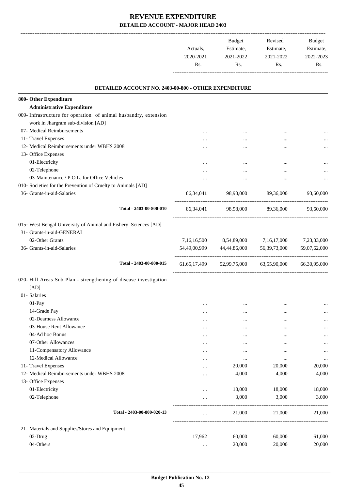|           | <b>Budget</b> | Revised   | <b>Budget</b> |
|-----------|---------------|-----------|---------------|
| Actuals.  | Estimate,     | Estimate, | Estimate,     |
| 2020-2021 | 2021-2022     | 2021-2022 | 2022-2023     |
| Rs.       | Rs.           | Rs.       | Rs.           |
|           |               |           |               |

.

| DETAILED ACCOUNT NO. 2403-00-800 - OTHER EXPENDITURE                                         |                 |                               |                 |                 |
|----------------------------------------------------------------------------------------------|-----------------|-------------------------------|-----------------|-----------------|
| 800- Other Expenditure                                                                       |                 |                               |                 |                 |
| <b>Administrative Expenditure</b>                                                            |                 |                               |                 |                 |
| 009- Infrastructure for operation of animal husbandry, extension                             |                 |                               |                 |                 |
| work in Jhargram sub-division [AD]                                                           |                 |                               |                 |                 |
| 07- Medical Reimbursements                                                                   | $\cdots$        | $\cdots$                      | $\cdots$        |                 |
| 11- Travel Expenses                                                                          | $\cdots$        | $\cdots$                      | $\cdots$        |                 |
| 12- Medical Reimbursements under WBHS 2008                                                   | $\cdots$        | $\cdots$                      |                 |                 |
| 13- Office Expenses                                                                          |                 |                               |                 |                 |
| 01-Electricity                                                                               | $\cdots$        | $\cdots$                      |                 |                 |
| 02-Telephone                                                                                 | $\cdots$        | $\cdots$                      | $\cdots$        |                 |
| 03-Maintenance / P.O.L. for Office Vehicles                                                  | $\cdots$        | $\cdots$                      |                 | $\cdots$        |
| 010- Societies for the Prevention of Cruelty to Animals [AD]                                 |                 |                               |                 |                 |
| 36- Grants-in-aid-Salaries                                                                   | 86, 34, 041     | 98,98,000                     | 89,36,000       | 93,60,000       |
| Total - 2403-00-800-010                                                                      |                 | 86,34,041 98,98,000 89,36,000 |                 | 93,60,000       |
| 015- West Bengal University of Animal and Fishery Sciences [AD]<br>31- Grants-in-aid-GENERAL |                 |                               |                 |                 |
| 02-Other Grants                                                                              | 7,16,16,500     | 8,54,89,000                   | 7,16,17,000     | 7,23,33,000     |
| 36- Grants-in-aid-Salaries                                                                   |                 | 54,49,00,999 44,44,86,000     | 56, 39, 73, 000 | 59,07,62,000    |
| Total - 2403-00-800-015                                                                      | 61, 65, 17, 499 | 52,99,75,000                  | 63,55,90,000    | 66, 30, 95, 000 |
| 020- Hill Areas Sub Plan - strengthening of disease investigation                            |                 |                               |                 |                 |
| [AD]                                                                                         |                 |                               |                 |                 |
| 01- Salaries                                                                                 |                 |                               |                 |                 |
| 01-Pay                                                                                       | $\cdots$        | $\cdots$                      | $\cdots$        |                 |
| 14-Grade Pay                                                                                 | $\cdots$        | $\cdots$                      | $\cdots$        | $\ddotsc$       |
| 02-Dearness Allowance                                                                        | $\cdots$        | $\cdots$                      | $\cdots$        |                 |
| 03-House Rent Allowance                                                                      | $\cdots$        | $\cdots$                      | $\cdots$        |                 |
| 04-Ad hoc Bonus                                                                              | $\cdots$        | $\cdots$                      |                 | $\ddotsc$       |
| 07-Other Allowances                                                                          | $\cdots$        |                               |                 | $\ddotsc$       |
| 11-Compensatory Allowance                                                                    | $\cdots$        | $\cdots$                      | $\cdots$        | $\ddotsc$       |
| 12-Medical Allowance                                                                         | $\cdots$        | $\cdots$                      | $\cdots$        | $\ddotsc$       |
| 11- Travel Expenses                                                                          |                 | 20,000                        | 20,000          | 20,000          |
| 12- Medical Reimbursements under WBHS 2008                                                   | $\cdots$        | 4,000                         | 4,000           | 4,000           |
| 13- Office Expenses                                                                          |                 |                               |                 |                 |
| 01-Electricity                                                                               |                 | 18,000                        | 18,000          | 18,000          |
| 02-Telephone                                                                                 |                 | 3,000                         | 3,000           | 3,000           |
| Total - 2403-00-800-020-13                                                                   | $\cdots$        | 21,000                        | 21,000          | 21,000          |
| 21- Materials and Supplies/Stores and Equipment                                              |                 |                               |                 |                 |
| 02-Drug                                                                                      | 17,962          | 60,000                        | 60,000          | 61,000          |
| 04-Others                                                                                    | $\cdots$        | 20,000                        | 20,000          | 20,000          |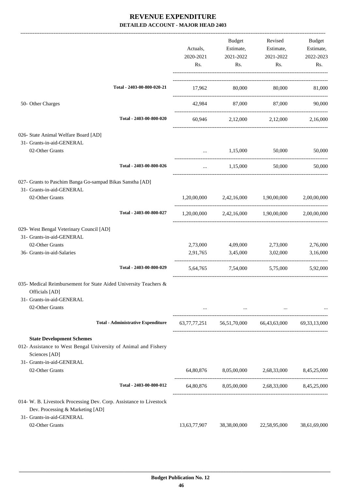|                                                                                                                                                   | Actuals,<br>2020-2021<br>Rs. | Budget<br>Estimate,<br>2021-2022<br>Rs.   | Revised<br>Estimate,<br>2021-2022<br>Rs.                                                            | Budget<br>Estimate,<br>2022-2023<br>Rs. |
|---------------------------------------------------------------------------------------------------------------------------------------------------|------------------------------|-------------------------------------------|-----------------------------------------------------------------------------------------------------|-----------------------------------------|
| Total - 2403-00-800-020-21                                                                                                                        | 17,962                       | 80,000                                    |                                                                                                     | 80,000 81,000                           |
| 50- Other Charges                                                                                                                                 | 42,984                       | 87,000                                    | 87,000                                                                                              | 90,000                                  |
| Total - 2403-00-800-020                                                                                                                           |                              |                                           | 60,946 2,12,000 2,12,000 2,16,000                                                                   |                                         |
| 026- State Animal Welfare Board [AD]<br>31- Grants-in-aid-GENERAL<br>02-Other Grants                                                              |                              | 1,15,000                                  | 50,000                                                                                              | 50,000                                  |
| Total - 2403-00-800-026                                                                                                                           | $\cdots$                     | 1,15,000                                  | 50,000                                                                                              | 50,000                                  |
| 027- Grants to Paschim Banga Go-sampad Bikas Sanstha [AD]<br>31- Grants-in-aid-GENERAL<br>02-Other Grants                                         |                              | $1,20,00,000$ $2,42,16,000$ $1,90,00,000$ |                                                                                                     | 2,00,00,000                             |
| Total - 2403-00-800-027                                                                                                                           | 1,20,00,000                  |                                           | 2,42,16,000 1,90,00,000                                                                             | 2,00,00,000                             |
| 029- West Bengal Veterinary Council [AD]<br>31- Grants-in-aid-GENERAL                                                                             |                              |                                           |                                                                                                     |                                         |
| 02-Other Grants                                                                                                                                   | 2,73,000                     | 4,09,000                                  | 2,73,000                                                                                            | 2,76,000                                |
| 36- Grants-in-aid-Salaries                                                                                                                        | 2,91,765                     | 3,45,000                                  | 3,02,000                                                                                            | 3,16,000                                |
| Total - 2403-00-800-029                                                                                                                           | 5,64,765                     | 7,54,000                                  | 5,75,000                                                                                            | 5,92,000                                |
| 035- Medical Reimbursement for State Aided University Teachers &<br>Officials [AD]<br>31- Grants-in-aid-GENERAL                                   |                              |                                           |                                                                                                     |                                         |
| 02-Other Grants                                                                                                                                   |                              |                                           | and the contract of the contract of the contract of the contract of the contract of the contract of |                                         |
| <b>Total - Administrative Expenditure</b>                                                                                                         |                              |                                           | 63,77,77,251 56,51,70,000 66,43,63,000 69,33,13,000                                                 |                                         |
| <b>State Development Schemes</b><br>012- Assistance to West Bengal University of Animal and Fishery<br>Sciences [AD]<br>31- Grants-in-aid-GENERAL |                              |                                           |                                                                                                     |                                         |
| 02-Other Grants                                                                                                                                   |                              |                                           | 64,80,876 8,05,00,000 2,68,33,000 8,45,25,000                                                       |                                         |
| Total - 2403-00-800-012                                                                                                                           |                              |                                           | 64,80,876 8,05,00,000 2,68,33,000 8,45,25,000                                                       |                                         |
| 014- W. B. Livestock Processing Dev. Corp. Assistance to Livestock<br>Dev. Processing & Marketing [AD]                                            |                              |                                           |                                                                                                     |                                         |
| 31- Grants-in-aid-GENERAL<br>02-Other Grants                                                                                                      | 13,63,77,907                 | 38,38,00,000                              | 22,58,95,000                                                                                        | 38,61,69,000                            |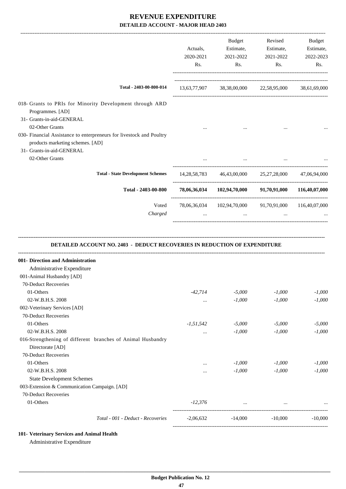|                                                                                                                                                          | Actuals,<br>2020-2021<br>Rs. | Budget<br>Estimate,<br>2021-2022<br>Rs.                               | Revised<br>Estimate,<br>2021-2022<br>Rs. | Budget<br>Estimate,<br>2022-2023<br>Rs. |
|----------------------------------------------------------------------------------------------------------------------------------------------------------|------------------------------|-----------------------------------------------------------------------|------------------------------------------|-----------------------------------------|
| Total - 2403-00-800-014                                                                                                                                  |                              | 13,63,77,907 38,38,00,000 22,58,95,000 38,61,69,000                   |                                          |                                         |
| 018- Grants to PRIs for Minority Development through ARD<br>Programmes. [AD]<br>31- Grants-in-aid-GENERAL                                                |                              |                                                                       |                                          |                                         |
| 02-Other Grants<br>030- Financial Assistance to enterpreneurs for livestock and Poultry<br>products marketing schemes. [AD]<br>31- Grants-in-aid-GENERAL |                              |                                                                       |                                          |                                         |
| 02-Other Grants                                                                                                                                          |                              | $\cdots$                                                              |                                          |                                         |
| <b>Total - State Development Schemes</b>                                                                                                                 |                              | 14, 28, 58, 783   46, 43, 00, 000   25, 27, 28, 000   47, 06, 94, 000 |                                          |                                         |
| Total - 2403-00-800                                                                                                                                      |                              | 78,06,36,034 102,94,70,000 91,70,91,000 116,40,07,000                 |                                          |                                         |
| Voted                                                                                                                                                    |                              | 78,06,36,034 102,94,70,000 91,70,91,000 116,40,07,000                 |                                          |                                         |
| Charged                                                                                                                                                  |                              | and the contract of the con-                                          | $\cdots$                                 |                                         |
| DETAILED ACCOUNT NO. 2403 - DEDUCT RECOVERIES IN REDUCTION OF EXPENDITURE<br>001- Direction and Administration                                           |                              |                                                                       |                                          |                                         |
| Administrative Expenditure                                                                                                                               |                              |                                                                       |                                          |                                         |
| 001-Animal Husbandry [AD]                                                                                                                                |                              |                                                                       |                                          |                                         |
| 70-Deduct Recoveries                                                                                                                                     |                              |                                                                       |                                          |                                         |
| 01-Others<br>02-W.B.H.S. 2008                                                                                                                            | -42,714<br>$\cdots$          | $-5,000$<br>$-1,000$                                                  | $-1,000$<br>$-1,000$                     | $-1,000$<br>$-1,000$                    |
| 002-Veterinary Services [AD]<br>70-Deduct Recoveries                                                                                                     |                              |                                                                       |                                          |                                         |
| 01-Others                                                                                                                                                | $-1, 51, 542$                | $-5,000$                                                              | $-5,000$                                 | $-5,000$                                |
| 02-W.B.H.S. 2008<br>016-Strengthening of different branches of Animal Husbandry<br>Directorate [AD]                                                      | $\cdots$                     | $-1,000$                                                              | $-1,000$                                 | $-1,000$                                |
| 70-Deduct Recoveries                                                                                                                                     |                              |                                                                       |                                          |                                         |
| 01-Others                                                                                                                                                | $\cdots$                     | $-1,000$                                                              | $-1,000$                                 | $-1,000$                                |
| 02-W.B.H.S. 2008                                                                                                                                         | $\cdots$                     | $-1,000$                                                              | $-1,000$                                 | $-1,000$                                |
| <b>State Development Schemes</b><br>003-Extension & Communication Campaign. [AD]                                                                         |                              |                                                                       |                                          |                                         |
| 70-Deduct Recoveries<br>01-Others                                                                                                                        | $-12,376$                    | $\cdots$                                                              | $\cdots$                                 |                                         |

**<sup>101-</sup> Veterinary Services and Animal Health**

Administrative Expenditure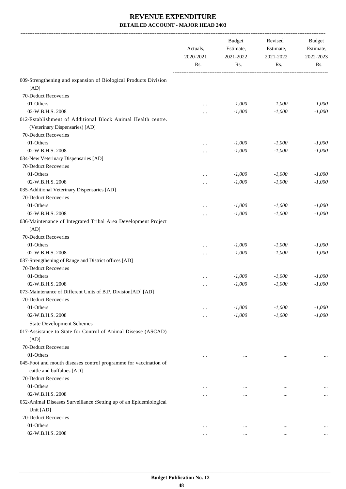|                                                                                               | Actuals,<br>2020-2021<br>Rs. | <b>Budget</b><br>Estimate,<br>2021-2022<br>Rs. | Revised<br>Estimate,<br>2021-2022<br>Rs. | Budget<br>Estimate,<br>2022-2023<br>Rs. |
|-----------------------------------------------------------------------------------------------|------------------------------|------------------------------------------------|------------------------------------------|-----------------------------------------|
| 009-Strengthening and expansion of Biological Products Division                               |                              |                                                |                                          |                                         |
| [AD]                                                                                          |                              |                                                |                                          |                                         |
| 70-Deduct Recoveries                                                                          |                              |                                                |                                          |                                         |
| 01-Others                                                                                     | $\ddotsc$                    | $-1,000$                                       | $-1,000$                                 | $-1,000$                                |
| 02-W.B.H.S. 2008                                                                              |                              | $-1,000$                                       | $-1,000$                                 | $-1,000$                                |
| 012-Establishment of Additional Block Animal Health centre.<br>(Veterinary Dispensaries) [AD] |                              |                                                |                                          |                                         |
| 70-Deduct Recoveries                                                                          |                              |                                                |                                          |                                         |
| 01-Others                                                                                     |                              | $-1,000$                                       | $-1,000$                                 | $-1,000$                                |
| 02-W.B.H.S. 2008                                                                              |                              | $-1,000$                                       | $-1,000$                                 | $-1,000$                                |
| 034-New Veterinary Dispensaries [AD]                                                          |                              |                                                |                                          |                                         |
| 70-Deduct Recoveries                                                                          |                              |                                                |                                          |                                         |
| 01-Others                                                                                     |                              | $-1,000$                                       | $-1,000$                                 | $-1,000$                                |
| 02-W.B.H.S. 2008                                                                              |                              | $-1,000$                                       | $-1,000$                                 | $-1,000$                                |
| 035-Additional Veterinary Dispensaries [AD]                                                   |                              |                                                |                                          |                                         |
| 70-Deduct Recoveries                                                                          |                              |                                                |                                          |                                         |
| 01-Others                                                                                     |                              | $-1,000$                                       | $-1,000$                                 | $-1,000$                                |
| 02-W.B.H.S. 2008                                                                              |                              | $-1,000$                                       | $-1,000$                                 | $-1,000$                                |
| 036-Maintenance of Integrated Tribal Area Development Project<br>[AD]                         |                              |                                                |                                          |                                         |
| 70-Deduct Recoveries                                                                          |                              |                                                |                                          |                                         |
| 01-Others                                                                                     |                              | $-1,000$                                       | $-1,000$                                 | $-1,000$                                |
| 02-W.B.H.S. 2008                                                                              |                              | $-1,000$                                       | $-1,000$                                 | $-1,000$                                |
| 037-Strengthening of Range and District offices [AD]                                          |                              |                                                |                                          |                                         |
| 70-Deduct Recoveries                                                                          |                              |                                                |                                          |                                         |
| 01-Others                                                                                     |                              | $-1,000$                                       | $-1,000$                                 | $-1,000$                                |
| 02-W.B.H.S. 2008                                                                              |                              | $-1,000$                                       | $-1,000$                                 | $-1,000$                                |
| 073-Maintenance of Different Units of B.P. Division[AD] [AD]                                  |                              |                                                |                                          |                                         |
| 70-Deduct Recoveries                                                                          |                              |                                                |                                          |                                         |
| 01-Others                                                                                     | $\cdots$                     | $-1,000$                                       | $-1,000$                                 | $-1,000$                                |
| 02-W.B.H.S. 2008                                                                              |                              | $-1,000$                                       | $-1,000$                                 | $-1,000$                                |
| <b>State Development Schemes</b>                                                              |                              |                                                |                                          |                                         |
| 017-Assistance to State for Control of Animal Disease (ASCAD)                                 |                              |                                                |                                          |                                         |
| [AD]                                                                                          |                              |                                                |                                          |                                         |
| 70-Deduct Recoveries                                                                          |                              |                                                |                                          |                                         |
| 01-Others                                                                                     |                              |                                                |                                          |                                         |
| 045-Foot and mouth diseases control programme for vaccination of                              |                              |                                                |                                          |                                         |
| cattle and buffaloes [AD]                                                                     |                              |                                                |                                          |                                         |
| 70-Deduct Recoveries                                                                          |                              |                                                |                                          |                                         |
| 01-Others                                                                                     |                              |                                                |                                          |                                         |
| 02-W.B.H.S. 2008                                                                              |                              |                                                | $\ddotsc$                                | $\cdots$                                |
| 052-Animal Diseases Surveillance : Setting up of an Epidemiological                           |                              |                                                |                                          |                                         |
| Unit [AD]                                                                                     |                              |                                                |                                          |                                         |
| 70-Deduct Recoveries                                                                          |                              |                                                |                                          |                                         |
| 01-Others                                                                                     | $\ddotsc$                    | $\ddotsc$                                      | $\ddotsc$                                |                                         |
| 02-W.B.H.S. 2008                                                                              |                              | $\cdots$                                       | $\ddotsc$                                |                                         |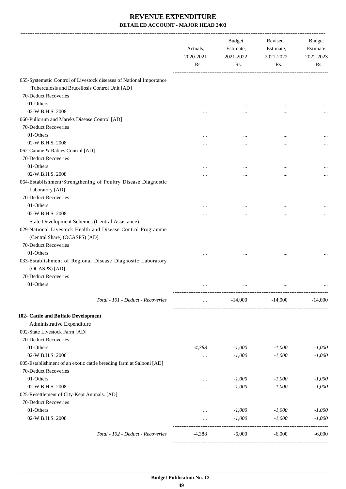|                                                                     | Actuals,<br>2020-2021<br>Rs. | Budget<br>Estimate,<br>2021-2022<br>Rs. | Revised<br>Estimate,<br>2021-2022<br>Rs. | Budget<br>Estimate,<br>2022-2023<br>Rs. |
|---------------------------------------------------------------------|------------------------------|-----------------------------------------|------------------------------------------|-----------------------------------------|
| 055-Systemetic Control of Livestock diseases of National Importance |                              |                                         |                                          |                                         |
| :Tuberculosis and Brucellosis Control Unit [AD]                     |                              |                                         |                                          |                                         |
| 70-Deduct Recoveries                                                |                              |                                         |                                          |                                         |
| 01-Others                                                           | $\cdots$                     | $\cdots$                                |                                          |                                         |
| 02-W.B.H.S. 2008                                                    |                              |                                         |                                          |                                         |
| 060-Pullorum and Mareks Disease Control [AD]                        |                              |                                         |                                          |                                         |
| 70-Deduct Recoveries                                                |                              |                                         |                                          |                                         |
| 01-Others                                                           |                              |                                         |                                          |                                         |
| 02-W.B.H.S. 2008                                                    |                              | $\cdots$                                |                                          |                                         |
| 062-Canine & Rabies Control [AD]                                    |                              |                                         |                                          |                                         |
| 70-Deduct Recoveries                                                |                              |                                         |                                          |                                         |
| 01-Others                                                           |                              |                                         |                                          |                                         |
| 02-W.B.H.S. 2008                                                    |                              | $\cdots$                                |                                          |                                         |
| 064-Establishment/Strengthening of Poultry Disease Diagnostic       |                              |                                         |                                          |                                         |
| Laboratory [AD]                                                     |                              |                                         |                                          |                                         |
| 70-Deduct Recoveries                                                |                              |                                         |                                          |                                         |
| 01-Others                                                           |                              |                                         |                                          |                                         |
| 02-W.B.H.S. 2008                                                    |                              |                                         |                                          |                                         |
| State Development Schemes (Central Assistance)                      |                              |                                         |                                          |                                         |
| 029-National Livestock Health and Disease Control Programme         |                              |                                         |                                          |                                         |
| (Central Share) (OCASPS) [AD]                                       |                              |                                         |                                          |                                         |
| 70-Deduct Recoveries                                                |                              |                                         |                                          |                                         |
| 01-Others                                                           |                              |                                         |                                          |                                         |
| 033-Establishment of Regional Disease Diagnostic Laboratory         |                              |                                         |                                          |                                         |
| (OCASPS) [AD]                                                       |                              |                                         |                                          |                                         |
| 70-Deduct Recoveries                                                |                              |                                         |                                          |                                         |
| 01-Others                                                           |                              |                                         |                                          |                                         |
|                                                                     | $\cdots$                     | $\cdots$                                | $\ddotsc$                                |                                         |
| Total - 101 - Deduct - Recoveries                                   | $\cdots$                     | $-14,000$                               | $-14,000$                                | $-14,000$                               |
| 102- Cattle and Buffalo Development                                 |                              |                                         |                                          |                                         |
| Administrative Expenditure                                          |                              |                                         |                                          |                                         |
| 002-State Livestock Farm [AD]                                       |                              |                                         |                                          |                                         |
| 70-Deduct Recoveries                                                |                              |                                         |                                          |                                         |
| 01-Others                                                           | $-4,388$                     | $-1,000$                                | $-1,000$                                 | $-1,000$                                |
| 02-W.B.H.S. 2008                                                    |                              | $-1,000$                                | $-1,000$                                 | $-1,000$                                |
| 005-Establishment of an exotic cattle breeding farm at Salboni [AD] |                              |                                         |                                          |                                         |
| 70-Deduct Recoveries                                                |                              |                                         |                                          |                                         |
| 01-Others                                                           |                              | $-1,000$                                | $-1,000$                                 | $-1,000$                                |
| 02-W.B.H.S. 2008                                                    | $\cdots$                     | $-1,000$                                | $-1,000$                                 | $-1,000$                                |
| 025-Resettlement of City-Kept Animals. [AD]                         |                              |                                         |                                          |                                         |
| 70-Deduct Recoveries                                                |                              |                                         |                                          |                                         |
| 01-Others                                                           |                              | $-1,000$                                | $-1,000$                                 | $-1,000$                                |
| 02-W.B.H.S. 2008                                                    | $\cdots$                     | $-1,000$                                | $-1,000$                                 | $-1,000$                                |
|                                                                     |                              |                                         |                                          |                                         |
| Total - 102 - Deduct - Recoveries                                   | $-4,388$                     | $-6,000$                                | $-6,000$                                 | $-6,000$                                |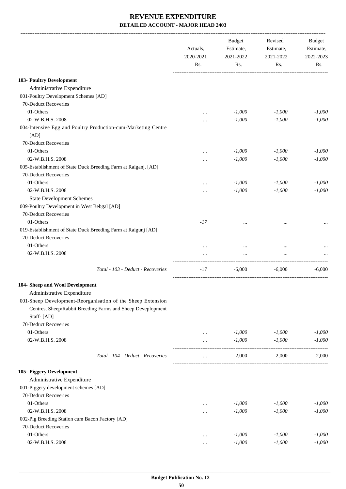|                                                                       | Actuals,<br>2020-2021<br>Rs. | <b>Budget</b><br>Estimate,<br>2021-2022<br>Rs. | Revised<br>Estimate,<br>2021-2022<br>Rs. | <b>Budget</b><br>Estimate,<br>2022-2023<br>Rs. |
|-----------------------------------------------------------------------|------------------------------|------------------------------------------------|------------------------------------------|------------------------------------------------|
| 103- Poultry Development                                              |                              |                                                |                                          |                                                |
| Administrative Expenditure                                            |                              |                                                |                                          |                                                |
|                                                                       |                              |                                                |                                          |                                                |
| 001-Poultry Development Schemes [AD]                                  |                              |                                                |                                          |                                                |
| 70-Deduct Recoveries                                                  |                              |                                                |                                          |                                                |
| 01-Others                                                             | $\cdots$                     | $-1,000$                                       | $-1,000$                                 | $-1,000$                                       |
| 02-W.B.H.S. 2008                                                      | $\cdots$                     | $-1,000$                                       | $-1,000$                                 | $-1,000$                                       |
| 004-Intensive Egg and Poultry Production-cum-Marketing Centre<br>[AD] |                              |                                                |                                          |                                                |
| 70-Deduct Recoveries                                                  |                              |                                                |                                          |                                                |
| 01-Others                                                             | $\cdots$                     | $-1,000$                                       | $-1,000$                                 | $-1,000$                                       |
| 02-W.B.H.S. 2008                                                      | $\cdots$                     | $-1,000$                                       | $-1,000$                                 | $-1,000$                                       |
| 005-Establishment of State Duck Breeding Farm at Raiganj. [AD]        |                              |                                                |                                          |                                                |
| 70-Deduct Recoveries                                                  |                              |                                                |                                          |                                                |
| 01-Others                                                             |                              | $-1,000$                                       | $-1,000$                                 | $-1,000$                                       |
| 02-W.B.H.S. 2008                                                      |                              | $-1,000$                                       | $-1,000$                                 | $-1,000$                                       |
| <b>State Development Schemes</b>                                      |                              |                                                |                                          |                                                |
| 009-Poultry Development in West Bebgal [AD]                           |                              |                                                |                                          |                                                |
| 70-Deduct Recoveries                                                  |                              |                                                |                                          |                                                |
| 01-Others                                                             | $-17$                        |                                                |                                          |                                                |
| 019-Establishment of State Duck Breeding Farm at Raigunj [AD]         |                              |                                                |                                          |                                                |
| 70-Deduct Recoveries                                                  |                              |                                                |                                          |                                                |
| 01-Others                                                             |                              |                                                | $\cdots$                                 |                                                |
| 02-W.B.H.S. 2008                                                      |                              |                                                |                                          |                                                |
| Total - 103 - Deduct - Recoveries                                     | $-17$                        | $-6,000$                                       | $-6,000$                                 | $-6,000$                                       |
| 104- Sheep and Wool Development                                       |                              |                                                |                                          |                                                |
| Administrative Expenditure                                            |                              |                                                |                                          |                                                |
| 001-Sheep Development-Reorganisation of the Sheep Extension           |                              |                                                |                                          |                                                |
| Centres, Sheep/Rabbit Breeding Farms and Sheep Deveplopment           |                              |                                                |                                          |                                                |
| Staff-[AD]                                                            |                              |                                                |                                          |                                                |
| 70-Deduct Recoveries                                                  |                              |                                                |                                          |                                                |
| 01-Others                                                             | $\cdots$                     | $-1,000$                                       | $-1,000$                                 | $-1,000$                                       |
| 02-W.B.H.S. 2008                                                      | $\cdots$                     | $-1,000$                                       | $-1,000$                                 | $-1,000$                                       |
| Total - 104 - Deduct - Recoveries                                     | $\cdots$                     | $-2,000$                                       | $-2,000$                                 | $-2,000$                                       |
| 105- Piggery Development                                              |                              |                                                |                                          |                                                |
| Administrative Expenditure                                            |                              |                                                |                                          |                                                |
| 001-Piggery development schemes [AD]                                  |                              |                                                |                                          |                                                |
| 70-Deduct Recoveries                                                  |                              |                                                |                                          |                                                |
| 01-Others                                                             | $\cdots$                     | $-1,000$                                       | $-1,000$                                 | $-1,000$                                       |
| 02-W.B.H.S. 2008                                                      | $\cdots$                     | $-1,000$                                       | $-1,000$                                 | $-1,000$                                       |
| 002-Pig Breeding Station cum Bacon Factory [AD]                       |                              |                                                |                                          |                                                |
| 70-Deduct Recoveries                                                  |                              |                                                |                                          |                                                |
| 01-Others                                                             | $\cdots$                     | $-1,000$                                       | $-1,000$                                 | $-1,000$                                       |
| 02-W.B.H.S. 2008                                                      | $\cdots$                     | $-1,000$                                       | $-1,000$                                 | $-1,000$                                       |
|                                                                       |                              |                                                |                                          |                                                |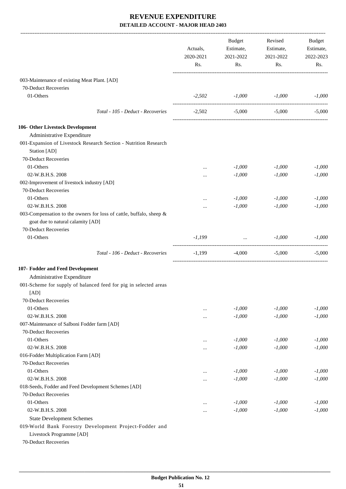|                                                                                                          | Actuals,<br>2020-2021<br>Rs. |                                        | Budget<br>Revised<br>Estimate,<br>Estimate,<br>2021-2022<br>2021-2022 |          |  |  | Budget<br>Estimate,<br>2022-2023 |
|----------------------------------------------------------------------------------------------------------|------------------------------|----------------------------------------|-----------------------------------------------------------------------|----------|--|--|----------------------------------|
|                                                                                                          |                              | Rs.                                    | Rs.                                                                   | Rs.      |  |  |                                  |
| 003-Maintenance of existing Meat Plant. [AD]                                                             |                              |                                        |                                                                       |          |  |  |                                  |
| 70-Deduct Recoveries                                                                                     |                              |                                        |                                                                       |          |  |  |                                  |
| 01-Others                                                                                                |                              | $-2,502$ $-1,000$ $-1,000$             |                                                                       | $-1,000$ |  |  |                                  |
|                                                                                                          |                              |                                        |                                                                       |          |  |  |                                  |
| Total - 105 - Deduct - Recoveries                                                                        | $-2,502$                     | $-5,000$                               | $-5,000$                                                              | $-5,000$ |  |  |                                  |
| 106- Other Livestock Development                                                                         |                              |                                        |                                                                       |          |  |  |                                  |
| Administrative Expenditure                                                                               |                              |                                        |                                                                       |          |  |  |                                  |
| 001-Expansion of Livestock Research Section - Nutrition Research<br>Station [AD]                         |                              |                                        |                                                                       |          |  |  |                                  |
| 70-Deduct Recoveries                                                                                     |                              |                                        |                                                                       |          |  |  |                                  |
| 01-Others                                                                                                |                              | $-1,000$                               | $-1,000$                                                              | $-1,000$ |  |  |                                  |
| 02-W.B.H.S. 2008                                                                                         |                              | $-1,000$                               | $-1,000$                                                              | $-1,000$ |  |  |                                  |
| 002-Improvement of livestock industry [AD]                                                               |                              |                                        |                                                                       |          |  |  |                                  |
| 70-Deduct Recoveries                                                                                     |                              |                                        |                                                                       |          |  |  |                                  |
| 01-Others                                                                                                | $\cdots$                     | $-1,000$                               | $-1,000$                                                              | $-1,000$ |  |  |                                  |
| 02-W.B.H.S. 2008                                                                                         | .                            | $-1,000$                               | $-1,000$                                                              | $-1,000$ |  |  |                                  |
| 003-Compensation to the owners for loss of cattle, buffalo, sheep &<br>goat due to natural calamity [AD] |                              |                                        |                                                                       |          |  |  |                                  |
| 70-Deduct Recoveries                                                                                     |                              |                                        |                                                                       |          |  |  |                                  |
| 01-Others                                                                                                | $-1,199$                     | $\mathbf{r}$ . The set of $\mathbf{r}$ | $-1,000$                                                              | $-1,000$ |  |  |                                  |
| Total - 106 - Deduct - Recoveries                                                                        | -1,199                       | $-4,000$                               | $-5,000$                                                              | $-5,000$ |  |  |                                  |
| 107- Fodder and Feed Development                                                                         |                              |                                        |                                                                       |          |  |  |                                  |
| Administrative Expenditure                                                                               |                              |                                        |                                                                       |          |  |  |                                  |
| 001-Scheme for supply of balanced feed for pig in selected areas                                         |                              |                                        |                                                                       |          |  |  |                                  |
| [AD]                                                                                                     |                              |                                        |                                                                       |          |  |  |                                  |
| 70-Deduct Recoveries                                                                                     |                              |                                        |                                                                       |          |  |  |                                  |
| 01-Others                                                                                                |                              | $-1,000$                               | $-1,000$                                                              | $-1,000$ |  |  |                                  |
| 02-W.B.H.S. 2008                                                                                         |                              | $-1,000$                               | $-1,000$                                                              | $-1,000$ |  |  |                                  |
| 007-Maintenance of Salboni Fodder farm [AD]                                                              |                              |                                        |                                                                       |          |  |  |                                  |
| 70-Deduct Recoveries                                                                                     |                              |                                        |                                                                       |          |  |  |                                  |
| 01-Others                                                                                                | $\cdots$                     | $-1,000$                               | $-1,000$                                                              | $-1,000$ |  |  |                                  |
| 02-W.B.H.S. 2008<br>016-Fodder Multiplication Farm [AD]                                                  |                              | $-1,000$                               | $-1,000$                                                              | $-1,000$ |  |  |                                  |
| 70-Deduct Recoveries                                                                                     |                              |                                        |                                                                       |          |  |  |                                  |
| 01-Others                                                                                                |                              | $-1,000$                               | $-1,000$                                                              | $-1,000$ |  |  |                                  |
| 02-W.B.H.S. 2008                                                                                         | <br>                         | $-1,000$                               | $-1,000$                                                              | $-1,000$ |  |  |                                  |
| 018-Seeds, Fodder and Feed Development Schemes [AD]                                                      |                              |                                        |                                                                       |          |  |  |                                  |
| 70-Deduct Recoveries                                                                                     |                              |                                        |                                                                       |          |  |  |                                  |
| 01-Others                                                                                                |                              | $-1,000$                               | $-1,000$                                                              | $-1,000$ |  |  |                                  |
| 02-W.B.H.S. 2008                                                                                         | $\cdots$                     | $-1,000$                               | $-1,000$                                                              | $-1,000$ |  |  |                                  |
| <b>State Development Schemes</b>                                                                         |                              |                                        |                                                                       |          |  |  |                                  |
| 019-World Bank Forestry Development Project-Fodder and                                                   |                              |                                        |                                                                       |          |  |  |                                  |
| Livestock Programme [AD]                                                                                 |                              |                                        |                                                                       |          |  |  |                                  |
| 70-Deduct Recoveries                                                                                     |                              |                                        |                                                                       |          |  |  |                                  |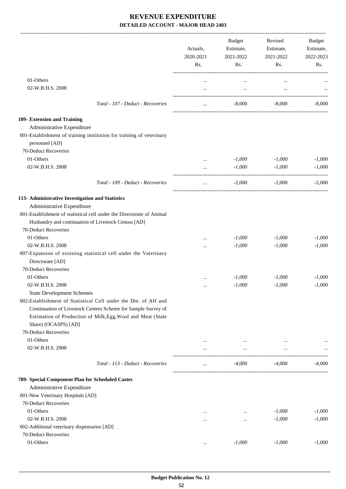|                                                                                                                              | Actuals,<br>2020-2021<br>Rs. | Budget<br>Estimate,<br>2021-2022<br>Rs. | Revised<br>Estimate,<br>2021-2022<br>Rs. | <b>Budget</b><br>Estimate,<br>2022-2023<br>Rs. |
|------------------------------------------------------------------------------------------------------------------------------|------------------------------|-----------------------------------------|------------------------------------------|------------------------------------------------|
| 01-Others                                                                                                                    |                              |                                         |                                          |                                                |
| 02-W.B.H.S. 2008                                                                                                             | $\cdots$<br>$\cdots$         | $\cdots$<br>$\cdots$                    | $\cdots$                                 |                                                |
| Total - 107 - Deduct - Recoveries                                                                                            | $\cdots$                     | $-8,000$                                | -8.000                                   | $-8,000$                                       |
| 109- Extension and Training                                                                                                  |                              |                                         |                                          |                                                |
| Administrative Expenditure<br>001-Establishment of training institution for training of veterinary<br>personnel [AD]         |                              |                                         |                                          |                                                |
| 70-Deduct Recoveries                                                                                                         |                              |                                         |                                          |                                                |
| 01-Others                                                                                                                    | $\cdots$                     | $-1,000$                                | $-1,000$                                 | $-1,000$                                       |
| 02-W.B.H.S. 2008                                                                                                             | $\cdots$                     | $-1,000$                                | $-1,000$                                 | $-1,000$                                       |
| Total - 109 - Deduct - Recoveries                                                                                            | $\cdots$                     | $-2,000$                                | $-2,000$                                 | $-2,000$                                       |
| 113- Administrative Investigation and Statistics                                                                             |                              |                                         |                                          |                                                |
| Administrative Expenditure                                                                                                   |                              |                                         |                                          |                                                |
| 001-Establishment of statistical cell under the Directorate of Animal<br>Husbandry and continuation of Livestock Census [AD] |                              |                                         |                                          |                                                |
| 70-Deduct Recoveries                                                                                                         |                              |                                         |                                          |                                                |
| 01-Others                                                                                                                    |                              | $-1,000$                                | $-1,000$                                 | $-1,000$                                       |
| 02-W.B.H.S. 2008                                                                                                             |                              | $-1,000$                                | $-1,000$                                 | $-1,000$                                       |
| 007-Expansion of exsisting statistical cell under the Veterinary                                                             |                              |                                         |                                          |                                                |
| Directorate [AD]<br>70-Deduct Recoveries                                                                                     |                              |                                         |                                          |                                                |
| 01-Others                                                                                                                    |                              | $-1,000$                                | $-1,000$                                 | $-1,000$                                       |
| 02-W.B.H.S. 2008                                                                                                             |                              | $-1,000$                                | $-1,000$                                 | $-1,000$                                       |
| <b>State Development Schemes</b>                                                                                             |                              |                                         |                                          |                                                |
| 002-Establishment of Statistical Cell under the Dte. of AH and                                                               |                              |                                         |                                          |                                                |
| Continuation of Livestock Centres Scheme for Sample Survey of                                                                |                              |                                         |                                          |                                                |
| Estimation of Production of Milk, Egg, Wool and Meat (State                                                                  |                              |                                         |                                          |                                                |
| Share) (OCASPS) [AD]                                                                                                         |                              |                                         |                                          |                                                |
| 70-Deduct Recoveries                                                                                                         |                              |                                         |                                          |                                                |
| 01-Others                                                                                                                    | $\cdots$                     | $\cdots$                                | $\cdots$                                 |                                                |
| 02-W.B.H.S. 2008                                                                                                             | $\cdots$                     | $\cdots$                                | $\ldots$                                 |                                                |
| Total - 113 - Deduct - Recoveries                                                                                            | $\cdots$                     | $-4,000$                                | -4,000                                   | $-4,000$                                       |
|                                                                                                                              |                              |                                         |                                          |                                                |
| 789- Special Component Plan for Scheduled Castes                                                                             |                              |                                         |                                          |                                                |
| Administrative Expenditure                                                                                                   |                              |                                         |                                          |                                                |
| 001-New Veterinary Hospitals [AD]                                                                                            |                              |                                         |                                          |                                                |
| 70-Deduct Recoveries                                                                                                         |                              |                                         |                                          |                                                |
| 01-Others                                                                                                                    | $\cdots$                     | $\cdots$                                | $-1,000$                                 | $-1,000$                                       |
| 02-W.B.H.S. 2008                                                                                                             | $\cdots$                     | $\cdots$                                | $-1,000$                                 | $-1,000$                                       |
| 002-Additional veterinary dispensaries [AD]<br>70-Deduct Recoveries                                                          |                              |                                         |                                          |                                                |
| 01-Others                                                                                                                    |                              | $-1,000$                                | $-1,000$                                 | $-1,000$                                       |
|                                                                                                                              | $\cdots$                     |                                         |                                          |                                                |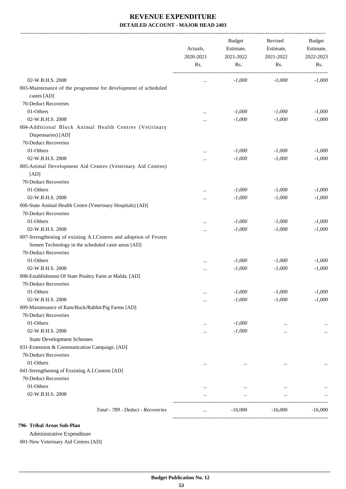|                                                                              | Actuals,<br>2020-2021<br>Rs. | <b>Budget</b><br>Estimate,<br>2021-2022<br>Rs. | Revised<br>Estimate,<br>2021-2022<br>Rs. | Budget<br>Estimate,<br>2022-2023<br>Rs. |
|------------------------------------------------------------------------------|------------------------------|------------------------------------------------|------------------------------------------|-----------------------------------------|
| 02-W.B.H.S. 2008                                                             | $\ddotsc$                    | $-1,000$                                       | $-1,000$                                 | $-1,000$                                |
| 003-Maintenance of the programme for development of scheduled                |                              |                                                |                                          |                                         |
| castes [AD]                                                                  |                              |                                                |                                          |                                         |
| 70-Deduct Recoveries                                                         |                              |                                                |                                          |                                         |
| 01-Others                                                                    |                              | $-1,000$                                       | $-1,000$                                 | $-1,000$                                |
| 02-W.B.H.S. 2008                                                             |                              | $-1,000$                                       | $-1,000$                                 | $-1,000$                                |
| 004-Additional Block Animal Health Centres (Vetirinary<br>Dispensaries) [AD] |                              |                                                |                                          |                                         |
| 70-Deduct Recoveries                                                         |                              |                                                |                                          |                                         |
| 01-Others                                                                    |                              | $-1,000$                                       | $-1,000$                                 | $-1,000$                                |
| 02-W.B.H.S. 2008                                                             |                              | $-1,000$                                       | $-1,000$                                 | $-1,000$                                |
| 005-Animal Development Aid Centres (Veterinary Aid Centres)<br>[AD]          |                              |                                                |                                          |                                         |
| 70-Deduct Recoveries                                                         |                              |                                                |                                          |                                         |
| 01-Others                                                                    |                              | $-1,000$                                       | $-1,000$                                 | $-1,000$                                |
| 02-W.B.H.S. 2008                                                             |                              | $-1,000$                                       | $-1,000$                                 | $-1,000$                                |
| 006-State Animal Health Centre (Veterinary Hospitals) [AD]                   |                              |                                                |                                          |                                         |
| 70-Deduct Recoveries                                                         |                              |                                                |                                          |                                         |
| 01-Others                                                                    | $\ddotsc$                    | $-1,000$                                       | $-1,000$                                 | $-1,000$                                |
| 02-W.B.H.S. 2008                                                             |                              | $-1,000$                                       | $-1,000$                                 | $-1,000$                                |
| 007-Strengthening of existing A.I.Centres and adoption of Frozen             |                              |                                                |                                          |                                         |
| Semen Technology in the scheduled caste areas [AD]                           |                              |                                                |                                          |                                         |
| 70-Deduct Recoveries                                                         |                              |                                                |                                          |                                         |
| 01-Others                                                                    |                              | $-1,000$                                       | $-1,000$                                 | $-1,000$                                |
| 02-W.B.H.S. 2008                                                             |                              | $-1,000$                                       | $-1,000$                                 | $-1,000$                                |
| 008-Establishment Of State Poultry Farm at Malda. [AD]                       |                              |                                                |                                          |                                         |
| 70-Deduct Recoveries                                                         |                              |                                                |                                          |                                         |
| 01-Others                                                                    |                              | $-1,000$                                       | $-1,000$                                 | $\text{-}1,000$                         |
| 02-W.B.H.S. 2008                                                             |                              | $-1,000$                                       | $-1,000$                                 | $-1,000$                                |
| 009-Maintenance of Ram/Buck/Rabbit/Pig Farms [AD]                            |                              |                                                |                                          |                                         |
| 70-Deduct Recoveries                                                         |                              |                                                |                                          |                                         |
| 01-Others                                                                    | $\cdots$                     | $-1,000$                                       | $\cdots$                                 |                                         |
| 02-W.B.H.S. 2008                                                             | $\cdots$                     | $-1,000$                                       |                                          | $\cdots$                                |
| <b>State Development Schemes</b>                                             |                              |                                                |                                          |                                         |
| 031-Extension & Communication Campaign. [AD]<br>70-Deduct Recoveries         |                              |                                                |                                          |                                         |
| 01-Others                                                                    |                              |                                                |                                          |                                         |
|                                                                              |                              |                                                |                                          |                                         |
| 041-Strengthening of Exsisting A.I.Centres [AD]<br>70-Deduct Recoveries      |                              |                                                |                                          |                                         |
| 01-Others                                                                    |                              |                                                |                                          |                                         |
| 02-W.B.H.S. 2008                                                             |                              | $\cdots$                                       | $\cdots$                                 |                                         |
|                                                                              |                              | $\cdots$                                       | $\cdots$                                 |                                         |
| Total - 789 - Deduct - Recoveries                                            | $\cdots$                     | $-16,000$                                      | $-16,000$                                | $-16,000$                               |

#### **796- Tribal Areas Sub-Plan**

Administrative Expenditure

001-New Veterinary Aid Centres [AD]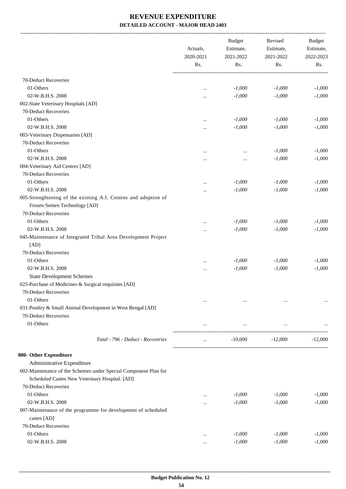-------------------------------------------------------------------------------------------------------------------------------------------------------------------------------

|                                                                                                                   | Actuals,<br>2020-2021<br>Rs. | <b>Budget</b><br>Estimate,<br>2021-2022<br>Rs. | Revised<br>Estimate,<br>2021-2022<br>Rs. | <b>Budget</b><br>Estimate,<br>2022-2023<br>Rs. |
|-------------------------------------------------------------------------------------------------------------------|------------------------------|------------------------------------------------|------------------------------------------|------------------------------------------------|
|                                                                                                                   |                              |                                                |                                          |                                                |
| 70-Deduct Recoveries                                                                                              |                              |                                                |                                          |                                                |
| 01-Others                                                                                                         |                              | $-1,000$                                       | $-1,000$                                 | $-1,000$                                       |
| 02-W.B.H.S. 2008                                                                                                  |                              | $-1,000$                                       | $-1,000$                                 | $-1,000$                                       |
| 002-State Veterinary Hospitals [AD]                                                                               |                              |                                                |                                          |                                                |
| 70-Deduct Recoveries                                                                                              |                              |                                                |                                          |                                                |
| 01-Others                                                                                                         |                              | $-1,000$                                       | $-1,000$                                 | $-1,000$                                       |
| 02-W.B.H.S. 2008                                                                                                  |                              | $-1,000$                                       | $-1,000$                                 | $-1,000$                                       |
| 003-Veterinary Dispensaries [AD]                                                                                  |                              |                                                |                                          |                                                |
| 70-Deduct Recoveries                                                                                              |                              |                                                |                                          |                                                |
| 01-Others                                                                                                         |                              |                                                | $-1,000$                                 | $-1,000$                                       |
| 02-W.B.H.S. 2008                                                                                                  |                              | $\cdots$                                       | $-1,000$                                 | $-1,000$                                       |
| 004-Veterinary Aid Centres [AD]                                                                                   |                              |                                                |                                          |                                                |
| 70-Deduct Recoveries                                                                                              |                              |                                                |                                          |                                                |
| 01-Others                                                                                                         |                              | $-1,000$                                       | $-1,000$                                 | $-1,000$                                       |
| 02-W.B.H.S. 2008                                                                                                  |                              | $-1,000$                                       | $-1,000$                                 | $-1,000$                                       |
| 005-Strenghtening of the existing A.I. Centres and adoption of<br>Frozen Semen Technology [AD]                    |                              |                                                |                                          |                                                |
| 70-Deduct Recoveries                                                                                              |                              |                                                |                                          |                                                |
| 01-Others                                                                                                         |                              | $-1,000$                                       | $-1,000$                                 | $-1,000$                                       |
| 02-W.B.H.S. 2008                                                                                                  |                              | $-1,000$                                       | $-1,000$                                 | $-1,000$                                       |
| 045-Maintenance of Integrated Tribal Area Development Project<br>[AD]                                             |                              |                                                |                                          |                                                |
| 70-Deduct Recoveries                                                                                              |                              |                                                |                                          |                                                |
| 01-Others                                                                                                         |                              | $-1,000$                                       | $-1,000$                                 | $-1,000$                                       |
| 02-W.B.H.S. 2008                                                                                                  |                              | $-1,000$                                       | $-1,000$                                 | $-1,000$                                       |
| <b>State Development Schemes</b>                                                                                  |                              |                                                |                                          |                                                |
| 025-Purchase of Medicines & Surgical requisites [AD]                                                              |                              |                                                |                                          |                                                |
| 70-Deduct Recoveries                                                                                              |                              |                                                |                                          |                                                |
| 01-Others                                                                                                         | $\cdots$                     | $\cdots$                                       | $\cdots$                                 | $\ldots$                                       |
| 031-Poultry & Small Animal Development in West Bengal [AD]                                                        |                              |                                                |                                          |                                                |
| 70-Deduct Recoveries                                                                                              |                              |                                                |                                          |                                                |
| 01-Others                                                                                                         | $\cdots$                     | $\cdots$                                       | $\cdots$                                 |                                                |
| Total - 796 - Deduct - Recoveries                                                                                 | $\cdots$                     | $-10,000$                                      | $-12,000$                                | $-12,000$                                      |
| 800- Other Expenditure                                                                                            |                              |                                                |                                          |                                                |
| Administrative Expenditure                                                                                        |                              |                                                |                                          |                                                |
| 002-Maintenance of the Schemes under Special Component Plan for<br>Scheduled Castes New Veterinary Hospital. [AD] |                              |                                                |                                          |                                                |
| 70-Deduct Recoveries                                                                                              |                              |                                                |                                          |                                                |
| 01-Others                                                                                                         |                              | $-1,000$                                       | $-1,000$                                 | $-1,000$                                       |
| 02-W.B.H.S. 2008                                                                                                  |                              | $-1,000$                                       | $-1,000$                                 | $-1,000$                                       |
| 007-Maintenance of the programme for development of scheduled<br>castes [AD]                                      |                              |                                                |                                          |                                                |
| 70-Deduct Recoveries                                                                                              |                              |                                                |                                          |                                                |
| 01-Others                                                                                                         |                              | $-1,000$                                       | $-1,000$                                 | $-1,000$                                       |
| 02-W.B.H.S. 2008                                                                                                  |                              | $-1,000$                                       | $-1,000$                                 | $-1,000$                                       |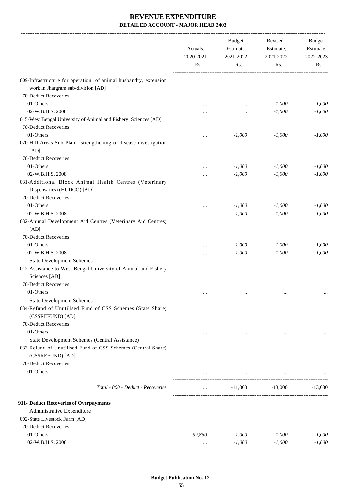|                                                                                                                                    | Actuals,<br>2020-2021<br>Rs. | <b>Budget</b><br>Estimate,<br>2021-2022<br>Rs. | Revised<br>Estimate,<br>2021-2022<br>Rs. | Budget<br>Estimate,<br>2022-2023<br>Rs. |
|------------------------------------------------------------------------------------------------------------------------------------|------------------------------|------------------------------------------------|------------------------------------------|-----------------------------------------|
| 009-Infrastructure for operation of animal husbandry, extension<br>work in Jhargram sub-division [AD]                              |                              |                                                |                                          |                                         |
| 70-Deduct Recoveries                                                                                                               |                              |                                                |                                          |                                         |
| 01-Others                                                                                                                          | $\ddotsc$                    | $\cdots$                                       | $-1,000$                                 | $-1,000$                                |
| 02-W.B.H.S. 2008                                                                                                                   | $\cdots$                     | $\cdots$                                       | $-1,000$                                 | $-1,000$                                |
| 015-West Bengal University of Animal and Fishery Sciences [AD]                                                                     |                              |                                                |                                          |                                         |
| 70-Deduct Recoveries                                                                                                               |                              |                                                |                                          |                                         |
| 01-Others                                                                                                                          |                              | $-1,000$                                       | $-1,000$                                 | $-1,000$                                |
| 020-Hill Areas Sub Plan - strengthening of disease investigation<br>[AD]                                                           |                              |                                                |                                          |                                         |
| 70-Deduct Recoveries                                                                                                               |                              |                                                |                                          |                                         |
| 01-Others                                                                                                                          | $\ddotsc$                    | $-1,000$                                       | $-1,000$                                 | $-1,000$                                |
| 02-W.B.H.S. 2008                                                                                                                   |                              | $-1,000$                                       | $-1,000$                                 | $-1,000$                                |
| 031-Additional Block Animal Health Centres (Veterinary<br>Dispensaries) (HUDCO) [AD]<br>70-Deduct Recoveries                       |                              |                                                |                                          |                                         |
| 01-Others                                                                                                                          |                              |                                                |                                          |                                         |
| 02-W.B.H.S. 2008                                                                                                                   |                              | $-1,000$<br>$-1,000$                           | $-1,000$<br>$-1,000$                     | $-1,000$<br>$-1,000$                    |
| 032-Animal Development Aid Centres (Veterinary Aid Centres)<br>[AD]                                                                |                              |                                                |                                          |                                         |
| 70-Deduct Recoveries                                                                                                               |                              |                                                |                                          |                                         |
| 01-Others                                                                                                                          |                              | $-1,000$                                       | $-1,000$                                 | $-1,000$                                |
| 02-W.B.H.S. 2008                                                                                                                   |                              | $-1,000$                                       | $-1,000$                                 | $-1,000$                                |
| <b>State Development Schemes</b>                                                                                                   |                              |                                                |                                          |                                         |
| 012-Assistance to West Bengal University of Animal and Fishery<br>Sciences [AD]<br>70-Deduct Recoveries                            |                              |                                                |                                          |                                         |
| 01-Others                                                                                                                          |                              |                                                |                                          |                                         |
| <b>State Development Schemes</b>                                                                                                   | $\cdots$                     | $\cdots$                                       | $\cdots$                                 |                                         |
| 034-Refund of Unutilised Fund of CSS Schemes (State Share)<br>(CSSREFUND) [AD]                                                     |                              |                                                |                                          |                                         |
| 70-Deduct Recoveries                                                                                                               |                              |                                                |                                          |                                         |
| 01-Others                                                                                                                          | $\ddotsc$                    | $\cdots$                                       | $\ddotsc$                                |                                         |
| State Development Schemes (Central Assistance)<br>033-Refund of Unutilised Fund of CSS Schemes (Central Share)<br>(CSSREFUND) [AD] |                              |                                                |                                          |                                         |
| 70-Deduct Recoveries                                                                                                               |                              |                                                |                                          |                                         |
| 01-Others                                                                                                                          | $\cdots$                     | $\ldots$                                       | $\cdots$                                 |                                         |
| Total - 800 - Deduct - Recoveries                                                                                                  | $\cdots$                     | $-11,000$                                      | $-13,000$                                | $-13,000$                               |
| 911- Deduct Recoveries of Overpayments                                                                                             |                              |                                                |                                          |                                         |
| Administrative Expenditure                                                                                                         |                              |                                                |                                          |                                         |
| 002-State Livestock Farm [AD]                                                                                                      |                              |                                                |                                          |                                         |
| 70-Deduct Recoveries                                                                                                               |                              |                                                |                                          |                                         |
| 01-Others                                                                                                                          | $-99,850$                    | $-1,000$                                       | $-1,000$                                 | $-1,000$                                |
| 02-W.B.H.S. 2008                                                                                                                   | $\ldots$                     | $-1,000$                                       | $-1,000$                                 | $-1,000$                                |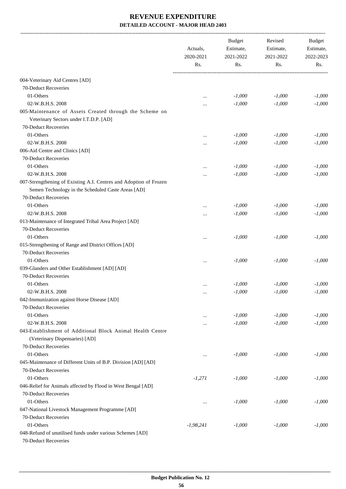|                                                                                                                                                                     | Actuals,         | <b>Budget</b><br>Estimate, | Revised<br>Estimate, | Budget<br>Estimate,<br>2022-2023<br>Rs. |
|---------------------------------------------------------------------------------------------------------------------------------------------------------------------|------------------|----------------------------|----------------------|-----------------------------------------|
|                                                                                                                                                                     | 2020-2021<br>Rs. | 2021-2022<br>Rs.           | 2021-2022<br>Rs.     |                                         |
| 004-Veterinary Aid Centres [AD]                                                                                                                                     |                  |                            |                      |                                         |
| 70-Deduct Recoveries                                                                                                                                                |                  |                            |                      |                                         |
| 01-Others                                                                                                                                                           | $\cdots$         | $-1,000$                   | $-1,000$             | $-1,000$                                |
| 02-W.B.H.S. 2008                                                                                                                                                    |                  | $-1,000$                   | $-1,000$             | $-1,000$                                |
| 005-Maintenance of Assets Created through the Scheme on<br>Veterinary Sectors under I.T.D.P. [AD]                                                                   |                  |                            |                      |                                         |
| 70-Deduct Recoveries                                                                                                                                                |                  |                            |                      |                                         |
| 01-Others                                                                                                                                                           |                  | $-1,000$                   | $-1,000$             | $-1,000$                                |
| 02-W.B.H.S. 2008                                                                                                                                                    |                  | $-1,000$                   | $-1,000$             | $-1,000$                                |
| 006-Aid Centre and Clinics [AD]                                                                                                                                     |                  |                            |                      |                                         |
| 70-Deduct Recoveries                                                                                                                                                |                  |                            |                      |                                         |
| 01-Others                                                                                                                                                           | $\ddotsc$        | $-1,000$                   | $-1,000$             | $-1,000$                                |
| 02-W.B.H.S. 2008<br>007-Strengthening of Existing A.I. Centres and Adoption of Frozen<br>Semen Technology in the Scheduled Caste Areas [AD]<br>70-Deduct Recoveries |                  | $-1,000$                   | $-1,000$             | $-1,000$                                |
| 01-Others                                                                                                                                                           |                  | $-1,000$                   | $-1,000$             | $-1,000$                                |
| 02-W.B.H.S. 2008                                                                                                                                                    |                  | $-1,000$                   | $-1,000$             | $-1,000$                                |
| 013-Maintenance of Integrated Tribal Area Project [AD]<br>70-Deduct Recoveries                                                                                      |                  |                            |                      |                                         |
| 01-Others                                                                                                                                                           | $\ddotsc$        | $-1,000$                   | $-1,000$             | $-1,000$                                |
| 015-Strengthening of Range and District Offices [AD]<br>70-Deduct Recoveries                                                                                        |                  |                            |                      |                                         |
| 01-Others                                                                                                                                                           | $\ddotsc$        | $-1,000$                   | $-1,000$             | $-1,000$                                |
| 039-Glanders and Other Establishment [AD] [AD]                                                                                                                      |                  |                            |                      |                                         |
| 70-Deduct Recoveries                                                                                                                                                |                  |                            |                      |                                         |
| 01-Others                                                                                                                                                           | $\cdots$         | $-1,000$                   | $-1,000$             | $-1,000$                                |
| 02-W.B.H.S. 2008                                                                                                                                                    | $\cdots$         | $-1,000$                   | $-1,000$             | $-1,000$                                |
| 042-Immunization against Horse Disease [AD]<br>70-Deduct Recoveries                                                                                                 |                  |                            |                      |                                         |
| 01-Others                                                                                                                                                           | $\cdots$         | $-1,000$                   | $-1,000$             | $-1,000$                                |
| 02-W.B.H.S. 2008                                                                                                                                                    | $\ddotsc$        | $-1,000$                   | $-1,000$             | $-1,000$                                |
| 043-Establishment of Additional Block Animal Health Centre<br>(Veterinary Dispensaries) [AD]<br>70-Deduct Recoveries                                                |                  |                            |                      |                                         |
| 01-Others                                                                                                                                                           |                  | $-1,000$                   | $-1,000$             | $-1,000$                                |
| 045-Maintenance of Different Units of B.P. Division [AD] [AD]<br>70-Deduct Recoveries                                                                               |                  |                            |                      |                                         |
| 01-Others                                                                                                                                                           | $-1,271$         | $-1,000$                   | $-1,000$             | $-1,000$                                |
| 046-Relief for Animals affected by Flood in West Bengal [AD]<br>70-Deduct Recoveries                                                                                |                  |                            |                      |                                         |
| 01-Others                                                                                                                                                           | $\cdots$         | $-1,000$                   | $-1,000$             | $-1,000$                                |
| 047-National Livestock Management Programme [AD]<br>70-Deduct Recoveries                                                                                            |                  |                            |                      |                                         |
| 01-Others<br>048-Refund of unutilised funds under various Schemes [AD]<br>70-Deduct Recoveries                                                                      | $-1,98,241$      | $-1,000$                   | $-1,000$             | $-1,000$                                |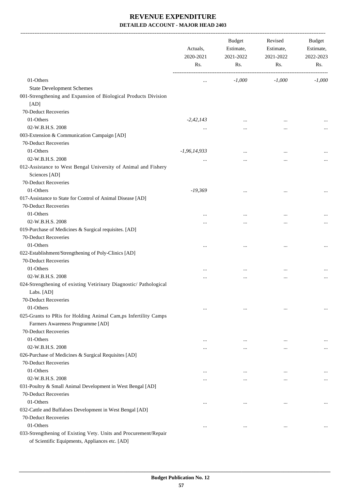-------------------------------------------------------------------------------------------------------------------------------------------------------------------------------

|                                                                                                                    | Actuals,<br>2020-2021<br>Rs. | <b>Budget</b><br>Estimate,<br>2021-2022<br>Rs. | Revised<br>Estimate,<br>2021-2022<br>Rs. | <b>Budget</b><br>Estimate,<br>2022-2023<br>Rs. |
|--------------------------------------------------------------------------------------------------------------------|------------------------------|------------------------------------------------|------------------------------------------|------------------------------------------------|
| 01-Others                                                                                                          | $\cdots$                     | $-1,000$                                       | $-1,000$                                 | $-1,000$                                       |
| <b>State Development Schemes</b>                                                                                   |                              |                                                |                                          |                                                |
| 001-Strengthening and Expansion of Biological Products Division                                                    |                              |                                                |                                          |                                                |
| [AD]                                                                                                               |                              |                                                |                                          |                                                |
| 70-Deduct Recoveries                                                                                               |                              |                                                |                                          |                                                |
| 01-Others                                                                                                          | $-2,42,143$                  |                                                | $\ddotsc$                                |                                                |
| 02-W.B.H.S. 2008                                                                                                   | $\cdots$                     | $\cdots$                                       | $\cdots$                                 |                                                |
| 003-Extension & Communication Campaign [AD]                                                                        |                              |                                                |                                          |                                                |
| 70-Deduct Recoveries                                                                                               |                              |                                                |                                          |                                                |
| 01-Others                                                                                                          | $-1,96,14,933$               |                                                | $\ddotsc$                                |                                                |
| 02-W.B.H.S. 2008                                                                                                   | $\cdots$                     | $\cdots$                                       | $\cdots$                                 |                                                |
| 012-Assistance to West Bengal University of Animal and Fishery                                                     |                              |                                                |                                          |                                                |
| Sciences [AD]                                                                                                      |                              |                                                |                                          |                                                |
| 70-Deduct Recoveries                                                                                               |                              |                                                |                                          |                                                |
| 01-Others                                                                                                          | $-19,369$                    | $\cdots$                                       | $\ddotsc$                                | $\cdots$                                       |
| 017-Assistance to State for Control of Animal Disease [AD]                                                         |                              |                                                |                                          |                                                |
| 70-Deduct Recoveries                                                                                               |                              |                                                |                                          |                                                |
| 01-Others                                                                                                          |                              |                                                | $\ddotsc$                                |                                                |
| 02-W.B.H.S. 2008                                                                                                   |                              |                                                | $\ddotsc$                                |                                                |
| 019-Purchase of Medicines & Surgical requisites. [AD]                                                              |                              |                                                |                                          |                                                |
| 70-Deduct Recoveries                                                                                               |                              |                                                |                                          |                                                |
| 01-Others                                                                                                          | $\cdots$                     | $\cdots$                                       | $\ddotsc$                                |                                                |
| 022-Establishment/Strengthening of Poly-Clinics [AD]                                                               |                              |                                                |                                          |                                                |
| 70-Deduct Recoveries                                                                                               |                              |                                                |                                          |                                                |
| 01-Others                                                                                                          | $\cdots$                     | $\cdots$                                       | $\ddotsc$                                |                                                |
| 02-W.B.H.S. 2008                                                                                                   |                              |                                                | $\ddotsc$                                |                                                |
| 024-Strengthening of existing Vetirinary Diagnostic/ Pathological                                                  |                              |                                                |                                          |                                                |
| Labs. [AD]                                                                                                         |                              |                                                |                                          |                                                |
| 70-Deduct Recoveries                                                                                               |                              |                                                |                                          |                                                |
| 01-Others                                                                                                          | $\cdots$                     | $\cdots$                                       | $\ddotsc$                                |                                                |
| 025-Grants to PRis for Holding Animal Cam,ps Infertility Camps                                                     |                              |                                                |                                          |                                                |
| Farmers Awareness Programme [AD]                                                                                   |                              |                                                |                                          |                                                |
| 70-Deduct Recoveries                                                                                               |                              |                                                |                                          |                                                |
| 01-Others                                                                                                          | $\cdots$                     | $\ddotsc$                                      | $\ddotsc$                                |                                                |
| 02-W.B.H.S. 2008                                                                                                   | $\cdots$                     | $\cdots$                                       | $\ddotsc$                                | $\cdots$                                       |
| 026-Purchase of Medicines & Surgical Requisites [AD]                                                               |                              |                                                |                                          |                                                |
| 70-Deduct Recoveries                                                                                               |                              |                                                |                                          |                                                |
| 01-Others                                                                                                          | $\cdots$                     | $\ddotsc$                                      | $\cdots$                                 |                                                |
| 02-W.B.H.S. 2008                                                                                                   | $\cdots$                     | $\cdots$                                       | $\cdots$                                 | $\cdots$                                       |
| 031-Poultry & Small Animal Development in West Bengal [AD]                                                         |                              |                                                |                                          |                                                |
| 70-Deduct Recoveries                                                                                               |                              |                                                |                                          |                                                |
| 01-Others                                                                                                          | $\cdots$                     | $\cdots$                                       | $\cdots$                                 |                                                |
| 032-Cattle and Buffaloes Development in West Bengal [AD]                                                           |                              |                                                |                                          |                                                |
| 70-Deduct Recoveries                                                                                               |                              |                                                |                                          |                                                |
| 01-Others                                                                                                          | $\cdots$                     | $\cdots$                                       | $\cdots$                                 | $\cdots$                                       |
| 033-Strengthening of Existing Vety. Units and Procurement/Repair<br>of Scientific Equipments, Appliances etc. [AD] |                              |                                                |                                          |                                                |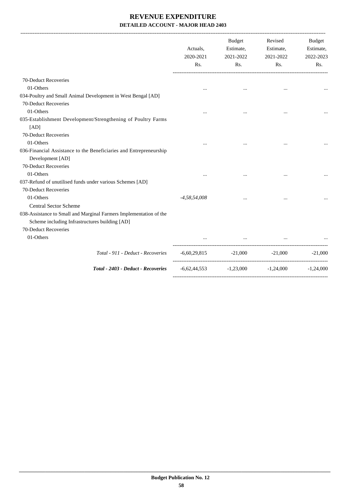|                                                                                                                                              | Actuals,<br>2020-2021<br>Rs. | Budget<br>Estimate,<br>2021-2022<br>Rs.            | Revised<br>Estimate,<br>2021-2022<br>Rs. | Budget<br>Estimate,<br>2022-2023<br>Rs. |
|----------------------------------------------------------------------------------------------------------------------------------------------|------------------------------|----------------------------------------------------|------------------------------------------|-----------------------------------------|
| 70-Deduct Recoveries                                                                                                                         |                              |                                                    |                                          |                                         |
| 01-Others                                                                                                                                    | $\cdots$                     | $\cdots$                                           |                                          |                                         |
| 034-Poultry and Small Animal Development in West Bengal [AD]                                                                                 |                              |                                                    |                                          |                                         |
| 70-Deduct Recoveries                                                                                                                         |                              |                                                    |                                          |                                         |
| 01-Others                                                                                                                                    |                              |                                                    | $\ddotsc$                                |                                         |
| 035-Establishment Development/Strengthening of Poultry Farms<br>[AD]                                                                         |                              |                                                    |                                          |                                         |
| 70-Deduct Recoveries                                                                                                                         |                              |                                                    |                                          |                                         |
| 01-Others                                                                                                                                    |                              |                                                    |                                          |                                         |
| 036-Financial Assistance to the Beneficiaries and Entrepreneurship<br>Development [AD]<br>70-Deduct Recoveries                               |                              |                                                    |                                          |                                         |
| 01-Others                                                                                                                                    |                              |                                                    |                                          |                                         |
| 037-Refund of unutilised funds under various Schemes [AD]<br>70-Deduct Recoveries                                                            |                              |                                                    |                                          |                                         |
| 01-Others                                                                                                                                    | $-4,58,54,008$               | $\ddotsc$                                          |                                          |                                         |
| Central Sector Scheme                                                                                                                        |                              |                                                    |                                          |                                         |
| 038-Assistance to Small and Marginal Farmers Implementation of the<br>Scheme including Infrastructures building [AD]<br>70-Deduct Recoveries |                              |                                                    |                                          |                                         |
| 01-Others                                                                                                                                    |                              |                                                    |                                          |                                         |
|                                                                                                                                              |                              |                                                    |                                          |                                         |
| Total - 911 - Deduct - Recoveries                                                                                                            |                              | $-6,60,29,815$ $-21,000$ $-21,000$                 |                                          | $-21,000$                               |
| Total - 2403 - Deduct - Recoveries                                                                                                           |                              | $-6,62,44,553$ $-1,23,000$ $-1,24,000$ $-1,24,000$ |                                          |                                         |
|                                                                                                                                              |                              |                                                    |                                          |                                         |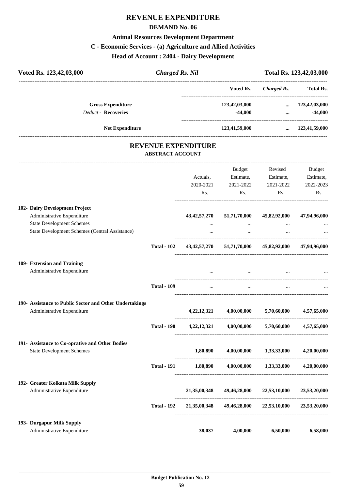#### **REVENUE EXPENDITURE**

#### **DEMAND No. 06**

#### **Animal Resources Development Department**

### **C - Economic Services - (a) Agriculture and Allied Activities**

**Head of Account : 2404 - Dairy Development**

| Voted Rs. 123,42,03,000                        | <b>Charged Rs. Nil</b>  |                            |                                                                 |                    | Total Rs. 123,42,03,000 |
|------------------------------------------------|-------------------------|----------------------------|-----------------------------------------------------------------|--------------------|-------------------------|
|                                                |                         |                            | Voted Rs.                                                       | <b>Charged Rs.</b> | <b>Total Rs.</b>        |
| <b>Gross Expenditure</b>                       |                         |                            | 123,42,03,000                                                   | $\cdots$           | 123,42,03,000           |
| <b>Deduct - Recoveries</b>                     |                         |                            | $-44,000$                                                       | $\dddotsc$         | $-44,000$               |
| <b>Net Expenditure</b>                         |                         |                            | 123,41,59,000                                                   |                    | $\ldots$ 123,41,59,000  |
|                                                | <b>ABSTRACT ACCOUNT</b> | <b>REVENUE EXPENDITURE</b> |                                                                 |                    |                         |
|                                                |                         |                            | Budget                                                          | Revised            | Budget                  |
|                                                |                         | Actuals,                   | Estimate,                                                       | Estimate,          | Estimate,               |
|                                                |                         | 2020-2021                  | 2021-2022                                                       | 2021-2022          | 2022-2023               |
|                                                |                         | Rs.                        | Rs.                                                             | Rs.                | Rs.                     |
| 102- Dairy Development Project                 |                         |                            |                                                                 |                    |                         |
| Administrative Expenditure                     |                         | 43, 42, 57, 270            | 51,71,70,000                                                    | 45,82,92,000       | 47,94,96,000            |
| <b>State Development Schemes</b>               |                         | $\cdots$                   | $\cdots$                                                        | $\cdots$           |                         |
| State Development Schemes (Central Assistance) |                         | $\cdots$                   | $\cdots$                                                        |                    |                         |
|                                                |                         |                            | Total - 102 43,42,57,270 51,71,70,000 45,82,92,000 47,94,96,000 |                    |                         |
| 109- Extension and Training                    |                         |                            |                                                                 |                    |                         |

| <b>Administrative Expenditure</b> | <br>$\cdots$ | <br>$\cdots$ |
|-----------------------------------|--------------|--------------|
|                                   |              |              |

|                                                                                       | <b>Total - 109</b> | $\cdots$       | $\cdots$     | $\cdots$     |              |
|---------------------------------------------------------------------------------------|--------------------|----------------|--------------|--------------|--------------|
| 190- Assistance to Public Sector and Other Undertakings<br>Administrative Expenditure |                    | 4, 22, 12, 321 | 4,00,00,000  | 5,70,60,000  | 4,57,65,000  |
|                                                                                       | <b>Total - 190</b> | 4, 22, 12, 321 | 4,00,00,000  | 5,70,60,000  | 4,57,65,000  |
| 191- Assistance to Co-oprative and Other Bodies<br><b>State Development Schemes</b>   |                    | 1,80,890       | 4,00,00,000  | 1,33,33,000  | 4,20,00,000  |
|                                                                                       | <b>Total - 191</b> | 1,80,890       | 4,00,00,000  | 1,33,33,000  | 4,20,00,000  |
| 192- Greater Kolkata Milk Supply<br>Administrative Expenditure                        |                    | 21,35,00,348   | 49,46,28,000 | 22,53,10,000 | 23,53,20,000 |
|                                                                                       | <b>Total - 192</b> | 21,35,00,348   | 49,46,28,000 | 22,53,10,000 | 23,53,20,000 |
| 193- Durgapur Milk Supply<br>Administrative Expenditure                               |                    | 38,037         | 4,00,000     | 6,50,000     | 6,58,000     |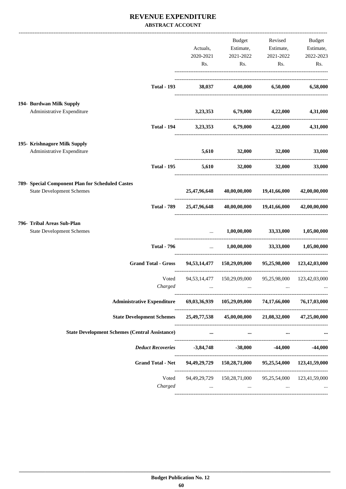#### **REVENUE EXPENDITURE ABSTRACT ACCOUNT**

|                                                  |                                                                                     |                                 | Budget                                                      |                                                   | Revised Budget |
|--------------------------------------------------|-------------------------------------------------------------------------------------|---------------------------------|-------------------------------------------------------------|---------------------------------------------------|----------------|
|                                                  |                                                                                     | Actuals,                        |                                                             | Estimate, Estimate,                               | Estimate,      |
|                                                  |                                                                                     | 2020-2021                       | 2021-2022                                                   | 2021-2022                                         | 2022-2023      |
|                                                  |                                                                                     | Rs.                             | Rs.                                                         | Rs.                                               | Rs.            |
|                                                  |                                                                                     |                                 |                                                             |                                                   |                |
|                                                  | <b>Total - 193</b>                                                                  | 38,037                          |                                                             | 4,00,000 6,50,000                                 | 6,58,000       |
| 194- Burdwan Milk Supply                         |                                                                                     |                                 |                                                             |                                                   |                |
| Administrative Expenditure                       |                                                                                     |                                 | 3,23,353 6,79,000 4,22,000                                  |                                                   | 4,31,000       |
|                                                  | <b>Total - 194</b>                                                                  |                                 | $3,23,353$ $6,79,000$ $4,22,000$                            |                                                   | 4,31,000       |
| 195- Krishnagore Milk Supply                     |                                                                                     |                                 |                                                             |                                                   |                |
| Administrative Expenditure                       |                                                                                     |                                 | 5,610 32,000 32,000                                         |                                                   | 33,000         |
|                                                  | <b>Total - 195</b>                                                                  |                                 | $5,610$ $32,000$ $32,000$                                   |                                                   | 33,000         |
| 789- Special Component Plan for Scheduled Castes |                                                                                     |                                 |                                                             |                                                   |                |
| <b>State Development Schemes</b>                 |                                                                                     | 25,47,96,648                    |                                                             | 40,00,00,000 19,41,66,000                         | 42,00,00,000   |
|                                                  | <b>Total - 789</b>                                                                  | 25,47,96,648                    |                                                             | 40,00,00,000 19,41,66,000                         | 42,00,00,000   |
| 796- Tribal Areas Sub-Plan                       |                                                                                     |                                 |                                                             |                                                   |                |
| <b>State Development Schemes</b>                 |                                                                                     |                                 |                                                             | $1,00,00,000$ $33,33,000$                         | 1,05,00,000    |
|                                                  | <b>Total - 796</b>                                                                  | $\mathbf{1}$ , and $\mathbf{1}$ |                                                             | $1,00,00,000$ $33,33,000$                         | 1,05,00,000    |
|                                                  | <b>Grand Total - Gross</b>                                                          |                                 | 94,53,14,477 150,29,09,000 95,25,98,000 123,42,03,000       |                                                   |                |
|                                                  | Voted                                                                               |                                 | 94,53,14,477  150,29,09,000  95,25,98,000  123,42,03,000    |                                                   |                |
|                                                  | Charged                                                                             | $\cdots$                        | $\cdots$                                                    | $\cdots$                                          |                |
|                                                  | Administrative Expenditure 69,03,36,939 105,29,09,000 74,17,66,000                  |                                 |                                                             |                                                   | 76,17,03,000   |
|                                                  | State Development Schemes 25,49,77,538 45,00,00,000 21,08,32,000 47,25,00,000       |                                 |                                                             |                                                   |                |
|                                                  | <b>State Development Schemes (Central Assistance)</b>                               |                                 | $\cdots$                                                    | $\cdots$                                          |                |
|                                                  | <i>Deduct Recoveries</i> -3,84,748 -38,000 -44,000                                  |                                 |                                                             |                                                   | $-44,000$      |
|                                                  | Grand Total - Net 94, 49, 29, 729 150, 28, 71, 000 95, 25, 54, 000 123, 41, 59, 000 |                                 |                                                             |                                                   |                |
|                                                  |                                                                                     |                                 | Voted 94,49,29,729 150,28,71,000 95,25,54,000 123,41,59,000 |                                                   |                |
|                                                  | Charged                                                                             |                                 | and the state of the state of                               | <b>Second Contract Contract</b><br><b>Section</b> |                |
|                                                  |                                                                                     |                                 |                                                             |                                                   |                |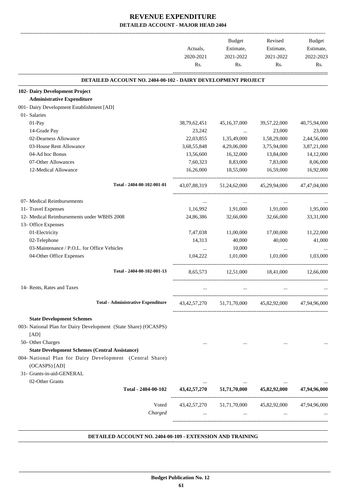|                                                                     |              | <b>Budget</b>   | Revised                                                                                                                              | <b>Budget</b> |
|---------------------------------------------------------------------|--------------|-----------------|--------------------------------------------------------------------------------------------------------------------------------------|---------------|
|                                                                     | Actuals,     | Estimate,       | Estimate,                                                                                                                            | Estimate,     |
|                                                                     | 2020-2021    | 2021-2022       | 2021-2022                                                                                                                            | 2022-2023     |
|                                                                     | Rs.          | Rs.             | Rs.                                                                                                                                  | Rs.           |
| <b>DETAILED ACCOUNT NO. 2404-00-102 - DAIRY DEVELOPMENT PROJECT</b> |              |                 |                                                                                                                                      |               |
| 102- Dairy Development Project                                      |              |                 |                                                                                                                                      |               |
| <b>Administrative Expenditure</b>                                   |              |                 |                                                                                                                                      |               |
| 001- Dairy Development Establishment [AD]                           |              |                 |                                                                                                                                      |               |
| 01- Salaries                                                        |              |                 |                                                                                                                                      |               |
| 01-Pay                                                              | 38,79,62,451 | 45, 16, 37, 000 | 39, 57, 22, 000                                                                                                                      | 40,75,94,000  |
| 14-Grade Pay                                                        | 23,242       | $\ddots$        | 23,000                                                                                                                               | 23,000        |
| 02-Dearness Allowance                                               | 22,03,855    | 1,35,49,000     | 1,58,29,000                                                                                                                          | 2,44,56,000   |
| 03-House Rent Allowance                                             | 3,68,55,848  | 4,29,06,000     | 3,75,94,000                                                                                                                          | 3,87,21,000   |
| 04-Ad hoc Bonus                                                     | 13,56,600    | 16,32,000       | 13,84,000                                                                                                                            | 14,12,000     |
| 07-Other Allowances                                                 | 7,60,323     | 8,83,000        | 7,83,000                                                                                                                             | 8,06,000      |
| 12-Medical Allowance                                                | 16,26,000    | 18,55,000       | 16,59,000                                                                                                                            | 16,92,000     |
| Total - 2404-00-102-001-01                                          |              |                 | 43,07,88,319 51,24,62,000 45,29,94,000                                                                                               | 47,47,04,000  |
| 07- Medical Reimbursements                                          | $\cdots$     | $\cdots$        | $\cdots$                                                                                                                             |               |
| 11- Travel Expenses                                                 | 1,16,992     | 1,91,000        | 1,91,000                                                                                                                             | 1,95,000      |
| 12- Medical Reimbursements under WBHS 2008                          | 24,86,386    | 32,66,000       | 32,66,000                                                                                                                            | 33,31,000     |
| 13- Office Expenses                                                 |              |                 |                                                                                                                                      |               |
| 01-Electricity                                                      | 7,47,038     | 11,00,000       | 17,00,000                                                                                                                            | 11,22,000     |
| 02-Telephone                                                        | 14,313       | 40,000          | 40,000                                                                                                                               | 41,000        |
| 03-Maintenance / P.O.L. for Office Vehicles                         | $\cdots$     | 10,000          | $\cdots$                                                                                                                             |               |
| 04-Other Office Expenses                                            | 1,04,222     | 1,01,000        | 1,01,000                                                                                                                             | 1,03,000      |
| Total - 2404-00-102-001-13                                          | 8,65,573     | 12,51,000       | 18,41,000                                                                                                                            | 12,66,000     |
| 14- Rents, Rates and Taxes                                          | $\cdots$     | $\cdots$        | $\cdots$                                                                                                                             |               |
| <b>Total - Administrative Expenditure</b>                           |              |                 | $\label{eq:3.42} 43,\!42,\!57,\!270 \qquad \quad 51,\!71,\!70,\!000 \qquad \quad 45,\!82,\!92,\!000 \qquad \quad 47,\!94,\!96,\!000$ |               |
| <b>State Development Schemes</b>                                    |              |                 |                                                                                                                                      |               |
| 003- National Plan for Dairy Development (State Share) (OCASPS)     |              |                 |                                                                                                                                      |               |
| [AD]                                                                |              |                 |                                                                                                                                      |               |
| 50- Other Charges                                                   | $\cdots$     |                 | $\cdots$                                                                                                                             |               |
| <b>State Development Schemes (Central Assistance)</b>               |              |                 |                                                                                                                                      |               |
| 004- National Plan for Dairy Development (Central Share)            |              |                 |                                                                                                                                      |               |
| (OCASPS) [AD]                                                       |              |                 |                                                                                                                                      |               |
| 31- Grants-in-aid-GENERAL                                           |              |                 |                                                                                                                                      |               |
| 02-Other Grants                                                     |              |                 |                                                                                                                                      |               |
| Total - 2404-00-102                                                 |              |                 | $\begin{array}{cccc}\n & \dots & \dots & \dots \\ 43,42,57,270 & 51,71,70,000 & 45,82,92,000 & 47,94,96,000\n\end{array}$            |               |
| Voted                                                               |              |                 | 43, 42, 57, 270 51, 71, 70, 000 45, 82, 92, 000 47, 94, 96, 000                                                                      |               |
| Charged                                                             |              |                 | and the state of the state of the state of the state of the state of                                                                 |               |
|                                                                     |              |                 |                                                                                                                                      |               |
|                                                                     |              |                 |                                                                                                                                      |               |

#### **DETAILED ACCOUNT NO. 2404-00-109 - EXTENSION AND TRAINING .**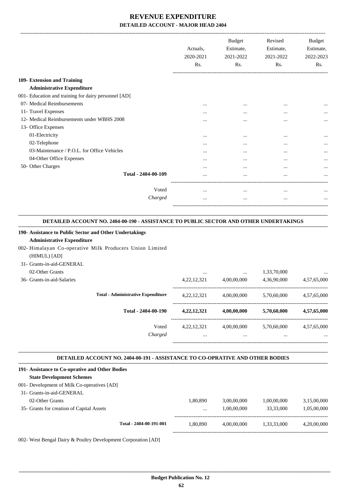|                                                      | Actuals,<br>2020-2021<br>Rs. | <b>Budget</b><br>Estimate,<br>2021-2022<br>Rs. | Revised<br>Estimate,<br>2021-2022<br>Rs. | <b>Budget</b><br>Estimate,<br>2022-2023<br>Rs. |
|------------------------------------------------------|------------------------------|------------------------------------------------|------------------------------------------|------------------------------------------------|
| 109- Extension and Training                          |                              |                                                |                                          |                                                |
| <b>Administrative Expenditure</b>                    |                              |                                                |                                          |                                                |
| 001- Education and training for dairy personnel [AD] |                              |                                                |                                          |                                                |
| 07- Medical Reimbursements                           |                              | $\cdots$                                       | $\cdots$                                 |                                                |
| 11- Travel Expenses                                  |                              | $\cdots$                                       | $\cdots$                                 | $\cdots$                                       |
| 12- Medical Reimbursements under WBHS 2008           |                              |                                                | $\cdots$                                 | $\cdots$                                       |
| 13- Office Expenses                                  |                              |                                                |                                          |                                                |
| 01-Electricity                                       |                              | $\ddotsc$                                      | $\cdots$                                 |                                                |
| 02-Telephone                                         |                              |                                                | $\cdots$                                 |                                                |
| 03-Maintenance / P.O.L. for Office Vehicles          | $\cdots$                     |                                                | $\cdots$                                 | $\cdots$                                       |
| 04-Other Office Expenses                             |                              | $\cdots$                                       | $\cdots$                                 |                                                |
| 50- Other Charges                                    |                              | $\ddotsc$                                      | $\cdots$                                 |                                                |
| Total - 2404-00-109                                  |                              |                                                |                                          | $\cdots$                                       |
| Voted                                                | $\cdots$                     | $\cdots$                                       | $\cdots$                                 |                                                |
| Charged                                              | .                            |                                                | $\cdots$                                 |                                                |
|                                                      |                              |                                                |                                          |                                                |

#### **DETAILED ACCOUNT NO. 2404-00-190 - ASSISTANCE TO PUBLIC SECTOR AND OTHER UNDERTAKINGS .**

| 190- Assistance to Public Sector and Other Undertakings                              |                               |             |                                                         |             |
|--------------------------------------------------------------------------------------|-------------------------------|-------------|---------------------------------------------------------|-------------|
| <b>Administrative Expenditure</b>                                                    |                               |             |                                                         |             |
| 002- Himalayan Co-operative Milk Producers Union Limited                             |                               |             |                                                         |             |
| (HIMUL) [AD]                                                                         |                               |             |                                                         |             |
| 31- Grants-in-aid-GENERAL                                                            |                               |             |                                                         |             |
| 02-Other Grants                                                                      |                               |             | 1,33,70,000                                             |             |
| 36- Grants-in-aid-Salaries                                                           |                               |             | 4,22,12,321 4,00,00,000 4,36,90,000 4,57,65,000         |             |
| <b>Total - Administrative Expenditure</b>                                            |                               |             | 4,22,12,321 4,00,00,000 5,70,60,000 4,57,65,000         |             |
| Total - 2404-00-190                                                                  |                               |             | $4,22,12,321$ $4,00,00,000$ $5,70,60,000$ $4,57,65,000$ |             |
| Voted                                                                                |                               |             | 4,22,12,321 4,00,00,000 5,70,60,000 4,57,65,000         |             |
| Charged                                                                              | $\mathbf{r}$ and $\mathbf{r}$ |             | and the state of the state of the                       |             |
| <b>DETAILED ACCOUNT NO. 2404-00-191 - ASSISTANCE TO CO-OPRATIVE AND OTHER BODIES</b> |                               |             |                                                         |             |
| 191- Assistance to Co-oprative and Other Bodies                                      |                               |             |                                                         |             |
| <b>State Development Schemes</b>                                                     |                               |             |                                                         |             |
| 001- Development of Milk Co-operatives [AD]                                          |                               |             |                                                         |             |
| 31- Grants-in-aid-GENERAL                                                            |                               |             |                                                         |             |
| 02-Other Grants                                                                      | 1,80,890                      |             | 3,00,00,000 1,00,00,000                                 | 3,15,00,000 |
| 35- Grants for creation of Capital Assets                                            |                               | 1,00,00,000 | 33,33,000                                               | 1,05,00,000 |

002- West Bengal Dairy & Poultry Development Corporation [AD]

**Total - 2404-00-191-001** 1,80,890 4,00,00,000 1,33,33,000 4,20,00,000

-----------------------------------------------------------------------------------------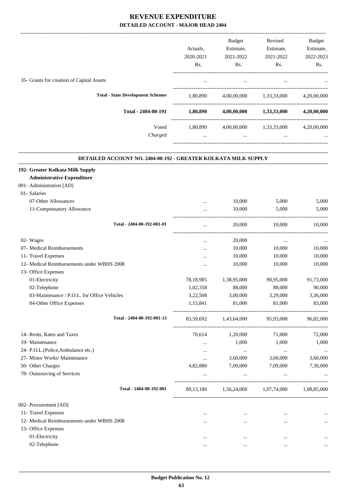|                                           |                  | Budget           | Revised     | <b>Budget</b> |
|-------------------------------------------|------------------|------------------|-------------|---------------|
|                                           | Actuals,         | Estimate,        | Estimate,   | Estimate,     |
|                                           | 2020-2021        | 2021-2022        | 2021-2022   | 2022-2023     |
|                                           | R <sub>s</sub> . | R <sub>s</sub> . | Rs.         | Rs.           |
| 35- Grants for creation of Capital Assets |                  | $\cdots$         | $\cdots$    | $\cdots$      |
| <b>Total - State Development Schemes</b>  | 1,80,890         | 4,00,00,000      | 1,33,33,000 | 4,20,00,000   |
| Total - 2404-00-191                       | 1,80,890         | 4,00,00,000      | 1,33,33,000 | 4,20,00,000   |
| Voted                                     | 1,80,890         | 4,00,00,000      | 1,33,33,000 | 4,20,00,000   |
| Charged                                   |                  | $\cdots$         | $\cdots$    | $\cdots$      |
|                                           |                  |                  |             |               |

#### **DETAILED ACCOUNT NO. 2404-00-192 - GREATER KOLKATA MILK SUPPLY .**

.

| 192- Greater Kolkata Milk Supply            |             |             |             |             |
|---------------------------------------------|-------------|-------------|-------------|-------------|
| <b>Administrative Expenditure</b>           |             |             |             |             |
| 001- Administration [AD]                    |             |             |             |             |
| 01- Salaries                                |             |             |             |             |
| 07-Other Allowances                         | $\cdots$    | 10,000      | 5,000       | 5,000       |
| 11-Compensatory Allowance                   |             | 10,000      | 5,000       | 5,000       |
| Total - 2404-00-192-001-01                  |             | 20,000      | 10,000      | 10,000      |
| 02- Wages                                   |             | 20,000      |             |             |
| 07- Medical Reimbursements                  | $\cdots$    | 10,000      | 10,000      | 10,000      |
| 11- Travel Expenses                         | $\cdots$    | 10,000      | 10,000      | 10,000      |
| 12- Medical Reimbursements under WBHS 2008  |             | 10,000      | 10,000      | 10,000      |
| 13- Office Expenses                         |             |             |             |             |
| 01-Electricity                              | 78,18,985   | 1,38,95,000 | 90,95,000   | 91,73,000   |
| 02-Telephone                                | 1,02,358    | 88,000      | 88,000      | 90,000      |
| 03-Maintenance / P.O.L. for Office Vehicles | 3,22,508    | 3,00,000    | 3,29,000    | 3,36,000    |
| 04-Other Office Expenses                    | 1,15,841    | 81,000      | 81,000      | 83,000      |
| Total - 2404-00-192-001-13                  | 83,59,692   | 1,43,64,000 | 95,93,000   | 96,82,000   |
| 14- Rents, Rates and Taxes                  | 70,614      | 1,20,000    | 71,000      | 72,000      |
| 19- Maintenance                             | $\cdots$    | 1,000       | 1,000       | 1,000       |
| 24- P.O.L.(Police, Ambulance etc.)          | $\cdots$    | $\cdots$    | $\cdots$    |             |
| 27- Minor Works/ Maintenance                | $\cdots$    | 3,60,000    | 3,60,000    | 3,60,000    |
| 50- Other Charges                           | 4,82,880    | 7,09,000    | 7,09,000    | 7,30,000    |
| 78- Outsourcing of Services                 |             | $\cdots$    |             |             |
| Total - 2404-00-192-001                     | 89, 13, 186 | 1,56,24,000 | 1,07,74,000 | 1,08,85,000 |
| 002- Procurement [AD]                       |             |             |             |             |
| 11- Travel Expenses                         |             | $\cdots$    |             |             |
| 12- Medical Reimbursements under WBHS 2008  |             | $\cdots$    |             |             |
| 13- Office Expenses                         |             |             |             |             |
| 01-Electricity                              |             |             | $\ddotsc$   |             |
| 02-Telephone                                |             |             |             |             |
|                                             |             |             |             |             |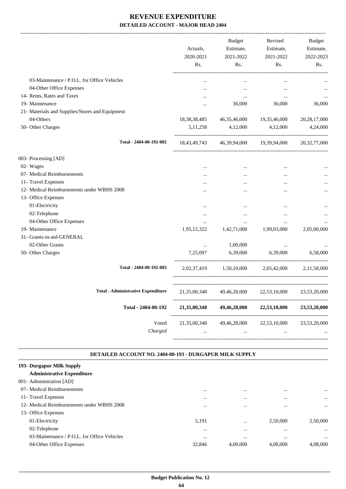|                                                 | Actuals,<br>2020-2021<br>Rs.           | Budget<br>Estimate,<br>2021-2022<br>Rs. | Revised<br>Estimate,<br>2021-2022<br>Rs. | Budget<br>Estimate,<br>2022-2023<br>Rs. |
|-------------------------------------------------|----------------------------------------|-----------------------------------------|------------------------------------------|-----------------------------------------|
| 03-Maintenance / P.O.L. for Office Vehicles     | $\ddotsc$                              | $\ddotsc$                               | $\cdots$                                 |                                         |
| 04-Other Office Expenses                        |                                        | $\ddotsc$                               | $\ddotsc$                                |                                         |
| 14- Rents, Rates and Taxes                      |                                        | $\cdots$                                | $\cdots$                                 | $\cdots$                                |
| 19- Maintenance                                 |                                        | 36,000                                  | 36,000                                   | 36,000                                  |
| 21- Materials and Supplies/Stores and Equipment |                                        |                                         |                                          |                                         |
| 04-Others                                       | 18,38,38,485                           |                                         | 46, 35, 46, 000 19, 35, 46, 000          | 20, 28, 17, 000                         |
| 50- Other Charges                               | 5, 11, 258                             | 4,12,000                                | 4,12,000                                 | 4,24,000                                |
| Total - 2404-00-192-002                         |                                        | 18,43,49,743 46,39,94,000 19,39,94,000  |                                          | 20, 32, 77, 000                         |
| 003- Processing [AD]                            |                                        |                                         |                                          |                                         |
| 02- Wages                                       | $\ddotsc$                              | $\ddotsc$                               | $\ddotsc$                                |                                         |
| 07- Medical Reimbursements                      |                                        |                                         |                                          |                                         |
| 11- Travel Expenses                             |                                        |                                         |                                          |                                         |
| 12- Medical Reimbursements under WBHS 2008      |                                        |                                         | $\ddotsc$                                |                                         |
| 13- Office Expenses                             |                                        |                                         |                                          |                                         |
| 01-Electricity                                  | $\cdots$                               |                                         | $\ddotsc$                                |                                         |
| 02-Telephone                                    |                                        |                                         | $\cdots$                                 |                                         |
| 04-Other Office Expenses                        |                                        | $\cdots$                                | $\ddotsc$                                |                                         |
| 19- Maintenance                                 | 1,95,12,322                            | 1,42,71,000                             | 1,99,03,000                              | 2,05,00,000                             |
| 31- Grants-in-aid-GENERAL                       |                                        |                                         |                                          |                                         |
| 02-Other Grants                                 | $\cdots$                               | 1,00,000                                | $\cdots$                                 |                                         |
| 50- Other Charges                               | 7,25,097                               | 6,39,000                                | 6,39,000                                 | 6,58,000                                |
| Total - 2404-00-192-003                         |                                        | 2,02,37,419 1,50,10,000                 |                                          | 2,05,42,000 2,11,58,000                 |
| <b>Total - Administrative Expenditure</b>       | 21,35,00,348 49,46,28,000 22,53,10,000 |                                         |                                          | 23,53,20,000                            |
| Total - 2404-00-192                             | 21,35,00,348                           | 49,46,28,000                            | 22,53,10,000                             | 23,53,20,000                            |
| Voted<br>Charged                                | 21,35,00,348                           | 49,46,28,000<br>$\cdots$                | 22,53,10,000                             | 23,53,20,000                            |

#### **DETAILED ACCOUNT NO. 2404-00-193 - DURGAPUR MILK SUPPLY .**

.

| 193- Durgapur Milk Supply                   |          |          |          |          |
|---------------------------------------------|----------|----------|----------|----------|
| <b>Administrative Expenditure</b>           |          |          |          |          |
| 001- Administration [AD]                    |          |          |          |          |
| 07- Medical Reimbursements                  |          | $\cdots$ |          | $\cdots$ |
| 11- Travel Expenses                         |          | $\cdots$ | $\cdots$ | $\cdots$ |
| 12- Medical Reimbursements under WBHS 2008  | $\cdots$ | $\cdots$ | $\cdots$ | $\cdots$ |
| 13- Office Expenses                         |          |          |          |          |
| 01-Electricity                              | 5,191    | $\cdots$ | 2,50,000 | 2,50,000 |
| 02-Telephone                                | $\cdots$ | $\cdots$ | $\cdots$ | $\cdots$ |
| 03-Maintenance / P.O.L. for Office Vehicles | $\cdots$ | $\cdots$ | $\cdots$ | $\cdots$ |
| 04-Other Office Expenses                    | 32,846   | 4,00,000 | 4,00,000 | 4.08.000 |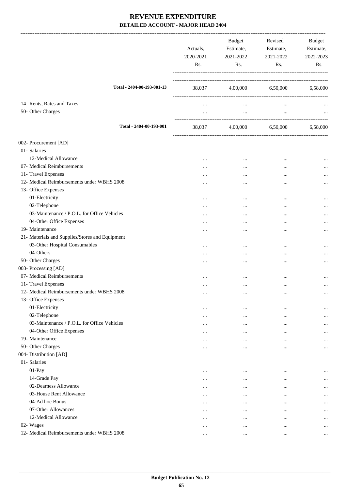|                                                 | Actuals,<br>2020-2021<br>Rs. | <b>Budget</b><br>Estimate,<br>2021-2022<br>Rs. | Revised<br>Estimate,<br>2021-2022<br>Rs. | Budget<br>Estimate,<br>2022-2023<br>Rs. |
|-------------------------------------------------|------------------------------|------------------------------------------------|------------------------------------------|-----------------------------------------|
| Total - 2404-00-193-001-13                      |                              | 38,037 4,00,000 6,50,000 6,58,000              |                                          |                                         |
| 14- Rents, Rates and Taxes<br>50- Other Charges | $\cdots$                     | $\cdots$                                       | $\cdots$                                 |                                         |
|                                                 | $\cdots$                     | $\cdots$                                       | $\ldots$                                 |                                         |
| Total - 2404-00-193-001                         |                              | 38,037 4,00,000 6,50,000                       |                                          | 6,58,000                                |
| 002- Procurement [AD]                           |                              |                                                |                                          |                                         |
| 01- Salaries                                    |                              |                                                |                                          |                                         |
| 12-Medical Allowance                            | $\ddotsc$                    | $\cdots$                                       |                                          |                                         |
| 07- Medical Reimbursements                      | $\cdots$                     | $\cdots$                                       |                                          |                                         |
| 11- Travel Expenses                             |                              |                                                |                                          |                                         |
| 12- Medical Reimbursements under WBHS 2008      |                              |                                                |                                          |                                         |
| 13- Office Expenses                             |                              |                                                |                                          |                                         |
| 01-Electricity                                  |                              | $\cdots$                                       | $\cdots$                                 |                                         |
| 02-Telephone                                    | $\cdots$                     |                                                |                                          | $\cdots$                                |
| 03-Maintenance / P.O.L. for Office Vehicles     | $\cdots$                     | $\ddotsc$                                      |                                          |                                         |
| 04-Other Office Expenses                        |                              | $\cdots$                                       |                                          |                                         |
| 19- Maintenance                                 |                              |                                                |                                          |                                         |
| 21- Materials and Supplies/Stores and Equipment |                              |                                                |                                          |                                         |
| 03-Other Hospital Consumables                   |                              |                                                |                                          |                                         |
| 04-Others                                       |                              | $\cdots$                                       | $\ddotsc$                                | $\cdots$                                |
| 50- Other Charges                               |                              |                                                | $\ddotsc$                                |                                         |
| 003- Processing [AD]                            |                              |                                                |                                          |                                         |
| 07- Medical Reimbursements                      | $\cdots$                     | $\ddotsc$                                      | $\cdots$                                 |                                         |
| 11- Travel Expenses                             |                              |                                                |                                          | $\cdots$                                |
| 12- Medical Reimbursements under WBHS 2008      | $\ldots$                     | $\ldots$                                       | $\cdots$                                 | $\cdots$                                |
| 13- Office Expenses                             |                              |                                                |                                          |                                         |
| 01-Electricity                                  | $\cdots$                     | $\cdots$                                       |                                          | $\ddotsc$                               |
| 02-Telephone                                    | $\cdots$                     | $\ddotsc$                                      |                                          | $\cdots$                                |
| 03-Maintenance / P.O.L. for Office Vehicles     | $\cdots$                     |                                                |                                          |                                         |
| 04-Other Office Expenses                        | $\cdots$                     | $\cdots$                                       |                                          | $\cdots$                                |
| 19- Maintenance                                 | $\cdots$                     | $\cdots$                                       | $\cdots$                                 | $\cdots$                                |
| 50- Other Charges                               |                              |                                                | $\ddotsc$                                | $\cdots$                                |
| 004- Distribution [AD]                          |                              |                                                |                                          |                                         |
| 01- Salaries                                    |                              |                                                |                                          |                                         |
| 01-Pay                                          | $\cdots$                     | $\ddotsc$                                      | $\cdots$                                 |                                         |
| 14-Grade Pay                                    | $\cdots$                     | $\ddotsc$                                      | $\cdots$                                 | $\cdots$                                |
| 02-Dearness Allowance                           | $\cdots$                     |                                                | $\cdots$                                 |                                         |
| 03-House Rent Allowance                         | $\cdots$                     | $\ddotsc$                                      | $\cdots$                                 | $\cdots$                                |
| 04-Ad hoc Bonus                                 | $\cdots$                     | $\ddotsc$                                      | $\cdots$                                 |                                         |
| 07-Other Allowances                             | $\cdots$                     | $\cdots$                                       | $\cdots$                                 | $\cdots$                                |
| 12-Medical Allowance                            | $\cdots$                     | $\ddotsc$                                      | $\ddotsc$                                | $\ddotsc$                               |
| 02- Wages                                       | $\ddotsc$                    | $\cdots$                                       | $\cdots$                                 | $\cdots$                                |
| 12- Medical Reimbursements under WBHS 2008      | $\cdots$                     | $\cdots$                                       | $\cdots$                                 | $\cdots$                                |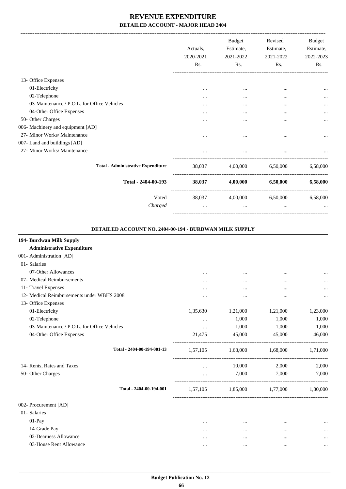|                                             | Actuals.<br>2020-2021<br>Rs. | <b>Budget</b><br>Estimate,<br>2021-2022<br>Rs. | Revised<br>Estimate,<br>2021-2022<br>Rs. | Budget<br>Estimate,<br>2022-2023<br>Rs. |
|---------------------------------------------|------------------------------|------------------------------------------------|------------------------------------------|-----------------------------------------|
| 13- Office Expenses                         |                              |                                                |                                          |                                         |
| 01-Electricity                              | $\cdots$                     | $\cdots$                                       | $\cdots$                                 |                                         |
| 02-Telephone                                | $\cdots$                     | $\cdots$                                       | $\cdots$                                 |                                         |
| 03-Maintenance / P.O.L. for Office Vehicles |                              |                                                | $\cdots$                                 |                                         |
| 04-Other Office Expenses                    | .                            | $\cdots$                                       | $\cdots$                                 |                                         |
| 50- Other Charges                           |                              |                                                | $\cdots$                                 | $\ddotsc$                               |
| 006- Machinery and equipment [AD]           |                              |                                                |                                          |                                         |
| 27- Minor Works/ Maintenance                | $\cdots$                     | $\cdots$                                       | $\cdots$                                 |                                         |
| 007- Land and buildings [AD]                |                              |                                                |                                          |                                         |
| 27- Minor Works/ Maintenance                |                              | $\cdots$                                       |                                          |                                         |
| <b>Total - Administrative Expenditure</b>   | 38,037                       | 4,00,000                                       | 6,50,000                                 | 6,58,000                                |
| Total - 2404-00-193                         | 38,037                       | 4,00,000                                       | 6,50,000                                 | 6,58,000                                |
| Voted                                       | 38,037                       | 4,00,000                                       | 6,50,000                                 | 6,58,000                                |
| Charged                                     | $\cdots$                     | $\cdots$                                       | $\cdots$                                 |                                         |

| DETAILED ACCOUNT NO. 2404-00-194 - BURDWAN MILK SUPPLY |
|--------------------------------------------------------|
|--------------------------------------------------------|

.

| 194- Burdwan Milk Supply                    |          |           |          |          |
|---------------------------------------------|----------|-----------|----------|----------|
| <b>Administrative Expenditure</b>           |          |           |          |          |
| 001- Administration [AD]                    |          |           |          |          |
| 01- Salaries                                |          |           |          |          |
| 07-Other Allowances                         |          | $\ddotsc$ |          |          |
| 07- Medical Reimbursements                  |          |           |          | $\cdots$ |
| 11- Travel Expenses                         |          | $\ddotsc$ | $\cdots$ | $\cdots$ |
| 12- Medical Reimbursements under WBHS 2008  |          | $\cdots$  |          |          |
| 13- Office Expenses                         |          |           |          |          |
| 01-Electricity                              | 1,35,630 | 1,21,000  | 1,21,000 | 1,23,000 |
| 02-Telephone                                | $\cdots$ | 1,000     | 1,000    | 1,000    |
| 03-Maintenance / P.O.L. for Office Vehicles | $\cdots$ | 1,000     | 1,000    | 1,000    |
| 04-Other Office Expenses                    | 21,475   | 45,000    | 45,000   | 46,000   |
| Total - 2404-00-194-001-13                  | 1,57,105 | 1,68,000  | 1,68,000 | 1,71,000 |
| 14- Rents, Rates and Taxes                  |          | 10,000    | 2,000    | 2,000    |
| 50- Other Charges                           | $\cdots$ | 7,000     | 7,000    | 7,000    |
| Total - 2404-00-194-001                     | 1,57,105 | 1,85,000  | 1,77,000 | 1,80,000 |
| 002- Procurement [AD]                       |          |           |          |          |
| 01- Salaries                                |          |           |          |          |
| $01-Pay$                                    |          |           | $\cdots$ |          |
| 14-Grade Pay                                | $\cdots$ | $\cdots$  |          |          |
| 02-Dearness Allowance                       |          |           |          |          |
| 03-House Rent Allowance                     |          | $\ddotsc$ |          | $\cdots$ |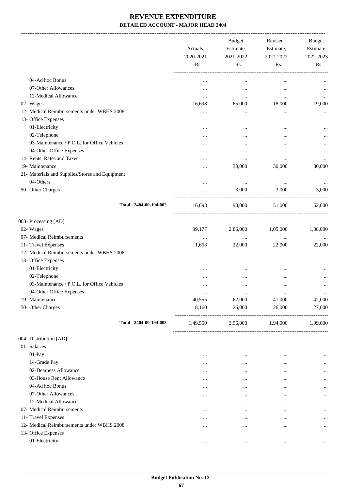|                                                              | Actuals,<br>2020-2021<br>Rs. | <b>Budget</b><br>Estimate,<br>2021-2022<br>Rs. | Revised<br>Estimate,<br>2021-2022<br>Rs. | Budget<br>Estimate,<br>2022-2023<br>Rs. |
|--------------------------------------------------------------|------------------------------|------------------------------------------------|------------------------------------------|-----------------------------------------|
| 04-Ad hoc Bonus                                              |                              |                                                |                                          |                                         |
| 07-Other Allowances                                          | $\cdots$                     | $\cdots$                                       | $\cdots$                                 |                                         |
| 12-Medical Allowance                                         | $\cdots$                     | $\cdots$                                       |                                          |                                         |
| 02- Wages                                                    | $\cdots$<br>16,698           | $\ldots$<br>65,000                             | $\cdots$<br>18,000                       | $\cdots$<br>19,000                      |
| 12- Medical Reimbursements under WBHS 2008                   |                              |                                                |                                          |                                         |
| 13- Office Expenses                                          |                              | $\ldots$                                       |                                          |                                         |
| 01-Electricity                                               |                              |                                                |                                          |                                         |
| 02-Telephone                                                 |                              |                                                |                                          | $\cdots$                                |
| 03-Maintenance / P.O.L. for Office Vehicles                  |                              |                                                |                                          |                                         |
| 04-Other Office Expenses                                     |                              |                                                | $\cdots$                                 |                                         |
| 14- Rents, Rates and Taxes                                   |                              | $\cdots$                                       |                                          |                                         |
| 19- Maintenance                                              | $\cdots$                     | $\cdots$                                       |                                          |                                         |
|                                                              |                              | 30,000                                         | 30,000                                   | 30,000                                  |
| 21- Materials and Supplies/Stores and Equipment<br>04-Others |                              |                                                |                                          |                                         |
| 50- Other Charges                                            |                              | $\cdots$<br>3,000                              | $\cdots$<br>3,000                        | 3,000                                   |
|                                                              |                              |                                                |                                          |                                         |
| Total - 2404-00-194-002                                      | 16,698                       | 98,000                                         | 51,000                                   | 52,000                                  |
| 003- Processing [AD]                                         |                              |                                                |                                          |                                         |
| 02- Wages                                                    | 99,177                       | 2,86,000                                       | 1,05,000                                 | 1,08,000                                |
| 07- Medical Reimbursements                                   | $\cdots$                     | $\ldots$                                       | $\ldots$                                 |                                         |
| 11- Travel Expenses                                          | 1,658                        | 22,000                                         | 22,000                                   | 22,000                                  |
| 12- Medical Reimbursements under WBHS 2008                   |                              |                                                |                                          |                                         |
| 13- Office Expenses                                          |                              |                                                |                                          |                                         |
| 01-Electricity                                               | $\cdots$                     |                                                |                                          |                                         |
| 02-Telephone                                                 |                              |                                                |                                          |                                         |
| 03-Maintenance / P.O.L. for Office Vehicles                  |                              |                                                |                                          | $\cdots$                                |
| 04-Other Office Expenses                                     | $\cdots$                     | $\cdots$                                       | $\cdots$                                 | $\cdots$                                |
| 19- Maintenance                                              | 40,555                       | 62,000                                         | 41,000                                   | 42,000                                  |
| 50- Other Charges                                            | 8,160                        | 26,000                                         | 26,000                                   | 27,000                                  |
| Total - 2404-00-194-003                                      | 1,49,550                     |                                                | 3,96,000 1,94,000                        | 1,99,000                                |
| 004- Distribution [AD]                                       |                              |                                                |                                          |                                         |
| 01- Salaries                                                 |                              |                                                |                                          |                                         |
| 01-Pay                                                       |                              | $\cdots$                                       |                                          | $\cdots$                                |
| 14-Grade Pay                                                 |                              | $\cdots$                                       | $\cdots$                                 | $\cdots$                                |
| 02-Dearness Allowance                                        | $\cdots$                     | $\cdots$                                       |                                          | $\cdots$                                |
| 03-House Rent Allowance                                      | $\cdots$                     | $\cdots$                                       | $\cdots$                                 | $\cdots$                                |
| 04-Ad hoc Bonus                                              | $\cdots$                     | $\cdots$                                       | $\cdots$                                 | $\cdots$                                |
| 07-Other Allowances                                          | $\cdots$                     | $\cdots$                                       | $\cdots$                                 | $\cdots$                                |
| 12-Medical Allowance                                         | $\cdots$                     |                                                | $\cdots$                                 | $\cdots$                                |
| 07- Medical Reimbursements                                   | $\cdots$                     | $\cdots$                                       |                                          | $\cdots$                                |
| 11- Travel Expenses                                          | $\cdots$                     |                                                |                                          | $\cdots$                                |
| 12- Medical Reimbursements under WBHS 2008                   | $\cdots$                     | $\cdots$                                       | $\cdots$                                 | $\cdots$                                |
| 13- Office Expenses                                          |                              |                                                |                                          |                                         |
| 01-Electricity                                               |                              | $\cdots$                                       | $\ddotsc$                                | $\cdots$                                |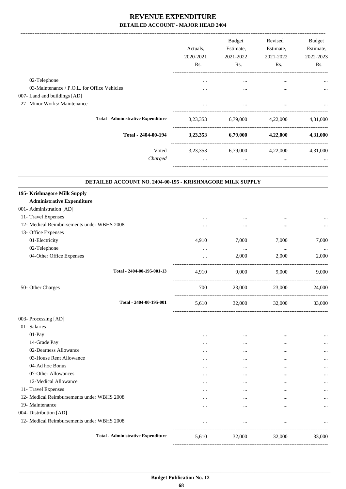|                                                                   |                            | Actuals,<br>2020-2021<br>Rs. | Budget<br>Estimate,<br>2021-2022<br>Rs. | Revised<br>Estimate,<br>2021-2022<br>Rs. | Budget<br>Estimate,<br>2022-2023<br>Rs. |
|-------------------------------------------------------------------|----------------------------|------------------------------|-----------------------------------------|------------------------------------------|-----------------------------------------|
| 02-Telephone                                                      |                            |                              | $\cdots$                                | $\cdots$                                 |                                         |
| 03-Maintenance / P.O.L. for Office Vehicles                       |                            |                              | $\cdots$                                |                                          |                                         |
| 007- Land and buildings [AD]                                      |                            |                              |                                         |                                          |                                         |
| 27- Minor Works/ Maintenance                                      |                            |                              | $\cdots$                                | $\ddotsc$                                |                                         |
| <b>Total - Administrative Expenditure</b>                         |                            | 3,23,353                     |                                         | 6,79,000 4,22,000                        | 4,31,000                                |
|                                                                   | Total - 2404-00-194        |                              | 3,23,353 6,79,000                       | 4,22,000                                 | 4,31,000                                |
|                                                                   | Voted                      | 3,23,353                     | 6,79,000 4,22,000                       |                                          | 4,31,000                                |
|                                                                   | Charged                    | $\cdots$                     | $\cdots$                                | $\cdots$                                 |                                         |
| DETAILED ACCOUNT NO. 2404-00-195 - KRISHNAGORE MILK SUPPLY        |                            |                              |                                         |                                          |                                         |
| 195- Krishnagore Milk Supply<br><b>Administrative Expenditure</b> |                            |                              |                                         |                                          |                                         |
| 001- Administration [AD]                                          |                            |                              |                                         |                                          |                                         |
| 11- Travel Expenses                                               |                            |                              |                                         |                                          |                                         |
| 12- Medical Reimbursements under WBHS 2008                        |                            |                              | $\cdots$                                |                                          |                                         |
| 13- Office Expenses                                               |                            |                              |                                         |                                          |                                         |
| 01-Electricity                                                    |                            | 4,910                        | 7,000                                   | 7,000                                    | 7,000                                   |
| 02-Telephone                                                      |                            |                              | $\ldots$                                | $\cdots$                                 |                                         |
| 04-Other Office Expenses                                          |                            |                              | 2,000                                   | 2,000                                    | 2,000                                   |
|                                                                   | Total - 2404-00-195-001-13 | 4,910                        | 9,000                                   | 9,000                                    | 9,000                                   |
| 50- Other Charges                                                 |                            | 700                          | 23,000                                  | 23,000                                   | 24,000                                  |
|                                                                   | Total - 2404-00-195-001    | 5,610                        | 32,000                                  | 32,000                                   | 33,000                                  |
| 003- Processing [AD]                                              |                            |                              |                                         |                                          |                                         |
| 01- Salaries                                                      |                            |                              |                                         |                                          |                                         |
| 01-Pay                                                            |                            |                              | $\cdots$                                |                                          |                                         |
| 14-Grade Pay                                                      |                            |                              |                                         |                                          |                                         |
| 02-Dearness Allowance                                             |                            |                              |                                         |                                          |                                         |
| 03-House Rent Allowance                                           |                            |                              |                                         |                                          |                                         |
| 04-Ad hoc Bonus                                                   |                            | $\cdots$                     | $\cdots$                                | $\cdots$                                 |                                         |
| 07-Other Allowances                                               |                            | $\cdots$                     |                                         |                                          |                                         |
| 12-Medical Allowance                                              |                            |                              |                                         |                                          |                                         |
| 11- Travel Expenses                                               |                            |                              | $\cdots$                                |                                          |                                         |
| 12- Medical Reimbursements under WBHS 2008                        |                            |                              | $\cdots$                                | $\cdots$                                 |                                         |
| 19- Maintenance                                                   |                            |                              | $\cdots$                                |                                          |                                         |
| 004- Distribution [AD]                                            |                            |                              |                                         |                                          |                                         |
| 12- Medical Reimbursements under WBHS 2008                        |                            | $\cdots$                     |                                         |                                          |                                         |
| <b>Total - Administrative Expenditure</b>                         |                            | 5,610                        | 32,000                                  | 32,000                                   | 33,000                                  |

-----------------------------------------------------------------------------------------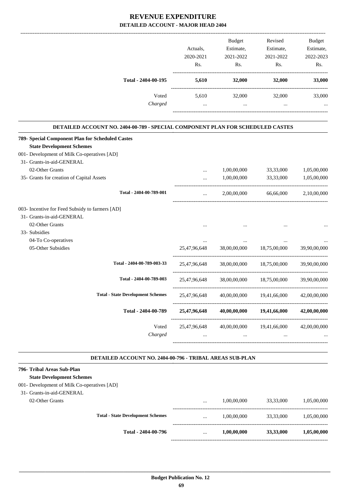|                                                                                       | Actuals.<br>2020-2021<br>Rs. | <b>Budget</b><br>Estimate,<br>2021-2022<br>Rs. | Revised<br>Estimate,<br>2021-2022<br>Rs. | <b>Budget</b><br>Estimate,<br>2022-2023<br>Rs. |
|---------------------------------------------------------------------------------------|------------------------------|------------------------------------------------|------------------------------------------|------------------------------------------------|
| Total - 2404-00-195                                                                   | 5,610                        | 32,000                                         | 32,000                                   | 33,000                                         |
| Voted                                                                                 | 5,610                        | 32,000                                         | 32,000                                   | 33,000                                         |
| Charged                                                                               | $\cdots$                     |                                                | $\cdots$                                 | $\cdots$                                       |
| <b>DETAILED ACCOUNT NO. 2404-00-789 - SPECIAL COMPONENT PLAN FOR SCHEDULED CASTES</b> |                              |                                                |                                          |                                                |
| 789- Special Component Plan for Scheduled Castes                                      |                              |                                                |                                          |                                                |
| <b>State Development Schemes</b>                                                      |                              |                                                |                                          |                                                |
| 001- Development of Milk Co-operatives [AD]                                           |                              |                                                |                                          |                                                |
| 31- Grants-in-aid-GENERAL                                                             |                              |                                                |                                          |                                                |

| 02-Other Grants                                 |                                          |              | 1,00,00,000  | 33,33,000                              | 1,05,00,000  |
|-------------------------------------------------|------------------------------------------|--------------|--------------|----------------------------------------|--------------|
| 35- Grants for creation of Capital Assets       |                                          |              | 1,00,00,000  | 33,33,000                              | 1,05,00,000  |
|                                                 | Total - 2404-00-789-001                  | $\cdots$     | 2,00,00,000  | 66,66,000                              | 2,10,00,000  |
| 003- Incentive for Feed Subsidy to farmers [AD] |                                          |              |              |                                        |              |
| 31- Grants-in-aid-GENERAL                       |                                          |              |              |                                        |              |
| 02-Other Grants                                 |                                          |              |              |                                        |              |
| 33- Subsidies                                   |                                          |              |              |                                        |              |
| 04-To Co-operatives                             |                                          |              |              |                                        |              |
| 05-Other Subsidies                              |                                          | 25,47,96,648 | 38,00,00,000 | 18,75,00,000                           | 39,90,00,000 |
|                                                 | Total - 2404-00-789-003-33               |              |              | 25,47,96,648 38,00,00,000 18,75,00,000 | 39,90,00,000 |
|                                                 | Total - 2404-00-789-003                  | 25,47,96,648 | 38,00,00,000 | 18,75,00,000                           | 39,90,00,000 |
|                                                 | <b>Total - State Development Schemes</b> | 25,47,96,648 | 40,00,00,000 | 19,41,66,000                           | 42,00,00,000 |
|                                                 | Total - 2404-00-789                      | 25,47,96,648 | 40,00,00,000 | 19,41,66,000                           | 42,00,00,000 |
|                                                 | Voted                                    | 25,47,96,648 | 40,00,00,000 | 19,41,66,000                           | 42,00,00,000 |
|                                                 | Charged                                  | $\cdots$     | $\cdots$     | $\cdots$                               |              |
|                                                 |                                          |              |              |                                        |              |

#### **DETAILED ACCOUNT NO. 2404-00-796 - TRIBAL AREAS SUB-PLAN .**

.

#### **796- Tribal Areas Sub-Plan**

 $31-$ 

**State Development Schemes**

#### 001- Development of Milk Co-operatives [AD]

|                                            | Total - 2404-00-796                      | $\cdots$ | 1,00,00,000 | 33,33,000 | 1,05,00,000 |
|--------------------------------------------|------------------------------------------|----------|-------------|-----------|-------------|
|                                            | <b>Total - State Development Schemes</b> | $\cdots$ | 1.00.00.000 | 33,33,000 | 1,05,00,000 |
| 02-Other Grants                            |                                          | $\cdots$ | 1.00.00.000 | 33,33,000 | 1.05.00.000 |
| Grants-in-aid-GENERAL                      |                                          |          |             |           |             |
| Development of the Co-operatives $\mu$ (D) |                                          |          |             |           |             |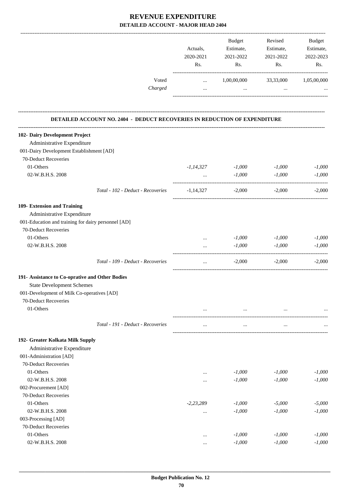|                                                                                  | Actuals,<br>2020-2021<br>Rs. | Budget<br>Estimate,<br>2021-2022<br>Rs. | Revised<br>Estimate,<br>2021-2022<br>Rs. | Budget<br>Estimate,<br>2022-2023<br>Rs. |
|----------------------------------------------------------------------------------|------------------------------|-----------------------------------------|------------------------------------------|-----------------------------------------|
| Voted                                                                            | $\cdots$                     | 1,00,00,000                             | 33,33,000                                | 1,05,00,000                             |
| Charged                                                                          | $\cdots$                     | $\ddotsc$                               | $\cdots$                                 |                                         |
| <b>DETAILED ACCOUNT NO. 2404 - DEDUCT RECOVERIES IN REDUCTION OF EXPENDITURE</b> |                              |                                         |                                          |                                         |
| 102- Dairy Development Project                                                   |                              |                                         |                                          |                                         |
| Administrative Expenditure                                                       |                              |                                         |                                          |                                         |
| 001-Dairy Development Establishment [AD]                                         |                              |                                         |                                          |                                         |
| 70-Deduct Recoveries                                                             |                              |                                         |                                          |                                         |
| 01-Others                                                                        | $-1, 14, 327$                | $-1,000$                                | $-1,000$                                 | $-1,000$                                |
| 02-W.B.H.S. 2008                                                                 | $\ddots$                     | $-1,000$                                | $-1,000$                                 | $-1,000$                                |
| Total - 102 - Deduct - Recoveries                                                | $-1.14.327$                  | $-2,000$                                | $-2,000$                                 | $-2,000$                                |
| 109- Extension and Training                                                      |                              |                                         |                                          |                                         |
| Administrative Expenditure                                                       |                              |                                         |                                          |                                         |
| 001-Education and training for dairy personnel [AD]                              |                              |                                         |                                          |                                         |
| 70-Deduct Recoveries                                                             |                              |                                         |                                          |                                         |
| 01-Others                                                                        | $\cdots$                     | $-1,000$                                | $-1,000$                                 | $-1,000$                                |
| 02-W.B.H.S. 2008                                                                 | $\cdots$                     | $-1,000$                                | $-1,000$                                 | $-1,000$                                |
| Total - 109 - Deduct - Recoveries                                                | $\cdots$                     | $-2,000$                                | $-2,000$                                 | $-2,000$                                |
| 191- Assistance to Co-oprative and Other Bodies                                  |                              |                                         |                                          |                                         |
| <b>State Development Schemes</b>                                                 |                              |                                         |                                          |                                         |
| 001-Development of Milk Co-operatives [AD]                                       |                              |                                         |                                          |                                         |
| 70-Deduct Recoveries                                                             |                              |                                         |                                          |                                         |
| 01-Others                                                                        | $\ldots$                     | $\cdots$                                | $\ldots$                                 |                                         |
| Total - 191 - Deduct - Recoveries                                                | $\ldots$                     | $\cdots$                                | $\cdots$                                 |                                         |
| 192- Greater Kolkata Milk Supply                                                 |                              |                                         |                                          |                                         |
| Administrative Expenditure                                                       |                              |                                         |                                          |                                         |
| 001-Administration [AD]                                                          |                              |                                         |                                          |                                         |
| 70-Deduct Recoveries                                                             |                              |                                         |                                          |                                         |
| 01-Others                                                                        |                              | $-1,000$                                | $-1,000$                                 | $-1,000$                                |
| 02-W.B.H.S. 2008                                                                 |                              | $-1,000$                                | $-1,000$                                 | $-1,000$                                |
| 002-Procurement [AD]                                                             |                              |                                         |                                          |                                         |
| 70-Deduct Recoveries                                                             |                              |                                         |                                          |                                         |
| 01-Others                                                                        | $-2, 23, 289$                | $-1,000$                                | $-5,000$                                 | $-5,000$                                |
| 02-W.B.H.S. 2008                                                                 |                              | $-1,000$                                | $-1,000$                                 | $-1,000$                                |
| 003-Processing [AD]                                                              |                              |                                         |                                          |                                         |
| 70-Deduct Recoveries                                                             |                              |                                         |                                          |                                         |
| 01-Others                                                                        |                              | $-1,000$                                | $-1,000$                                 | $-1,000$                                |
| 02-W.B.H.S. 2008                                                                 | $\cdots$                     | $-1,000$                                | $-1,000$                                 | $-1,000$                                |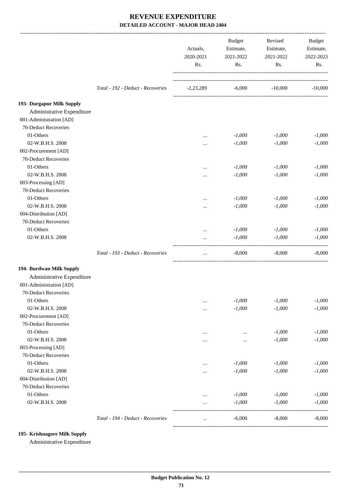| Total - 192 - Deduct - Recoveries<br>$-6,000$<br>$-10,000$<br>$-2,23,289$<br>Administrative Expenditure<br>001-Administration [AD]<br>70-Deduct Recoveries<br>01-Others<br>$-1,000$<br>$-1,000$<br>$\cdots$<br>02-W.B.H.S. 2008<br>$-1,000$<br>$-1,000$<br><br>002-Procurement [AD]<br>70-Deduct Recoveries<br>01-Others<br>$-1,000$<br>$-1,000$<br><br>02-W.B.H.S. 2008<br>$-1,000$<br>$-1,000$<br><br>003-Processing [AD]<br>70-Deduct Recoveries<br>01-Others<br>$-1,000$<br>$-1,000$<br><br>02-W.B.H.S. 2008<br>$-1,000$<br>$-1,000$<br><br>004-Distribution [AD]<br>70-Deduct Recoveries<br>01-Others<br>$-1,000$<br>$-1,000$<br>$\cdots$<br>02-W.B.H.S. 2008<br>$-1,000$<br>$-1,000$<br>$\cdots$<br>Total - 193 - Deduct - Recoveries<br>$-8,000$<br>$-8,000$<br>$\cdots$<br>Administrative Expenditure<br>001-Administration [AD]<br>70-Deduct Recoveries<br>01-Others<br>$-1,000$<br>$-1,000$<br><br>02-W.B.H.S. 2008<br>$-1,000$<br>$-1,000$<br><br>002-Procurement [AD]<br>70-Deduct Recoveries<br>01-Others<br>$-1,000$<br><br>02-W.B.H.S. 2008<br>$-1,000$<br><br><br>003-Processing [AD]<br>70-Deduct Recoveries<br>01-Others<br>$-1,000$<br>$-1,000$<br>$\ddotsc$<br>02-W.B.H.S. 2008<br>$-1,000$<br>$-1,000$<br>$\cdots$<br>004-Distribution [AD]<br>70-Deduct Recoveries<br>01-Others<br>$-1,000$<br>$-1,000$<br><br>02-W.B.H.S. 2008<br>$-1,000$<br>$-1,000$<br> |                                   | Actuals,<br>2020-2021 | <b>Budget</b><br>Estimate,<br>2021-2022 | Revised<br>Estimate,<br>2021-2022 | <b>Budget</b><br>Estimate,<br>2022-2023 |
|-----------------------------------------------------------------------------------------------------------------------------------------------------------------------------------------------------------------------------------------------------------------------------------------------------------------------------------------------------------------------------------------------------------------------------------------------------------------------------------------------------------------------------------------------------------------------------------------------------------------------------------------------------------------------------------------------------------------------------------------------------------------------------------------------------------------------------------------------------------------------------------------------------------------------------------------------------------------------------------------------------------------------------------------------------------------------------------------------------------------------------------------------------------------------------------------------------------------------------------------------------------------------------------------------------------------------------------------------------------------------------------|-----------------------------------|-----------------------|-----------------------------------------|-----------------------------------|-----------------------------------------|
|                                                                                                                                                                                                                                                                                                                                                                                                                                                                                                                                                                                                                                                                                                                                                                                                                                                                                                                                                                                                                                                                                                                                                                                                                                                                                                                                                                                   |                                   | Rs.                   | Rs.                                     | Rs.                               | Rs.                                     |
| 193- Durgapur Milk Supply                                                                                                                                                                                                                                                                                                                                                                                                                                                                                                                                                                                                                                                                                                                                                                                                                                                                                                                                                                                                                                                                                                                                                                                                                                                                                                                                                         |                                   |                       |                                         |                                   | $-10,000$                               |
|                                                                                                                                                                                                                                                                                                                                                                                                                                                                                                                                                                                                                                                                                                                                                                                                                                                                                                                                                                                                                                                                                                                                                                                                                                                                                                                                                                                   |                                   |                       |                                         |                                   |                                         |
|                                                                                                                                                                                                                                                                                                                                                                                                                                                                                                                                                                                                                                                                                                                                                                                                                                                                                                                                                                                                                                                                                                                                                                                                                                                                                                                                                                                   |                                   |                       |                                         |                                   |                                         |
|                                                                                                                                                                                                                                                                                                                                                                                                                                                                                                                                                                                                                                                                                                                                                                                                                                                                                                                                                                                                                                                                                                                                                                                                                                                                                                                                                                                   |                                   |                       |                                         |                                   |                                         |
| 194- Burdwan Milk Supply                                                                                                                                                                                                                                                                                                                                                                                                                                                                                                                                                                                                                                                                                                                                                                                                                                                                                                                                                                                                                                                                                                                                                                                                                                                                                                                                                          |                                   |                       |                                         |                                   |                                         |
|                                                                                                                                                                                                                                                                                                                                                                                                                                                                                                                                                                                                                                                                                                                                                                                                                                                                                                                                                                                                                                                                                                                                                                                                                                                                                                                                                                                   |                                   |                       |                                         |                                   | $-1,000$                                |
|                                                                                                                                                                                                                                                                                                                                                                                                                                                                                                                                                                                                                                                                                                                                                                                                                                                                                                                                                                                                                                                                                                                                                                                                                                                                                                                                                                                   |                                   |                       |                                         |                                   | $-1,000$                                |
|                                                                                                                                                                                                                                                                                                                                                                                                                                                                                                                                                                                                                                                                                                                                                                                                                                                                                                                                                                                                                                                                                                                                                                                                                                                                                                                                                                                   |                                   |                       |                                         |                                   |                                         |
|                                                                                                                                                                                                                                                                                                                                                                                                                                                                                                                                                                                                                                                                                                                                                                                                                                                                                                                                                                                                                                                                                                                                                                                                                                                                                                                                                                                   |                                   |                       |                                         |                                   |                                         |
|                                                                                                                                                                                                                                                                                                                                                                                                                                                                                                                                                                                                                                                                                                                                                                                                                                                                                                                                                                                                                                                                                                                                                                                                                                                                                                                                                                                   |                                   |                       |                                         |                                   | $-1,000$                                |
|                                                                                                                                                                                                                                                                                                                                                                                                                                                                                                                                                                                                                                                                                                                                                                                                                                                                                                                                                                                                                                                                                                                                                                                                                                                                                                                                                                                   |                                   |                       |                                         |                                   | $-1,000$                                |
|                                                                                                                                                                                                                                                                                                                                                                                                                                                                                                                                                                                                                                                                                                                                                                                                                                                                                                                                                                                                                                                                                                                                                                                                                                                                                                                                                                                   |                                   |                       |                                         |                                   |                                         |
|                                                                                                                                                                                                                                                                                                                                                                                                                                                                                                                                                                                                                                                                                                                                                                                                                                                                                                                                                                                                                                                                                                                                                                                                                                                                                                                                                                                   |                                   |                       |                                         |                                   | $-1,000$                                |
|                                                                                                                                                                                                                                                                                                                                                                                                                                                                                                                                                                                                                                                                                                                                                                                                                                                                                                                                                                                                                                                                                                                                                                                                                                                                                                                                                                                   |                                   |                       |                                         |                                   | $-1,000$                                |
|                                                                                                                                                                                                                                                                                                                                                                                                                                                                                                                                                                                                                                                                                                                                                                                                                                                                                                                                                                                                                                                                                                                                                                                                                                                                                                                                                                                   |                                   |                       |                                         |                                   |                                         |
|                                                                                                                                                                                                                                                                                                                                                                                                                                                                                                                                                                                                                                                                                                                                                                                                                                                                                                                                                                                                                                                                                                                                                                                                                                                                                                                                                                                   |                                   |                       |                                         |                                   |                                         |
|                                                                                                                                                                                                                                                                                                                                                                                                                                                                                                                                                                                                                                                                                                                                                                                                                                                                                                                                                                                                                                                                                                                                                                                                                                                                                                                                                                                   |                                   |                       |                                         |                                   | $-1,000$                                |
|                                                                                                                                                                                                                                                                                                                                                                                                                                                                                                                                                                                                                                                                                                                                                                                                                                                                                                                                                                                                                                                                                                                                                                                                                                                                                                                                                                                   |                                   |                       |                                         |                                   | $-1,000$                                |
|                                                                                                                                                                                                                                                                                                                                                                                                                                                                                                                                                                                                                                                                                                                                                                                                                                                                                                                                                                                                                                                                                                                                                                                                                                                                                                                                                                                   |                                   |                       |                                         |                                   | $-8,000$                                |
|                                                                                                                                                                                                                                                                                                                                                                                                                                                                                                                                                                                                                                                                                                                                                                                                                                                                                                                                                                                                                                                                                                                                                                                                                                                                                                                                                                                   |                                   |                       |                                         |                                   |                                         |
|                                                                                                                                                                                                                                                                                                                                                                                                                                                                                                                                                                                                                                                                                                                                                                                                                                                                                                                                                                                                                                                                                                                                                                                                                                                                                                                                                                                   |                                   |                       |                                         |                                   |                                         |
|                                                                                                                                                                                                                                                                                                                                                                                                                                                                                                                                                                                                                                                                                                                                                                                                                                                                                                                                                                                                                                                                                                                                                                                                                                                                                                                                                                                   |                                   |                       |                                         |                                   |                                         |
|                                                                                                                                                                                                                                                                                                                                                                                                                                                                                                                                                                                                                                                                                                                                                                                                                                                                                                                                                                                                                                                                                                                                                                                                                                                                                                                                                                                   |                                   |                       |                                         |                                   |                                         |
|                                                                                                                                                                                                                                                                                                                                                                                                                                                                                                                                                                                                                                                                                                                                                                                                                                                                                                                                                                                                                                                                                                                                                                                                                                                                                                                                                                                   |                                   |                       |                                         |                                   | $-1,000$                                |
|                                                                                                                                                                                                                                                                                                                                                                                                                                                                                                                                                                                                                                                                                                                                                                                                                                                                                                                                                                                                                                                                                                                                                                                                                                                                                                                                                                                   |                                   |                       |                                         |                                   | $-1,000$                                |
|                                                                                                                                                                                                                                                                                                                                                                                                                                                                                                                                                                                                                                                                                                                                                                                                                                                                                                                                                                                                                                                                                                                                                                                                                                                                                                                                                                                   |                                   |                       |                                         |                                   |                                         |
|                                                                                                                                                                                                                                                                                                                                                                                                                                                                                                                                                                                                                                                                                                                                                                                                                                                                                                                                                                                                                                                                                                                                                                                                                                                                                                                                                                                   |                                   |                       |                                         |                                   |                                         |
|                                                                                                                                                                                                                                                                                                                                                                                                                                                                                                                                                                                                                                                                                                                                                                                                                                                                                                                                                                                                                                                                                                                                                                                                                                                                                                                                                                                   |                                   |                       |                                         |                                   | $-1,000$                                |
|                                                                                                                                                                                                                                                                                                                                                                                                                                                                                                                                                                                                                                                                                                                                                                                                                                                                                                                                                                                                                                                                                                                                                                                                                                                                                                                                                                                   |                                   |                       |                                         |                                   | $-1,000$                                |
|                                                                                                                                                                                                                                                                                                                                                                                                                                                                                                                                                                                                                                                                                                                                                                                                                                                                                                                                                                                                                                                                                                                                                                                                                                                                                                                                                                                   |                                   |                       |                                         |                                   |                                         |
|                                                                                                                                                                                                                                                                                                                                                                                                                                                                                                                                                                                                                                                                                                                                                                                                                                                                                                                                                                                                                                                                                                                                                                                                                                                                                                                                                                                   |                                   |                       |                                         |                                   |                                         |
|                                                                                                                                                                                                                                                                                                                                                                                                                                                                                                                                                                                                                                                                                                                                                                                                                                                                                                                                                                                                                                                                                                                                                                                                                                                                                                                                                                                   |                                   |                       |                                         |                                   | $-1,000$                                |
|                                                                                                                                                                                                                                                                                                                                                                                                                                                                                                                                                                                                                                                                                                                                                                                                                                                                                                                                                                                                                                                                                                                                                                                                                                                                                                                                                                                   |                                   |                       |                                         |                                   | $-1,000$                                |
|                                                                                                                                                                                                                                                                                                                                                                                                                                                                                                                                                                                                                                                                                                                                                                                                                                                                                                                                                                                                                                                                                                                                                                                                                                                                                                                                                                                   |                                   |                       |                                         |                                   |                                         |
|                                                                                                                                                                                                                                                                                                                                                                                                                                                                                                                                                                                                                                                                                                                                                                                                                                                                                                                                                                                                                                                                                                                                                                                                                                                                                                                                                                                   |                                   |                       |                                         |                                   |                                         |
|                                                                                                                                                                                                                                                                                                                                                                                                                                                                                                                                                                                                                                                                                                                                                                                                                                                                                                                                                                                                                                                                                                                                                                                                                                                                                                                                                                                   |                                   |                       |                                         |                                   | $-1,000$                                |
|                                                                                                                                                                                                                                                                                                                                                                                                                                                                                                                                                                                                                                                                                                                                                                                                                                                                                                                                                                                                                                                                                                                                                                                                                                                                                                                                                                                   |                                   |                       |                                         |                                   | $-1,000$                                |
|                                                                                                                                                                                                                                                                                                                                                                                                                                                                                                                                                                                                                                                                                                                                                                                                                                                                                                                                                                                                                                                                                                                                                                                                                                                                                                                                                                                   | Total - 194 - Deduct - Recoveries |                       | $-6,000$                                | $-8,000$                          | $-8,000$                                |

### **195- Krishnagore Milk Supply**

Administrative Expenditure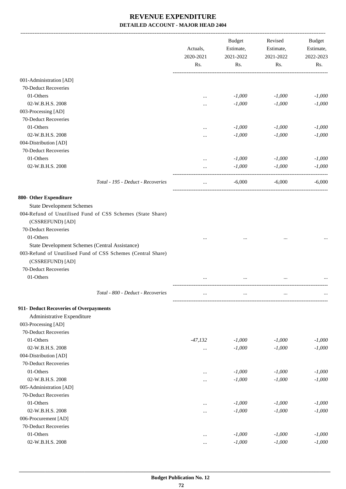|                                                                                  | Actuals,<br>2020-2021 | <b>Budget</b><br>Estimate,<br>2021-2022 | Revised<br>Estimate,<br>2021-2022 | <b>Budget</b><br>Estimate,<br>2022-2023 |     |
|----------------------------------------------------------------------------------|-----------------------|-----------------------------------------|-----------------------------------|-----------------------------------------|-----|
|                                                                                  | Rs.                   | Rs.                                     | Rs.                               |                                         | Rs. |
| 001-Administration [AD]                                                          |                       |                                         |                                   |                                         |     |
| 70-Deduct Recoveries                                                             |                       |                                         |                                   |                                         |     |
| 01-Others                                                                        | $\ddotsc$             | $-1,000$                                | $-1,000$                          | $-1,000$                                |     |
| 02-W.B.H.S. 2008                                                                 |                       | $-1,000$                                | $-1,000$                          | $-1,000$                                |     |
| 003-Processing [AD]                                                              | .                     |                                         |                                   |                                         |     |
| 70-Deduct Recoveries                                                             |                       |                                         |                                   |                                         |     |
| 01-Others                                                                        |                       | $-1,000$                                | $-1,000$                          | $-1,000$                                |     |
| 02-W.B.H.S. 2008                                                                 | .                     | $-1,000$                                | $-1,000$                          | $-1,000$                                |     |
| 004-Distribution [AD]                                                            | $\ddotsc$             |                                         |                                   |                                         |     |
| 70-Deduct Recoveries                                                             |                       |                                         |                                   |                                         |     |
| 01-Others                                                                        |                       |                                         |                                   | $-1,000$                                |     |
|                                                                                  |                       | $-1,000$                                | $-1,000$                          |                                         |     |
| 02-W.B.H.S. 2008                                                                 | .                     | $-1,000$                                | $-1,000$                          | $-1,000$                                |     |
| Total - 195 - Deduct - Recoveries                                                | $\cdots$              | $-6,000$                                | $-6,000$                          | $-6,000$                                |     |
| 800- Other Expenditure                                                           |                       |                                         |                                   |                                         |     |
| <b>State Development Schemes</b>                                                 |                       |                                         |                                   |                                         |     |
| 004-Refund of Unutilised Fund of CSS Schemes (State Share)<br>(CSSREFUND) [AD]   |                       |                                         |                                   |                                         |     |
| 70-Deduct Recoveries                                                             |                       |                                         |                                   |                                         |     |
| 01-Others                                                                        |                       |                                         |                                   |                                         |     |
| State Development Schemes (Central Assistance)                                   |                       |                                         |                                   |                                         |     |
| 003-Refund of Unutilised Fund of CSS Schemes (Central Share)<br>(CSSREFUND) [AD] |                       |                                         |                                   |                                         |     |
| 70-Deduct Recoveries                                                             |                       |                                         |                                   |                                         |     |
| 01-Others                                                                        |                       |                                         |                                   |                                         |     |
| Total - 800 - Deduct - Recoveries                                                |                       |                                         |                                   |                                         |     |
| 911- Deduct Recoveries of Overpayments                                           |                       |                                         |                                   |                                         |     |
| Administrative Expenditure                                                       |                       |                                         |                                   |                                         |     |
| 003-Processing [AD]                                                              |                       |                                         |                                   |                                         |     |
| 70-Deduct Recoveries                                                             |                       |                                         |                                   |                                         |     |
| 01-Others                                                                        | $-47,132$             | $-1,000$                                | $-1,000$                          | $-1,000$                                |     |
| 02-W.B.H.S. 2008                                                                 | $\cdots$              | $-1,000$                                | $-1,000$                          | $-1,000$                                |     |
| 004-Distribution [AD]                                                            |                       |                                         |                                   |                                         |     |
| 70-Deduct Recoveries                                                             |                       |                                         |                                   |                                         |     |
| 01-Others                                                                        | $\cdots$              | $-1,000$                                | $-1,000$                          | $-1,000$                                |     |
| 02-W.B.H.S. 2008                                                                 |                       | $-1,000$                                | $-1,000$                          | $-1,000$                                |     |
| 005-Administration [AD]                                                          |                       |                                         |                                   |                                         |     |
| 70-Deduct Recoveries                                                             |                       |                                         |                                   |                                         |     |
| 01-Others                                                                        |                       | $-1,000$                                | $-1,000$                          | $-1,000$                                |     |
| 02-W.B.H.S. 2008                                                                 | $\cdots$              | $-1,000$                                | $-1,000$                          | $-1,000$                                |     |
| 006-Procurement [AD]                                                             | $\cdots$              |                                         |                                   |                                         |     |
| 70-Deduct Recoveries                                                             |                       |                                         |                                   |                                         |     |
| 01-Others                                                                        |                       | $-1,000$                                | $-1,000$                          | $-1,000$                                |     |
| 02-W.B.H.S. 2008                                                                 | $\cdots$              | $-1,000$                                | $-1,000$                          | $-1,000$                                |     |
|                                                                                  | $\ldots$              |                                         |                                   |                                         |     |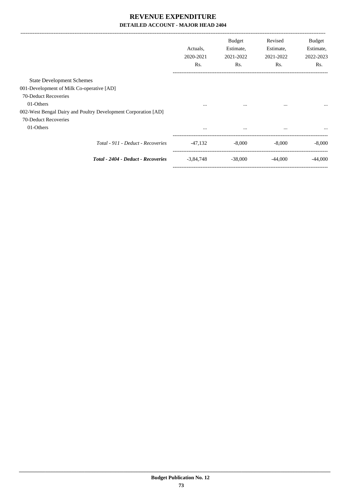|                                                                | Actuals.<br>2020-2021<br>Rs. | <b>Budget</b><br>Estimate,<br>2021-2022<br>Rs. | Revised<br>Estimate,<br>2021-2022<br>Rs. | <b>Budget</b><br>Estimate,<br>2022-2023<br>Rs. |
|----------------------------------------------------------------|------------------------------|------------------------------------------------|------------------------------------------|------------------------------------------------|
| <b>State Development Schemes</b>                               |                              |                                                |                                          |                                                |
| 001-Development of Milk Co-operative [AD]                      |                              |                                                |                                          |                                                |
| 70-Deduct Recoveries                                           |                              |                                                |                                          |                                                |
| 01-Others                                                      | $\cdots$                     | $\cdots$                                       | $\cdots$                                 |                                                |
| 002-West Bengal Dairy and Poultry Development Corporation [AD] |                              |                                                |                                          |                                                |
| 70-Deduct Recoveries                                           |                              |                                                |                                          |                                                |
| 01-Others                                                      | $\cdots$                     | $\cdots$                                       | $\cdots$                                 | $\cdots$                                       |
| Total - 911 - Deduct - Recoveries                              | $-47,132$                    | $-8.000$                                       | $-8.000$                                 | $-8.000$                                       |
| Total - 2404 - Deduct - Recoveries                             | $-3,84,748$                  | $-38,000$                                      | $-44,000$                                | $-44,000$                                      |
|                                                                |                              |                                                |                                          |                                                |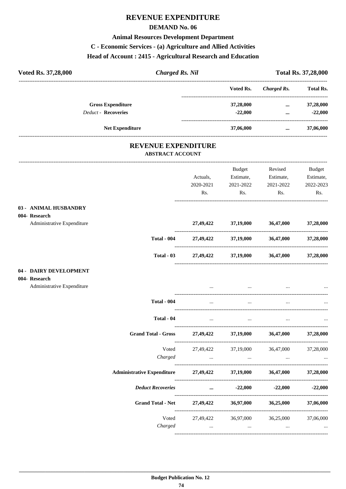## REVENUE EXPENDITURE

### **DEMAND No. 06**

### **Animal Resources Development Department**

### C - Economic Services - (a) Agriculture and Allied Activities

### Head of Account: 2415 - Agricultural Research and Education

| Voted Rs. 37,28,000                    | <b>Charged Rs. Nil</b>                                |           |                                 |                               | <b>Total Rs. 37,28,000</b> |
|----------------------------------------|-------------------------------------------------------|-----------|---------------------------------|-------------------------------|----------------------------|
|                                        |                                                       |           | Voted Rs.                       | Charged Rs.                   | <b>Total Rs.</b>           |
| <b>Gross Expenditure</b>               |                                                       |           | 37,28,000                       | $\cdots$                      | 37,28,000                  |
| <b>Deduct - Recoveries</b>             |                                                       |           | $-22,000$                       | $\cdots$                      | $-22,000$                  |
| <b>Net Expenditure</b>                 |                                                       | 37,06,000 | $\cdots$ . The same of $\cdots$ | 37,06,000                     |                            |
|                                        | <b>REVENUE EXPENDITURE</b><br><b>ABSTRACT ACCOUNT</b> |           |                                 |                               |                            |
|                                        |                                                       |           | Budget                          | Revised                       | <b>Budget</b>              |
|                                        |                                                       | Actuals,  |                                 | Estimate, Estimate,           | Estimate,                  |
|                                        |                                                       | 2020-2021 | 2021-2022                       | 2021-2022                     | 2022-2023                  |
|                                        |                                                       | Rs.       | Rs.                             | Rs.                           | Rs.                        |
| 03 - ANIMAL HUSBANDRY<br>004- Research |                                                       |           |                                 |                               |                            |
| Administrative Expenditure             |                                                       |           | 27,49,422 37,19,000 36,47,000   |                               | 37,28,000                  |
|                                        | <b>Total - 004</b>                                    |           |                                 | 27,49,422 37,19,000 36,47,000 | 37,28,000                  |
|                                        | Total $-03$                                           | 27,49,422 | 37,19,000                       | 36,47,000                     | 37,28,000                  |
| 04 - DAIRY DEVELOPMENT                 |                                                       |           |                                 |                               |                            |
| 004- Research                          |                                                       |           |                                 |                               |                            |
| Administrative Expenditure             |                                                       | $\cdots$  | $\cdots$                        |                               |                            |
|                                        | Total - 004                                           |           |                                 |                               |                            |

| <b>Total - 004</b>                                                 | <b>Contract Contract</b>      | the contract of the contract of the | the contract of the contract of the contract of the contract of the contract of                                 |           |
|--------------------------------------------------------------------|-------------------------------|-------------------------------------|-----------------------------------------------------------------------------------------------------------------|-----------|
| Total - 04                                                         | <b>Contract Contract</b>      |                                     | the contract of the contract of the contract of the contract of the contract of the contract of the contract of |           |
| <b>Grand Total - Gross</b>                                         |                               |                                     | 27,49,422 37,19,000 36,47,000                                                                                   | 37,28,000 |
| Charged                                                            |                               | $\cdots$                            | Voted 27,49,422 37,19,000 36,47,000                                                                             | 37,28,000 |
| Administrative Expenditure 27,49,422 37,19,000 36,47,000 37,28,000 |                               |                                     |                                                                                                                 |           |
| <b>Deduct Recoveries</b>                                           | $\ddotsc$                     |                                     | $-22,000$ $-22,000$ $-22,000$                                                                                   |           |
| Grand Total - Net 27,49,422 36,97,000                              |                               |                                     | 36,25,000                                                                                                       | 37,06,000 |
| Charged                                                            | Voted 27,49,422 36,97,000<br> | $\cdots$                            | 36,25,000<br>$\cdots$                                                                                           | 37,06,000 |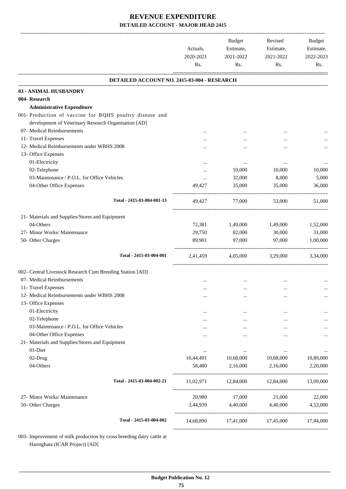|                                                             | Actuals,<br>2020-2021<br>Rs. | Budget<br>Estimate,<br>2021-2022<br>Rs. | Revised<br>Estimate,<br>2021-2022<br>Rs. | Budget<br>Estimate,<br>2022-2023<br>Rs. |
|-------------------------------------------------------------|------------------------------|-----------------------------------------|------------------------------------------|-----------------------------------------|
| DETAILED ACCOUNT NO. 2415-03-004 - RESEARCH                 |                              |                                         |                                          |                                         |
| 03 - ANIMAL HUSBANDRY                                       |                              |                                         |                                          |                                         |
| 004- Research                                               |                              |                                         |                                          |                                         |
| <b>Administrative Expenditure</b>                           |                              |                                         |                                          |                                         |
| 001- Production of vaccine for BQHS poultry disease and     |                              |                                         |                                          |                                         |
| development of Veterinary Research Organisation [AD]        |                              |                                         |                                          |                                         |
| 07- Medical Reimbursements                                  | $\cdots$                     |                                         | $\cdots$                                 |                                         |
| 11- Travel Expenses                                         |                              |                                         |                                          |                                         |
| 12- Medical Reimbursements under WBHS 2008                  |                              |                                         |                                          |                                         |
| 13- Office Expenses                                         |                              |                                         |                                          |                                         |
| 01-Electricity                                              |                              | $\cdots$                                | $\cdots$                                 |                                         |
| 02-Telephone<br>03-Maintenance / P.O.L. for Office Vehicles |                              | 10,000                                  | 10,000                                   | 10,000                                  |
| 04-Other Office Expenses                                    | <br>49,427                   | 32,000<br>35,000                        | 8,000<br>35,000                          | 5,000<br>36,000                         |
|                                                             |                              |                                         |                                          |                                         |
| Total - 2415-03-004-001-13                                  | 49,427                       | 77,000                                  | 53,000                                   | 51,000                                  |
| 21- Materials and Supplies/Stores and Equipment             |                              |                                         |                                          |                                         |
| 04-Others                                                   | 72,381                       | 1,49,000                                | 1,49,000                                 | 1,52,000                                |
| 27- Minor Works/ Maintenance                                | 29,750                       | 82,000                                  | 30,000                                   | 31,000                                  |
| 50- Other Charges                                           | 89,901                       | 97,000                                  | 97,000                                   | 1,00,000                                |
| Total - 2415-03-004-001                                     | 2,41,459                     | 4,05,000                                | 3,29,000                                 | 3,34,000                                |
| 002- Central Livestock Research Cum Breeding Station [AD]   |                              |                                         |                                          |                                         |
| 07- Medical Reimbursements                                  |                              |                                         |                                          |                                         |
| 11- Travel Expenses                                         |                              |                                         |                                          |                                         |
| 12- Medical Reimbursements under WBHS 2008                  |                              |                                         |                                          |                                         |
| 13- Office Expenses                                         |                              |                                         |                                          |                                         |
| 01-Electricity                                              |                              |                                         |                                          |                                         |
| 02-Telephone                                                |                              | $\cdots$                                |                                          |                                         |
| 03-Maintenance / P.O.L. for Office Vehicles                 |                              | $\cdots$                                |                                          |                                         |
| 04-Other Office Expenses                                    |                              |                                         |                                          |                                         |
| 21- Materials and Supplies/Stores and Equipment             |                              |                                         |                                          |                                         |
| 01-Diet                                                     | $\cdots$                     | $\cdots$                                | $\cdots$                                 | $\cdots$                                |
| 02-Drug                                                     | 10,44,491                    | 10,68,000                               | 10,68,000                                | 10,89,000                               |
| 04-Others                                                   | 58,480                       | 2,16,000                                | 2,16,000                                 | 2,20,000                                |
| Total - 2415-03-004-002-21                                  | 11,02,971                    |                                         | 12,84,000 12,84,000                      | 13,09,000                               |
| 27- Minor Works/ Maintenance                                | 20,980                       | 17,000                                  | 21,000                                   | 22,000                                  |
| 50- Other Charges                                           | 3,44,939                     | 4,40,000 4,40,000                       |                                          | 4,53,000                                |
| Total - 2415-03-004-002                                     |                              | 14,68,890 17,41,000 17,45,000 17,84,000 |                                          |                                         |

003- Improvement of milk production by cross breeding dairy cattle at Haringhata (ICAR Project) [AD]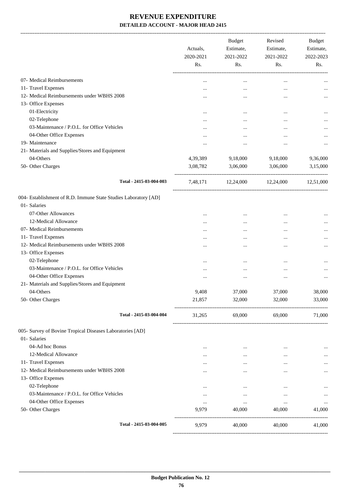| 07- Medical Reimbursements<br>$\cdots$<br>11- Travel Expenses<br>$\cdots$<br>12- Medical Reimbursements under WBHS 2008<br><br>13- Office Expenses<br>01-Electricity<br><br>02-Telephone<br><br>03-Maintenance / P.O.L. for Office Vehicles<br><br>04-Other Office Expenses<br><br>19- Maintenance<br> | $\ddotsc$<br>$\ddotsc$<br>$\cdots$<br><br>$\ddotsc$<br>$\cdots$<br><br><br>9,18,000 | $\ddotsc$<br><br><br><br><br>$\cdots$<br>$\ddotsc$<br>$\ddotsc$ |           |
|--------------------------------------------------------------------------------------------------------------------------------------------------------------------------------------------------------------------------------------------------------------------------------------------------------|-------------------------------------------------------------------------------------|-----------------------------------------------------------------|-----------|
|                                                                                                                                                                                                                                                                                                        |                                                                                     |                                                                 |           |
|                                                                                                                                                                                                                                                                                                        |                                                                                     |                                                                 |           |
|                                                                                                                                                                                                                                                                                                        |                                                                                     |                                                                 |           |
|                                                                                                                                                                                                                                                                                                        |                                                                                     |                                                                 |           |
|                                                                                                                                                                                                                                                                                                        |                                                                                     |                                                                 |           |
|                                                                                                                                                                                                                                                                                                        |                                                                                     |                                                                 |           |
|                                                                                                                                                                                                                                                                                                        |                                                                                     |                                                                 |           |
|                                                                                                                                                                                                                                                                                                        |                                                                                     |                                                                 |           |
|                                                                                                                                                                                                                                                                                                        |                                                                                     |                                                                 |           |
| 21- Materials and Supplies/Stores and Equipment                                                                                                                                                                                                                                                        |                                                                                     |                                                                 |           |
| 04-Others<br>4,39,389                                                                                                                                                                                                                                                                                  |                                                                                     | 9,18,000                                                        | 9,36,000  |
| 50- Other Charges<br>3,08,782                                                                                                                                                                                                                                                                          | 3,06,000                                                                            | 3,06,000                                                        | 3,15,000  |
| Total - 2415-03-004-003<br>7,48,171                                                                                                                                                                                                                                                                    | 12,24,000                                                                           | 12,24,000                                                       | 12,51,000 |
| 004- Establishment of R.D. Immune State Studies Laboratory [AD]                                                                                                                                                                                                                                        |                                                                                     |                                                                 |           |
| 01- Salaries                                                                                                                                                                                                                                                                                           |                                                                                     |                                                                 |           |
| 07-Other Allowances<br>$\cdots$                                                                                                                                                                                                                                                                        | $\ddotsc$                                                                           | $\ddotsc$                                                       |           |
| 12-Medical Allowance<br>                                                                                                                                                                                                                                                                               |                                                                                     | $\ddotsc$                                                       |           |
| 07- Medical Reimbursements<br>                                                                                                                                                                                                                                                                         | $\ddotsc$                                                                           | $\ddotsc$                                                       |           |
| 11- Travel Expenses<br>                                                                                                                                                                                                                                                                                | $\cdots$                                                                            | $\ddotsc$                                                       |           |
| 12- Medical Reimbursements under WBHS 2008<br>                                                                                                                                                                                                                                                         |                                                                                     |                                                                 |           |
| 13- Office Expenses                                                                                                                                                                                                                                                                                    |                                                                                     |                                                                 |           |
| 02-Telephone<br>$\cdots$                                                                                                                                                                                                                                                                               | $\ddotsc$                                                                           | $\cdots$                                                        |           |
| 03-Maintenance / P.O.L. for Office Vehicles<br>                                                                                                                                                                                                                                                        | $\cdots$                                                                            | $\ddotsc$                                                       |           |
| 04-Other Office Expenses<br>                                                                                                                                                                                                                                                                           | $\ddotsc$                                                                           | $\ddotsc$                                                       |           |
| 21- Materials and Supplies/Stores and Equipment                                                                                                                                                                                                                                                        |                                                                                     |                                                                 |           |
| 04-Others<br>9,408                                                                                                                                                                                                                                                                                     | 37,000                                                                              | 37,000                                                          | 38,000    |
| 50- Other Charges<br>21,857                                                                                                                                                                                                                                                                            | 32,000                                                                              | 32,000                                                          | 33,000    |
| Total - 2415-03-004-004<br>31,265                                                                                                                                                                                                                                                                      |                                                                                     | 69,000 69,000                                                   | 71,000    |
| 005- Survey of Bovine Tropical Diseases Laboratories [AD]                                                                                                                                                                                                                                              |                                                                                     |                                                                 |           |
| 01- Salaries                                                                                                                                                                                                                                                                                           |                                                                                     |                                                                 |           |
| 04-Ad hoc Bonus<br>$\cdots$                                                                                                                                                                                                                                                                            | $\cdots$                                                                            | $\cdots$                                                        | $\cdots$  |
| 12-Medical Allowance<br>$\cdots$                                                                                                                                                                                                                                                                       | $\cdots$                                                                            | $\cdots$                                                        | $\cdots$  |
| 11- Travel Expenses<br>                                                                                                                                                                                                                                                                                | $\cdots$                                                                            | $\cdots$                                                        | $\cdots$  |
| 12- Medical Reimbursements under WBHS 2008<br>$\cdots$                                                                                                                                                                                                                                                 | $\cdots$                                                                            | $\cdots$                                                        | $\cdots$  |
| 13- Office Expenses                                                                                                                                                                                                                                                                                    |                                                                                     |                                                                 |           |
| 02-Telephone<br>$\cdots$                                                                                                                                                                                                                                                                               | $\cdots$                                                                            | $\cdots$                                                        | $\cdots$  |
| 03-Maintenance / P.O.L. for Office Vehicles<br>$\cdots$                                                                                                                                                                                                                                                | $\cdots$                                                                            | $\cdots$                                                        | $\cdots$  |
| 04-Other Office Expenses<br>$\cdots$                                                                                                                                                                                                                                                                   | $\cdots$                                                                            | $\cdots$                                                        | $\cdots$  |
| 50- Other Charges<br>9,979                                                                                                                                                                                                                                                                             | 40,000                                                                              | 40,000                                                          | 41,000    |
| Total - 2415-03-004-005<br>9,979                                                                                                                                                                                                                                                                       | 40,000                                                                              | 40,000                                                          | 41,000    |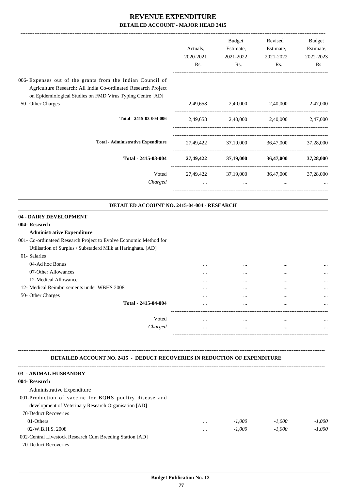|                                                                                                                                                                                                         | Actuals,<br>2020-2021<br>Rs. | <b>Budget</b><br>Estimate,<br>2021-2022<br>Rs. | Revised<br>Estimate,<br>2021-2022<br>Rs. | Budget<br>Estimate,<br>2022-2023<br>Rs. |
|---------------------------------------------------------------------------------------------------------------------------------------------------------------------------------------------------------|------------------------------|------------------------------------------------|------------------------------------------|-----------------------------------------|
| 006- Expenses out of the grants from the Indian Council of<br>Agriculture Research: All India Co-ordinated Research Project<br>on Epidemiological Studies on FMD Virus Typing Centre [AD]               |                              |                                                |                                          |                                         |
| 50- Other Charges                                                                                                                                                                                       | 2,49,658                     | 2,40,000                                       | 2,40,000                                 | 2,47,000                                |
| Total - 2415-03-004-006                                                                                                                                                                                 | 2,49,658                     |                                                | 2,40,000 2,40,000                        | 2,47,000                                |
| <b>Total - Administrative Expenditure</b>                                                                                                                                                               |                              | 27,49,422 37,19,000 36,47,000                  |                                          | 37,28,000                               |
| Total - 2415-03-004                                                                                                                                                                                     |                              | 27,49,422 37,19,000 36,47,000                  |                                          | 37,28,000                               |
| Voted<br>Charged                                                                                                                                                                                        | 27,49,422<br>$\cdots$        | 37,19,000<br>$\cdots$                          | 36,47,000<br>$\cdots$                    | 37,28,000                               |
| DETAILED ACCOUNT NO. 2415-04-004 - RESEARCH                                                                                                                                                             |                              |                                                |                                          |                                         |
| 004- Research<br><b>Administrative Expenditure</b><br>001- Co-ordinateed Research Project to Evolve Economic Method for<br>Utilisation of Surplus / Substaderd Milk at Haringhata. [AD]<br>01- Salaries |                              |                                                |                                          |                                         |
| 04-Ad hoc Bonus<br>07-Other Allowances                                                                                                                                                                  |                              | $\cdots$                                       | $\cdots$                                 |                                         |
| 12-Medical Allowance                                                                                                                                                                                    |                              | $\ddotsc$                                      | $\cdots$                                 |                                         |
| 12- Medical Reimbursements under WBHS 2008                                                                                                                                                              | $\cdots$                     | $\cdots$                                       | $\cdots$                                 |                                         |
| 50- Other Charges                                                                                                                                                                                       |                              | $\cdots$                                       |                                          |                                         |
| Total - 2415-04-004                                                                                                                                                                                     |                              | $\cdots$                                       |                                          |                                         |
| Voted                                                                                                                                                                                                   | $\cdots$                     | $\cdots$                                       | $\cdots$                                 |                                         |
| Charged                                                                                                                                                                                                 | $\cdots$                     | $\cdots$                                       | $\cdots$                                 |                                         |
| DETAILED ACCOUNT NO. 2415 - DEDUCT RECOVERIES IN REDUCTION OF EXPENDITURE<br>03 - ANIMAL HUSBANDRY<br>004-Research<br>Administrative Expenditure                                                        |                              |                                                |                                          |                                         |
| 001-Production of vaccine for BQHS poultry disease and<br>development of Veterinary Research Organisation [AD]                                                                                          |                              |                                                |                                          |                                         |
| 70-Deduct Recoveries                                                                                                                                                                                    |                              |                                                |                                          |                                         |
| 01-Others                                                                                                                                                                                               |                              | $-1,000$                                       | $-1,000$                                 | $-1,000$                                |
| 02-W.B.H.S. 2008                                                                                                                                                                                        |                              | $-1,000$                                       | $-1,000$                                 | $-1,000$                                |

- 002-Central Livestock Research Cum Breeding Station [AD]
- 70-Deduct Recoveries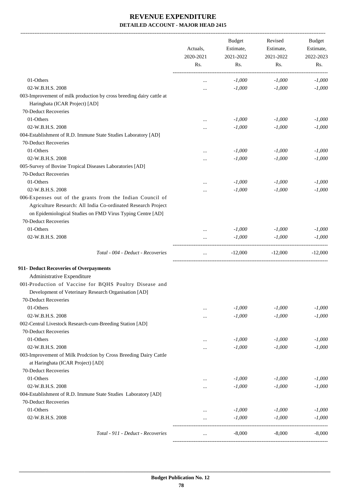-------------------------------------------------------------------------------------------------------------------------------------------------------------------------------

|                                                                      | Actuals,<br>2020-2021<br>Rs. | <b>Budget</b><br>Estimate,<br>2021-2022<br>Rs. | Revised<br>Estimate,<br>2021-2022<br>Rs. | <b>Budget</b><br>Estimate,<br>2022-2023<br>Rs. |
|----------------------------------------------------------------------|------------------------------|------------------------------------------------|------------------------------------------|------------------------------------------------|
|                                                                      |                              |                                                |                                          |                                                |
| 01-Others                                                            | $\cdots$                     | $-1,000$                                       | $-1,000$                                 | $-1,000$                                       |
| 02-W.B.H.S. 2008                                                     | $\cdots$                     | $-1,000$                                       | $-1,000$                                 | $-1,000$                                       |
| 003-Improvement of milk production by cross breeding dairy cattle at |                              |                                                |                                          |                                                |
| Haringhata (ICAR Project) [AD]                                       |                              |                                                |                                          |                                                |
| 70-Deduct Recoveries                                                 |                              |                                                |                                          |                                                |
| 01-Others                                                            |                              | $-1,000$                                       | $-1,000$                                 | $-1,000$                                       |
| 02-W.B.H.S. 2008                                                     |                              | $-1,000$                                       | $-1,000$                                 | $-1,000$                                       |
| 004-Establishment of R.D. Immune State Studies Laboratory [AD]       |                              |                                                |                                          |                                                |
| 70-Deduct Recoveries                                                 |                              |                                                |                                          |                                                |
| 01-Others                                                            | $\cdots$                     | $-1,000$                                       | $-1,000$                                 | $-1,000$                                       |
| 02-W.B.H.S. 2008                                                     |                              | $-1,000$                                       | $-1,000$                                 | $-1,000$                                       |
| 005-Survey of Bovine Tropical Diseases Laboratories [AD]             |                              |                                                |                                          |                                                |
| 70-Deduct Recoveries                                                 |                              |                                                |                                          |                                                |
| 01-Others                                                            | $\cdots$                     | $-1,000$                                       | $-1,000$                                 | $-1,000$                                       |
| 02-W.B.H.S. 2008                                                     |                              | $-1,000$                                       | $-1,000$                                 | $-1,000$                                       |
| 006-Expenses out of the grants from the Indian Council of            |                              |                                                |                                          |                                                |
| Agriculture Research: All India Co-ordinated Research Project        |                              |                                                |                                          |                                                |
| on Epidemiological Studies on FMD Virus Typing Centre [AD]           |                              |                                                |                                          |                                                |
| 70-Deduct Recoveries                                                 |                              |                                                |                                          |                                                |
| 01-Others                                                            |                              | $-1,000$                                       | $-1,000$                                 | $-1,000$                                       |
| 02-W.B.H.S. 2008                                                     | $\ddotsc$                    | $-1,000$                                       | $-1,000$                                 | $-1,000$                                       |
|                                                                      |                              |                                                |                                          |                                                |
| Total - 004 - Deduct - Recoveries                                    | $\ddots$                     | $-12,000$                                      | $-12,000$                                | $-12,000$                                      |
| 911- Deduct Recoveries of Overpayments                               |                              |                                                |                                          |                                                |
| Administrative Expenditure                                           |                              |                                                |                                          |                                                |
| 001-Production of Vaccine for BQHS Poultry Disease and               |                              |                                                |                                          |                                                |
| Development of Veterinary Research Organisation [AD]                 |                              |                                                |                                          |                                                |
| 70-Deduct Recoveries                                                 |                              |                                                |                                          |                                                |
| 01-Others                                                            |                              | $-1,000$                                       | $-1,000$                                 | $-1,000$                                       |
| 02-W.B.H.S. 2008                                                     | $\ddotsc$                    | $-1,000$                                       | $-1,000$                                 | $-1,000$                                       |
| 002-Central Livestock Research-cum-Breeding Station [AD]             |                              |                                                |                                          |                                                |
| 70-Deduct Recoveries                                                 |                              |                                                |                                          |                                                |
| 01-Others                                                            |                              |                                                |                                          |                                                |
| 02-W.B.H.S. 2008                                                     |                              | $-1,000$                                       | $-1,000$                                 | $-1,000$                                       |
|                                                                      |                              | $-1,000$                                       | $-1,000$                                 | $-1,000$                                       |
| 003-Improvement of Milk Prodction by Cross Breeding Dairy Cattle     |                              |                                                |                                          |                                                |
| at Haringhata (ICAR Project) [AD]                                    |                              |                                                |                                          |                                                |
| 70-Deduct Recoveries                                                 |                              |                                                |                                          |                                                |
| 01-Others                                                            | $\cdots$                     | $-1,000$                                       | $-1,000$                                 | $-1,000$                                       |
| 02-W.B.H.S. 2008                                                     |                              | $-1,000$                                       | $-1,000$                                 | $-1,000$                                       |
| 004-Establishment of R.D. Immune State Studies Laboratory [AD]       |                              |                                                |                                          |                                                |
| 70-Deduct Recoveries                                                 |                              |                                                |                                          |                                                |
| 01-Others                                                            |                              | $-1,000$                                       | $-1,000$                                 | $-1,000$                                       |
| 02-W.B.H.S. 2008                                                     | $\cdots$                     | $-1,000$                                       | $-1,000$                                 | $-1,000$                                       |
| Total - 911 - Deduct - Recoveries                                    |                              | $-8,000$                                       | $-8,000$                                 | $-8,000$                                       |
|                                                                      |                              |                                                |                                          |                                                |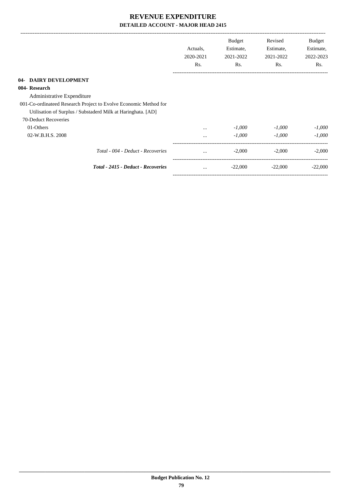|                                                                  | Actuals,<br>2020-2021<br>Rs. | <b>Budget</b><br>Estimate,<br>2021-2022<br>Rs. | Revised<br>Estimate,<br>2021-2022<br>Rs. | Budget<br>Estimate,<br>2022-2023<br>Rs. |
|------------------------------------------------------------------|------------------------------|------------------------------------------------|------------------------------------------|-----------------------------------------|
| 04- DAIRY DEVELOPMENT                                            |                              |                                                |                                          |                                         |
| 004- Research                                                    |                              |                                                |                                          |                                         |
| Administrative Expenditure                                       |                              |                                                |                                          |                                         |
| 001-Co-ordinateed Research Project to Evolve Economic Method for |                              |                                                |                                          |                                         |
| Utilisation of Surplus / Substaderd Milk at Haringhata. [AD]     |                              |                                                |                                          |                                         |
| 70-Deduct Recoveries                                             |                              |                                                |                                          |                                         |
| 01-Others                                                        | $\ddotsc$                    | $-1,000$                                       | $-1,000$                                 | $-1,000$                                |
| 02-W.B.H.S. 2008                                                 | $\cdots$                     | $-1,000$                                       | $-1.000$                                 | $-1,000$                                |
| Total - 004 - Deduct - Recoveries                                | $\cdots$                     | $-2,000$                                       | $-2,000$                                 | $-2,000$                                |
| Total - 2415 - Deduct - Recoveries                               | $\cdots$                     | $-22,000$                                      | $-22,000$                                | $-22,000$                               |
|                                                                  |                              |                                                |                                          |                                         |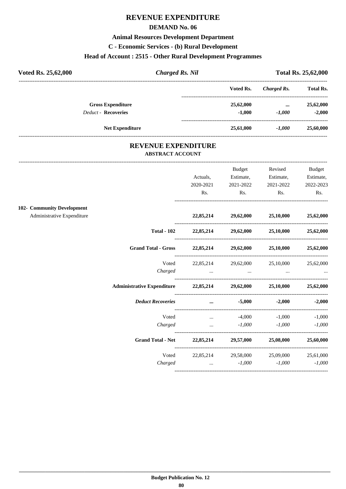## **REVENUE EXPENDITURE**

### **DEMAND No. 06**

### **Animal Resources Development Department**

**C - Economic Services - (b) Rural Development**

### **Head of Account : 2515 - Other Rural Development Programmes**

| Voted Rs. 25,62,000<br><b>Charged Rs. Nil</b> |                        |           |             | <b>Total Rs. 25,62,000</b> |
|-----------------------------------------------|------------------------|-----------|-------------|----------------------------|
|                                               |                        | Voted Rs. | Charged Rs. | <b>Total Rs.</b>           |
| <b>Gross Expenditure</b>                      |                        | 25,62,000 | $\cdots$    | 25,62,000                  |
| <b>Deduct - Recoveries</b>                    |                        | $-1.000$  | $-1.000$    | $-2.000$                   |
|                                               | <b>Net Expenditure</b> | 25,61,000 | $-1.000$    | 25,60,000                  |

### **REVENUE EXPENDITURE ABSTRACT ACCOUNT**

---------------------------------------------------------------------------------------------------------------------------------------------------------------------------------

|                            |                                                                    |           | Budget                                                                                              | Revised   | Budget            |
|----------------------------|--------------------------------------------------------------------|-----------|-----------------------------------------------------------------------------------------------------|-----------|-------------------|
|                            |                                                                    | Actuals,  | Estimate,                                                                                           | Estimate, | Estimate,         |
|                            |                                                                    | 2020-2021 | 2021-2022                                                                                           | 2021-2022 | 2022-2023         |
|                            |                                                                    | Rs.       | Rs.                                                                                                 | Rs.       | Rs.               |
| 102- Community Development |                                                                    |           |                                                                                                     |           |                   |
| Administrative Expenditure |                                                                    |           | 22,85,214 29,62,000 25,10,000 25,62,000                                                             |           |                   |
|                            | <b>Total - 102</b>                                                 |           | 22,85,214 29,62,000 25,10,000 25,62,000                                                             |           |                   |
|                            | Grand Total - Gross 22,85,214 29,62,000 25,10,000 25,62,000        |           |                                                                                                     |           |                   |
|                            | Voted                                                              |           | 22,85,214 29,62,000 25,10,000                                                                       |           | 25,62,000         |
|                            | Charged                                                            |           | the contract of the contract of the contract of the contract of the contract of the contract of the |           |                   |
|                            | Administrative Expenditure 22,85,214 29,62,000 25,10,000 25,62,000 |           |                                                                                                     |           |                   |
|                            | <b>Deduct Recoveries</b>                                           |           | $-5,000$<br>$\cdots$ . The same of $\cdots$                                                         | $-2,000$  | $-2,000$          |
|                            | Voted                                                              |           | $-4,000$                                                                                            |           | $-1,000$ $-1,000$ |
|                            | Charged                                                            |           | $-1,000$                                                                                            |           | $-1,000$ $-1,000$ |
|                            | <b>Grand Total - Net</b>                                           |           | 22,85,214 29,57,000 25,08,000 25,60,000                                                             |           |                   |
|                            |                                                                    |           | Voted 22,85,214 29,58,000 25,09,000 25,61,000                                                       |           |                   |
|                            | Charged                                                            | $\ddots$  | $-1,000$                                                                                            | $-1,000$  | $-1,000$          |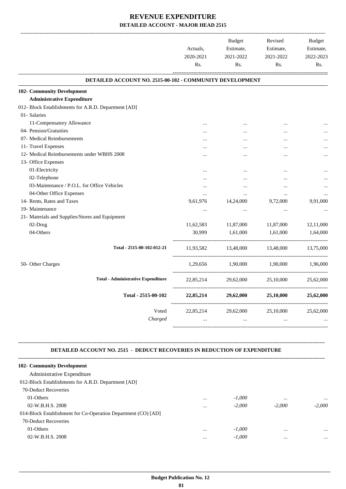|                                                                 | Actuals,<br>2020-2021<br>Rs. | Budget<br>Estimate,<br>2021-2022<br>Rs. | Revised<br>Estimate,<br>2021-2022<br>Rs. | <b>Budget</b><br>Estimate,<br>2022-2023<br>Rs. |
|-----------------------------------------------------------------|------------------------------|-----------------------------------------|------------------------------------------|------------------------------------------------|
| <b>DETAILED ACCOUNT NO. 2515-00-102 - COMMUNITY DEVELOPMENT</b> |                              |                                         |                                          |                                                |
| 102- Community Development                                      |                              |                                         |                                          |                                                |
| <b>Administrative Expenditure</b>                               |                              |                                         |                                          |                                                |
| 012- Block Establishments for A.R.D. Department [AD]            |                              |                                         |                                          |                                                |
| 01- Salaries                                                    |                              |                                         |                                          |                                                |
| 11-Compensatory Allowance                                       | $\cdots$                     | $\ddotsc$                               | $\cdots$                                 |                                                |
| 04- Pension/Gratuities                                          |                              | $\cdots$                                |                                          |                                                |
| 07- Medical Reimbursements                                      |                              |                                         |                                          |                                                |
| 11- Travel Expenses                                             |                              | $\cdots$                                | $\ddotsc$                                |                                                |
| 12- Medical Reimbursements under WBHS 2008                      |                              |                                         | $\ddotsc$                                |                                                |
| 13- Office Expenses                                             |                              |                                         |                                          |                                                |
| 01-Electricity                                                  | $\cdots$                     | $\cdots$                                |                                          |                                                |
| 02-Telephone                                                    | $\cdots$                     | $\cdots$                                | $\cdots$                                 |                                                |
| 03-Maintenance / P.O.L. for Office Vehicles                     | $\cdots$                     | $\cdots$                                | $\cdots$                                 |                                                |
| 04-Other Office Expenses                                        | $\cdots$                     | $\cdots$                                | $\ddotsc$                                |                                                |
| 14- Rents, Rates and Taxes                                      | 9,61,976                     | 14,24,000                               | 9,72,000                                 | 9,91,000                                       |
| 19- Maintenance                                                 | $\cdots$                     | $\cdots$                                | $\cdots$                                 |                                                |
| 21- Materials and Supplies/Stores and Equipment                 |                              |                                         |                                          |                                                |
| 02-Drug                                                         | 11,62,583                    | 11,87,000                               | 11,87,000                                | 12,11,000                                      |
| 04-Others                                                       | 30,999                       | 1,61,000                                | 1,61,000                                 | 1,64,000                                       |
| Total - 2515-00-102-012-21                                      |                              |                                         | 11,93,582 13,48,000 13,48,000 13,75,000  |                                                |
| 50- Other Charges                                               |                              |                                         | 1,29,656 1,90,000 1,90,000 1,96,000      |                                                |
| <b>Total - Administrative Expenditure</b>                       |                              |                                         | 22,85,214 29,62,000 25,10,000            | 25,62,000                                      |
| Total - 2515-00-102                                             |                              |                                         | 22,85,214 29,62,000 25,10,000            | 25,62,000                                      |
| Voted                                                           |                              |                                         | 22,85,214 29,62,000 25,10,000            | 25,62,000                                      |
| Charged                                                         | $\ddots$                     | $\ddots$                                | $\ddotsc$                                |                                                |
|                                                                 |                              |                                         |                                          |                                                |

### **DETAILED ACCOUNT NO. 2515 - DEDUCT RECOVERIES IN REDUCTION OF EXPENDITURE**

**--------------------------------------------------------------------------------------------------------------------------------------------------------------------------------**

| 102- Community Development                                    |          |          |          |          |
|---------------------------------------------------------------|----------|----------|----------|----------|
| Administrative Expenditure                                    |          |          |          |          |
| 012-Block Establishments for A.R.D. Department [AD]           |          |          |          |          |
| 70-Deduct Recoveries                                          |          |          |          |          |
| 01-Others                                                     | $\cdots$ | $-1.000$ |          | $\cdots$ |
| 02-W.B.H.S. 2008                                              | $\cdots$ | $-2,000$ | $-2,000$ | $-2.000$ |
| 014-Block Establishment for Co-Operation Department (CO) [AD] |          |          |          |          |
| 70-Deduct Recoveries                                          |          |          |          |          |
| 01-Others                                                     | $\cdots$ | $-1,000$ |          | $\cdots$ |
| 02-W.B.H.S. 2008                                              |          | $-1.000$ |          |          |
|                                                               |          |          |          |          |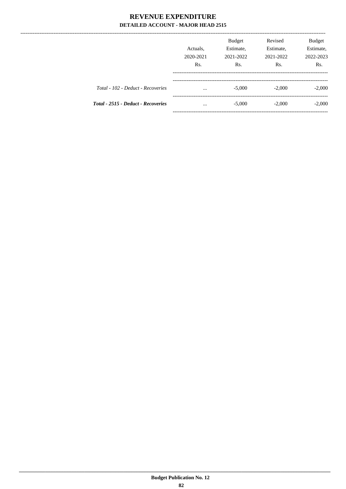|                                    | Actuals.<br>2020-2021<br>R <sub>s</sub> . | <b>Budget</b><br>Estimate,<br>2021-2022<br>Rs. | Revised<br>Estimate,<br>2021-2022<br>Rs. | <b>Budget</b><br>Estimate,<br>2022-2023<br>R <sub>s</sub> . |
|------------------------------------|-------------------------------------------|------------------------------------------------|------------------------------------------|-------------------------------------------------------------|
| Total - 102 - Deduct - Recoveries  | $\cdots$                                  | $-5,000$                                       | $-2,000$                                 | $-2,000$                                                    |
| Total - 2515 - Deduct - Recoveries | $\cdots$                                  | $-5,000$                                       | $-2,000$                                 | $-2,000$                                                    |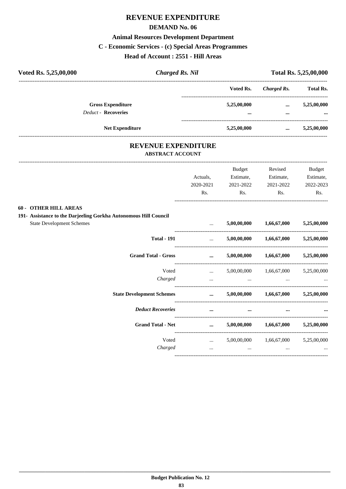## **REVENUE EXPENDITURE**

### **DEMAND No. 06**

### **Animal Resources Development Department**

### **C - Economic Services - (c) Special Areas Programmes**

### **Head of Account : 2551 - Hill Areas**

| Voted Rs. 5,25,00,000 | <b>Charged Rs. Nil</b>     |  | Total Rs. 5,25,00,000 |             |                  |
|-----------------------|----------------------------|--|-----------------------|-------------|------------------|
|                       |                            |  | Voted Rs.             | Charged Rs. | <b>Total Rs.</b> |
|                       | <b>Gross Expenditure</b>   |  | 5,25,00,000           | $\cdots$    | 5,25,00,000      |
|                       | <b>Deduct - Recoveries</b> |  |                       |             | $\cdots$         |
|                       | <b>Net Expenditure</b>     |  | 5,25,00,000           | $\cdots$    | 5,25,00,000      |
|                       |                            |  |                       |             |                  |

# **REVENUE EXPENDITURE**

---------------------------------------------------------------------------------------------------------------------------------------------------------------------------------

## **ABSTRACT ACCOUNT**

|                                                                  |                                                                                                                                                                                                                                      | <b>Budget</b> | Revised                                     | <b>Budget</b> |
|------------------------------------------------------------------|--------------------------------------------------------------------------------------------------------------------------------------------------------------------------------------------------------------------------------------|---------------|---------------------------------------------|---------------|
|                                                                  | Actuals.                                                                                                                                                                                                                             | Estimate,     | Estimate,                                   | Estimate,     |
|                                                                  | 2020-2021                                                                                                                                                                                                                            | 2021-2022     | 2021-2022                                   | 2022-2023     |
|                                                                  | Rs.                                                                                                                                                                                                                                  | Rs.           | Rs.                                         | Rs.           |
| 60 - OTHER HILL AREAS                                            |                                                                                                                                                                                                                                      |               |                                             |               |
| 191- Assistance to the Darjeeling Gorkha Autonomous Hill Council |                                                                                                                                                                                                                                      |               |                                             |               |
| <b>State Development Schemes</b>                                 | $\cdots$                                                                                                                                                                                                                             |               | $5,00,00,000$ $1,66,67,000$                 | 5,25,00,000   |
| <b>Total - 191</b>                                               | $\mathbf{r}$ and $\mathbf{r}$ and $\mathbf{r}$                                                                                                                                                                                       |               | $5,00,00,000$ $1,66,67,000$ $5,25,00,000$   |               |
| <b>Grand Total - Gross</b>                                       | $\cdots$                                                                                                                                                                                                                             |               | $5,00,00,000$ $1,66,67,000$ $5,25,00,000$   |               |
| Voted                                                            | <b>Sales Common</b>                                                                                                                                                                                                                  |               | 5,00,00,000  1,66,67,000  5,25,00,000       |               |
| Charged                                                          | $\cdots$                                                                                                                                                                                                                             | $\cdots$      |                                             |               |
| <b>State Development Schemes</b>                                 |                                                                                                                                                                                                                                      |               | $5,00,00,000$ $1,66,67,000$ $5,25,00,000$   |               |
| <b>Deduct Recoveries</b>                                         | $\cdots$                                                                                                                                                                                                                             | $\cdots$      |                                             |               |
| <b>Grand Total - Net</b>                                         | <u>and the company of the company of the company of the company of the company of the company of the company of the company of the company of the company of the company of the company of the company of the company of the com</u> |               | $5,00,00,000$ $1,66,67,000$ $5,25,00,000$   |               |
| Voted                                                            | <b><i>Committee Committee States and</i></b>                                                                                                                                                                                         |               | 5,00,00,000 1,66,67,000 5,25,00,000         |               |
| Charged                                                          | $\cdots$                                                                                                                                                                                                                             |               | <b>Second Contract Contract</b><br>$\cdots$ |               |
|                                                                  |                                                                                                                                                                                                                                      |               |                                             |               |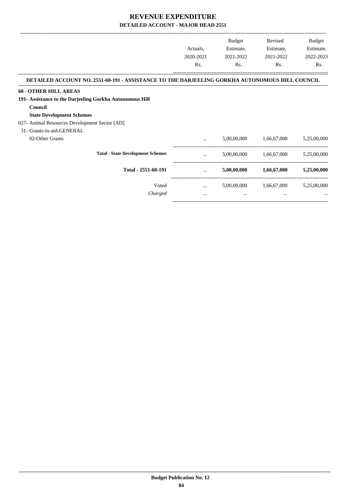|                                                                                                |           | Budget      | Revised     | Budget      |
|------------------------------------------------------------------------------------------------|-----------|-------------|-------------|-------------|
|                                                                                                | Actuals,  | Estimate,   | Estimate,   | Estimate,   |
|                                                                                                | 2020-2021 | 2021-2022   | 2021-2022   | 2022-2023   |
|                                                                                                | Rs.       | Rs.         | Rs.         | Rs.         |
| DETAILED ACCOUNT NO. 2551-60-191 - ASSISTANCE TO THE DARJEELING GORKHA AUTONOMOUS HILL COUNCIL |           |             |             |             |
| <b>60 - OTHER HILL AREAS</b>                                                                   |           |             |             |             |
| 191- Assistance to the Darjeeling Gorkha Autonomous Hill                                       |           |             |             |             |
| Council                                                                                        |           |             |             |             |
| <b>State Development Schemes</b>                                                               |           |             |             |             |
| 027- Animal Resources Development Sector [AD]                                                  |           |             |             |             |
| 31- Grants-in-aid-GENERAL                                                                      |           |             |             |             |
| 02-Other Grants                                                                                | $\cdots$  | 5,00,00,000 | 1,66,67,000 | 5,25,00,000 |
| <b>Total - State Development Schemes</b>                                                       | $\cdots$  | 5,00,00,000 | 1,66,67,000 | 5,25,00,000 |
| Total - 2551-60-191                                                                            | $\cdots$  | 5,00,00,000 | 1,66,67,000 | 5,25,00,000 |
| Voted                                                                                          | $\cdots$  | 5,00,00,000 | 1,66,67,000 | 5,25,00,000 |
| Charged                                                                                        | $\cdots$  | $\cdots$    | $\cdots$    | $\cdots$    |

-----------------------------------------------------------------------------------------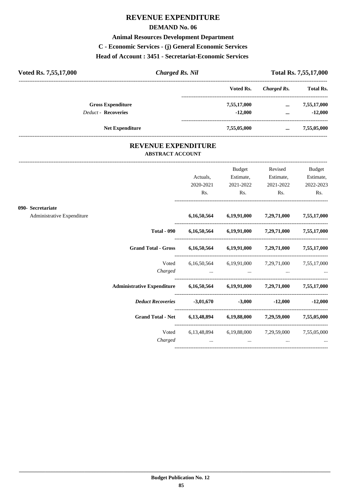## **REVENUE EXPENDITURE**

### **DEMAND No. 06**

### **Animal Resources Development Department**

**C - Economic Services - (j) General Economic Services**

**Head of Account : 3451 - Secretariat-Economic Services** 

| Voted Rs. 7,55,17,000      | <b>Charged Rs. Nil</b> |             | Total Rs. 7,55,17,000 |                  |
|----------------------------|------------------------|-------------|-----------------------|------------------|
|                            |                        | Voted Rs.   | Charged Rs.           | <b>Total Rs.</b> |
| <b>Gross Expenditure</b>   |                        | 7,55,17,000 | $\cdots$              | 7,55,17,000      |
| <b>Deduct - Recoveries</b> |                        | $-12,000$   | $\cdots$              | $-12,000$        |
| <b>Net Expenditure</b>     |                        | 7,55,05,000 | $\cdots$              | 7,55,05,000      |

### **REVENUE EXPENDITURE ABSTRACT ACCOUNT**

---------------------------------------------------------------------------------------------------------------------------------------------------------------------------------

|                            |                                                                            | Actuals,<br>2020-2021<br>Rs. | <b>Budget</b><br>Estimate,<br>2021-2022<br>$\mathbf{Rs.}$ | Revised<br>Estimate,<br>2021-2022<br>$\mathbf{Rs.}$                                  | <b>Budget</b><br>Estimate,<br>2022-2023<br>Rs. |
|----------------------------|----------------------------------------------------------------------------|------------------------------|-----------------------------------------------------------|--------------------------------------------------------------------------------------|------------------------------------------------|
| 090- Secretariate          |                                                                            |                              |                                                           |                                                                                      |                                                |
| Administrative Expenditure |                                                                            |                              |                                                           | $6,16,50,564$ $6,19,91,000$ $7,29,71,000$ $7,55,17,000$                              |                                                |
|                            |                                                                            |                              |                                                           | Total - 090 6,16,50,564 6,19,91,000 7,29,71,000 7,55,17,000                          |                                                |
|                            | Grand Total - Gross 6,16,50,564 6,19,91,000 7,29,71,000 7,55,17,000        |                              |                                                           |                                                                                      |                                                |
|                            | Voted                                                                      |                              |                                                           | 6,16,50,564 6,19,91,000 7,29,71,000 7,55,17,000                                      |                                                |
|                            | Administrative Expenditure 6,16,50,564 6,19,91,000 7,29,71,000 7,55,17,000 |                              |                                                           |                                                                                      |                                                |
|                            | Deduct Recoveries -3,01,670 -3,000 -12,000 -12,000                         |                              |                                                           |                                                                                      |                                                |
|                            | Grand Total - Net 6,13,48,894 6,19,88,000 7,29,59,000 7,55,05,000          |                              |                                                           |                                                                                      |                                                |
|                            | Charged                                                                    |                              | and the contract of the con-                              | Voted 6,13,48,894 6,19,88,000 7,29,59,000 7,55,05,000<br>$\sim$ $\sim$ $\sim$ $\sim$ |                                                |
|                            |                                                                            |                              |                                                           |                                                                                      |                                                |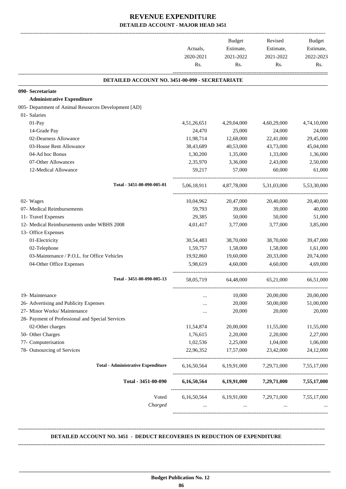|                                                      | Actuals,<br>2020-2021<br>Rs. | Budget<br>Estimate,<br>2021-2022<br>Rs. | Revised<br>Estimate,<br>2021-2022<br>Rs. | Budget<br>Estimate,<br>2022-2023<br>Rs. |
|------------------------------------------------------|------------------------------|-----------------------------------------|------------------------------------------|-----------------------------------------|
| DETAILED ACCOUNT NO. 3451-00-090 - SECRETARIATE      |                              |                                         |                                          |                                         |
| 090- Secretariate                                    |                              |                                         |                                          |                                         |
| <b>Administrative Expenditure</b>                    |                              |                                         |                                          |                                         |
| 005- Department of Animal Resources Development [AD] |                              |                                         |                                          |                                         |
| 01- Salaries                                         |                              |                                         |                                          |                                         |
| 01-Pay                                               | 4,51,26,651                  | 4,29,04,000                             | 4,60,29,000                              | 4,74,10,000                             |
| 14-Grade Pay                                         | 24,470                       | 25,000                                  | 24,000                                   | 24,000                                  |
| 02-Dearness Allowance                                | 11,98,714                    | 12,68,000                               | 22,41,000                                | 29,45,000                               |
| 03-House Rent Allowance                              | 38,43,689                    | 40,53,000                               | 43,73,000                                | 45,04,000                               |
| 04-Ad hoc Bonus                                      | 1,30,200                     | 1,35,000                                | 1,33,000                                 | 1,36,000                                |
| 07-Other Allowances                                  | 2,35,970                     | 3,36,000                                | 2,43,000                                 | 2,50,000                                |
| 12-Medical Allowance                                 | 59,217                       | 57,000                                  | 60,000                                   | 61,000                                  |
| Total - 3451-00-090-005-01                           | 5,06,18,911                  | 4,87,78,000                             | 5,31,03,000                              | 5,53,30,000                             |
| 02- Wages                                            | 10,04,962                    | 20,47,000                               | 20,40,000                                | 20,40,000                               |
| 07- Medical Reimbursements                           | 59,793                       | 39,000                                  | 39,000                                   | 40,000                                  |
| 11- Travel Expenses                                  | 29,385                       | 50,000                                  | 50,000                                   | 51,000                                  |
| 12- Medical Reimbursements under WBHS 2008           | 4,01,417                     | 3,77,000                                | 3,77,000                                 | 3,85,000                                |
| 13- Office Expenses                                  |                              |                                         |                                          |                                         |
| 01-Electricity                                       | 30,54,483                    | 38,70,000                               | 38,70,000                                | 39,47,000                               |
| 02-Telephone                                         | 1,59,757                     | 1,58,000                                | 1,58,000                                 | 1,61,000                                |
| 03-Maintenance / P.O.L. for Office Vehicles          | 19,92,860                    | 19,60,000                               | 20,33,000                                | 20,74,000                               |
| 04-Other Office Expenses                             | 5,98,619                     | 4,60,000                                | 4.60.000                                 | 4,69,000                                |
| Total - 3451-00-090-005-13                           | 58,05,719                    | 64,48,000                               | 65,21,000                                | 66,51,000                               |
| 19- Maintenance                                      |                              | 10,000                                  | 20,00,000                                | 20,00,000                               |
| 26- Advertising and Publicity Expenses               |                              | 20,000                                  | 50,00,000                                | 51,00,000                               |
| 27- Minor Works/ Maintenance                         |                              | 20,000                                  | 20,000                                   | 20,000                                  |
| 28- Payment of Professional and Special Services     |                              |                                         |                                          |                                         |
| 02-Other charges                                     | 11,54,874                    | 20,00,000                               | 11,55,000                                | 11,55,000                               |
| 50- Other Charges                                    | 1,76,615                     | 2,20,000                                | 2,20,000                                 | 2,27,000                                |
| 77- Computerisation                                  | 1,02,536                     | 2,25,000                                | 1,04,000                                 | 1,06,000                                |
| 78- Outsourcing of Services                          | 22,96,352                    | 17,57,000                               | 23,42,000                                | 24,12,000                               |
| <b>Total - Administrative Expenditure</b>            | 6,16,50,564                  | 6,19,91,000                             | 7,29,71,000                              | 7,55,17,000                             |
| Total - 3451-00-090                                  | 6,16,50,564                  | 6,19,91,000                             | 7,29,71,000                              | 7,55,17,000                             |
| Voted                                                | 6,16,50,564                  | 6,19,91,000                             | 7,29,71,000                              | 7,55,17,000                             |
| Charged                                              | $\cdots$                     | $\cdots$                                | $\cdots$                                 |                                         |

### **DETAILED ACCOUNT NO. 3451 - DEDUCT RECOVERIES IN REDUCTION OF EXPENDITURE**

**--------------------------------------------------------------------------------------------------------------------------------------------------------------------------------**

 **\_\_\_\_\_\_\_\_\_\_\_\_\_\_\_\_\_\_\_\_\_\_\_\_\_\_\_\_\_\_\_\_\_\_\_\_\_\_\_\_\_\_\_\_\_\_\_\_\_\_\_\_\_\_\_\_\_\_\_\_\_\_\_\_\_\_\_\_\_\_\_\_\_\_\_\_\_\_\_\_\_\_\_\_\_\_\_\_\_\_\_\_\_\_\_\_\_\_\_\_\_\_\_\_\_\_\_\_\_\_\_\_\_\_\_\_\_\_\_**

**--------------------------------------------------------------------------------------------------------------------------------------------------------------------------------**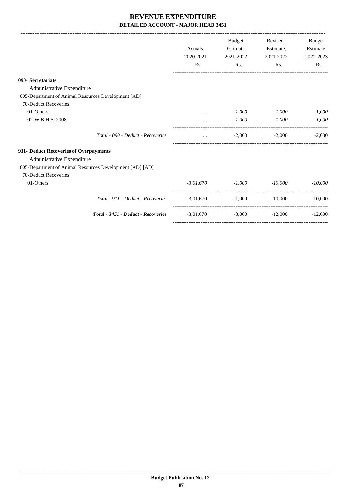|                                                          |             | <b>Budget</b>                  | Revised   | Budget    |
|----------------------------------------------------------|-------------|--------------------------------|-----------|-----------|
|                                                          | Actuals.    | Estimate,                      | Estimate, | Estimate, |
|                                                          | 2020-2021   | 2021-2022                      | 2021-2022 | 2022-2023 |
|                                                          | Rs.         | Rs.                            | Rs.       | Rs.       |
| 090- Secretariate                                        |             |                                |           |           |
| Administrative Expenditure                               |             |                                |           |           |
| 005-Department of Animal Resources Development [AD]      |             |                                |           |           |
| 70-Deduct Recoveries                                     |             |                                |           |           |
| 01-Others                                                | $\cdots$    | -1,000                         | $-1,000$  | $-1,000$  |
| 02-W.B.H.S. 2008                                         |             | $-1,000$                       | $-1,000$  | $-1.000$  |
| Total - 090 - Deduct - Recoveries                        | $\cdots$    | $-2,000$                       | $-2,000$  | $-2,000$  |
| 911- Deduct Recoveries of Overpayments                   |             |                                |           |           |
| Administrative Expenditure                               |             |                                |           |           |
| 005-Department of Animal Resources Development [AD] [AD] |             |                                |           |           |
| 70-Deduct Recoveries                                     |             |                                |           |           |
| 01-Others                                                |             | $-3,01,670$ $-1,000$ $-10,000$ |           | $-10,000$ |
| Total - 911 - Deduct - Recoveries                        | $-3,01,670$ | $-1,000$                       | $-10,000$ | $-10,000$ |
| Total - 3451 - Deduct - Recoveries                       | $-3,01,670$ | $-3,000$                       | $-12,000$ | $-12,000$ |
|                                                          |             |                                |           |           |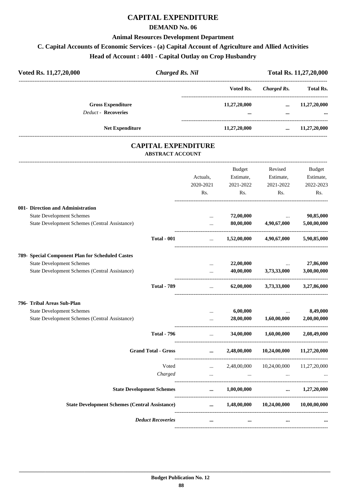## **CAPITAL EXPENDITURE**

### **DEMAND No. 06**

### **Animal Resources Development Department**

## **C. Capital Accounts of Economic Services - (a) Capital Account of Agriculture and Allied Activities**

**Head of Account : 4401 - Capital Outlay on Crop Husbandry**

| Voted Rs. 11,27,20,000                                 | <b>Charged Rs. Nil</b> |                          |                      |                          |
|--------------------------------------------------------|------------------------|--------------------------|----------------------|--------------------------|
|                                                        |                        | Voted Rs.                | Charged Rs.          | <b>Total Rs.</b>         |
| <b>Gross Expenditure</b><br><b>Deduct - Recoveries</b> |                        | 11,27,20,000<br>$\cdots$ | $\cdots$<br>$\cdots$ | 11,27,20,000<br>$\cdots$ |
|                                                        | <b>Net Expenditure</b> | 11,27,20,000             | $\cdots$             | 11,27,20,000             |

### **CAPITAL EXPENDITURE ABSTRACT ACCOUNT**

---------------------------------------------------------------------------------------------------------------------------------------------------------------------------------

|                                                       | Actuals,<br>2020-2021<br>Rs.  | <b>Budget</b><br>Estimate,<br>2021-2022<br>Rs. | Revised<br>Estimate,<br>2021-2022<br>Rs.    | <b>Budget</b><br>Estimate,<br>2022-2023<br>Rs. |
|-------------------------------------------------------|-------------------------------|------------------------------------------------|---------------------------------------------|------------------------------------------------|
| 001- Direction and Administration                     |                               |                                                |                                             |                                                |
| <b>State Development Schemes</b>                      | $\cdots$                      | 72,00,000                                      | <b><i>Committee States</i></b>              | 90,85,000                                      |
| State Development Schemes (Central Assistance)        | $\ddotsc$                     | 80,00,000                                      | 4,90,67,000                                 | 5,00,00,000                                    |
| <b>Total - 001</b>                                    | $\cdots$                      |                                                | $1,52,00,000$ $4,90,67,000$                 | 5,90,85,000                                    |
| 789- Special Component Plan for Scheduled Castes      |                               |                                                |                                             |                                                |
| <b>State Development Schemes</b>                      | $\cdots$                      | 22,00,000                                      | the contract of the con-                    | 27,86,000                                      |
| State Development Schemes (Central Assistance)        | $\ddotsc$                     | 40,00,000                                      | 3,73,33,000                                 | 3,00,00,000                                    |
| <b>Total - 789</b>                                    | <b>Second Contract</b>        | 62,00,000                                      |                                             | 3,73,33,000 3,27,86,000                        |
| 796- Tribal Areas Sub-Plan                            |                               |                                                |                                             |                                                |
| <b>State Development Schemes</b>                      | $\cdots$                      | 6,00,000                                       | $\ddots$                                    | 8,49,000                                       |
| State Development Schemes (Central Assistance)        |                               | 28,00,000                                      | 1,60,00,000                                 | 2,00,00,000                                    |
| <b>Total - 796</b>                                    | $\mathbf{r}$ and $\mathbf{r}$ |                                                | 34,00,000 1,60,00,000 2,08,49,000           |                                                |
| <b>Grand Total - Gross</b>                            | $\cdots$                      |                                                | 2,48,00,000 10,24,00,000 11,27,20,000       |                                                |
| Voted                                                 | $\mathbf{r}$ and $\mathbf{r}$ |                                                | 2,48,00,000 10,24,00,000 11,27,20,000       |                                                |
| Charged                                               | $\cdots$                      | $\sim$ $\sim$ $\sim$                           |                                             |                                                |
| <b>State Development Schemes</b>                      |                               | $\dots$ 1,00,00,000                            |                                             | $\dots$ 1,27,20,000                            |
| <b>State Development Schemes (Central Assistance)</b> |                               |                                                | $1,48,00,000$ $10,24,00,000$ $10,00,00,000$ |                                                |
| <b>Deduct Recoveries</b>                              | $\cdots$                      | $\cdots$                                       | $\cdots$                                    |                                                |
|                                                       |                               |                                                |                                             |                                                |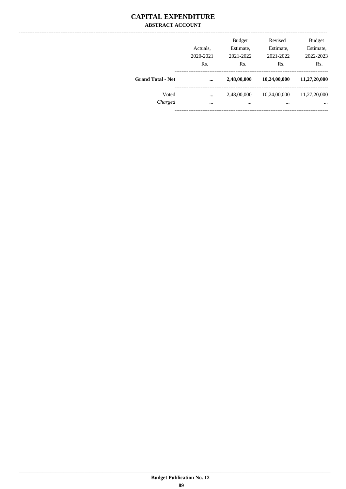### **CAPITAL EXPENDITURE ABSTRACT ACCOUNT**

|                          | Actuals.<br>2020-2021<br>Rs. | <b>Budget</b><br>Estimate,<br>2021-2022<br>Rs. | Revised<br>Estimate,<br>2021-2022<br>Rs. | <b>Budget</b><br>Estimate,<br>2022-2023<br>Rs. |
|--------------------------|------------------------------|------------------------------------------------|------------------------------------------|------------------------------------------------|
| <b>Grand Total - Net</b> |                              | 2,48,00,000                                    | 10,24,00,000                             | 11,27,20,000                                   |
| Voted<br>Charged         | <br>$\cdots$                 | 2,48,00,000<br>                                | 10,24,00,000<br>$\cdots$                 | 11,27,20,000<br>$\cdots$                       |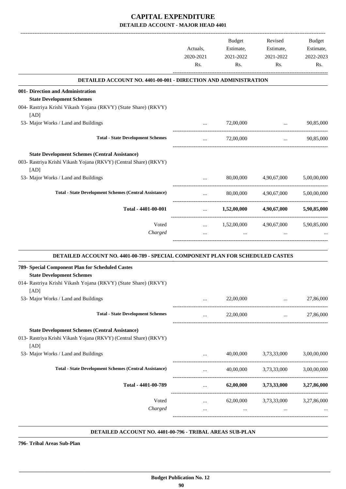|                                                                                                                                   |                             | Budget                 | Revised                                                        | Budget                 |
|-----------------------------------------------------------------------------------------------------------------------------------|-----------------------------|------------------------|----------------------------------------------------------------|------------------------|
|                                                                                                                                   | Actuals,<br>2020-2021       | Estimate,<br>2021-2022 | Estimate,<br>2021-2022                                         | Estimate,<br>2022-2023 |
|                                                                                                                                   | Rs.                         | Rs.                    | Rs.                                                            | Rs.                    |
| <b>DETAILED ACCOUNT NO. 4401-00-001 - DIRECTION AND ADMINISTRATION</b>                                                            |                             |                        |                                                                |                        |
| 001- Direction and Administration<br><b>State Development Schemes</b>                                                             |                             |                        |                                                                |                        |
| 004- Rastriya Krishi Vikash Yojana (RKVY) (State Share) (RKVY)<br>[AD]                                                            |                             |                        |                                                                |                        |
| 53- Major Works / Land and Buildings                                                                                              | $\cdots$                    | 72,00,000              | <b>Second Contract Contract</b><br>--------------------------- | 90,85,000              |
| <b>Total - State Development Schemes</b>                                                                                          | $\cdots$                    | 72,00,000              | $\cdots$                                                       | 90,85,000              |
| <b>State Development Schemes (Central Assistance)</b><br>003- Rastriya Krishi Vikash Yojana (RKVY) (Central Share) (RKVY)<br>[AD] |                             |                        |                                                                |                        |
| 53- Major Works / Land and Buildings                                                                                              | $\cdots$                    | 80,00,000              | 4,90,67,000                                                    | 5,00,00,000            |
| <b>Total - State Development Schemes (Central Assistance)</b>                                                                     | $\cdots$                    | 80,00,000              | 4,90,67,000                                                    | 5,00,00,000            |
| Total - 4401-00-001                                                                                                               | $\cdots$<br>--------------- | 1,52,00,000            | 4,90,67,000                                                    | 5,90,85,000            |
| Voted                                                                                                                             | $\cdots$                    | 1,52,00,000            | 4,90,67,000                                                    | 5,90,85,000            |
| Charged                                                                                                                           | $\cdots$                    | $\cdots$               |                                                                |                        |
| DETAILED ACCOUNT NO. 4401-00-789 - SPECIAL COMPONENT PLAN FOR SCHEDULED CASTES                                                    |                             |                        |                                                                |                        |
| 789- Special Component Plan for Scheduled Castes<br><b>State Development Schemes</b>                                              |                             |                        |                                                                |                        |
| 014- Rastriya Krishi Vikash Yojana (RKVY) (State Share) (RKVY)<br>[AD]                                                            |                             |                        |                                                                |                        |
| 53- Major Works / Land and Buildings                                                                                              |                             | 22,00,000              | $\ddots$                                                       | 27,86,000              |
| <b>Total - State Development Schemes</b>                                                                                          | $\ldots$                    | 22,00,000              | $\cdots$                                                       | 27,86,000              |
| <b>State Development Schemes (Central Assistance)</b><br>013- Rastriya Krishi Vikash Yojana (RKVY) (Central Share) (RKVY)<br>[AD] |                             |                        |                                                                |                        |
| 53- Major Works / Land and Buildings                                                                                              |                             | 40,00,000              | 3,73,33,000                                                    | 3,00,00,000            |
| <b>Total - State Development Schemes (Central Assistance)</b>                                                                     | $\cdots$                    | 40,00,000              | 3,73,33,000                                                    | 3,00,00,000            |
| Total - 4401-00-789                                                                                                               | $\cdots$                    | 62,00,000              | 3,73,33,000                                                    | 3,27,86,000            |
| Voted                                                                                                                             | $\cdots$                    |                        | 62,00,000 3,73,33,000 3,27,86,000                              |                        |
| Charged                                                                                                                           | $\cdots$                    | $\ddotsc$              | $\ddotsc$                                                      |                        |
|                                                                                                                                   |                             |                        |                                                                |                        |

#### **DETAILED ACCOUNT NO. 4401-00-796 - TRIBAL AREAS SUB-PLAN .**

**796- Tribal Areas Sub-Plan**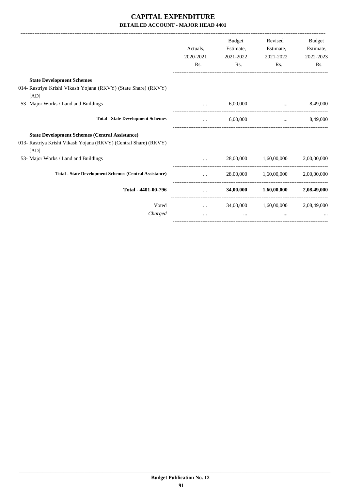|                                                                          |           | <b>Budget</b> | Revised                             | <b>Budget</b> |
|--------------------------------------------------------------------------|-----------|---------------|-------------------------------------|---------------|
|                                                                          | Actuals,  | Estimate,     | Estimate,                           | Estimate,     |
|                                                                          | 2020-2021 | 2021-2022     | 2021-2022                           | 2022-2023     |
|                                                                          | Rs.       | Rs.           | Rs.                                 | Rs.           |
| <b>State Development Schemes</b>                                         |           |               |                                     |               |
| 014- Rastriya Krishi Vikash Yojana (RKVY) (State Share) (RKVY)<br>[AD]   |           |               |                                     |               |
| 53- Major Works / Land and Buildings                                     |           | 6,00,000      | the contract of the contract of the | 8,49,000      |
| <b>Total - State Development Schemes</b>                                 | $\cdots$  | 6,00,000      | $\cdots$                            | 8,49,000      |
| <b>State Development Schemes (Central Assistance)</b>                    |           |               |                                     |               |
| 013- Rastriya Krishi Vikash Yojana (RKVY) (Central Share) (RKVY)<br>[AD] |           |               |                                     |               |
| 53- Major Works / Land and Buildings                                     | $\cdots$  |               | 28,00,000 1,60,00,000 2,00,00,000   |               |
| <b>Total - State Development Schemes (Central Assistance)</b>            | $\ddotsc$ |               | 28,00,000 1,60,00,000 2,00,00,000   |               |
| Total - 4401-00-796                                                      | $\cdots$  |               | 34,00,000 1,60,00,000 2,08,49,000   |               |
| Voted                                                                    | $\cdots$  |               | 34,00,000 1,60,00,000 2,08,49,000   |               |
| Charged                                                                  | $\cdots$  | $\cdots$      |                                     |               |
|                                                                          |           |               |                                     |               |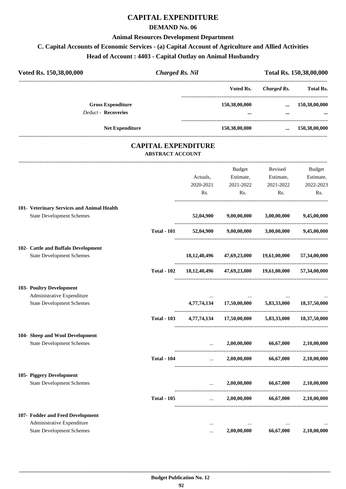## **CAPITAL EXPENDITURE**

### **DEMAND No. 06**

### **Animal Resources Development Department**

## **C. Capital Accounts of Economic Services - (a) Capital Account of Agriculture and Allied Activities**

**Head of Account : 4403 - Capital Outlay on Animal Husbandry**

| Voted Rs. 150,38,00,000                    | <b>Charged Rs. Nil</b>                                |                 |                                        |                             | Total Rs. 150,38,00,000 |
|--------------------------------------------|-------------------------------------------------------|-----------------|----------------------------------------|-----------------------------|-------------------------|
|                                            |                                                       |                 | Voted Rs.                              | <b>Charged Rs.</b>          | <b>Total Rs.</b>        |
| <b>Gross Expenditure</b>                   |                                                       |                 | 150,38,00,000                          |                             | $\dots$ 150,38,00,000   |
| <b>Deduct - Recoveries</b>                 |                                                       |                 | $\cdots$                               | $\cdots$                    |                         |
| Net Expenditure                            |                                                       |                 | 150,38,00,000                          | $\cdots$                    | 150,38,00,000           |
|                                            | <b>CAPITAL EXPENDITURE</b><br><b>ABSTRACT ACCOUNT</b> |                 |                                        |                             |                         |
|                                            |                                                       |                 | Budget                                 | Revised                     | Budget                  |
|                                            |                                                       | Actuals,        | Estimate,                              | Estimate,                   | Estimate,               |
|                                            |                                                       | 2020-2021       | 2021-2022                              | 2021-2022                   | 2022-2023               |
|                                            |                                                       | Rs.             | Rs.                                    | Rs.                         | Rs.                     |
| 101- Veterinary Services and Animal Health |                                                       |                 |                                        |                             |                         |
| <b>State Development Schemes</b>           |                                                       | 52,04,900       | 9,00,00,000                            | 3,00,00,000                 | 9,45,00,000             |
|                                            | <b>Total - 101</b>                                    | 52,04,900       |                                        | $9,00,00,000$ $3,00,00,000$ | 9,45,00,000             |
| 102- Cattle and Buffalo Development        |                                                       |                 |                                        |                             |                         |
| <b>State Development Schemes</b>           |                                                       | 18, 12, 40, 496 |                                        | 47,69,23,000 19,61,00,000   | 57,34,00,000            |
|                                            | <b>Total - 102</b>                                    |                 | 18,12,40,496 47,69,23,000 19,61,00,000 |                             | 57,34,00,000            |
| 103- Poultry Development                   |                                                       |                 |                                        |                             |                         |
| Administrative Expenditure                 |                                                       |                 |                                        |                             |                         |
| <b>State Development Schemes</b>           |                                                       |                 | 4,77,74,134 17,50,00,000 5,83,33,000   |                             | 18,37,50,000            |
|                                            | <b>Total - 103</b>                                    |                 | 4,77,74,134 17,50,00,000 5,83,33,000   |                             | 18,37,50,000            |
| 104- Sheep and Wool Development            |                                                       |                 |                                        |                             |                         |
| <b>State Development Schemes</b>           |                                                       | $\cdots$        | 2,00,00,000                            | 66,67,000                   | 2,10,00,000             |
|                                            | <b>Total - 104</b>                                    | $\cdots$        | 2,00,00,000                            | 66,67,000                   | 2,10,00,000             |
| 105- Piggery Development                   |                                                       |                 |                                        |                             |                         |
| <b>State Development Schemes</b>           |                                                       | $\cdots$        | 2,00,00,000                            | 66,67,000                   | 2,10,00,000             |
|                                            | <b>Total - 105</b>                                    | $\cdots$        | 2,00,00,000                            | 66,67,000                   | 2,10,00,000             |
| 107- Fodder and Feed Development           |                                                       |                 |                                        |                             |                         |
| Administrative Expenditure                 |                                                       |                 | $\ddotsc$                              | $\cdots$                    |                         |
| <b>State Development Schemes</b>           |                                                       |                 | 2,00,00,000                            | 66,67,000                   | 2,10,00,000             |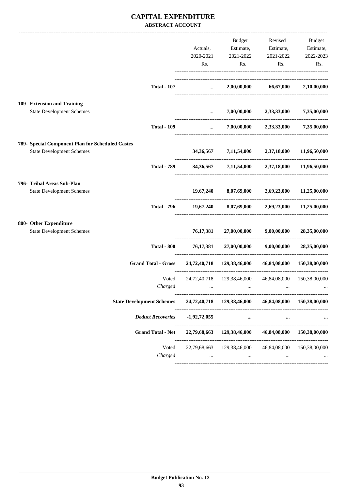### **CAPITAL EXPENDITURE ABSTRACT ACCOUNT**

|                                                  |                                  | Actuals,<br>2020-2021         | Budget<br>Estimate,<br>2021-2022                       | Revised<br>Estimate,<br>2021-2022 | Budget<br>Estimate,<br>2022-2023 |
|--------------------------------------------------|----------------------------------|-------------------------------|--------------------------------------------------------|-----------------------------------|----------------------------------|
|                                                  |                                  | Rs.                           | Rs.                                                    | Rs.                               | Rs.                              |
|                                                  | <b>Total - 107</b>               | $\mathbf{r}$ and $\mathbf{r}$ |                                                        | 2,00,00,000 66,67,000             | 2,10,00,000                      |
| 109- Extension and Training                      |                                  |                               |                                                        |                                   |                                  |
| <b>State Development Schemes</b>                 |                                  | $\cdots$                      | 7,00,00,000                                            | 2,33,33,000 7,35,00,000           |                                  |
|                                                  | <b>Total - 109</b>               | $\cdots$                      |                                                        | $7,00,00,000$ $2,33,33,000$       | 7,35,00,000                      |
| 789- Special Component Plan for Scheduled Castes |                                  |                               |                                                        |                                   |                                  |
| <b>State Development Schemes</b>                 |                                  |                               | 34,36,567 7,11,54,000 2,37,18,000                      |                                   | 11,96,50,000                     |
|                                                  | <b>Total - 789</b>               |                               | 34,36,567 7,11,54,000 2,37,18,000 11,96,50,000         |                                   |                                  |
| 796- Tribal Areas Sub-Plan                       |                                  |                               |                                                        |                                   |                                  |
| <b>State Development Schemes</b>                 |                                  | 19,67,240                     |                                                        | 8,07,69,000 2,69,23,000           | 11,25,00,000                     |
|                                                  | <b>Total - 796</b>               | 19,67,240                     | 8,07,69,000                                            | 2,69,23,000                       | 11,25,00,000                     |
| 800- Other Expenditure                           |                                  |                               |                                                        |                                   |                                  |
| <b>State Development Schemes</b>                 |                                  | 76, 17, 381                   |                                                        | 27,00,00,000 9,00,00,000          | 28,35,00,000                     |
|                                                  | <b>Total - 800</b>               | 76, 17, 381                   | 27,00,00,000<br>-------------------------------------- | 9,00,00,000                       | 28,35,00,000                     |
|                                                  | <b>Grand Total - Gross</b>       |                               | 24,72,40,718 129,38,46,000                             | ________________________________  | 46,84,08,000 150,38,00,000       |
|                                                  | Voted                            |                               | 24,72,40,718 129,38,46,000                             | 46,84,08,000                      | 150,38,00,000                    |
|                                                  | Charged                          | $\cdots$                      | $\cdots$                                               | $\cdots$                          |                                  |
|                                                  | <b>State Development Schemes</b> |                               | 24,72,40,718 129,38,46,000 46,84,08,000 150,38,00,000  |                                   |                                  |
|                                                  | <b>Deduct Recoveries</b>         | $-1,92,72,055$                | $\cdots$                                               |                                   |                                  |
|                                                  | <b>Grand Total - Net</b>         | 22,79,68,663                  | 129,38,46,000                                          | 46,84,08,000                      | 150,38,00,000                    |
|                                                  | Voted                            | 22,79,68,663                  | 129,38,46,000                                          | 46,84,08,000                      | 150,38,00,000                    |
|                                                  | Charged                          | $\cdots$                      | $\ldots$                                               | $\cdots$                          |                                  |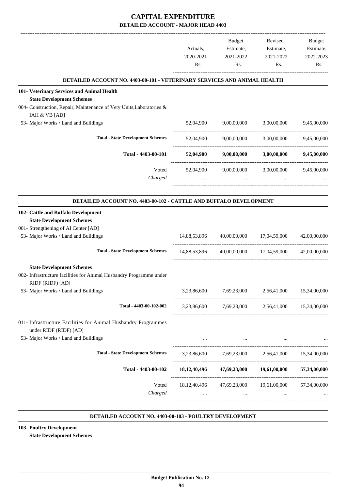|                                                                                          | Actuals,<br>2020-2021<br>Rs. | Budget<br>Estimate,<br>2021-2022<br>Rs.             | Revised<br>Estimate,<br>2021-2022<br>Rs. | Budget<br>Estimate,<br>2022-2023<br>Rs. |
|------------------------------------------------------------------------------------------|------------------------------|-----------------------------------------------------|------------------------------------------|-----------------------------------------|
| DETAILED ACCOUNT NO. 4403-00-101 - VETERINARY SERVICES AND ANIMAL HEALTH                 |                              |                                                     |                                          |                                         |
| 101- Veterinary Services and Animal Health                                               |                              |                                                     |                                          |                                         |
| <b>State Development Schemes</b>                                                         |                              |                                                     |                                          |                                         |
| 004- Construction, Repair, Maintenance of Vety Units, Laboratories &                     |                              |                                                     |                                          |                                         |
| IAH & VB [AD]                                                                            |                              |                                                     |                                          |                                         |
| 53- Major Works / Land and Buildings                                                     | 52,04,900                    | 9,00,00,000                                         | 3,00,00,000                              | 9,45,00,000                             |
| <b>Total - State Development Schemes</b>                                                 | 52,04,900                    | 9,00,00,000                                         | 3,00,00,000                              | 9,45,00,000                             |
|                                                                                          |                              |                                                     |                                          |                                         |
| Total - 4403-00-101                                                                      |                              | 52,04,900 9,00,00,000 3,00,00,000 9,45,00,000       |                                          |                                         |
| Voted                                                                                    | 52,04,900                    | 9,00,00,000                                         | 3,00,00,000                              | 9,45,00,000                             |
| Charged                                                                                  | $\cdots$                     | $\cdots$                                            | $\cdots$                                 |                                         |
|                                                                                          |                              |                                                     |                                          |                                         |
| DETAILED ACCOUNT NO. 4403-00-102 - CATTLE AND BUFFALO DEVELOPMENT                        |                              |                                                     |                                          |                                         |
| 102- Cattle and Buffalo Development                                                      |                              |                                                     |                                          |                                         |
| <b>State Development Schemes</b>                                                         |                              |                                                     |                                          |                                         |
| 001- Strengthening of AI Center [AD]                                                     |                              |                                                     |                                          |                                         |
| 53- Major Works / Land and Buildings                                                     | 14,88,53,896                 |                                                     | 40,00,00,000 17,04,59,000                | 42,00,00,000                            |
|                                                                                          |                              |                                                     |                                          |                                         |
| <b>Total - State Development Schemes</b>                                                 |                              | 14,88,53,896 40,00,00,000 17,04,59,000 42,00,00,000 |                                          |                                         |
| <b>State Development Schemes</b>                                                         |                              |                                                     |                                          |                                         |
| 002- Infrastructure facilities for Animal Husbandry Programme under                      |                              |                                                     |                                          |                                         |
| RIDF (RIDF) [AD]                                                                         |                              |                                                     |                                          |                                         |
| 53- Major Works / Land and Buildings                                                     | 3,23,86,600                  | 7,69,23,000                                         | 2,56,41,000                              | 15,34,00,000                            |
| Total - 4403-00-102-002                                                                  |                              | 3,23,86,600 7,69,23,000 2,56,41,000 15,34,00,000    |                                          |                                         |
|                                                                                          |                              |                                                     |                                          |                                         |
| 011- Infrastructure Facilities for Animal Husbandry Programmes<br>under RIDF (RIDF) [AD] |                              |                                                     |                                          |                                         |
| 53- Major Works / Land and Buildings                                                     |                              | the contract of the contract of the contract of the |                                          |                                         |
|                                                                                          |                              |                                                     |                                          |                                         |
| <b>Total - State Development Schemes</b>                                                 |                              | 3,23,86,600 7,69,23,000 2,56,41,000 15,34,00,000    |                                          |                                         |
| Total - 4403-00-102                                                                      |                              | $18,12,40,496$ $47,69,23,000$ $19,61,00,000$        |                                          | 57,34,00,000                            |
| Voted                                                                                    |                              | 18, 12, 40, 496 47, 69, 23, 000 19, 61, 00, 000     |                                          | 57,34,00,000                            |
| Charged                                                                                  |                              | $\sim 10^{-10}$ and $\sim 10^{-10}$                 | <b>ALCOHOL:</b>                          |                                         |
|                                                                                          |                              |                                                     |                                          |                                         |
|                                                                                          |                              |                                                     |                                          |                                         |

#### **DETAILED ACCOUNT NO. 4403-00-103 - POULTRY DEVELOPMENT .**

**103- Poultry Development State Development Schemes**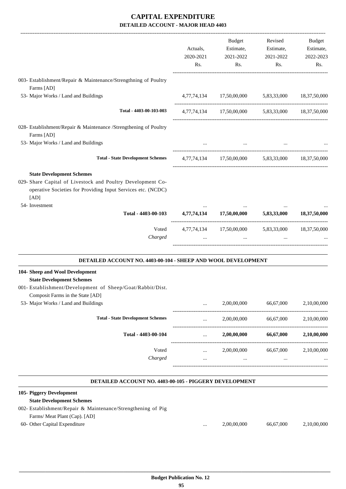|                                                                                                                                                                                           | Actuals,<br>2020-2021<br>Rs. | Budget<br>Estimate,<br>2021-2022<br>Rs.                       | Revised<br>Estimate,<br>2021-2022<br>Rs. | Budget<br>Estimate,<br>2022-2023<br>Rs. |
|-------------------------------------------------------------------------------------------------------------------------------------------------------------------------------------------|------------------------------|---------------------------------------------------------------|------------------------------------------|-----------------------------------------|
|                                                                                                                                                                                           |                              |                                                               |                                          |                                         |
| 003- Establishment/Repair & Maintenance/Strengthning of Poultry<br>Farms [AD]                                                                                                             |                              |                                                               |                                          |                                         |
| 53- Major Works / Land and Buildings                                                                                                                                                      |                              | 4,77,74,134 17,50,00,000 5,83,33,000 18,37,50,000             |                                          |                                         |
| Total - 4403-00-103-003                                                                                                                                                                   |                              | 4,77,74,134 17,50,00,000 5,83,33,000 18,37,50,000             |                                          |                                         |
| 028- Establishment/Repair & Maintenance /Strengthening of Poultry<br>Farms [AD]                                                                                                           |                              |                                                               |                                          |                                         |
| 53- Major Works / Land and Buildings                                                                                                                                                      |                              |                                                               |                                          |                                         |
| <b>Total - State Development Schemes</b>                                                                                                                                                  |                              | 4,77,74,134 17,50,00,000 5,83,33,000 18,37,50,000             |                                          |                                         |
| <b>State Development Schemes</b><br>029- Share Capital of Livestock and Poultry Development Co-<br>operative Societies for Providing Input Services etc. (NCDC)<br>[AD]<br>54- Investment |                              |                                                               |                                          |                                         |
| Total - 4403-00-103 4,77,74,134 17,50,00,000 5,83,33,000 18,37,50,000                                                                                                                     |                              |                                                               |                                          |                                         |
| Voted<br>Charged                                                                                                                                                                          | $\cdots$                     | 4,77,74,134 17,50,00,000 5,83,33,000 18,37,50,000<br>$\cdots$ | $\cdots$                                 |                                         |
| DETAILED ACCOUNT NO. 4403-00-104 - SHEEP AND WOOL DEVELOPMENT                                                                                                                             |                              |                                                               |                                          |                                         |
| 104- Sheep and Wool Development<br><b>State Development Schemes</b><br>001- Establishment/Development of Sheep/Goat/Rabbit/Dist.<br>Composit Farms in the State [AD]                      |                              |                                                               |                                          |                                         |
| 53- Major Works / Land and Buildings                                                                                                                                                      |                              | 2,00,00,000                                                   | 66,67,000                                | 2,10,00,000                             |
| <b>Total - State Development Schemes</b>                                                                                                                                                  |                              | 2,00,00,000                                                   | 66,67,000                                | 2,10,00,000                             |
| Total - 4403-00-104                                                                                                                                                                       |                              | 2,00,00,000                                                   | 66,67,000                                | 2,10,00,000                             |
| Voted<br>Charged                                                                                                                                                                          |                              | 2,00,00,000                                                   | 66,67,000                                | 2,10,00,000                             |

#### **DETAILED ACCOUNT NO. 4403-00-105 - PIGGERY DEVELOPMENT .**

| 105- Piggery Development                                     |          |             |           |             |
|--------------------------------------------------------------|----------|-------------|-----------|-------------|
| <b>State Development Schemes</b>                             |          |             |           |             |
| 002- Establishment/Repair & Maintenance/Strengthening of Pig |          |             |           |             |
| Farms/ Meat Plant (Cap). [AD]                                |          |             |           |             |
| 60- Other Capital Expenditure                                | $\cdots$ | 2,00,00,000 | 66.67.000 | 2.10.00.000 |
|                                                              |          |             |           |             |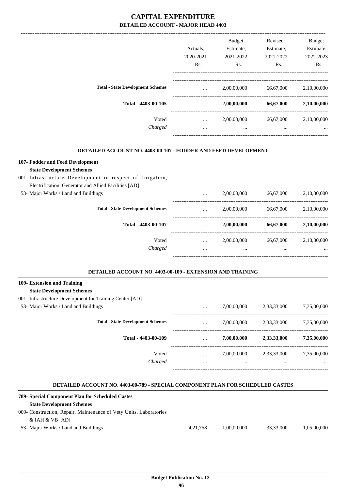|                                          |           | <b>Budget</b>    | Revised   | <b>Budget</b> |
|------------------------------------------|-----------|------------------|-----------|---------------|
|                                          | Actuals.  | Estimate,        | Estimate, | Estimate,     |
|                                          | 2020-2021 | 2021-2022        | 2021-2022 | 2022-2023     |
|                                          | Rs.       | R <sub>s</sub> . | Rs.       | Rs.           |
|                                          |           |                  |           |               |
| <b>Total - State Development Schemes</b> | $\cdots$  | 2,00,00,000      | 66,67,000 | 2,10,00,000   |
| Total - 4403-00-105                      | $\cdots$  | 2,00,00,000      | 66,67,000 | 2,10,00,000   |
| Voted                                    | $\cdots$  | 2,00,00,000      | 66,67,000 | 2,10,00,000   |
| Charged                                  | $\cdots$  | $\cdots$         | $\cdots$  | $\cdots$      |
|                                          |           |                  |           |               |

.

.

.

### **DETAILED ACCOUNT NO. 4403-00-107 - FODDER AND FEED DEVELOPMENT**

| 107- Fodder and Feed Development                         |          |             |           |             |
|----------------------------------------------------------|----------|-------------|-----------|-------------|
| <b>State Development Schemes</b>                         |          |             |           |             |
| 001-Infrastructure Development in respect of Irrigation, |          |             |           |             |
| Electrification, Generator and Allied Facilities [AD]    |          |             |           |             |
| 53- Major Works / Land and Buildings                     | $\cdots$ | 2,00,00,000 | 66,67,000 | 2,10,00,000 |
| <b>Total - State Development Schemes</b>                 | $\cdots$ | 2,00,00,000 | 66.67.000 | 2,10,00,000 |
| Total - 4403-00-107                                      | $\cdots$ | 2,00,00,000 | 66,67,000 | 2,10,00,000 |
| Voted                                                    | $\cdots$ | 2,00,00,000 | 66,67,000 | 2.10.00.000 |
| Charged                                                  | $\cdots$ | $\cdots$    | $\cdots$  |             |
|                                                          |          |             |           |             |

#### **DETAILED ACCOUNT NO. 4403-00-109 - EXTENSION AND TRAINING .**

# **109- Extension and Training**

- **State Development Schemes**
- 001- Infrastructure Development for Training Center [AD]

| 53- Major Works / Land and Buildings     | $\cdots$ | 7,00,00,000 | 2,33,33,000 | 7,35,00,000 |
|------------------------------------------|----------|-------------|-------------|-------------|
| <b>Total - State Development Schemes</b> | $\cdots$ | 7,00,00,000 | 2,33,33,000 | 7,35,00,000 |
| Total - 4403-00-109                      | $\cdots$ | 7,00,00,000 | 2,33,33,000 | 7,35,00,000 |
| Voted                                    | $\cdots$ | 7,00,00,000 | 2,33,33,000 | 7,35,00,000 |
| Charged                                  | $\cdots$ |             |             | $\cdots$    |
|                                          |          |             |             |             |

### **DETAILED ACCOUNT NO. 4403-00-789 - SPECIAL COMPONENT PLAN FOR SCHEDULED CASTES**

| 789- Special Component Plan for Scheduled Castes                   |          |             |           |             |
|--------------------------------------------------------------------|----------|-------------|-----------|-------------|
| <b>State Development Schemes</b>                                   |          |             |           |             |
| 009- Construction, Repair, Maintenance of Vety Units, Laboratories |          |             |           |             |
| & $IAH$ & $VB$ $[AD]$                                              |          |             |           |             |
| 53- Major Works / Land and Buildings                               | 4.21.758 | 1.00.00.000 | 33,33,000 | 1.05.00.000 |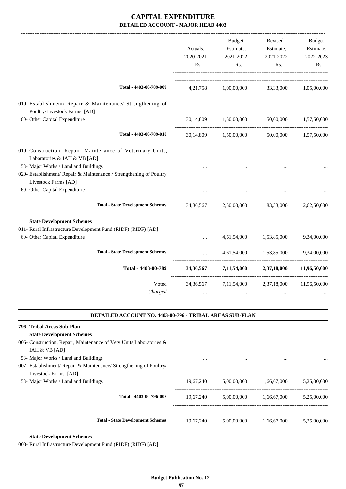|                                                                                                                                                         | Actuals,<br>2020-2021<br>Rs.                   | <b>Budget</b><br>Estimate,<br>2021-2022<br>Rs.        | Revised<br>Estimate,<br>2021-2022<br>Rs. | Budget<br>Estimate,<br>2022-2023<br>Rs. |
|---------------------------------------------------------------------------------------------------------------------------------------------------------|------------------------------------------------|-------------------------------------------------------|------------------------------------------|-----------------------------------------|
| Total - 4403-00-789-009                                                                                                                                 |                                                | 4,21,758 1,00,00,000 33,33,000 1,05,00,000            |                                          |                                         |
| 010- Establishment/ Repair & Maintenance/ Strengthening of<br>Poultry/Livestock Farms. [AD]<br>60- Other Capital Expenditure                            |                                                | 30,14,809 1,50,00,000 50,00,000 1,57,50,000           |                                          |                                         |
| Total - 4403-00-789-010                                                                                                                                 |                                                | 30,14,809 1,50,00,000 50,00,000 1,57,50,000           |                                          |                                         |
| 019- Construction, Repair, Maintenance of Veterinary Units,<br>Laboratories & IAH & VB [AD]<br>53- Major Works / Land and Buildings                     |                                                |                                                       |                                          |                                         |
| 020- Establishment/ Repair & Maintenance / Strengthening of Poultry<br>Livestock Farms [AD]                                                             |                                                |                                                       |                                          |                                         |
| 60- Other Capital Expenditure                                                                                                                           |                                                |                                                       |                                          |                                         |
| <b>Total - State Development Schemes</b>                                                                                                                |                                                | 34,36,567 2,50,00,000 83,33,000 2,62,50,000           |                                          |                                         |
| <b>State Development Schemes</b><br>011- Rural Infrastructure Development Fund (RIDF) (RIDF) [AD]<br>60- Other Capital Expenditure                      |                                                |                                                       | 4,61,54,000 1,53,85,000 9,34,00,000      |                                         |
| <b>Total - State Development Schemes</b>                                                                                                                | $\mathbf{r}$ and $\mathbf{r}$ and $\mathbf{r}$ |                                                       | 4,61,54,000 1,53,85,000 9,34,00,000      |                                         |
| Total - 4403-00-789                                                                                                                                     |                                                | 34,36,567 7,11,54,000 2,37,18,000 11,96,50,000        |                                          |                                         |
| Voted<br>Charged                                                                                                                                        |                                                | 34,36,567 7,11,54,000 2,37,18,000                     |                                          | 11,96,50,000                            |
| <b>DETAILED ACCOUNT NO. 4403-00-796 - TRIBAL AREAS SUB-PLAN</b>                                                                                         |                                                |                                                       |                                          |                                         |
| 796- Tribal Areas Sub-Plan<br><b>State Development Schemes</b><br>006- Construction, Repair, Maintenance of Vety Units, Laboratories &<br>IAH & VB [AD] |                                                |                                                       |                                          |                                         |
| 53- Major Works / Land and Buildings<br>007- Establishment/ Repair & Maintenance/ Strengthening of Poultry/<br>Livestock Farms. [AD]                    |                                                |                                                       |                                          |                                         |
| 53- Major Works / Land and Buildings                                                                                                                    |                                                | 19,67,240 5,00,00,000 1,66,67,000                     |                                          | 5,25,00,000                             |
| Total - 4403-00-796-007                                                                                                                                 | 19,67,240                                      |                                                       | 5,00,00,000 1,66,67,000 5,25,00,000      |                                         |
| <b>Total - State Development Schemes</b>                                                                                                                |                                                | $19,67,240$ $5,00,00,000$ $1,66,67,000$ $5,25,00,000$ |                                          |                                         |
| <b>State Development Schemes</b>                                                                                                                        |                                                |                                                       |                                          |                                         |

008- Rural Infrastructure Development Fund (RIDF) (RIDF) [AD]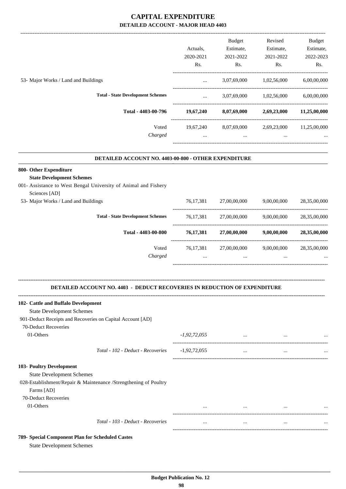|                                          |           | <b>Budget</b> | Revised     | <b>Budget</b> |
|------------------------------------------|-----------|---------------|-------------|---------------|
|                                          | Actuals.  | Estimate,     | Estimate,   | Estimate,     |
|                                          | 2020-2021 | 2021-2022     | 2021-2022   | 2022-2023     |
|                                          | Rs.       | Rs.           | Rs.         | Rs.           |
| 53- Major Works / Land and Buildings     | $\cdots$  | 3,07,69,000   | 1,02,56,000 | 6,00,00,000   |
| <b>Total - State Development Schemes</b> | $\cdots$  | 3,07,69,000   | 1,02,56,000 | 6,00,00,000   |
| Total - 4403-00-796                      | 19,67,240 | 8,07,69,000   | 2,69,23,000 | 11,25,00,000  |
| Voted                                    | 19,67,240 | 8,07,69,000   | 2,69,23,000 | 11,25,00,000  |
| Charged                                  | $\cdots$  | $\cdots$      | $\cdots$    | $\cdots$      |
|                                          |           |               |             |               |

#### **DETAILED ACCOUNT NO. 4403-00-800 - OTHER EXPENDITURE .**

### **800- Other Expenditure State Development Schemes**

## 001- Assistance to West Bengal University of Animal and Fishery

| <b>Total - State Development Schemes</b> | 76.17.381   | 27,00,00,000 | 9,00,00,000 | 28,35,00,000 |
|------------------------------------------|-------------|--------------|-------------|--------------|
|                                          |             |              |             |              |
| Total - 4403-00-800                      | 76, 17, 381 | 27,00,00,000 | 9,00,00,000 | 28,35,00,000 |
| Voted                                    | 76.17.381   | 27,00,00,000 | 9,00,00,000 | 28,35,00,000 |
| Charged                                  |             |              |             | $\cdots$     |
|                                          |             |              |             |              |

**--------------------------------------------------------------------------------------------------------------------------------------------------------------------------------**

### **DETAILED ACCOUNT NO. 4403 - DEDUCT RECOVERIES IN REDUCTION OF EXPENDITURE**

| 102- Cattle and Buffalo Development                              |                |          |          |           |
|------------------------------------------------------------------|----------------|----------|----------|-----------|
| <b>State Development Schemes</b>                                 |                |          |          |           |
| 901-Deduct Receipts and Recoveries on Capital Account [AD]       |                |          |          |           |
| 70-Deduct Recoveries                                             |                |          |          |           |
| 01-Others                                                        | $-1,92,72,055$ | $\cdots$ | $\cdots$ | $\ddotsc$ |
| Total - 102 - Deduct - Recoveries                                | $-1,92,72,055$ | $\cdots$ | $\cdots$ | $\ddotsc$ |
| 103- Poultry Development                                         |                |          |          |           |
| <b>State Development Schemes</b>                                 |                |          |          |           |
| 028-Establishment/Repair & Maintenance /Strengthening of Poultry |                |          |          |           |
| Farms [AD]                                                       |                |          |          |           |
| 70-Deduct Recoveries                                             |                |          |          |           |
| 01-Others                                                        | $\cdots$       | $\cdots$ | $\cdots$ | $\ddotsc$ |
| Total - 103 - Deduct - Recoveries                                | $\cdots$       | $\cdots$ | $\cdots$ | $\ddotsc$ |
| 789- Special Component Plan for Scheduled Castes                 |                |          |          |           |

State Development Schemes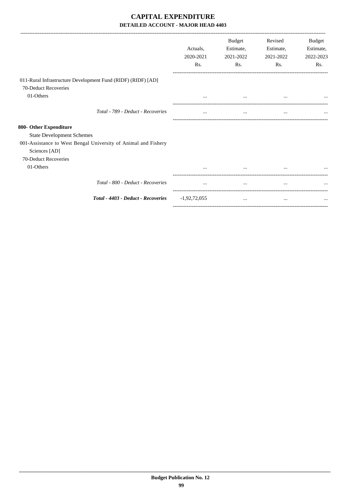|                                                                | Actuals.       | <b>Budget</b><br>Estimate, | Revised<br>Estimate, | Budget<br>Estimate, |
|----------------------------------------------------------------|----------------|----------------------------|----------------------|---------------------|
|                                                                | 2020-2021      | 2021-2022                  | 2021-2022            | 2022-2023           |
|                                                                | Rs.            | Rs.                        | Rs.                  | Rs.                 |
| 011-Rural Infrastructure Development Fund (RIDF) (RIDF) [AD]   |                |                            |                      |                     |
| 70-Deduct Recoveries                                           |                |                            |                      |                     |
| 01-Others                                                      | $\cdots$       | $\cdots$                   |                      |                     |
| Total - 789 - Deduct - Recoveries                              | $\cdots$       | $\cdots$                   | $\cdots$             |                     |
| 800- Other Expenditure                                         |                |                            |                      |                     |
| <b>State Development Schemes</b>                               |                |                            |                      |                     |
| 001-Assistance to West Bengal University of Animal and Fishery |                |                            |                      |                     |
| Sciences [AD]                                                  |                |                            |                      |                     |
| 70-Deduct Recoveries                                           |                |                            |                      |                     |
| 01-Others                                                      |                | $\cdots$                   | $\cdots$             |                     |
| Total - 800 - Deduct - Recoveries                              | $\cdots$       | $\cdots$                   | $\cdots$             |                     |
| Total - 4403 - Deduct - Recoveries                             | $-1,92,72,055$ | $\cdots$                   | $\cdots$             |                     |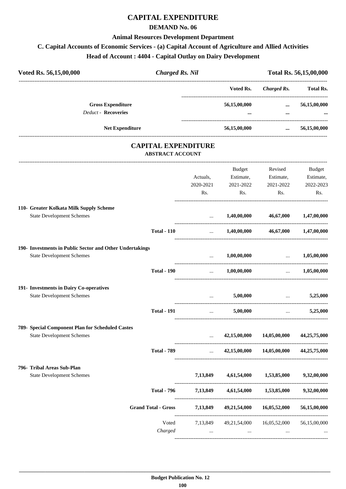## **CAPITAL EXPENDITURE**

### **DEMAND No. 06**

### **Animal Resources Development Department**

## **C. Capital Accounts of Economic Services - (a) Capital Account of Agriculture and Allied Activities**

**Head of Account : 4404 - Capital Outlay on Dairy Development**

| Voted Rs. 56,15,00,000                                   | <b>Charged Rs. Nil</b>                                |                                          |                                                            |                                                                 | Total Rs. 56,15,00,000                      |
|----------------------------------------------------------|-------------------------------------------------------|------------------------------------------|------------------------------------------------------------|-----------------------------------------------------------------|---------------------------------------------|
|                                                          |                                                       |                                          | Voted Rs.                                                  | <b>Charged Rs.</b>                                              | <b>Total Rs.</b>                            |
| <b>Gross Expenditure</b>                                 |                                                       |                                          | 56,15,00,000                                               | $\cdots$                                                        | 56,15,00,000                                |
| <b>Deduct - Recoveries</b>                               |                                                       |                                          |                                                            | $\cdots$                                                        |                                             |
| Net Expenditure                                          |                                                       |                                          | 56,15,00,000                                               | $\cdots$                                                        | 56,15,00,000                                |
|                                                          | <b>CAPITAL EXPENDITURE</b><br><b>ABSTRACT ACCOUNT</b> |                                          |                                                            |                                                                 |                                             |
|                                                          |                                                       |                                          |                                                            |                                                                 |                                             |
|                                                          |                                                       |                                          | Budget                                                     | Revised                                                         | Budget                                      |
|                                                          |                                                       | Actuals,<br>2020-2021                    | Estimate,<br>2021-2022                                     | Estimate,<br>2021-2022                                          | Estimate,<br>2022-2023                      |
|                                                          |                                                       | Rs.                                      | Rs.                                                        | Rs.                                                             | Rs.                                         |
|                                                          |                                                       |                                          |                                                            |                                                                 |                                             |
| 110- Greater Kolkata Milk Supply Scheme                  |                                                       |                                          |                                                            |                                                                 |                                             |
| <b>State Development Schemes</b>                         |                                                       | $\cdots$                                 | 1,40,00,000                                                | 46,67,000                                                       | 1,47,00,000                                 |
|                                                          | <b>Total - 110</b>                                    | $\cdots$                                 |                                                            | $1,40,00,000$ $46,67,000$                                       | 1,47,00,000                                 |
| 190- Investments in Public Sector and Other Undertakings |                                                       |                                          |                                                            |                                                                 |                                             |
| <b>State Development Schemes</b>                         |                                                       | $\cdots$<br>---------------------------- | $1,\!00,\!00,\!000$                                        | $\mathbf{r}$ and $\mathbf{r}$ and $\mathbf{r}$ and $\mathbf{r}$ | 1,05,00,000                                 |
|                                                          | <b>Total - 190</b>                                    |                                          | $1,00,00,000$ $1,05,00,000$                                |                                                                 |                                             |
| 191- Investments in Dairy Co-operatives                  |                                                       |                                          |                                                            |                                                                 |                                             |
| <b>State Development Schemes</b>                         |                                                       |                                          | 5,00,000<br>$\mathbf{r}$ and $\mathbf{r}$ and $\mathbf{r}$ | the contract of the contract of the                             | 5,25,000                                    |
|                                                          | <b>Total - 191</b>                                    | $\cdots$                                 | 5,00,000                                                   |                                                                 | 5,25,000<br>$\cdots$ . The same of $\cdots$ |
| 789- Special Component Plan for Scheduled Castes         |                                                       |                                          |                                                            |                                                                 |                                             |
| <b>State Development Schemes</b>                         |                                                       | $\cdots$                                 | 42,15,00,000                                               | 14,05,00,000                                                    | 44,25,75,000                                |
|                                                          | <b>Total - 789</b>                                    |                                          | $42,15,00,000$ $14,05,00,000$ $44,25,75,000$               |                                                                 |                                             |
| 796- Tribal Areas Sub-Plan                               |                                                       |                                          |                                                            |                                                                 |                                             |
| <b>State Development Schemes</b>                         |                                                       | 7,13,849                                 | 4,61,54,000                                                | 1,53,85,000                                                     | 9,32,00,000                                 |
|                                                          | <b>Total - 796</b>                                    | 7,13,849                                 |                                                            | 4,61,54,000 1,53,85,000                                         | 9,32,00,000                                 |
|                                                          | <b>Grand Total - Gross</b>                            | 7,13,849                                 |                                                            | 49,21,54,000 16,05,52,000                                       | 56,15,00,000                                |
|                                                          | Voted                                                 | 7,13,849                                 | 49,21,54,000                                               | 16,05,52,000                                                    | 56,15,00,000                                |
|                                                          | Charged                                               | $\cdots$                                 | $\cdots$                                                   | $\cdots$                                                        |                                             |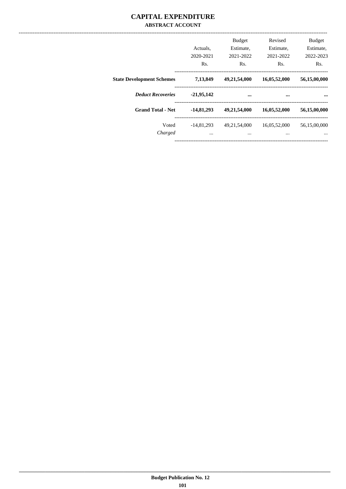### **CAPITAL EXPENDITURE ABSTRACT ACCOUNT**

|                                  | Actuals.<br>2020-2021<br>Rs. | <b>Budget</b><br>Estimate,<br>2021-2022<br>Rs. | Revised<br>Estimate,<br>2021-2022<br>Rs. | <b>Budget</b><br>Estimate,<br>2022-2023<br>Rs. |
|----------------------------------|------------------------------|------------------------------------------------|------------------------------------------|------------------------------------------------|
| <b>State Development Schemes</b> | 7,13,849                     | 49,21,54,000                                   | 16,05,52,000                             | 56,15,00,000                                   |
| <b>Deduct Recoveries</b>         | $-21,95,142$                 |                                                | $\cdots$                                 |                                                |
| <b>Grand Total - Net</b>         | $-14,81,293$                 | 49,21,54,000                                   | 16,05,52,000                             | 56,15,00,000                                   |
| Voted<br>Charged                 | $-14,81,293$<br>$\cdots$     | 49,21,54,000<br>$\cdots$                       | 16,05,52,000<br>$\cdots$                 | 56,15,00,000<br>$\cdots$                       |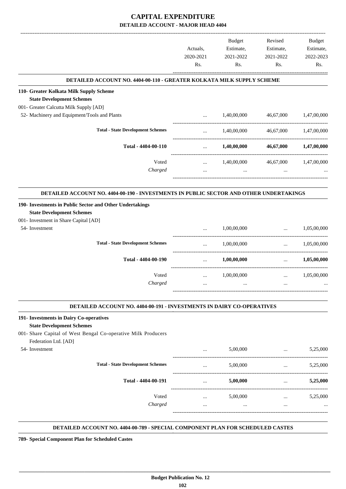|                                                                                              |                  | <b>Budget</b>    | Revised                                         | Budget           |
|----------------------------------------------------------------------------------------------|------------------|------------------|-------------------------------------------------|------------------|
|                                                                                              | Actuals,         | Estimate,        | Estimate,                                       | Estimate,        |
|                                                                                              | 2020-2021<br>Rs. | 2021-2022<br>Rs. | 2021-2022<br>Rs.                                | 2022-2023<br>Rs. |
|                                                                                              |                  |                  |                                                 |                  |
| DETAILED ACCOUNT NO. 4404-00-110 - GREATER KOLKATA MILK SUPPLY SCHEME                        |                  |                  |                                                 |                  |
| 110- Greater Kolkata Milk Supply Scheme                                                      |                  |                  |                                                 |                  |
| <b>State Development Schemes</b>                                                             |                  |                  |                                                 |                  |
| 001- Greater Calcutta Milk Supply [AD]                                                       |                  |                  |                                                 |                  |
| 52- Machinery and Equipment/Tools and Plants                                                 | $\cdots$         | 1,40,00,000      | 46,67,000                                       | 1,47,00,000      |
| <b>Total - State Development Schemes</b>                                                     | $\cdots$         | 1,40,00,000      | 46,67,000                                       | 1,47,00,000      |
| Total - 4404-00-110                                                                          | $\cdots$         | 1,40,00,000      | 46,67,000                                       | 1,47,00,000      |
| Voted                                                                                        | $\cdots$         | 1,40,00,000      | 46,67,000                                       | 1,47,00,000      |
| Charged                                                                                      | $\cdots$         | $\cdots$         | $\cdots$                                        |                  |
|                                                                                              |                  |                  |                                                 |                  |
| DETAILED ACCOUNT NO. 4404-00-190 - INVESTMENTS IN PUBLIC SECTOR AND OTHER UNDERTAKINGS       |                  |                  |                                                 |                  |
| 190- Investments in Public Sector and Other Undertakings<br><b>State Development Schemes</b> |                  |                  |                                                 |                  |
| 001- Investment in Share Capital [AD]                                                        |                  |                  |                                                 |                  |
| 54- Investment                                                                               | $\ddotsc$        | 1,00,00,000      | $\ddotsc$                                       | 1,05,00,000      |
| <b>Total - State Development Schemes</b>                                                     | $\cdots$         | 1,00,00,000      | -------------------------------<br>$\mathbf{r}$ | 1,05,00,000      |
| Total - 4404-00-190                                                                          | $\cdots$         | 1,00,00,000      | $\cdots$                                        | 1,05,00,000      |
| Voted                                                                                        |                  | 1,00,00,000      | $\cdots$                                        | 1,05,00,000      |
| Charged                                                                                      | $\cdots$         |                  | $\cdots$                                        |                  |
|                                                                                              |                  |                  |                                                 |                  |
| DETAILED ACCOUNT NO. 4404-00-191 - INVESTMENTS IN DAIRY CO-OPERATIVES                        |                  |                  |                                                 |                  |
| 191- Investments in Dairy Co-operatives                                                      |                  |                  |                                                 |                  |
| <b>State Development Schemes</b>                                                             |                  |                  |                                                 |                  |
| 001- Share Capital of West Bengal Co-operative Milk Producers                                |                  |                  |                                                 |                  |
| Federation Ltd. [AD]                                                                         |                  |                  |                                                 |                  |
| 54- Investment                                                                               | $\cdots$         | 5,00,000         | $\cdots$                                        | 5,25,000         |
| <b>Total - State Development Schemes</b>                                                     | $\cdots$         | 5,00,000         | $\cdots$                                        | 5,25,000         |
| Total - 4404-00-191                                                                          | $\cdots$         | 5,00,000         | $\cdots$                                        | 5,25,000         |
| Voted                                                                                        | $\cdots$         | 5,00,000         | $\cdots$                                        | 5,25,000         |
| Charged                                                                                      | $\cdots$         | $\cdots$         | $\ddotsc$                                       |                  |
|                                                                                              |                  |                  |                                                 |                  |
|                                                                                              |                  |                  |                                                 |                  |

**DETAILED ACCOUNT NO. 4404-00-789 - SPECIAL COMPONENT PLAN FOR SCHEDULED CASTES .**

**789- Special Component Plan for Scheduled Castes**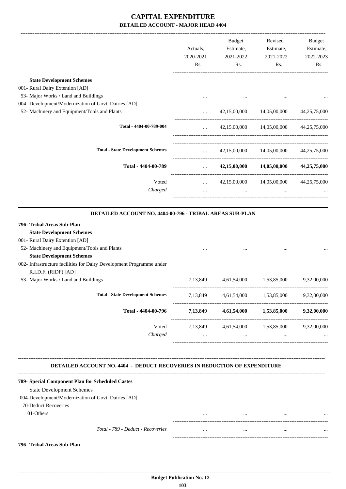|                                                                                                                                                   | Actuals,<br>2020-2021<br>Rs.  | Budget<br>Estimate,<br>2021-2022<br>Rs.      | Revised<br>Estimate,<br>2021-2022<br>Rs. | Budget<br>Estimate,<br>2022-2023<br>Rs. |
|---------------------------------------------------------------------------------------------------------------------------------------------------|-------------------------------|----------------------------------------------|------------------------------------------|-----------------------------------------|
| <b>State Development Schemes</b>                                                                                                                  |                               |                                              |                                          |                                         |
| 001- Rural Dairy Extention [AD]                                                                                                                   |                               |                                              |                                          |                                         |
| 53- Major Works / Land and Buildings                                                                                                              | $\cdots$                      |                                              |                                          |                                         |
| 004- Development/Modernization of Govt. Dairies [AD]                                                                                              |                               |                                              |                                          |                                         |
| 52- Machinery and Equipment/Tools and Plants                                                                                                      | $\cdots$                      |                                              | 42,15,00,000 14,05,00,000                | 44,25,75,000                            |
| Total - 4404-00-789-004                                                                                                                           | $\cdots$                      |                                              | 42,15,00,000 14,05,00,000 44,25,75,000   |                                         |
| <b>Total - State Development Schemes</b>                                                                                                          |                               | $42,15,00,000$ $14,05,00,000$ $44,25,75,000$ |                                          |                                         |
| Total - 4404-00-789                                                                                                                               | $\mathbf{r}$ and $\mathbf{r}$ |                                              | 42,15,00,000 14,05,00,000 44,25,75,000   |                                         |
| Voted                                                                                                                                             | ---------------------------   | $42,15,00,000$ $14,05,00,000$ $44,25,75,000$ |                                          |                                         |
| Charged                                                                                                                                           | $\cdots$                      | $\cdots$                                     | $\ddots$                                 |                                         |
| DETAILED ACCOUNT NO. 4404-00-796 - TRIBAL AREAS SUB-PLAN                                                                                          |                               |                                              |                                          |                                         |
| 796- Tribal Areas Sub-Plan<br><b>State Development Schemes</b><br>001- Rural Dairy Extention [AD]<br>52- Machinery and Equipment/Tools and Plants |                               |                                              |                                          |                                         |
| <b>State Development Schemes</b><br>002- Infrastructure facilities for Dairy Development Programme under<br>R.I.D.F. (RIDF) [AD]                  |                               |                                              |                                          |                                         |
| 53- Major Works / Land and Buildings                                                                                                              |                               | 7,13,849 4,61,54,000 1,53,85,000             |                                          | 9,32,00,000                             |
| <b>Total - State Development Schemes</b>                                                                                                          | 7,13,849                      | 4,61,54,000                                  | 1,53,85,000                              | 9,32,00,000                             |
| Total - 4404-00-796                                                                                                                               |                               | 7,13,849 4,61,54,000 1,53,85,000 9,32,00,000 |                                          |                                         |
| Voted                                                                                                                                             | 7,13,849                      | 4,61,54,000                                  | 1,53,85,000                              | 9,32,00,000                             |
| Charged                                                                                                                                           | $\cdots$                      | $\cdots$                                     | $\cdots$                                 |                                         |
| <b>DETAILED ACCOUNT NO. 4404 - DEDUCT RECOVERIES IN REDUCTION OF EXPENDITURE</b>                                                                  |                               |                                              |                                          |                                         |
| 789- Special Component Plan for Scheduled Castes                                                                                                  |                               |                                              |                                          |                                         |
| <b>State Development Schemes</b>                                                                                                                  |                               |                                              |                                          |                                         |
| 004-Development/Modernization of Govt. Dairies [AD]<br>70-Deduct Recoveries                                                                       |                               |                                              |                                          |                                         |
| 01-Others                                                                                                                                         |                               | $\cdots$                                     |                                          |                                         |
| Total - 789 - Deduct - Recoveries                                                                                                                 |                               | $\cdots$                                     |                                          |                                         |
|                                                                                                                                                   |                               |                                              |                                          |                                         |
| 796- Tribal Areas Sub-Plan                                                                                                                        |                               |                                              |                                          |                                         |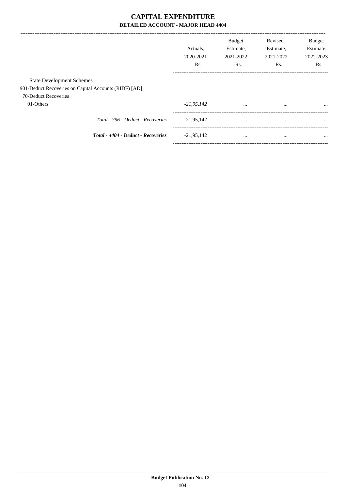|                                                       |                                    | Actuals.<br>2020-2021<br>Rs. | <b>Budget</b><br>Estimate,<br>2021-2022<br>Rs. | Revised<br>Estimate,<br>2021-2022<br>Rs. | <b>Budget</b><br>Estimate,<br>2022-2023<br>Rs. |
|-------------------------------------------------------|------------------------------------|------------------------------|------------------------------------------------|------------------------------------------|------------------------------------------------|
| <b>State Development Schemes</b>                      |                                    |                              |                                                |                                          |                                                |
| 901-Deduct Recoveries on Capital Accounts (RIDF) [AD] |                                    |                              |                                                |                                          |                                                |
| 70-Deduct Recoveries                                  |                                    |                              |                                                |                                          |                                                |
| 01-Others                                             |                                    | $-21,95,142$                 | $\cdots$                                       |                                          | $\cdots$                                       |
|                                                       | Total - 796 - Deduct - Recoveries  | $-21,95,142$                 | $\cdots$                                       | $\cdots$                                 | $\cdots$                                       |
|                                                       | Total - 4404 - Deduct - Recoveries | $-21,95,142$                 | $\cdots$                                       |                                          | $\cdots$                                       |
|                                                       |                                    |                              |                                                |                                          |                                                |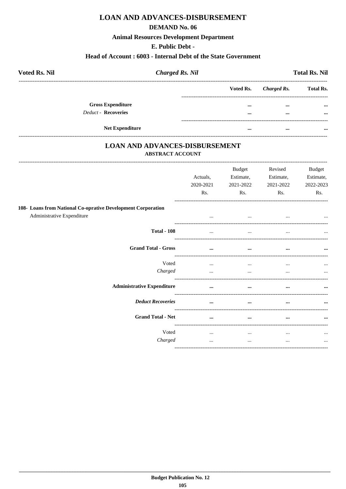## **LOAN AND ADVANCES-DISBURSEMENT**

### **DEMAND No. 06**

### **Animal Resources Development Department**

### E. Public Debt -

### Head of Account: 6003 - Internal Debt of the State Government

| <b>Voted Rs. Nil</b>                            | <b>Charged Rs. Nil</b>     |                      | <b>Total Rs. Nil</b> |
|-------------------------------------------------|----------------------------|----------------------|----------------------|
|                                                 | Voted Rs.                  | Charged Rs.          | <b>Total Rs.</b>     |
| <b>Gross Expenditure</b><br>Deduct - Recoveries | $\cdots$<br>$\cdots$       | $\cdots$<br>$\cdots$ | $\cdots$<br>$\cdots$ |
|                                                 | <b>Net Expenditure</b><br> |                      |                      |

### **LOAN AND ADVANCES-DISBURSEMENT ABSTRACT ACCOUNT**

|                                                                                            | Actuals.<br>2020-2021<br>Rs. | <b>Budget</b><br>Estimate,<br>2021-2022<br>Rs. | Revised<br>Estimate,<br>2021-2022<br>Rs. | Budget<br>Estimate,<br>2022-2023<br>Rs. |
|--------------------------------------------------------------------------------------------|------------------------------|------------------------------------------------|------------------------------------------|-----------------------------------------|
| 108- Loans from National Co-oprative Development Corporation<br>Administrative Expenditure | $\cdots$                     | $\cdots$                                       | $\cdots$                                 | $\cdots$                                |
| <b>Total - 108</b>                                                                         | $\cdots$                     | $\cdots$                                       | $\cdots$                                 | $\cdots$                                |
| <b>Grand Total - Gross</b>                                                                 | $\cdots$                     | $\cdots$                                       | $\cdots$                                 | $\cdots$                                |
| Voted<br>Charged                                                                           | $\cdots$<br>$\cdots$         | $\cdots$<br>$\cdots$                           | $\cdots$<br>                             | $\cdots$<br>$\cdots$                    |
| <b>Administrative Expenditure</b>                                                          |                              | $\cdots$                                       | $\cdots$                                 | $\cdots$                                |
| <b>Deduct Recoveries</b>                                                                   | $\cdots$                     | $\cdots$                                       |                                          | $\cdots$                                |
| <b>Grand Total - Net</b>                                                                   | $\cdots$                     | $\cdots$                                       | $\cdots$                                 |                                         |
| Voted<br>Charged                                                                           | $\cdots$<br>$\cdots$         | $\cdots$<br>$\cdots$                           | $\cdots$<br>                             | $\cdots$                                |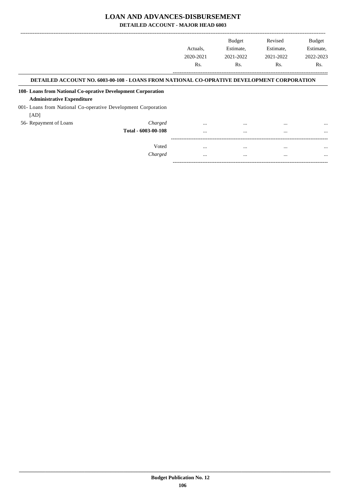#### **LOAN AND ADVANCES-DISBURSEMENT**

**DETAILED ACCOUNT - MAJOR HEAD 6003**

|                                                               |                                                                                            |           | <b>Budget</b> | Revised   | <b>Budget</b> |
|---------------------------------------------------------------|--------------------------------------------------------------------------------------------|-----------|---------------|-----------|---------------|
|                                                               |                                                                                            | Actuals.  | Estimate,     | Estimate, | Estimate,     |
|                                                               |                                                                                            | 2020-2021 | 2021-2022     | 2021-2022 | 2022-2023     |
|                                                               |                                                                                            | Rs.       | Rs.           | Rs.       | Rs.           |
|                                                               | DETAILED ACCOUNT NO. 6003-00-108 - LOANS FROM NATIONAL CO-OPRATIVE DEVELOPMENT CORPORATION |           |               |           |               |
| 108- Loans from National Co-oprative Development Corporation  |                                                                                            |           |               |           |               |
| <b>Administrative Expenditure</b>                             |                                                                                            |           |               |           |               |
| 001- Loans from National Co-operative Development Corporation |                                                                                            |           |               |           |               |
| [AD]                                                          |                                                                                            |           |               |           |               |
| 56- Repayment of Loans                                        | Charged                                                                                    | $\cdots$  | $\cdots$      |           | $\cdots$      |
|                                                               | Total - 6003-00-108                                                                        | $\cdots$  | $\cdots$      | $\cdots$  | $\cdots$      |
|                                                               |                                                                                            |           |               |           |               |
|                                                               | Voted                                                                                      | $\cdots$  | $\cdots$      | $\cdots$  | $\cdots$      |
|                                                               | Charged                                                                                    |           | $\cdots$      | $\cdots$  | $\ddotsc$     |

-----------------------------------------------------------------------------------------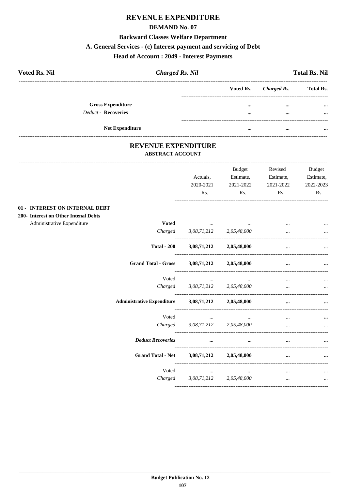## REVENUE EXPENDITURE

#### **DEMAND No. 07**

## **Backward Classes Welfare Department**

## A. General Services - (c) Interest payment and servicing of Debt

## **Head of Account : 2049 - Interest Payments**

| <b>Voted Rs. Nil</b> |                            | <b>Charged Rs. Nil</b> |           |             | <b>Total Rs. Nil</b> |
|----------------------|----------------------------|------------------------|-----------|-------------|----------------------|
|                      |                            |                        | Voted Rs. | Charged Rs. | <b>Total Rs.</b>     |
|                      | <b>Gross Expenditure</b>   |                        | $\cdots$  |             | $\cdots$             |
|                      | <b>Deduct - Recoveries</b> |                        | $\cdots$  |             | $\cdots$             |
|                      | <b>Net Expenditure</b>     |                        | $\cdots$  | $\cdots$    |                      |

#### REVENUE EXPENDITURE ABSTRACT ACCOUNT

|                                                                    |                                   | Actuals,<br>2020-2021<br>Rs.                                                       | Budget<br>Estimate,<br>2021-2022<br>Rs. | Revised<br>Estimate,<br>2021-2022<br>Rs. | Budget<br>Estimate,<br>2022-2023<br>Rs. |
|--------------------------------------------------------------------|-----------------------------------|------------------------------------------------------------------------------------|-----------------------------------------|------------------------------------------|-----------------------------------------|
| 01 - INTEREST ON INTERNAL DEBT                                     |                                   |                                                                                    |                                         |                                          |                                         |
| 200- Interest on Other Intenal Debts<br>Administrative Expenditure | <b>Voted</b>                      |                                                                                    |                                         |                                          |                                         |
|                                                                    |                                   | the contract of the contract of the contract of<br>Charged 3,08,71,212 2,05,48,000 |                                         | $\ddotsc$                                |                                         |
|                                                                    | <b>Total - 200</b>                | 3,08,71,212                                                                        | 2,05,48,000                             | $\cdots$                                 |                                         |
|                                                                    | <b>Grand Total - Gross</b>        |                                                                                    | 3,08,71,212 2,05,48,000                 | $\cdots$                                 |                                         |
|                                                                    | Voted                             | $\cdots$                                                                           | $\cdots$                                |                                          |                                         |
|                                                                    |                                   | Charged 3,08,71,212 2,05,48,000                                                    |                                         | $\cdots$                                 |                                         |
|                                                                    | <b>Administrative Expenditure</b> |                                                                                    | $3,08,71,212$ $2,05,48,000$             |                                          |                                         |
|                                                                    | Voted                             | $\cdots$                                                                           | $\cdots$                                | $\cdots$                                 |                                         |
|                                                                    | Charged                           | 3,08,71,212                                                                        | 2,05,48,000                             | $\ddotsc$                                | $\ddotsc$                               |
|                                                                    | <b>Deduct Recoveries</b>          | $\cdots$                                                                           | $\cdots$                                | $\cdots$                                 |                                         |
|                                                                    | <b>Grand Total - Net</b>          | $3,08,71,212$ $2,05,48,000$                                                        |                                         |                                          |                                         |
|                                                                    | Voted                             | $\cdots$                                                                           | $\cdots$                                | $\cdots$                                 |                                         |
|                                                                    | Charged                           | 3,08,71,212                                                                        | 2,05,48,000                             | $\cdots$                                 | $\cdots$                                |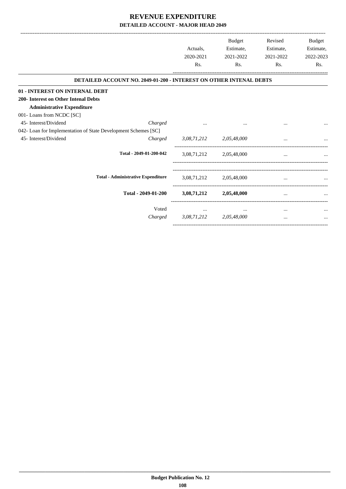|                                      |                                                                           |                  | <b>Budget</b>           | Revised   | <b>Budget</b> |
|--------------------------------------|---------------------------------------------------------------------------|------------------|-------------------------|-----------|---------------|
|                                      |                                                                           | Actuals,         | Estimate,               | Estimate, | Estimate,     |
|                                      |                                                                           | 2020-2021        | 2021-2022               | 2021-2022 | 2022-2023     |
|                                      |                                                                           | R <sub>s</sub> . | Rs.                     | Rs.       | Rs.           |
|                                      | <b>DETAILED ACCOUNT NO. 2049-01-200 - INTEREST ON OTHER INTENAL DEBTS</b> |                  |                         |           |               |
| 01 - INTEREST ON INTERNAL DEBT       |                                                                           |                  |                         |           |               |
| 200- Interest on Other Intenal Debts |                                                                           |                  |                         |           |               |
| <b>Administrative Expenditure</b>    |                                                                           |                  |                         |           |               |
| 001- Loans from NCDC [SC]            |                                                                           |                  |                         |           |               |
| 45- Interest/Dividend                | Charged                                                                   |                  |                         |           |               |
|                                      | 042- Loan for Implementation of State Development Schemes [SC]            |                  |                         |           |               |
| 45- Interest/Dividend                | Charged                                                                   |                  | 3,08,71,212 2,05,48,000 |           |               |
|                                      | Total - 2049-01-200-042                                                   | 3,08,71,212      | 2,05,48,000             |           |               |
|                                      |                                                                           |                  |                         |           |               |
|                                      | <b>Total - Administrative Expenditure</b>                                 | 3,08,71,212      | 2,05,48,000             |           |               |
|                                      | Total - 2049-01-200                                                       | 3,08,71,212      | 2,05,48,000             | $\cdots$  |               |
|                                      | Voted                                                                     | $\cdots$         | $\cdots$                | $\cdots$  |               |
|                                      | Charged                                                                   | 3,08,71,212      | 2,05,48,000             | $\cdots$  |               |
|                                      |                                                                           |                  |                         |           |               |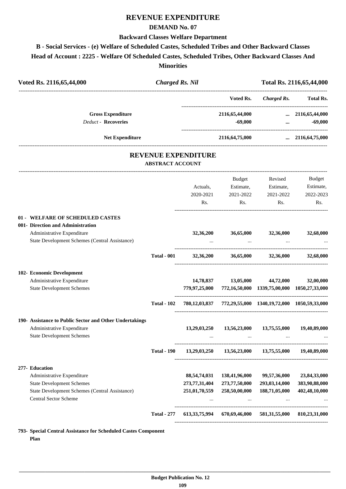## **REVENUE EXPENDITURE**

#### **DEMAND No. 07**

#### **Backward Classes Welfare Department**

#### **B - Social Services - (e) Welfare of Scheduled Castes, Scheduled Tribes and Other Backward Classes**

**Head of Account : 2225 - Welfare Of Scheduled Castes, Scheduled Tribes, Other Backward Classes And**

**Minorities**

| Voted Rs. 2116,65,44,000                                                              | <b>Charged Rs. Nil</b>  |                            |                             |                                                           | Total Rs. 2116,65,44,000                                                |  |
|---------------------------------------------------------------------------------------|-------------------------|----------------------------|-----------------------------|-----------------------------------------------------------|-------------------------------------------------------------------------|--|
|                                                                                       |                         |                            | Voted Rs.                   | <b>Charged Rs.</b>                                        | <b>Total Rs.</b>                                                        |  |
| <b>Gross Expenditure</b><br><b>Deduct - Recoveries</b>                                |                         |                            | 2116,65,44,000<br>$-69,000$ |                                                           | $\ldots$ 2116,65,44,000<br>$-69,000$<br>$\cdots$ . The same of $\cdots$ |  |
| <b>Net Expenditure</b>                                                                |                         |                            | 2116,64,75,000              |                                                           | $\ldots$ 2116,64,75,000                                                 |  |
|                                                                                       | <b>ABSTRACT ACCOUNT</b> | <b>REVENUE EXPENDITURE</b> |                             |                                                           |                                                                         |  |
|                                                                                       |                         |                            | Budget                      | Revised                                                   | Budget                                                                  |  |
|                                                                                       |                         | Actuals,                   | Estimate,                   | Estimate,                                                 | Estimate,                                                               |  |
|                                                                                       |                         | 2020-2021                  | 2021-2022                   | 2021-2022                                                 | 2022-2023                                                               |  |
|                                                                                       |                         | Rs.                        | Rs.                         | Rs.                                                       | Rs.                                                                     |  |
| 01 - WELFARE OF SCHEDULED CASTES                                                      |                         |                            |                             |                                                           |                                                                         |  |
| 001- Direction and Administration                                                     |                         |                            |                             |                                                           |                                                                         |  |
| Administrative Expenditure                                                            |                         | 32,36,200                  | 36,65,000                   | 32,36,000                                                 | 32,68,000                                                               |  |
| State Development Schemes (Central Assistance)                                        |                         |                            | $\sim$ $\sim$               |                                                           |                                                                         |  |
|                                                                                       | <b>Total - 001</b>      | 32,36,200                  |                             | 36,65,000 32,36,000                                       | 32,68,000                                                               |  |
| 102- Economic Development                                                             |                         |                            |                             |                                                           |                                                                         |  |
| Administrative Expenditure                                                            |                         | 14,78,837                  | 13,05,000                   | 44,72,000                                                 | 32,00,000                                                               |  |
| <b>State Development Schemes</b>                                                      |                         |                            |                             | 779,97,25,000 772,16,50,000 1339,75,00,000 1050,27,33,000 |                                                                         |  |
|                                                                                       | <b>Total - 102</b>      |                            |                             | 780,12,03,837 772,29,55,000 1340,19,72,000 1050,59,33,000 |                                                                         |  |
| 190- Assistance to Public Sector and Other Undertakings                               |                         |                            |                             |                                                           |                                                                         |  |
| Administrative Expenditure                                                            |                         | 13,29,03,250               | 13,56,23,000                | 13,75,55,000                                              | 19,40,89,000                                                            |  |
| <b>State Development Schemes</b>                                                      |                         |                            |                             |                                                           |                                                                         |  |
|                                                                                       | <b>Total - 190</b>      | 13,29,03,250               |                             | 13,56,23,000 13,75,55,000                                 | 19,40,89,000                                                            |  |
| 277- Education                                                                        |                         |                            |                             |                                                           |                                                                         |  |
| Administrative Expenditure                                                            |                         | 88,54,74,031               | 138,41,96,000               | 99,57,36,000                                              | 23,84,33,000                                                            |  |
| <b>State Development Schemes</b>                                                      |                         | 273,77,31,404              | 273,77,50,000               | 293,03,14,000                                             | 383,90,88,000                                                           |  |
| <b>State Development Schemes (Central Assistance)</b><br><b>Central Sector Scheme</b> |                         | 251,01,70,559<br>$\cdots$  | 258,50,00,000<br>$\cdots$   | 188,71,05,000<br>$\cdots$                                 | 402,48,10,000                                                           |  |
|                                                                                       | <b>Total - 277</b>      | 613, 33, 75, 994           | 670,69,46,000               | 581,31,55,000                                             | 810,23,31,000                                                           |  |
|                                                                                       |                         |                            |                             |                                                           |                                                                         |  |

**793- Special Central Assistance for Scheduled Castes Component Plan**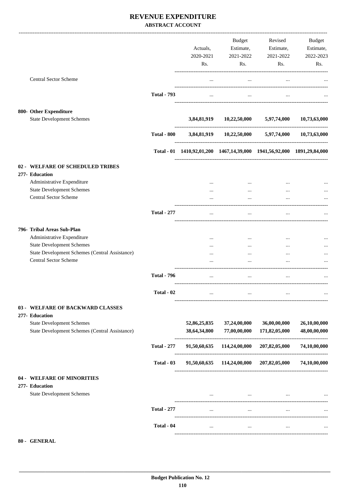#### **REVENUE EXPENDITURE ABSTRACT ACCOUNT**

|                                                                                           |                    |                                                                        | Budget                                            | Revised                       | Budget                       |
|-------------------------------------------------------------------------------------------|--------------------|------------------------------------------------------------------------|---------------------------------------------------|-------------------------------|------------------------------|
|                                                                                           |                    | Actuals,                                                               | Estimate,                                         | Estimate,                     | Estimate,                    |
|                                                                                           |                    | 2020-2021                                                              | 2021-2022                                         | 2021-2022                     | 2022-2023                    |
|                                                                                           |                    | Rs.                                                                    | Rs.                                               | Rs.                           | Rs.                          |
|                                                                                           |                    |                                                                        |                                                   |                               |                              |
| <b>Central Sector Scheme</b>                                                              |                    | $\cdots$                                                               | $\cdots$                                          | $\cdots$                      |                              |
|                                                                                           | <b>Total - 793</b> | $\cdots$                                                               | $\cdots$                                          |                               |                              |
|                                                                                           |                    |                                                                        |                                                   |                               |                              |
| 800- Other Expenditure                                                                    |                    |                                                                        |                                                   |                               |                              |
| <b>State Development Schemes</b>                                                          |                    |                                                                        | 3,84,81,919 10,22,50,000 5,97,74,000 10,73,63,000 |                               |                              |
|                                                                                           | <b>Total - 800</b> |                                                                        | 3,84,81,919 10,22,50,000 5,97,74,000 10,73,63,000 |                               |                              |
|                                                                                           |                    | Total - 01 1410,92,01,200 1467,14,39,000 1941,56,92,000 1891,29,84,000 |                                                   |                               |                              |
| 02 - WELFARE OF SCHEDULED TRIBES                                                          |                    |                                                                        |                                                   |                               |                              |
| 277- Education                                                                            |                    |                                                                        |                                                   |                               |                              |
| Administrative Expenditure                                                                |                    |                                                                        |                                                   |                               |                              |
| <b>State Development Schemes</b>                                                          |                    | $\cdots$                                                               | $\cdots$                                          | $\cdots$                      |                              |
| <b>Central Sector Scheme</b>                                                              |                    |                                                                        |                                                   |                               |                              |
|                                                                                           |                    |                                                                        |                                                   | $\cdots$                      |                              |
|                                                                                           | <b>Total - 277</b> | $\cdots$                                                               | $\cdots$                                          | $\cdots$                      |                              |
| 796- Tribal Areas Sub-Plan                                                                |                    |                                                                        |                                                   |                               |                              |
| Administrative Expenditure                                                                |                    |                                                                        | $\cdots$                                          |                               |                              |
| <b>State Development Schemes</b>                                                          |                    |                                                                        | $\cdots$                                          | $\cdots$                      |                              |
| State Development Schemes (Central Assistance)                                            |                    |                                                                        |                                                   |                               |                              |
| <b>Central Sector Scheme</b>                                                              |                    |                                                                        | $\cdots$                                          | $\cdots$                      |                              |
|                                                                                           |                    |                                                                        | $\ddotsc$                                         | $\ddotsc$                     |                              |
|                                                                                           | <b>Total - 796</b> |                                                                        | $\ddotsc$                                         |                               |                              |
|                                                                                           | Total - 02         | $\cdots$                                                               |                                                   |                               |                              |
| 03 - WELFARE OF BACKWARD CLASSES                                                          |                    |                                                                        |                                                   |                               |                              |
| 277- Education                                                                            |                    |                                                                        |                                                   |                               |                              |
| <b>State Development Schemes</b><br><b>State Development Schemes (Central Assistance)</b> |                    | 52,86,25,835<br>38,64,34,800                                           | 37,24,00,000<br>77,00,00,000                      | 36,00,00,000<br>171,82,05,000 | 26,10,00,000<br>48,00,00,000 |
|                                                                                           | <b>Total - 277</b> |                                                                        | 91,50,60,635 114,24,00,000 207,82,05,000          |                               | 74,10,00,000                 |
|                                                                                           | Total - 03         |                                                                        | 91,50,60,635 114,24,00,000 207,82,05,000          |                               | 74,10,00,000                 |
|                                                                                           |                    |                                                                        |                                                   |                               |                              |
| 04 - WELFARE OF MINORITIES                                                                |                    |                                                                        |                                                   |                               |                              |
| 277- Education                                                                            |                    |                                                                        |                                                   |                               |                              |
| <b>State Development Schemes</b>                                                          |                    |                                                                        | $\cdots$                                          |                               |                              |
|                                                                                           | <b>Total - 277</b> | $\cdots$                                                               | $\cdots$                                          | $\cdots$                      |                              |
|                                                                                           | Total - 04         | $\cdots$                                                               | $\cdots$                                          | $\cdots$                      |                              |
|                                                                                           |                    |                                                                        |                                                   |                               |                              |
| 80 - GENERAL                                                                              |                    |                                                                        |                                                   |                               |                              |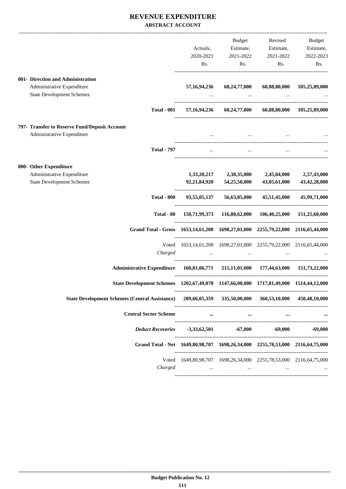#### **REVENUE EXPENDITURE ABSTRACT ACCOUNT**

|                                                                                          |                                                                               | Budget       | Revised                                                                                                         | Budget                     |
|------------------------------------------------------------------------------------------|-------------------------------------------------------------------------------|--------------|-----------------------------------------------------------------------------------------------------------------|----------------------------|
|                                                                                          | Actuals,                                                                      | Estimate,    | Estimate,                                                                                                       | Estimate,                  |
|                                                                                          | 2020-2021                                                                     | 2021-2022    | 2021-2022                                                                                                       | 2022-2023                  |
|                                                                                          | Rs.                                                                           | Rs.          | Rs.                                                                                                             | Rs.                        |
| 001- Direction and Administration                                                        |                                                                               |              |                                                                                                                 |                            |
| Administrative Expenditure                                                               | 57, 16, 94, 236                                                               | 60,24,77,000 |                                                                                                                 | 60,88,80,000 105,25,89,000 |
| <b>State Development Schemes</b>                                                         |                                                                               | $\cdots$     |                                                                                                                 |                            |
| <b>Total - 001</b>                                                                       |                                                                               |              | 57,16,94,236 60,24,77,000 60,88,80,000 105,25,89,000                                                            |                            |
| 797- Transfer to Reserve Fund/Deposit Account                                            |                                                                               |              |                                                                                                                 |                            |
| Administrative Expenditure                                                               |                                                                               |              | the contract of the contract of the contract of                                                                 |                            |
| <b>Total - 797</b>                                                                       |                                                                               |              | and the state of the state of the state of the state of the state of the                                        |                            |
| 800- Other Expenditure                                                                   |                                                                               |              |                                                                                                                 |                            |
| Administrative Expenditure                                                               |                                                                               |              | 1,33,20,217 2,38,35,000 2,45,84,000 2,57,43,000                                                                 |                            |
| <b>State Development Schemes</b>                                                         |                                                                               |              | 92,21,84,920 54,25,50,000 43,05,61,000                                                                          | 43, 42, 28, 000            |
| <b>Total - 800</b>                                                                       | 93,55,05,137                                                                  |              | 56,63,85,000 45,51,45,000 45,99,71,000                                                                          |                            |
|                                                                                          | Total - 80 150,71,99,373 116,88,62,000 106,40,25,000 151,25,60,000            |              |                                                                                                                 |                            |
| Grand Total - Gross 1653,14,61,208 1698,27,01,000 2255,79,22,000 2116,65,44,000          |                                                                               |              |                                                                                                                 |                            |
|                                                                                          | Voted 1653, 14, 61, 208 1698, 27, 01, 000 2255, 79, 22, 000 2116, 65, 44, 000 |              |                                                                                                                 |                            |
| Charged                                                                                  |                                                                               |              | المناول المناول المناول المناول المناول المناول المناول المناول المناول المناول المناول المناول المناول المناول |                            |
| Administrative Expenditure 160,81,06,771 215,11,01,000 177,44,63,000 151,73,22,000       |                                                                               |              |                                                                                                                 |                            |
| State Development Schemes 1202,67,49,078 1147,66,00,000 1717,81,49,000 1514,44,12,000    |                                                                               |              |                                                                                                                 |                            |
| State Development Schemes (Central Assistance) 289,66,05,359 335,50,00,000 360,53,10,000 |                                                                               |              |                                                                                                                 | 450,48,10,000              |
| <b>Central Sector Scheme</b>                                                             | $\cdots$                                                                      | $\cdots$     | $\cdots$                                                                                                        |                            |
| Deduct Recoveries 3,33,62,501 -67,000                                                    |                                                                               |              | $-69,000$                                                                                                       | $-69,000$                  |
| Grand Total - Net 1649,80,98,707 1698,26,34,000 2255,78,53,000 2116,64,75,000            |                                                                               |              |                                                                                                                 |                            |
|                                                                                          | Voted 1649,80,98,707 1698,26,34,000 2255,78,53,000 2116,64,75,000             |              |                                                                                                                 |                            |
| Charged                                                                                  | $\cdots$                                                                      | $\cdots$     |                                                                                                                 |                            |
|                                                                                          |                                                                               |              |                                                                                                                 |                            |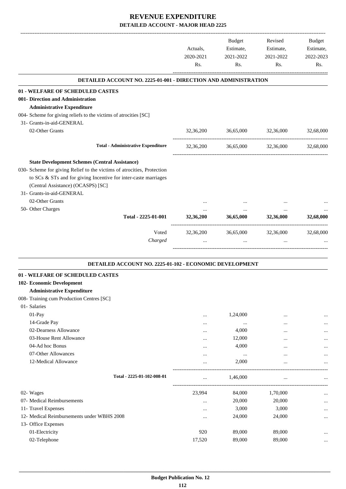|                                                                        | Actuals,<br>2020-2021<br>Rs. | Budget<br>Estimate,<br>2021-2022<br>Rs. | Revised<br>Estimate,<br>2021-2022<br>Rs. | <b>Budget</b><br>Estimate,<br>2022-2023<br>Rs. |
|------------------------------------------------------------------------|------------------------------|-----------------------------------------|------------------------------------------|------------------------------------------------|
| <b>DETAILED ACCOUNT NO. 2225-01-001 - DIRECTION AND ADMINISTRATION</b> |                              |                                         |                                          |                                                |
| 01 - WELFARE OF SCHEDULED CASTES                                       |                              |                                         |                                          |                                                |
| 001- Direction and Administration                                      |                              |                                         |                                          |                                                |
| <b>Administrative Expenditure</b>                                      |                              |                                         |                                          |                                                |
| 004- Scheme for giving reliefs to the victims of atrocities [SC]       |                              |                                         |                                          |                                                |
| 31- Grants-in-aid-GENERAL                                              |                              |                                         |                                          |                                                |
| 02-Other Grants                                                        | 32,36,200                    | 36,65,000                               | 32,36,000                                | 32,68,000                                      |
|                                                                        |                              |                                         |                                          |                                                |
| <b>Total - Administrative Expenditure</b>                              | 32,36,200                    | 36,65,000                               | 32,36,000                                | 32,68,000                                      |
| <b>State Development Schemes (Central Assistance)</b>                  |                              |                                         |                                          |                                                |
| 030- Scheme for giving Relief to the victims of atrocities, Protection |                              |                                         |                                          |                                                |
| to SCs & STs and for giving Incentive for inter-caste marriages        |                              |                                         |                                          |                                                |
| (Central Assistance) (OCASPS) [SC]                                     |                              |                                         |                                          |                                                |
| 31- Grants-in-aid-GENERAL                                              |                              |                                         |                                          |                                                |
| 02-Other Grants                                                        |                              |                                         |                                          |                                                |
| 50- Other Charges                                                      |                              | $\ldots$                                | $\cdots$                                 |                                                |
| Total - 2225-01-001                                                    | 32,36,200                    | 36,65,000                               | 32,36,000                                | 32,68,000                                      |
| Voted                                                                  | 32,36,200                    | 36,65,000                               | 32,36,000                                | 32,68,000                                      |
| Charged                                                                |                              | $\cdots$                                | $\cdots$                                 |                                                |
| DETAILED ACCOUNT NO. 2225-01-102 - ECONOMIC DEVELOPMENT                |                              |                                         |                                          |                                                |
| 01 - WELFARE OF SCHEDULED CASTES                                       |                              |                                         |                                          |                                                |
| 102- Economic Development                                              |                              |                                         |                                          |                                                |
| <b>Administrative Expenditure</b>                                      |                              |                                         |                                          |                                                |
| 008- Training cum Production Centres [SC]                              |                              |                                         |                                          |                                                |
| 01- Salaries                                                           |                              |                                         |                                          |                                                |
| $01-Pay$                                                               |                              | 1,24,000                                |                                          |                                                |
| 14-Grade Pay                                                           | <br>                         |                                         | <br>                                     |                                                |
| 02-Dearness Allowance                                                  |                              | 4,000                                   | $\cdots$                                 |                                                |
| 03-House Rent Allowance                                                | $\cdots$                     | 12,000                                  |                                          |                                                |
| 04-Ad hoc Bonus                                                        |                              | 4,000                                   |                                          |                                                |
| 07-Other Allowances                                                    | $\cdots$                     | $\cdots$                                |                                          |                                                |
| 12-Medical Allowance                                                   | $\cdots$                     | 2,000                                   | $\ddotsc$                                |                                                |
|                                                                        |                              |                                         |                                          |                                                |
| Total - 2225-01-102-008-01                                             |                              | 1,46,000                                | $\ddotsc$                                |                                                |
| 02- Wages                                                              | 23,994                       | 84,000                                  | 1,70,000                                 |                                                |
| 07- Medical Reimbursements                                             | $\cdots$                     | 20,000                                  | 20,000                                   |                                                |
| 11- Travel Expenses                                                    |                              | 3,000                                   | 3,000                                    | $\cdots$                                       |
| 12- Medical Reimbursements under WBHS 2008                             |                              | 24,000                                  | 24,000                                   |                                                |
| 13- Office Expenses                                                    |                              |                                         |                                          |                                                |
| 01-Electricity                                                         | 920                          | 89,000                                  | 89,000                                   |                                                |
| 02-Telephone                                                           | 17,520                       | 89,000                                  | 89,000                                   |                                                |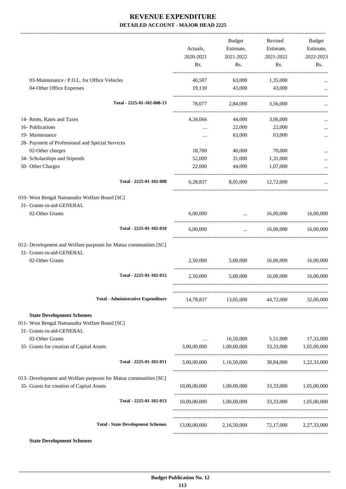|                                                                                                                  | Actuals,<br>2020-2021<br>Rs. | Budget<br>Estimate,<br>2021-2022<br>Rs.                     | Revised<br>Estimate,<br>2021-2022<br>Rs. | Budget<br>Estimate,<br>2022-2023<br>Rs. |
|------------------------------------------------------------------------------------------------------------------|------------------------------|-------------------------------------------------------------|------------------------------------------|-----------------------------------------|
| 03-Maintenance / P.O.L. for Office Vehicles                                                                      | 40,507                       | 63,000                                                      | 1,35,000                                 |                                         |
| 04-Other Office Expenses                                                                                         | 19,130                       | 43,000                                                      | 43,000                                   |                                         |
| Total - 2225-01-102-008-13                                                                                       | 78,077                       | 2,84,000                                                    | 3,56,000                                 |                                         |
| 14- Rents, Rates and Taxes                                                                                       | 4,34,066                     | 44,000                                                      | 3,06,000                                 |                                         |
| 16- Publications                                                                                                 | $\cdots$                     | 22,000                                                      | 22,000                                   |                                         |
| 19- Maintenance                                                                                                  |                              | 63,000                                                      | 63,000                                   |                                         |
| 28- Payment of Professional and Special Services                                                                 |                              |                                                             |                                          |                                         |
| 02-Other charges                                                                                                 | 18,700                       | 40,000                                                      | 70,000                                   |                                         |
| 34- Scholarships and Stipends                                                                                    | 52,000                       | 31,000                                                      | 1,31,000                                 |                                         |
| 50- Other Charges                                                                                                | 22,000                       | 44,000                                                      | 1.07.000                                 |                                         |
| Total - 2225-01-102-008                                                                                          | 6,28,837                     | 8,05,000 12,72,000                                          |                                          |                                         |
| 010- West Bengal Namasudra Welfare Board [SC]                                                                    |                              |                                                             |                                          |                                         |
| 31- Grants-in-aid-GENERAL                                                                                        |                              |                                                             |                                          |                                         |
| 02-Other Grants                                                                                                  | 6,00,000                     | $\ldots$ 16,00,000<br>------------------------------------- |                                          | 16,00,000                               |
| Total - 2225-01-102-010                                                                                          | 6.00.000                     | $\mathbf{r}$ and $\mathbf{r}$ and $\mathbf{r}$              | 16.00.000                                | 16,00,000                               |
| 012- Development and Welfare purposes for Matua communities [SC]<br>31- Grants-in-aid-GENERAL<br>02-Other Grants | 2,50,000                     |                                                             | 5,00,000 16,00,000                       | 16,00,000                               |
|                                                                                                                  |                              |                                                             |                                          |                                         |
| Total - 2225-01-102-012                                                                                          | 2,50,000                     |                                                             | 5,00,000 16,00,000                       | 16,00,000                               |
| <b>Total - Administrative Expenditure</b>                                                                        | 14,78,837                    | 13,05,000                                                   | 44,72,000                                | 32,00,000                               |
| <b>State Development Schemes</b><br>011- West Bengal Namasudra Welfare Board [SC]<br>31- Grants-in-aid-GENERAL   |                              |                                                             |                                          |                                         |
| 02-Other Grants<br>35- Grants for creation of Capital Assets                                                     | 3,00,00,000                  | 1,00,00,000 33,33,000                                       | 16,50,000 5,51,000                       | 17,33,000<br>1,05,00,000                |
|                                                                                                                  |                              |                                                             |                                          |                                         |
| Total - 2225-01-102-011                                                                                          |                              | 3,00,00,000 1,16,50,000 38,84,000 1,22,33,000               |                                          |                                         |
| 013- Development and Welfare purposes for Matua communities [SC]<br>35- Grants for creation of Capital Assets    |                              | $10,00,00,000$ $1,00,00,000$ $33,33,000$ $1,05,00,000$      |                                          |                                         |
| Total - 2225-01-102-013                                                                                          |                              | $10,00,00,000$ $1,00,00,000$ $33,33,000$ $1,05,00,000$      |                                          |                                         |
| <b>Total - State Development Schemes</b>                                                                         |                              | 13,00,00,000 2,16,50,000 72,17,000 2,27,33,000              |                                          |                                         |

**State Development Schemes**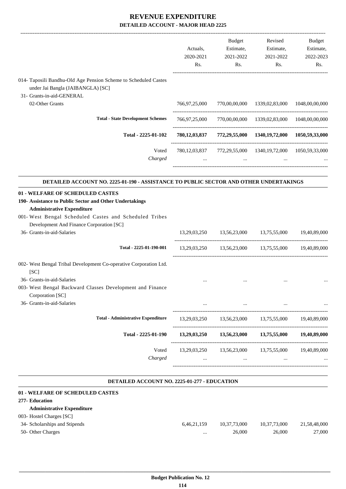|                                                                                                                                                                                                                                                                      | Actuals,<br>2020-2021<br>Rs. | <b>Budget</b><br>Estimate,<br>2021-2022<br>Rs. | Revised<br>Estimate,<br>2021-2022<br>Rs.                                                                | Budget<br>Estimate,<br>2022-2023<br>Rs. |
|----------------------------------------------------------------------------------------------------------------------------------------------------------------------------------------------------------------------------------------------------------------------|------------------------------|------------------------------------------------|---------------------------------------------------------------------------------------------------------|-----------------------------------------|
| 014- Taposili Bandhu-Old Age Pension Scheme to Scheduled Castes<br>under Jai Bangla (JAIBANGLA) [SC]                                                                                                                                                                 |                              |                                                |                                                                                                         |                                         |
| 31- Grants-in-aid-GENERAL<br>02-Other Grants                                                                                                                                                                                                                         | 766,97,25,000                |                                                | 770,00,00,000 1339,02,83,000                                                                            | 1048,00,00,000                          |
| <b>Total - State Development Schemes</b>                                                                                                                                                                                                                             | 766,97,25,000                |                                                | 770,00,00,000 1339,02,83,000 1048,00,00,000                                                             |                                         |
| Total - 2225-01-102                                                                                                                                                                                                                                                  |                              |                                                | 780,12,03,837 772,29,55,000 1340,19,72,000 1050,59,33,000                                               |                                         |
| Voted<br>Charged                                                                                                                                                                                                                                                     | $\cdots$                     |                                                | 780,12,03,837 772,29,55,000 1340,19,72,000 1050,59,33,000<br><b>The Committee Committee</b><br>$\cdots$ |                                         |
| DETAILED ACCOUNT NO. 2225-01-190 - ASSISTANCE TO PUBLIC SECTOR AND OTHER UNDERTAKINGS                                                                                                                                                                                |                              |                                                |                                                                                                         |                                         |
| 01 - WELFARE OF SCHEDULED CASTES<br>190- Assistance to Public Sector and Other Undertakings<br><b>Administrative Expenditure</b><br>001- West Bengal Scheduled Castes and Scheduled Tribes<br>Development And Finance Corporation [SC]<br>36- Grants-in-aid-Salaries |                              |                                                | 13,29,03,250 13,56,23,000 13,75,55,000                                                                  | 19,40,89,000                            |
| Total - 2225-01-190-001                                                                                                                                                                                                                                              |                              |                                                | 13,29,03,250 13,56,23,000 13,75,55,000 19,40,89,000                                                     |                                         |
| 002- West Bengal Tribal Development Co-operative Corporation Ltd.<br>[SC]<br>36- Grants-in-aid-Salaries<br>003- West Bengal Backward Classes Development and Finance                                                                                                 | $\cdots$                     |                                                |                                                                                                         |                                         |
| Corporation [SC]<br>36- Grants-in-aid-Salaries                                                                                                                                                                                                                       |                              |                                                |                                                                                                         |                                         |
| <b>Total - Administrative Expenditure</b>                                                                                                                                                                                                                            | 13,29,03,250                 | 13,56,23,000                                   | 13,75,55,000                                                                                            | 19,40,89,000                            |
| Total - 2225-01-190                                                                                                                                                                                                                                                  | 13,29,03,250                 | 13,56,23,000                                   | 13,75,55,000                                                                                            | 19,40,89,000                            |
|                                                                                                                                                                                                                                                                      | Voted<br>13,29,03,250        | 13,56,23,000                                   | 13,75,55,000                                                                                            | 19,40,89,000                            |

#### **DETAILED ACCOUNT NO. 2225-01-277 - EDUCATION**

.

| 01 - WELFARE OF SCHEDULED CASTES  |             |              |              |              |
|-----------------------------------|-------------|--------------|--------------|--------------|
| 277- Education                    |             |              |              |              |
| <b>Administrative Expenditure</b> |             |              |              |              |
| 003- Hostel Charges [SC]          |             |              |              |              |
| 34- Scholarships and Stipends     | 6,46,21,159 | 10,37,73,000 | 10,37,73,000 | 21,58,48,000 |
| 50- Other Charges                 | $\cdots$    | 26,000       | 26,000       | 27,000       |
|                                   |             |              |              |              |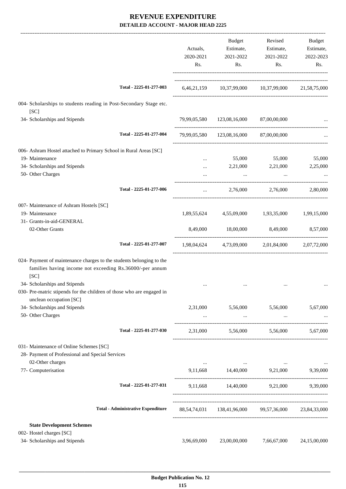|                                                                                                                                          |                                           | Actuals,<br>2020-2021<br>Rs. | Budget<br>Estimate,<br>2021-2022<br>Rs.              | Revised<br>Estimate,<br>2021-2022<br>Rs.        | Budget<br>Estimate,<br>2022-2023<br>Rs. |
|------------------------------------------------------------------------------------------------------------------------------------------|-------------------------------------------|------------------------------|------------------------------------------------------|-------------------------------------------------|-----------------------------------------|
|                                                                                                                                          | Total - 2225-01-277-003                   |                              | 6,46,21,159 10,37,99,000 10,37,99,000 21,58,75,000   |                                                 |                                         |
| 004- Scholarships to students reading in Post-Secondary Stage etc.<br>[SC]                                                               |                                           |                              |                                                      |                                                 |                                         |
| 34- Scholarships and Stipends                                                                                                            |                                           |                              | 79,99,05,580  123,08,16,000  87,00,00,000            |                                                 |                                         |
|                                                                                                                                          | Total - 2225-01-277-004                   |                              | 79,99,05,580 123,08,16,000 87,00,00,000              |                                                 |                                         |
| 006- Ashram Hostel attached to Primary School in Rural Areas [SC]                                                                        |                                           |                              |                                                      |                                                 |                                         |
| 19- Maintenance                                                                                                                          |                                           |                              |                                                      | 55,000 55,000                                   | 55,000                                  |
| 34- Scholarships and Stipends                                                                                                            |                                           |                              | 2,21,000                                             | 2,21,000                                        | 2,25,000                                |
| 50- Other Charges                                                                                                                        |                                           |                              | $\cdots$                                             |                                                 |                                         |
|                                                                                                                                          | Total - 2225-01-277-006                   | $\cdots$                     |                                                      | 2,76,000 2,76,000                               | 2,80,000                                |
| 007- Maintenance of Ashram Hostels [SC]                                                                                                  |                                           |                              |                                                      |                                                 |                                         |
| 19- Maintenance                                                                                                                          |                                           | 1,89,55,624                  | 4,55,09,000                                          | 1,93,35,000                                     | 1,99,15,000                             |
| 31- Grants-in-aid-GENERAL                                                                                                                |                                           |                              |                                                      |                                                 |                                         |
| 02-Other Grants                                                                                                                          |                                           | 8,49,000                     | 18,00,000                                            | 8,49,000                                        | 8,57,000                                |
|                                                                                                                                          | Total - 2225-01-277-007                   |                              | 1,98,04,624 4,73,09,000 2,01,84,000 2,07,72,000      |                                                 |                                         |
| 024- Payment of maintenance charges to the students belonging to the<br>families having income not exceeding Rs.36000/-per annum<br>[SC] |                                           |                              |                                                      |                                                 |                                         |
| 34- Scholarships and Stipends<br>030- Pre-matric stipends for the children of those who are engaged in                                   |                                           |                              |                                                      |                                                 |                                         |
| unclean occupation [SC]                                                                                                                  |                                           |                              |                                                      |                                                 |                                         |
| 34- Scholarships and Stipends                                                                                                            |                                           | 2,31,000                     | 5,56,000 5,56,000                                    |                                                 | 5,67,000                                |
| 50- Other Charges                                                                                                                        |                                           | $\cdots$                     |                                                      | the contract of the contract of the contract of |                                         |
|                                                                                                                                          | Total - 2225-01-277-030                   |                              | 2,31,000 5,56,000 5,56,000 5,67,000                  |                                                 |                                         |
| 031- Maintenance of Online Schemes [SC]<br>28- Payment of Professional and Special Services                                              |                                           |                              |                                                      |                                                 |                                         |
| 02-Other charges<br>77- Computerisation                                                                                                  |                                           |                              | 9,11,668 14,40,000 9,21,000 9,39,000                 | the contract of the contract of the contract of | $\sim$ $\sim$                           |
|                                                                                                                                          | Total - 2225-01-277-031                   |                              | 9,11,668 14,40,000 9,21,000 9,39,000                 |                                                 |                                         |
|                                                                                                                                          |                                           |                              |                                                      |                                                 |                                         |
|                                                                                                                                          | <b>Total - Administrative Expenditure</b> |                              | 88,54,74,031 138,41,96,000 99,57,36,000 23,84,33,000 |                                                 |                                         |
| <b>State Development Schemes</b>                                                                                                         |                                           |                              |                                                      |                                                 |                                         |
| 002- Hostel charges [SC]                                                                                                                 |                                           |                              |                                                      |                                                 |                                         |
| 34- Scholarships and Stipends                                                                                                            |                                           | 3,96,69,000                  | 23,00,00,000                                         | 7,66,67,000                                     | 24,15,00,000                            |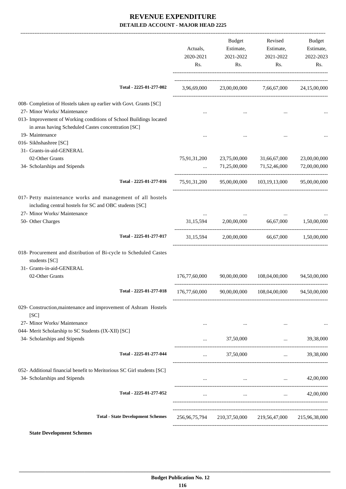|                                                                                                                                                                                                                                 | Actuals,<br>2020-2021<br>Rs. | Budget<br>Estimate,<br>2021-2022<br>Rs. | Revised<br>Estimate,<br>2021-2022<br>Rs.              | <b>Budget</b><br>Estimate,<br>2022-2023<br>Rs.              |
|---------------------------------------------------------------------------------------------------------------------------------------------------------------------------------------------------------------------------------|------------------------------|-----------------------------------------|-------------------------------------------------------|-------------------------------------------------------------|
| Total - 2225-01-277-002                                                                                                                                                                                                         |                              |                                         | 3,96,69,000 23,00,00,000 7,66,67,000 24,15,00,000     |                                                             |
| 008- Completion of Hostels taken up earlier with Govt. Grants [SC]<br>27- Minor Works/ Maintenance<br>013- Improvement of Working conditions of School Buildings located<br>in areas having Scheduled Castes concentration [SC] |                              |                                         |                                                       |                                                             |
| 19- Maintenance<br>016- Sikhshashree [SC]<br>31- Grants-in-aid-GENERAL                                                                                                                                                          |                              |                                         |                                                       |                                                             |
| 02-Other Grants<br>34- Scholarships and Stipends                                                                                                                                                                                | 75,91,31,200<br>$\cdots$     | 23,75,00,000<br>71,25,00,000            | 31,66,67,000<br>71,52,46,000                          | 23,00,00,000<br>72,00,00,000                                |
| Total - 2225-01-277-016                                                                                                                                                                                                         |                              |                                         | 75,91,31,200 95,00,00,000 103,19,13,000               | 95,00,00,000                                                |
| 017- Petty maintenance works and management of all hostels<br>including central hostels for SC and OBC students [SC]<br>27- Minor Works/ Maintenance                                                                            |                              |                                         |                                                       |                                                             |
| 50- Other Charges                                                                                                                                                                                                               | 31,15,594                    | 2,00,00,000                             | 66,67,000                                             | 1,50,00,000                                                 |
| Total - 2225-01-277-017                                                                                                                                                                                                         |                              |                                         | $31,15,594$ $2,00,00,000$ $66,67,000$ $1,50,00,000$   |                                                             |
| 018- Procurement and distribution of Bi-cycle to Scheduled Castes<br>students [SC]<br>31- Grants-in-aid-GENERAL                                                                                                                 |                              |                                         |                                                       |                                                             |
| 02-Other Grants                                                                                                                                                                                                                 | 176,77,60,000                | 90.00.00.000                            | 108,04,00,000                                         | 94,50,00,000                                                |
| Total - 2225-01-277-018                                                                                                                                                                                                         |                              |                                         | 176,77,60,000 90,00,00,000 108,04,00,000 94,50,00,000 |                                                             |
| 029- Construction, maintenance and improvement of Ashram Hostels<br>[SC]                                                                                                                                                        |                              |                                         |                                                       |                                                             |
| 27- Minor Works/ Maintenance<br>044- Merit Scholarship to SC Students (IX-XII) [SC]                                                                                                                                             | $\cdots$                     |                                         |                                                       |                                                             |
| 34- Scholarships and Stipends                                                                                                                                                                                                   |                              | 37,50,000                               | $\cdots$                                              | 39,38,000                                                   |
| Total - 2225-01-277-044                                                                                                                                                                                                         | $\cdots$                     | 37,50,000                               | $\cdots$                                              | 39,38,000                                                   |
| 052- Additional financial benefit to Meritorious SC Girl students [SC]<br>34- Scholarships and Stipends                                                                                                                         |                              |                                         | the company's company's company's com-                | 42,00,000                                                   |
| Total - 2225-01-277-052                                                                                                                                                                                                         |                              | $\cdots$                                |                                                       | 42,00,000<br>$\mathbf{r}$ and $\mathbf{r}$ and $\mathbf{r}$ |
| <b>Total - State Development Schemes</b>                                                                                                                                                                                        | 256,96,75,794                | 210,37,50,000                           | 219,56,47,000                                         | 215,96,38,000                                               |

**State Development Schemes**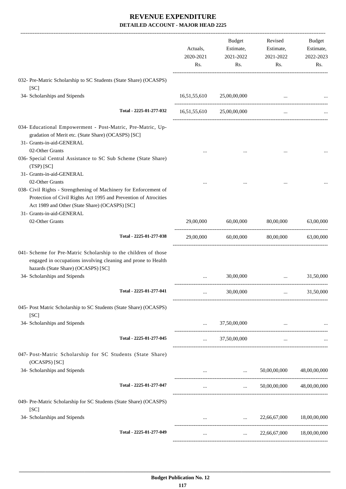|                                                                                                                                                                                                            | Actuals,<br>2020-2021<br>Rs.  | <b>Budget</b><br>Estimate,<br>2021-2022<br>Rs. | Revised<br>Estimate,<br>2021-2022<br>Rs. | Budget<br>Estimate,<br>2022-2023<br>Rs. |
|------------------------------------------------------------------------------------------------------------------------------------------------------------------------------------------------------------|-------------------------------|------------------------------------------------|------------------------------------------|-----------------------------------------|
| 032- Pre-Matric Scholarship to SC Students (State Share) (OCASPS)<br>[SC]                                                                                                                                  |                               |                                                |                                          |                                         |
| 34- Scholarships and Stipends                                                                                                                                                                              | 16,51,55,610                  | 25,00,00,000                                   |                                          |                                         |
| Total - 2225-01-277-032                                                                                                                                                                                    |                               | 16,51,55,610 25,00,00,000                      | $\cdots$                                 |                                         |
| 034- Educational Empowerment - Post-Matric, Pre-Matric, Up-<br>gradation of Merit etc. (State Share) (OCASPS) [SC]<br>31- Grants-in-aid-GENERAL                                                            |                               |                                                |                                          |                                         |
| 02-Other Grants<br>036- Special Central Assistance to SC Sub Scheme (State Share)<br>$(TSP)$ $[SC]$                                                                                                        |                               |                                                |                                          |                                         |
| 31- Grants-in-aid-GENERAL                                                                                                                                                                                  |                               |                                                |                                          |                                         |
| 02-Other Grants<br>038- Civil Rights - Strengthening of Machinery for Enforcement of<br>Protection of Civil Rights Act 1995 and Prevention of Atrocities<br>Act 1989 and Other (State Share) (OCASPS) [SC] |                               |                                                |                                          |                                         |
| 31- Grants-in-aid-GENERAL<br>02-Other Grants                                                                                                                                                               | 29,00,000                     | 60,00,000                                      | 80,00,000                                | 63,00,000                               |
|                                                                                                                                                                                                            |                               |                                                |                                          |                                         |
| Total - 2225-01-277-038                                                                                                                                                                                    | 29,00,000                     | 60,00,000                                      | 80,00,000                                | 63,00,000                               |
| 041- Scheme for Pre-Matric Scholarship to the children of those<br>engaged in occupations involving cleaning and prone to Health<br>hazards (State Share) (OCASPS) [SC]                                    |                               |                                                |                                          |                                         |
| 34- Scholarships and Stipends                                                                                                                                                                              |                               | 30,00,000                                      | $\cdots$                                 | 31,50,000                               |
| Total - 2225-01-277-041                                                                                                                                                                                    |                               | 30,00,000                                      |                                          | 31,50,000                               |
| 045- Post Matric Scholarship to SC Students (State Share) (OCASPS)<br>[SC]                                                                                                                                 |                               |                                                |                                          |                                         |
| 34- Scholarships and Stipends                                                                                                                                                                              | $\mathcal{L}_{\mathcal{L}}$ . | 37,50,00,000                                   |                                          |                                         |
| Total - 2225-01-277-045                                                                                                                                                                                    | $\mathbf{1.11} \pm 0.000$     | 37,50,00,000                                   | $\cdots$                                 |                                         |
| 047- Post-Matric Scholarship for SC Students (State Share)<br>(OCASPS) [SC]                                                                                                                                |                               |                                                |                                          |                                         |
| 34- Scholarships and Stipends                                                                                                                                                                              |                               |                                                | $\ldots$ 50,00,00,000 48,00,00,000       |                                         |
| Total - 2225-01-277-047                                                                                                                                                                                    |                               |                                                | $\ldots$ 50,00,00,000 48,00,00,000       |                                         |
| 049- Pre-Matric Scholarship for SC Students (State Share) (OCASPS)<br>[SC]                                                                                                                                 |                               |                                                |                                          |                                         |
| 34- Scholarships and Stipends                                                                                                                                                                              | $\cdots$                      | <b>Asset Control</b>                           | 22,66,67,000                             | 18,00,00,000                            |
| Total - 2225-01-277-049                                                                                                                                                                                    |                               | $\cdots$                                       | 22,66,67,000 18,00,00,000                |                                         |
|                                                                                                                                                                                                            |                               |                                                |                                          |                                         |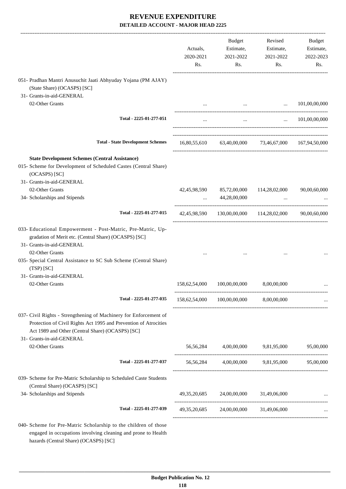|                                                                                                                                                                                                                        | Actuals,<br>2020-2021<br>Rs. | Budget<br>Estimate,<br>2021-2022<br>Rs.      | Revised<br>Estimate,<br>2021-2022<br>Rs.                      | Budget<br>Estimate,<br>2022-2023<br>Rs. |
|------------------------------------------------------------------------------------------------------------------------------------------------------------------------------------------------------------------------|------------------------------|----------------------------------------------|---------------------------------------------------------------|-----------------------------------------|
| 051- Pradhan Mantri Anusuchit Jaati Abhyuday Yojana (PM AJAY)<br>(State Share) (OCASPS) [SC]<br>31- Grants-in-aid-GENERAL                                                                                              |                              |                                              |                                                               |                                         |
| 02-Other Grants                                                                                                                                                                                                        |                              |                                              | <b>Contract Contract</b><br>and the state of the state of the | 101,00,00,000                           |
| Total - 2225-01-277-051                                                                                                                                                                                                |                              |                                              | the contract of the contract of the contract of               | $\ldots$ 101,00,00,000                  |
| <b>Total - State Development Schemes</b>                                                                                                                                                                               |                              |                                              | 16,80,55,610 63,40,00,000 73,46,67,000 167,94,50,000          |                                         |
| <b>State Development Schemes (Central Assistance)</b><br>015- Scheme for Development of Scheduled Castes (Central Share)<br>(OCASPS) [SC]<br>31- Grants-in-aid-GENERAL                                                 |                              |                                              |                                                               |                                         |
| 02-Other Grants                                                                                                                                                                                                        | 42,45,98,590                 | 85,72,00,000                                 | 114,28,02,000                                                 | 90,00,60,000                            |
| 34- Scholarships and Stipends                                                                                                                                                                                          |                              | 44,28,00,000                                 | $\cdots$                                                      |                                         |
| Total - 2225-01-277-015                                                                                                                                                                                                |                              |                                              | 42,45,98,590 130,00,00,000 114,28,02,000 90,00,60,000         |                                         |
| 033- Educational Empowerment - Post-Matric, Pre-Matric, Up-<br>gradation of Merit etc. (Central Share) (OCASPS) [SC]<br>31- Grants-in-aid-GENERAL                                                                      |                              |                                              |                                                               |                                         |
| 02-Other Grants<br>035- Special Central Assistance to SC Sub Scheme (Central Share)<br>$(TSP)$ $[SC]$                                                                                                                  |                              |                                              |                                                               |                                         |
| 31- Grants-in-aid-GENERAL<br>02-Other Grants                                                                                                                                                                           |                              |                                              |                                                               |                                         |
|                                                                                                                                                                                                                        | 158,62,54,000                | 100,00,00,000                                | 8,00,00,000                                                   |                                         |
| Total - 2225-01-277-035                                                                                                                                                                                                |                              | 158,62,54,000 100,00,00,000                  | 8,00,00,000                                                   |                                         |
| 037- Civil Rights - Strengthening of Machinery for Enforcement of<br>Protection of Civil Rights Act 1995 and Prevention of Atrocities<br>Act 1989 and Other (Central Share) (OCASPS) [SC]<br>31- Grants-in-aid-GENERAL |                              |                                              |                                                               |                                         |
| 02-Other Grants                                                                                                                                                                                                        |                              |                                              | 56,56,284 4,00,00,000 9,81,95,000 95,00,000                   |                                         |
| Total - 2225-01-277-037                                                                                                                                                                                                |                              |                                              | 56,56,284 4,00,00,000 9,81,95,000 95,00,000                   |                                         |
| 039- Scheme for Pre-Matric Scholarship to Scheduled Caste Students<br>(Central Share) (OCASPS) [SC]                                                                                                                    |                              |                                              |                                                               |                                         |
| 34- Scholarships and Stipends                                                                                                                                                                                          |                              | $49,35,20,685$ $24,00,00,000$ $31,49,06,000$ |                                                               |                                         |
| Total - 2225-01-277-039                                                                                                                                                                                                |                              |                                              | 49,35,20,685 24,00,00,000 31,49,06,000                        |                                         |
| 040- Scheme for Pre-Matric Scholarship to the children of those<br>engaged in occupations involving cleaning and prone to Health<br>hazards (Central Share) (OCASPS) [SC]                                              |                              |                                              |                                                               |                                         |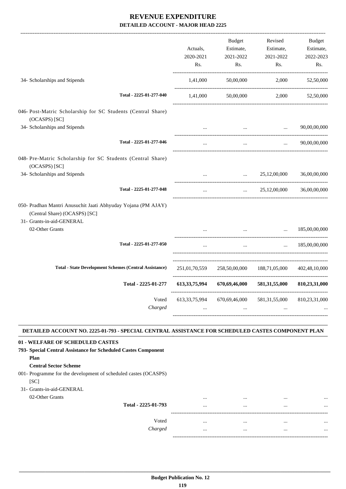|                                                                                                                                                                                                                                                                                                                    | Actuals,<br>2020-2021<br>Rs. | Budget<br>Estimate,<br>2021-2022<br>Rs.    | Revised<br>Estimate,<br>2021-2022<br>Rs.  | Budget<br>Estimate,<br>2022-2023<br>Rs. |
|--------------------------------------------------------------------------------------------------------------------------------------------------------------------------------------------------------------------------------------------------------------------------------------------------------------------|------------------------------|--------------------------------------------|-------------------------------------------|-----------------------------------------|
| 34- Scholarships and Stipends                                                                                                                                                                                                                                                                                      | 1,41,000                     | 50,00,000                                  | 2,000                                     | 52,50,000                               |
| Total - 2225-01-277-040                                                                                                                                                                                                                                                                                            | 1,41,000                     | 50,00,000                                  | 2,000                                     | 52,50,000                               |
| 046- Post-Matric Scholarship for SC Students (Central Share)<br>(OCASPS) [SC]                                                                                                                                                                                                                                      |                              |                                            |                                           |                                         |
| 34- Scholarships and Stipends                                                                                                                                                                                                                                                                                      |                              | $\cdots$                                   | $\cdots$                                  | 90,00,00,000                            |
| Total - 2225-01-277-046                                                                                                                                                                                                                                                                                            | $\cdots$                     | $\ldots$                                   | $\cdots$                                  | 90,00,00,000                            |
| 048- Pre-Matric Scholarship for SC Students (Central Share)<br>(OCASPS) [SC]                                                                                                                                                                                                                                       |                              |                                            |                                           |                                         |
| 34- Scholarships and Stipends                                                                                                                                                                                                                                                                                      |                              |                                            | $\ldots$ 25,12,00,000                     | 36,00,00,000                            |
| Total - 2225-01-277-048                                                                                                                                                                                                                                                                                            | $\cdots$                     |                                            | $\ldots$ 25,12,00,000                     | 36,00,00,000                            |
| 050- Pradhan Mantri Anusuchit Jaati Abhyuday Yojana (PM AJAY)<br>(Central Share) (OCASPS) [SC]<br>31- Grants-in-aid-GENERAL                                                                                                                                                                                        |                              |                                            |                                           |                                         |
| 02-Other Grants                                                                                                                                                                                                                                                                                                    |                              | $\mathbf{r}$ , $\mathbf{r}$ , $\mathbf{r}$ | $\cdots$                                  | 185,00,00,000                           |
| Total - 2225-01-277-050                                                                                                                                                                                                                                                                                            |                              | $\cdots$                                   |                                           | $\ldots$ 185,00,00,000                  |
| <b>Total - State Development Schemes (Central Assistance)</b>                                                                                                                                                                                                                                                      |                              |                                            | 251,01,70,559 258,50,00,000 188,71,05,000 | 402,48,10,000                           |
| Total - 2225-01-277                                                                                                                                                                                                                                                                                                | 613, 33, 75, 994             | 670,69,46,000                              |                                           | 581,31,55,000 810,23,31,000             |
| Voted<br>Charged                                                                                                                                                                                                                                                                                                   | 613, 33, 75, 994             | 670,69,46,000<br>$\cdots$                  | 581, 31, 55, 000                          | 810,23,31,000                           |
| DETAILED ACCOUNT NO. 2225-01-793 - SPECIAL CENTRAL ASSISTANCE FOR SCHEDULED CASTES COMPONENT PLAN<br>01 - WELFARE OF SCHEDULED CASTES<br>793- Special Central Assistance for Scheduled Castes Component<br>Plan<br><b>Central Sector Scheme</b><br>001- Programme for the development of scheduled castes (OCASPS) |                              |                                            |                                           |                                         |

#### 31- Grants-in-aid-GENERAL

| 02-Other Grants | Total - 2225-01-793 | <br><br><br> | <br><br><br> |
|-----------------|---------------------|--------------|--------------|
|                 | Voted<br>Charged    | <br><br><br> | <br><br><br> |
|                 |                     |              |              |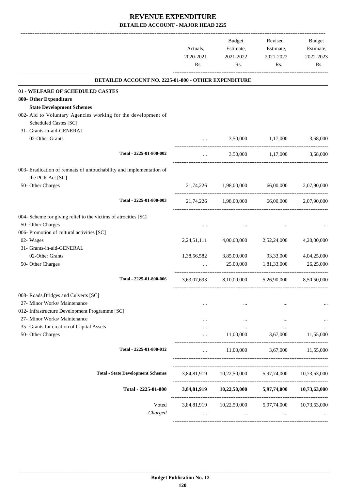|           |                                                                       | Actuals,<br>2020-2021<br>Rs. | <b>Budget</b><br>Estimate,<br>2021-2022<br>Rs.    | Revised<br>Estimate,<br>2021-2022<br>Rs. | Budget<br>Estimate,<br>2022-2023<br>Rs. |
|-----------|-----------------------------------------------------------------------|------------------------------|---------------------------------------------------|------------------------------------------|-----------------------------------------|
|           | <b>DETAILED ACCOUNT NO. 2225-01-800 - OTHER EXPENDITURE</b>           |                              |                                                   |                                          |                                         |
|           | 01 - WELFARE OF SCHEDULED CASTES                                      |                              |                                                   |                                          |                                         |
|           | 800- Other Expenditure                                                |                              |                                                   |                                          |                                         |
|           | <b>State Development Schemes</b>                                      |                              |                                                   |                                          |                                         |
|           | 002- Aid to Voluntary Agencies working for the development of         |                              |                                                   |                                          |                                         |
|           | Scheduled Castes [SC]                                                 |                              |                                                   |                                          |                                         |
|           | 31- Grants-in-aid-GENERAL                                             |                              |                                                   |                                          |                                         |
|           | 02-Other Grants                                                       |                              | 3,50,000                                          | 1,17,000                                 | 3,68,000                                |
|           | Total - 2225-01-800-002                                               |                              | 3,50,000                                          | 1.17.000                                 | 3,68,000                                |
|           | 003- Eradication of remnats of untouchability and implementation of   |                              |                                                   |                                          |                                         |
|           | the PCR Act [SC]                                                      |                              |                                                   |                                          |                                         |
|           | 50- Other Charges                                                     | 21,74,226                    | 1,98,00,000                                       | 66,00,000                                | 2,07,90,000                             |
|           | Total - 2225-01-800-003                                               | 21,74,226                    | 1,98,00,000                                       | 66,00,000                                | 2.07.90.000                             |
|           | 004- Scheme for giving relief to the victims of atrocities [SC]       |                              |                                                   |                                          |                                         |
|           | 50- Other Charges                                                     |                              |                                                   |                                          |                                         |
|           | 006- Promotion of cultural activities [SC]                            |                              |                                                   |                                          |                                         |
| 02- Wages |                                                                       | 2,24,51,111                  | 4,00,00,000                                       | 2,52,24,000                              | 4,20,00,000                             |
|           | 31- Grants-in-aid-GENERAL                                             |                              |                                                   |                                          |                                         |
|           | 02-Other Grants                                                       | 1,38,56,582                  | 3,85,00,000                                       | 93,33,000                                | 4,04,25,000                             |
|           | 50- Other Charges                                                     |                              | 25,00,000                                         | 1,81,33,000                              | 26,25,000                               |
|           | Total - 2225-01-800-006                                               | 3,63,07,693                  | 8,10,00,000                                       | 5,26,90,000                              | 8,50,50,000                             |
|           |                                                                       |                              |                                                   |                                          |                                         |
|           | 008- Roads, Bridges and Culverts [SC]<br>27- Minor Works/ Maintenance |                              |                                                   |                                          |                                         |
|           | 012- Infrastructure Development Programme [SC]                        |                              |                                                   |                                          |                                         |
|           | 27- Minor Works/ Maintenance                                          |                              |                                                   |                                          |                                         |
|           | 35- Grants for creation of Capital Assets                             | $\cdots$                     | $\cdots$<br>$\cdots$                              | $\ddotsc$<br>$\cdots$                    | $\cdots$<br>                            |
|           | 50- Other Charges                                                     | $\cdots$                     | 11,00,000                                         | 3,67,000                                 | 11,55,000                               |
|           | Total - 2225-01-800-012                                               | $\cdots$                     |                                                   | 11,00,000 3,67,000 11,55,000             |                                         |
|           | <b>Total - State Development Schemes</b>                              |                              | 3,84,81,919 10,22,50,000 5,97,74,000 10,73,63,000 |                                          |                                         |
|           |                                                                       |                              |                                                   |                                          |                                         |
|           | Total - 2225-01-800                                                   |                              | 3,84,81,919 10,22,50,000                          | 5,97,74,000                              | 10,73,63,000                            |
|           | Voted                                                                 |                              | 3,84,81,919 10,22,50,000 5,97,74,000              |                                          | 10,73,63,000                            |
|           | Charged                                                               | $\cdots$                     | $\mathbf{r}$ , $\mathbf{r}$ , $\mathbf{r}$        | $\cdots$                                 |                                         |
|           |                                                                       |                              |                                                   |                                          |                                         |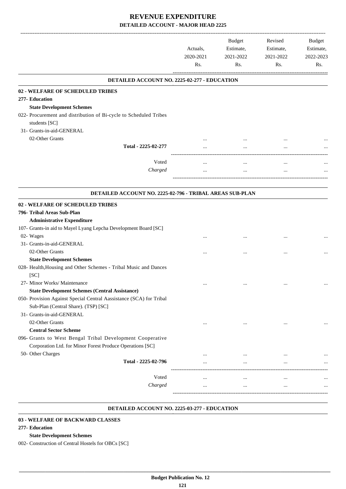|                                                                                    | Actuals,<br>2020-2021<br>Rs. | <b>Budget</b><br>Estimate,<br>2021-2022<br>Rs. | Revised<br>Estimate,<br>2021-2022<br>Rs. | <b>Budget</b><br>Estimate,<br>2022-2023<br>Rs. |
|------------------------------------------------------------------------------------|------------------------------|------------------------------------------------|------------------------------------------|------------------------------------------------|
| DETAILED ACCOUNT NO. 2225-02-277 - EDUCATION                                       |                              |                                                |                                          |                                                |
| 02 - WELFARE OF SCHEDULED TRIBES                                                   |                              |                                                |                                          |                                                |
| 277- Education                                                                     |                              |                                                |                                          |                                                |
| <b>State Development Schemes</b>                                                   |                              |                                                |                                          |                                                |
| 022- Procurement and distribution of Bi-cycle to Scheduled Tribes<br>students [SC] |                              |                                                |                                          |                                                |
| 31- Grants-in-aid-GENERAL                                                          |                              |                                                |                                          |                                                |
| 02-Other Grants                                                                    |                              |                                                |                                          |                                                |
| Total - 2225-02-277                                                                |                              |                                                |                                          |                                                |
| Voted                                                                              |                              | $\cdots$                                       | $\cdots$                                 |                                                |
| Charged                                                                            |                              | $\cdots$                                       | $\ldots$                                 |                                                |
|                                                                                    |                              |                                                |                                          |                                                |
| DETAILED ACCOUNT NO. 2225-02-796 - TRIBAL AREAS SUB-PLAN                           |                              |                                                |                                          |                                                |
|                                                                                    |                              |                                                |                                          |                                                |
| <b>02 - WELFARE OF SCHEDULED TRIBES</b>                                            |                              |                                                |                                          |                                                |
| 796- Tribal Areas Sub-Plan                                                         |                              |                                                |                                          |                                                |
| <b>Administrative Expenditure</b>                                                  |                              |                                                |                                          |                                                |
| 107- Grants-in aid to Mayel Lyang Lepcha Development Board [SC]                    |                              |                                                |                                          |                                                |
| 02- Wages<br>31- Grants-in-aid-GENERAL                                             |                              |                                                |                                          |                                                |
| 02-Other Grants                                                                    |                              |                                                |                                          |                                                |
| <b>State Development Schemes</b>                                                   |                              |                                                |                                          |                                                |
| 028- Health, Housing and Other Schemes - Tribal Music and Dances                   |                              |                                                |                                          |                                                |
| [SC]                                                                               |                              |                                                |                                          |                                                |
| 27- Minor Works/ Maintenance                                                       |                              |                                                |                                          |                                                |
| <b>State Development Schemes (Central Assistance)</b>                              |                              |                                                | $\ddotsc$                                |                                                |
| 050- Provision Against Special Central Aassistance (SCA) for Tribal                |                              |                                                |                                          |                                                |
| Sub-Plan (Central Share). (TSP) [SC]                                               |                              |                                                |                                          |                                                |
| 31- Grants-in-aid-GENERAL                                                          |                              |                                                |                                          |                                                |
| 02-Other Grants                                                                    | $\cdots$                     | $\cdots$                                       | $\cdots$                                 |                                                |
| <b>Central Sector Scheme</b>                                                       |                              |                                                |                                          |                                                |
| 096- Grants to West Bengal Tribal Development Cooperative                          |                              |                                                |                                          |                                                |
| Corporation Ltd. for Minor Forest Produce Operations [SC]                          |                              |                                                |                                          |                                                |
| 50- Other Charges                                                                  |                              |                                                | $\ddotsc$                                | $\cdots$                                       |
| Total - 2225-02-796                                                                |                              |                                                | $\cdots$                                 |                                                |
|                                                                                    |                              |                                                |                                          |                                                |
| Voted                                                                              |                              | $\cdots$                                       | $\cdots$                                 |                                                |
| Charged                                                                            | $\cdots$                     | $\cdots$                                       | $\cdots$                                 |                                                |
|                                                                                    |                              |                                                |                                          |                                                |

#### **DETAILED ACCOUNT NO. 2225-03-277 - EDUCATION .**

#### **03 - WELFARE OF BACKWARD CLASSES**

#### **277- Education**

#### **State Development Schemes**

002- Construction of Central Hostels for OBCs [SC]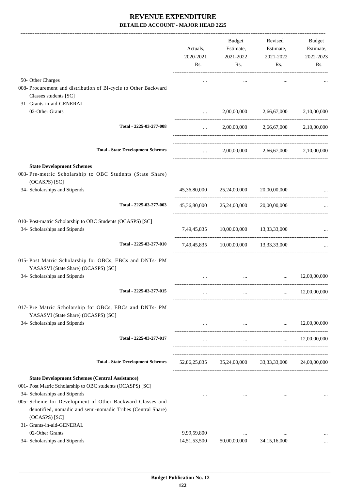|                                                                                                 | Actuals,<br>2020-2021<br>Rs.                       | <b>Budget</b><br>Estimate,<br>2021-2022<br>Rs. | Revised<br>Estimate,<br>2021-2022<br>Rs.      | <b>Budget</b><br>Estimate,<br>2022-2023<br>Rs. |
|-------------------------------------------------------------------------------------------------|----------------------------------------------------|------------------------------------------------|-----------------------------------------------|------------------------------------------------|
| 50- Other Charges<br>008- Procurement and distribution of Bi-cycle to Other Backward            |                                                    | $\cdots$                                       |                                               |                                                |
| Classes students [SC]                                                                           |                                                    |                                                |                                               |                                                |
| 31- Grants-in-aid-GENERAL                                                                       |                                                    |                                                |                                               |                                                |
| 02-Other Grants                                                                                 | $\cdots$                                           | 2,00,00,000                                    | 2,66,67,000                                   | 2,10,00,000                                    |
| Total - 2225-03-277-008                                                                         | $\cdots$                                           |                                                | 2,00,00,000 2,66,67,000 2,10,00,000           |                                                |
| <b>Total - State Development Schemes</b>                                                        | $\mathbf{1}$ , and $\mathbf{1}$ , and $\mathbf{1}$ |                                                | 2,00,00,000 2,66,67,000 2,10,00,000           |                                                |
| <b>State Development Schemes</b>                                                                |                                                    |                                                |                                               |                                                |
| 003- Pre-metric Scholarship to OBC Students (State Share)<br>(OCASPS) [SC]                      |                                                    |                                                |                                               |                                                |
| 34- Scholarships and Stipends                                                                   |                                                    | 45,36,80,000 25,24,00,000 20,00,00,000         |                                               |                                                |
| Total - 2225-03-277-003                                                                         | 45,36,80,000                                       | 25,24,00,000                                   | 20,00,00,000                                  |                                                |
| 010- Post-matric Scholarship to OBC Students (OCASPS) [SC]<br>34- Scholarships and Stipends     |                                                    | 7,49,45,835 10,00,00,000 13,33,33,000          |                                               |                                                |
| Total - 2225-03-277-010                                                                         |                                                    | 7,49,45,835 10,00,00,000 13,33,33,000          |                                               |                                                |
| 015- Post Matric Scholarship for OBCs, EBCs and DNTs- PM<br>YASASVI (State Share) (OCASPS) [SC] |                                                    |                                                |                                               |                                                |
| 34- Scholarships and Stipends                                                                   |                                                    |                                                |                                               | 12,00,00,000                                   |
| Total - 2225-03-277-015                                                                         |                                                    |                                                |                                               | 12,00,00,000                                   |
| 017- Pre Matric Scholarship for OBCs, EBCs and DNTs- PM<br>YASASVI (State Share) (OCASPS) [SC]  |                                                    |                                                |                                               |                                                |
| 34- Scholarships and Stipends                                                                   |                                                    |                                                | $\cdots$<br><b>Contract Contract Contract</b> | 12,00,00,000                                   |
| Total - 2225-03-277-017                                                                         |                                                    | $\cdots$                                       | <b>Sales Contract</b>                         | 12,00,00,000                                   |
| <b>Total - State Development Schemes</b>                                                        | 52,86,25,835                                       |                                                | 35,24,00,000 33,33,33,000                     | 24,00,00,000                                   |
| <b>State Development Schemes (Central Assistance)</b>                                           |                                                    |                                                |                                               |                                                |
| 001- Post Matric Scholarship to OBC students (OCASPS) [SC]                                      |                                                    |                                                |                                               |                                                |
| 34- Scholarships and Stipends                                                                   | $\cdots$                                           | $\cdots$                                       | $\cdots$                                      |                                                |
| 005- Scheme for Development of Other Backward Classes and                                       |                                                    |                                                |                                               |                                                |
| denotified, nomadic and semi-nomadic Tribes (Central Share)                                     |                                                    |                                                |                                               |                                                |
| (OCASPS) [SC]                                                                                   |                                                    |                                                |                                               |                                                |
| 31- Grants-in-aid-GENERAL                                                                       |                                                    |                                                |                                               |                                                |
| 02-Other Grants<br>34- Scholarships and Stipends                                                | 9,99,59,800<br>14,51,53,500                        | $\cdots$<br>50,00,00,000                       | 34, 15, 16, 000                               |                                                |
|                                                                                                 |                                                    |                                                |                                               |                                                |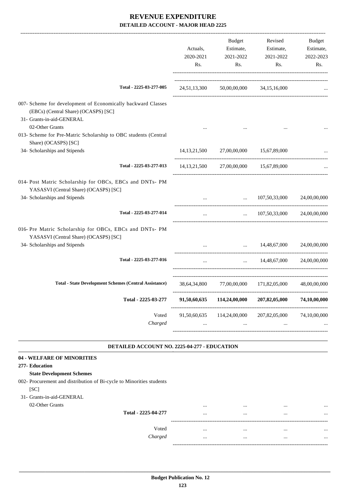|                          | Budget                    | Revised                   | Budget<br>Estimate,                                                                                                                                                                                                                                                                                                                                    |
|--------------------------|---------------------------|---------------------------|--------------------------------------------------------------------------------------------------------------------------------------------------------------------------------------------------------------------------------------------------------------------------------------------------------------------------------------------------------|
|                          |                           |                           | 2022-2023                                                                                                                                                                                                                                                                                                                                              |
| Rs.                      | Rs.                       | Rs.                       | Rs.                                                                                                                                                                                                                                                                                                                                                    |
|                          |                           |                           |                                                                                                                                                                                                                                                                                                                                                        |
|                          |                           |                           |                                                                                                                                                                                                                                                                                                                                                        |
|                          |                           |                           |                                                                                                                                                                                                                                                                                                                                                        |
|                          |                           |                           |                                                                                                                                                                                                                                                                                                                                                        |
|                          |                           |                           |                                                                                                                                                                                                                                                                                                                                                        |
|                          |                           |                           |                                                                                                                                                                                                                                                                                                                                                        |
|                          |                           |                           |                                                                                                                                                                                                                                                                                                                                                        |
|                          | $\ddotsc$                 | 107,50,33,000             | 24,00,00,000                                                                                                                                                                                                                                                                                                                                           |
| $\cdots$                 |                           |                           |                                                                                                                                                                                                                                                                                                                                                        |
|                          |                           |                           |                                                                                                                                                                                                                                                                                                                                                        |
|                          |                           |                           |                                                                                                                                                                                                                                                                                                                                                        |
| $\cdots$                 | $\cdots$                  | 14,48,67,000              | 24,00,00,000                                                                                                                                                                                                                                                                                                                                           |
|                          |                           |                           | 48,00,00,000                                                                                                                                                                                                                                                                                                                                           |
| 91,50,60,635             | 114,24,00,000             | 207,82,05,000             | 74,10,00,000                                                                                                                                                                                                                                                                                                                                           |
| 91,50,60,635<br>$\cdots$ | 114,24,00,000<br>$\cdots$ | 207,82,05,000<br>$\cdots$ | 74,10,00,000                                                                                                                                                                                                                                                                                                                                           |
|                          |                           |                           |                                                                                                                                                                                                                                                                                                                                                        |
|                          | Actuals,<br>2020-2021     | 2021-2022                 | Estimate,<br>Estimate,<br>2021-2022<br>24,51,13,300 50,00,00,000 34,15,16,000<br>14, 13, 21, 500 27, 00, 00, 000 15, 67, 89, 000<br>14, 13, 21, 500 27, 00, 00, 000 15, 67, 89, 000<br>$\ldots$ 107,50,33,000 24,00,00,000<br>$14,48,67,000$ $24,00,00,000$<br>38,64,34,800 77,00,00,000 171,82,05,000<br>DETAILED ACCOUNT NO. 2225-04-277 - EDUCATION |

## **State Development Schemes**

002- Procurement and distribution of Bi-cycle to Minorities students  $[SC]$ 

# 31- Grants-in-aid-GENERAL

| 02-Other Grants |                     |      | <br> |  |
|-----------------|---------------------|------|------|--|
|                 | Total - 2225-04-277 |      | <br> |  |
|                 |                     | ---- |      |  |
|                 | Voted               |      | <br> |  |
|                 | Charged             |      | <br> |  |
|                 |                     | ---- |      |  |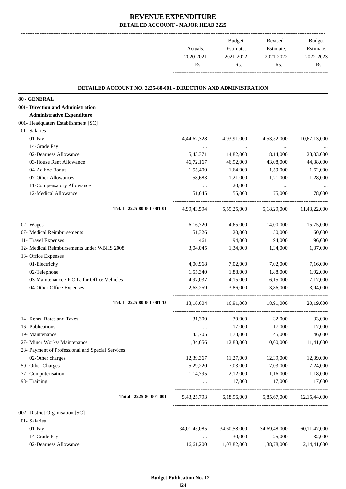|                      | Budget    | Revised   | <b>Budget</b> |
|----------------------|-----------|-----------|---------------|
| Actuals.             | Estimate, | Estimate, | Estimate,     |
| 2020-2021            | 2021-2022 | 2021-2022 | 2022-2023     |
| Rs.                  | Rs.       | Rs.       | Rs.           |
| -------------------- |           |           |               |

.

#### **DETAILED ACCOUNT NO. 2225-80-001 - DIRECTION AND ADMINISTRATION .**

| 80 - GENERAL |  |
|--------------|--|
|              |  |

**001- Direction and Administration**

**Administrative Expenditure**

| 001- Headquaters Establishment [SC]              |              |                               |              |                          |
|--------------------------------------------------|--------------|-------------------------------|--------------|--------------------------|
| 01- Salaries                                     |              |                               |              |                          |
| $01-Pay$                                         | 4,44,62,328  | 4,93,91,000                   | 4,53,52,000  | 10,67,13,000             |
| 14-Grade Pay                                     | $\cdots$     | $\cdots$                      | $\ldots$     |                          |
| 02-Dearness Allowance                            | 5,43,371     | 14,82,000                     | 18,14,000    | 28,03,000                |
| 03-House Rent Allowance                          | 46,72,167    | 46,92,000                     | 43,08,000    | 44,38,000                |
| 04-Ad hoc Bonus                                  | 1,55,400     | 1,64,000                      | 1,59,000     | 1,62,000                 |
| 07-Other Allowances                              | 58,683       | 1,21,000                      | 1,21,000     | 1,28,000                 |
| 11-Compensatory Allowance                        | $\cdots$     | 20,000                        | $\cdots$     |                          |
| 12-Medical Allowance                             | 51.645       | 55,000                        | 75,000       | 78,000                   |
| Total - 2225-80-001-001-01                       |              | 4,99,43,594 5,59,25,000       |              | 5,18,29,000 11,43,22,000 |
| 02- Wages                                        | 6,16,720     | 4,65,000                      | 14,00,000    | 15,75,000                |
| 07- Medical Reimbursements                       | 51,326       | 20,000                        | 50,000       | 60,000                   |
| 11- Travel Expenses                              | 461          | 94,000                        | 94,000       | 96,000                   |
| 12- Medical Reimbursements under WBHS 2008       | 3,04,045     | 1,34,000                      | 1,34,000     | 1,37,000                 |
| 13- Office Expenses                              |              |                               |              |                          |
| 01-Electricity                                   | 4,00,968     | 7,02,000                      | 7,02,000     | 7,16,000                 |
| 02-Telephone                                     | 1,55,340     | 1,88,000                      | 1,88,000     | 1,92,000                 |
| 03-Maintenance / P.O.L. for Office Vehicles      | 4,97,037     | 4,15,000                      | 6,15,000     | 7,17,000                 |
| 04-Other Office Expenses                         | 2,63,259     | 3,86,000                      | 3,86,000     | 3,94,000                 |
| Total - 2225-80-001-001-13                       |              | 13,16,604 16,91,000 18,91,000 |              | 20,19,000                |
| 14- Rents, Rates and Taxes                       | 31,300       | 30,000                        | 32,000       | 33,000                   |
| 16- Publications                                 | $\cdots$     | 17,000                        | 17,000       | 17,000                   |
| 19- Maintenance                                  | 43,705       | 1,73,000                      | 45,000       | 46,000                   |
| 27- Minor Works/ Maintenance                     | 1,34,656     | 12,88,000                     | 10,00,000    | 11,41,000                |
| 28- Payment of Professional and Special Services |              |                               |              |                          |
| 02-Other charges                                 | 12,39,367    | 11,27,000                     | 12,39,000    | 12,39,000                |
| 50- Other Charges                                | 5,29,220     | 7,03,000                      | 7,03,000     | 7,24,000                 |
| 77- Computerisation                              | 1,14,795     | 2,12,000                      | 1,16,000     | 1,18,000                 |
| 98- Training                                     |              | 17,000                        | 17,000       | 17,000                   |
| Total - 2225-80-001-001                          | 5,43,25,793  | 6,18,96,000                   | 5,85,67,000  | 12,15,44,000             |
| 002- District Organisation [SC]                  |              |                               |              |                          |
| 01- Salaries                                     |              |                               |              |                          |
| 01-Pay                                           | 34,01,45,085 | 34,60,58,000                  | 34,69,48,000 | 60,11,47,000             |
|                                                  |              |                               |              |                          |

14-Grade Pay 25,000 25,000 32,000 32,000 32,000 32,000 32,000 32,000 32,000 32,000 32,000 32,000 32,000 32,000 02-Dearness Allowance 16,61,200 1,03,82,000 1,38,78,000 2,14,41,000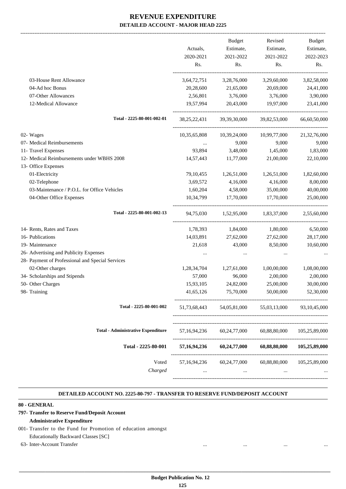-------------------------------------------------------------------------------------------------------------------------------------------------------------------------------

|                                                  |                 | <b>Budget</b>                    | Revised      | <b>Budget</b>                |
|--------------------------------------------------|-----------------|----------------------------------|--------------|------------------------------|
|                                                  | Actuals,        | Estimate,                        | Estimate,    | Estimate,                    |
|                                                  | 2020-2021       | 2021-2022                        | 2021-2022    | 2022-2023                    |
|                                                  | Rs.             | Rs.                              | Rs.          | Rs.                          |
| 03-House Rent Allowance                          | 3,64,72,751     | 3,28,76,000                      | 3,29,60,000  | 3,82,58,000                  |
| 04-Ad hoc Bonus                                  | 20,28,600       | 21,65,000                        | 20,69,000    | 24,41,000                    |
| 07-Other Allowances                              | 2,56,801        | 3,76,000                         | 3,76,000     | 3,90,000                     |
| 12-Medical Allowance                             | 19,57,994       | 20,43,000                        | 19,97,000    | 23,41,000                    |
| Total - 2225-80-001-002-01                       | 38, 25, 22, 431 | 39,39,30,000                     | 39,82,53,000 | 66,60,50,000                 |
| 02- Wages                                        | 10,35,65,808    | 10,39,24,000                     | 10,99,77,000 | 21,32,76,000                 |
| 07- Medical Reimbursements                       | $\cdots$        | 9,000                            | 9,000        | 9,000                        |
| 11- Travel Expenses                              | 93,894          | 3,48,000                         | 1,45,000     | 1,83,000                     |
| 12- Medical Reimbursements under WBHS 2008       | 14,57,443       | 11,77,000                        | 21,00,000    | 22,10,000                    |
| 13- Office Expenses                              |                 |                                  |              |                              |
| 01-Electricity                                   | 79, 10, 455     | 1,26,51,000                      | 1,26,51,000  | 1,82,60,000                  |
| 02-Telephone                                     | 3,69,572        | 4,16,000                         | 4,16,000     | 8,00,000                     |
| 03-Maintenance / P.O.L. for Office Vehicles      | 1,60,204        | 4,58,000                         | 35,00,000    | 40,00,000                    |
| 04-Other Office Expenses                         | 10,34,799       | 17,70,000                        | 17,70,000    | 25,00,000                    |
| Total - 2225-80-001-002-13                       | 94,75,030       | 1,52,95,000 1,83,37,000          |              | -------------<br>2,55,60,000 |
| 14- Rents, Rates and Taxes                       | 1,78,393        | 1,84,000                         | 1,80,000     | 6,50,000                     |
| 16- Publications                                 | 14,03,891       | 27,62,000                        | 27,62,000    | 28,17,000                    |
| 19- Maintenance                                  | 21,618          | 43,000                           | 8,50,000     | 10,60,000                    |
| 26- Advertising and Publicity Expenses           | $\cdots$        | $\cdots$                         | $\cdots$     |                              |
| 28- Payment of Professional and Special Services |                 |                                  |              |                              |
| 02-Other charges                                 | 1,28,34,704     | 1,27,61,000                      | 1,00,00,000  | 1,08,00,000                  |
| 34- Scholarships and Stipends                    | 57,000          | 96,000                           | 2,00,000     | 2,00,000                     |
| 50- Other Charges                                | 15,93,105       | 24,82,000                        | 25,00,000    | 30,00,000                    |
| 98- Training                                     | 41,65,126       | 75,70,000                        | 50,00,000    | 52,30,000                    |
| Total - 2225-80-001-002                          | 51,73,68,443    | 54,05,81,000                     | 55,03,13,000 | 93.10.45.000                 |
| <b>Total - Administrative Expenditure</b>        | 57, 16, 94, 236 | 60,24,77,000                     | 60,88,80,000 | 105,25,89,000                |
| Total - 2225-80-001                              | 57, 16, 94, 236 | ----------------<br>60,24,77,000 | 60,88,80,000 | 105,25,89,000                |
| Voted                                            | 57, 16, 94, 236 | 60,24,77,000                     |              | 60,88,80,000 105,25,89,000   |
| Charged                                          |                 |                                  |              |                              |

#### **DETAILED ACCOUNT NO. 2225-80-797 - TRANSFER TO RESERVE FUND/DEPOSIT ACCOUNT .**

.

#### **80 - GENERAL**

## **797- Transfer to Reserve Fund/Deposit Account**

#### **Administrative Expenditure**

001- Transfer to the Fund for Promotion of education amongst Educationally Backward Classes [SC]

63- Inter-Account Transfer ... ... ... ...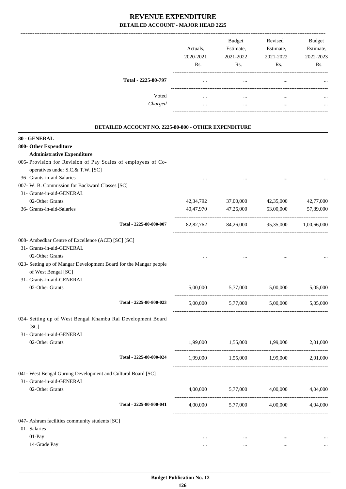|                     | Actuals,<br>2020-2021<br>Rs. | <b>Budget</b><br>Estimate,<br>2021-2022<br>Rs. | Revised<br>Estimate,<br>2021-2022<br>Rs. | <b>Budget</b><br>Estimate,<br>2022-2023<br>Rs. |
|---------------------|------------------------------|------------------------------------------------|------------------------------------------|------------------------------------------------|
| Total - 2225-80-797 | $\cdots$                     | $\cdots$                                       |                                          | $\ddotsc$                                      |
| Voted               |                              | $\cdots$                                       | $\cdots$                                 | $\ddotsc$                                      |
| Charged             | $\cdots$                     | $\cdots$                                       | $\cdots$                                 | $\cdots$                                       |

| DETAILED ACCOUNT NO. 2225-80-800 - OTHER EXPENDITURE                                     |           |                                           |           |           |
|------------------------------------------------------------------------------------------|-----------|-------------------------------------------|-----------|-----------|
| 80 - GENERAL                                                                             |           |                                           |           |           |
| 800- Other Expenditure                                                                   |           |                                           |           |           |
| <b>Administrative Expenditure</b>                                                        |           |                                           |           |           |
| 005- Provision for Revision of Pay Scales of employees of Co-                            |           |                                           |           |           |
| operatives under S.C.& T.W. [SC]                                                         |           |                                           |           |           |
| 36- Grants-in-aid-Salaries                                                               |           |                                           |           |           |
| 007- W. B. Commission for Backward Classes [SC]                                          |           |                                           |           |           |
| 31- Grants-in-aid-GENERAL                                                                |           |                                           |           |           |
| 02-Other Grants                                                                          | 42,34,792 | 37,00,000                                 | 42,35,000 | 42,77,000 |
| 36- Grants-in-aid-Salaries                                                               | 40,47,970 | 47,26,000                                 | 53,00,000 | 57,89,000 |
| Total - 2225-80-800-007                                                                  |           | 82,82,762 84,26,000 95,35,000 1,00,66,000 |           |           |
| 008- Ambedkar Centre of Excellence (ACE) [SC] [SC]                                       |           |                                           |           |           |
| 31- Grants-in-aid-GENERAL                                                                |           |                                           |           |           |
| 02-Other Grants                                                                          |           |                                           |           |           |
| 023- Setting up of Mangar Development Board for the Mangar people<br>of West Bengal [SC] |           |                                           |           |           |
| 31- Grants-in-aid-GENERAL                                                                |           |                                           |           |           |
| 02-Other Grants                                                                          | 5,00,000  | 5,77,000                                  | 5,00,000  | 5,05,000  |
| Total - 2225-80-800-023                                                                  |           | 5,00,000 5,77,000 5,00,000                |           | 5,05,000  |
| 024- Setting up of West Bengal Khambu Rai Development Board<br>[SC]                      |           |                                           |           |           |
| 31- Grants-in-aid-GENERAL                                                                |           |                                           |           |           |
| 02-Other Grants                                                                          | 1,99,000  | 1,55,000 1,99,000                         |           | 2,01,000  |
| Total - 2225-80-800-024                                                                  |           | 1,99,000 1,55,000 1,99,000                |           | 2,01,000  |
| 041- West Bengal Gurung Development and Cultural Board [SC]                              |           |                                           |           |           |
| 31- Grants-in-aid-GENERAL                                                                |           |                                           |           |           |
| 02-Other Grants                                                                          | 4,00,000  | 5,77,000                                  | 4,00,000  | 4,04,000  |
| Total - 2225-80-800-041                                                                  | 4,00,000  | 5,77,000                                  | 4,00,000  | 4,04,000  |
| 047- Ashram facilities community students [SC]                                           |           |                                           |           |           |
| 01- Salaries                                                                             |           |                                           |           |           |

01-Pay ... ... ... ... 14-Grade Pay ... ... ... ...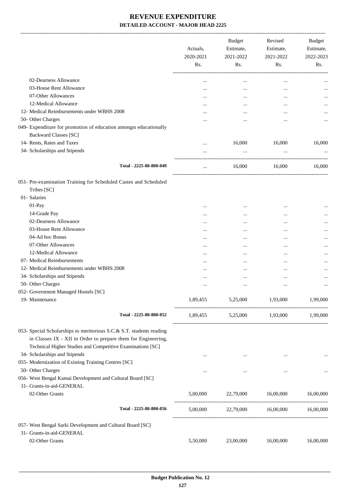|                                                                      | Actuals,<br>2020-2021 | Budget<br>Estimate,<br>2021-2022       | Revised      | Estimate,<br>2021-2022 | Budget<br>Estimate,<br>2022-2023 |
|----------------------------------------------------------------------|-----------------------|----------------------------------------|--------------|------------------------|----------------------------------|
|                                                                      | Rs.                   | Rs.                                    | Rs.          | Rs.                    |                                  |
| 02-Dearness Allowance                                                |                       |                                        |              |                        |                                  |
| 03-House Rent Allowance                                              | $\cdots$              | $\ddotsc$<br>$\cdots$                  | $\cdots$<br> |                        |                                  |
| 07-Other Allowances                                                  | $\cdots$              | $\cdots$                               |              |                        |                                  |
| 12-Medical Allowance                                                 |                       |                                        |              |                        |                                  |
| 12- Medical Reimbursements under WBHS 2008                           | $\cdots$              |                                        |              |                        |                                  |
| 50- Other Charges                                                    | $\cdots$              |                                        | $\cdots$     |                        |                                  |
| 049- Expenditure for promotion of education amongst educationally    |                       |                                        |              |                        |                                  |
| <b>Backward Classes [SC]</b>                                         |                       |                                        |              |                        |                                  |
| 14- Rents, Rates and Taxes                                           |                       | 16,000                                 | 16,000       | 16,000                 |                                  |
| 34- Scholarships and Stipends                                        |                       | $\cdots$                               |              |                        |                                  |
| Total - 2225-80-800-049                                              | $\cdots$              | 16,000                                 | 16,000       | 16,000                 |                                  |
| 051- Pre-examination Training for Scheduled Castes and Scheduled     |                       |                                        |              |                        |                                  |
| Tribes [SC]                                                          |                       |                                        |              |                        |                                  |
| 01- Salaries                                                         |                       |                                        |              |                        |                                  |
| 01-Pay                                                               | $\cdots$              | $\cdots$                               | $\cdots$     |                        |                                  |
| 14-Grade Pay                                                         | $\cdots$              |                                        |              |                        |                                  |
| 02-Dearness Allowance                                                | $\cdots$              |                                        | $\cdots$     |                        |                                  |
| 03-House Rent Allowance<br>04-Ad hoc Bonus                           | $\cdots$              |                                        | $\cdots$     |                        |                                  |
|                                                                      |                       |                                        |              |                        |                                  |
| 07-Other Allowances                                                  | $\cdots$              |                                        |              |                        |                                  |
| 12-Medical Allowance                                                 |                       |                                        |              |                        |                                  |
| 07- Medical Reimbursements                                           | $\cdots$              |                                        |              |                        |                                  |
| 12- Medical Reimbursements under WBHS 2008                           | $\cdots$              |                                        |              |                        |                                  |
| 34- Scholarships and Stipends                                        |                       | $\cdots$                               | $\cdots$     |                        |                                  |
| 50- Other Charges                                                    | $\cdots$              |                                        | $\cdots$     |                        |                                  |
| 052- Government Managed Hostels [SC]                                 |                       |                                        |              |                        |                                  |
| 19- Maintenance                                                      |                       | 1,89,455 5,25,000                      | 1,93,000     | 1,99,000               |                                  |
| Total - 2225-80-800-052                                              |                       | 1,89,455 5,25,000 1,93,000             |              | 1,99,000               |                                  |
| 053- Special Scholarships to meritorious S.C.& S.T. students reading |                       |                                        |              |                        |                                  |
| in Classes IX - XII in Order to prepare them for Engineering,        |                       |                                        |              |                        |                                  |
| Technical Higher Studies and Competitive Examinations [SC]           |                       |                                        |              |                        |                                  |
| 34- Scholarships and Stipends                                        | $\cdots$              | $\ldots$                               | $\cdots$     |                        |                                  |
| 055- Modernization of Existing Training Centres [SC]                 |                       |                                        |              |                        |                                  |
| 50- Other Charges                                                    | $\cdots$              | $\ldots$                               | $\cdots$     |                        |                                  |
| 056- West Bengal Kamai Development and Cultural Board [SC]           |                       |                                        |              |                        |                                  |
| 31- Grants-in-aid-GENERAL                                            |                       |                                        |              |                        |                                  |
| 02-Other Grants                                                      | 5,00,000              | 22,79,000 16,00,000                    |              | 16,00,000              |                                  |
| Total - 2225-80-800-056                                              |                       | 5,00,000 22,79,000 16,00,000 16,00,000 |              |                        |                                  |
| 057- West Bengal Sarki Development and Cultural Board [SC]           |                       |                                        |              |                        |                                  |
| 31- Grants-in-aid-GENERAL                                            |                       |                                        |              |                        |                                  |
| 02-Other Grants                                                      | 5,50,000              | 23,00,000                              | 16,00,000    | 16,00,000              |                                  |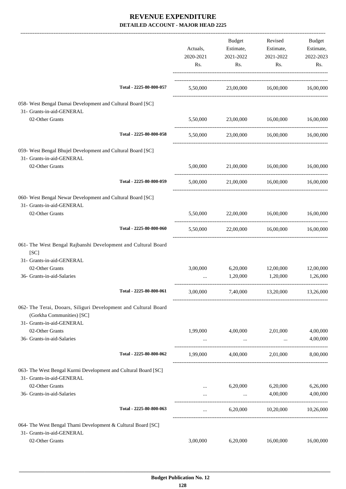| Actuals,<br>2020-2021<br>Rs. | Budget<br>2021-2022<br>Rs. | Revised<br>Estimate,<br>2021-2022<br>Rs.                                          | Budget<br>Estimate,<br>2022-2023<br>Rs.                                                                                                                                                                                                                                                                                                                  |
|------------------------------|----------------------------|-----------------------------------------------------------------------------------|----------------------------------------------------------------------------------------------------------------------------------------------------------------------------------------------------------------------------------------------------------------------------------------------------------------------------------------------------------|
|                              |                            |                                                                                   |                                                                                                                                                                                                                                                                                                                                                          |
|                              |                            |                                                                                   |                                                                                                                                                                                                                                                                                                                                                          |
| 5,50,000                     |                            |                                                                                   |                                                                                                                                                                                                                                                                                                                                                          |
|                              |                            |                                                                                   | 16,00,000                                                                                                                                                                                                                                                                                                                                                |
|                              |                            |                                                                                   |                                                                                                                                                                                                                                                                                                                                                          |
|                              |                            |                                                                                   | 16,00,000                                                                                                                                                                                                                                                                                                                                                |
|                              |                            |                                                                                   |                                                                                                                                                                                                                                                                                                                                                          |
|                              |                            |                                                                                   |                                                                                                                                                                                                                                                                                                                                                          |
|                              |                            |                                                                                   |                                                                                                                                                                                                                                                                                                                                                          |
|                              |                            |                                                                                   |                                                                                                                                                                                                                                                                                                                                                          |
|                              |                            |                                                                                   |                                                                                                                                                                                                                                                                                                                                                          |
|                              |                            |                                                                                   |                                                                                                                                                                                                                                                                                                                                                          |
|                              | 1,20,000                   |                                                                                   | 12,00,000<br>1,26,000                                                                                                                                                                                                                                                                                                                                    |
| 3,00,000                     |                            |                                                                                   |                                                                                                                                                                                                                                                                                                                                                          |
|                              |                            |                                                                                   |                                                                                                                                                                                                                                                                                                                                                          |
|                              |                            |                                                                                   | 4,00,000                                                                                                                                                                                                                                                                                                                                                 |
|                              | $\cdots$                   | $\ddots$                                                                          | 4,00,000                                                                                                                                                                                                                                                                                                                                                 |
| 1,99,000                     | 4,00,000                   | 2,01,000                                                                          | 8,00,000                                                                                                                                                                                                                                                                                                                                                 |
|                              |                            |                                                                                   |                                                                                                                                                                                                                                                                                                                                                          |
| $\cdots$                     | 6,20,000                   | 6,20,000                                                                          | 6,26,000<br>4,00,000                                                                                                                                                                                                                                                                                                                                     |
|                              |                            |                                                                                   |                                                                                                                                                                                                                                                                                                                                                          |
| $\cdots$                     |                            |                                                                                   | 10,26,000                                                                                                                                                                                                                                                                                                                                                |
|                              |                            |                                                                                   |                                                                                                                                                                                                                                                                                                                                                          |
| 3,00,000                     | 6,20,000                   | 16,00,000                                                                         | 16,00,000                                                                                                                                                                                                                                                                                                                                                |
|                              | 3,00,000<br>1,99,000       | 23,00,000<br>5,50,000<br>5,50,000<br>6,20,000<br>4,00,000<br>$\cdots$<br>6,20,000 | Estimate,<br>5,50,000 23,00,000 16,00,000 16,00,000<br>16,00,000 16,00,000<br>23,00,000 16,00,000<br>5,00,000 21,00,000 16,00,000<br>5,00,000 21,00,000 16,00,000 16,00,000<br>5,50,000 22,00,000 16,00,000 16,00,000<br>22,00,000   16,00,000   16,00,000<br>12,00,000<br>1,20,000<br>7,40,000 13,20,000 13,26,000<br>2,01,000<br>4,00,000<br>10,20,000 |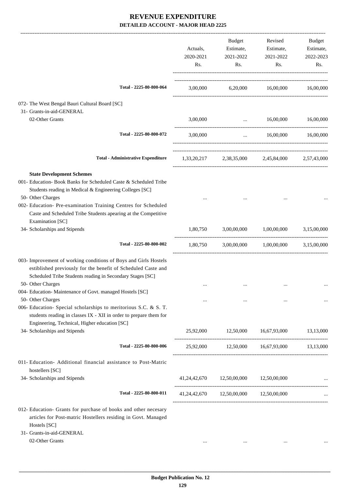|                                                                                                                                                                                                                                                        | Actuals,<br>2020-2021<br>Rs. | Budget<br>Estimate,<br>2021-2022<br>Rs. | Revised<br>Estimate,<br>2021-2022<br>Rs.        | Budget<br>Estimate,<br>2022-2023<br>Rs. |
|--------------------------------------------------------------------------------------------------------------------------------------------------------------------------------------------------------------------------------------------------------|------------------------------|-----------------------------------------|-------------------------------------------------|-----------------------------------------|
| Total - 2225-80-800-064                                                                                                                                                                                                                                | 3,00,000                     |                                         | 6,20,000 16,00,000 16,00,000                    |                                         |
| 072- The West Bengal Bauri Cultural Board [SC]<br>31- Grants-in-aid-GENERAL                                                                                                                                                                            |                              |                                         |                                                 |                                         |
| 02-Other Grants                                                                                                                                                                                                                                        | 3,00,000                     |                                         | 16,00,000<br><b>Sales Committee</b>             | 16,00,000                               |
| Total - 2225-80-800-072                                                                                                                                                                                                                                | 3,00,000                     | $\mathbf{r}$                            | 16,00,000                                       | 16,00,000                               |
| <b>Total - Administrative Expenditure</b>                                                                                                                                                                                                              |                              |                                         | 1,33,20,217 2,38,35,000 2,45,84,000 2,57,43,000 |                                         |
| <b>State Development Schemes</b><br>001- Education- Book Banks for Scheduled Caste & Scheduled Tribe<br>Students reading in Medical & Engineering Colleges [SC]<br>50- Other Charges<br>002- Education- Pre-examination Training Centres for Scheduled |                              |                                         |                                                 |                                         |
| Caste and Scheduled Tribe Students apearing at the Competitive<br>Examination [SC]<br>34- Scholarships and Stipends                                                                                                                                    | 1,80,750                     | 3,00,00,000                             | 1,00,00,000                                     | 3,15,00,000                             |
| Total - 2225-80-800-002                                                                                                                                                                                                                                | 1,80,750                     |                                         | 3,00,00,000 1,00,00,000                         | 3,15,00,000                             |
| 003- Improvement of working conditions of Boys and Girls Hostels<br>estiblished previously for the benefit of Scheduled Caste and<br>Scheduled Tribe Students reading in Secondary Stages [SC]                                                         |                              |                                         |                                                 |                                         |
| 50- Other Charges<br>004- Education- Maintenance of Govt. managed Hostels [SC]                                                                                                                                                                         |                              |                                         | $\cdots$                                        |                                         |
| 50- Other Charges<br>006- Education- Special scholarships to meritorious S.C. & S. T.<br>students reading in classes IX - XII in order to prepare them for<br>Engineering, Technical, Higher education [SC]                                            |                              |                                         |                                                 |                                         |
| 34- Scholarships and Stipends                                                                                                                                                                                                                          | 25,92,000                    | 12,50,000                               | 16,67,93,000                                    | 13,13,000                               |
| Total - 2225-80-800-006                                                                                                                                                                                                                                |                              |                                         | 25,92,000 12,50,000 16,67,93,000 13,13,000      |                                         |
| 011- Education- Additional financial assistance to Post-Matric<br>hostellers [SC]                                                                                                                                                                      |                              |                                         |                                                 |                                         |
| 34- Scholarships and Stipends                                                                                                                                                                                                                          |                              | 41,24,42,670 12,50,00,000               | 12,50,00,000                                    |                                         |
| Total - 2225-80-800-011                                                                                                                                                                                                                                |                              | 41,24,42,670 12,50,00,000 12,50,00,000  |                                                 |                                         |
| 012- Education- Grants for purchase of books and other necesary<br>articles for Post-matric Hostellers residing in Govt. Managed<br>Hostels [SC]<br>31- Grants-in-aid-GENERAL                                                                          |                              |                                         |                                                 |                                         |

02-Other Grants ... ... ... ...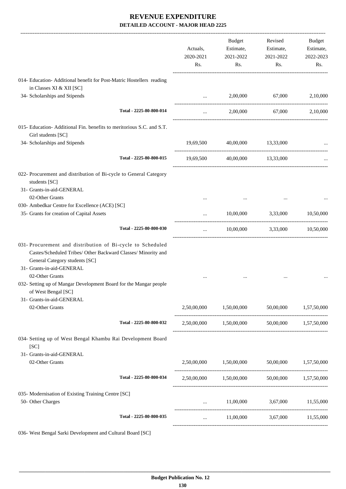|                                                                                                                                                                                            | Actuals,<br>2020-2021<br>Rs. | <b>Budget</b><br>Estimate,<br>2021-2022<br>Rs.        | Revised<br>Estimate,<br>2021-2022<br>Rs. | <b>Budget</b><br>Estimate,<br>2022-2023<br>Rs. |
|--------------------------------------------------------------------------------------------------------------------------------------------------------------------------------------------|------------------------------|-------------------------------------------------------|------------------------------------------|------------------------------------------------|
| 014- Education- Additional benefit for Post-Matric Hostellers reading                                                                                                                      |                              |                                                       |                                          |                                                |
| in Classes XI & XII [SC]                                                                                                                                                                   |                              |                                                       |                                          |                                                |
| 34- Scholarships and Stipends                                                                                                                                                              | $\cdots$                     | 2,00,000                                              | 67,000                                   | 2,10,000                                       |
| Total - 2225-80-800-014                                                                                                                                                                    | $\cdots$                     | 2,00,000                                              | 67,000                                   | 2,10,000                                       |
| 015- Education-Additional Fin. benefits to meritorious S.C. and S.T.<br>Girl students [SC]                                                                                                 |                              |                                                       |                                          |                                                |
| 34- Scholarships and Stipends                                                                                                                                                              | 19,69,500                    | 40,00,000                                             | 13,33,000                                |                                                |
| Total - 2225-80-800-015                                                                                                                                                                    | 19,69,500                    |                                                       | 40,00,000 13,33,000                      |                                                |
| 022- Procurement and distribution of Bi-cycle to General Category<br>students [SC]                                                                                                         |                              |                                                       |                                          |                                                |
| 31- Grants-in-aid-GENERAL                                                                                                                                                                  |                              |                                                       |                                          |                                                |
| 02-Other Grants                                                                                                                                                                            |                              |                                                       |                                          |                                                |
| 030- Ambedkar Centre for Excellence (ACE) [SC]<br>35- Grants for creation of Capital Assets                                                                                                |                              | 10,00,000                                             | 3,33,000                                 | 10,50,000                                      |
|                                                                                                                                                                                            | $\cdots$                     |                                                       |                                          |                                                |
| Total - 2225-80-800-030                                                                                                                                                                    | $\cdots$                     |                                                       | 10,00,000 3,33,000 10,50,000             |                                                |
| 031- Procurement and distribution of Bi-cycle to Scheduled<br>Castes/Scheduled Tribes/ Other Backward Classes/ Minority and<br>General Category students [SC]<br>31- Grants-in-aid-GENERAL |                              |                                                       |                                          |                                                |
| 02-Other Grants<br>032- Setting up of Mangar Development Board for the Mangar people<br>of West Bengal [SC]<br>31- Grants-in-aid-GENERAL                                                   |                              |                                                       |                                          |                                                |
| 02-Other Grants                                                                                                                                                                            |                              | $2,50,00,000$ $1,50,00,000$ $50,00,000$ $1,57,50,000$ |                                          |                                                |
| Total - 2225-80-800-032                                                                                                                                                                    |                              | 2,50,00,000 1,50,00,000 50,00,000 1,57,50,000         |                                          |                                                |
| 034- Setting up of West Bengal Khambu Rai Development Board<br>[SC]                                                                                                                        |                              |                                                       |                                          |                                                |
| 31- Grants-in-aid-GENERAL                                                                                                                                                                  |                              |                                                       |                                          |                                                |
| 02-Other Grants                                                                                                                                                                            |                              | $2,50,00,000$ $1,50,00,000$ $50,00,000$ $1,57,50,000$ |                                          |                                                |
| Total - 2225-80-800-034                                                                                                                                                                    |                              | 2,50,00,000 1,50,00,000 50,00,000 1,57,50,000         |                                          |                                                |
| 035- Modernisation of Existing Training Centre [SC]<br>50- Other Charges                                                                                                                   |                              | $11,00,000$ $3,67,000$ $11,55,000$                    |                                          |                                                |
| Total - 2225-80-800-035                                                                                                                                                                    | <b>Asset Control</b>         |                                                       | 11,00,000 3,67,000 11,55,000             |                                                |
| 036- West Bengal Sarki Development and Cultural Board [SC]                                                                                                                                 |                              |                                                       |                                          |                                                |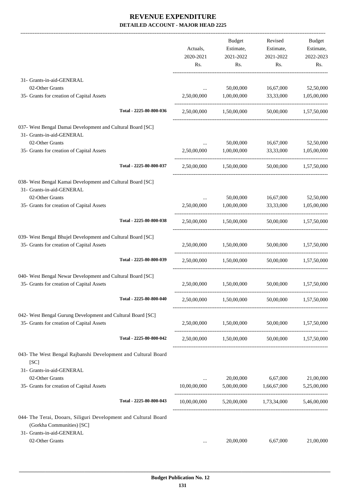|                                                                 |                         |              | <b>Budget</b>           | Revised                                                  | Budget      |
|-----------------------------------------------------------------|-------------------------|--------------|-------------------------|----------------------------------------------------------|-------------|
|                                                                 |                         | Actuals,     | Estimate,               | Estimate,                                                | Estimate,   |
|                                                                 |                         | 2020-2021    | 2021-2022               | 2021-2022                                                | 2022-2023   |
|                                                                 |                         | Rs.          | Rs.                     | Rs.                                                      | Rs.         |
| 31- Grants-in-aid-GENERAL                                       |                         |              |                         |                                                          |             |
| 02-Other Grants                                                 |                         | $\cdots$     | 50,00,000               | 16,67,000                                                | 52,50,000   |
| 35- Grants for creation of Capital Assets                       |                         | 2,50,00,000  | 1,00,00,000             | 33,33,000                                                | 1,05,00,000 |
|                                                                 | Total - 2225-80-800-036 | 2,50,00,000  | 1,50,00,000             | 50,00,000                                                | 1,57,50,000 |
| 037- West Bengal Damai Development and Cultural Board [SC]      |                         |              |                         |                                                          |             |
| 31- Grants-in-aid-GENERAL                                       |                         |              |                         |                                                          |             |
| 02-Other Grants                                                 |                         | $\cdots$     | 50,00,000               | 16,67,000                                                | 52,50,000   |
| 35- Grants for creation of Capital Assets                       |                         | 2,50,00,000  | 1,00,00,000             | 33,33,000                                                | 1,05,00,000 |
|                                                                 | Total - 2225-80-800-037 | 2.50,00,000  | 1.50.00.000             | 50,00,000                                                | 1,57,50,000 |
| 038- West Bengal Kamai Development and Cultural Board [SC]      |                         |              |                         |                                                          |             |
| 31- Grants-in-aid-GENERAL                                       |                         |              |                         |                                                          |             |
| 02-Other Grants                                                 |                         | $\cdots$     | 50,00,000               | 16,67,000                                                | 52,50,000   |
| 35- Grants for creation of Capital Assets                       |                         | 2,50,00,000  | 1,00,00,000             | 33,33,000                                                | 1,05,00,000 |
|                                                                 | Total - 2225-80-800-038 |              | 2,50,00,000 1,50,00,000 | 50,00,000                                                | 1,57,50,000 |
| 039- West Bengal Bhujel Development and Cultural Board [SC]     |                         |              |                         |                                                          |             |
| 35- Grants for creation of Capital Assets                       |                         | 2,50,00,000  | 1,50,00,000             | 50,00,000                                                | 1,57,50,000 |
|                                                                 | Total - 2225-80-800-039 |              | 2.50.00.000 1.50.00.000 | 50,00,000                                                | 1.57.50.000 |
| 040- West Bengal Newar Development and Cultural Board [SC]      |                         |              |                         |                                                          |             |
| 35- Grants for creation of Capital Assets                       |                         | 2,50,00,000  | 1,50,00,000             | 50,00,000                                                | 1,57,50,000 |
|                                                                 | Total - 2225-80-800-040 | 2,50,00,000  | 1,50,00,000             | 50,00,000                                                | 1,57,50,000 |
| 042- West Bengal Gurung Development and Cultural Board [SC]     |                         |              |                         |                                                          |             |
| 35- Grants for creation of Capital Assets                       |                         |              |                         | 2,50,00,000 1,50,00,000 50,00,000 1,57,50,000            |             |
|                                                                 | Total - 2225-80-800-042 |              |                         | 2,50,00,000 1,50,00,000 50,00,000 1,57,50,000            |             |
| 043- The West Bengal Rajbanshi Development and Cultural Board   |                         |              |                         |                                                          |             |
| [SC]                                                            |                         |              |                         |                                                          |             |
| 31- Grants-in-aid-GENERAL                                       |                         |              |                         |                                                          |             |
| 02-Other Grants                                                 |                         |              | 20,00,000               | 6,67,000                                                 | 21,00,000   |
| 35- Grants for creation of Capital Assets                       |                         | 10,00,00,000 | 5,00,00,000             | 1,66,67,000                                              | 5,25,00,000 |
|                                                                 | Total - 2225-80-800-043 |              |                         | $10,00,00,000$ $5,20,00,000$ $1,73,34,000$ $5,46,00,000$ |             |
| 044- The Terai, Dooars, Siliguri Development and Cultural Board |                         |              |                         |                                                          |             |
| (Gorkha Communities) [SC]                                       |                         |              |                         |                                                          |             |
| 31- Grants-in-aid-GENERAL                                       |                         |              |                         |                                                          |             |
| 02-Other Grants                                                 |                         | $\cdots$     | 20,00,000               | 6,67,000                                                 | 21,00,000   |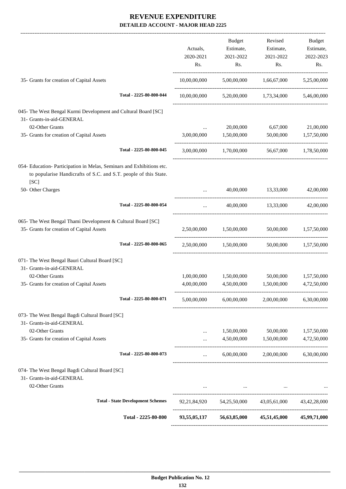|                                                                                                                                                   |                                          | Actuals,<br>2020-2021<br>Rs. | Budget<br>Estimate,<br>2021-2022<br>Rs. | Revised<br>Estimate,<br>2021-2022<br>Rs.                 | <b>Budget</b><br>Estimate,<br>2022-2023<br>Rs. |
|---------------------------------------------------------------------------------------------------------------------------------------------------|------------------------------------------|------------------------------|-----------------------------------------|----------------------------------------------------------|------------------------------------------------|
| 35- Grants for creation of Capital Assets                                                                                                         |                                          |                              |                                         | $10,00,00,000$ $5,00,00,000$ $1,66,67,000$ $5,25,00,000$ |                                                |
|                                                                                                                                                   | Total - 2225-80-800-044                  |                              |                                         | $10,00,00,000$ $5,20,00,000$ $1,73,34,000$               | 5,46,00,000                                    |
| 045- The West Bengal Kurmi Development and Cultural Board [SC]                                                                                    |                                          |                              |                                         |                                                          |                                                |
| 31- Grants-in-aid-GENERAL                                                                                                                         |                                          |                              |                                         |                                                          |                                                |
| 02-Other Grants                                                                                                                                   |                                          |                              | 20,00,000                               | 6,67,000                                                 | 21,00,000                                      |
| 35- Grants for creation of Capital Assets                                                                                                         |                                          | 3,00,00,000                  | 1,50,00,000                             | 50,00,000                                                | 1,57,50,000                                    |
|                                                                                                                                                   | Total - 2225-80-800-045                  |                              |                                         | 3,00,00,000 1,70,00,000 56,67,000 1,78,50,000            |                                                |
| 054- Education- Participation in Melas, Seminars and Exhibitions etc.<br>to popularise Handicrafts of S.C. and S.T. people of this State.<br>[SC] |                                          |                              |                                         |                                                          |                                                |
| 50- Other Charges                                                                                                                                 |                                          |                              | 40,00,000                               | 13,33,000                                                | 42,00,000                                      |
|                                                                                                                                                   | Total - 2225-80-800-054                  | $\cdots$                     | 40,00,000                               | 13,33,000                                                | 42,00,000                                      |
| 065- The West Bengal Thami Development & Cultural Board [SC]<br>35- Grants for creation of Capital Assets                                         |                                          |                              | 2,50,00,000 1,50,00,000                 | 50,00,000                                                | 1,57,50,000                                    |
|                                                                                                                                                   | Total - 2225-80-800-065                  |                              |                                         | 2,50,00,000 1,50,00,000 50,00,000 1,57,50,000            |                                                |
| 071- The West Bengal Bauri Cultural Board [SC]                                                                                                    |                                          |                              |                                         |                                                          |                                                |
| 31- Grants-in-aid-GENERAL                                                                                                                         |                                          |                              |                                         |                                                          |                                                |
| 02-Other Grants                                                                                                                                   |                                          | 1,00,00,000                  | 1,50,00,000                             | 50,00,000                                                | 1,57,50,000                                    |
| 35- Grants for creation of Capital Assets                                                                                                         |                                          | 4,00,00,000                  | 4,50,00,000                             | 1,50,00,000                                              | 4,72,50,000                                    |
|                                                                                                                                                   | Total - 2225-80-800-071                  | 5,00,00,000                  | 6,00,00,000                             | 2,00,00,000                                              | 6,30,00,000                                    |
| 073- The West Bengal Bagdi Cultural Board [SC]                                                                                                    |                                          |                              |                                         |                                                          |                                                |
| 31- Grants-in-aid-GENERAL                                                                                                                         |                                          |                              |                                         |                                                          |                                                |
| 02-Other Grants                                                                                                                                   |                                          | $\cdots$                     | 1,50,00,000                             | 50,00,000                                                | 1,57,50,000                                    |
| 35- Grants for creation of Capital Assets                                                                                                         |                                          |                              | 4,50,00,000                             | 1,50,00,000                                              | 4,72,50,000                                    |
|                                                                                                                                                   | Total - 2225-80-800-073                  | $\cdots$                     | 6,00,00,000                             |                                                          | 2,00,00,000 6,30,00,000                        |
| 074- The West Bengal Bagdi Cultural Board [SC]<br>31- Grants-in-aid-GENERAL<br>02-Other Grants                                                    |                                          |                              |                                         |                                                          |                                                |
|                                                                                                                                                   | <b>Total - State Development Schemes</b> |                              |                                         | 92,21,84,920 54,25,50,000 43,05,61,000 43,42,28,000      |                                                |
|                                                                                                                                                   |                                          |                              |                                         |                                                          |                                                |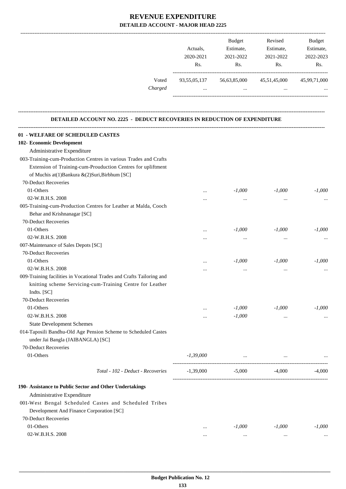|         |              | <b>Budget</b> | Revised      | <b>Budget</b> |
|---------|--------------|---------------|--------------|---------------|
|         | Actuals.     | Estimate,     | Estimate,    | Estimate,     |
|         | 2020-2021    | 2021-2022     | 2021-2022    | 2022-2023     |
|         | Rs.          | Rs.           | Rs.          | Rs.           |
| Voted   | 93,55,05,137 | 56,63,85,000  | 45,51,45,000 | 45,99,71,000  |
| Charged | $\cdots$     |               |              | $\ddotsc$     |
|         |              |               |              |               |
|         |              |               |              |               |

#### **DETAILED ACCOUNT NO. 2225 - DEDUCT RECOVERIES IN REDUCTION OF EXPENDITURE**

**--------------------------------------------------------------------------------------------------------------------------------------------------------------------------------**

| 01 - WELFARE OF SCHEDULED CASTES<br>102- Economic Development         |             |          |           |          |
|-----------------------------------------------------------------------|-------------|----------|-----------|----------|
| Administrative Expenditure                                            |             |          |           |          |
| 003-Training-cum-Production Centres in various Trades and Crafts      |             |          |           |          |
| Extension of Training-cum-Prouduction Centres for upliftment          |             |          |           |          |
| of Muchis at(1)Bankura &(2)Suri,Birbhum [SC]                          |             |          |           |          |
| 70-Deduct Recoveries                                                  |             |          |           |          |
| 01-Others                                                             |             | $-1,000$ | $-1,000$  | $-1,000$ |
| 02-W.B.H.S. 2008                                                      | $\cdots$    |          |           |          |
| 005-Training-cum-Production Centres for Leather at Malda, Cooch       | .           | $\cdots$ | $\ddotsc$ |          |
| Behar and Krishnanagar [SC]                                           |             |          |           |          |
| 70-Deduct Recoveries                                                  |             |          |           |          |
| 01-Others                                                             |             | $-1,000$ | $-1,000$  | $-1,000$ |
| 02-W.B.H.S. 2008                                                      |             |          |           |          |
| 007-Maintenance of Sales Depots [SC]                                  | $\cdots$    |          |           |          |
| 70-Deduct Recoveries                                                  |             |          |           |          |
| 01-Others                                                             |             |          | $-1,000$  | $-1,000$ |
| 02-W.B.H.S. 2008                                                      |             | $-1,000$ |           |          |
| 009-Training facilities in Vocational Trades and Crafts Tailoring and |             | $\cdots$ | $\cdots$  |          |
|                                                                       |             |          |           |          |
| knitting scheme Servicing-cum-Training Centre for Leather             |             |          |           |          |
| Indts. [SC]                                                           |             |          |           |          |
| 70-Deduct Recoveries                                                  |             |          |           |          |
| 01-Others                                                             | $\cdots$    | $-1,000$ | $-1,000$  | $-1,000$ |
| 02-W.B.H.S. 2008                                                      | $\cdots$    | $-1,000$ |           |          |
| <b>State Development Schemes</b>                                      |             |          |           |          |
| 014-Taposili Bandhu-Old Age Pension Scheme to Scheduled Castes        |             |          |           |          |
| under Jai Bangla (JAIBANGLA) [SC]                                     |             |          |           |          |
| 70-Deduct Recoveries                                                  |             |          |           |          |
| 01-Others                                                             | $-1,39,000$ | $\cdots$ |           |          |
| Total - 102 - Deduct - Recoveries                                     | $-1.39,000$ | $-5,000$ | -4,000    | $-4.000$ |
| 190- Assistance to Public Sector and Other Undertakings               |             |          |           |          |
| Administrative Expenditure                                            |             |          |           |          |
| 001-West Bengal Scheduled Castes and Scheduled Tribes                 |             |          |           |          |
| Development And Finance Corporation [SC]                              |             |          |           |          |
| 70-Deduct Recoveries                                                  |             |          |           |          |
| 01-Others                                                             |             | $-1,000$ | $-1,000$  | $-1,000$ |
| 02-W.B.H.S. 2008                                                      | $\cdots$    |          |           |          |
|                                                                       |             | $\ldots$ | $\ldots$  |          |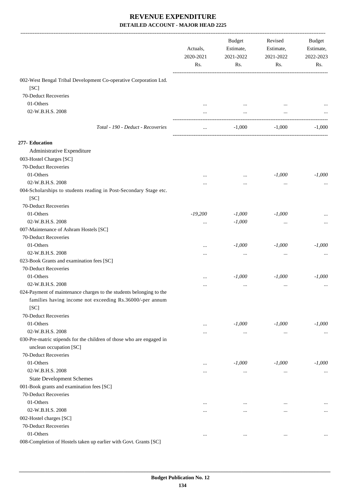|                                                                                                                                 | Actuals,<br>2020-2021<br>Rs. | <b>Budget</b><br>Estimate,<br>2021-2022<br>Rs. | Revised<br>Estimate,<br>2021-2022<br>Rs. | Budget<br>Estimate,<br>2022-2023<br>Rs. |
|---------------------------------------------------------------------------------------------------------------------------------|------------------------------|------------------------------------------------|------------------------------------------|-----------------------------------------|
| 002-West Bengal Tribal Development Co-operative Corporation Ltd.                                                                |                              |                                                |                                          |                                         |
| [SC]                                                                                                                            |                              |                                                |                                          |                                         |
| 70-Deduct Recoveries                                                                                                            |                              |                                                |                                          |                                         |
| 01-Others                                                                                                                       |                              |                                                |                                          |                                         |
| 02-W.B.H.S. 2008                                                                                                                |                              |                                                |                                          |                                         |
| Total - 190 - Deduct - Recoveries                                                                                               | $\ldots$                     | $-1,000$                                       | $-1,000$                                 | $-1,000$                                |
|                                                                                                                                 |                              |                                                |                                          |                                         |
| 277- Education                                                                                                                  |                              |                                                |                                          |                                         |
| Administrative Expenditure                                                                                                      |                              |                                                |                                          |                                         |
| 003-Hostel Charges [SC]                                                                                                         |                              |                                                |                                          |                                         |
| 70-Deduct Recoveries                                                                                                            |                              |                                                |                                          |                                         |
| 01-Others                                                                                                                       |                              |                                                | $-1,000$                                 | $-1,000$                                |
| 02-W.B.H.S. 2008                                                                                                                | .                            | $\cdots$                                       | $\cdots$                                 |                                         |
| 004-Scholarships to students reading in Post-Secondary Stage etc.                                                               |                              |                                                |                                          |                                         |
| [SC]                                                                                                                            |                              |                                                |                                          |                                         |
| 70-Deduct Recoveries                                                                                                            |                              |                                                |                                          |                                         |
| 01-Others                                                                                                                       | $-19,200$                    | $-1,000$                                       | $-1,000$                                 |                                         |
| 02-W.B.H.S. 2008                                                                                                                | $\cdots$                     | $-1,000$                                       | $\ddotsc$                                |                                         |
| 007-Maintenance of Ashram Hostels [SC]                                                                                          |                              |                                                |                                          |                                         |
| 70-Deduct Recoveries                                                                                                            |                              |                                                |                                          |                                         |
| 01-Others                                                                                                                       |                              | $-1,000$                                       | $-1,000$                                 | $-1,000$                                |
| 02-W.B.H.S. 2008                                                                                                                | .                            | $\cdots$                                       | $\ddotsc$                                |                                         |
| 023-Book Grants and examination fees [SC]                                                                                       |                              |                                                |                                          |                                         |
| 70-Deduct Recoveries                                                                                                            |                              |                                                |                                          |                                         |
| 01-Others                                                                                                                       |                              | $-1,000$                                       | $-1,000$                                 | $-1,000$                                |
| 02-W.B.H.S. 2008                                                                                                                | .                            | $\cdots$                                       | $\ddotsc$                                |                                         |
| 024-Payment of maintenance charges to the students belonging to the<br>families having income not exceeding Rs.36000/-per annum |                              |                                                |                                          |                                         |
| [SC]<br>70-Deduct Recoveries                                                                                                    |                              |                                                |                                          |                                         |
| 01-Others                                                                                                                       |                              |                                                |                                          |                                         |
| 02-W.B.H.S. 2008                                                                                                                |                              | $-1,000$                                       | $-1,000$                                 | $-1,000$                                |
|                                                                                                                                 |                              | $\ldots$                                       | $\cdots$                                 | $\cdots$                                |
| 030-Pre-matric stipends for the children of those who are engaged in<br>unclean occupation [SC]                                 |                              |                                                |                                          |                                         |
| 70-Deduct Recoveries                                                                                                            |                              |                                                |                                          |                                         |
| 01-Others                                                                                                                       |                              | $-1,000$                                       | $-1,000$                                 | $-1,000$                                |
| 02-W.B.H.S. 2008                                                                                                                | $\ddotsc$                    |                                                |                                          |                                         |
|                                                                                                                                 |                              | $\ldots$                                       | $\cdots$                                 | $\cdots$                                |
| <b>State Development Schemes</b>                                                                                                |                              |                                                |                                          |                                         |
| 001-Book grants and examination fees [SC]<br>70-Deduct Recoveries                                                               |                              |                                                |                                          |                                         |
|                                                                                                                                 |                              |                                                |                                          |                                         |
| 01-Others                                                                                                                       |                              | $\cdots$                                       | $\cdots$                                 | $\cdots$                                |
| 02-W.B.H.S. 2008                                                                                                                |                              | $\cdots$                                       |                                          | $\cdots$                                |
| 002-Hostel charges [SC]                                                                                                         |                              |                                                |                                          |                                         |
| 70-Deduct Recoveries                                                                                                            |                              |                                                |                                          |                                         |
| 01-Others                                                                                                                       | $\cdots$                     | $\cdots$                                       | $\cdots$                                 | $\cdots$                                |
| 008-Completion of Hostels taken up earlier with Govt. Grants [SC]                                                               |                              |                                                |                                          |                                         |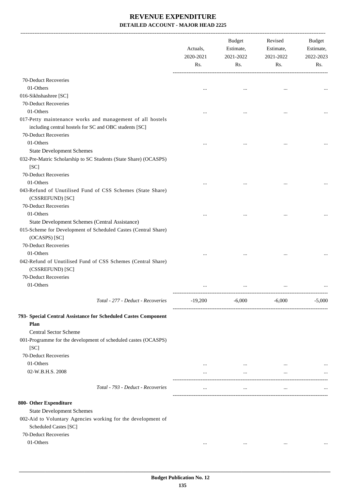-------------------------------------------------------------------------------------------------------------------------------------------------------------------------------

|                                                                                  | Actuals,<br>2020-2021<br>Rs. | <b>Budget</b><br>Estimate,<br>2021-2022<br>Rs. | Revised<br>Estimate,<br>2021-2022<br>Rs. | <b>Budget</b><br>Estimate,<br>2022-2023<br>Rs. |
|----------------------------------------------------------------------------------|------------------------------|------------------------------------------------|------------------------------------------|------------------------------------------------|
| 70-Deduct Recoveries                                                             |                              |                                                |                                          |                                                |
| 01-Others                                                                        | $\cdots$                     |                                                |                                          |                                                |
| 016-Sikhshashree [SC]                                                            |                              |                                                |                                          |                                                |
| 70-Deduct Recoveries                                                             |                              |                                                |                                          |                                                |
| 01-Others                                                                        |                              |                                                |                                          |                                                |
| 017-Petty maintenance works and management of all hostels                        |                              |                                                |                                          |                                                |
| including central hostels for SC and OBC students [SC]                           |                              |                                                |                                          |                                                |
| 70-Deduct Recoveries                                                             |                              |                                                |                                          |                                                |
| 01-Others                                                                        |                              |                                                |                                          |                                                |
| <b>State Development Schemes</b>                                                 |                              |                                                |                                          |                                                |
| 032-Pre-Matric Scholarship to SC Students (State Share) (OCASPS)                 |                              |                                                |                                          |                                                |
| [SC]                                                                             |                              |                                                |                                          |                                                |
| 70-Deduct Recoveries                                                             |                              |                                                |                                          |                                                |
| 01-Others                                                                        |                              |                                                | $\cdots$                                 |                                                |
| 043-Refund of Unutilised Fund of CSS Schemes (State Share)                       |                              |                                                |                                          |                                                |
| (CSSREFUND) [SC]                                                                 |                              |                                                |                                          |                                                |
| 70-Deduct Recoveries                                                             |                              |                                                |                                          |                                                |
| 01-Others                                                                        | $\cdots$                     |                                                |                                          |                                                |
| State Development Schemes (Central Assistance)                                   |                              |                                                |                                          |                                                |
| 015-Scheme for Development of Scheduled Castes (Central Share)                   |                              |                                                |                                          |                                                |
| (OCASPS) [SC]                                                                    |                              |                                                |                                          |                                                |
| 70-Deduct Recoveries                                                             |                              |                                                |                                          |                                                |
| 01-Others                                                                        |                              |                                                |                                          |                                                |
| 042-Refund of Unutilised Fund of CSS Schemes (Central Share)<br>(CSSREFUND) [SC] |                              |                                                |                                          |                                                |
| 70-Deduct Recoveries                                                             |                              |                                                |                                          |                                                |
| 01-Others                                                                        | $\cdots$                     |                                                |                                          |                                                |
| Total - 277 - Deduct - Recoveries                                                | $-19,200$                    | $-6,000$                                       | $-6,000$                                 | $-5,000$                                       |
|                                                                                  |                              |                                                |                                          |                                                |
| 793- Special Central Assistance for Scheduled Castes Component                   |                              |                                                |                                          |                                                |
| Plan                                                                             |                              |                                                |                                          |                                                |
| <b>Central Sector Scheme</b>                                                     |                              |                                                |                                          |                                                |
| 001-Programme for the development of scheduled castes (OCASPS)                   |                              |                                                |                                          |                                                |
| [SC]                                                                             |                              |                                                |                                          |                                                |
| 70-Deduct Recoveries                                                             |                              |                                                |                                          |                                                |
| 01-Others                                                                        | $\ddotsc$                    | $\cdots$                                       |                                          |                                                |
| 02-W.B.H.S. 2008                                                                 | $\cdots$                     | $\cdots$                                       | $\cdots$                                 | $\ddotsc$                                      |
| Total - 793 - Deduct - Recoveries                                                | $\cdots$                     | $\cdots$                                       | $\cdots$                                 |                                                |
|                                                                                  |                              |                                                |                                          |                                                |
| 800- Other Expenditure                                                           |                              |                                                |                                          |                                                |
| <b>State Development Schemes</b>                                                 |                              |                                                |                                          |                                                |
| 002-Aid to Voluntary Agencies working for the development of                     |                              |                                                |                                          |                                                |
| Scheduled Castes [SC]                                                            |                              |                                                |                                          |                                                |
| 70-Deduct Recoveries                                                             |                              |                                                |                                          |                                                |
| 01-Others                                                                        | $\cdots$                     | $\cdots$                                       | $\cdots$                                 |                                                |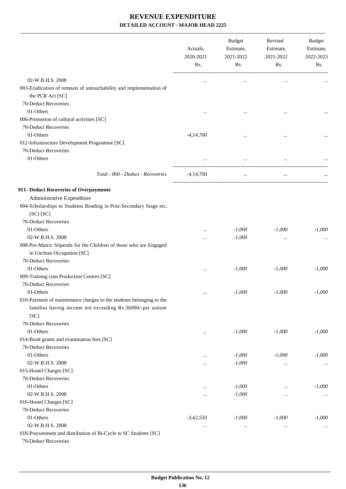|                                                                                                                                 | Actuals,<br>2020-2021<br>Rs. | <b>Budget</b><br>Estimate,<br>2021-2022<br>Rs. | Revised<br>Estimate,<br>2021-2022<br>Rs. | <b>Budget</b><br>Estimate,<br>2022-2023<br>Rs. |
|---------------------------------------------------------------------------------------------------------------------------------|------------------------------|------------------------------------------------|------------------------------------------|------------------------------------------------|
| 02-W.B.H.S. 2008                                                                                                                |                              |                                                |                                          |                                                |
| 003-Eradication of remnats of untouchability and implementation of<br>the PCR Act [SC]                                          |                              | $\cdots$                                       |                                          |                                                |
| 70-Deduct Recoveries                                                                                                            |                              |                                                |                                          |                                                |
| 01-Others                                                                                                                       |                              |                                                |                                          |                                                |
| 006-Promotion of cultural activities [SC]                                                                                       |                              |                                                |                                          |                                                |
| 70-Deduct Recoveries                                                                                                            |                              |                                                |                                          |                                                |
| 01-Others                                                                                                                       | $-4, 14, 700$                | $\ddotsc$                                      |                                          |                                                |
| 012-Infrastructure Development Programme [SC]                                                                                   |                              |                                                |                                          |                                                |
| 70-Deduct Recoveries                                                                                                            |                              |                                                |                                          |                                                |
| 01-Others                                                                                                                       |                              | $\cdots$                                       |                                          |                                                |
| Total - 800 - Deduct - Recoveries                                                                                               | $-4,14,700$                  | $\cdots$                                       |                                          |                                                |
| 911- Deduct Recoveries of Overpayments                                                                                          |                              |                                                |                                          |                                                |
| Administrative Expenditure                                                                                                      |                              |                                                |                                          |                                                |
| 004-Scholarships to Students Reading in Post-Secondary Stage etc.                                                               |                              |                                                |                                          |                                                |
| $(SC)$ $[SC]$                                                                                                                   |                              |                                                |                                          |                                                |
| 70-Deduct Recoveries                                                                                                            |                              |                                                |                                          |                                                |
| 01-Others                                                                                                                       |                              | $-1,000$                                       | $-1,000$                                 | $-1,000$                                       |
| 02-W.B.H.S. 2008                                                                                                                | $\cdots$                     | $-1,000$                                       | $\cdots$                                 |                                                |
| 008-Pre-Matric Stipends for the Children of those who are Engaged                                                               |                              |                                                |                                          |                                                |
| in Unclean Occupation [SC]                                                                                                      |                              |                                                |                                          |                                                |
| 70-Deduct Recoveries                                                                                                            |                              |                                                |                                          |                                                |
| 01-Others                                                                                                                       | $\cdots$                     | $-1,000$                                       | $-1,000$                                 | $-1,000$                                       |
| 009-Training cum Production Centres [SC]                                                                                        |                              |                                                |                                          |                                                |
| 70-Deduct Recoveries                                                                                                            |                              |                                                |                                          |                                                |
| 01-Others                                                                                                                       | $\ldots$                     | $-1,000$                                       | $-1,000$                                 | $-1,000$                                       |
| 010-Payment of maintenance charges to the students belonging to the<br>families having income not exceeding Rs.36000/-per annum |                              |                                                |                                          |                                                |
| [SC]                                                                                                                            |                              |                                                |                                          |                                                |
| 70-Deduct Recoveries                                                                                                            |                              |                                                |                                          |                                                |
| 01-Others                                                                                                                       | $\cdots$                     | $-1,000$                                       | $-1,000$                                 | $-1,000$                                       |
| 014-Book grants and examination fees [SC]                                                                                       |                              |                                                |                                          |                                                |
| 70-Deduct Recoveries                                                                                                            |                              |                                                |                                          |                                                |
| 01-Others<br>02-W.B.H.S. 2008                                                                                                   |                              | $-1,000$                                       | $-1,000$                                 | $-1,000$                                       |
|                                                                                                                                 |                              | $-1,000$                                       | $\cdots$                                 | $\cdots$                                       |
| 015-Hostel Charges [SC]<br>70-Deduct Recoveries                                                                                 |                              |                                                |                                          |                                                |
|                                                                                                                                 |                              |                                                |                                          |                                                |
| 01-Others<br>02-W.B.H.S. 2008                                                                                                   |                              | $-1,000$<br>$-1,000$                           |                                          | $-1,000$                                       |
| 016-Hostel Charges [SC]                                                                                                         |                              |                                                | $\cdots$                                 | $\ldots$                                       |
| 70-Deduct Recoveries                                                                                                            |                              |                                                |                                          |                                                |
| 01-Others                                                                                                                       | $-3,62,550$                  | $-1,000$                                       | $-1,000$                                 | $-1,000$                                       |
| 02-W.B.H.S. 2008                                                                                                                |                              |                                                |                                          |                                                |
| 018-Procurement and distribution of Bi-Cycle to SC Students [SC]                                                                | $\cdots$                     | $\cdots$                                       | $\cdots$                                 | $\cdots$                                       |
| 70-Deduct Recoveries                                                                                                            |                              |                                                |                                          |                                                |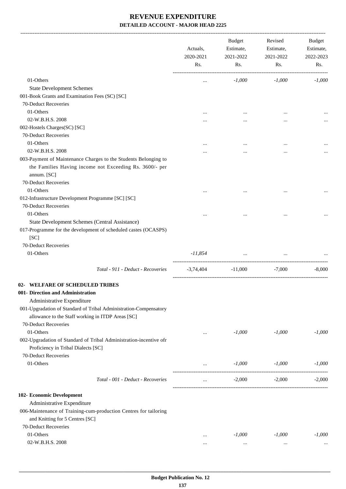|                                                                                                                                                                   | Actuals,<br>2020-2021<br>Rs. | <b>Budget</b><br>Estimate,<br>2021-2022<br>Rs. | Revised<br>Estimate,<br>2021-2022<br>Rs. | Budget<br>Estimate,<br>2022-2023<br>Rs. |
|-------------------------------------------------------------------------------------------------------------------------------------------------------------------|------------------------------|------------------------------------------------|------------------------------------------|-----------------------------------------|
| 01-Others                                                                                                                                                         | $\cdots$                     | $-1,000$                                       | $-1,000$                                 | $-1,000$                                |
| <b>State Development Schemes</b>                                                                                                                                  |                              |                                                |                                          |                                         |
| 001-Book Grants and Examination Fees (SC) [SC]                                                                                                                    |                              |                                                |                                          |                                         |
| 70-Deduct Recoveries                                                                                                                                              |                              |                                                |                                          |                                         |
| 01-Others                                                                                                                                                         |                              |                                                |                                          |                                         |
| 02-W.B.H.S. 2008                                                                                                                                                  |                              |                                                |                                          |                                         |
| 002-Hostels Charges(SC) [SC]                                                                                                                                      |                              |                                                |                                          |                                         |
| 70-Deduct Recoveries                                                                                                                                              |                              |                                                |                                          |                                         |
| 01-Others                                                                                                                                                         |                              |                                                |                                          |                                         |
| 02-W.B.H.S. 2008                                                                                                                                                  |                              |                                                |                                          |                                         |
| 003-Payment of Maintenance Charges to the Students Belonging to<br>the Families Having income not Exceeding Rs. 3600/- per<br>annum. [SC]<br>70-Deduct Recoveries |                              |                                                |                                          |                                         |
| 01-Others                                                                                                                                                         |                              |                                                |                                          |                                         |
| 012-Infrastructure Development Programme [SC] [SC]                                                                                                                |                              |                                                |                                          |                                         |
| 70-Deduct Recoveries<br>01-Others                                                                                                                                 |                              |                                                |                                          |                                         |
| State Development Schemes (Central Assistance)                                                                                                                    |                              |                                                |                                          |                                         |
| 017-Programme for the development of scheduled castes (OCASPS)<br>[SC]                                                                                            |                              |                                                |                                          |                                         |
| 70-Deduct Recoveries                                                                                                                                              |                              |                                                |                                          |                                         |
| 01-Others                                                                                                                                                         | -11,854                      | $\ddots$                                       | $\cdots$                                 |                                         |
| Total - 911 - Deduct - Recoveries                                                                                                                                 | $-3,74,404$                  | $-11,000$                                      | $-7,000$                                 | $-8,000$                                |
| 02- WELFARE OF SCHEDULED TRIBES                                                                                                                                   |                              |                                                |                                          |                                         |
| 001- Direction and Administration                                                                                                                                 |                              |                                                |                                          |                                         |
| Administrative Expenditure                                                                                                                                        |                              |                                                |                                          |                                         |
| 001-Upgradation of Standard of Tribal Administration-Compensatory<br>allowance to the Staff working in ITDP Areas [SC]<br>70-Deduct Recoveries                    |                              |                                                |                                          |                                         |
| 01-Others                                                                                                                                                         |                              | $-1,000$                                       | $-1,000$                                 | $-1,000$                                |
| 002-Upgradation of Standard of Tribal Administration-incentive ofr<br>Proficiency in Tribal Dialects [SC]<br>70-Deduct Recoveries                                 | $\cdots$                     |                                                |                                          |                                         |
| 01-Others                                                                                                                                                         |                              | $-1,000$                                       | $-1,000$                                 | $-1,000$                                |
|                                                                                                                                                                   | $\cdots$                     |                                                |                                          |                                         |
| Total - 001 - Deduct - Recoveries                                                                                                                                 | $\cdots$                     | $-2,000$                                       | $-2,000$                                 | $-2,000$                                |
| 102- Economic Development                                                                                                                                         |                              |                                                |                                          |                                         |
| Administrative Expenditure                                                                                                                                        |                              |                                                |                                          |                                         |
| 006-Maintenance of Training-cum-production Centres for tailoring<br>and Knitting for 5 Centres [SC]                                                               |                              |                                                |                                          |                                         |
| 70-Deduct Recoveries                                                                                                                                              |                              |                                                |                                          |                                         |
| 01-Others                                                                                                                                                         |                              | $-1,000$                                       | $-1,000$                                 | $-1,000$                                |
| 02-W.B.H.S. 2008                                                                                                                                                  |                              | $\cdots$                                       | $\cdots$                                 |                                         |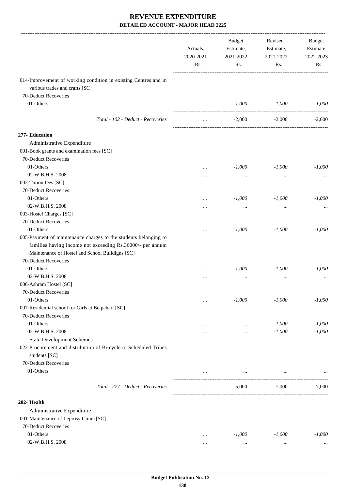|                                                                                   | Actuals,<br>2020-2021<br>Rs. | <b>Budget</b><br>Estimate,<br>2021-2022<br>Rs. | Revised<br>Estimate,<br>2021-2022<br>Rs. | Budget<br>Estimate,<br>2022-2023<br>Rs. |
|-----------------------------------------------------------------------------------|------------------------------|------------------------------------------------|------------------------------------------|-----------------------------------------|
| 014-Improvement of working condition in existing Centres and in                   |                              |                                                |                                          |                                         |
| various trades and crafts [SC]                                                    |                              |                                                |                                          |                                         |
| 70-Deduct Recoveries                                                              |                              |                                                |                                          |                                         |
| 01-Others                                                                         | $\cdots$                     | $-1,000$                                       | $-1,000$                                 | $-1,000$                                |
| Total - 102 - Deduct - Recoveries                                                 |                              | $-2,000$                                       | $-2,000$                                 | $-2,000$                                |
| 277- Education                                                                    |                              |                                                |                                          |                                         |
| Administrative Expenditure                                                        |                              |                                                |                                          |                                         |
| 001-Book grants and examination fees [SC]                                         |                              |                                                |                                          |                                         |
| 70-Deduct Recoveries                                                              |                              |                                                |                                          |                                         |
| 01-Others                                                                         |                              | $-1,000$                                       | $-1,000$                                 | $-1,000$                                |
| 02-W.B.H.S. 2008                                                                  |                              |                                                | $\cdots$                                 |                                         |
| 002-Tution fees [SC]                                                              |                              |                                                |                                          |                                         |
| 70-Deduct Recoveries                                                              |                              |                                                |                                          |                                         |
| 01-Others                                                                         | $\cdots$                     | $-1,000$                                       | $-1,000$                                 | $-1,000$                                |
| 02-W.B.H.S. 2008                                                                  |                              |                                                |                                          |                                         |
| 003-Hostel Charges [SC]                                                           |                              |                                                |                                          |                                         |
| 70-Deduct Recoveries                                                              |                              |                                                |                                          |                                         |
| 01-Others                                                                         | $\cdots$                     | $-1,000$                                       | $-1,000$                                 | $-1,000$                                |
| 005-Payment of maintenance charges to the students belonging to                   |                              |                                                |                                          |                                         |
| families having income not exceeding Rs.36000/- per annum                         |                              |                                                |                                          |                                         |
| Maintenance of Hostel and School Buildigns [SC]                                   |                              |                                                |                                          |                                         |
| 70-Deduct Recoveries                                                              |                              |                                                |                                          |                                         |
| 01-Others                                                                         | $\cdots$                     | $-1,000$                                       | $-1,000$                                 | $-1,000$                                |
| 02-W.B.H.S. 2008                                                                  |                              | $\cdots$                                       | $\cdots$                                 |                                         |
| 006-Ashram Hostel [SC]                                                            |                              |                                                |                                          |                                         |
| 70-Deduct Recoveries                                                              |                              |                                                |                                          |                                         |
| 01-Others                                                                         | $\cdots$                     | $-1,000$                                       | $-1,000$                                 | $-1,000$                                |
| 007-Residential school for Girls at Belpahari [SC]                                |                              |                                                |                                          |                                         |
| 70-Deduct Recoveries                                                              |                              |                                                |                                          |                                         |
| 01-Others                                                                         | $\cdots$                     | $\cdots$                                       | $-1,000$                                 | $-1,000$                                |
| 02-W.B.H.S. 2008                                                                  |                              |                                                | $-1,000$                                 | $-1,000$                                |
| <b>State Development Schemes</b>                                                  |                              |                                                |                                          |                                         |
| 022-Procurement and distribution of Bi-cycle to Scheduled Tribes<br>students [SC] |                              |                                                |                                          |                                         |
| 70-Deduct Recoveries                                                              |                              |                                                |                                          |                                         |
| 01-Others                                                                         |                              |                                                |                                          |                                         |
|                                                                                   |                              | $\cdots$                                       |                                          |                                         |
| Total - 277 - Deduct - Recoveries                                                 |                              | $-5,000$                                       | $-7,000$                                 | $-7,000$                                |
| 282- Health                                                                       |                              |                                                |                                          |                                         |
| Administrative Expenditure                                                        |                              |                                                |                                          |                                         |
| 001-Maintenance of Leprosy Clinic [SC]                                            |                              |                                                |                                          |                                         |
| 70-Deduct Recoveries                                                              |                              |                                                |                                          |                                         |
| 01-Others                                                                         | $\cdots$                     | $-1,000$                                       | $-1,000$                                 | $-1,000$                                |
| 02-W.B.H.S. 2008                                                                  |                              |                                                | $\cdots$                                 |                                         |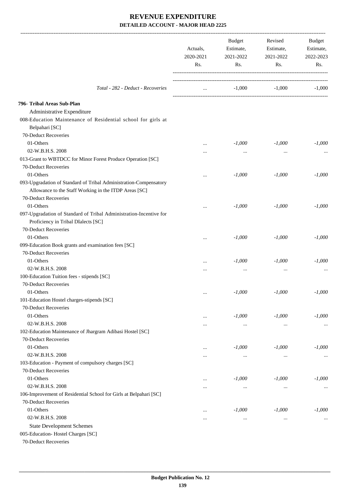|                                                                               | Actuals,<br>2020-2021<br>Rs. | Budget<br>Estimate,<br>2021-2022<br>Rs. | Revised<br>Estimate,<br>2021-2022<br>Rs. | Budget<br>Estimate,<br>2022-2023<br>Rs. |
|-------------------------------------------------------------------------------|------------------------------|-----------------------------------------|------------------------------------------|-----------------------------------------|
| Total - 282 - Deduct - Recoveries                                             | $\cdots$                     | $-1,000$                                | $-1,000$                                 | $-1,000$                                |
| 796- Tribal Areas Sub-Plan                                                    |                              |                                         |                                          |                                         |
| Administrative Expenditure                                                    |                              |                                         |                                          |                                         |
| 008-Education Maintenance of Residential school for girls at                  |                              |                                         |                                          |                                         |
| Belpahari [SC]                                                                |                              |                                         |                                          |                                         |
| 70-Deduct Recoveries                                                          |                              |                                         |                                          |                                         |
| 01-Others                                                                     | $\cdots$                     | $-1,000$                                | $-1,000$                                 | $-1,000$                                |
| 02-W.B.H.S. 2008                                                              | .                            | $\cdots$                                | $\cdots$                                 |                                         |
| 013-Grant to WBTDCC for Minor Forest Produce Operation [SC]                   |                              |                                         |                                          |                                         |
| 70-Deduct Recoveries                                                          |                              |                                         |                                          |                                         |
| 01-Others                                                                     |                              | $-1,000$                                | $-1,000$                                 | $-1,000$                                |
| 093-Upgradation of Standard of Tribal Administration-Compensatory             |                              |                                         |                                          |                                         |
| Allowance to the Staff Working in the ITDP Areas [SC]<br>70-Deduct Recoveries |                              |                                         |                                          |                                         |
| 01-Others                                                                     |                              | $-1,000$                                | $-1,000$                                 | $-1,000$                                |
| 097-Upgradation of Standard of Tribal Administration-Incentive for            |                              |                                         |                                          |                                         |
| Proficiency in Tribal DIalects [SC]                                           |                              |                                         |                                          |                                         |
| 70-Deduct Recoveries                                                          |                              |                                         |                                          |                                         |
| 01-Others                                                                     |                              | $-1,000$                                | $-1,000$                                 | $-1,000$                                |
| 099-Education Book grants and examination fees [SC]                           |                              |                                         |                                          |                                         |
| 70-Deduct Recoveries                                                          |                              |                                         |                                          |                                         |
| 01-Others                                                                     |                              | $-1,000$                                | $-1,000$                                 | $-1,000$                                |
| 02-W.B.H.S. 2008                                                              |                              | $\cdots$                                | $\cdots$                                 |                                         |
| 100-Education Tuition fees - stipends [SC]                                    |                              |                                         |                                          |                                         |
| 70-Deduct Recoveries                                                          |                              |                                         |                                          |                                         |
| 01-Others                                                                     | $\cdots$                     | $-1,000$                                | $-1,000$                                 | $-1,000$                                |
| 101-Education Hostel charges-stipends [SC]                                    |                              |                                         |                                          |                                         |
| 70-Deduct Recoveries                                                          |                              |                                         |                                          |                                         |
| 01-Others                                                                     | $\cdots$                     | $-1,000$                                | $-1,000$                                 | $-1,000$                                |
| 02-W.B.H.S. 2008                                                              |                              | $\ldots$                                | $\ldots$                                 |                                         |
| 102-Education Maintenance of Jhargram Adibasi Hostel [SC]                     |                              |                                         |                                          |                                         |
| 70-Deduct Recoveries                                                          |                              |                                         |                                          |                                         |
| 01-Others                                                                     |                              | $-1,000$                                | $-1,000$                                 | $-1,000$                                |
| 02-W.B.H.S. 2008                                                              | $\cdots$                     | $\cdots$                                | $\cdots$                                 | $\cdots$                                |
| 103-Education - Payment of compulsory charges [SC]                            |                              |                                         |                                          |                                         |
| 70-Deduct Recoveries                                                          |                              |                                         |                                          |                                         |
| 01-Others                                                                     |                              | $-1,000$                                | $-1,000$                                 | $-1,000$                                |
| 02-W.B.H.S. 2008                                                              | .                            | $\cdots$                                | $\cdots$                                 | $\cdots$                                |
| 106-Improvement of Residential School for Girls at Belpahari [SC]             |                              |                                         |                                          |                                         |
| 70-Deduct Recoveries                                                          |                              |                                         |                                          |                                         |
| 01-Others                                                                     |                              | $-1,000$                                | $-1,000$                                 | $-1,000$                                |
| 02-W.B.H.S. 2008                                                              |                              | $\cdots$                                | $\cdots$                                 | $\cdots$                                |
| <b>State Development Schemes</b>                                              |                              |                                         |                                          |                                         |
| 005-Education-Hostel Charges [SC]                                             |                              |                                         |                                          |                                         |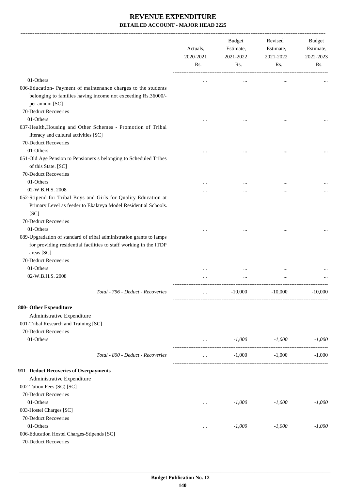|                                                                                                                                                                         | Actuals,<br>2020-2021<br>Rs. | Budget<br>Estimate,<br>2021-2022<br>Rs. | Revised<br>Estimate,<br>2021-2022<br>Rs. | Budget<br>Estimate,<br>2022-2023<br>Rs. |
|-------------------------------------------------------------------------------------------------------------------------------------------------------------------------|------------------------------|-----------------------------------------|------------------------------------------|-----------------------------------------|
| 01-Others                                                                                                                                                               | $\cdots$                     | $\ddotsc$                               | $\cdots$                                 |                                         |
| 006-Education- Payment of maintenance charges to the students<br>belonging to families having income not exceeding Rs.36000/-<br>per annum [SC]<br>70-Deduct Recoveries |                              |                                         |                                          |                                         |
| 01-Others                                                                                                                                                               |                              |                                         |                                          |                                         |
|                                                                                                                                                                         |                              |                                         |                                          |                                         |
| 037-Health, Housing and Other Schemes - Promotion of Tribal<br>literacy and cultural activities [SC]<br>70-Deduct Recoveries                                            |                              |                                         |                                          |                                         |
| 01-Others                                                                                                                                                               |                              |                                         |                                          |                                         |
| 051-Old Age Pension to Pensioners s belonging to Scheduled Tribes<br>of this State. [SC]                                                                                |                              |                                         |                                          |                                         |
| 70-Deduct Recoveries                                                                                                                                                    |                              |                                         |                                          |                                         |
| 01-Others                                                                                                                                                               |                              |                                         |                                          |                                         |
| 02-W.B.H.S. 2008                                                                                                                                                        |                              |                                         |                                          |                                         |
| 052-Stipend for Tribal Boys and Girls for Quality Education at<br>Primary Level as feeder to Ekalavya Model Residential Schools.<br>[SC]<br>70-Deduct Recoveries        |                              |                                         |                                          |                                         |
| 01-Others                                                                                                                                                               |                              |                                         |                                          |                                         |
| 089-Upgradation of standard of tribal administration grants to lamps<br>for providing residential facilities to staff working in the ITDP<br>areas [SC]                 |                              |                                         |                                          |                                         |
| 70-Deduct Recoveries                                                                                                                                                    |                              |                                         |                                          |                                         |
| 01-Others                                                                                                                                                               |                              |                                         |                                          |                                         |
| 02-W.B.H.S. 2008                                                                                                                                                        |                              |                                         |                                          |                                         |
| Total - 796 - Deduct - Recoveries                                                                                                                                       |                              | $-10,000$                               | $-10,000$                                | $-10,000$                               |
| 800- Other Expenditure                                                                                                                                                  |                              |                                         |                                          |                                         |
| Administrative Expenditure                                                                                                                                              |                              |                                         |                                          |                                         |
| 001-Tribal Research and Training [SC]                                                                                                                                   |                              |                                         |                                          |                                         |
| 70-Deduct Recoveries                                                                                                                                                    |                              |                                         |                                          |                                         |
| 01-Others                                                                                                                                                               | $\cdots$                     | $-1,000$                                | -1,000                                   | $-1,000$                                |
| Total - 800 - Deduct - Recoveries                                                                                                                                       | $\cdots$                     | $-1,000$                                | $-1,000$                                 | $-1.000$                                |
| 911- Deduct Recoveries of Overpayments                                                                                                                                  |                              |                                         |                                          |                                         |
| Administrative Expenditure                                                                                                                                              |                              |                                         |                                          |                                         |
| 002-Tution Fees (SC) [SC]                                                                                                                                               |                              |                                         |                                          |                                         |
| 70-Deduct Recoveries                                                                                                                                                    |                              |                                         |                                          |                                         |
| 01-Others                                                                                                                                                               | $\cdots$                     | $-1,000$                                | $-1,000$                                 | $-1,000$                                |
| 003-Hostel Charges [SC]                                                                                                                                                 |                              |                                         |                                          |                                         |
| 70-Deduct Recoveries                                                                                                                                                    |                              |                                         |                                          |                                         |
| 01-Others                                                                                                                                                               | $\cdots$                     | $-1,000$                                | $-1,000$                                 | $-1,000$                                |
| 006-Education Hostel Charges-Stipends [SC]                                                                                                                              |                              |                                         |                                          |                                         |
| 70-Deduct Recoveries                                                                                                                                                    |                              |                                         |                                          |                                         |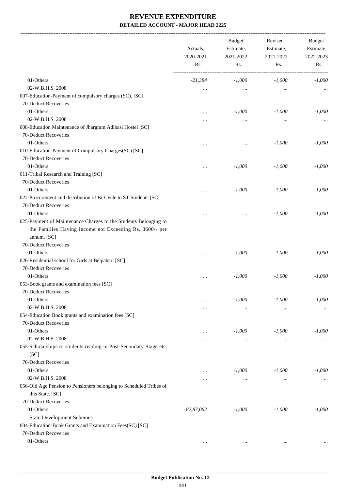-------------------------------------------------------------------------------------------------------------------------------------------------------------------------------

|                                                                                                                                                                   | Actuals,<br>2020-2021<br>Rs. | <b>Budget</b><br>Estimate,<br>2021-2022<br>Rs. | Revised<br>Estimate,<br>2021-2022<br>Rs. | <b>Budget</b><br>Estimate,<br>2022-2023<br>Rs. |
|-------------------------------------------------------------------------------------------------------------------------------------------------------------------|------------------------------|------------------------------------------------|------------------------------------------|------------------------------------------------|
| 01-Others                                                                                                                                                         | $-21,384$                    | $-1,000$                                       | $-1,000$                                 | $-1,000$                                       |
| 02-W.B.H.S. 2008                                                                                                                                                  | $\cdots$                     | $\cdots$                                       | $\ldots$                                 |                                                |
| 007-Education-Payment of compulsory charges (SC). [SC]                                                                                                            |                              |                                                |                                          |                                                |
| 70-Deduct Recoveries                                                                                                                                              |                              |                                                |                                          |                                                |
| 01-Others                                                                                                                                                         | $\cdots$                     | $-1,000$                                       | $-1,000$                                 | $-1,000$                                       |
| 02-W.B.H.S. 2008                                                                                                                                                  |                              | $\cdots$                                       | $\ddotsc$                                |                                                |
| 008-Education Maintenance of Jhargram Adibasi Hostel [SC]                                                                                                         |                              |                                                |                                          |                                                |
| 70-Deduct Recoveries                                                                                                                                              |                              |                                                |                                          |                                                |
| 01-Others                                                                                                                                                         |                              | $\cdots$                                       | $-1,000$                                 | $-1,000$                                       |
| 010-Education-Payment of Compulsory Charges(SC) [SC]                                                                                                              |                              |                                                |                                          |                                                |
| 70-Deduct Recoveries                                                                                                                                              |                              |                                                |                                          |                                                |
| 01-Others                                                                                                                                                         | $\cdots$                     | $-1,000$                                       | $-1,000$                                 | $-1,000$                                       |
| 011-Tribal Research and Training [SC]                                                                                                                             |                              |                                                |                                          |                                                |
| 70-Deduct Recoveries                                                                                                                                              |                              |                                                |                                          |                                                |
| 01-Others                                                                                                                                                         | $\cdots$                     | $-1,000$                                       | $-1,000$                                 | $-1,000$                                       |
| 022-Procurement and distribution of Bi-Cycle to ST Students [SC]                                                                                                  |                              |                                                |                                          |                                                |
| 70-Deduct Recoveries                                                                                                                                              |                              |                                                |                                          |                                                |
| 01-Others                                                                                                                                                         | $\cdots$                     | $\cdots$                                       | $-1,000$                                 | $-1,000$                                       |
| 025-Payment of Maintenance Charges to the Students Belonging to<br>the Families Having income not Exceeding Rs. 3600/- per<br>annum. [SC]<br>70-Deduct Recoveries |                              |                                                |                                          |                                                |
| 01-Others                                                                                                                                                         | $\ddotsc$                    | $-1,000$                                       | $-1,000$                                 | $-1,000$                                       |
| 026-Residential school for Girls at Belpahari [SC]                                                                                                                |                              |                                                |                                          |                                                |
| 70-Deduct Recoveries                                                                                                                                              |                              |                                                |                                          |                                                |
| 01-Others                                                                                                                                                         | $\cdots$                     | $-1,000$                                       | $-1,000$                                 | $-1,000$                                       |
| 053-Book grants and examination fees [SC]                                                                                                                         |                              |                                                |                                          |                                                |
| 70-Deduct Recoveries                                                                                                                                              |                              |                                                |                                          |                                                |
| 01-Others                                                                                                                                                         |                              | $-1,000$                                       | $\text{-}1,000$                          | $-1,000$                                       |
| 02-W.B.H.S. 2008                                                                                                                                                  | $\cdots$                     | $\cdots$                                       | $\cdots$                                 |                                                |
| 054-Education Book grants and examination fees [SC]                                                                                                               |                              |                                                |                                          |                                                |
| 70-Deduct Recoveries                                                                                                                                              |                              |                                                |                                          |                                                |
| 01-Others                                                                                                                                                         |                              | $-1,000$                                       | $-1,000$                                 | $-1,000$                                       |
| 02-W.B.H.S. 2008                                                                                                                                                  |                              | $\cdots$                                       | $\cdots$                                 |                                                |
| 055-Scholarships to students reading in Post-Secondary Stage etc.                                                                                                 |                              |                                                |                                          |                                                |
| [SC]                                                                                                                                                              |                              |                                                |                                          |                                                |
| 70-Deduct Recoveries                                                                                                                                              |                              |                                                |                                          |                                                |
| 01-Others                                                                                                                                                         | $\cdots$                     | $-1,000$                                       | $-1,000$                                 | $-1,000$                                       |
| 02-W.B.H.S. 2008                                                                                                                                                  |                              | $\cdots$                                       | $\cdots$                                 |                                                |
| 056-Old Age Pension to Pensioners belonging to Scheduled Tribes of                                                                                                |                              |                                                |                                          |                                                |
| this State. [SC]                                                                                                                                                  |                              |                                                |                                          |                                                |
| 70-Deduct Recoveries                                                                                                                                              |                              |                                                |                                          |                                                |
| 01-Others                                                                                                                                                         | $-82,87,062$                 | $-1,000$                                       | $-1,000$                                 | $-1,000$                                       |
| <b>State Development Schemes</b>                                                                                                                                  |                              |                                                |                                          |                                                |
| 004-Education-Book Grants and Examination Fees(SC) [SC]                                                                                                           |                              |                                                |                                          |                                                |
| 70-Deduct Recoveries                                                                                                                                              |                              |                                                |                                          |                                                |
| 01-Others                                                                                                                                                         |                              |                                                | $\ldots$                                 |                                                |
|                                                                                                                                                                   | $\cdots$                     | $\cdots$                                       |                                          |                                                |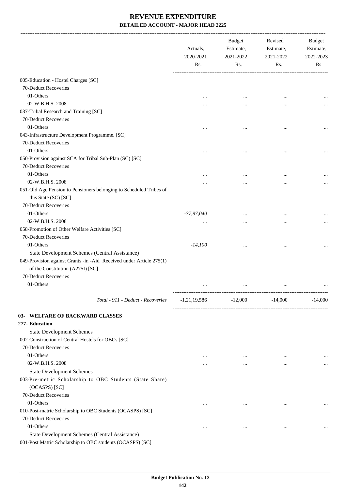|                                                                                                                | Actuals,<br>2020-2021<br>Rs. | <b>Budget</b><br>Estimate,<br>2021-2022<br>Rs. | Revised<br>Estimate,<br>2021-2022<br>Rs. | <b>Budget</b><br>Estimate,<br>2022-2023<br>Rs. |
|----------------------------------------------------------------------------------------------------------------|------------------------------|------------------------------------------------|------------------------------------------|------------------------------------------------|
|                                                                                                                |                              |                                                |                                          |                                                |
| 005-Education - Hostel Charges [SC]                                                                            |                              |                                                |                                          |                                                |
| 70-Deduct Recoveries                                                                                           |                              |                                                |                                          |                                                |
| 01-Others                                                                                                      |                              |                                                |                                          |                                                |
| 02-W.B.H.S. 2008                                                                                               |                              |                                                |                                          |                                                |
| 037-Tribal Research and Training [SC]                                                                          |                              |                                                |                                          |                                                |
| 70-Deduct Recoveries                                                                                           |                              |                                                |                                          |                                                |
| 01-Others                                                                                                      |                              |                                                |                                          |                                                |
| 043-Infrastructure Development Programme. [SC]                                                                 |                              |                                                |                                          |                                                |
| 70-Deduct Recoveries                                                                                           |                              |                                                |                                          |                                                |
| 01-Others                                                                                                      |                              |                                                |                                          |                                                |
| 050-Provision against SCA for Tribal Sub-Plan (SC) [SC]<br>70-Deduct Recoveries                                |                              |                                                |                                          |                                                |
|                                                                                                                |                              |                                                |                                          |                                                |
| 01-Others                                                                                                      |                              |                                                |                                          |                                                |
| 02-W.B.H.S. 2008<br>051-Old Age Pension to Pensioners belonging to Scheduled Tribes of<br>this State (SC) [SC] |                              |                                                |                                          |                                                |
| 70-Deduct Recoveries                                                                                           |                              |                                                |                                          |                                                |
| 01-Others                                                                                                      | $-37,97,040$                 |                                                |                                          |                                                |
| 02-W.B.H.S. 2008                                                                                               |                              |                                                |                                          |                                                |
| 058-Promotion of Other Welfare Activities [SC]                                                                 |                              |                                                |                                          |                                                |
| 70-Deduct Recoveries                                                                                           |                              |                                                |                                          |                                                |
| 01-Others                                                                                                      | $-14,100$                    |                                                |                                          |                                                |
| State Development Schemes (Central Assistance)                                                                 |                              |                                                |                                          |                                                |
| 049-Provision against Grants -in -Aid Received under Article 275(1)<br>of the Constitution (A275I) [SC]        |                              |                                                |                                          |                                                |
| 70-Deduct Recoveries                                                                                           |                              |                                                |                                          |                                                |
| 01-Others                                                                                                      | $\cdots$                     | $\cdots$                                       | $\ddotsc$                                |                                                |
|                                                                                                                |                              |                                                |                                          |                                                |
| Total - 911 - Deduct - Recoveries                                                                              | $-1,21,19,586$               | $-12,000$                                      | $-14,000$                                | $-14,000$                                      |
| 03- WELFARE OF BACKWARD CLASSES                                                                                |                              |                                                |                                          |                                                |
| 277- Education                                                                                                 |                              |                                                |                                          |                                                |
| <b>State Development Schemes</b>                                                                               |                              |                                                |                                          |                                                |
| 002-Construction of Central Hostels for OBCs [SC]                                                              |                              |                                                |                                          |                                                |
| 70-Deduct Recoveries                                                                                           |                              |                                                |                                          |                                                |
| 01-Others                                                                                                      |                              |                                                | $\ddotsc$                                |                                                |
| 02-W.B.H.S. 2008                                                                                               |                              | $\cdots$                                       | $\ddotsc$                                |                                                |
| <b>State Development Schemes</b>                                                                               |                              |                                                |                                          |                                                |
| 003-Pre-metric Scholarship to OBC Students (State Share)<br>(OCASPS) [SC]                                      |                              |                                                |                                          |                                                |
| 70-Deduct Recoveries                                                                                           |                              |                                                |                                          |                                                |
| 01-Others                                                                                                      | $\cdots$                     | $\cdots$                                       | $\ddotsc$                                |                                                |
| 010-Post-matric Scholarship to OBC Students (OCASPS) [SC]                                                      |                              |                                                |                                          |                                                |
| 70-Deduct Recoveries                                                                                           |                              |                                                |                                          |                                                |
| 01-Others                                                                                                      |                              | $\cdots$                                       | $\ddotsc$                                | $\cdots$                                       |
| State Development Schemes (Central Assistance)<br>001-Post Matric Scholarship to OBC students (OCASPS) [SC]    |                              |                                                |                                          |                                                |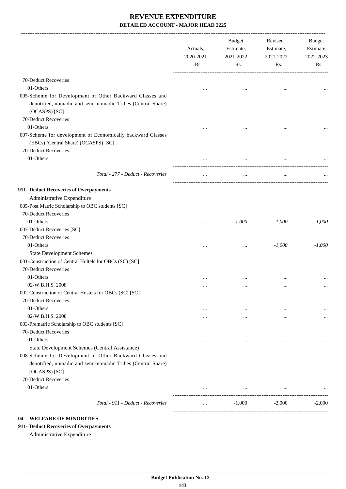|                                                                                                                                                                  | Actuals,<br>2020-2021<br>Rs. | <b>Budget</b><br>Estimate,<br>2021-2022<br>Rs. | Revised<br>Estimate,<br>2021-2022<br>Rs. | Budget<br>Estimate,<br>2022-2023<br>Rs. |
|------------------------------------------------------------------------------------------------------------------------------------------------------------------|------------------------------|------------------------------------------------|------------------------------------------|-----------------------------------------|
| 70-Deduct Recoveries                                                                                                                                             |                              |                                                |                                          |                                         |
| 01-Others                                                                                                                                                        |                              |                                                | $\ddotsc$                                |                                         |
| 005-Scheme for Development of Other Backward Classes and<br>denotified, nomadic and semi-nomadic Tribes (Central Share)<br>(OCASPS) [SC]<br>70-Deduct Recoveries |                              |                                                |                                          |                                         |
| 01-Others                                                                                                                                                        |                              |                                                |                                          |                                         |
| 007-Scheme for development of Economically backward Classes<br>(EBCs) (Central Share) (OCASPS) [SC]<br>70-Deduct Recoveries                                      |                              |                                                |                                          |                                         |
| 01-Others                                                                                                                                                        |                              | $\cdots$                                       |                                          |                                         |
| Total - 277 - Deduct - Recoveries                                                                                                                                | $\cdots$                     | $\cdots$                                       | $\cdots$                                 |                                         |
| 911- Deduct Recoveries of Overpayments                                                                                                                           |                              |                                                |                                          |                                         |
| Administrative Expenditure                                                                                                                                       |                              |                                                |                                          |                                         |
| 005-Post Matric Scholarship to OBC students [SC]                                                                                                                 |                              |                                                |                                          |                                         |
| 70-Deduct Recoveries                                                                                                                                             |                              |                                                |                                          |                                         |
| 01-Others                                                                                                                                                        |                              | $-1,000$                                       | $-1,000$                                 | $-1,000$                                |
| 007-Deduct Recoveries [SC]                                                                                                                                       |                              |                                                |                                          |                                         |
| 70-Deduct Recoveries                                                                                                                                             |                              |                                                |                                          |                                         |
| 01-Others                                                                                                                                                        | $\ddotsc$                    |                                                | $-1,000$                                 | $-1,000$                                |
| <b>State Development Schemes</b>                                                                                                                                 |                              |                                                |                                          |                                         |
| 001-Construction of Central Holtels for OBCs (SC) [SC]                                                                                                           |                              |                                                |                                          |                                         |
| 70-Deduct Recoveries                                                                                                                                             |                              |                                                |                                          |                                         |
| 01-Others                                                                                                                                                        |                              |                                                |                                          |                                         |
| 02-W.B.H.S. 2008                                                                                                                                                 |                              |                                                |                                          |                                         |
| 002-Construction of Central Hostels for OBCs (SC) [SC]                                                                                                           |                              |                                                |                                          |                                         |
| 70-Deduct Recoveries                                                                                                                                             |                              |                                                |                                          |                                         |
| 01-Others                                                                                                                                                        | $\cdots$                     | $\cdots$                                       | $\cdots$                                 |                                         |
| 02-W.B.H.S. 2008                                                                                                                                                 |                              |                                                | $\ddotsc$                                |                                         |
| 003-Prematric Scholarship to OBC students [SC]                                                                                                                   |                              |                                                |                                          |                                         |
| 70-Deduct Recoveries                                                                                                                                             |                              |                                                |                                          |                                         |
| 01-Others                                                                                                                                                        | $\ddotsc$                    | $\ddotsc$                                      | $\ddotsc$                                |                                         |
| State Development Schemes (Central Assistance)                                                                                                                   |                              |                                                |                                          |                                         |
| 008-Scheme for Development of Other Backward Classes and<br>denotified, nomadic and semi-nomadic Tribes (Central Share)                                          |                              |                                                |                                          |                                         |
| (OCASPS) [SC]                                                                                                                                                    |                              |                                                |                                          |                                         |
| 70-Deduct Recoveries                                                                                                                                             |                              |                                                |                                          |                                         |
| 01-Others                                                                                                                                                        |                              | $\cdots$                                       | $\cdots$                                 |                                         |
| Total - 911 - Deduct - Recoveries                                                                                                                                | $\ddotsc$                    | $-1,000$                                       | $-2,000$                                 | $-2,000$                                |

# **04- WELFARE OF MINORITIES**

**911- Deduct Recoveries of Overpayments**

Administrative Expenditure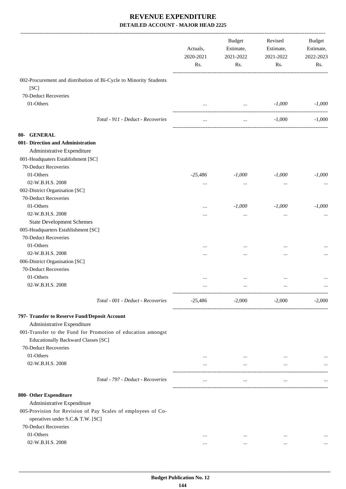|                                                                   | Actuals,<br>2020-2021<br>Rs. | <b>Budget</b><br>Estimate,<br>2021-2022<br>Rs.          | Revised<br>Estimate,<br>2021-2022<br>Rs. | Budget<br>Estimate,<br>2022-2023<br>Rs. |
|-------------------------------------------------------------------|------------------------------|---------------------------------------------------------|------------------------------------------|-----------------------------------------|
| 002-Procurement and distribution of Bi-Cycle to Minority Students |                              |                                                         |                                          |                                         |
| [SC]                                                              |                              |                                                         |                                          |                                         |
| 70-Deduct Recoveries                                              |                              |                                                         |                                          |                                         |
| 01-Others                                                         | $\cdots$                     | $\sim 10^{-10}$<br>------------------------------------ | $-1,000$                                 | $-1,000$                                |
| Total - 911 - Deduct - Recoveries                                 | $\cdots$                     | $\cdots$                                                | $-1,000$                                 | $-1,000$                                |
| 80- GENERAL                                                       |                              |                                                         |                                          |                                         |
| 001- Direction and Administration                                 |                              |                                                         |                                          |                                         |
| Administrative Expenditure                                        |                              |                                                         |                                          |                                         |
| 001-Headquaters Establishment [SC]                                |                              |                                                         |                                          |                                         |
| 70-Deduct Recoveries                                              |                              |                                                         |                                          |                                         |
| 01-Others                                                         | $-25,486$                    | $-1,000$                                                | $-1,000$                                 | $-1,000$                                |
| 02-W.B.H.S. 2008                                                  | $\cdots$                     |                                                         |                                          |                                         |
| 002-District Organisation [SC]                                    |                              |                                                         |                                          |                                         |
| 70-Deduct Recoveries                                              |                              |                                                         |                                          |                                         |
| 01-Others                                                         |                              | $-1,000$                                                | $-1,000$                                 | $-1,000$                                |
| 02-W.B.H.S. 2008                                                  | $\cdots$                     |                                                         |                                          |                                         |
|                                                                   | .                            | $\cdots$                                                |                                          |                                         |
| <b>State Development Schemes</b>                                  |                              |                                                         |                                          |                                         |
| 005-Headquarters Establishment [SC]                               |                              |                                                         |                                          |                                         |
| 70-Deduct Recoveries                                              |                              |                                                         |                                          |                                         |
| 01-Others                                                         |                              | $\cdots$                                                |                                          |                                         |
| 02-W.B.H.S. 2008                                                  |                              | $\cdots$                                                |                                          |                                         |
| 006-District Organisation [SC]                                    |                              |                                                         |                                          |                                         |
| 70-Deduct Recoveries                                              |                              |                                                         |                                          |                                         |
| 01-Others                                                         | $\cdots$                     | $\cdots$                                                |                                          |                                         |
| 02-W.B.H.S. 2008                                                  |                              |                                                         |                                          |                                         |
| Total - 001 - Deduct - Recoveries                                 | $-25,486$                    | $-2,000$                                                | $-2,000$                                 | $-2,000$                                |
| 797- Transfer to Reserve Fund/Deposit Account                     |                              |                                                         |                                          |                                         |
| Administrative Expenditure                                        |                              |                                                         |                                          |                                         |
| 001-Transfer to the Fund for Promotion of education amongst       |                              |                                                         |                                          |                                         |
| Educationally Backward Classes [SC]                               |                              |                                                         |                                          |                                         |
| 70-Deduct Recoveries                                              |                              |                                                         |                                          |                                         |
| 01-Others                                                         |                              | $\cdots$                                                |                                          |                                         |
| 02-W.B.H.S. 2008                                                  | $\cdots$                     | $\cdots$                                                | $\cdots$                                 |                                         |
|                                                                   |                              |                                                         |                                          |                                         |
| Total - 797 - Deduct - Recoveries                                 | $\cdots$                     | $\cdots$                                                | $\cdots$                                 |                                         |
| 800- Other Expenditure                                            |                              |                                                         |                                          |                                         |
| Administrative Expenditure                                        |                              |                                                         |                                          |                                         |
| 005-Provision for Revision of Pay Scales of employees of Co-      |                              |                                                         |                                          |                                         |
| operatives under S.C.& T.W. [SC]                                  |                              |                                                         |                                          |                                         |
| 70-Deduct Recoveries                                              |                              |                                                         |                                          |                                         |
| 01-Others                                                         | $\cdots$                     | $\cdots$                                                | $\cdots$                                 |                                         |
| 02-W.B.H.S. 2008                                                  | $\cdots$                     | $\cdots$                                                | $\cdots$                                 |                                         |
|                                                                   |                              |                                                         |                                          |                                         |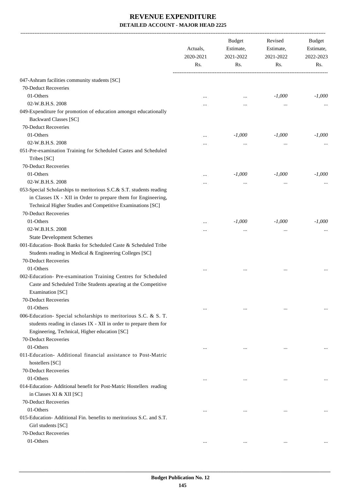|                                                                                                                                                                                                    | Actuals,<br>2020-2021<br>Rs. | <b>Budget</b><br>Estimate,<br>2021-2022<br>Rs. | Revised<br>Estimate,<br>2021-2022<br>Rs. | Budget<br>Estimate,<br>2022-2023<br>Rs. |
|----------------------------------------------------------------------------------------------------------------------------------------------------------------------------------------------------|------------------------------|------------------------------------------------|------------------------------------------|-----------------------------------------|
| 047-Ashram facilities community students [SC]                                                                                                                                                      |                              |                                                |                                          |                                         |
| 70-Deduct Recoveries                                                                                                                                                                               |                              |                                                |                                          |                                         |
| 01-Others                                                                                                                                                                                          | $\ddotsc$                    | $\cdots$                                       | $-1,000$                                 | $-1,000$                                |
| 02-W.B.H.S. 2008                                                                                                                                                                                   |                              |                                                |                                          |                                         |
| 049-Expenditure for promotion of education amongst educationally                                                                                                                                   |                              |                                                |                                          |                                         |
| <b>Backward Classes [SC]</b>                                                                                                                                                                       |                              |                                                |                                          |                                         |
| 70-Deduct Recoveries                                                                                                                                                                               |                              |                                                |                                          |                                         |
| 01-Others                                                                                                                                                                                          |                              | $-1,000$                                       | $-1,000$                                 | $-1,000$                                |
| 02-W.B.H.S. 2008                                                                                                                                                                                   | $\cdots$                     | $\ddotsc$                                      |                                          |                                         |
| 051-Pre-examination Training for Scheduled Castes and Scheduled                                                                                                                                    |                              |                                                |                                          |                                         |
| Tribes [SC]                                                                                                                                                                                        |                              |                                                |                                          |                                         |
| 70-Deduct Recoveries                                                                                                                                                                               |                              |                                                |                                          |                                         |
| 01-Others                                                                                                                                                                                          | $\ddotsc$                    | $-1,000$                                       | $-1,000$                                 | $-1,000$                                |
| 02-W.B.H.S. 2008                                                                                                                                                                                   |                              | $\ddotsc$                                      |                                          |                                         |
| 053-Special Scholarships to meritorious S.C.& S.T. students reading<br>in Classes IX - XII in Order to prepare them for Engineering,<br>Technical Higher Studies and Competitive Examinations [SC] |                              |                                                |                                          |                                         |
| 70-Deduct Recoveries                                                                                                                                                                               |                              |                                                |                                          |                                         |
| 01-Others                                                                                                                                                                                          | $\ddotsc$                    | $-1,000$                                       | $-1,000$                                 | $-1,000$                                |
| 02-W.B.H.S. 2008                                                                                                                                                                                   |                              | $\ddotsc$                                      |                                          |                                         |
| <b>State Development Schemes</b>                                                                                                                                                                   |                              |                                                |                                          |                                         |
| 001-Education- Book Banks for Scheduled Caste & Scheduled Tribe                                                                                                                                    |                              |                                                |                                          |                                         |
| Students reading in Medical & Engineering Colleges [SC]                                                                                                                                            |                              |                                                |                                          |                                         |
| 70-Deduct Recoveries                                                                                                                                                                               |                              |                                                |                                          |                                         |
| 01-Others                                                                                                                                                                                          |                              |                                                | $\cdots$                                 |                                         |
| 002-Education- Pre-examination Training Centres for Scheduled                                                                                                                                      |                              |                                                |                                          |                                         |
| Caste and Scheduled Tribe Students apearing at the Competitive<br>Examination [SC]                                                                                                                 |                              |                                                |                                          |                                         |
| 70-Deduct Recoveries                                                                                                                                                                               |                              |                                                |                                          |                                         |
| 01-Others                                                                                                                                                                                          | $\cdots$                     | $\cdots$                                       | $\cdots$                                 |                                         |
| 006-Education- Special scholarships to meritorious S.C. & S. T.                                                                                                                                    |                              |                                                |                                          |                                         |
| students reading in classes IX - XII in order to prepare them for<br>Engineering, Technical, Higher education [SC]                                                                                 |                              |                                                |                                          |                                         |
| 70-Deduct Recoveries                                                                                                                                                                               |                              |                                                |                                          |                                         |
| 01-Others                                                                                                                                                                                          | $\cdots$                     |                                                |                                          |                                         |
| 011-Education- Additional financial assistance to Post-Matric<br>hostellers [SC]                                                                                                                   |                              |                                                | $\cdots$                                 |                                         |
| 70-Deduct Recoveries                                                                                                                                                                               |                              |                                                |                                          |                                         |
| 01-Others                                                                                                                                                                                          | $\cdots$                     | $\cdots$                                       | $\cdots$                                 |                                         |
| 014-Education- Additional benefit for Post-Matric Hostellers reading                                                                                                                               |                              |                                                |                                          |                                         |
| in Classes XI & XII [SC]                                                                                                                                                                           |                              |                                                |                                          |                                         |
| 70-Deduct Recoveries                                                                                                                                                                               |                              |                                                |                                          |                                         |
| 01-Others                                                                                                                                                                                          | $\ddotsc$                    | $\cdots$                                       |                                          |                                         |
| 015-Education-Additional Fin. benefits to meritorious S.C. and S.T.<br>Girl students [SC]                                                                                                          |                              |                                                |                                          |                                         |
| 70-Deduct Recoveries                                                                                                                                                                               |                              |                                                |                                          |                                         |
| 01-Others                                                                                                                                                                                          | $\cdots$                     | $\cdots$                                       | $\cdots$                                 |                                         |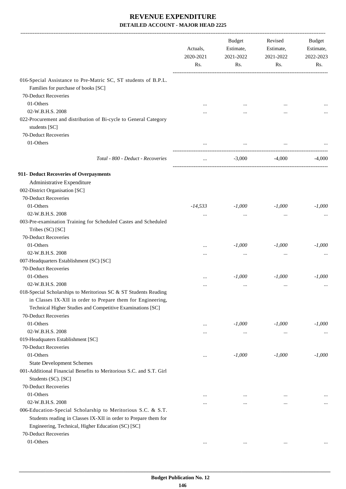|                                                                                                                                                                                       | Actuals,<br>2020-2021<br>Rs. | <b>Budget</b><br>Estimate,<br>2021-2022<br>Rs. | Revised<br>Estimate,<br>2021-2022<br>Rs. | Budget<br>Estimate,<br>2022-2023<br>Rs. |
|---------------------------------------------------------------------------------------------------------------------------------------------------------------------------------------|------------------------------|------------------------------------------------|------------------------------------------|-----------------------------------------|
| 016-Special Assistance to Pre-Matric SC, ST students of B.P.L.                                                                                                                        |                              |                                                |                                          |                                         |
| Families for purchase of books [SC]                                                                                                                                                   |                              |                                                |                                          |                                         |
| 70-Deduct Recoveries                                                                                                                                                                  |                              |                                                |                                          |                                         |
| 01-Others                                                                                                                                                                             |                              |                                                |                                          |                                         |
| 02-W.B.H.S. 2008                                                                                                                                                                      |                              |                                                |                                          |                                         |
| 022-Procurement and distribution of Bi-cycle to General Category<br>students [SC]                                                                                                     |                              |                                                |                                          |                                         |
| 70-Deduct Recoveries                                                                                                                                                                  |                              |                                                |                                          |                                         |
| 01-Others                                                                                                                                                                             |                              |                                                |                                          |                                         |
| Total - 800 - Deduct - Recoveries                                                                                                                                                     |                              | $-3,000$                                       | $-4,000$                                 | $-4,000$                                |
| 911- Deduct Recoveries of Overpayments                                                                                                                                                |                              |                                                |                                          |                                         |
| Administrative Expenditure                                                                                                                                                            |                              |                                                |                                          |                                         |
| 002-District Organisation [SC]                                                                                                                                                        |                              |                                                |                                          |                                         |
| 70-Deduct Recoveries                                                                                                                                                                  |                              |                                                |                                          |                                         |
| 01-Others                                                                                                                                                                             | $-14,533$                    | $-1,000$                                       | $-1,000$                                 | $-1,000$                                |
| 02-W.B.H.S. 2008                                                                                                                                                                      |                              | $\cdots$                                       | $\ddotsc$                                |                                         |
| 003-Pre-examination Training for Scheduled Castes and Scheduled<br>Tribes (SC) [SC]                                                                                                   |                              |                                                |                                          |                                         |
| 70-Deduct Recoveries                                                                                                                                                                  |                              |                                                |                                          |                                         |
| 01-Others                                                                                                                                                                             | .                            | $-1,000$                                       | $-1,000$                                 | $-1,000$                                |
| 02-W.B.H.S. 2008                                                                                                                                                                      | .                            | $\cdots$                                       | $\ddotsc$                                |                                         |
| 007-Headquarters Establishment (SC) [SC]                                                                                                                                              |                              |                                                |                                          |                                         |
| 70-Deduct Recoveries                                                                                                                                                                  |                              |                                                |                                          |                                         |
| 01-Others                                                                                                                                                                             |                              | $-1,000$                                       | $-1,000$                                 | $-1,000$                                |
| 02-W.B.H.S. 2008                                                                                                                                                                      | .                            | $\cdots$                                       | $\ddotsc$                                |                                         |
| 018-Special Scholarships to Meritorious SC & ST Students Reading                                                                                                                      |                              |                                                |                                          |                                         |
| in Classes IX-XII in order to Prepare them for Engineering,                                                                                                                           |                              |                                                |                                          |                                         |
| Technical Higher Studies and Competitive Examinations [SC]                                                                                                                            |                              |                                                |                                          |                                         |
| 70-Deduct Recoveries                                                                                                                                                                  |                              |                                                |                                          |                                         |
| 01-Others                                                                                                                                                                             |                              | $-1,000$                                       | $-1,000$                                 | $-1,000$                                |
| 02-W.B.H.S. 2008                                                                                                                                                                      |                              | $\cdots$                                       | $\cdots$                                 |                                         |
| 019-Headquaters Establishment [SC]                                                                                                                                                    |                              |                                                |                                          |                                         |
| 70-Deduct Recoveries                                                                                                                                                                  |                              |                                                |                                          |                                         |
| 01-Others                                                                                                                                                                             |                              | $-1,000$                                       | $-1,000$                                 | $-1,000$                                |
| <b>State Development Schemes</b>                                                                                                                                                      |                              |                                                |                                          |                                         |
| 001-Additional Financial Benefits to Meritorious S.C. and S.T. Girl<br>Students (SC). [SC]                                                                                            |                              |                                                |                                          |                                         |
| 70-Deduct Recoveries                                                                                                                                                                  |                              |                                                |                                          |                                         |
| 01-Others                                                                                                                                                                             |                              | $\cdots$                                       | $\cdots$                                 |                                         |
| 02-W.B.H.S. 2008                                                                                                                                                                      |                              |                                                | $\cdots$                                 | $\cdots$                                |
| 006-Education-Special Scholarship to Meritorious S.C. & S.T.<br>Students reading in Classes IX-XII in order to Prepare them for<br>Engineering, Technical, Higher Education (SC) [SC] |                              |                                                |                                          |                                         |
| 70-Deduct Recoveries                                                                                                                                                                  |                              |                                                |                                          |                                         |
| 01-Others                                                                                                                                                                             | $\cdots$                     | $\cdots$                                       | $\cdots$                                 |                                         |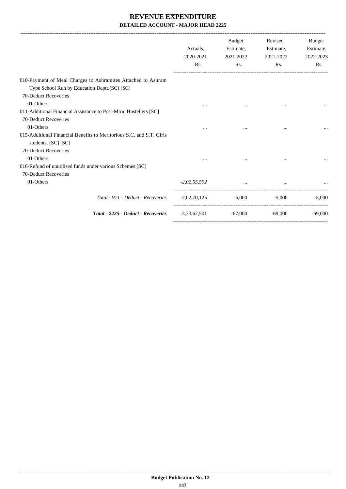| $\cdots$ |                | $\cdots$                         |                                                                       |
|----------|----------------|----------------------------------|-----------------------------------------------------------------------|
|          |                |                                  |                                                                       |
|          |                |                                  |                                                                       |
|          |                |                                  |                                                                       |
|          |                |                                  |                                                                       |
|          |                |                                  |                                                                       |
|          |                |                                  |                                                                       |
|          |                |                                  |                                                                       |
|          |                |                                  |                                                                       |
|          |                |                                  |                                                                       |
|          |                | $\cdots$                         |                                                                       |
|          |                |                                  |                                                                       |
|          |                |                                  |                                                                       |
|          |                |                                  |                                                                       |
|          |                |                                  | $-5,000$<br>$-5,000$                                                  |
|          | -67.000        | -69.000                          | $-69,000$                                                             |
|          | $-2,02,55,592$ | $-2,02,70,125$<br>$-3,33,62,501$ | $\mathbf{r}$ and $\mathbf{r}$ are the set of $\mathbf{r}$<br>$-5,000$ |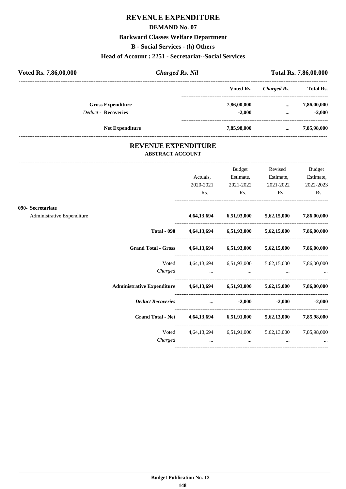# **REVENUE EXPENDITURE**

#### **DEMAND No. 07**

#### **Backward Classes Welfare Department**

**B - Social Services - (h) Others**

#### **Head of Account : 2251 - Secretariat--Social Services**

| Voted Rs. 7,86,00,000      | <b>Charged Rs. Nil</b> |             |             | <b>Total Rs. 7,86,00,000</b> |
|----------------------------|------------------------|-------------|-------------|------------------------------|
|                            |                        | Voted Rs.   | Charged Rs. | <b>Total Rs.</b>             |
| <b>Gross Expenditure</b>   |                        | 7,86,00,000 | $\cdots$    | 7,86,00,000                  |
| <b>Deduct - Recoveries</b> |                        | $-2.000$    | $\cdots$    | $-2.000$                     |
| <b>Net Expenditure</b>     |                        | 7,85,98,000 | $\cdots$    | 7,85,98,000                  |

#### **REVENUE EXPENDITURE ABSTRACT ACCOUNT**

---------------------------------------------------------------------------------------------------------------------------------------------------------------------------------

|                                                 |                                                                                | Actuals,<br>2020-2021<br>Rs. | <b>Budget</b><br>Estimate,<br>2021-2022<br>$\mathbf{Rs.}$                       | Revised<br>Estimate,<br>2021-2022<br>$\mathbf{Rs.}$               | <b>Budget</b><br>Estimate,<br>2022-2023<br>Rs. |
|-------------------------------------------------|--------------------------------------------------------------------------------|------------------------------|---------------------------------------------------------------------------------|-------------------------------------------------------------------|------------------------------------------------|
| 090- Secretariate<br>Administrative Expenditure |                                                                                |                              |                                                                                 | 4,64,13,694 6,51,93,000 5,62,15,000 7,86,00,000                   |                                                |
|                                                 |                                                                                |                              |                                                                                 | Total - 090  4,64,13,694  6,51,93,000  5,62,15,000  7,86,00,000   |                                                |
|                                                 | Grand Total - Gross 4,64,13,694 6,51,93,000 5,62,15,000 7,86,00,000            |                              |                                                                                 |                                                                   |                                                |
|                                                 | Voted<br>Charged                                                               |                              | the contract of the contract of the contract of the contract of the contract of | 4,64,13,694 6,51,93,000 5,62,15,000 7,86,00,000                   |                                                |
|                                                 | Administrative Expenditure  4,64,13,694  6,51,93,000  5,62,15,000  7,86,00,000 |                              |                                                                                 |                                                                   |                                                |
|                                                 | <b>Deduct Recoveries</b>                                                       |                              | $\ldots$ $-2,000$                                                               |                                                                   | $-2,000$ $-2,000$                              |
|                                                 | Grand Total - Net 4,64,13,694 6,51,91,000 5,62,13,000 7,85,98,000              |                              |                                                                                 |                                                                   |                                                |
|                                                 | Charged                                                                        |                              | and the contract of the con-                                                    | Voted 4,64,13,694 6,51,91,000 5,62,13,000 7,85,98,000<br>$\cdots$ |                                                |
|                                                 |                                                                                |                              |                                                                                 |                                                                   |                                                |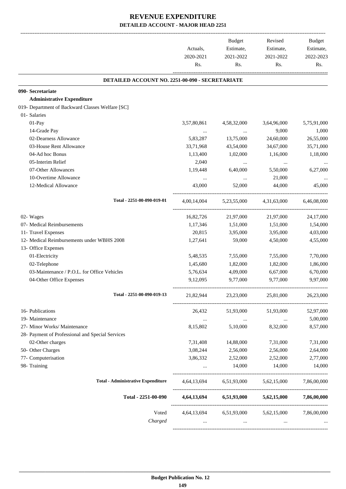|                                                  |             | Budget                  | Revised     | Budget      |
|--------------------------------------------------|-------------|-------------------------|-------------|-------------|
|                                                  | Actuals,    | Estimate,               | Estimate,   | Estimate,   |
|                                                  | 2020-2021   | 2021-2022               | 2021-2022   | 2022-2023   |
|                                                  | Rs.         | Rs.                     | Rs.         | Rs.         |
| DETAILED ACCOUNT NO. 2251-00-090 - SECRETARIATE  |             |                         |             |             |
| 090- Secretariate                                |             |                         |             |             |
| <b>Administrative Expenditure</b>                |             |                         |             |             |
| 019- Department of Backward Classes Welfare [SC] |             |                         |             |             |
| 01- Salaries                                     |             |                         |             |             |
| 01-Pay                                           | 3,57,80,861 | 4,58,32,000             | 3,64,96,000 | 5,75,91,000 |
| 14-Grade Pay                                     |             | $\ldots$                | 9,000       | 1,000       |
| 02-Dearness Allowance                            | 5,83,287    | 13,75,000               | 24,60,000   | 26,55,000   |
| 03-House Rent Allowance                          | 33,71,968   | 43,54,000               | 34,67,000   | 35,71,000   |
| 04-Ad hoc Bonus                                  | 1,13,400    | 1,02,000                | 1,16,000    | 1,18,000    |
| 05-Interim Relief                                | 2,040       | $\cdots$                | $\cdots$    | $\cdots$    |
| 07-Other Allowances                              | 1,19,448    | 6,40,000                | 5,50,000    | 6,27,000    |
| 10-Overtime Allowance                            | $\cdots$    | $\cdots$                | 21,000      |             |
| 12-Medical Allowance                             | 43,000      | 52,000                  | 44,000      | 45,000      |
| Total - 2251-00-090-019-01                       | 4,00,14,004 | 5,23,55,000             | 4,31,63,000 | 6,46,08,000 |
| 02- Wages                                        | 16,82,726   | 21,97,000               | 21,97,000   | 24,17,000   |
| 07- Medical Reimbursements                       | 1,17,346    | 1,51,000                | 1,51,000    | 1,54,000    |
| 11- Travel Expenses                              | 20,815      | 3,95,000                | 3,95,000    | 4,03,000    |
| 12- Medical Reimbursements under WBHS 2008       | 1,27,641    | 59,000                  | 4,50,000    | 4,55,000    |
| 13- Office Expenses                              |             |                         |             |             |
| 01-Electricity                                   | 5,48,535    | 7,55,000                | 7,55,000    | 7,70,000    |
| 02-Telephone                                     | 1,45,680    | 1,82,000                | 1,82,000    | 1,86,000    |
| 03-Maintenance / P.O.L. for Office Vehicles      | 5,76,634    | 4,09,000                | 6,67,000    | 6,70,000    |
| 04-Other Office Expenses                         | 9,12,095    | 9,77,000                | 9,77,000    | 9,97,000    |
| Total - 2251-00-090-019-13                       | 21,82,944   | 23,23,000               | 25,81,000   | 26,23,000   |
| 16- Publications                                 | 26,432      | 51,93,000               | 51,93,000   | 52,97,000   |
| 19- Maintenance                                  | $\cdots$    | $\ldots$                | $\ldots$    | 5,00,000    |
| 27- Minor Works/ Maintenance                     | 8,15,802    | 5,10,000                | 8,32,000    | 8,57,000    |
| 28- Payment of Professional and Special Services |             |                         |             |             |
| 02-Other charges                                 | 7,31,408    | 14,88,000               | 7,31,000    | 7,31,000    |
| 50- Other Charges                                | 3,08,244    | 2,56,000                | 2,56,000    | 2,64,000    |
| 77- Computerisation                              | 3,86,332    | 2,52,000                | 2,52,000    | 2,77,000    |
| 98- Training                                     |             | 14,000                  | 14,000      | 14,000      |
| <b>Total - Administrative Expenditure</b>        |             | 4,64,13,694 6,51,93,000 | 5,62,15,000 | 7,86,00,000 |
| Total - 2251-00-090                              | 4,64,13,694 | 6,51,93,000             | 5,62,15,000 | 7,86,00,000 |
| Voted                                            | 4,64,13,694 | 6,51,93,000             | 5,62,15,000 | 7,86,00,000 |
| Charged                                          |             |                         |             |             |
|                                                  |             |                         |             |             |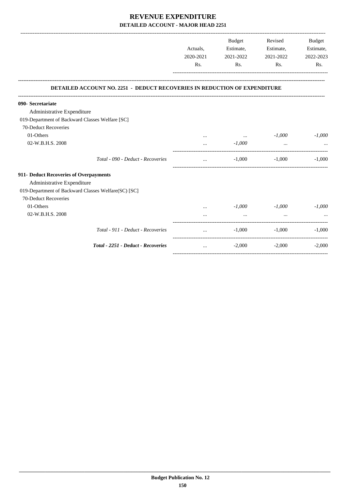|                                                                                  | Actuals,<br>2020-2021<br>Rs. | Budget<br>Estimate,<br>2021-2022<br>Rs. | Revised<br>Estimate,<br>2021-2022<br>Rs. | Budget<br>Estimate,<br>2022-2023<br>Rs. |
|----------------------------------------------------------------------------------|------------------------------|-----------------------------------------|------------------------------------------|-----------------------------------------|
| <b>DETAILED ACCOUNT NO. 2251 - DEDUCT RECOVERIES IN REDUCTION OF EXPENDITURE</b> |                              |                                         |                                          |                                         |
| 090- Secretariate                                                                |                              |                                         |                                          |                                         |
| Administrative Expenditure                                                       |                              |                                         |                                          |                                         |
| 019-Department of Backward Classes Welfare [SC]                                  |                              |                                         |                                          |                                         |
| 70-Deduct Recoveries                                                             |                              |                                         |                                          |                                         |
| 01-Others                                                                        |                              | $\cdots$                                | $-1,000$                                 | $-1,000$                                |
| 02-W.B.H.S. 2008                                                                 | $\cdots$                     | $-1,000$                                | $\cdots$                                 |                                         |
| Total - 090 - Deduct - Recoveries                                                | $\cdots$                     | $-1,000$                                | $-1,000$                                 | $-1,000$                                |
| 911- Deduct Recoveries of Overpayments                                           |                              |                                         |                                          |                                         |
| Administrative Expenditure                                                       |                              |                                         |                                          |                                         |
| 019-Department of Backward Classes Welfare(SC) [SC]                              |                              |                                         |                                          |                                         |
| 70-Deduct Recoveries                                                             |                              |                                         |                                          |                                         |
| 01-Others                                                                        |                              | -1,000                                  | -1,000                                   | $-1,000$                                |
| 02-W.B.H.S. 2008                                                                 |                              | $\cdots$                                | $\cdots$                                 |                                         |
| Total - 911 - Deduct - Recoveries                                                | $\cdots$                     | $-1,000$                                | $-1,000$                                 | $-1,000$                                |
| Total - 2251 - Deduct - Recoveries                                               | $\cdots$                     | $-2,000$                                | $-2,000$                                 | $-2,000$                                |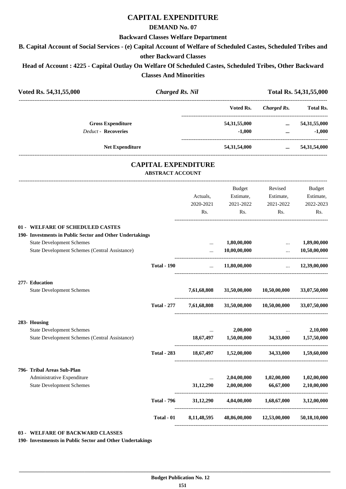### **CAPITAL EXPENDITURE**

#### **DEMAND No. 07**

#### **Backward Classes Welfare Department**

**B. Capital Account of Social Services - (e) Capital Account of Welfare of Scheduled Castes, Scheduled Tribes and**

#### **other Backward Classes**

**Head of Account : 4225 - Capital Outlay On Welfare Of Scheduled Castes, Scheduled Tribes, Other Backward Classes And Minorities**

| Voted Rs. 54,31,55,000                                                             | <b>Charged Rs. Nil</b>                                |             |                                     |                                               | Total Rs. 54, 31, 55, 000   |
|------------------------------------------------------------------------------------|-------------------------------------------------------|-------------|-------------------------------------|-----------------------------------------------|-----------------------------|
|                                                                                    |                                                       |             | Voted Rs.                           | -----------------------<br><b>Charged Rs.</b> | <b>Total Rs.</b>            |
| <b>Gross Expenditure</b>                                                           |                                                       |             | 54,31,55,000                        | $\cdots$                                      | 54, 31, 55, 000             |
| <b>Deduct - Recoveries</b>                                                         |                                                       |             | $-1,000$                            | $\cdots$                                      | $-1,000$                    |
| <b>Net Expenditure</b>                                                             |                                                       |             | 54,31,54,000                        | $\cdots$                                      | 54,31,54,000                |
|                                                                                    | <b>CAPITAL EXPENDITURE</b><br><b>ABSTRACT ACCOUNT</b> |             |                                     |                                               |                             |
|                                                                                    |                                                       |             | Budget                              | Revised                                       | Budget                      |
|                                                                                    |                                                       | Actuals,    | Estimate,                           | Estimate,                                     | Estimate,                   |
|                                                                                    |                                                       | 2020-2021   | 2021-2022                           | 2021-2022                                     | 2022-2023                   |
|                                                                                    |                                                       | Rs.         | Rs.                                 | Rs.                                           | Rs.                         |
| 01 - WELFARE OF SCHEDULED CASTES                                                   |                                                       |             |                                     |                                               |                             |
| 190- Investments in Public Sector and Other Undertakings                           |                                                       |             |                                     |                                               |                             |
| <b>State Development Schemes</b><br>State Development Schemes (Central Assistance) |                                                       |             | 1,80,00,000                         | $\cdots$                                      | 1,89,00,000<br>10,50,00,000 |
|                                                                                    |                                                       |             | 10,00,00,000                        | $\cdots$                                      |                             |
|                                                                                    | <b>Total - 190</b>                                    | $\cdots$    | 11,80,00,000                        | <b>Contract Contract Contract</b>             | 12,39,00,000                |
| 277- Education                                                                     |                                                       |             |                                     |                                               |                             |
| <b>State Development Schemes</b>                                                   |                                                       | 7,61,68,808 | 31,50,00,000                        | 10,50,00,000                                  | 33,07,50,000                |
|                                                                                    | <b>Total - 277</b>                                    | 7,61,68,808 | 31,50,00,000                        | $10{,}50{,}00{,}000$                          | 33,07,50,000                |
| 283- Housing                                                                       |                                                       |             |                                     |                                               |                             |
| <b>State Development Schemes</b>                                                   |                                                       | $\cdots$    | 2,00,000                            | $\ddots$                                      | 2,10,000                    |
| <b>State Development Schemes (Central Assistance)</b>                              |                                                       | 18,67,497   | 1,50,00,000                         | 34,33,000                                     | 1,57,50,000                 |
|                                                                                    | <b>Total - 283</b>                                    | 18,67,497   | 1,52,00,000                         | 34,33,000                                     | 1,59,60,000                 |
| 796- Tribal Areas Sub-Plan                                                         |                                                       |             |                                     |                                               |                             |
| Administrative Expenditure                                                         |                                                       | $\cdots$    | 2,04,00,000                         | 1,02,00,000                                   | 1,02,00,000                 |
| <b>State Development Schemes</b>                                                   |                                                       | 31,12,290   | 2,00,00,000<br>-------------------- | 66,67,000<br>_____________________            | 2,10,00,000<br>-----------  |
|                                                                                    | <b>Total - 796</b>                                    | 31,12,290   | 4,04,00,000                         | 1,68,67,000                                   | 3,12,00,000                 |
|                                                                                    | Total - 01                                            | 8,11,48,595 | 48,86,00,000                        | 12,53,00,000                                  | 50,18,10,000                |
|                                                                                    |                                                       |             |                                     |                                               |                             |

#### **03 - WELFARE OF BACKWARD CLASSES**

**190- Investmensts in Public Sector and Other Undertakings**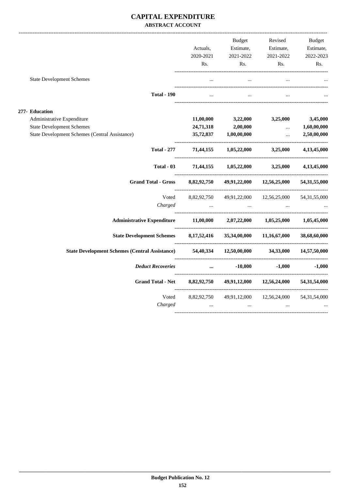#### **CAPITAL EXPENDITURE ABSTRACT ACCOUNT**

|                |                                                                                              | Actuals,<br>2020-2021   | Budget<br>Estimate,<br>2021-2022      | Revised<br>Estimate,<br>2021-2022                  | Budget<br>Estimate,<br>2022-2023 |
|----------------|----------------------------------------------------------------------------------------------|-------------------------|---------------------------------------|----------------------------------------------------|----------------------------------|
|                |                                                                                              | Rs.                     | Rs.                                   | Rs.                                                | Rs.                              |
|                | <b>State Development Schemes</b>                                                             |                         | $\ddots$                              |                                                    |                                  |
|                | <b>Total - 190</b>                                                                           |                         | $\dddot{\phantom{0}}$                 |                                                    |                                  |
| 277- Education |                                                                                              |                         |                                       |                                                    |                                  |
|                | Administrative Expenditure                                                                   | 11,00,000               |                                       | $3,22,000$ $3,25,000$                              | 3,45,000                         |
|                | <b>State Development Schemes</b>                                                             | 24,71,318               | $2{,}00{,}000$                        | <b><i>Contract Contract Services</i></b>           | 1,60,00,000                      |
|                | <b>State Development Schemes (Central Assistance)</b>                                        | 35,72,837               | 1,00,00,000                           | $\Delta\Delta\omega$ and $\Delta\omega$            | 2,50,00,000                      |
|                | <b>Total - 277</b>                                                                           |                         | 71,44,155 1,05,22,000 3,25,000        |                                                    | 4,13,45,000                      |
|                | Total - 03                                                                                   |                         | 71,44,155 1,05,22,000 3,25,000        |                                                    | 4,13,45,000                      |
|                | <b>Grand Total - Gross</b>                                                                   | 8,82,92,750             |                                       | 49,91,22,000 12,56,25,000<br>--------------------- | 54,31,55,000                     |
|                | Voted                                                                                        |                         | 8,82,92,750 49,91,22,000 12,56,25,000 |                                                    | 54, 31, 55, 000                  |
|                | Charged                                                                                      |                         |                                       |                                                    |                                  |
|                | Administrative Expenditure 11,00,000 2,07,22,000 1,05,25,000 1,05,45,000                     |                         |                                       |                                                    |                                  |
|                | <b>State Development Schemes</b>                                                             |                         | 8,17,52,416 35,34,00,000 11,16,67,000 |                                                    | 38,68,60,000                     |
|                | State Development Schemes (Central Assistance) 54,40,334 12,50,00,000 34,33,000 14,57,50,000 |                         |                                       |                                                    |                                  |
|                | <b>Deduct Recoveries</b>                                                                     |                         | $\cdots$                              | $-10,000$ $-1,000$                                 | $-1,000$                         |
|                | <b>Grand Total - Net</b>                                                                     | 8,82,92,750             |                                       | 49,91,12,000 12,56,24,000                          | 54,31,54,000                     |
|                | Voted<br>Charged                                                                             | 8,82,92,750<br>$\ddots$ | $\ddotsc$                             | 49,91,12,000 12,56,24,000                          | 54, 31, 54, 000                  |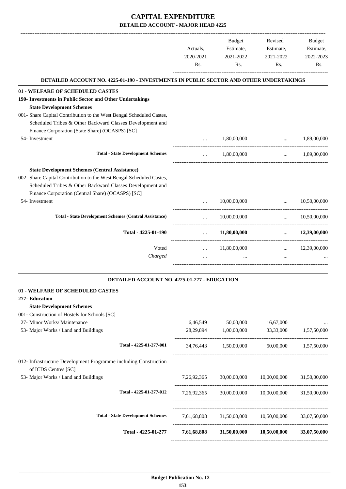|                                                                                                                                                                                                                                                 | Actuals,<br>2020-2021<br>Rs. | Budget<br>Estimate,<br>2021-2022<br>Rs.            | Revised<br>Estimate,<br>2021-2022<br>Rs.     | Budget<br>Estimate,<br>2022-2023<br>Rs. |
|-------------------------------------------------------------------------------------------------------------------------------------------------------------------------------------------------------------------------------------------------|------------------------------|----------------------------------------------------|----------------------------------------------|-----------------------------------------|
| DETAILED ACCOUNT NO. 4225-01-190 - INVESTMENTS IN PUBLIC SECTOR AND OTHER UNDERTAKINGS                                                                                                                                                          |                              |                                                    |                                              |                                         |
| 01 - WELFARE OF SCHEDULED CASTES<br>190- Investments in Public Sector and Other Undertakings<br><b>State Development Schemes</b>                                                                                                                |                              |                                                    |                                              |                                         |
| 001- Share Capital Contribution to the West Bengal Scheduled Castes,<br>Scheduled Tribes & Other Backward Classes Development and                                                                                                               |                              |                                                    |                                              |                                         |
| Finance Corporation (State Share) (OCASPS) [SC]<br>54- Investment                                                                                                                                                                               |                              | 1,80,00,000                                        | $\ddotsc$                                    | 1,89,00,000                             |
| <b>Total - State Development Schemes</b>                                                                                                                                                                                                        | $\cdots$                     | 1,80,00,000                                        | --------------------------------<br>$\cdots$ | 1,89,00,000                             |
| <b>State Development Schemes (Central Assistance)</b><br>002- Share Capital Contribution to the West Bengal Scheduled Castes,<br>Scheduled Tribes & Other Backward Classes Development and<br>Finance Corporation (Central Share) (OCASPS) [SC] |                              |                                                    |                                              |                                         |
| 54- Investment                                                                                                                                                                                                                                  |                              | 10,00,00,000                                       | $\mathbf{r}$                                 | 10,50,00,000                            |
| <b>Total - State Development Schemes (Central Assistance)</b>                                                                                                                                                                                   |                              | 10,00,00,000                                       |                                              | $\ldots$ 10,50,00,000                   |
| Total - 4225-01-190                                                                                                                                                                                                                             | $\ddots$                     | 11,80,00,000                                       | $\mathbf{r}$ , $\mathbf{r}$ , $\mathbf{r}$   | 12,39,00,000                            |
| Voted<br>Charged                                                                                                                                                                                                                                | $\cdots$<br>$\cdots$         | 11,80,00,000                                       | $\mathbf{1}$ , and $\mathbf{1}$<br>$\cdots$  | 12,39,00,000                            |
| DETAILED ACCOUNT NO. 4225-01-277 - EDUCATION                                                                                                                                                                                                    |                              |                                                    |                                              |                                         |
| 01 - WELFARE OF SCHEDULED CASTES<br>277- Education<br><b>State Development Schemes</b>                                                                                                                                                          |                              |                                                    |                                              |                                         |
| 001- Construction of Hostels for Schools [SC]<br>27- Minor Works/ Maintenance                                                                                                                                                                   | 6,46,549                     | 50,00,000                                          | 16,67,000                                    | $\cdots$                                |
| 53- Major Works / Land and Buildings                                                                                                                                                                                                            | 28,29,894                    | 1,00,00,000                                        | 33,33,000                                    | 1,57,50,000                             |
| Total - 4225-01-277-001                                                                                                                                                                                                                         |                              | 34,76,443 1,50,00,000                              |                                              | 50,00,000 1,57,50,000                   |
| 012- Infrastructure Development Programme including Construction<br>of ICDS Centres [SC]                                                                                                                                                        |                              |                                                    |                                              |                                         |
| 53- Major Works / Land and Buildings                                                                                                                                                                                                            |                              | 7,26,92,365 30,00,00,000 10,00,00,000 31,50,00,000 |                                              |                                         |
| Total - 4225-01-277-012                                                                                                                                                                                                                         |                              | 7,26,92,365 30,00,00,000 10,00,00,000 31,50,00,000 |                                              |                                         |
| <b>Total - State Development Schemes</b>                                                                                                                                                                                                        |                              | 7,61,68,808 31,50,00,000 10,50,00,000              |                                              | 33,07,50,000                            |
| Total - 4225-01-277                                                                                                                                                                                                                             | 7,61,68,808                  |                                                    | 31,50,00,000 10,50,00,000 33,07,50,000       |                                         |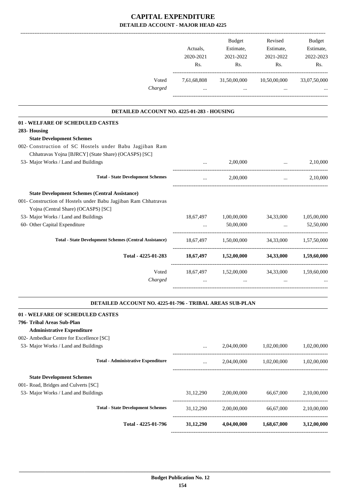|                                                                 | Actuals,<br>2020-2021<br>Rs. | Budget<br>Estimate,<br>2021-2022<br>Rs.                                    | Revised<br>Estimate,<br>2021-2022<br>Rs. | Budget<br>Estimate,<br>2022-2023<br>Rs.                    |
|-----------------------------------------------------------------|------------------------------|----------------------------------------------------------------------------|------------------------------------------|------------------------------------------------------------|
| Voted<br>Charged                                                | $\cdots$                     | 7,61,68,808 31,50,00,000 10,50,00,000<br>and the control of the control of | $\cdots$                                 | 33,07,50,000                                               |
| DETAILED ACCOUNT NO. 4225-01-283 - HOUSING                      |                              |                                                                            |                                          |                                                            |
| 01 - WELFARE OF SCHEDULED CASTES                                |                              |                                                                            |                                          |                                                            |
| 283- Housing                                                    |                              |                                                                            |                                          |                                                            |
| <b>State Development Schemes</b>                                |                              |                                                                            |                                          |                                                            |
| 002- Construction of SC Hostels under Babu Jagjiban Ram         |                              |                                                                            |                                          |                                                            |
| Chhatravas Yojna [BJRCY] (State Share) (OCASPS) [SC]            |                              |                                                                            |                                          |                                                            |
| 53- Major Works / Land and Buildings                            |                              | 2,00,000                                                                   | $\ddots$                                 | 2,10,000                                                   |
| <b>Total - State Development Schemes</b>                        | $\cdots$                     | 2,00,000                                                                   |                                          | 2,10,000<br>$\mathbf{r}$ and $\mathbf{r}$ and $\mathbf{r}$ |
| <b>State Development Schemes (Central Assistance)</b>           |                              |                                                                            |                                          |                                                            |
| 001- Construction of Hostels under Babu Jagjiban Ram Chhatravas |                              |                                                                            |                                          |                                                            |
| Yojna (Central Share) (OCASPS) [SC]                             |                              |                                                                            |                                          |                                                            |
| 53- Major Works / Land and Buildings                            |                              | 18,67,497 1,00,00,000                                                      | 34,33,000                                | 1,05,00,000                                                |
| 60- Other Capital Expenditure                                   |                              | 50,00,000                                                                  | $\ddotsc$                                | 52,50,000                                                  |
| <b>Total - State Development Schemes (Central Assistance)</b>   |                              | 18,67,497 1,50,00,000 34,33,000 1,57,50,000                                |                                          |                                                            |
| Total - 4225-01-283                                             |                              | $18,67,497$ $1,52,00,000$ $34,33,000$ $1,59,60,000$                        |                                          |                                                            |
| Voted                                                           |                              | 18,67,497 1,52,00,000 34,33,000 1,59,60,000                                |                                          |                                                            |
| Charged                                                         | $\cdots$                     | $\ddots$                                                                   | $\ddotsc$                                |                                                            |
| DETAILED ACCOUNT NO. 4225-01-796 - TRIBAL AREAS SUB-PLAN        |                              |                                                                            |                                          |                                                            |
| 01 - WELFARE OF SCHEDULED CASTES                                |                              |                                                                            |                                          |                                                            |
| 796- Tribal Areas Sub-Plan                                      |                              |                                                                            |                                          |                                                            |
| <b>Administrative Expenditure</b>                               |                              |                                                                            |                                          |                                                            |
| 002- Ambedkar Centre for Excellence [SC]                        |                              |                                                                            |                                          |                                                            |
| 53- Major Works / Land and Buildings                            |                              |                                                                            | 2,04,00,000 1,02,00,000                  | 1,02,00,000                                                |
|                                                                 |                              |                                                                            |                                          |                                                            |
| <b>Total - Administrative Expenditure</b>                       | $\cdots$                     |                                                                            | 2,04,00,000 1,02,00,000                  | 1,02,00,000                                                |
| <b>State Development Schemes</b>                                |                              |                                                                            |                                          |                                                            |
| 001- Road, Bridges and Culverts [SC]                            |                              |                                                                            |                                          |                                                            |
| 53- Major Works / Land and Buildings                            | 31,12,290                    | 2,00,00,000                                                                | 66,67,000                                | 2,10,00,000                                                |
| <b>Total - State Development Schemes</b>                        | 31,12,290                    |                                                                            | 2,00,00,000 66,67,000                    | 2,10,00,000                                                |
| Total - 4225-01-796                                             | 31,12,290                    | 4,04,00,000                                                                | 1,68,67,000                              | 3,12,00,000                                                |
|                                                                 |                              |                                                                            |                                          |                                                            |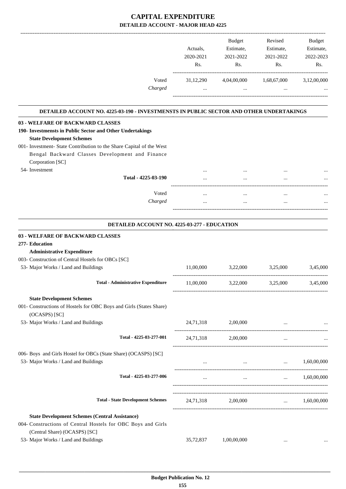|                                                                                               |                       | <b>Budget</b>          | Revised                | <b>Budget</b>          |
|-----------------------------------------------------------------------------------------------|-----------------------|------------------------|------------------------|------------------------|
|                                                                                               | Actuals.<br>2020-2021 | Estimate,<br>2021-2022 | Estimate,<br>2021-2022 | Estimate,<br>2022-2023 |
|                                                                                               | R <sub>s</sub> .      | Rs.                    | Rs.                    | Rs.                    |
| Voted                                                                                         | 31,12,290             | 4,04,00,000            | 1,68,67,000            | 3,12,00,000            |
| Charged                                                                                       | $\cdots$              | $\cdots$               | $\cdots$               |                        |
| DETAILED ACCOUNT NO. 4225-03-190 - INVESTMENSTS IN PUBLIC SECTOR AND OTHER UNDERTAKINGS       |                       |                        |                        |                        |
| 03 - WELFARE OF BACKWARD CLASSES<br>190- Investmensts in Public Sector and Other Undertakings |                       |                        |                        |                        |

#### **State Development Schemes** 001- Investment- State Contribution to the Share Capital of the West Bengal Backward Classes Development and Finance Corporation [SC]

 54- Investment ... ... ... ... **Total - 4225-03-190** ... ... ... ... ------------------------------------------------------------------------------------------ Voted ... ... ... ... *Charged* ... ... ... ... -----------------------------------------------------------------------------------------

.

#### **DETAILED ACCOUNT NO. 4225-03-277 - EDUCATION**

| 03 - WELFARE OF BACKWARD CLASSES                                                     |           |                                                 |                                            |                      |
|--------------------------------------------------------------------------------------|-----------|-------------------------------------------------|--------------------------------------------|----------------------|
| 277- Education                                                                       |           |                                                 |                                            |                      |
| <b>Administrative Expenditure</b>                                                    |           |                                                 |                                            |                      |
| 003- Construction of Central Hostels for OBCs [SC]                                   |           |                                                 |                                            |                      |
| 53- Major Works / Land and Buildings                                                 | 11,00,000 | 3,22,000 3,25,000                               |                                            | 3,45,000             |
| <b>Total - Administrative Expenditure</b>                                            |           | 11,00,000 3,22,000 3,25,000 3,45,000            |                                            |                      |
| <b>State Development Schemes</b>                                                     |           |                                                 |                                            |                      |
| 001- Constructions of Hostels for OBC Boys and Girls (States Share)<br>(OCASPS) [SC] |           |                                                 |                                            |                      |
| 53- Major Works / Land and Buildings                                                 |           | 24,71,318 2,00,000                              |                                            |                      |
| Total - 4225-03-277-001                                                              | 24,71,318 | 2,00,000                                        | $\cdots$                                   |                      |
| 006- Boys and Girls Hostel for OBCs (State Share) (OCASPS) [SC]                      |           |                                                 |                                            |                      |
| 53- Major Works / Land and Buildings                                                 |           | $\qquad \qquad \dots \qquad \qquad 1,60,00,000$ |                                            |                      |
| Total - 4225-03-277-006                                                              |           |                                                 | and the state of the state of the state of | $\ldots$ 1,60,00,000 |
| <b>Total - State Development Schemes</b>                                             |           | 24,71,318 2,00,000  1,60,00,000                 |                                            |                      |
| <b>State Development Schemes (Central Assistance)</b>                                |           |                                                 |                                            |                      |
| 004- Constructions of Central Hostels for OBC Boys and Girls                         |           |                                                 |                                            |                      |
| (Central Share) (OCASPS) [SC]                                                        |           |                                                 |                                            |                      |
| 53- Major Works / Land and Buildings                                                 | 35,72,837 | 1,00,00,000                                     |                                            |                      |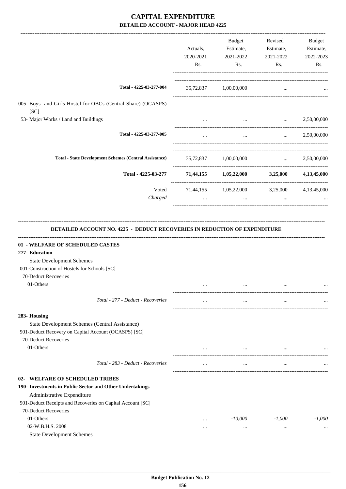|                                                                                                                                                                                                                              | Actuals,<br>2020-2021<br>Rs. | <b>Budget</b><br>Estimate,<br>2021-2022<br>Rs.         | Revised<br>Estimate,<br>2021-2022<br>Rs.                                                                                          | Budget<br>Estimate,<br>2022-2023<br>Rs. |
|------------------------------------------------------------------------------------------------------------------------------------------------------------------------------------------------------------------------------|------------------------------|--------------------------------------------------------|-----------------------------------------------------------------------------------------------------------------------------------|-----------------------------------------|
| Total - 4225-03-277-004                                                                                                                                                                                                      |                              | 35,72,837 1,00,00,000                                  | $\cdots$                                                                                                                          |                                         |
| 005- Boys and Girls Hostel for OBCs (Central Share) (OCASPS)<br>[SC]                                                                                                                                                         |                              |                                                        |                                                                                                                                   |                                         |
| 53- Major Works / Land and Buildings                                                                                                                                                                                         |                              | $\cdots$                                               | $\mathbf{1}_{\mathbf{1}_{\mathbf{2}}\mathbf{1}_{\mathbf{3}}\mathbf{2}_{\mathbf{4}}\mathbf{3}_{\mathbf{5}}\mathbf{4}_{\mathbf{6}}$ | 2,50,00,000                             |
| Total - 4225-03-277-005                                                                                                                                                                                                      | $\cdots$                     | $\cdots$                                               | $\mathbf{r}$ and $\mathbf{r}$                                                                                                     | 2,50,00,000                             |
| <b>Total - State Development Schemes (Central Assistance)</b>                                                                                                                                                                |                              | 35,72,837 1,00,00,000                                  |                                                                                                                                   | $\ldots$ 2,50,00,000                    |
| Total - 4225-03-277 71,44,155 1,05,22,000 3,25,000 4,13,45,000                                                                                                                                                               |                              |                                                        |                                                                                                                                   |                                         |
| Voted<br>Charged                                                                                                                                                                                                             | $\cdots$                     | 71,44,155 1,05,22,000 3,25,000 4,13,45,000<br>$\cdots$ | $\cdots$                                                                                                                          |                                         |
| 277- Education<br><b>State Development Schemes</b><br>001-Construction of Hostels for Schools [SC]<br>70-Deduct Recoveries<br>01-Others                                                                                      | $\cdots$                     | $\cdots$                                               | $\cdots$                                                                                                                          |                                         |
| Total - 277 - Deduct - Recoveries                                                                                                                                                                                            | $\cdots$                     | $\cdots$                                               | $\cdots$                                                                                                                          |                                         |
| 283- Housing<br>State Development Schemes (Central Assistance)<br>901-Deduct Recovery on Capital Account (OCASPS) [SC]<br>70-Deduct Recoveries<br>01-Others                                                                  |                              |                                                        |                                                                                                                                   |                                         |
| Total - 283 - Deduct - Recoveries                                                                                                                                                                                            | $\cdots$                     | $\cdots$                                               |                                                                                                                                   |                                         |
|                                                                                                                                                                                                                              | $\cdots$                     | $\cdots$                                               | $\cdots$                                                                                                                          |                                         |
| 02- WELFARE OF SCHEDULED TRIBES<br>190- Investments in Public Sector and Other Undertakings<br>Administrative Expenditure<br>901-Deduct Receipts and Recoveries on Capital Account [SC]<br>70-Deduct Recoveries<br>01-Others | $\cdots$                     | $-10,000$                                              | $-1,000$                                                                                                                          | $-1,000$                                |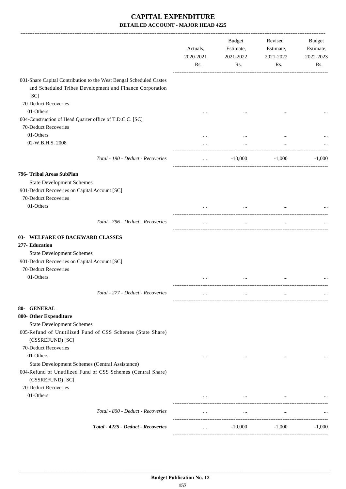|                                                                                                                                | Actuals,<br>2020-2021<br>Rs. | <b>Budget</b><br>Estimate,<br>2021-2022<br>Rs. | Revised<br>Estimate,<br>2021-2022<br>Rs. | Budget<br>Estimate,<br>2022-2023<br>Rs. |
|--------------------------------------------------------------------------------------------------------------------------------|------------------------------|------------------------------------------------|------------------------------------------|-----------------------------------------|
| 001-Share Capital Contribution to the West Bengal Scheduled Castes<br>and Scheduled Tribes Development and Finance Corporation |                              |                                                |                                          |                                         |
| [SC]                                                                                                                           |                              |                                                |                                          |                                         |
| 70-Deduct Recoveries                                                                                                           |                              |                                                |                                          |                                         |
| 01-Others                                                                                                                      |                              |                                                |                                          |                                         |
| 004-Construction of Head Quarter office of T.D.C.C. [SC]<br>70-Deduct Recoveries                                               |                              |                                                |                                          |                                         |
| 01-Others                                                                                                                      |                              |                                                |                                          |                                         |
| 02-W.B.H.S. 2008                                                                                                               |                              |                                                |                                          |                                         |
|                                                                                                                                |                              |                                                |                                          |                                         |
| Total - 190 - Deduct - Recoveries                                                                                              | $\cdots$                     | $-10,000$                                      | $-1,000$                                 | $-1,000$                                |
| 796- Tribal Areas SubPlan                                                                                                      |                              |                                                |                                          |                                         |
| <b>State Development Schemes</b>                                                                                               |                              |                                                |                                          |                                         |
| 901-Deduct Recoveries on Capital Account [SC]                                                                                  |                              |                                                |                                          |                                         |
| 70-Deduct Recoveries                                                                                                           |                              |                                                |                                          |                                         |
| 01-Others                                                                                                                      |                              |                                                | $\cdots$                                 |                                         |
| Total - 796 - Deduct - Recoveries                                                                                              | $\cdots$                     | $\cdots$                                       | $\ddots$                                 |                                         |
| WELFARE OF BACKWARD CLASSES<br>$03-$                                                                                           |                              |                                                |                                          |                                         |
| 277- Education                                                                                                                 |                              |                                                |                                          |                                         |
| <b>State Development Schemes</b>                                                                                               |                              |                                                |                                          |                                         |
| 901-Deduct Recoveries on Capital Account [SC]                                                                                  |                              |                                                |                                          |                                         |
| 70-Deduct Recoveries                                                                                                           |                              |                                                |                                          |                                         |
| 01-Others                                                                                                                      |                              |                                                |                                          |                                         |
| Total - 277 - Deduct - Recoveries                                                                                              |                              |                                                |                                          | $\ddotsc$                               |
| 80- GENERAL                                                                                                                    |                              |                                                |                                          |                                         |
| 800- Other Expenditure                                                                                                         |                              |                                                |                                          |                                         |
| <b>State Development Schemes</b>                                                                                               |                              |                                                |                                          |                                         |
| 005-Refund of Unutilized Fund of CSS Schemes (State Share)<br>(CSSREFUND) [SC]                                                 |                              |                                                |                                          |                                         |
| 70-Deduct Recoveries                                                                                                           |                              |                                                |                                          |                                         |
| 01-Others                                                                                                                      | $\cdots$                     | $\cdots$                                       | $\cdots$                                 |                                         |
| State Development Schemes (Central Assistance)                                                                                 |                              |                                                |                                          |                                         |
| 004-Refund of Unutilized Fund of CSS Schemes (Central Share)<br>(CSSREFUND) [SC]                                               |                              |                                                |                                          |                                         |
| 70-Deduct Recoveries                                                                                                           |                              |                                                |                                          |                                         |
| 01-Others                                                                                                                      | $\cdots$                     | $\cdots$                                       | $\cdots$                                 |                                         |
| Total - 800 - Deduct - Recoveries                                                                                              | $\cdots$                     | $\cdots$                                       | $\cdots$                                 |                                         |
| Total - 4225 - Deduct - Recoveries                                                                                             |                              | $-10,000$                                      | $-1,000$                                 | $-1.000$                                |
|                                                                                                                                | $\cdots$                     |                                                |                                          |                                         |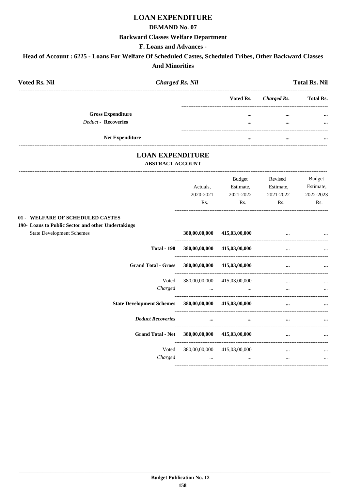# **LOAN EXPENDITURE**

#### **DEMAND No. 07**

#### **Backward Classes Welfare Department**

#### F. Loans and Advances -

# Head of Account : 6225 - Loans For Welfare Of Scheduled Castes, Scheduled Tribes, Other Backward Classes **And Minorities**

| <b>Voted Rs. Nil</b><br><b>Charged Rs. Nil</b>                                         |               |                             |                          | <b>Total Rs. Nil</b> |
|----------------------------------------------------------------------------------------|---------------|-----------------------------|--------------------------|----------------------|
|                                                                                        |               | Voted Rs.                   | <b>Charged Rs.</b>       | <b>Total Rs.</b>     |
| <b>Gross Expenditure</b>                                                               |               | $\cdots$                    |                          |                      |
| <b>Deduct - Recoveries</b>                                                             |               | $\cdots$                    | $\cdots$                 |                      |
| Net Expenditure                                                                        |               | $\cdots$                    | $\ddotsc$                |                      |
| <b>LOAN EXPENDITURE</b><br><b>ABSTRACT ACCOUNT</b>                                     |               |                             |                          |                      |
|                                                                                        |               | Budget                      | Revised                  | Budget               |
|                                                                                        | Actuals,      | Estimate,                   | Estimate,                | Estimate,            |
|                                                                                        | 2020-2021     | 2021-2022                   | 2021-2022                | 2022-2023            |
|                                                                                        | Rs.           | Rs.                         | Rs.                      | Rs.                  |
| 01 - WELFARE OF SCHEDULED CASTES<br>190- Loans to Public Sector and other Undertakings |               |                             |                          |                      |
| <b>State Development Schemes</b>                                                       | 380,00,00,000 | 415,03,00,000               |                          |                      |
| <b>Total - 190</b>                                                                     |               | 380,00,00,000 415,03,00,000 | $\overline{\phantom{a}}$ |                      |
| <b>Grand Total - Gross</b>                                                             |               | 380,00,00,000 415,03,00,000 |                          |                      |
| Voted                                                                                  |               | 380,00,00,000 415,03,00,000 |                          |                      |
| Charged                                                                                | $\sim$ $\sim$ | $\ddots$                    | $\overline{a}$           |                      |
| State Development Schemes 380,00,00,000 415,03,00,000                                  |               |                             | $\ddotsc$                |                      |
| <b>Deduct Recoveries</b>                                                               |               |                             |                          |                      |
| <b>Grand Total - Net</b>                                                               |               | 380,00,00,000 415,03,00,000 | $\ddotsc$                |                      |
| Voted<br>Charged                                                                       |               | 380,00,00,000 415,03,00,000 | $\cdots$                 |                      |
|                                                                                        | $\ldots$      | $\cdots$                    | $\cdots$                 |                      |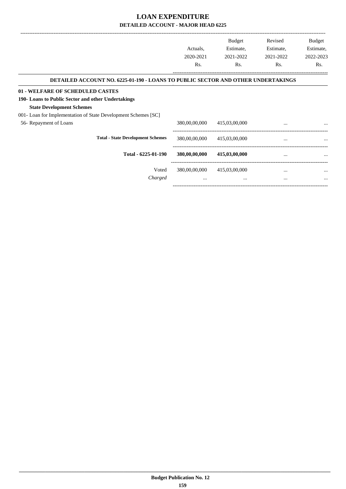|                                                                                                                            | Actuals,                  | <b>Budget</b><br>Estimate, | Revised<br>Estimate, | Budget<br>Estimate, |
|----------------------------------------------------------------------------------------------------------------------------|---------------------------|----------------------------|----------------------|---------------------|
|                                                                                                                            | 2020-2021<br>Rs.          | 2021-2022<br>Rs.           | 2021-2022<br>Rs.     | 2022-2023<br>Rs.    |
| DETAILED ACCOUNT NO. 6225-01-190 - LOANS TO PUBLIC SECTOR AND OTHER UNDERTAKINGS                                           |                           |                            |                      |                     |
| 01 - WELFARE OF SCHEDULED CASTES<br>190- Loans to Public Sector and other Undertakings<br><b>State Development Schemes</b> |                           |                            |                      |                     |
| 001- Loan for Implementation of State Development Schemes [SC]<br>56- Repayment of Loans                                   | 380,00,00,000             | 415,03,00,000              | $\cdots$             |                     |
| <b>Total - State Development Schemes</b>                                                                                   | 380,00,00,000             | 415,03,00,000              | $\cdots$             |                     |
| Total - 6225-01-190                                                                                                        | 380,00,00,000             | 415,03,00,000              |                      |                     |
| Voted<br>Charged                                                                                                           | 380,00,00,000<br>$\cdots$ | 415,03,00,000<br>$\cdots$  | $\cdots$<br>$\cdots$ |                     |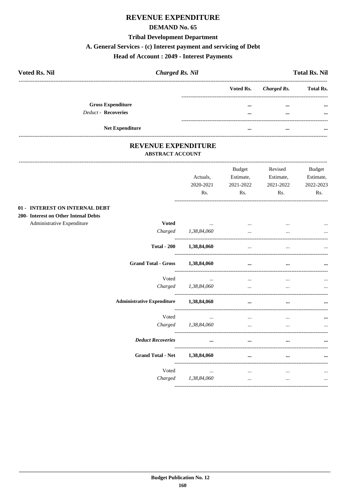#### **REVENUE EXPENDITURE**

#### **DEMAND No. 65**

#### **Tribal Development Department**

# A. General Services - (c) Interest payment and servicing of Debt

# **Head of Account : 2049 - Interest Payments**

| <b>Voted Rs. Nil</b>     | <b>Charged Rs. Nil</b> |                       | <b>Total Rs. Nil</b> |
|--------------------------|------------------------|-----------------------|----------------------|
|                          |                        | Voted Rs. Charged Rs. | <b>Total Rs.</b>     |
| <b>Gross Expenditure</b> |                        | $\cdots$<br>$\cdots$  | $\cdots$             |
| Deduct - Recoveries      |                        | <br>$\cdots$          | $\cdots$             |
| <b>Net Expenditure</b>   |                        | <br>$\cdots$          |                      |

#### REVENUE EXPENDITURE **ABSTRACT ACCOUNT**

----------------------------

|                                      |                                   | Actuals,<br>2020-2021<br>Rs. | <b>Budget</b><br>Estimate,<br>2021-2022<br>Rs. | Revised<br>Estimate,<br>2021-2022<br>Rs. | <b>Budget</b><br>Estimate,<br>2022-2023<br>Rs. |
|--------------------------------------|-----------------------------------|------------------------------|------------------------------------------------|------------------------------------------|------------------------------------------------|
| 01 - INTEREST ON INTERNAL DEBT       |                                   |                              |                                                |                                          |                                                |
| 200- Interest on Other Intenal Debts |                                   |                              |                                                |                                          |                                                |
| Administrative Expenditure           | <b>Voted</b>                      | the company of the company   | $\cdots$                                       |                                          |                                                |
|                                      | Charged                           | 1,38,84,060                  | $\ddotsc$                                      | $\cdots$                                 |                                                |
|                                      | <b>Total - 200</b>                | 1,38,84,060                  | $\cdots$                                       | $\cdots$                                 |                                                |
|                                      | <b>Grand Total - Gross</b>        | 1,38,84,060                  | $\ddotsc$                                      |                                          |                                                |
|                                      | Voted                             | $\cdots$                     | $\cdots$                                       | $\cdots$                                 |                                                |
|                                      |                                   | Charged 1,38,84,060          | $\ddotsc$                                      | $\ddotsc$                                |                                                |
|                                      | <b>Administrative Expenditure</b> | 1,38,84,060                  | $\cdots$                                       | $\cdots$                                 |                                                |
|                                      | Voted                             | $\cdots$                     | $\cdots$                                       | $\cdots$                                 |                                                |
|                                      | Charged                           | 1,38,84,060                  | $\cdots$                                       | $\cdots$                                 | $\cdots$                                       |
|                                      | <b>Deduct Recoveries</b>          | $\ddotsc$                    | $\ddotsc$                                      |                                          |                                                |
|                                      | <b>Grand Total - Net</b>          | 1,38,84,060                  | $\cdots$                                       | $\cdots$                                 |                                                |
|                                      | Voted                             | $\cdots$                     | $\cdots$                                       | $\cdots$                                 |                                                |
|                                      |                                   | Charged 1,38,84,060          | $\cdots$                                       | $\cdots$                                 | $\cdots$                                       |
|                                      |                                   |                              |                                                |                                          |                                                |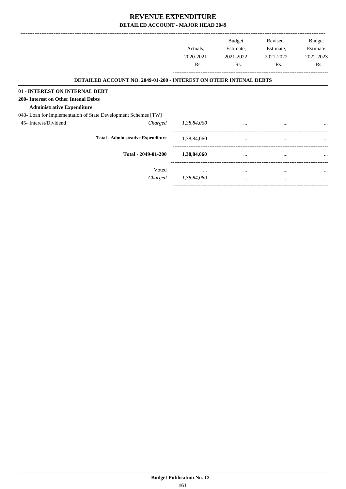|                                                                           | Actuals,    | <b>Budget</b><br>Estimate, | Revised<br>Estimate, | Budget<br>Estimate, |
|---------------------------------------------------------------------------|-------------|----------------------------|----------------------|---------------------|
|                                                                           | 2020-2021   | 2021-2022                  | 2021-2022            | 2022-2023           |
|                                                                           | Rs.         | Rs.                        | Rs.                  | Rs.                 |
| <b>DETAILED ACCOUNT NO. 2049-01-200 - INTEREST ON OTHER INTENAL DEBTS</b> |             |                            |                      |                     |
| 01 - INTEREST ON INTERNAL DEBT                                            |             |                            |                      |                     |
| 200- Interest on Other Intenal Debts                                      |             |                            |                      |                     |
| <b>Administrative Expenditure</b>                                         |             |                            |                      |                     |
| 040- Loan for Implementation of State Development Schemes [TW]            |             |                            |                      |                     |
| 45- Interest/Dividend<br>Charged                                          | 1,38,84,060 | $\cdots$                   | $\cdots$             | $\cdots$            |
| <b>Total - Administrative Expenditure</b>                                 | 1,38,84,060 | $\cdots$                   | $\cdots$             | $\cdots$            |
| Total - 2049-01-200                                                       | 1,38,84,060 | $\cdots$                   | $\cdots$             | $\cdots$            |
| Voted                                                                     | $\cdots$    | $\cdots$                   | $\cdots$             | $\ddotsc$           |
| Charged                                                                   | 1,38,84,060 | $\cdots$                   | $\cdots$             | $\cdots$            |

-----------------------------------------------------------------------------------------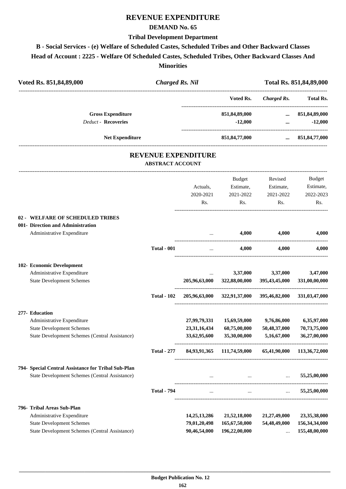### **REVENUE EXPENDITURE**

#### **DEMAND No. 65**

#### **Tribal Development Department**

# **B - Social Services - (e) Welfare of Scheduled Castes, Scheduled Tribes and Other Backward Classes**

**Head of Account : 2225 - Welfare Of Scheduled Castes, Scheduled Tribes, Other Backward Classes And**

**Minorities**

| Voted Rs. 851,84,89,000                             |                            | <b>Charged Rs. Nil</b>                                |                                           |                    | Total Rs. 851,84,89,000 |
|-----------------------------------------------------|----------------------------|-------------------------------------------------------|-------------------------------------------|--------------------|-------------------------|
|                                                     |                            |                                                       | Voted Rs.                                 | <b>Charged Rs.</b> | <b>Total Rs.</b>        |
|                                                     | <b>Gross Expenditure</b>   |                                                       | 851,84,89,000                             |                    | $\dots$ 851,84,89,000   |
|                                                     | <b>Deduct - Recoveries</b> |                                                       | $-12,000$                                 | $\cdots$           | $-12,000$               |
|                                                     | <b>Net Expenditure</b>     |                                                       | 851,84,77,000                             | $\cdots$           | 851, 84, 77, 000        |
|                                                     |                            | <b>REVENUE EXPENDITURE</b><br><b>ABSTRACT ACCOUNT</b> |                                           |                    |                         |
|                                                     |                            |                                                       | Budget                                    | Revised            | <b>Budget</b>           |
|                                                     |                            | Actuals,                                              | Estimate,                                 | Estimate,          | Estimate,               |
|                                                     |                            | 2020-2021                                             | 2021-2022                                 | 2021-2022          | 2022-2023               |
|                                                     |                            | Rs.                                                   | Rs.                                       | Rs.                | Rs.                     |
| 02 - WELFARE OF SCHEDULED TRIBES                    |                            |                                                       |                                           |                    |                         |
| 001- Direction and Administration                   |                            |                                                       |                                           |                    |                         |
| Administrative Expenditure                          |                            |                                                       | 4,000                                     | 4,000              | 4,000                   |
|                                                     | <b>Total - 001</b>         | .<br>$\ddots$                                         | 4,000                                     | 4,000              | 4,000                   |
| 102- Economic Development                           |                            |                                                       |                                           |                    |                         |
| Administrative Expenditure                          |                            |                                                       | 3,37,000                                  | 3,37,000           | 3,47,000                |
| <b>State Development Schemes</b>                    |                            | 205,96,63,000                                         | 322,88,00,000                             | 395,43,45,000      | 331,00,00,000           |
|                                                     | <b>Total - 102</b>         |                                                       | 205,96,63,000 322,91,37,000 395,46,82,000 |                    | 331,03,47,000           |
| 277- Education                                      |                            |                                                       |                                           |                    |                         |
| Administrative Expenditure                          |                            | 27,99,79,331                                          | 15,69,59,000                              | 9,76,86,000        | 6,35,97,000             |
| <b>State Development Schemes</b>                    |                            | 23,31,16,434                                          | 60,75,00,000                              | 50,48,37,000       | 70,73,75,000            |
| State Development Schemes (Central Assistance)      |                            | 33,62,95,600                                          | 35,30,00,000                              | 5,16,67,000        | 36,27,00,000            |
|                                                     | <b>Total - 277</b>         |                                                       | 84,93,91,365 111,74,59,000                | 65,41,90,000       | 113,36,72,000           |
| 794- Special Central Assistance for Tribal Sub-Plan |                            |                                                       |                                           |                    |                         |
| State Development Schemes (Central Assistance)      |                            |                                                       | $\cdots$                                  | $\cdots$           | 55,25,00,000            |
|                                                     | <b>Total - 794</b>         | $\cdots$                                              | $\cdots$                                  |                    | 55,25,00,000            |
| 796- Tribal Areas Sub-Plan                          |                            |                                                       |                                           |                    |                         |
| Administrative Expenditure                          |                            | 14, 25, 13, 286                                       | 21,52,18,000                              | 21,27,49,000       | 23,35,38,000            |
| <b>State Development Schemes</b>                    |                            | 79,01,20,498                                          | 165,67,50,000                             | 54,48,49,000       | 156, 34, 34, 000        |
| State Development Schemes (Central Assistance)      |                            | 90,46,54,000                                          | 196,22,00,000                             |                    | 155,48,00,000           |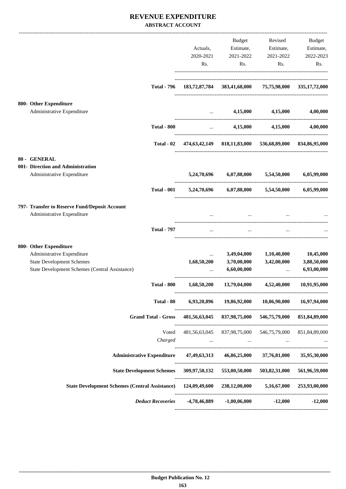#### **REVENUE EXPENDITURE ABSTRACT ACCOUNT**

|                                                                                                                                            | Actuals,<br>2020-2021<br>Rs.        | Budget<br>Estimate,<br>2021-2022<br>Rs.                 | Revised<br>Estimate,<br>2021-2022<br>Rs.           | Budget<br>Estimate,<br>2022-2023<br>Rs. |
|--------------------------------------------------------------------------------------------------------------------------------------------|-------------------------------------|---------------------------------------------------------|----------------------------------------------------|-----------------------------------------|
| <b>Total - 796</b>                                                                                                                         |                                     | 183,72,87,784 383,41,68,000 75,75,98,000 335,17,72,000  |                                                    |                                         |
| 800- Other Expenditure<br>Administrative Expenditure                                                                                       |                                     | 4,15,000                                                | 4,15,000                                           | 4,00,000                                |
| <b>Total - 800</b>                                                                                                                         |                                     | 4,15,000<br><b>Section</b> (Section)                    | 4,15,000                                           | 4,00,000                                |
| Total - 02                                                                                                                                 |                                     | 474,63,42,149 818,11,83,000 536,68,89,000 834,86,95,000 |                                                    |                                         |
| 80 - GENERAL<br>001- Direction and Administration<br>Administrative Expenditure                                                            | 5,24,70,696                         | 6,07,88,000                                             | 5,54,50,000                                        | 6,05,99,000                             |
| <b>Total - 001</b>                                                                                                                         |                                     | 5,24,70,696 6,07,88,000                                 | 5,54,50,000                                        | 6,05,99,000                             |
| 797- Transfer to Reserve Fund/Deposit Account<br>Administrative Expenditure                                                                |                                     |                                                         |                                                    |                                         |
| <b>Total - 797</b>                                                                                                                         | $\sim$                              | $\cdots$                                                |                                                    |                                         |
| 800- Other Expenditure<br>Administrative Expenditure<br><b>State Development Schemes</b><br>State Development Schemes (Central Assistance) | $\cdots$<br>1,68,50,200<br>$\cdots$ | 3,49,04,000<br>3,70,00,000<br>6,60,00,000               | 1,10,40,000<br>3,42,00,000<br>$\ddots$             | 10,45,000<br>3,88,50,000<br>6,93,00,000 |
| <b>Total - 800</b>                                                                                                                         | 1,68,50,200                         | 13,79,04,000                                            | 4,52,40,000                                        | 10,91,95,000                            |
| Total - 80                                                                                                                                 | 6,93,20,896                         | 19,86,92,000                                            | 10,06,90,000                                       | 16,97,94,000                            |
| <b>Grand Total - Gross</b>                                                                                                                 |                                     | 481,56,63,045 837,98,75,000                             | ---------------------------------<br>546,75,79,000 | 851,84,89,000                           |
| Voted<br>Charged                                                                                                                           | 481,56,63,045<br>$\cdots$           | 837,98,75,000                                           | 546,75,79,000                                      | 851,84,89,000                           |
| <b>Administrative Expenditure</b>                                                                                                          | 47,49,63,313                        | 46,86,25,000                                            | 37,76,81,000                                       | 35,95,30,000                            |
| <b>State Development Schemes</b>                                                                                                           | 309,97,50,132                       | 553,00,50,000                                           | 503,82,31,000                                      | 561,96,59,000                           |
| State Development Schemes (Central Assistance) 124,09,49,600 238,12,00,000                                                                 |                                     |                                                         |                                                    | 5,16,67,000 253,93,00,000               |
| <b>Deduct Recoveries</b>                                                                                                                   | -4,78,46,889                        | $-1,00,06,000$                                          | $-12,000$                                          | $-12,000$                               |
|                                                                                                                                            |                                     |                                                         |                                                    |                                         |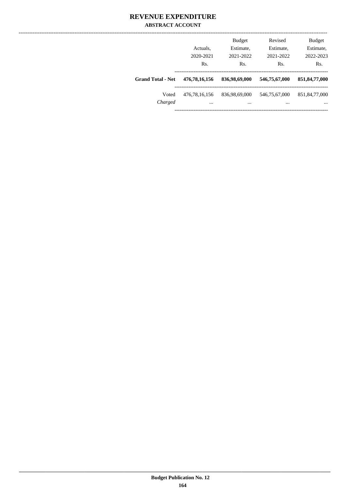#### **REVENUE EXPENDITURE ABSTRACT ACCOUNT**

|                          | Actuals.<br>2020-2021<br>Rs. | <b>Budget</b><br>Estimate,<br>2021-2022<br>Rs. | Revised<br>Estimate,<br>2021-2022<br>Rs. | <b>Budget</b><br>Estimate,<br>2022-2023<br>Rs. |
|--------------------------|------------------------------|------------------------------------------------|------------------------------------------|------------------------------------------------|
| <b>Grand Total - Net</b> | 476, 78, 16, 156             | 836,98,69,000                                  | 546,75,67,000                            | 851, 84, 77, 000                               |
| Voted<br>Charged         | 476, 78, 16, 156<br>$\cdots$ | 836,98,69,000<br>$\cdots$                      | 546,75,67,000<br>$\cdots$                | 851, 84, 77, 000<br>$\cdots$                   |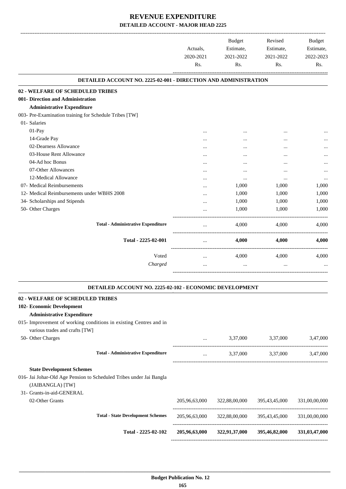-------------------------------------------------------------------------------------------------------------------------------------------------------------------------------

|                                                                        | Actuals,<br>2020-2021<br>Rs. | <b>Budget</b><br>Estimate,<br>2021-2022<br>Rs. | Revised<br>Estimate,<br>2021-2022<br>Rs. | <b>Budget</b><br>Estimate,<br>2022-2023<br>Rs. |
|------------------------------------------------------------------------|------------------------------|------------------------------------------------|------------------------------------------|------------------------------------------------|
| <b>DETAILED ACCOUNT NO. 2225-02-001 - DIRECTION AND ADMINISTRATION</b> |                              |                                                |                                          |                                                |
| 02 - WELFARE OF SCHEDULED TRIBES                                       |                              |                                                |                                          |                                                |
| 001- Direction and Administration                                      |                              |                                                |                                          |                                                |
| <b>Administrative Expenditure</b>                                      |                              |                                                |                                          |                                                |
| 003- Pre-Examination training for Schedule Tribes [TW]                 |                              |                                                |                                          |                                                |
| 01- Salaries                                                           |                              |                                                |                                          |                                                |
| 01-Pay                                                                 |                              |                                                |                                          |                                                |
| 14-Grade Pay                                                           |                              |                                                |                                          |                                                |
| 02-Dearness Allowance                                                  |                              |                                                |                                          |                                                |
| 03-House Rent Allowance                                                |                              |                                                |                                          |                                                |
| 04-Ad hoc Bonus                                                        | $\cdots$                     | $\cdots$                                       |                                          | $\cdots$                                       |
| 07-Other Allowances                                                    | $\cdots$                     | $\cdots$                                       | $\ddotsc$                                | $\cdots$                                       |
| 12-Medical Allowance                                                   | $\cdots$                     | $\cdots$                                       |                                          | $\cdots$                                       |
| 07- Medical Reimbursements                                             |                              | 1,000                                          | 1,000                                    | 1,000                                          |
| 12- Medical Reimbursements under WBHS 2008                             | $\cdots$                     | 1,000                                          | 1,000                                    | 1,000                                          |
| 34- Scholarships and Stipends                                          | $\cdots$                     | 1,000                                          | 1,000                                    | 1,000                                          |
| 50- Other Charges                                                      |                              | 1,000                                          | 1,000                                    | 1,000                                          |
| <b>Total - Administrative Expenditure</b>                              |                              | 4,000                                          | 4,000                                    | 4,000                                          |
| Total - 2225-02-001                                                    | $\cdots$                     | 4,000                                          | 4,000                                    | 4,000                                          |
| Voted                                                                  | $\cdots$                     | 4,000                                          | 4,000                                    | 4,000                                          |
| Charged                                                                |                              | $\cdots$                                       | $\cdots$                                 |                                                |
|                                                                        |                              |                                                |                                          |                                                |

#### **DETAILED ACCOUNT NO. 2225-02-102 - ECONOMIC DEVELOPMENT .**

.

| 02 - WELFARE OF SCHEDULED TRIBES                                                                    |               |               |               |               |
|-----------------------------------------------------------------------------------------------------|---------------|---------------|---------------|---------------|
| 102- Economic Development                                                                           |               |               |               |               |
| <b>Administrative Expenditure</b>                                                                   |               |               |               |               |
| 015- Improvement of working conditions in existing Centres and in<br>various trades and crafts [TW] |               |               |               |               |
| 50- Other Charges                                                                                   | $\cdots$      | 3,37,000      | 3,37,000      | 3,47,000      |
| <b>Total - Administrative Expenditure</b>                                                           | $\cdots$      | 3,37,000      | 3,37,000      | 3,47,000      |
| <b>State Development Schemes</b>                                                                    |               |               |               |               |
| 016- Jai Johar-Old Age Pension to Scheduled Tribes under Jai Bangla<br>(JAIBANGLA) [TW]             |               |               |               |               |
| 31- Grants-in-aid-GENERAL                                                                           |               |               |               |               |
| 02-Other Grants                                                                                     | 205,96,63,000 | 322,88,00,000 | 395,43,45,000 | 331,00,00,000 |
| <b>Total - State Development Schemes</b>                                                            | 205,96,63,000 | 322,88,00,000 | 395,43,45,000 | 331,00,00,000 |
| Total - 2225-02-102                                                                                 | 205,96,63,000 | 322,91,37,000 | 395,46,82,000 | 331,03,47,000 |
|                                                                                                     |               |               |               |               |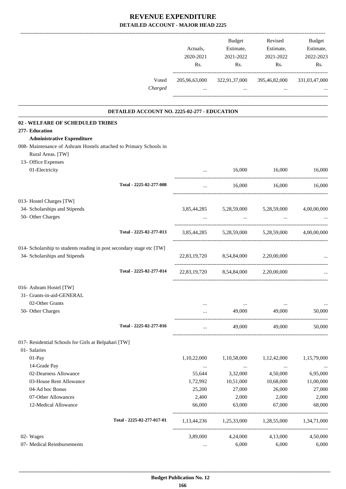|                                                                                        | Actuals,         | Budget<br>Estimate,                  | Revised<br>Estimate,                | Budget<br>Estimate, |
|----------------------------------------------------------------------------------------|------------------|--------------------------------------|-------------------------------------|---------------------|
|                                                                                        | 2020-2021<br>Rs. | 2021-2022<br>Rs.                     | 2021-2022<br>Rs.                    | 2022-2023<br>Rs.    |
| Voted                                                                                  | 205,96,63,000    | 322,91,37,000                        | 395,46,82,000                       | 331,03,47,000       |
| Charged                                                                                | $\cdots$         | the company of the company of        | $\ddots$                            |                     |
| DETAILED ACCOUNT NO. 2225-02-277 - EDUCATION                                           |                  |                                      |                                     |                     |
| 02 - WELFARE OF SCHEDULED TRIBES                                                       |                  |                                      |                                     |                     |
| 277- Education                                                                         |                  |                                      |                                     |                     |
| <b>Administrative Expenditure</b>                                                      |                  |                                      |                                     |                     |
| 008- Maintenance of Ashram Hostels attached to Primary Schools in<br>Rural Areas. [TW] |                  |                                      |                                     |                     |
| 13- Office Expenses<br>01-Electricity                                                  | $\cdots$         | 16,000                               | 16,000                              | 16,000              |
|                                                                                        |                  |                                      |                                     |                     |
| Total - 2225-02-277-008                                                                | $\cdots$         | 16,000                               | 16,000                              | 16,000              |
| 013- Hostel Charges [TW]                                                               |                  |                                      |                                     |                     |
| 34- Scholarships and Stipends                                                          |                  | 3,85,44,285 5,28,59,000 5,28,59,000  |                                     | 4,00,00,000         |
| 50- Other Charges                                                                      | $\ddots$         | $\ddots$                             |                                     |                     |
| Total - 2225-02-277-013                                                                |                  |                                      | 3,85,44,285 5,28,59,000 5,28,59,000 | 4,00,00,000         |
| 014- Scholarship to students reading in post secondary stage etc [TW]                  |                  |                                      |                                     |                     |
| 34- Scholarships and Stipends                                                          |                  | 22,83,19,720 8,54,84,000             | 2,20,00,000                         |                     |
| Total - 2225-02-277-014                                                                |                  | 22,83,19,720 8,54,84,000 2,20,00,000 |                                     |                     |
| 016- Ashram Hostel [TW]                                                                |                  |                                      |                                     |                     |
| 31- Grants-in-aid-GENERAL                                                              |                  |                                      |                                     |                     |
| 02-Other Grants                                                                        |                  | $\cdots$                             |                                     |                     |
| 50- Other Charges                                                                      | $\cdots$         | 49,000                               | 49,000                              | 50,000              |
| Total - 2225-02-277-016                                                                | $\ldots$         | 49,000                               | 49,000                              | 50,000              |
| 017- Residential Schools for Girls at Belpahari [TW]                                   |                  |                                      |                                     |                     |
| 01- Salaries                                                                           |                  |                                      |                                     |                     |
| 01-Pay                                                                                 | 1,10,22,000      | 1,10,58,000                          | 1,12,42,000                         | 1,15,79,000         |
| 14-Grade Pay                                                                           | $\cdots$         | $\ldots$                             | $\cdots$                            |                     |
| 02-Dearness Allowance                                                                  | 55,644           | 3,32,000                             | 4,50,000                            | 6,95,000            |
| 03-House Rent Allowance                                                                | 1,72,992         | 10,51,000                            | 10,68,000                           | 11,00,000           |
| 04-Ad hoc Bonus                                                                        | 25,200           | 27,000                               | 26,000                              | 27,000              |
| 07-Other Allowances                                                                    | 2,400            | 2,000                                | 2,000                               | 2,000               |
| 12-Medical Allowance                                                                   | 66,000           | 63,000                               | 67,000                              | 68,000              |
| Total - 2225-02-277-017-01                                                             |                  | 1,13,44,236 1,25,33,000 1,28,55,000  |                                     | 1,34,71,000         |
| 02- Wages                                                                              | 3,89,000         | 4,24,000                             | 4,13,000                            | 4,50,000            |
| 07- Medical Reimbursements                                                             |                  | 6,000                                | 6,000                               | 6,000               |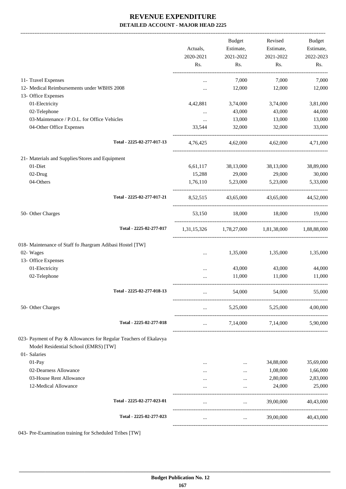|                                                                                                           | Actuals,<br>2020-2021 | <b>Budget</b><br>Estimate,<br>2021-2022 | Revised<br>Estimate,<br>2021-2022               | Budget<br>Estimate,<br>2022-2023 |
|-----------------------------------------------------------------------------------------------------------|-----------------------|-----------------------------------------|-------------------------------------------------|----------------------------------|
|                                                                                                           | Rs.                   | Rs.                                     | Rs.                                             | Rs.                              |
| 11- Travel Expenses                                                                                       | $\cdots$              | 7,000                                   | 7,000                                           | 7,000                            |
| 12- Medical Reimbursements under WBHS 2008                                                                | $\cdots$              | 12,000                                  | 12,000                                          | 12,000                           |
| 13- Office Expenses                                                                                       |                       |                                         |                                                 |                                  |
| 01-Electricity                                                                                            | 4,42,881              | 3,74,000                                | 3,74,000                                        | 3,81,000                         |
| 02-Telephone                                                                                              | $\cdots$              | 43,000                                  | 43,000                                          | 44,000                           |
| 03-Maintenance / P.O.L. for Office Vehicles                                                               | $\cdots$              | 13,000                                  | 13,000                                          | 13,000                           |
| 04-Other Office Expenses                                                                                  | 33,544                | 32,000                                  | 32,000                                          | 33,000                           |
| Total - 2225-02-277-017-13                                                                                | 4,76,425              | 4,62,000                                | 4,62,000                                        | 4,71,000                         |
| 21- Materials and Supplies/Stores and Equipment                                                           |                       |                                         |                                                 |                                  |
| 01-Diet                                                                                                   | 6,61,117              | 38,13,000                               | 38,13,000                                       | 38,89,000                        |
| 02-Drug                                                                                                   | 15,288                | 29,000                                  | 29,000                                          | 30,000                           |
| 04-Others                                                                                                 | 1,76,110              | 5,23,000                                | 5,23,000                                        | 5,33,000                         |
| Total - 2225-02-277-017-21                                                                                | 8,52,515              | 43,65,000                               | 43,65,000                                       | 44,52,000                        |
| 50- Other Charges                                                                                         | 53,150                | 18,000                                  | 18,000                                          | 19,000                           |
| Total - 2225-02-277-017                                                                                   |                       |                                         | 1,31,15,326 1,78,27,000 1,81,38,000 1,88,88,000 |                                  |
| 018- Maintenance of Staff fo Jhargram Adibasi Hostel [TW]                                                 |                       |                                         |                                                 |                                  |
| 02- Wages                                                                                                 | $\cdots$              | 1,35,000                                | 1,35,000                                        | 1,35,000                         |
| 13- Office Expenses                                                                                       |                       |                                         |                                                 |                                  |
| 01-Electricity                                                                                            | $\cdots$              | 43,000                                  | 43,000                                          | 44,000                           |
| 02-Telephone                                                                                              | $\cdots$              | 11,000                                  | 11,000                                          | 11,000                           |
| Total - 2225-02-277-018-13                                                                                |                       | 54,000                                  | 54,000                                          | 55,000                           |
| 50- Other Charges                                                                                         | $\cdots$              | 5,25,000                                | 5,25,000                                        | 4,00,000                         |
| Total - 2225-02-277-018                                                                                   | $\ddotsc$             | 7,14,000                                | 7,14,000                                        | 5,90,000                         |
| 023- Payment of Pay & Allowances for Regular Teachers of Ekalavya<br>Model Residential School (EMRS) [TW] |                       |                                         |                                                 |                                  |
| 01- Salaries                                                                                              |                       |                                         |                                                 |                                  |
| 01-Pay                                                                                                    |                       | $\cdots$                                | 34,88,000                                       | 35,69,000                        |
| 02-Dearness Allowance                                                                                     |                       |                                         | 1,08,000                                        | 1,66,000                         |
| 03-House Rent Allowance                                                                                   |                       |                                         | 2,80,000                                        | 2,83,000                         |
| 12-Medical Allowance                                                                                      |                       |                                         | 24,000                                          | 25,000                           |
| Total - 2225-02-277-023-01                                                                                |                       |                                         | 39,00,000                                       | 40,43,000                        |
| Total - 2225-02-277-023                                                                                   | $\cdots$              | $\cdots$                                | 39,00,000                                       | 40,43,000                        |
|                                                                                                           |                       |                                         |                                                 |                                  |

043- Pre-Examination training for Scheduled Tribes [TW]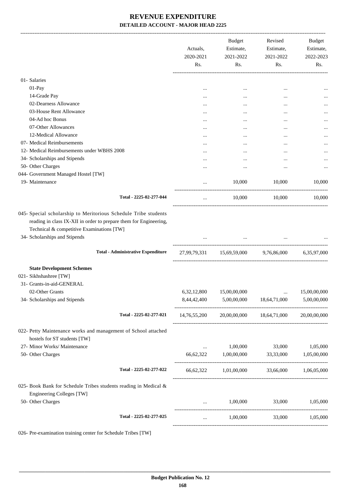|                                                                                                                                                 | Actuals,<br>2020-2021 | Budget<br>Estimate,<br>2021-2022     | Revised<br>Estimate,<br>2021-2022                   | Budget<br>Estimate,<br>2022-2023 |
|-------------------------------------------------------------------------------------------------------------------------------------------------|-----------------------|--------------------------------------|-----------------------------------------------------|----------------------------------|
|                                                                                                                                                 | Rs.                   | Rs.                                  | Rs.                                                 | Rs.                              |
| 01- Salaries                                                                                                                                    |                       |                                      |                                                     |                                  |
| 01-Pay                                                                                                                                          | $\cdots$              | $\cdots$                             |                                                     |                                  |
| 14-Grade Pay                                                                                                                                    |                       | $\cdots$                             |                                                     |                                  |
| 02-Dearness Allowance                                                                                                                           | $\cdots$              |                                      | $\cdots$                                            |                                  |
| 03-House Rent Allowance                                                                                                                         | $\cdots$              |                                      | $\cdots$                                            |                                  |
| 04-Ad hoc Bonus                                                                                                                                 | $\cdots$              |                                      |                                                     |                                  |
| 07-Other Allowances                                                                                                                             |                       | $\cdots$                             |                                                     |                                  |
| 12-Medical Allowance                                                                                                                            |                       |                                      |                                                     |                                  |
| 07- Medical Reimbursements                                                                                                                      | $\cdots$              |                                      |                                                     |                                  |
| 12- Medical Reimbursements under WBHS 2008                                                                                                      | $\cdots$              |                                      |                                                     |                                  |
|                                                                                                                                                 | $\cdots$              |                                      | $\cdots$                                            |                                  |
| 34- Scholarships and Stipends                                                                                                                   | $\cdots$              |                                      | $\cdots$                                            |                                  |
| 50- Other Charges                                                                                                                               | $\cdots$              | $\cdots$                             |                                                     |                                  |
| 044- Government Managed Hostel [TW]                                                                                                             |                       |                                      |                                                     |                                  |
| 19- Maintenance                                                                                                                                 |                       | 10,000                               | 10,000                                              | 10,000                           |
| Total - 2225-02-277-044                                                                                                                         | $\cdots$              | 10,000                               | 10,000                                              | 10,000                           |
| reading in class IX-XII in order to prepare them for Engineering,<br>Technical & competitive Examinations [TW]<br>34- Scholarships and Stipends |                       |                                      | the company of the company of the                   |                                  |
| <b>Total - Administrative Expenditure</b>                                                                                                       |                       |                                      | 27,99,79,331 15,69,59,000 9,76,86,000 6,35,97,000   |                                  |
| <b>State Development Schemes</b>                                                                                                                |                       |                                      |                                                     |                                  |
| 021- Sikhshashree [TW]                                                                                                                          |                       |                                      |                                                     |                                  |
| 31- Grants-in-aid-GENERAL                                                                                                                       |                       |                                      |                                                     |                                  |
| 02-Other Grants                                                                                                                                 |                       | 6,32,12,800 15,00,00,000             |                                                     | 15,00,00,000                     |
| 34- Scholarships and Stipends                                                                                                                   |                       | 8,44,42,400 5,00,00,000 18,64,71,000 |                                                     | 5,00,00,000                      |
| Total - 2225-02-277-021                                                                                                                         |                       |                                      | 14,76,55,200 20,00,00,000 18,64,71,000 20,00,00,000 |                                  |
| 022- Petty Maintenance works and management of School attached<br>hostels for ST students [TW]                                                  |                       |                                      |                                                     |                                  |
| 27- Minor Works/ Maintenance                                                                                                                    | $\ldots$              | 1,00,000                             | 33,000                                              | 1,05,000                         |
| 50- Other Charges                                                                                                                               |                       |                                      | 66,62,322 1,00,00,000 33,33,000 1,05,00,000         |                                  |
| Total - 2225-02-277-022                                                                                                                         |                       |                                      | 66,62,322 1,01,00,000 33,66,000 1,06,05,000         |                                  |
| 025- Book Bank for Schedule Tribes students reading in Medical &<br>Engineering Colleges [TW]                                                   |                       |                                      |                                                     |                                  |
| 50- Other Charges                                                                                                                               |                       |                                      | $1,00,000$ $33,000$ $1,05,000$                      |                                  |
| Total - 2225-02-277-025                                                                                                                         | $\cdots$              | 1,00,000                             |                                                     | 33,000 1,05,000                  |
|                                                                                                                                                 |                       |                                      |                                                     |                                  |

026- Pre-examination training center for Schedule Tribes [TW]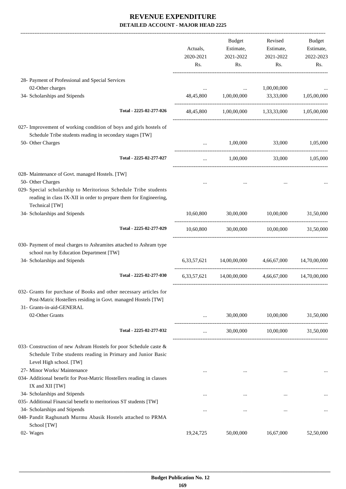|                                                                                                                                                                  |           |                            | Revised                 |                     |
|------------------------------------------------------------------------------------------------------------------------------------------------------------------|-----------|----------------------------|-------------------------|---------------------|
|                                                                                                                                                                  | Actuals,  | <b>Budget</b><br>Estimate, | Estimate,               | Budget<br>Estimate, |
|                                                                                                                                                                  | 2020-2021 | 2021-2022                  | 2021-2022               | 2022-2023           |
|                                                                                                                                                                  | Rs.       | Rs.                        | Rs.                     | Rs.                 |
| 28- Payment of Professional and Special Services                                                                                                                 |           |                            |                         |                     |
| 02-Other charges                                                                                                                                                 |           |                            | 1,00,00,000             |                     |
| 34- Scholarships and Stipends                                                                                                                                    | 48,45,800 | 1,00,00,000 33,33,000      |                         | 1,05,00,000         |
| Total - 2225-02-277-026                                                                                                                                          | 48,45,800 |                            | 1,00,00,000 1,33,33,000 | 1,05,00,000         |
| 027- Improvement of working condition of boys and girls hostels of                                                                                               |           |                            |                         |                     |
| Schedule Tribe students reading in secondary stages [TW]                                                                                                         |           |                            |                         |                     |
| 50- Other Charges                                                                                                                                                | $\ddots$  | 1,00,000                   | 33,000                  | 1,05,000            |
| Total - 2225-02-277-027                                                                                                                                          | $\cdots$  | 1,00,000                   | 33,000                  | 1,05,000            |
| 028- Maintenance of Govt. managed Hostels. [TW]                                                                                                                  |           |                            |                         |                     |
| 50- Other Charges                                                                                                                                                | $\cdots$  |                            |                         |                     |
| 029- Special scholarship to Meritorious Schedule Tribe students                                                                                                  |           |                            |                         |                     |
| reading in class IX-XII in order to prepare them for Engineering,                                                                                                |           |                            |                         |                     |
| Technical [TW]                                                                                                                                                   |           |                            |                         |                     |
| 34- Scholarships and Stipends                                                                                                                                    | 10,60,800 |                            | 30,00,000 10,00,000     | 31,50,000           |
| Total - 2225-02-277-029                                                                                                                                          | 10,60,800 |                            | 30,00,000 10,00,000     | 31,50,000           |
| 030- Payment of meal charges to Ashramites attached to Ashram type                                                                                               |           |                            |                         |                     |
| school run by Education Department [TW]                                                                                                                          |           |                            |                         |                     |
| 34- Scholarships and Stipends                                                                                                                                    |           | 6,33,57,621 14,00,00,000   | 4,66,67,000             | 14,70,00,000        |
| Total - 2225-02-277-030                                                                                                                                          |           | 6.33.57.621 14.00.00.000   | 4,66,67,000             | 14,70,00,000        |
| 032- Grants for purchase of Books and other necessary articles for<br>Post-Matric Hostellers residing in Govt. managed Hostels [TW]<br>31- Grants-in-aid-GENERAL |           |                            |                         |                     |
| 02-Other Grants                                                                                                                                                  | $\cdots$  | 30,00,000                  | 10,00,000               | 31,50,000           |
| Total - 2225-02-277-032                                                                                                                                          | $\cdots$  | 30,00,000                  | 10,00,000               | 31,50,000           |
| 033- Construction of new Ashram Hostels for poor Schedule caste &<br>Schedule Tribe students reading in Primary and Junior Basic<br>Level High school. [TW]      |           |                            |                         |                     |
| 27- Minor Works/ Maintenance                                                                                                                                     |           |                            | $\cdots$                |                     |
| 034- Additional benefit for Post-Matric Hostellers reading in classes                                                                                            |           |                            |                         |                     |
| IX and XII [TW]                                                                                                                                                  |           |                            |                         |                     |
| 34- Scholarships and Stipends                                                                                                                                    | $\cdots$  | $\cdots$                   |                         | $\cdots$            |
| 035- Additional Financial benefit to meritorious ST students [TW]                                                                                                |           |                            |                         |                     |
| 34- Scholarships and Stipends                                                                                                                                    | $\cdots$  | $\cdots$                   |                         | $\cdots$            |
| 048- Pandit Raghunath Murmu Abasik Hostels attached to PRMA<br>School [TW]                                                                                       |           |                            |                         |                     |
| 02- Wages                                                                                                                                                        | 19,24,725 | 50,00,000                  | 16,67,000               | 52,50,000           |
|                                                                                                                                                                  |           |                            |                         |                     |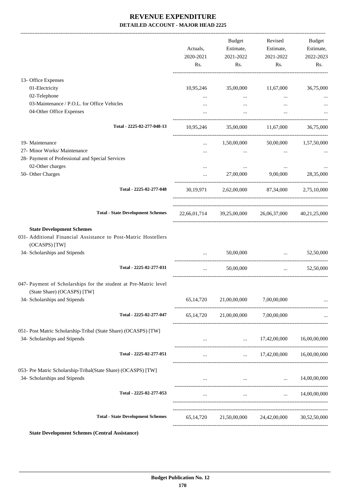|                                                                                                                                  | Actuals,<br>2020-2021<br>Rs. | Budget<br>Estimate,<br>2021-2022<br>Rs. | Revised<br>Estimate,<br>2021-2022<br>Rs.            | Budget<br>Estimate,<br>2022-2023<br>Rs. |
|----------------------------------------------------------------------------------------------------------------------------------|------------------------------|-----------------------------------------|-----------------------------------------------------|-----------------------------------------|
| 13- Office Expenses                                                                                                              |                              |                                         |                                                     |                                         |
| 01-Electricity                                                                                                                   |                              | 10,95,246 35,00,000                     | 11,67,000                                           | 36,75,000                               |
| 02-Telephone                                                                                                                     |                              | $\cdots$                                | $\cdots$                                            |                                         |
| 03-Maintenance / P.O.L. for Office Vehicles                                                                                      |                              | $\cdots$                                |                                                     |                                         |
| 04-Other Office Expenses                                                                                                         |                              |                                         |                                                     |                                         |
| Total - 2225-02-277-048-13                                                                                                       |                              |                                         | 10,95,246 35,00,000 11,67,000 36,75,000             |                                         |
| 19- Maintenance                                                                                                                  |                              | 1,50,00,000                             |                                                     | 50,00,000   1,57,50,000                 |
| 27- Minor Works/ Maintenance                                                                                                     |                              |                                         |                                                     |                                         |
| 28- Payment of Professional and Special Services                                                                                 |                              |                                         |                                                     |                                         |
| 02-Other charges                                                                                                                 | $\cdots$                     | $\cdots$                                | $\cdots$                                            |                                         |
| 50- Other Charges                                                                                                                | $\cdots$                     | 27,00,000                               | 9,00,000                                            | 28,35,000                               |
| Total - 2225-02-277-048                                                                                                          |                              |                                         | 30,19,971 2,62,00,000 87,34,000 2,75,10,000         |                                         |
| <b>Total - State Development Schemes</b>                                                                                         |                              |                                         | 22,66,01,714 39,25,00,000 26,06,37,000 40,21,25,000 |                                         |
| <b>State Development Schemes</b><br>031- Additional Financial Assistance to Post-Matric Hostellers                               |                              |                                         |                                                     |                                         |
| (OCASPS) [TW]<br>34- Scholarships and Stipends                                                                                   | $\ddotsc$                    | 50,00,000                               | <b>Section</b> (1997)                               | 52,50,000                               |
| Total - 2225-02-277-031                                                                                                          | $\cdots$                     | 50,00,000                               | $\cdots$                                            | 52,50,000                               |
| 047- Payment of Scholarships for the student at Pre-Matric level<br>(State Share) (OCASPS) [TW]<br>34- Scholarships and Stipends | 65, 14, 720                  | 21,00,00,000                            | 7,00,00,000                                         |                                         |
| Total - 2225-02-277-047                                                                                                          |                              | 65,14,720 21,00,00,000 7,00,00,000      |                                                     |                                         |
|                                                                                                                                  |                              |                                         |                                                     |                                         |
| 051- Post Matric Scholarship-Tribal (State Share) (OCASPS) [TW]<br>34- Scholarships and Stipends                                 |                              |                                         | $\ldots$ 17,42,00,000 16,00,00,000                  |                                         |
| Total - 2225-02-277-051                                                                                                          | $\cdots$                     |                                         | $\ldots$ 17,42,00,000 16,00,00,000                  |                                         |
| 053- Pre Matric Scholarship-Tribal(State Share) (OCASPS) [TW]<br>34- Scholarships and Stipends                                   |                              |                                         | $\dots$ $14,00,00,000$                              |                                         |
| Total - 2225-02-277-053                                                                                                          |                              |                                         | and the state of the state                          | $\ldots$ 14,00,00,000                   |
| <b>Total - State Development Schemes</b>                                                                                         | 65, 14, 720                  |                                         | 21,50,00,000 24,42,00,000 30,52,50,000              |                                         |

**State Development Schemes (Central Assistance)**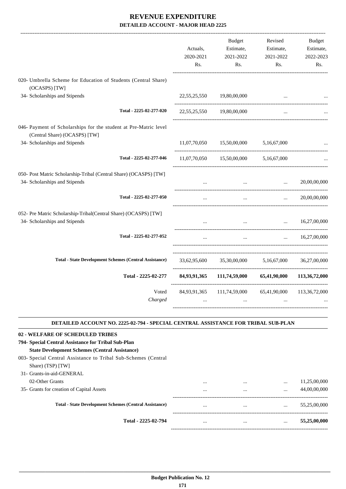| 20,00,00,000                             |
|------------------------------------------|
| 20,00,00,000                             |
| 16,27,00,000                             |
| 16,27,00,000                             |
| 36,27,00,000                             |
| 113, 36, 72, 000                         |
| 111,74,59,000 65,41,90,000 113,36,72,000 |
|                                          |

#### **DETAILED ACCOUNT NO. 2225-02-794 - SPECIAL CENTRAL ASSISTANCE FOR TRIBAL SUB-PLAN**

.

| 02 - WELFARE OF SCHEDULED TRIBES                               |          |          |          |              |
|----------------------------------------------------------------|----------|----------|----------|--------------|
| 794- Special Central Assistance for Tribal Sub-Plan            |          |          |          |              |
| <b>State Development Schemes (Central Assistance)</b>          |          |          |          |              |
| 003- Special Central Assistance to Tribal Sub-Schemes (Central |          |          |          |              |
| Share) (TSP) [TW]                                              |          |          |          |              |
| 31- Grants-in-aid-GENERAL                                      |          |          |          |              |
| 02-Other Grants                                                | $\cdots$ | $\cdots$ | $\cdots$ | 11,25,00,000 |
| 35- Grants for creation of Capital Assets                      | $\cdots$ | $\cdots$ | $\cdots$ | 44,00,00,000 |
| <b>Total - State Development Schemes (Central Assistance)</b>  | $\cdots$ |          | $\cdots$ | 55,25,00,000 |
| Total - 2225-02-794                                            | $\cdots$ |          | $\cdots$ | 55,25,00,000 |
|                                                                |          |          |          |              |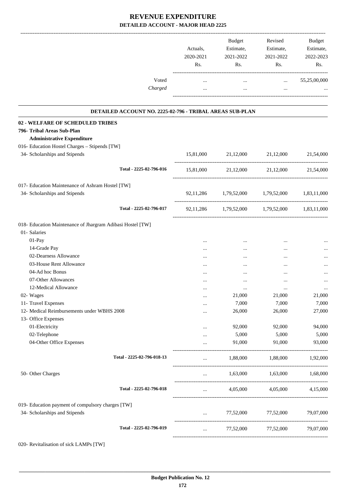|                                                            | Actuals,<br>2020-2021<br>Rs. | Budget<br>Estimate,<br>2021-2022<br>Rs.       | Revised<br>Estimate,<br>2021-2022<br>Rs. | Budget<br>Estimate,<br>2022-2023<br>Rs. |
|------------------------------------------------------------|------------------------------|-----------------------------------------------|------------------------------------------|-----------------------------------------|
| Voted<br>Charged                                           | $\ddotsc$<br>$\cdots$        | $\cdots$<br>$\cdots$                          | $\cdots$<br>$\cdots$                     | 55,25,00,000                            |
| DETAILED ACCOUNT NO. 2225-02-796 - TRIBAL AREAS SUB-PLAN   |                              |                                               |                                          |                                         |
| 02 - WELFARE OF SCHEDULED TRIBES                           |                              |                                               |                                          |                                         |
| 796- Tribal Areas Sub-Plan                                 |                              |                                               |                                          |                                         |
| <b>Administrative Expenditure</b>                          |                              |                                               |                                          |                                         |
| 016- Education Hostel Charges - Stipends [TW]              |                              |                                               |                                          |                                         |
| 34- Scholarships and Stipends                              |                              | 15,81,000 21,12,000 21,12,000                 |                                          | 21,54,000                               |
| Total - 2225-02-796-016                                    |                              | 15,81,000 21,12,000 21,12,000 21,54,000       |                                          |                                         |
| 017- Education Maintenance of Ashram Hostel [TW]           |                              |                                               |                                          |                                         |
| 34- Scholarships and Stipends                              |                              | 92,11,286 1,79,52,000 1,79,52,000 1,83,11,000 |                                          |                                         |
| Total - 2225-02-796-017                                    |                              | 92,11,286 1,79,52,000 1,79,52,000 1,83,11,000 |                                          |                                         |
| 018- Education Maintenance of Jhargram Adibasi Hostel [TW] |                              |                                               |                                          |                                         |
| 01- Salaries                                               |                              |                                               |                                          |                                         |
| 01-Pay                                                     | $\cdots$                     | $\cdots$                                      | $\cdots$                                 |                                         |
| 14-Grade Pay                                               | $\cdots$                     |                                               | $\cdots$                                 |                                         |
| 02-Dearness Allowance                                      |                              |                                               | $\cdots$                                 |                                         |
| 03-House Rent Allowance                                    | $\cdots$                     | $\cdots$                                      | $\cdots$                                 |                                         |
| 04-Ad hoc Bonus                                            | $\cdots$                     | $\cdots$                                      |                                          | $\cdots$                                |
| 07-Other Allowances                                        | $\cdots$                     |                                               | $\cdots$                                 | $\cdots$                                |
| 12-Medical Allowance                                       | $\cdots$                     |                                               |                                          |                                         |
| 02- Wages                                                  |                              | 21,000                                        | 21,000                                   | 21,000                                  |
| 11- Travel Expenses                                        | $\cdots$                     | 7,000                                         | 7,000                                    | 7,000                                   |
| 12- Medical Reimbursements under WBHS 2008                 | $\cdots$                     | 26,000                                        | 26,000                                   | 27,000                                  |
| 13- Office Expenses                                        |                              |                                               |                                          |                                         |
| 01-Electricity                                             |                              | 92,000                                        | 92,000                                   | 94,000                                  |
| 02-Telephone                                               |                              | 5,000                                         | 5,000                                    | 5,000                                   |
| 04-Other Office Expenses                                   |                              | 91,000                                        | 91,000                                   | 93,000                                  |
| Total - 2225-02-796-018-13                                 |                              | 1,88,000                                      | 1,88,000                                 | 1,92,000                                |
| 50- Other Charges                                          | $\cdots$                     | 1,63,000                                      | 1,63,000                                 | 1,68,000                                |
| Total - 2225-02-796-018                                    | $\cdots$                     | 4,05,000                                      | 4,05,000                                 | 4,15,000                                |
| 019- Education payment of compulsory charges [TW]          |                              |                                               |                                          |                                         |
| 34- Scholarships and Stipends                              | $\cdots$                     | 77,52,000                                     | 77,52,000                                | 79,07,000                               |
| Total - 2225-02-796-019                                    | $\cdots$                     | 77,52,000                                     | 77,52,000                                | 79,07,000                               |
|                                                            |                              |                                               |                                          |                                         |

020- Revitalisation of sick LAMPs [TW]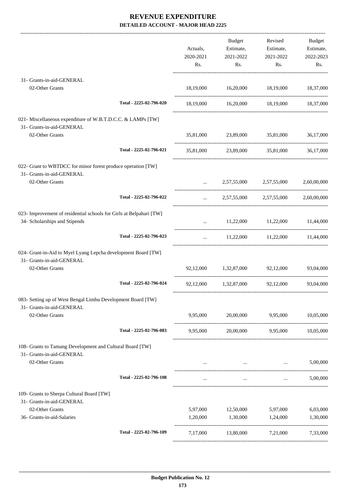-------------------------------------------------------------------------------------------------------------------------------------------------------------------------------

|                                                                                                      |                         | Actuals,<br>2020-2021<br>Rs.                   | <b>Budget</b><br>Estimate,<br>2021-2022<br>Rs. | Revised<br>Estimate,<br>2021-2022<br>Rs.  | <b>Budget</b><br>Estimate,<br>2022-2023<br>Rs. |
|------------------------------------------------------------------------------------------------------|-------------------------|------------------------------------------------|------------------------------------------------|-------------------------------------------|------------------------------------------------|
| 31- Grants-in-aid-GENERAL                                                                            |                         |                                                |                                                |                                           |                                                |
| 02-Other Grants                                                                                      |                         |                                                |                                                | 18,19,000 16,20,000 18,19,000 18,37,000   |                                                |
|                                                                                                      | Total - 2225-02-796-020 |                                                |                                                | 18,19,000 16,20,000 18,19,000 18,37,000   |                                                |
| 021- Miscellaneous expenditure of W.B.T.D.C.C. & LAMPs [TW]<br>31- Grants-in-aid-GENERAL             |                         |                                                |                                                |                                           |                                                |
| 02-Other Grants                                                                                      |                         |                                                |                                                | 35,81,000 23,89,000 35,81,000 36,17,000   |                                                |
|                                                                                                      | Total - 2225-02-796-021 |                                                |                                                | 35,81,000 23,89,000 35,81,000 36,17,000   |                                                |
| 022- Grant to WBTDCC for minor forest produce operation [TW]<br>31- Grants-in-aid-GENERAL            |                         |                                                |                                                |                                           |                                                |
| 02-Other Grants                                                                                      |                         | $\mathbf{1}$ and $\mathbf{1}$ and $\mathbf{1}$ |                                                | 2,57,55,000 2,57,55,000                   | 2,60,00,000                                    |
|                                                                                                      | Total - 2225-02-796-022 |                                                |                                                | $2,57,55,000$ $2,57,55,000$ $2,60,00,000$ |                                                |
| 023- Improvement of residential schools for Girls at Belpahari [TW]<br>34- Scholarships and Stipends |                         |                                                |                                                | $11,22,000$ $11,22,000$ $11,44,000$       |                                                |
|                                                                                                      | Total - 2225-02-796-023 | $\cdots$                                       |                                                | 11,22,000 11,22,000 11,44,000             |                                                |
| 024- Grant-in-Aid to Myel Lyang Lepcha development Board [TW]<br>31- Grants-in-aid-GENERAL           |                         |                                                |                                                |                                           |                                                |
| 02-Other Grants                                                                                      |                         |                                                | 92,12,000 1,32,87,000 92,12,000                |                                           | 93,04,000                                      |
|                                                                                                      | Total - 2225-02-796-024 |                                                |                                                | 92,12,000 1,32,87,000 92,12,000 93,04,000 |                                                |
| 083- Setting up of West Bengal Limbu Development Board [TW]<br>31- Grants-in-aid-GENERAL             |                         |                                                |                                                |                                           |                                                |
| 02-Other Grants                                                                                      |                         | 9,95,000                                       | 20,00,000                                      | 9,95,000                                  | 10,05,000                                      |
|                                                                                                      | Total - 2225-02-796-083 | 9,95,000                                       | 20,00,000                                      | 9,95,000                                  | 10,05,000                                      |
| 108- Grants to Tamang Development and Cultural Board [TW]<br>31- Grants-in-aid-GENERAL               |                         |                                                |                                                |                                           |                                                |
| 02-Other Grants                                                                                      |                         | $\mathbf{r}$ , and $\mathbf{r}$                |                                                | and the state of the state of the         | 5,00,000                                       |
|                                                                                                      | Total - 2225-02-796-108 |                                                | $\cdots$                                       | $\mathbf{1}$                              | 5,00,000                                       |
| 109- Grants to Sherpa Cultural Board [TW]<br>31- Grants-in-aid-GENERAL                               |                         |                                                |                                                |                                           |                                                |
| 02-Other Grants                                                                                      |                         | 5,97,000                                       | 12,50,000                                      | 5,97,000                                  | 6,03,000                                       |
| 36- Grants-in-aid-Salaries                                                                           |                         | 1,20,000                                       | 1,30,000                                       | 1,24,000                                  | 1,30,000                                       |
|                                                                                                      | Total - 2225-02-796-109 | 7,17,000                                       |                                                | 13,80,000 7,21,000                        | 7,33,000                                       |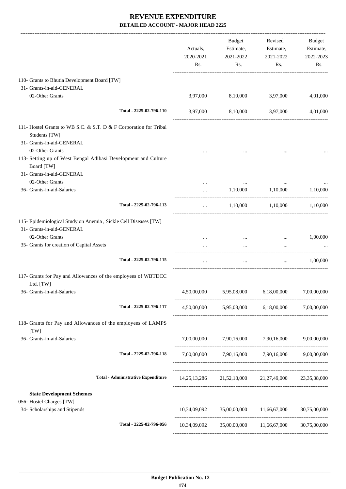|                                                                                                                 |                                           | Actuals,<br>2020-2021<br>Rs. | Budget<br>Estimate,<br>2021-2022<br>Rs. | Revised<br>Estimate,<br>2021-2022<br>Rs.            | Budget<br>Estimate,<br>2022-2023<br>Rs. |
|-----------------------------------------------------------------------------------------------------------------|-------------------------------------------|------------------------------|-----------------------------------------|-----------------------------------------------------|-----------------------------------------|
| 110- Grants to Bhutia Development Board [TW]                                                                    |                                           |                              |                                         |                                                     |                                         |
| 31- Grants-in-aid-GENERAL                                                                                       |                                           |                              |                                         |                                                     |                                         |
| 02-Other Grants                                                                                                 |                                           | 3,97,000                     | 8,10,000                                | 3,97,000                                            | 4,01,000                                |
|                                                                                                                 | Total - 2225-02-796-110                   |                              |                                         | 3,97,000 8,10,000 3,97,000                          | 4,01,000                                |
| 111- Hostel Grants to WB S.C. & S.T. D & F Corporation for Tribal<br>Students [TW]<br>31- Grants-in-aid-GENERAL |                                           |                              |                                         |                                                     |                                         |
| 02-Other Grants<br>113- Setting up of West Bengal Adibasi Development and Culture<br>Board [TW]                 |                                           |                              |                                         |                                                     |                                         |
| 31- Grants-in-aid-GENERAL                                                                                       |                                           |                              |                                         |                                                     |                                         |
| 02-Other Grants<br>36- Grants-in-aid-Salaries                                                                   |                                           | $\cdots$                     | 1,10,000                                | 1,10,000                                            | 1,10,000                                |
|                                                                                                                 | Total - 2225-02-796-113                   | $\cdots$                     | 1,10,000                                | 1,10,000                                            | 1,10,000                                |
| 115- Epidemiological Study on Anemia, Sickle Cell Diseases [TW]<br>31- Grants-in-aid-GENERAL                    |                                           |                              |                                         |                                                     |                                         |
| 02-Other Grants<br>35- Grants for creation of Capital Assets                                                    |                                           |                              | $\cdots$                                | $\cdots$                                            | 1,00,000                                |
|                                                                                                                 | Total - 2225-02-796-115                   | $\ldots$                     | $\cdots$                                | $\cdots$                                            | 1.00.000                                |
| 117- Grants for Pay and Allowances of the employees of WBTDCC                                                   |                                           |                              |                                         |                                                     |                                         |
| Ltd. [TW]                                                                                                       |                                           |                              |                                         |                                                     |                                         |
| 36- Grants-in-aid-Salaries                                                                                      |                                           | 4,50,00,000                  |                                         | 5,95,08,000 6,18,00,000                             | 7,00,00,000                             |
|                                                                                                                 | Total - 2225-02-796-117                   |                              |                                         | 4,50,00,000 5,95,08,000 6,18,00,000 7,00,00,000     |                                         |
| 118- Grants for Pay and Allowances of the employees of LAMPS<br>[TW]                                            |                                           |                              |                                         |                                                     |                                         |
| 36- Grants-in-aid-Salaries                                                                                      |                                           |                              |                                         | 7,00,00,000 7,90,16,000 7,90,16,000 9,00,00,000     |                                         |
|                                                                                                                 | Total - 2225-02-796-118                   |                              |                                         | 7,00,00,000 7,90,16,000 7,90,16,000 9,00,00,000     |                                         |
|                                                                                                                 | <b>Total - Administrative Expenditure</b> |                              |                                         | 14,25,13,286 21,52,18,000 21,27,49,000 23,35,38,000 |                                         |
| <b>State Development Schemes</b>                                                                                |                                           |                              |                                         |                                                     |                                         |
| 056- Hostel Charges [TW]<br>34- Scholarships and Stipends                                                       |                                           |                              |                                         |                                                     |                                         |
|                                                                                                                 | Total - 2225-02-796-056                   |                              |                                         |                                                     |                                         |
|                                                                                                                 |                                           |                              |                                         |                                                     |                                         |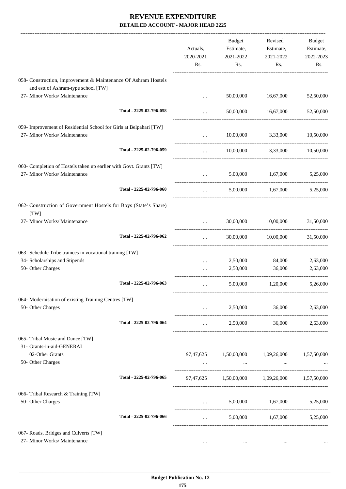|                                                                                                       |                         | Actuals,<br>2020-2021<br>Rs. | <b>Budget</b><br>Estimate,<br>2021-2022<br>Rs.      | Revised<br>Estimate,<br>2021-2022<br>Rs. | Budget<br>Estimate,<br>2022-2023<br>Rs. |
|-------------------------------------------------------------------------------------------------------|-------------------------|------------------------------|-----------------------------------------------------|------------------------------------------|-----------------------------------------|
| 058- Construction, improvement & Maintenance Of Ashram Hostels<br>and estt of Ashram-type school [TW] |                         |                              |                                                     |                                          |                                         |
| 27- Minor Works/ Maintenance                                                                          |                         | $\cdots$                     | 50,00,000                                           | 16,67,000                                | 52,50,000                               |
|                                                                                                       | Total - 2225-02-796-058 | $\cdots$                     | 50,00,000                                           | 16,67,000                                | 52,50,000                               |
| 059- Improvement of Residential School for Girls at Belpahari [TW]<br>27- Minor Works/ Maintenance    |                         | $\cdots$                     | 10,00,000                                           | 3,33,000                                 | 10,50,000                               |
|                                                                                                       | Total - 2225-02-796-059 | $\cdots$                     |                                                     | 10,00,000 3,33,000 10,50,000             |                                         |
| 060- Completion of Hostels taken up earlier with Govt. Grants [TW]                                    |                         |                              |                                                     |                                          |                                         |
| 27- Minor Works/ Maintenance                                                                          |                         | $\cdots$                     | 5,00,000                                            | 1,67,000                                 | 5,25,000                                |
|                                                                                                       | Total - 2225-02-796-060 | $\cdots$                     |                                                     | 5,00,000 1,67,000                        | 5,25,000                                |
| 062- Construction of Government Hostels for Boys (State's Share)                                      |                         |                              |                                                     |                                          |                                         |
| [TW]<br>27- Minor Works/ Maintenance                                                                  |                         |                              | 30,00,000                                           | 10,00,000                                | 31,50,000                               |
|                                                                                                       | Total - 2225-02-796-062 | $\cdots$                     | 30,00,000                                           | 10,00,000                                | 31,50,000                               |
| 063- Schedule Tribe trainees in vocational training [TW]                                              |                         |                              |                                                     |                                          |                                         |
| 34- Scholarships and Stipends                                                                         |                         | $\cdots$                     | 2,50,000                                            | 84,000                                   | 2,63,000                                |
| 50- Other Charges                                                                                     |                         |                              | 2,50,000                                            | 36,000                                   | 2,63,000                                |
|                                                                                                       | Total - 2225-02-796-063 | $\cdots$                     | 5,00,000                                            | 1,20,000                                 | 5,26,000                                |
| 064- Modernisation of existing Training Centres [TW]                                                  |                         |                              |                                                     |                                          |                                         |
| 50- Other Charges                                                                                     |                         |                              | 2,50,000<br>$\cdots$ . The same state $\cdots$      | 36,000                                   | 2,63,000                                |
|                                                                                                       | Total - 2225-02-796-064 |                              | <b>ARCHITECT</b>                                    | 2,50,000 36,000 2,63,000                 |                                         |
| 065- Tribal Music and Dance [TW]                                                                      |                         |                              |                                                     |                                          |                                         |
| 31- Grants-in-aid-GENERAL<br>02-Other Grants                                                          |                         |                              | 97,47,625 $1,50,00,000$ $1,09,26,000$ $1,57,50,000$ |                                          |                                         |
| 50- Other Charges                                                                                     |                         | $\cdots$                     | $\ldots$                                            |                                          |                                         |
|                                                                                                       | Total - 2225-02-796-065 |                              | 97,47,625 1,50,00,000 1,09,26,000 1,57,50,000       |                                          |                                         |
| 066- Tribal Research & Training [TW]                                                                  |                         |                              |                                                     |                                          |                                         |
| 50- Other Charges                                                                                     |                         |                              |                                                     | 5,00,000 1,67,000 5,25,000               |                                         |
|                                                                                                       | Total - 2225-02-796-066 | $\cdots$                     |                                                     | 5,00,000 1,67,000 5,25,000               |                                         |
| 067- Roads, Bridges and Culverts [TW]                                                                 |                         |                              |                                                     |                                          |                                         |
| 27- Minor Works/ Maintenance                                                                          |                         | $\cdots$                     | $\cdots$                                            | $\cdots$                                 |                                         |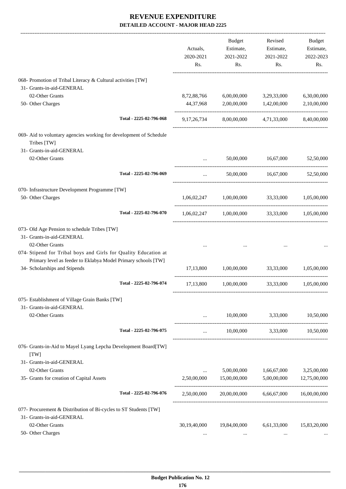|                                                                                                                                                                 |                         | Actuals,<br>2020-2021<br>Rs. | <b>Budget</b><br>Estimate,<br>2021-2022<br>Rs.        | Revised<br>Estimate,<br>2021-2022<br>Rs. | Budget<br>Estimate,<br>2022-2023<br>Rs. |
|-----------------------------------------------------------------------------------------------------------------------------------------------------------------|-------------------------|------------------------------|-------------------------------------------------------|------------------------------------------|-----------------------------------------|
| 068- Promotion of Tribal Literacy & Cultural activities [TW]                                                                                                    |                         |                              |                                                       |                                          |                                         |
| 31- Grants-in-aid-GENERAL                                                                                                                                       |                         |                              |                                                       |                                          |                                         |
| 02-Other Grants                                                                                                                                                 |                         | 8,72,88,766                  | 6,00,00,000                                           | 3,29,33,000                              | 6,30,00,000                             |
| 50- Other Charges                                                                                                                                               |                         | 44,37,968                    | 2,00,00,000                                           | 1,42,00,000                              | 2,10,00,000                             |
|                                                                                                                                                                 | Total - 2225-02-796-068 |                              | 9,17,26,734 8,00,00,000 4,71,33,000 8,40,00,000       |                                          |                                         |
| 069- Aid to voluntary agencies working for development of Schedule<br>Tribes [TW]                                                                               |                         |                              |                                                       |                                          |                                         |
| 31- Grants-in-aid-GENERAL                                                                                                                                       |                         |                              |                                                       |                                          |                                         |
| 02-Other Grants                                                                                                                                                 |                         |                              | 50,00,000                                             | 16,67,000                                | 52,50,000                               |
|                                                                                                                                                                 | Total - 2225-02-796-069 | $\cdots$                     |                                                       | 50,00,000 16,67,000                      | 52,50,000                               |
| 070- Infrastructure Development Programme [TW]                                                                                                                  |                         |                              |                                                       |                                          |                                         |
| 50- Other Charges                                                                                                                                               |                         |                              | $1,06,02,247$ $1,00,00,000$                           | 33,33,000                                | 1,05,00,000                             |
|                                                                                                                                                                 | Total - 2225-02-796-070 |                              | $1,06,02,247$ $1,00,00,000$ $33,33,000$ $1,05,00,000$ |                                          |                                         |
| 073- Old Age Pension to schedule Tribes [TW]<br>31- Grants-in-aid-GENERAL<br>02-Other Grants<br>074- Stipend for Tribal boys and Girls for Quality Education at |                         |                              |                                                       |                                          |                                         |
| Primary level as feeder to Eklabya Model Primary schools [TW]<br>34- Scholarships and Stipends                                                                  |                         | 17,13,800                    | 1,00,00,000                                           | 33,33,000                                | 1,05,00,000                             |
|                                                                                                                                                                 | Total - 2225-02-796-074 | 17,13,800                    | 1,00,00,000                                           | 33,33,000                                | 1,05,00,000                             |
| 075- Establishment of Village Grain Banks [TW]<br>31- Grants-in-aid-GENERAL                                                                                     |                         |                              |                                                       |                                          |                                         |
| 02-Other Grants                                                                                                                                                 |                         | $\cdots$                     | 10,00,000                                             | 3,33,000                                 | 10,50,000                               |
|                                                                                                                                                                 | Total - 2225-02-796-075 | $\cdots$                     |                                                       | $10,00,000$ $3,33,000$ $10,50,000$       |                                         |
| 076- Grants-in-Aid to Mayel Lyang Lepcha Development Board[TW]<br>[TW]                                                                                          |                         |                              |                                                       |                                          |                                         |
| 31- Grants-in-aid-GENERAL                                                                                                                                       |                         |                              |                                                       |                                          |                                         |
| 02-Other Grants                                                                                                                                                 |                         | $\cdots$                     | 5,00,00,000                                           | 1,66,67,000                              | 3,25,00,000                             |
| 35- Grants for creation of Capital Assets                                                                                                                       |                         | 2,50,00,000                  | 15,00,00,000                                          | 5,00,00,000                              | 12,75,00,000                            |
|                                                                                                                                                                 | Total - 2225-02-796-076 | 2,50,00,000                  | 20,00,00,000                                          | 6,66,67,000                              | 16,00,00,000                            |
| 077- Procurement & Distribution of Bi-cycles to ST Students [TW]<br>31- Grants-in-aid-GENERAL                                                                   |                         |                              |                                                       |                                          |                                         |
| 02-Other Grants                                                                                                                                                 |                         | 30,19,40,000                 | 19,84,00,000                                          | 6,61,33,000                              | 15,83,20,000                            |
| 50- Other Charges                                                                                                                                               |                         | $\cdots$                     | $\cdots$                                              | $\cdots$                                 |                                         |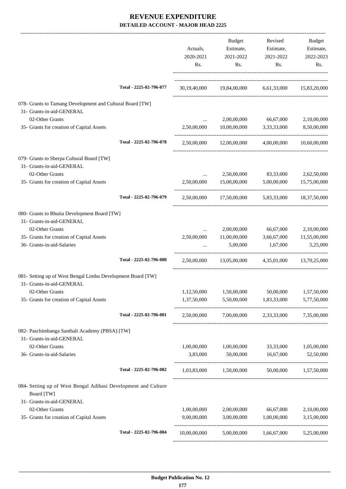|                                                                              |                         | Actuals,<br>2020-2021<br>Rs. | <b>Budget</b><br>Estimate,<br>2021-2022<br>Rs.     | Revised<br>Estimate,<br>2021-2022<br>Rs. | Budget<br>Estimate,<br>2022-2023<br>Rs. |
|------------------------------------------------------------------------------|-------------------------|------------------------------|----------------------------------------------------|------------------------------------------|-----------------------------------------|
|                                                                              | Total - 2225-02-796-077 |                              | 30,19,40,000 19,84,00,000 6,61,33,000 15,83,20,000 |                                          |                                         |
| 078- Grants to Tamang Development and Cultural Board [TW]                    |                         |                              |                                                    |                                          |                                         |
| 31- Grants-in-aid-GENERAL<br>02-Other Grants                                 |                         |                              |                                                    |                                          |                                         |
| 35- Grants for creation of Capital Assets                                    |                         | 2,50,00,000                  | 10,00,00,000 3,33,33,000                           | 2,00,00,000 66,67,000                    | 2,10,00,000<br>8,50,00,000              |
|                                                                              | Total - 2225-02-796-078 |                              | 2,50,00,000 12,00,00,000                           | 4,00,00,000                              | 10,60,00,000                            |
|                                                                              |                         |                              |                                                    |                                          |                                         |
| 079- Grants to Sherpa Cultural Board [TW]<br>31- Grants-in-aid-GENERAL       |                         |                              |                                                    |                                          |                                         |
| 02-Other Grants                                                              |                         | $\cdots$                     |                                                    | 2,50,00,000 83,33,000                    | 2,62,50,000                             |
| 35- Grants for creation of Capital Assets                                    |                         | 2,50,00,000                  | 15,00,00,000 5,00,00,000 15,75,00,000              |                                          |                                         |
|                                                                              | Total - 2225-02-796-079 |                              | 2,50,00,000 17,50,00,000 5,83,33,000 18,37,50,000  |                                          |                                         |
| 080- Grants to Bhutia Development Board [TW]                                 |                         |                              |                                                    |                                          |                                         |
| 31- Grants-in-aid-GENERAL                                                    |                         |                              |                                                    |                                          |                                         |
| 02-Other Grants                                                              |                         | $\cdots$                     | 2,00,00,000                                        | 66,67,000                                | 2,10,00,000                             |
| 35- Grants for creation of Capital Assets                                    |                         | 2,50,00,000                  | 11,00,00,000                                       | 3,66,67,000                              | 11,55,00,000                            |
| 36- Grants-in-aid-Salaries                                                   |                         |                              | 5,00,000                                           | 1,67,000                                 | 5,25,000                                |
|                                                                              | Total - 2225-02-796-080 |                              | 2,50,00,000 13,05,00,000                           |                                          | 4,35,01,000 13,70,25,000                |
| 081- Setting up of West Bengal Limbu Development Board [TW]                  |                         |                              |                                                    |                                          |                                         |
| 31- Grants-in-aid-GENERAL                                                    |                         |                              |                                                    |                                          |                                         |
| 02-Other Grants<br>35- Grants for creation of Capital Assets                 |                         | 1,12,50,000                  | 1,37,50,000 5,50,00,000 1,83,33,000                | 1,50,00,000 50,00,000 1,57,50,000        | 5,77,50,000                             |
|                                                                              |                         |                              |                                                    |                                          |                                         |
|                                                                              | Total - 2225-02-796-081 |                              | 2,50,00,000 7,00,00,000 2,33,33,000 7,35,00,000    |                                          |                                         |
| 082- Paschimbanga Santhali Academy (PBSA) [TW]                               |                         |                              |                                                    |                                          |                                         |
| 31- Grants-in-aid-GENERAL                                                    |                         |                              |                                                    |                                          |                                         |
| 02-Other Grants                                                              |                         | 1,00,00,000                  | 1,00,00,000                                        |                                          | 33,33,000 1,05,00,000                   |
| 36- Grants-in-aid-Salaries                                                   |                         |                              | $3,83,000$ $50,00,000$ $16,67,000$                 |                                          | 52,50,000                               |
|                                                                              | Total - 2225-02-796-082 |                              | 1,03,83,000 1,50,00,000 50,00,000 1,57,50,000      |                                          |                                         |
| 084- Setting up of West Bengal Adibasi Development and Culture<br>Board [TW] |                         |                              |                                                    |                                          |                                         |
| 31- Grants-in-aid-GENERAL                                                    |                         |                              |                                                    |                                          |                                         |
| 02-Other Grants                                                              |                         | 1,00,00,000                  | 2,00,00,000                                        | 66,67,000                                | 2,10,00,000                             |
| 35- Grants for creation of Capital Assets                                    |                         | 9,00,00,000                  |                                                    | 3,00,00,000 1,00,00,000                  | 3,15,00,000                             |
|                                                                              | Total - 2225-02-796-084 | 10,00,00,000                 |                                                    | 5,00,00,000 1,66,67,000 5,25,00,000      |                                         |
|                                                                              |                         |                              |                                                    |                                          |                                         |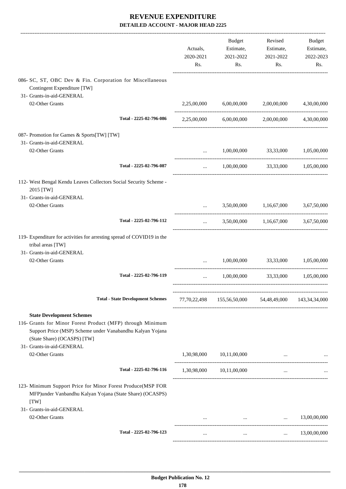|                                                                                                                                                                                                                         | Actuals,<br>2020-2021<br>Rs. | Budget<br>Estimate,<br>2021-2022<br>Rs.                       | Revised<br>Estimate,<br>2021-2022<br>Rs.                                     | Budget<br>Estimate,<br>2022-2023<br>Rs. |
|-------------------------------------------------------------------------------------------------------------------------------------------------------------------------------------------------------------------------|------------------------------|---------------------------------------------------------------|------------------------------------------------------------------------------|-----------------------------------------|
| 086- SC, ST, OBC Dev & Fin. Corporation for Miscellaneous<br>Contingent Expenditure [TW]<br>31- Grants-in-aid-GENERAL                                                                                                   |                              |                                                               |                                                                              |                                         |
| 02-Other Grants                                                                                                                                                                                                         | 2,25,00,000                  | 6,00,00,000                                                   | 2,00,00,000                                                                  | 4,30,00,000                             |
| Total - 2225-02-796-086                                                                                                                                                                                                 |                              | 2,25,00,000 6,00,00,000 2,00,00,000 4,30,00,000               |                                                                              |                                         |
| 087- Promotion for Games & Sports[TW] [TW]<br>31- Grants-in-aid-GENERAL                                                                                                                                                 |                              |                                                               |                                                                              |                                         |
| 02-Other Grants                                                                                                                                                                                                         | $\cdots$                     |                                                               | 1,00,00,000 33,33,000                                                        | 1,05,00,000                             |
| Total - 2225-02-796-087                                                                                                                                                                                                 | $\cdots$                     |                                                               | 1,00,00,000 33,33,000 1,05,00,000                                            |                                         |
| 112- West Bengal Kendu Leaves Collectors Social Security Scheme -<br>2015 [TW]                                                                                                                                          |                              |                                                               |                                                                              |                                         |
| 31- Grants-in-aid-GENERAL<br>02-Other Grants                                                                                                                                                                            | $\cdots$                     |                                                               | 3,50,00,000 1,16,67,000                                                      | 3,67,50,000                             |
| Total - 2225-02-796-112                                                                                                                                                                                                 | $\cdots$                     |                                                               | 3,50,00,000 1,16,67,000                                                      | 3,67,50,000                             |
| 119- Expenditure for activities for arresting spread of COVID19 in the<br>tribal areas [TW]<br>31- Grants-in-aid-GENERAL                                                                                                |                              |                                                               |                                                                              |                                         |
| 02-Other Grants                                                                                                                                                                                                         | $\ddotsc$                    |                                                               | 1,00,00,000 33,33,000                                                        | 1,05,00,000                             |
| Total - 2225-02-796-119                                                                                                                                                                                                 | $\cdots$                     | 1,00,00,000                                                   |                                                                              | 33,33,000 1,05,00,000                   |
| <b>Total - State Development Schemes</b>                                                                                                                                                                                |                              | 77,70,22,498  155,56,50,000  54,48,49,000  143,34,34,000      |                                                                              |                                         |
| <b>State Development Schemes</b><br>116- Grants for Minor Forest Product (MFP) through Minimum<br>Support Price (MSP) Scheme under Vanabandhu Kalyan Yojana<br>(State Share) (OCASPS) [TW]<br>31- Grants-in-aid-GENERAL |                              |                                                               |                                                                              |                                         |
| 02-Other Grants                                                                                                                                                                                                         |                              | 1,30,98,000 10,11,00,000                                      |                                                                              |                                         |
| Total - 2225-02-796-116                                                                                                                                                                                                 |                              | 1,30,98,000 10,11,00,000                                      | $\cdots$                                                                     |                                         |
| 123- Minimum Support Price for Minor Forest Produce(MSP FOR<br>MFP)under Vanbandhu Kalyan Yojana (State Share) (OCASPS)<br>[TW]                                                                                         |                              |                                                               |                                                                              |                                         |
| 31- Grants-in-aid-GENERAL<br>02-Other Grants                                                                                                                                                                            |                              | and the state of the control of the state of the state of the | $\ddots$                                                                     | 13,00,00,000                            |
| Total - 2225-02-796-123                                                                                                                                                                                                 | $\cdots$                     |                                                               | $\mathbf{r}$ and $\mathbf{r}$ are all the set of the set of the $\mathbf{r}$ | $\ldots$ 13,00,00,000                   |
|                                                                                                                                                                                                                         |                              |                                                               |                                                                              |                                         |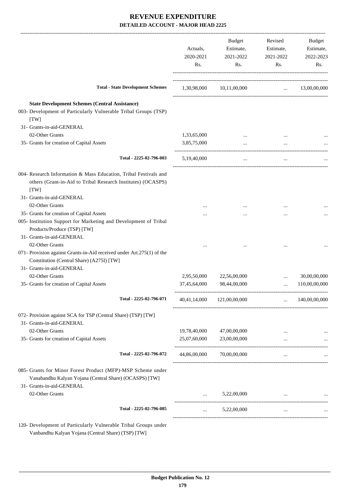|                                                                                                                                                    | Actuals,<br>2020-2021<br>Rs. | Budget<br>Estimate,<br>2021-2022<br>Rs. | Revised<br>Estimate,<br>2021-2022<br>Rs. | Budget<br>Estimate,<br>2022-2023<br>Rs. |
|----------------------------------------------------------------------------------------------------------------------------------------------------|------------------------------|-----------------------------------------|------------------------------------------|-----------------------------------------|
| <b>Total - State Development Schemes</b>                                                                                                           | 1,30,98,000                  | 10,11,00,000                            | $\ldots$ 13,00,00,000                    |                                         |
| <b>State Development Schemes (Central Assistance)</b><br>003- Development of Particularly Vulnerable Tribal Groups (TSP)<br>[TW]                   |                              |                                         |                                          |                                         |
| 31- Grants-in-aid-GENERAL                                                                                                                          |                              |                                         |                                          |                                         |
| 02-Other Grants                                                                                                                                    | 1,33,65,000                  |                                         |                                          |                                         |
| 35- Grants for creation of Capital Assets                                                                                                          | 3,85,75,000                  | $\cdots$                                |                                          |                                         |
| Total - 2225-02-796-003                                                                                                                            | 5,19,40,000                  | $\cdots$                                | $\cdots$                                 |                                         |
| 004- Research Information & Mass Education, Tribal Festivals and<br>others (Grant-in-Aid to Tribal Research Institutes) (OCASPS)<br>[TW]           |                              |                                         |                                          |                                         |
| 31- Grants-in-aid-GENERAL<br>02-Other Grants                                                                                                       |                              |                                         |                                          |                                         |
| 35- Grants for creation of Capital Assets                                                                                                          |                              |                                         |                                          |                                         |
| 005- Institution Support for Marketing and Development of Tribal<br>Products/Produce (TSP) [TW]<br>31- Grants-in-aid-GENERAL<br>02-Other Grants    |                              |                                         |                                          |                                         |
| 071- Provision against Grants-in-Aid received under Art.275(1) of the<br>Constitution (Central Share) (A275I) [TW]<br>31- Grants-in-aid-GENERAL    |                              |                                         |                                          |                                         |
| 02-Other Grants                                                                                                                                    | 2,95,50,000                  | 22,56,00,000                            | $\ddotsc$                                | 30,00,00,000                            |
| 35- Grants for creation of Capital Assets                                                                                                          | 37,45,64,000                 | 98,44,00,000                            |                                          | 110,00,00,000                           |
| Total - 2225-02-796-071                                                                                                                            | 40,41,14,000                 | 121,00,00,000                           | $\cdots$                                 | 140,00,00,000                           |
| 072- Provision against SCA for TSP (Central Share) (TSP) [TW]<br>31- Grants-in-aid-GENERAL                                                         |                              |                                         |                                          |                                         |
| 02-Other Grants                                                                                                                                    | 19,78,40,000                 | 47,00,00,000                            |                                          |                                         |
| 35- Grants for creation of Capital Assets                                                                                                          | 25,07,60,000                 | 23,00,00,000                            |                                          |                                         |
| Total - 2225-02-796-072                                                                                                                            | 44,86,00,000                 | 70,00,00,000                            | $\cdots$                                 |                                         |
| 085- Grants for Minor Forest Product (MFP)-MSP Scheme under<br>Vanabandhu Kalyan Yojana (Central Share) (OCASPS) [TW]<br>31- Grants-in-aid-GENERAL |                              |                                         |                                          |                                         |
| 02-Other Grants                                                                                                                                    |                              | 5,22,00,000                             |                                          |                                         |
| Total - 2225-02-796-085                                                                                                                            | $\cdots$                     | 5,22,00,000                             | $\cdots$                                 |                                         |
| 120- Development of Particularly Vulnerable Tribal Groups under                                                                                    |                              |                                         |                                          |                                         |

Vanbandhu Kalyan Yojana (Central Share) (TSP) [TW]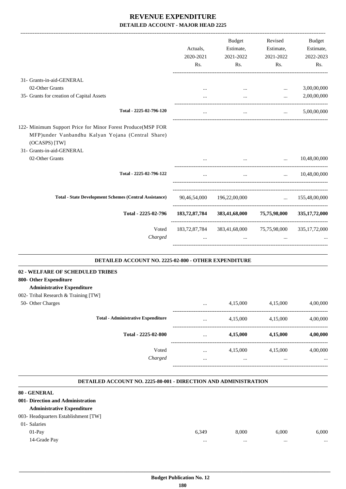|                                                                                                                                                                                   | Actuals,<br>2020-2021<br>Rs. | Budget<br>Estimate,<br>2021-2022<br>Rs.                            | Revised<br>Estimate,<br>2021-2022<br>Rs. | <b>Budget</b><br>Estimate,<br>2022-2023<br>Rs. |
|-----------------------------------------------------------------------------------------------------------------------------------------------------------------------------------|------------------------------|--------------------------------------------------------------------|------------------------------------------|------------------------------------------------|
| 31- Grants-in-aid-GENERAL                                                                                                                                                         |                              |                                                                    |                                          |                                                |
| 02-Other Grants                                                                                                                                                                   | $\cdots$                     | $\cdots$                                                           | $\cdots$                                 | 3,00,00,000                                    |
| 35- Grants for creation of Capital Assets                                                                                                                                         |                              | $\cdots$                                                           | $\cdots$                                 | 2,00,00,000                                    |
| Total - 2225-02-796-120                                                                                                                                                           | $\cdots$                     | $\cdots$                                                           | $\cdots$                                 | 5,00,00,000                                    |
| 122- Minimum Support Price for Minor Forest Produce(MSP FOR<br>MFP)under Vanbandhu Kalyan Yojana (Central Share)<br>(OCASPS) [TW]<br>31- Grants-in-aid-GENERAL<br>02-Other Grants |                              | $\mathbf{r}$ , and the state of $\mathbf{r}$                       | $\mathbf{r}$                             | 10,48,00,000                                   |
|                                                                                                                                                                                   |                              |                                                                    |                                          |                                                |
| Total - 2225-02-796-122                                                                                                                                                           |                              | $\cdots$                                                           |                                          | $\ldots$ 10.48,00,000                          |
| <b>Total - State Development Schemes (Central Assistance)</b>                                                                                                                     |                              | 90,46,54,000 196,22,00,000                                         |                                          | $\ldots$ 155,48,00,000                         |
| Total - 2225-02-796                                                                                                                                                               | 183,72,87,784                | 383,41,68,000                                                      | 75,75,98,000                             | 335, 17, 72, 000                               |
| Voted<br>Charged                                                                                                                                                                  | $\cdots$                     | 183,72,87,784 383,41,68,000 75,75,98,000 335,17,72,000<br>$\cdots$ | $\cdots$                                 |                                                |

#### **DETAILED ACCOUNT NO. 2225-02-800 - OTHER EXPENDITURE .**

### **02 - WELFARE OF SCHEDULED TRIBES**

## **800- Other Expenditure**

## **Administrative Expenditure**

|  |  |  | 002- Tribal Research & Training [TW] |  |
|--|--|--|--------------------------------------|--|
|--|--|--|--------------------------------------|--|

| $002$ Thom research $\alpha$ Training $\alpha$ $\beta$ |                                           |          |          |          |          |
|--------------------------------------------------------|-------------------------------------------|----------|----------|----------|----------|
| 50- Other Charges                                      |                                           |          | 4,15,000 | 4,15,000 | 4,00,000 |
|                                                        | <b>Total - Administrative Expenditure</b> | $\cdots$ | 4,15,000 | 4,15,000 | 4,00,000 |
|                                                        | Total - 2225-02-800                       | $\cdots$ | 4,15,000 | 4,15,000 | 4,00,000 |
|                                                        | Voted                                     |          | 4,15,000 | 4,15,000 | 4,00,000 |
|                                                        | Charged                                   |          | $\cdots$ |          | $\cdots$ |
|                                                        |                                           |          |          |          |          |

.

#### **DETAILED ACCOUNT NO. 2225-80-001 - DIRECTION AND ADMINISTRATION .**

## **80 - GENERAL**

| <u>ov - German </u>                  |       |       |       |       |
|--------------------------------------|-------|-------|-------|-------|
| 001- Direction and Administration    |       |       |       |       |
| <b>Administrative Expenditure</b>    |       |       |       |       |
| 003- Headquarters Establishment [TW] |       |       |       |       |
| 01- Salaries                         |       |       |       |       |
| $01-Pav$                             | 6.349 | 8.000 | 6.000 | 6,000 |
| 14-Grade Pay                         |       |       |       |       |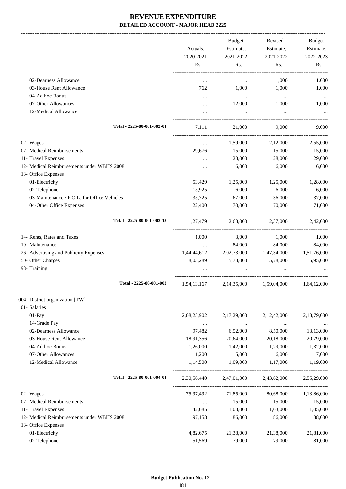-------------------------------------------------------------------------------------------------------------------------------------------------------------------------------

|                                             | Actuals,<br>2020-2021<br>Rs. | <b>Budget</b><br>Estimate,<br>2021-2022<br>Rs.  | Revised<br>Estimate,<br>2021-2022<br>Rs. | <b>Budget</b><br>Estimate,<br>2022-2023<br>Rs. |
|---------------------------------------------|------------------------------|-------------------------------------------------|------------------------------------------|------------------------------------------------|
| 02-Dearness Allowance                       | $\cdots$                     | $\cdots$                                        | 1,000                                    | 1,000                                          |
| 03-House Rent Allowance                     | 762                          | 1,000                                           | 1,000                                    | 1,000                                          |
| 04-Ad hoc Bonus                             | $\cdots$                     | $\cdots$                                        | $\ddots$                                 | $\cdots$                                       |
| 07-Other Allowances                         | $\cdots$                     | 12,000                                          | 1,000                                    | 1,000                                          |
| 12-Medical Allowance                        | $\cdots$                     | $\ldots$                                        | $\ldots$                                 |                                                |
| Total - 2225-80-001-003-01                  | 7,111                        | 21,000                                          | 9,000                                    | 9,000                                          |
| 02- Wages                                   | $\cdots$                     | 1,59,000                                        | 2,12,000                                 | 2,55,000                                       |
| 07- Medical Reimbursements                  | 29,676                       | 15,000                                          | 15,000                                   | 15,000                                         |
| 11- Travel Expenses                         |                              | 28,000                                          | 28,000                                   | 29,000                                         |
| 12- Medical Reimbursements under WBHS 2008  | $\cdots$                     | 6,000                                           | 6,000                                    | 6,000                                          |
| 13- Office Expenses                         |                              |                                                 |                                          |                                                |
| 01-Electricity                              | 53,429                       | 1,25,000                                        | 1,25,000                                 | 1,28,000                                       |
| 02-Telephone                                | 15,925                       | 6,000                                           | 6,000                                    | 6,000                                          |
| 03-Maintenance / P.O.L. for Office Vehicles | 35,725                       | 67,000                                          | 36,000                                   | 37,000                                         |
| 04-Other Office Expenses                    | 22,400                       | 70,000                                          | 70,000                                   | 71,000                                         |
| Total - 2225-80-001-003-13                  | 1,27,479                     | 2,68,000 2,37,000                               |                                          | 2,42,000                                       |
| 14- Rents, Rates and Taxes                  | 1,000                        | 3,000                                           | 1,000                                    | 1,000                                          |
| 19- Maintenance                             | $\ldots$                     | 84,000                                          | 84,000                                   | 84,000                                         |
| 26- Advertising and Publicity Expenses      | 1,44,44,612                  | 2,02,73,000                                     | 1,47,34,000 1,51,76,000                  |                                                |
| 50- Other Charges                           | 8,03,289                     | 5,78,000                                        | 5,78,000                                 | 5,95,000                                       |
| 98- Training                                |                              |                                                 |                                          |                                                |
| Total - 2225-80-001-003                     |                              | 1,54,13,167 2,14,35,000 1,59,04,000 1,64,12,000 |                                          |                                                |
| 004- District organization [TW]             |                              |                                                 |                                          |                                                |
| 01- Salaries                                |                              |                                                 |                                          |                                                |
| $01-Pay$                                    | 2,08,25,902                  | 2,17,29,000                                     | 2,12,42,000                              | 2,18,79,000                                    |
| 14-Grade Pay                                | $\cdots$                     | $\ldots$                                        | $\ldots$                                 |                                                |
| 02-Dearness Allowance                       | 97,482                       | 6,52,000                                        | 8,50,000                                 | 13,13,000                                      |
| 03-House Rent Allowance                     | 18,91,356                    | 20,64,000                                       | 20,18,000                                | 20,79,000                                      |
| 04-Ad hoc Bonus                             | 1,26,000                     | 1,42,000                                        | 1,29,000                                 | 1,32,000                                       |
| 07-Other Allowances                         | 1,200                        | 5,000                                           | 6,000                                    | 7,000                                          |
| 12-Medical Allowance                        | 1,14,500                     | 1,09,000                                        | 1,17,000                                 | 1,19,000                                       |
| Total - 2225-80-001-004-01                  | 2,30,56,440                  | 2,47,01,000                                     | 2,43,62,000                              | 2,55,29,000                                    |
| 02- Wages                                   | 75,97,492                    | 71,85,000                                       | 80,68,000                                | 1,13,86,000                                    |
| 07- Medical Reimbursements                  | $\cdots$                     | 15,000                                          | 15,000                                   | 15,000                                         |
| 11- Travel Expenses                         | 42,685                       | 1,03,000                                        | 1,03,000                                 | 1,05,000                                       |
| 12- Medical Reimbursements under WBHS 2008  | 97,158                       | 86,000                                          | 86,000                                   | 88,000                                         |
| 13- Office Expenses                         |                              |                                                 |                                          |                                                |
| 01-Electricity                              | 4,82,675                     | 21,38,000                                       | 21,38,000                                | 21,81,000                                      |
| 02-Telephone                                | 51,569                       | 79,000                                          | 79,000                                   | 81,000                                         |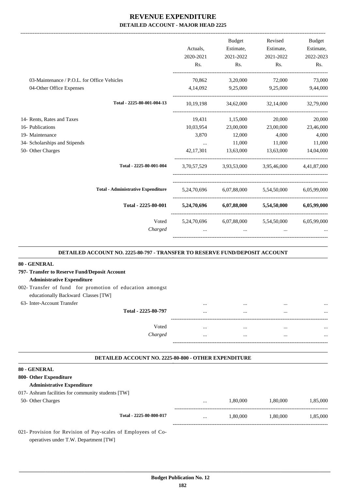|                                             |                     | Budget                                                                                                                                                                                                                            | Revised                                         | <b>Budget</b> |
|---------------------------------------------|---------------------|-----------------------------------------------------------------------------------------------------------------------------------------------------------------------------------------------------------------------------------|-------------------------------------------------|---------------|
|                                             | Actuals,            | Estimate,                                                                                                                                                                                                                         | Estimate,                                       | Estimate,     |
|                                             | 2020-2021           | 2021-2022                                                                                                                                                                                                                         | 2021-2022                                       | 2022-2023     |
|                                             | Rs.                 | Rs.                                                                                                                                                                                                                               | Rs.                                             | Rs.           |
| 03-Maintenance / P.O.L. for Office Vehicles |                     |                                                                                                                                                                                                                                   | 70,862 3,20,000 72,000                          | 73,000        |
| 04-Other Office Expenses                    |                     |                                                                                                                                                                                                                                   | 4,14,092 9,25,000 9,25,000 9,44,000             |               |
| Total - 2225-80-001-004-13                  | 10,19,198           |                                                                                                                                                                                                                                   | 34,62,000 32,14,000 32,79,000                   |               |
| 14- Rents, Rates and Taxes                  |                     | 19,431 1,15,000                                                                                                                                                                                                                   | 20,000                                          | 20,000        |
| 16- Publications                            | 10,03,954           |                                                                                                                                                                                                                                   | 23,00,000 23,00,000                             | 23,46,000     |
| 19- Maintenance                             | 3,870               | 12,000                                                                                                                                                                                                                            | 4,000                                           | 4,000         |
| 34- Scholarships and Stipends               | <b>Section</b> 1999 |                                                                                                                                                                                                                                   | 11,000 11,000                                   | 11,000        |
| 50- Other Charges                           |                     |                                                                                                                                                                                                                                   | 42,17,301 13,63,000 13,63,000 14,04,000         |               |
| Total - 2225-80-001-004                     |                     |                                                                                                                                                                                                                                   | 3,70,57,529 3,93,53,000 3,95,46,000 4,41,87,000 |               |
| <b>Total - Administrative Expenditure</b>   |                     |                                                                                                                                                                                                                                   | 5,24,70,696 6,07,88,000 5,54,50,000 6,05,99,000 |               |
| Total - 2225-80-001                         |                     |                                                                                                                                                                                                                                   | 5,24,70,696 6,07,88,000 5,54,50,000 6,05,99,000 |               |
| Voted<br>Charged                            |                     | $\mathbf{r}$ , and the contract of the contract of the contract of the contract of the contract of the contract of the contract of the contract of the contract of the contract of the contract of the contract of the contract o | 5,24,70,696 6,07,88,000 5,54,50,000 6,05,99,000 |               |

| <b>DETAILED ACCOUNT NO. 2225-80-797 - TRANSFER TO RESERVE FUND/DEPOSIT ACCOUNT</b>              |          |          |          |          |
|-------------------------------------------------------------------------------------------------|----------|----------|----------|----------|
| 80 - GENERAL                                                                                    |          |          |          |          |
| 797- Transfer to Reserve Fund/Deposit Account                                                   |          |          |          |          |
| <b>Administrative Expenditure</b>                                                               |          |          |          |          |
| 002- Transfer of fund for promotion of education amongst<br>educationally Backward Classes [TW] |          |          |          |          |
| 63- Inter-Account Transfer                                                                      | $\cdots$ |          |          |          |
| Total - 2225-80-797                                                                             |          |          |          |          |
| Voted                                                                                           | $\cdots$ | $\cdots$ | $\cdots$ |          |
| Charged                                                                                         | $\cdots$ | $\cdots$ | $\cdots$ |          |
| <b>DETAILED ACCOUNT NO. 2225-80-800 - OTHER EXPENDITURE</b>                                     |          |          |          |          |
| 80 - GENERAL                                                                                    |          |          |          |          |
| 800- Other Expenditure                                                                          |          |          |          |          |
| <b>Administrative Expenditure</b>                                                               |          |          |          |          |
| 017- Ashram facilities for community students [TW]                                              |          |          |          |          |
| 50- Other Charges                                                                               |          | 1,80,000 | 1,80,000 | 1,85,000 |
| Total - 2225-80-800-017                                                                         |          | 1,80,000 | 1,80,000 | 1.85.000 |
| 021- Provision for Revision of Pay-scales of Employees of Co-                                   |          |          |          |          |

operatives under T.W. Department [TW]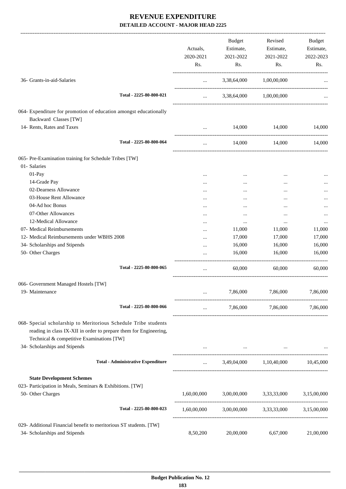|                                                                                                                                                                                   | Actuals,<br>2020-2021<br>Rs. | <b>Budget</b><br>Estimate,<br>2021-2022<br>Rs. | Revised<br>Estimate,<br>2021-2022<br>Rs. | Budget<br>Estimate,<br>2022-2023<br>Rs. |
|-----------------------------------------------------------------------------------------------------------------------------------------------------------------------------------|------------------------------|------------------------------------------------|------------------------------------------|-----------------------------------------|
| 36- Grants-in-aid-Salaries                                                                                                                                                        | $\cdots$                     | 3,38,64,000                                    | 1,00,00,000                              |                                         |
| Total - 2225-80-800-021                                                                                                                                                           | $\cdots$                     |                                                | 3,38,64,000 1,00,00,000                  |                                         |
| 064- Expenditure for promotion of education amongst educationally<br>Backward Classes [TW]                                                                                        |                              |                                                |                                          |                                         |
| 14- Rents, Rates and Taxes                                                                                                                                                        | $\cdots$                     | 14,000                                         | 14,000                                   | 14,000                                  |
| Total - 2225-80-800-064                                                                                                                                                           | $\ldots$                     | 14,000                                         | 14,000                                   | 14,000                                  |
| 065- Pre-Examination training for Schedule Tribes [TW]                                                                                                                            |                              |                                                |                                          |                                         |
| 01- Salaries                                                                                                                                                                      |                              |                                                |                                          |                                         |
| 01-Pay                                                                                                                                                                            |                              |                                                |                                          |                                         |
| 14-Grade Pay                                                                                                                                                                      |                              |                                                |                                          |                                         |
| 02-Dearness Allowance                                                                                                                                                             | $\cdots$                     | $\cdots$                                       |                                          |                                         |
| 03-House Rent Allowance                                                                                                                                                           |                              |                                                |                                          |                                         |
| 04-Ad hoc Bonus                                                                                                                                                                   | $\cdots$                     |                                                | $\cdots$                                 |                                         |
| 07-Other Allowances                                                                                                                                                               |                              |                                                | $\cdots$                                 |                                         |
| 12-Medical Allowance                                                                                                                                                              |                              | $\cdots$                                       |                                          |                                         |
| 07- Medical Reimbursements                                                                                                                                                        |                              | 11,000                                         | 11,000                                   | 11,000                                  |
| 12- Medical Reimbursements under WBHS 2008                                                                                                                                        |                              | 17,000                                         | 17,000                                   | 17,000                                  |
| 34- Scholarships and Stipends                                                                                                                                                     |                              | 16,000                                         | 16,000                                   | 16,000                                  |
| 50- Other Charges                                                                                                                                                                 |                              | 16,000                                         | 16,000                                   | 16,000                                  |
| Total - 2225-80-800-065                                                                                                                                                           | $\ldots$                     | 60,000                                         | 60,000                                   | 60,000                                  |
| 066- Government Managed Hostels [TW]                                                                                                                                              |                              |                                                |                                          |                                         |
| 19- Maintenance                                                                                                                                                                   |                              | 7,86,000                                       | 7,86,000                                 | 7,86,000                                |
| Total - 2225-80-800-066                                                                                                                                                           | $\ldots$                     |                                                | 7,86,000 7,86,000 7,86,000               |                                         |
| 068- Special scholarship to Meritorious Schedule Tribe students<br>reading in class IX-XII in order to prepare them for Engineering,<br>Technical & competitive Examinations [TW] |                              |                                                |                                          |                                         |
| 34- Scholarships and Stipends                                                                                                                                                     |                              |                                                | <b>Contract Contract Contract</b>        |                                         |
| <b>Total - Administrative Expenditure</b>                                                                                                                                         | $\cdots$                     |                                                | 3,49,04,000 1,10,40,000                  | 10,45,000                               |
| <b>State Development Schemes</b>                                                                                                                                                  |                              |                                                |                                          |                                         |
| 023- Participation in Meals, Seminars & Exhibitions. [TW]                                                                                                                         |                              |                                                |                                          |                                         |
| 50- Other Charges                                                                                                                                                                 | 1,60,00,000                  | 3,00,00,000                                    | 3,33,33,000                              | 3,15,00,000                             |
| Total - 2225-80-800-023                                                                                                                                                           | 1,60,00,000                  |                                                | 3,00,00,000 3,33,33,000                  | 3,15,00,000                             |
| 029- Additional Financial benefit to meritorious ST students. [TW]                                                                                                                |                              |                                                |                                          |                                         |
| 34- Scholarships and Stipends                                                                                                                                                     | 8,50,200                     | 20,00,000                                      | 6,67,000                                 | 21,00,000                               |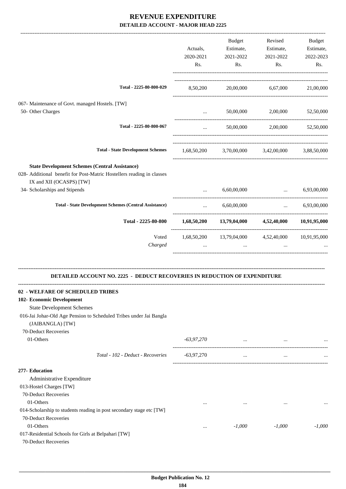|                                                                                                   |              | Budget                                                        | Revised                                                                                                                           | Budget      |
|---------------------------------------------------------------------------------------------------|--------------|---------------------------------------------------------------|-----------------------------------------------------------------------------------------------------------------------------------|-------------|
|                                                                                                   | Actuals,     | Estimate,                                                     | Estimate,                                                                                                                         | Estimate,   |
|                                                                                                   | 2020-2021    | 2021-2022                                                     | 2021-2022                                                                                                                         | 2022-2023   |
|                                                                                                   | Rs.          | Rs.                                                           | Rs.                                                                                                                               | Rs.         |
|                                                                                                   |              |                                                               |                                                                                                                                   |             |
| Total - 2225-80-800-029                                                                           | 8,50,200     |                                                               | 20,00,000 6,67,000                                                                                                                | 21,00,000   |
| 067- Maintenance of Govt. managed Hostels. [TW]                                                   |              |                                                               |                                                                                                                                   |             |
| 50- Other Charges                                                                                 | $\cdots$     | 50,00,000                                                     | 2,00,000                                                                                                                          | 52,50,000   |
| Total - 2225-80-800-067                                                                           | $\cdots$     |                                                               | 50,00,000 2,00,000 52,50,000                                                                                                      |             |
| <b>Total - State Development Schemes</b>                                                          |              | 1,68,50,200 3,70,00,000 3,42,00,000 3,88,50,000               |                                                                                                                                   |             |
| <b>State Development Schemes (Central Assistance)</b>                                             |              |                                                               |                                                                                                                                   |             |
| 028- Additional benefit for Post-Matric Hostellers reading in classes<br>IX and XII (OCASPS) [TW] |              |                                                               |                                                                                                                                   |             |
| 34- Scholarships and Stipends                                                                     | $\ddotsc$    | 6,60,00,000                                                   | $\ddotsc$                                                                                                                         | 6,93,00,000 |
| <b>Total - State Development Schemes (Central Assistance)</b>                                     | $\cdots$     | 6,60,00,000                                                   | $\mathbf{1}_{\mathbf{1}_{\mathbf{2}}\mathbf{1}_{\mathbf{3}}\mathbf{2}_{\mathbf{4}}\mathbf{3}_{\mathbf{5}}\mathbf{4}_{\mathbf{6}}$ | 6,93,00,000 |
| Total - 2225-80-800                                                                               |              | $1,68,50,200$ $13,79,04,000$ $4,52,40,000$ $10,91,95,000$     |                                                                                                                                   |             |
| Voted<br>Charged                                                                                  |              | 1,68,50,200 13,79,04,000 4,52,40,000 10,91,95,000<br>$\cdots$ | $\ddots$                                                                                                                          |             |
| <b>DETAILED ACCOUNT NO. 2225 - DEDUCT RECOVERIES IN REDUCTION OF EXPENDITURE</b>                  |              |                                                               |                                                                                                                                   |             |
|                                                                                                   |              |                                                               |                                                                                                                                   |             |
| - WELFARE OF SCHEDULED TRIBES                                                                     |              |                                                               |                                                                                                                                   |             |
| 102- Economic Development                                                                         |              |                                                               |                                                                                                                                   |             |
| <b>State Development Schemes</b>                                                                  |              |                                                               |                                                                                                                                   |             |
| 016-Jai Johar-Old Age Pension to Scheduled Tribes under Jai Bangla<br>(JAIBANGLA) [TW]            |              |                                                               |                                                                                                                                   |             |
| 70-Deduct Recoveries                                                                              |              |                                                               |                                                                                                                                   |             |
| 01-Others                                                                                         | $-63,97,270$ | $\cdots$                                                      | $\cdots$                                                                                                                          |             |
|                                                                                                   |              |                                                               |                                                                                                                                   |             |
| Total - 102 - Deduct - Recoveries                                                                 | $-63,97,270$ | $\cdots$                                                      | $\ldots$                                                                                                                          |             |
| 277- Education                                                                                    |              |                                                               |                                                                                                                                   |             |
| Administrative Expenditure                                                                        |              |                                                               |                                                                                                                                   |             |
| 013-Hostel Charges [TW]<br>70-Deduct Recoveries                                                   |              |                                                               |                                                                                                                                   |             |
| 01-Others                                                                                         | $\cdots$     | $\cdots$                                                      | $\cdots$                                                                                                                          |             |
| 014-Scholarship to students reading in post secondary stage etc [TW]                              |              |                                                               |                                                                                                                                   | $\cdots$    |
| 70-Deduct Recoveries                                                                              |              |                                                               |                                                                                                                                   |             |
| 01-Others                                                                                         | $\cdots$     | $-1,000$                                                      | $-1,000$                                                                                                                          | $-1,000$    |
| 017-Residential Schools for Girls at Belpahari [TW]                                               |              |                                                               |                                                                                                                                   |             |
| 70-Deduct Recoveries                                                                              |              |                                                               |                                                                                                                                   |             |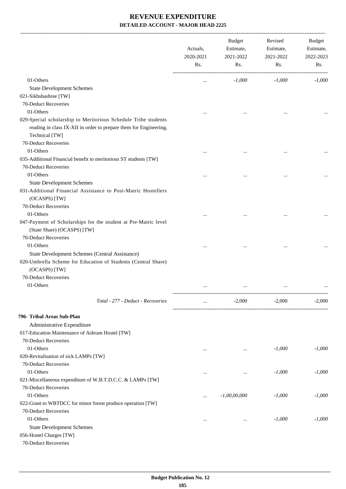-------------------------------------------------------------------------------------------------------------------------------------------------------------------------------

|                                                                                                | Actuals,<br>2020-2021<br>Rs. | <b>Budget</b><br>Estimate,<br>2021-2022<br>Rs. | Revised<br>Estimate,<br>2021-2022<br>Rs. | <b>Budget</b><br>Estimate,<br>2022-2023<br>Rs. |
|------------------------------------------------------------------------------------------------|------------------------------|------------------------------------------------|------------------------------------------|------------------------------------------------|
| 01-Others                                                                                      |                              | $-1,000$                                       | $-1,000$                                 | $-1,000$                                       |
| <b>State Development Schemes</b>                                                               |                              |                                                |                                          |                                                |
| 021-Sikhshashree [TW]                                                                          |                              |                                                |                                          |                                                |
| 70-Deduct Recoveries                                                                           |                              |                                                |                                          |                                                |
| 01-Others                                                                                      |                              |                                                |                                          |                                                |
| 029-Special scholarship to Meritorious Schedule Tribe students                                 |                              |                                                |                                          |                                                |
| reading in class IX-XII in order to prepare them for Engineering,                              |                              |                                                |                                          |                                                |
| Technical [TW]                                                                                 |                              |                                                |                                          |                                                |
| 70-Deduct Recoveries                                                                           |                              |                                                |                                          |                                                |
| 01-Others                                                                                      |                              |                                                |                                          |                                                |
| 035-Additional Financial benefit to meritorious ST students [TW]                               |                              |                                                |                                          |                                                |
| 70-Deduct Recoveries                                                                           |                              |                                                |                                          |                                                |
| 01-Others                                                                                      |                              |                                                |                                          |                                                |
| <b>State Development Schemes</b>                                                               |                              |                                                |                                          |                                                |
| 031-Additional Financial Assistance to Post-Matric Hostellers<br>(OCASPS) [TW]                 |                              |                                                |                                          |                                                |
| 70-Deduct Recoveries                                                                           |                              |                                                |                                          |                                                |
| 01-Others                                                                                      |                              |                                                |                                          |                                                |
| 047-Payment of Scholarships for the student at Pre-Matric level<br>(State Share) (OCASPS) [TW] |                              |                                                |                                          |                                                |
| 70-Deduct Recoveries                                                                           |                              |                                                |                                          |                                                |
| 01-Others                                                                                      |                              |                                                | $\ddotsc$                                |                                                |
| State Development Schemes (Central Assistance)                                                 |                              |                                                |                                          |                                                |
| 020-Umbrella Scheme for Education of Students (Central Share)<br>(OCASPS) [TW]                 |                              |                                                |                                          |                                                |
| 70-Deduct Recoveries                                                                           |                              |                                                |                                          |                                                |
| 01-Others                                                                                      |                              |                                                | $\ddotsc$                                |                                                |
|                                                                                                |                              |                                                |                                          |                                                |
| Total - 277 - Deduct - Recoveries                                                              |                              | $-2,000$                                       | $-2,000$                                 | $-2,000$                                       |
| 796- Tribal Areas Sub-Plan                                                                     |                              |                                                |                                          |                                                |
| Administrative Expenditure                                                                     |                              |                                                |                                          |                                                |
| 017-Education Maintenance of Ashram Hostel [TW]                                                |                              |                                                |                                          |                                                |
| 70-Deduct Recoveries                                                                           |                              |                                                |                                          |                                                |
| 01-Others                                                                                      | $\cdots$                     | $\cdots$                                       | $-1,000$                                 | $-1,000$                                       |
| 020-Revitalisation of sick LAMPs [TW]                                                          |                              |                                                |                                          |                                                |
| 70-Deduct Recoveries                                                                           |                              |                                                |                                          |                                                |
| 01-Others                                                                                      |                              | $\cdots$                                       | $-1,000$                                 | $-1,000$                                       |
| 021-Miscellaneous expenditure of W.B.T.D.C.C. & LAMPs [TW]                                     |                              |                                                |                                          |                                                |
| 70-Deduct Recoveries                                                                           |                              |                                                |                                          |                                                |
| 01-Others                                                                                      | $\cdots$                     | $-1,00,00,000$                                 | $-1,000$                                 | $-1,000$                                       |
| 022-Grant to WBTDCC for minor forest produce operation [TW]                                    |                              |                                                |                                          |                                                |
| 70-Deduct Recoveries                                                                           |                              |                                                |                                          |                                                |
| 01-Others                                                                                      |                              | $\cdots$                                       | $-1,000$                                 | $-1,000$                                       |
| <b>State Development Schemes</b>                                                               |                              |                                                |                                          |                                                |
| 056-Hostel Charges [TW]                                                                        |                              |                                                |                                          |                                                |
| 70-Deduct Recoveries                                                                           |                              |                                                |                                          |                                                |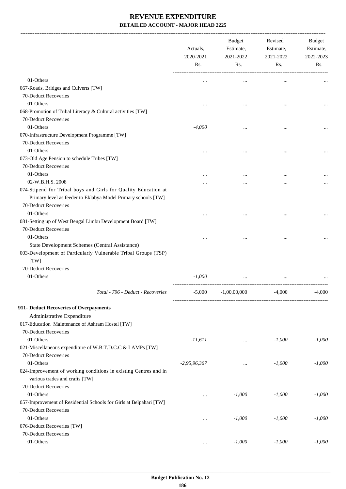-------------------------------------------------------------------------------------------------------------------------------------------------------------------------------

|                                                                    | Actuals,<br>2020-2021<br>Rs. | <b>Budget</b><br>Estimate,<br>2021-2022<br>Rs. | Revised<br>Estimate,<br>2021-2022<br>Rs. | <b>Budget</b><br>Estimate,<br>2022-2023<br>Rs. |
|--------------------------------------------------------------------|------------------------------|------------------------------------------------|------------------------------------------|------------------------------------------------|
| 01-Others                                                          | $\ddotsc$                    | $\ddotsc$                                      | $\ddotsc$                                |                                                |
| 067-Roads, Bridges and Culverts [TW]                               |                              |                                                |                                          |                                                |
| 70-Deduct Recoveries                                               |                              |                                                |                                          |                                                |
| 01-Others                                                          | $\ddotsc$                    | $\ddotsc$                                      | $\ddotsc$                                |                                                |
| 068-Promotion of Tribal Literacy & Cultural activities [TW]        |                              |                                                |                                          |                                                |
| 70-Deduct Recoveries                                               |                              |                                                |                                          |                                                |
| 01-Others                                                          | $-4,000$                     | $\ddotsc$                                      | $\cdots$                                 |                                                |
| 070-Infrastructure Development Programme [TW]                      |                              |                                                |                                          |                                                |
| 70-Deduct Recoveries                                               |                              |                                                |                                          |                                                |
| 01-Others                                                          | $\cdots$                     | $\ddotsc$                                      | $\cdots$                                 | $\cdots$                                       |
| 073-Old Age Pension to schedule Tribes [TW]                        |                              |                                                |                                          |                                                |
| 70-Deduct Recoveries                                               |                              |                                                |                                          |                                                |
| 01-Others                                                          |                              |                                                | $\ddotsc$                                |                                                |
| 02-W.B.H.S. 2008                                                   |                              |                                                | $\ddotsc$                                |                                                |
| 074-Stipend for Tribal boys and Girls for Quality Education at     |                              |                                                |                                          |                                                |
| Primary level as feeder to Eklabya Model Primary schools [TW]      |                              |                                                |                                          |                                                |
| 70-Deduct Recoveries                                               |                              |                                                |                                          |                                                |
| 01-Others                                                          | $\ddotsc$                    |                                                | $\ddotsc$                                | $\cdots$                                       |
| 081-Setting up of West Bengal Limbu Development Board [TW]         |                              |                                                |                                          |                                                |
| 70-Deduct Recoveries                                               |                              |                                                |                                          |                                                |
| 01-Others                                                          |                              |                                                | $\ddotsc$                                |                                                |
| State Development Schemes (Central Assistance)                     |                              |                                                |                                          |                                                |
| 003-Development of Particularly Vulnerable Tribal Groups (TSP)     |                              |                                                |                                          |                                                |
| [TW]                                                               |                              |                                                |                                          |                                                |
| 70-Deduct Recoveries                                               |                              |                                                |                                          |                                                |
| 01-Others                                                          | $-1,000$                     |                                                |                                          |                                                |
|                                                                    |                              |                                                |                                          |                                                |
| Total - 796 - Deduct - Recoveries                                  | $-5,000$                     | $-1,00,00,000$                                 | $-4,000$                                 | $-4,000$                                       |
| 911- Deduct Recoveries of Overpayments                             |                              |                                                |                                          |                                                |
| Administrative Expenditure                                         |                              |                                                |                                          |                                                |
| 017-Education Maintenance of Ashram Hostel [TW]                    |                              |                                                |                                          |                                                |
| 70-Deduct Recoveries                                               |                              |                                                |                                          |                                                |
| 01-Others                                                          | $-11,611$                    | $\cdots$                                       | $-1,000$                                 | $-1,000$                                       |
| 021-Miscellaneous expenditure of W.B.T.D.C.C & LAMPs [TW]          |                              |                                                |                                          |                                                |
| 70-Deduct Recoveries                                               |                              |                                                |                                          |                                                |
| 01-Others                                                          | $-2,95,96,367$               | $\cdots$                                       | $-1,000$                                 | $-1,000$                                       |
| 024-Improvement of working conditions in existing Centres and in   |                              |                                                |                                          |                                                |
| various trades and crafts [TW]                                     |                              |                                                |                                          |                                                |
| 70-Deduct Recoveries                                               |                              |                                                |                                          |                                                |
| 01-Others                                                          |                              | $-1,000$                                       | $-1,000$                                 | $-1,000$                                       |
| 057-Improvement of Residential Schools for Girls at Belpahari [TW] |                              |                                                |                                          |                                                |
| 70-Deduct Recoveries                                               |                              |                                                |                                          |                                                |
| 01-Others                                                          |                              | $-1,000$                                       | $-1,000$                                 | $-1,000$                                       |
| 076-Deduct Recoveries [TW]                                         |                              |                                                |                                          |                                                |
| 70-Deduct Recoveries                                               |                              |                                                |                                          |                                                |
| 01-Others                                                          | $\cdots$                     | $-1,000$                                       | $-1,000$                                 | $-1,000$                                       |
|                                                                    |                              |                                                |                                          |                                                |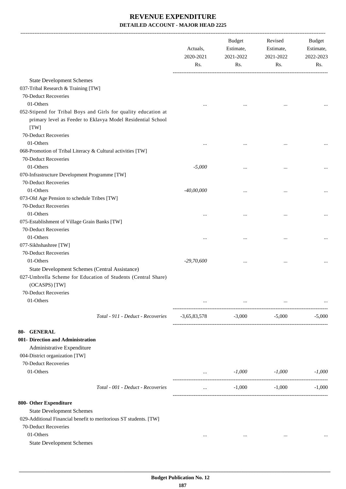|                                                                                                                                  | Actuals,<br>2020-2021<br>Rs. | <b>Budget</b><br>Estimate,<br>2021-2022<br>Rs. | Revised<br>Estimate,<br>2021-2022<br>Rs. | <b>Budget</b><br>Estimate,<br>2022-2023<br>Rs. |
|----------------------------------------------------------------------------------------------------------------------------------|------------------------------|------------------------------------------------|------------------------------------------|------------------------------------------------|
| <b>State Development Schemes</b>                                                                                                 |                              |                                                |                                          |                                                |
| 037-Tribal Research & Training [TW]                                                                                              |                              |                                                |                                          |                                                |
| 70-Deduct Recoveries                                                                                                             |                              |                                                |                                          |                                                |
| 01-Others                                                                                                                        |                              |                                                |                                          |                                                |
| 052-Stipend for Tribal Boys and Girls for quality education at                                                                   |                              |                                                |                                          |                                                |
| primary level as Feeder to Eklavya Model Residential School                                                                      |                              |                                                |                                          |                                                |
| [TW]                                                                                                                             |                              |                                                |                                          |                                                |
| 70-Deduct Recoveries                                                                                                             |                              |                                                |                                          |                                                |
| 01-Others                                                                                                                        |                              |                                                |                                          |                                                |
| 068-Promotion of Tribal Literacy & Cultural activities [TW]                                                                      |                              |                                                |                                          |                                                |
| 70-Deduct Recoveries                                                                                                             |                              |                                                |                                          |                                                |
| 01-Others                                                                                                                        | $-5,000$                     | $\cdots$                                       |                                          |                                                |
| 070-Infrastructure Development Programme [TW]                                                                                    |                              |                                                |                                          |                                                |
| 70-Deduct Recoveries                                                                                                             |                              |                                                |                                          |                                                |
| 01-Others                                                                                                                        | $-40,00,000$                 |                                                |                                          |                                                |
| 073-Old Age Pension to schedule Tribes [TW]                                                                                      |                              |                                                |                                          |                                                |
| 70-Deduct Recoveries                                                                                                             |                              |                                                |                                          |                                                |
| 01-Others                                                                                                                        | $\cdots$                     |                                                |                                          |                                                |
| 075-Establishment of Village Grain Banks [TW]                                                                                    |                              |                                                |                                          |                                                |
| 70-Deduct Recoveries                                                                                                             |                              |                                                |                                          |                                                |
| 01-Others                                                                                                                        |                              |                                                |                                          |                                                |
| 077-Sikhshashree [TW]                                                                                                            |                              |                                                |                                          |                                                |
| 70-Deduct Recoveries                                                                                                             |                              |                                                |                                          |                                                |
| 01-Others                                                                                                                        | $-29,70,600$                 |                                                |                                          |                                                |
| State Development Schemes (Central Assistance)<br>027-Umbrella Scheme for Education of Students (Central Share)<br>(OCASPS) [TW] |                              |                                                |                                          |                                                |
| 70-Deduct Recoveries                                                                                                             |                              |                                                |                                          |                                                |
| 01-Others                                                                                                                        |                              |                                                |                                          |                                                |
| Total - 911 - Deduct - Recoveries                                                                                                | $-3,65,83,578$               | $-3,000$                                       | $-5,000$                                 | $-5,000$                                       |
| 80- GENERAL                                                                                                                      |                              |                                                |                                          |                                                |
| 001- Direction and Administration                                                                                                |                              |                                                |                                          |                                                |
| Administrative Expenditure                                                                                                       |                              |                                                |                                          |                                                |
| 004-District organization [TW]                                                                                                   |                              |                                                |                                          |                                                |
| 70-Deduct Recoveries                                                                                                             |                              |                                                |                                          |                                                |
| 01-Others                                                                                                                        | <b>Allen Committee</b>       | $-1,000$                                       | $-1,000$                                 | $-1,000$                                       |
| Total - 001 - Deduct - Recoveries                                                                                                | $\cdots$                     | $-1,000$                                       | $-1,000$                                 | $-1,000$                                       |
| 800- Other Expenditure                                                                                                           |                              |                                                |                                          |                                                |
| <b>State Development Schemes</b>                                                                                                 |                              |                                                |                                          |                                                |
| 029-Additional Financial benefit to meritorious ST students. [TW]                                                                |                              |                                                |                                          |                                                |
| 70-Deduct Recoveries                                                                                                             |                              |                                                |                                          |                                                |
| 01-Others                                                                                                                        | $\cdots$                     | $\cdots$                                       | $\cdots$                                 |                                                |
| <b>State Development Schemes</b>                                                                                                 |                              |                                                |                                          |                                                |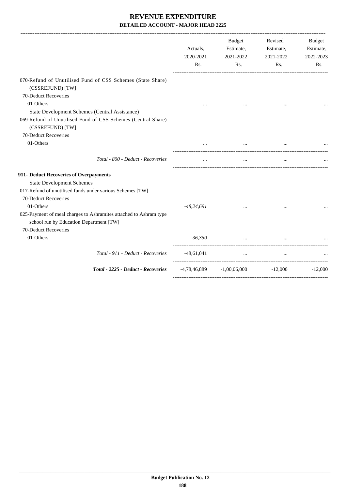|                                                                                                                                                   | Actuals,<br>2020-2021<br>Rs. | Budget<br>Estimate,<br>2021-2022<br>Rs.           | Revised<br>Estimate,<br>2021-2022<br>Rs. | <b>Budget</b><br>Estimate,<br>2022-2023<br>Rs. |
|---------------------------------------------------------------------------------------------------------------------------------------------------|------------------------------|---------------------------------------------------|------------------------------------------|------------------------------------------------|
| 070-Refund of Unutilised Fund of CSS Schemes (State Share)<br>(CSSREFUND) [TW]<br>70-Deduct Recoveries                                            |                              |                                                   |                                          |                                                |
| 01-Others<br>State Development Schemes (Central Assistance)<br>069-Refund of Unutilised Fund of CSS Schemes (Central Share)                       | $\cdots$                     |                                                   |                                          |                                                |
| (CSSREFUND) [TW]<br>70-Deduct Recoveries<br>01-Others                                                                                             | $\cdots$                     | $\cdots$                                          | $\cdots$                                 |                                                |
| Total - 800 - Deduct - Recoveries                                                                                                                 | $\cdots$                     | $\cdots$                                          | $\cdots$                                 |                                                |
| 911- Deduct Recoveries of Overpayments<br><b>State Development Schemes</b><br>017-Refund of unutilised funds under various Schemes [TW]           |                              |                                                   |                                          |                                                |
| 70-Deduct Recoveries<br>01-Others<br>025-Payment of meal charges to Ashramites attached to Ashram type<br>school run by Education Department [TW] | $-48,24,691$                 |                                                   |                                          |                                                |
| 70-Deduct Recoveries<br>01-Others                                                                                                                 | $-36,350$                    |                                                   | $\mathbf{r}$                             |                                                |
| Total - 911 - Deduct - Recoveries                                                                                                                 | $-48,61,041$                 | <b>Sales Controller</b>                           |                                          |                                                |
| Total - 2225 - Deduct - Recoveries                                                                                                                |                              | $-4,78,46,889$ $-1,00,06,000$ $-12,000$ $-12,000$ |                                          |                                                |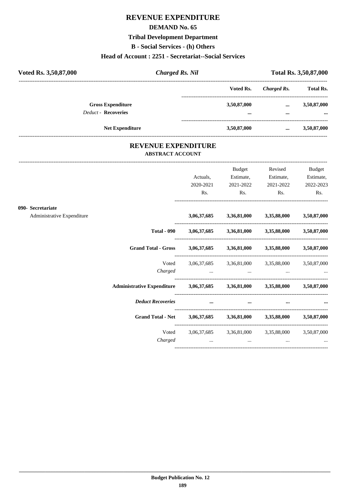# **REVENUE EXPENDITURE**

## **DEMAND No. 65**

# **Tribal Development Department**

**B - Social Services - (h) Others**

# **Head of Account : 2251 - Secretariat--Social Services**

| Voted Rs. 3,50,87,000 | <b>Charged Rs. Nil</b>                                 |                 |                      | Total Rs. 3,50,87,000    |  |
|-----------------------|--------------------------------------------------------|-----------------|----------------------|--------------------------|--|
|                       |                                                        | Voted Rs.       | Charged Rs.          | <b>Total Rs.</b>         |  |
|                       | <b>Gross Expenditure</b><br><b>Deduct - Recoveries</b> | 3,50,87,000<br> | $\cdots$<br>$\cdots$ | 3,50,87,000<br>$\ddotsc$ |  |
|                       | <b>Net Expenditure</b>                                 | 3,50,87,000     | $\cdots$             | 3,50,87,000              |  |

## **REVENUE EXPENDITURE ABSTRACT ACCOUNT**

|                            |                                                                            |           | Budget         | Revised                                                                                                         | Budget    |
|----------------------------|----------------------------------------------------------------------------|-----------|----------------|-----------------------------------------------------------------------------------------------------------------|-----------|
|                            |                                                                            | Actuals,  | Estimate,      | Estimate,                                                                                                       | Estimate, |
|                            |                                                                            | 2020-2021 | 2021-2022      | 2021-2022                                                                                                       | 2022-2023 |
|                            |                                                                            | Rs.       | $\mathbf{Rs.}$ | Rs.                                                                                                             | Rs.       |
| 090- Secretariate          |                                                                            |           |                |                                                                                                                 |           |
| Administrative Expenditure |                                                                            |           |                | 3,06,37,685 3,36,81,000 3,35,88,000 3,50,87,000                                                                 |           |
|                            |                                                                            |           |                | Total - 090 3,06,37,685 3,36,81,000 3,35,88,000 3,50,87,000                                                     |           |
|                            | Grand Total - Gross 3,06,37,685 3,36,81,000 3,35,88,000 3,50,87,000        |           |                |                                                                                                                 |           |
|                            | Voted                                                                      |           |                | 3,06,37,685 3,36,81,000 3,35,88,000 3,50,87,000                                                                 |           |
|                            | Charged                                                                    |           |                | the contract of the contract of the contract of the contract of the contract of the contract of the contract of |           |
|                            | Administrative Expenditure 3,06,37,685 3,36,81,000 3,35,88,000 3,50,87,000 |           |                |                                                                                                                 |           |
|                            | <b>Deduct Recoveries</b>                                                   | $\cdots$  | $\cdots$       | $\cdots$                                                                                                        |           |
|                            | Grand Total - Net 3,06,37,685 3,36,81,000 3,35,88,000 3,50,87,000          |           |                |                                                                                                                 |           |
|                            |                                                                            |           |                | Voted 3,06,37,685 3,36,81,000 3,35,88,000 3,50,87,000                                                           |           |
|                            | Charged                                                                    | $\cdots$  | $\cdots$       | $\cdots$                                                                                                        | $\cdots$  |
|                            |                                                                            |           |                |                                                                                                                 |           |

----------------------------------------------------------------------------------------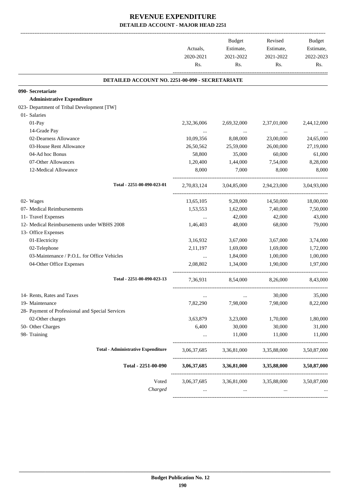|                                                  | Actuals,<br>2020-2021<br>Rs. | Budget<br>Estimate,<br>2021-2022<br>Rs. | Revised<br>Estimate,<br>2021-2022<br>Rs. | Budget<br>Estimate,<br>2022-2023<br>Rs. |
|--------------------------------------------------|------------------------------|-----------------------------------------|------------------------------------------|-----------------------------------------|
| DETAILED ACCOUNT NO. 2251-00-090 - SECRETARIATE  |                              |                                         |                                          |                                         |
| 090- Secretariate                                |                              |                                         |                                          |                                         |
| <b>Administrative Expenditure</b>                |                              |                                         |                                          |                                         |
| 023- Department of Tribal Development [TW]       |                              |                                         |                                          |                                         |
| 01- Salaries                                     |                              |                                         |                                          |                                         |
| 01-Pay                                           | 2,32,36,006                  | 2,69,32,000                             | 2,37,01,000                              | 2,44,12,000                             |
| 14-Grade Pay                                     |                              | $\sim$ $\sim$                           |                                          |                                         |
| 02-Dearness Allowance                            | 10,09,356                    | 8,08,000                                | 23,00,000                                | 24,65,000                               |
| 03-House Rent Allowance                          | 26,50,562                    | 25,59,000                               | 26,00,000                                | 27,19,000                               |
| 04-Ad hoc Bonus                                  | 58,800                       | 35,000                                  | 60,000                                   | 61,000                                  |
| 07-Other Allowances                              | 1,20,400                     | 1,44,000                                | 7,54,000                                 | 8,28,000                                |
| 12-Medical Allowance                             | 8,000                        | 7,000                                   | 8,000                                    | 8,000                                   |
| Total - 2251-00-090-023-01                       | 2,70,83,124                  | 3,04,85,000                             | 2,94,23,000                              | 3,04,93,000                             |
| 02- Wages                                        | 13,65,105                    | 9,28,000                                | 14,50,000                                | 18,00,000                               |
| 07- Medical Reimbursements                       | 1,53,553                     | 1,62,000                                | 7,40,000                                 | 7,50,000                                |
| 11- Travel Expenses                              | $\cdots$                     | 42,000                                  | 42,000                                   | 43,000                                  |
| 12- Medical Reimbursements under WBHS 2008       | 1,46,403                     | 48,000                                  | 68,000                                   | 79,000                                  |
| 13- Office Expenses                              |                              |                                         |                                          |                                         |
| 01-Electricity                                   | 3,16,932                     | 3,67,000                                | 3,67,000                                 | 3,74,000                                |
| 02-Telephone                                     | 2, 11, 197                   | 1,69,000                                | 1,69,000                                 | 1,72,000                                |
| 03-Maintenance / P.O.L. for Office Vehicles      | $\ddots$                     | 1,84,000                                | 1,00,000                                 | 1,00,000                                |
| 04-Other Office Expenses                         | 2,08,802                     | 1,34,000                                | 1,90,000                                 | 1,97,000                                |
| Total - 2251-00-090-023-13                       | 7,36,931                     | 8,54,000                                | 8,26,000                                 | 8,43,000                                |
| 14- Rents, Rates and Taxes                       | $\cdots$                     | $\cdots$                                | 30,000                                   | 35,000                                  |
| 19- Maintenance                                  | 7,82,290                     | 7,98,000                                | 7,98,000                                 | 8,22,000                                |
| 28- Payment of Professional and Special Services |                              |                                         |                                          |                                         |
| 02-Other charges                                 | 3,63,879                     | 3,23,000                                | 1,70,000                                 | 1,80,000                                |
| 50- Other Charges                                | 6,400                        | 30,000                                  | 30,000                                   | 31,000                                  |
| 98- Training                                     | $\cdots$                     | 11,000                                  | 11,000                                   | 11,000                                  |
| <b>Total - Administrative Expenditure</b>        | 3,06,37,685                  | 3,36,81,000                             | 3,35,88,000                              | 3,50,87,000                             |
| Total - 2251-00-090                              | 3,06,37,685                  | 3,36,81,000                             | 3,35,88,000                              | 3,50,87,000                             |
| Voted                                            | 3,06,37,685                  | 3,36,81,000                             | 3,35,88,000                              | 3,50,87,000                             |
| Charged                                          |                              |                                         |                                          |                                         |
|                                                  |                              |                                         |                                          |                                         |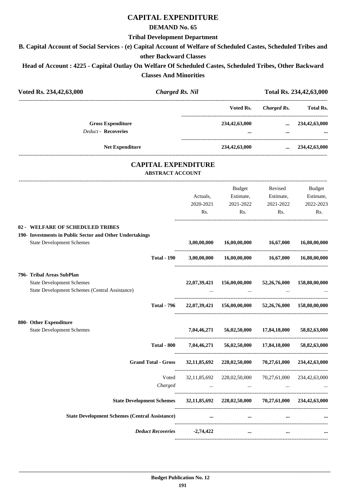# **CAPITAL EXPENDITURE**

## **DEMAND No. 65**

### **Tribal Development Department**

**B. Capital Account of Social Services - (e) Capital Account of Welfare of Scheduled Castes, Scheduled Tribes and**

## **other Backward Classes**

**Head of Account : 4225 - Capital Outlay On Welfare Of Scheduled Castes, Scheduled Tribes, Other Backward Classes And Minorities**

|                                                       | <b>Charged Rs. Nil</b>       | Total Rs. 234, 42, 63, 000                                                                                               |                                                        |                                                                                                                                                                                                                                                                                                                                                                                                                                                                                                             |
|-------------------------------------------------------|------------------------------|--------------------------------------------------------------------------------------------------------------------------|--------------------------------------------------------|-------------------------------------------------------------------------------------------------------------------------------------------------------------------------------------------------------------------------------------------------------------------------------------------------------------------------------------------------------------------------------------------------------------------------------------------------------------------------------------------------------------|
|                                                       |                              |                                                                                                                          |                                                        | <b>Total Rs.</b>                                                                                                                                                                                                                                                                                                                                                                                                                                                                                            |
|                                                       |                              |                                                                                                                          |                                                        | $\ldots$ 234,42,63,000                                                                                                                                                                                                                                                                                                                                                                                                                                                                                      |
|                                                       |                              |                                                                                                                          | $\cdots$                                               |                                                                                                                                                                                                                                                                                                                                                                                                                                                                                                             |
|                                                       |                              |                                                                                                                          |                                                        | $\ldots$ 234,42,63,000                                                                                                                                                                                                                                                                                                                                                                                                                                                                                      |
|                                                       |                              |                                                                                                                          |                                                        |                                                                                                                                                                                                                                                                                                                                                                                                                                                                                                             |
|                                                       | Actuals,<br>2020-2021<br>Rs. | Budget<br>Estimate,<br>2021-2022<br>Rs.                                                                                  | Estimate,<br>2021-2022<br>Rs.                          | Budget<br>Estimate,<br>2022-2023<br>Rs.                                                                                                                                                                                                                                                                                                                                                                                                                                                                     |
|                                                       | 3,00,00,000                  | 16,00,00,000                                                                                                             | 16,67,000                                              | 16,80,00,000                                                                                                                                                                                                                                                                                                                                                                                                                                                                                                |
| <b>Total - 190</b>                                    |                              |                                                                                                                          |                                                        | 16,80,00,000                                                                                                                                                                                                                                                                                                                                                                                                                                                                                                |
|                                                       |                              | 156,00,00,000                                                                                                            |                                                        | 158,80,00,000                                                                                                                                                                                                                                                                                                                                                                                                                                                                                               |
| <b>Total - 796</b>                                    |                              |                                                                                                                          |                                                        |                                                                                                                                                                                                                                                                                                                                                                                                                                                                                                             |
|                                                       |                              |                                                                                                                          |                                                        |                                                                                                                                                                                                                                                                                                                                                                                                                                                                                                             |
|                                                       |                              | 56,02,50,000                                                                                                             | 17,84,18,000                                           | 58,82,63,000                                                                                                                                                                                                                                                                                                                                                                                                                                                                                                |
| <b>Total - 800</b>                                    |                              |                                                                                                                          |                                                        | 58.82.63.000                                                                                                                                                                                                                                                                                                                                                                                                                                                                                                |
| <b>Grand Total - Gross</b>                            |                              |                                                                                                                          |                                                        | 234,42,63,000                                                                                                                                                                                                                                                                                                                                                                                                                                                                                               |
| Voted<br>Charged                                      |                              |                                                                                                                          |                                                        |                                                                                                                                                                                                                                                                                                                                                                                                                                                                                                             |
|                                                       |                              |                                                                                                                          |                                                        | 234,42,63,000                                                                                                                                                                                                                                                                                                                                                                                                                                                                                               |
| <b>State Development Schemes (Central Assistance)</b> |                              | $\cdots$                                                                                                                 | $\cdots$                                               |                                                                                                                                                                                                                                                                                                                                                                                                                                                                                                             |
|                                                       |                              | $\cdots$                                                                                                                 | $\cdots$                                               |                                                                                                                                                                                                                                                                                                                                                                                                                                                                                                             |
|                                                       |                              | <b>CAPITAL EXPENDITURE</b><br><b>ABSTRACT ACCOUNT</b><br><b>State Development Schemes</b><br>Deduct Recoveries -2,74,422 | 22,07,39,421<br>7,04,46,271<br>7.04.46.271<br>$\cdots$ | ---------------------------<br>Voted Rs.<br><b>Charged Rs.</b><br>234,42,63,000<br>234,42,63,000<br>Revised<br>$3,00,00,000$ $16,00,00,000$ $16,67,000$<br>52,26,76,000<br>22,07,39,421 156,00,00,000 52,26,76,000 158,80,00,000<br>56,02,50,000 17,84,18,000<br>32,11,85,692 228,02,50,000<br>70,27,61,000<br>32,11,85,692 228,02,50,000 70,27,61,000 234,42,63,000<br>the contract of the contract of the contract of the<br><b>Contract Contract Contract</b><br>32,11,85,692 228,02,50,000 70,27,61,000 |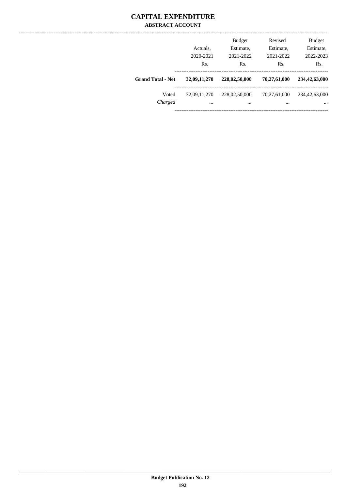## **CAPITAL EXPENDITURE ABSTRACT ACCOUNT**

|                          | Actuals.<br>2020-2021<br>Rs. | <b>Budget</b><br>Estimate,<br>2021-2022<br>Rs. | Revised<br>Estimate,<br>2021-2022<br>Rs. | <b>Budget</b><br>Estimate,<br>2022-2023<br>Rs. |
|--------------------------|------------------------------|------------------------------------------------|------------------------------------------|------------------------------------------------|
| <b>Grand Total - Net</b> | 32,09,11,270                 | 228,02,50,000                                  | 70,27,61,000                             | 234,42,63,000                                  |
| Voted<br>Charged         | 32,09,11,270<br>$\cdots$     | 228,02,50,000<br>$\cdots$                      | 70,27,61,000<br>$\cdots$                 | 234,42,63,000<br>$\cdots$                      |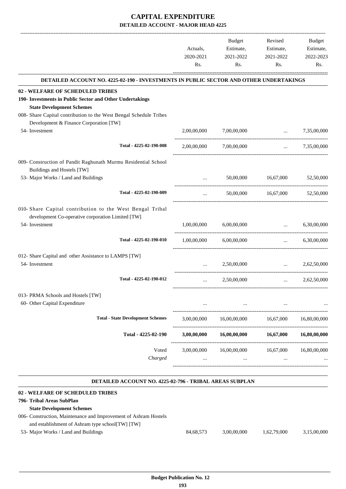|                                                                                                                                                                                                        | Actuals,<br>2020-2021<br>Rs.           | <b>Budget</b><br>Estimate,<br>2021-2022<br>Rs. | Revised<br>Estimate,<br>2021-2022<br>Rs. | Budget<br>Estimate,<br>2022-2023<br>Rs. |
|--------------------------------------------------------------------------------------------------------------------------------------------------------------------------------------------------------|----------------------------------------|------------------------------------------------|------------------------------------------|-----------------------------------------|
|                                                                                                                                                                                                        |                                        |                                                |                                          |                                         |
| DETAILED ACCOUNT NO. 4225-02-190 - INVESTMENTS IN PUBLIC SECTOR AND OTHER UNDERTAKINGS                                                                                                                 |                                        |                                                |                                          |                                         |
| 02 - WELFARE OF SCHEDULED TRIBES<br>190- Investments in Public Sector and Other Undertakings<br><b>State Development Schemes</b><br>008- Share Capital contribution to the West Bengal Schedule Tribes |                                        |                                                |                                          |                                         |
| Development & Finance Corporation [TW]<br>54- Investment                                                                                                                                               | 2,00,00,000                            | 7,00,00,000                                    | <b><i>Committee States</i></b>           | 7,35,00,000                             |
| Total - 4225-02-190-008                                                                                                                                                                                |                                        | 2,00,00,000 7,00,00,000                        |                                          | $\ldots$ 7,35,00,000                    |
| 009- Construction of Pandit Raghunath Murmu Residential School<br>Buildings and Hostels [TW]                                                                                                           |                                        |                                                |                                          |                                         |
| 53- Major Works / Land and Buildings                                                                                                                                                                   | $\cdots$                               | 50,00,000                                      | 16,67,000                                | 52,50,000                               |
| Total - 4225-02-190-009                                                                                                                                                                                | $\cdots$                               |                                                | 50,00,000 16,67,000                      | 52,50,000                               |
| 010- Share Capital contribution to the West Bengal Tribal<br>development Co-operative corporation Limited [TW]                                                                                         |                                        |                                                |                                          |                                         |
| 54- Investment                                                                                                                                                                                         | 1,00,00,000                            | 6,00,00,000                                    | $\ddotsc$                                | 6,30,00,000                             |
| Total - 4225-02-190-010                                                                                                                                                                                | 1,00,00,000                            | 6,00,00,000                                    | $\cdots$                                 | 6,30,00,000                             |
| 012- Share Capital and other Assistance to LAMPS [TW]<br>54- Investment                                                                                                                                |                                        | 2,50,00,000                                    | $\mathbf{r}$                             | 2,62,50,000                             |
| Total - 4225-02-190-012                                                                                                                                                                                | --------------------------<br>$\cdots$ | 2,50,00,000                                    | $\cdots$                                 | 2,62,50,000                             |
| 013- PRMA Schools and Hostels [TW]<br>60- Other Capital Expenditure                                                                                                                                    |                                        |                                                |                                          |                                         |
| <b>Total - State Development Schemes</b>                                                                                                                                                               | 3,00,00,000                            | 16,00,00,000                                   | 16,67,000                                | 16,80,00,000                            |
| Total - 4225-02-190                                                                                                                                                                                    | 3,00,00,000                            | 16,00,00,000                                   | 16,67,000                                | 16,80,00,000                            |
| Voted<br>Charged                                                                                                                                                                                       | 3,00,00,000                            | 16,00,00,000<br>                               | 16,67,000<br>$\cdots$                    | 16,80,00,000                            |

#### **DETAILED ACCOUNT NO. 4225-02-796 - TRIBAL AREAS SUBPLAN .**

.

| 02 - WELFARE OF SCHEDULED TRIBES                                 |           |             |             |             |
|------------------------------------------------------------------|-----------|-------------|-------------|-------------|
| 796- Tribal Areas SubPlan                                        |           |             |             |             |
| <b>State Development Schemes</b>                                 |           |             |             |             |
| 006- Construction, Maintenance and Improvement of Ashram Hostels |           |             |             |             |
| and establishment of Ashram type school [TW] [TW]                |           |             |             |             |
| 53- Major Works / Land and Buildings                             | 84.68.573 | 3.00.00.000 | 1.62.79.000 | 3,15,00,000 |
|                                                                  |           |             |             |             |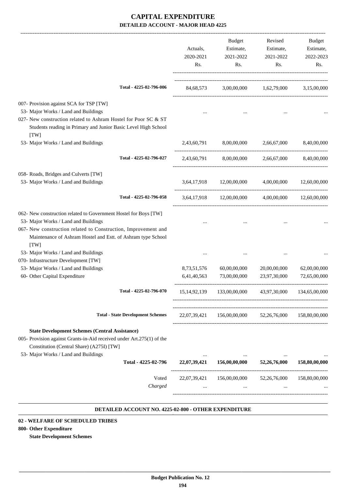| 84,68,573<br>2,43,60,791<br>2,43,60,791 | 8,00,00,000                          | 3,00,00,000 1,62,79,000 3,15,00,000<br>2,66,67,000 |                                                                                                                                                                                  |
|-----------------------------------------|--------------------------------------|----------------------------------------------------|----------------------------------------------------------------------------------------------------------------------------------------------------------------------------------|
|                                         |                                      |                                                    |                                                                                                                                                                                  |
|                                         |                                      |                                                    |                                                                                                                                                                                  |
|                                         |                                      |                                                    | 8,40,00,000                                                                                                                                                                      |
|                                         | 8,00,00,000                          | 2,66,67,000                                        | 8.40.00.000                                                                                                                                                                      |
|                                         | 3,64,17,918 12,00,00,000             | 4,00,00,000 12,60,00,000                           |                                                                                                                                                                                  |
|                                         | 3,64,17,918 12,00,00,000 4,00,00,000 |                                                    | 12,60,00,000                                                                                                                                                                     |
|                                         |                                      |                                                    |                                                                                                                                                                                  |
|                                         |                                      |                                                    |                                                                                                                                                                                  |
|                                         | 60,00,00,000<br>73,00,00,000         |                                                    | 62,00,00,000<br>72,65,00,000                                                                                                                                                     |
|                                         |                                      |                                                    |                                                                                                                                                                                  |
|                                         |                                      |                                                    | 158,80,00,000                                                                                                                                                                    |
|                                         |                                      |                                                    |                                                                                                                                                                                  |
|                                         | $\cdots$<br>156,00,00,000            | $\ddotsc$<br>52,26,76,000                          | 158,80,00,000                                                                                                                                                                    |
|                                         | $\cdots$                             |                                                    | 158,80,00,000                                                                                                                                                                    |
|                                         | 22,07,39,421<br>22,07,39,421         | 8,73,51,576<br>6,41,40,563                         | 20,00,00,000<br>23,97,30,000<br>15, 14, 92, 139 133, 00, 00, 000 43, 97, 30, 000 134, 65, 00, 000<br>22,07,39,421 156,00,00,000 52,26,76,000<br>156,00,00,000<br>52, 26, 76, 000 |

#### **DETAILED ACCOUNT NO. 4225-02-800 - OTHER EXPENDITURE .**

#### **02 - WELFARE OF SCHEDULED TRIBES**

#### **800- Other Expenditure**

**State Development Schemes**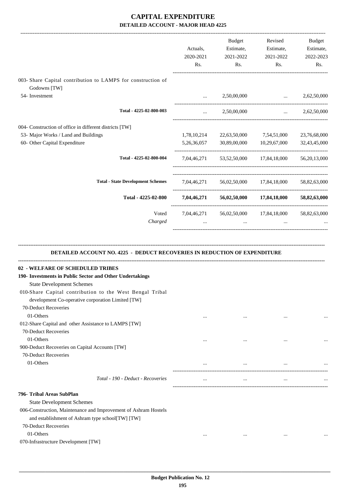|                                                                              | Actuals,       | Budget<br>Estimate, | Revised<br>Estimate,                             | <b>Budget</b><br>Estimate, |
|------------------------------------------------------------------------------|----------------|---------------------|--------------------------------------------------|----------------------------|
|                                                                              | 2020-2021      | 2021-2022           | 2021-2022                                        | 2022-2023                  |
|                                                                              | Rs.            | Rs.                 | Rs.                                              | Rs.                        |
| 003- Share Capital contribution to LAMPS for construction of<br>Godowns [TW] |                |                     |                                                  |                            |
| 54- Investment                                                               |                | 2,50,00,000         | $\ddots$                                         | 2,62,50,000                |
| Total - 4225-02-800-003                                                      | $\cdots$       | 2,50,00,000         | ------------------------------------<br>$\cdots$ | 2,62,50,000                |
| 004- Construction of office in different districts [TW]                      |                |                     |                                                  |                            |
| 53- Major Works / Land and Buildings                                         | 1,78,10,214    | 22,63,50,000        | 7,54,51,000                                      | 23,76,68,000               |
| 60- Other Capital Expenditure                                                | 5, 26, 36, 057 | 30,89,00,000        | 10,29,67,000                                     | 32,43,45,000               |
| Total - 4225-02-800-004                                                      | 7,04,46,271    |                     | 53,52,50,000 17,84,18,000                        | 56,20,13,000               |
| <b>Total - State Development Schemes</b>                                     | 7,04,46,271    |                     | 56,02,50,000 17,84,18,000                        | 58,82,63,000               |
| Total - 4225-02-800                                                          |                |                     | 7,04,46,271 56,02,50,000 17,84,18,000            | 58,82,63,000               |
| Voted                                                                        |                |                     | 7,04,46,271 56,02,50,000 17,84,18,000            | 58,82,63,000               |
| Charged                                                                      | $\cdots$       | $\cdots$            | $\cdots$                                         |                            |
|                                                                              |                |                     |                                                  |                            |
|                                                                              |                |                     |                                                  |                            |

#### **DETAILED ACCOUNT NO. 4225 - DEDUCT RECOVERIES IN REDUCTION OF EXPENDITURE**

| 02 - WELFARE OF SCHEDULED TRIBES                                |          |          |          |  |
|-----------------------------------------------------------------|----------|----------|----------|--|
| 190- Investments in Public Sector and Other Undertakings        |          |          |          |  |
| <b>State Development Schemes</b>                                |          |          |          |  |
| 010-Share Capital contribution to the West Bengal Tribal        |          |          |          |  |
| development Co-operative corporation Limited [TW]               |          |          |          |  |
| 70-Deduct Recoveries                                            |          |          |          |  |
| 01-Others                                                       |          | $\cdots$ |          |  |
| 012-Share Capital and other Assistance to LAMPS [TW]            |          |          |          |  |
| 70-Deduct Recoveries                                            |          |          |          |  |
| 01-Others                                                       | $\cdots$ |          |          |  |
| 900-Deduct Recoveries on Capital Accounts [TW]                  |          |          |          |  |
| 70-Deduct Recoveries                                            |          |          |          |  |
| 01-Others                                                       | $\cdots$ | $\cdots$ |          |  |
| Total - 190 - Deduct - Recoveries                               |          | $\cdots$ |          |  |
| 796- Tribal Areas SubPlan                                       |          |          |          |  |
| <b>State Development Schemes</b>                                |          |          |          |  |
| 006-Construction, Maintenance and Improvement of Ashram Hostels |          |          |          |  |
| and establishment of Ashram type school[TW] [TW]                |          |          |          |  |
| 70-Deduct Recoveries                                            |          |          |          |  |
| 01-Others                                                       | $\cdots$ | $\cdots$ | $\cdots$ |  |
| 070-Infrastructure Development [TW]                             |          |          |          |  |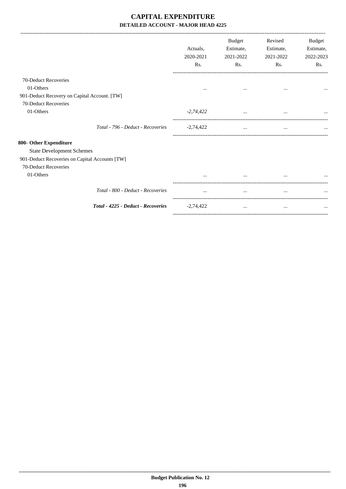-------------------------------------------------------------------------------------------------------------------------------------------------------------------------------

-----------------------------------------------------------------------------------------

|                                                | Actuals.<br>2020-2021<br>Rs. | <b>Budget</b><br>Estimate,<br>2021-2022<br>Rs. | Revised<br>Estimate,<br>2021-2022<br>Rs. | Budget<br>Estimate,<br>2022-2023<br>Rs. |
|------------------------------------------------|------------------------------|------------------------------------------------|------------------------------------------|-----------------------------------------|
| 70-Deduct Recoveries                           |                              |                                                |                                          |                                         |
| 01-Others                                      | $\cdots$                     | $\cdots$                                       | $\cdots$                                 |                                         |
| 901-Deduct Recovery on Capital Account. [TW]   |                              |                                                |                                          |                                         |
| 70-Deduct Recoveries                           |                              |                                                |                                          |                                         |
| 01-Others                                      | $-2,74,422$                  | $\cdots$                                       | $\cdots$                                 |                                         |
| Total - 796 - Deduct - Recoveries              | $-2,74,422$                  | $\cdots$                                       | $\cdots$                                 | $\cdots$                                |
| 800- Other Expenditure                         |                              |                                                |                                          |                                         |
| <b>State Development Schemes</b>               |                              |                                                |                                          |                                         |
| 901-Deduct Recoveries on Capital Accounts [TW] |                              |                                                |                                          |                                         |
| 70-Deduct Recoveries                           |                              |                                                |                                          |                                         |
| 01-Others                                      | $\cdots$                     | $\cdots$                                       | $\cdots$                                 |                                         |
| Total - 800 - Deduct - Recoveries              | $\cdots$                     | $\cdots$                                       | $\cdots$                                 |                                         |
| Total - 4225 - Deduct - Recoveries             | $-2,74,422$                  | $\cdots$                                       | $\cdots$                                 | $\cdots$                                |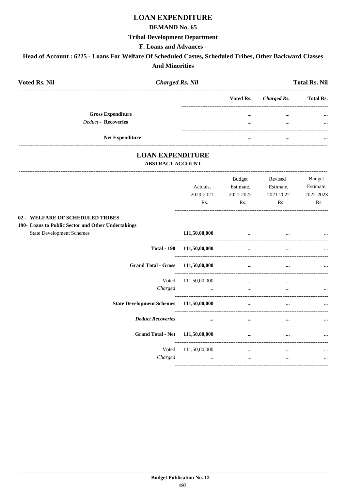# **LOAN EXPENDITURE**

## **DEMAND No. 65**

## **Tribal Development Department**

### F. Loans and Advances -

# Head of Account : 6225 - Loans For Welfare Of Scheduled Castes, Scheduled Tribes, Other Backward Classes **And Minorities**

| <b>Voted Rs. Nil</b><br><b>Charged Rs. Nil</b>                                                                             |               |           |                    | <b>Total Rs. Nil</b> |
|----------------------------------------------------------------------------------------------------------------------------|---------------|-----------|--------------------|----------------------|
|                                                                                                                            |               | Voted Rs. | <b>Charged Rs.</b> | <b>Total Rs.</b>     |
| <b>Gross Expenditure</b>                                                                                                   |               | $\cdots$  |                    |                      |
| <b>Deduct - Recoveries</b>                                                                                                 |               |           | $\ddotsc$          |                      |
| Net Expenditure                                                                                                            |               | $\cdots$  | $\cdots$           |                      |
| <b>LOAN EXPENDITURE</b><br><b>ABSTRACT ACCOUNT</b>                                                                         |               |           |                    |                      |
|                                                                                                                            |               | Budget    | Revised            | <b>Budget</b>        |
|                                                                                                                            | Actuals,      | Estimate, | Estimate,          | Estimate,            |
|                                                                                                                            | 2020-2021     | 2021-2022 | 2021-2022          | 2022-2023            |
|                                                                                                                            | Rs.           | Rs.       | Rs.                | Rs.                  |
| 02 - WELFARE OF SCHEDULED TRIBES<br>190- Loans to Public Sector and Other Undertakings<br><b>State Development Schemes</b> | 111,50,00,000 | $\sim$    | $\cdots$           |                      |
| <b>Total - 190</b>                                                                                                         | 111,50,00,000 | $\ddotsc$ | $\sim 10^{-1}$     |                      |
| <b>Grand Total - Gross</b>                                                                                                 | 111,50,00,000 | $\ddotsc$ |                    |                      |
| Voted                                                                                                                      | 111,50,00,000 | $\ddotsc$ |                    |                      |
| Charged                                                                                                                    | $\ddotsc$     | $\cdots$  | $\cdots$           |                      |
| <b>State Development Schemes</b>                                                                                           | 111,50,00,000 | $\cdots$  | $\cdots$           |                      |
| <b>Deduct Recoveries</b>                                                                                                   | $\cdots$      | $\cdots$  | $\ddotsc$          |                      |
| <b>Grand Total - Net</b>                                                                                                   | 111,50,00,000 | $\cdots$  | $\ddotsc$          |                      |
| Voted                                                                                                                      | 111,50,00,000 | $\cdots$  | $\ddotsc$          |                      |
| Charged                                                                                                                    | $\cdots$      | $\cdots$  | $\cdots$           |                      |